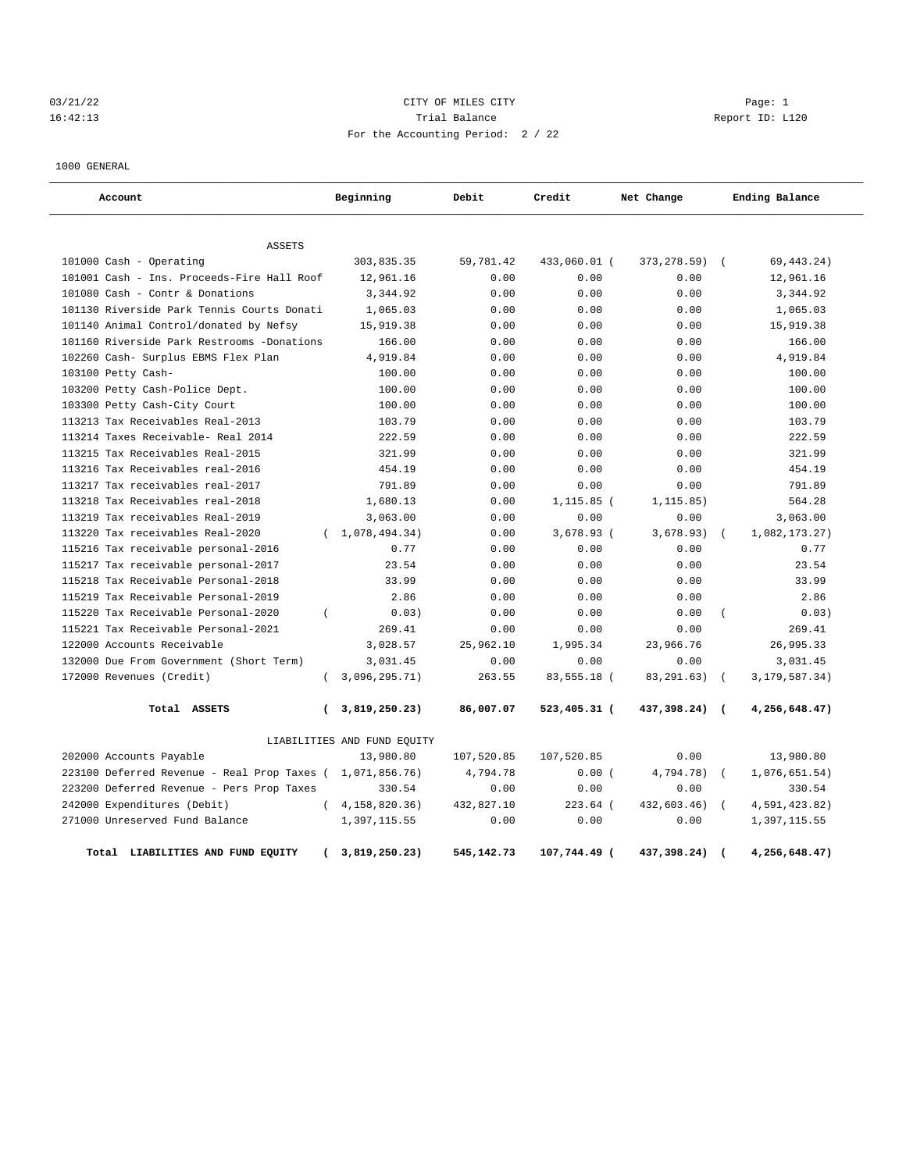# 03/21/22 Page: 1 CITY OF MILES CITY 16:42:13 Trial Balance Report ID: L120 For the Accounting Period: 2 / 22

1000 GENERAL

| Account                                     |                | Beginning                   | Debit      | Credit       | Net Change   |                  | Ending Balance   |
|---------------------------------------------|----------------|-----------------------------|------------|--------------|--------------|------------------|------------------|
| <b>ASSETS</b>                               |                |                             |            |              |              |                  |                  |
| 101000 Cash - Operating                     |                | 303,835.35                  | 59,781.42  | 433,060.01 ( | 373, 278.59) | $\sqrt{2}$       | 69, 443. 24)     |
| 101001 Cash - Ins. Proceeds-Fire Hall Roof  |                | 12,961.16                   | 0.00       | 0.00         | 0.00         |                  | 12,961.16        |
| 101080 Cash - Contr & Donations             |                | 3,344.92                    | 0.00       | 0.00         | 0.00         |                  | 3,344.92         |
| 101130 Riverside Park Tennis Courts Donati  |                | 1,065.03                    | 0.00       | 0.00         | 0.00         |                  | 1,065.03         |
| 101140 Animal Control/donated by Nefsy      |                | 15,919.38                   | 0.00       | 0.00         | 0.00         |                  | 15,919.38        |
| 101160 Riverside Park Restrooms -Donations  |                | 166.00                      | 0.00       | 0.00         | 0.00         |                  | 166.00           |
| 102260 Cash- Surplus EBMS Flex Plan         |                | 4,919.84                    | 0.00       | 0.00         | 0.00         |                  | 4,919.84         |
| 103100 Petty Cash-                          |                | 100.00                      | 0.00       | 0.00         | 0.00         |                  | 100.00           |
| 103200 Petty Cash-Police Dept.              |                | 100.00                      | 0.00       | 0.00         | 0.00         |                  | 100.00           |
| 103300 Petty Cash-City Court                |                | 100.00                      | 0.00       | 0.00         | 0.00         |                  | 100.00           |
| 113213 Tax Receivables Real-2013            |                | 103.79                      | 0.00       | 0.00         | 0.00         |                  | 103.79           |
| 113214 Taxes Receivable- Real 2014          |                | 222.59                      | 0.00       | 0.00         | 0.00         |                  | 222.59           |
| 113215 Tax Receivables Real-2015            |                | 321.99                      | 0.00       | 0.00         | 0.00         |                  | 321.99           |
| 113216 Tax Receivables real-2016            |                | 454.19                      | 0.00       | 0.00         | 0.00         |                  | 454.19           |
| 113217 Tax receivables real-2017            |                | 791.89                      | 0.00       | 0.00         | 0.00         |                  | 791.89           |
| 113218 Tax Receivables real-2018            |                | 1,680.13                    | 0.00       | $1,115.85$ ( | 1, 115.85)   |                  | 564.28           |
| 113219 Tax receivables Real-2019            |                | 3,063.00                    | 0.00       | 0.00         | 0.00         |                  | 3,063.00         |
| 113220 Tax receivables Real-2020            |                | (1,078,494.34)              | 0.00       | 3,678.93 (   | 3,678.93)    |                  | 1,082,173.27)    |
| 115216 Tax receivable personal-2016         |                | 0.77                        | 0.00       | 0.00         | 0.00         |                  | 0.77             |
| 115217 Tax receivable personal-2017         |                | 23.54                       | 0.00       | 0.00         | 0.00         |                  | 23.54            |
| 115218 Tax Receivable Personal-2018         |                | 33.99                       | 0.00       | 0.00         | 0.00         |                  | 33.99            |
| 115219 Tax Receivable Personal-2019         |                | 2.86                        | 0.00       | 0.00         | 0.00         |                  | 2.86             |
| 115220 Tax Receivable Personal-2020         | $\overline{ }$ | 0.03)                       | 0.00       | 0.00         | 0.00         | $\overline{(\ }$ | 0.03)            |
| 115221 Tax Receivable Personal-2021         |                | 269.41                      | 0.00       | 0.00         | 0.00         |                  | 269.41           |
| 122000 Accounts Receivable                  |                | 3,028.57                    | 25,962.10  | 1,995.34     | 23,966.76    |                  | 26,995.33        |
| 132000 Due From Government (Short Term)     |                | 3,031.45                    | 0.00       | 0.00         | 0.00         |                  | 3,031.45         |
| 172000 Revenues (Credit)                    |                | 3,096,295.71)               | 263.55     | 83,555.18 (  | 83, 291. 63) | $\sqrt{ }$       | 3, 179, 587. 34) |
| Total ASSETS                                | $\overline{ }$ | 3,819,250.23)               | 86,007.07  | 523,405.31 ( | 437,398.24)  | $\sqrt{ }$       | 4,256,648.47)    |
|                                             |                | LIABILITIES AND FUND EQUITY |            |              |              |                  |                  |
| 202000 Accounts Payable                     |                | 13,980.80                   | 107,520.85 | 107,520.85   | 0.00         |                  | 13,980.80        |
| 223100 Deferred Revenue - Real Prop Taxes ( |                | 1,071,856.76)               | 4,794.78   | 0.00(        | 4,794.78)    | $\overline{ }$   | 1,076,651.54)    |
| 223200 Deferred Revenue - Pers Prop Taxes   |                | 330.54                      | 0.00       | 0.00         | 0.00         |                  | 330.54           |
| 242000 Expenditures (Debit)                 |                | (4, 158, 820.36)            | 432,827.10 | $223.64$ (   | 432,603.46)  | $\sqrt{ }$       | 4,591,423.82)    |
| 271000 Unreserved Fund Balance              |                | 1,397,115.55                | 0.00       | 0.00         | 0.00         |                  | 1,397,115.55     |
| Total LIABILITIES AND FUND EQUITY           | <sup>-</sup>   | 3,819,250.23)               | 545,142.73 | 107,744.49 ( | 437,398.24)  | $\overline{ }$   | 4,256,648.47)    |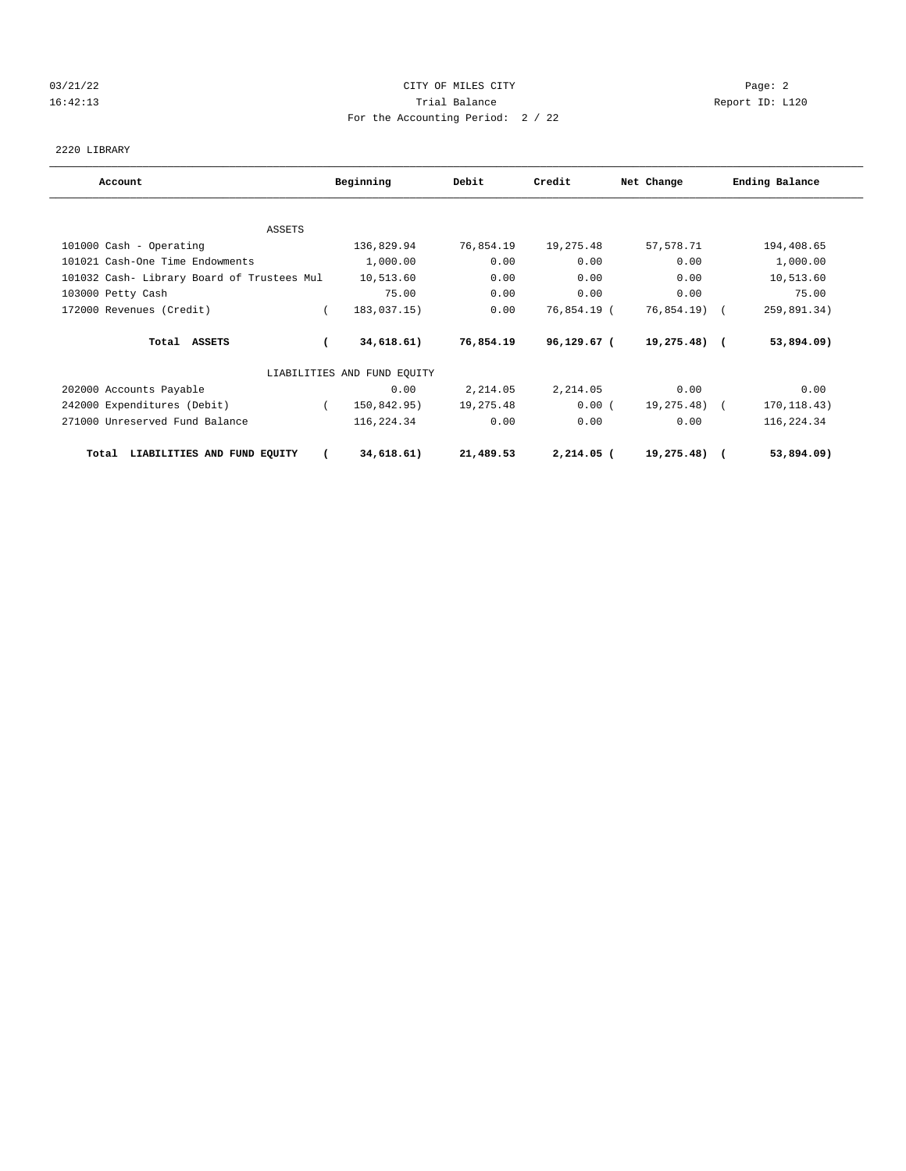# 03/21/22 Page: 2 16:42:13 Trial Balance Report ID: L120 For the Accounting Period: 2 / 22

2220 LIBRARY

| Account                                    | Beginning                   | Debit     | Credit       | Net Change    | Ending Balance |
|--------------------------------------------|-----------------------------|-----------|--------------|---------------|----------------|
|                                            |                             |           |              |               |                |
| ASSETS                                     |                             |           |              |               |                |
| 101000 Cash - Operating                    | 136,829.94                  | 76,854.19 | 19,275.48    | 57,578.71     | 194,408.65     |
| 101021 Cash-One Time Endowments            | 1,000.00                    | 0.00      | 0.00         | 0.00          | 1,000.00       |
| 101032 Cash- Library Board of Trustees Mul | 10,513.60                   | 0.00      | 0.00         | 0.00          | 10,513.60      |
| 103000 Petty Cash                          | 75.00                       | 0.00      | 0.00         | 0.00          | 75.00          |
| 172000 Revenues (Credit)                   | 183,037.15)                 | 0.00      | 76,854.19 (  | 76,854.19) (  | 259,891.34)    |
| Total ASSETS                               | 34,618.61)                  | 76,854.19 | 96,129.67 (  | $19,275.48$ ( | 53,894.09)     |
|                                            | LIABILITIES AND FUND EQUITY |           |              |               |                |
| 202000 Accounts Payable                    | 0.00                        | 2,214.05  | 2,214.05     | 0.00          | 0.00           |
| 242000 Expenditures (Debit)                | 150,842.95)                 | 19,275.48 | 0.00(        | 19,275.48) (  | 170, 118.43)   |
| 271000 Unreserved Fund Balance             | 116,224.34                  | 0.00      | 0.00         | 0.00          | 116,224.34     |
| LIABILITIES AND FUND EQUITY<br>Total       | 34,618.61)                  | 21,489.53 | $2,214.05$ ( | 19,275.48)    | 53,894.09)     |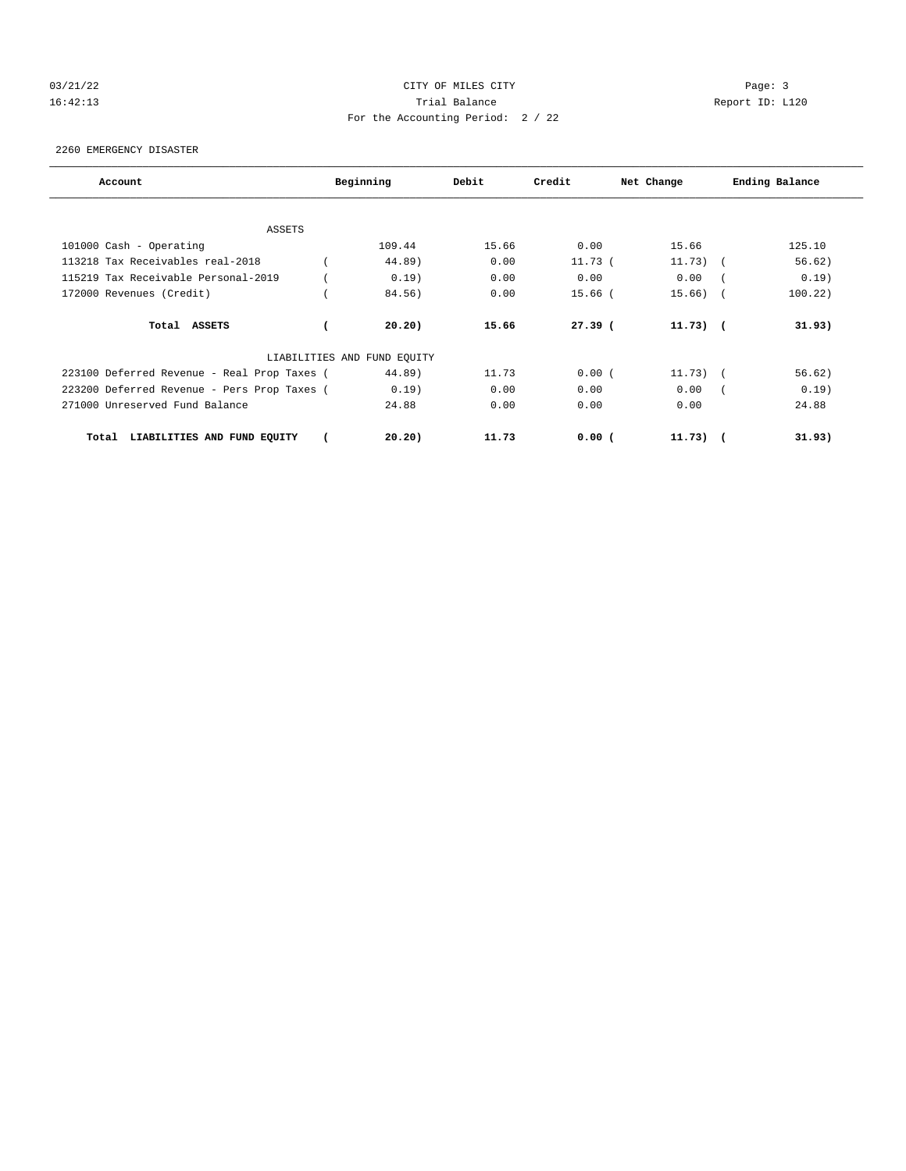# 03/21/22 Page: 3 CITY OF MILES CITY 16:42:13 Trial Balance Report ID: L120 For the Accounting Period: 2 / 22

2260 EMERGENCY DISASTER

| Account                                     | Beginning<br>Debit          |       | Credit    | Net Change | Ending Balance |         |  |
|---------------------------------------------|-----------------------------|-------|-----------|------------|----------------|---------|--|
|                                             |                             |       |           |            |                |         |  |
| <b>ASSETS</b>                               |                             |       |           |            |                |         |  |
| 101000 Cash - Operating                     | 109.44                      | 15.66 | 0.00      | 15.66      |                | 125.10  |  |
| 113218 Tax Receivables real-2018            | 44.89)                      | 0.00  | $11.73$ ( | $11.73)$ ( |                | 56.62)  |  |
| 115219 Tax Receivable Personal-2019         | 0.19)                       | 0.00  | 0.00      | 0.00       |                | 0.19)   |  |
| 172000 Revenues (Credit)                    | 84.56)                      | 0.00  | $15.66$ ( | 15.66)     |                | 100.22) |  |
| Total ASSETS                                | 20.20)                      | 15.66 | $27.39$ ( | $11.73)$ ( |                | 31.93)  |  |
|                                             | LIABILITIES AND FUND EQUITY |       |           |            |                |         |  |
| 223100 Deferred Revenue - Real Prop Taxes ( | 44.89)                      | 11.73 | 0.00(     | $11.73)$ ( |                | 56.62)  |  |
| 223200 Deferred Revenue - Pers Prop Taxes ( | 0.19)                       | 0.00  | 0.00      | 0.00       |                | 0.19)   |  |
| 271000 Unreserved Fund Balance              | 24.88                       | 0.00  | 0.00      | 0.00       |                | 24.88   |  |
| LIABILITIES AND FUND EQUITY<br>Total        | 20.20)                      | 11.73 | $0.00$ (  | $11.73)$ ( |                | 31.93)  |  |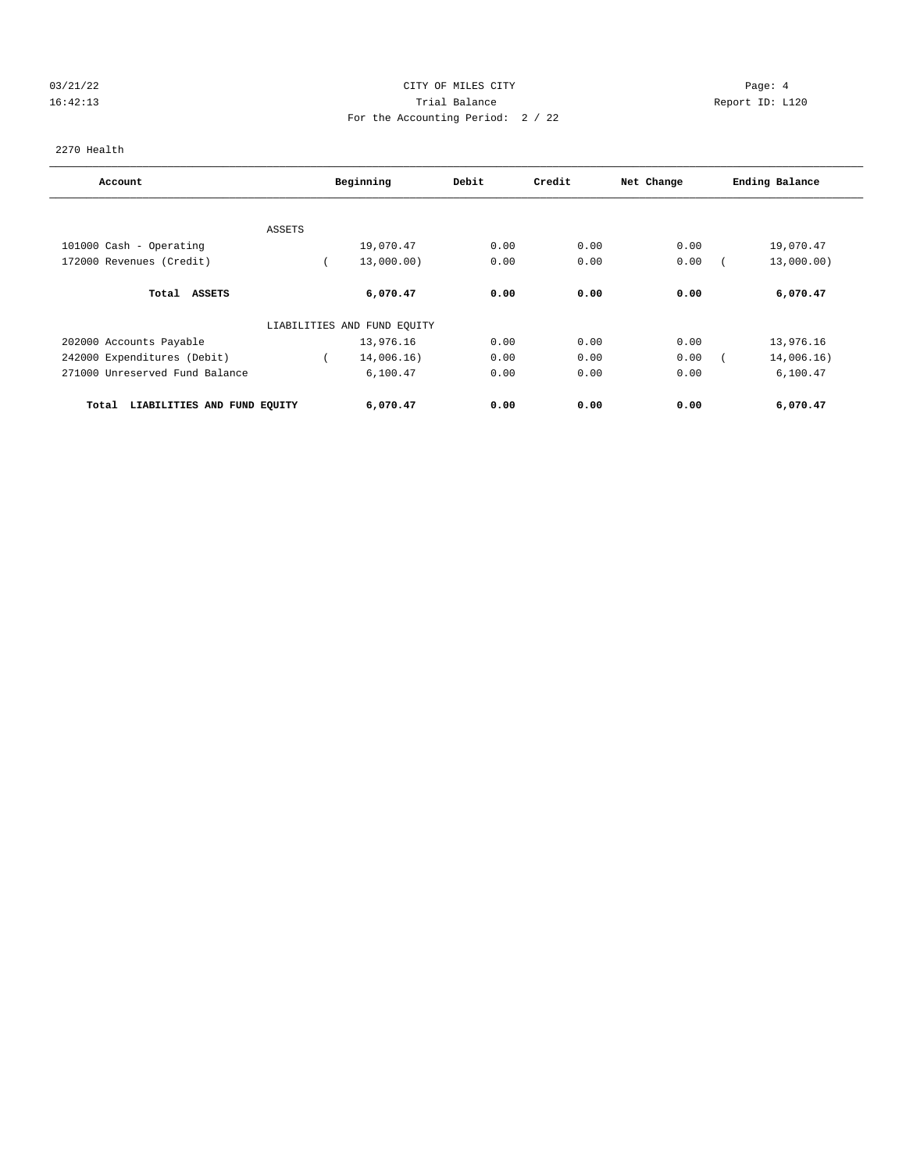# 03/21/22 Page: 4 16:42:13 Trial Balance Report ID: L120 For the Accounting Period: 2 / 22

2270 Health

| Account                              | Beginning |                             | Debit | Credit | Net Change | Ending Balance |  |
|--------------------------------------|-----------|-----------------------------|-------|--------|------------|----------------|--|
|                                      |           |                             |       |        |            |                |  |
|                                      | ASSETS    |                             |       |        |            |                |  |
| 101000 Cash - Operating              |           | 19,070.47                   | 0.00  | 0.00   | 0.00       | 19,070.47      |  |
| 172000 Revenues (Credit)             |           | 13,000.00)                  | 0.00  | 0.00   | 0.00       | 13,000.00)     |  |
| Total<br><b>ASSETS</b>               |           | 6,070.47                    | 0.00  | 0.00   | 0.00       | 6,070.47       |  |
|                                      |           | LIABILITIES AND FUND EQUITY |       |        |            |                |  |
| 202000 Accounts Payable              |           | 13,976.16                   | 0.00  | 0.00   | 0.00       | 13,976.16      |  |
| 242000 Expenditures (Debit)          |           | 14,006.16)                  | 0.00  | 0.00   | 0.00       | 14,006.16)     |  |
| 271000 Unreserved Fund Balance       |           | 6,100.47                    | 0.00  | 0.00   | 0.00       | 6,100.47       |  |
| LIABILITIES AND FUND EQUITY<br>Total |           | 6,070.47                    | 0.00  | 0.00   | 0.00       | 6,070.47       |  |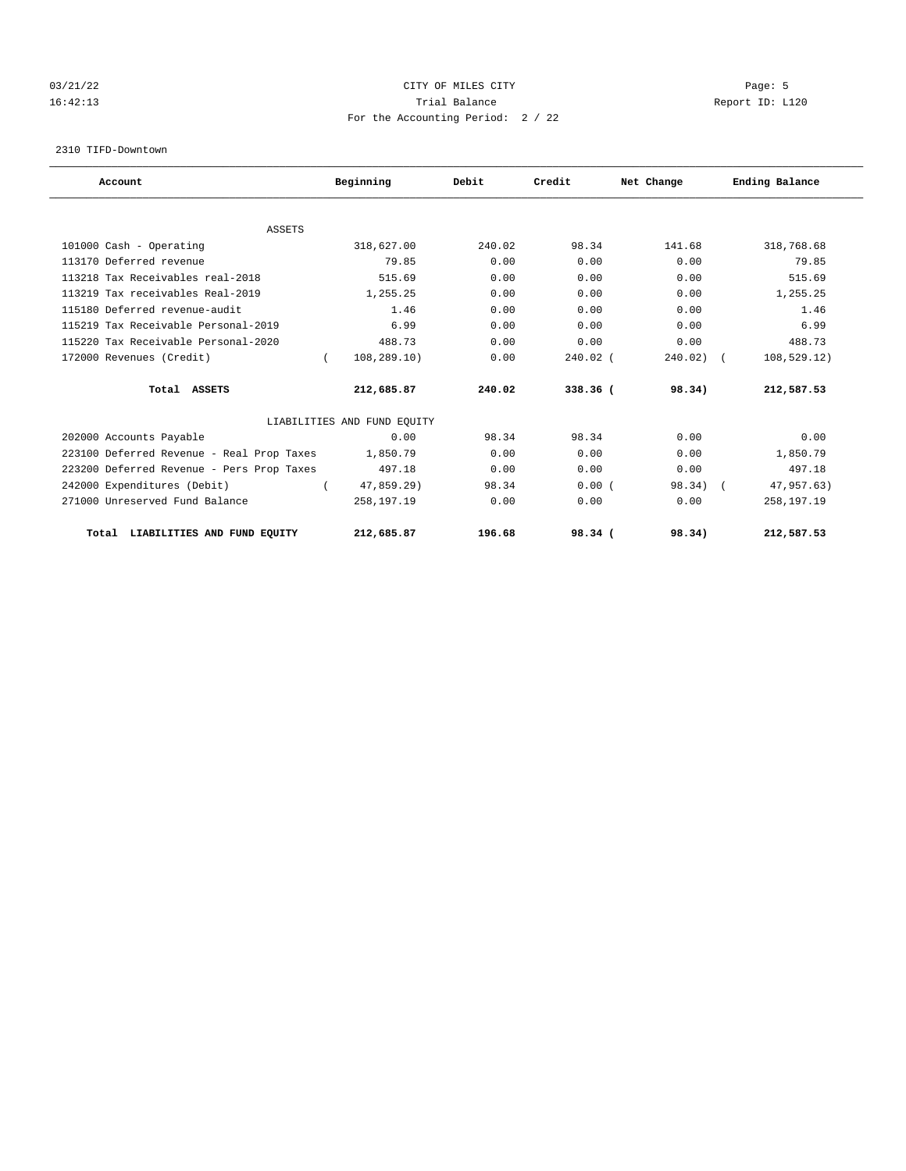# 03/21/22 Page: 5 CITY OF MILES CITY 16:42:13 Trial Balance Report ID: L120 For the Accounting Period: 2 / 22

2310 TIFD-Downtown

| Account                                   | Beginning                   | Debit  | Credit     | Net Change | Ending Balance |  |
|-------------------------------------------|-----------------------------|--------|------------|------------|----------------|--|
| <b>ASSETS</b>                             |                             |        |            |            |                |  |
| 101000 Cash - Operating                   | 318,627.00                  | 240.02 | 98.34      | 141.68     | 318,768.68     |  |
| 113170 Deferred revenue                   | 79.85                       | 0.00   | 0.00       | 0.00       | 79.85          |  |
| 113218 Tax Receivables real-2018          | 515.69                      | 0.00   | 0.00       | 0.00       | 515.69         |  |
| 113219 Tax receivables Real-2019          | 1,255.25                    | 0.00   | 0.00       | 0.00       | 1,255.25       |  |
| 115180 Deferred revenue-audit             | 1.46                        | 0.00   | 0.00       | 0.00       | 1.46           |  |
| 115219 Tax Receivable Personal-2019       | 6.99                        | 0.00   | 0.00       | 0.00       | 6.99           |  |
| 115220 Tax Receivable Personal-2020       | 488.73                      | 0.00   | 0.00       | 0.00       | 488.73         |  |
| 172000 Revenues (Credit)                  | 108,289.10)<br>$\left($     | 0.00   | $240.02$ ( | 240.02)    | 108, 529.12)   |  |
| Total ASSETS                              | 212,685.87                  | 240.02 | 338.36 (   | 98.34)     | 212,587.53     |  |
|                                           | LIABILITIES AND FUND EQUITY |        |            |            |                |  |
| 202000 Accounts Payable                   | 0.00                        | 98.34  | 98.34      | 0.00       | 0.00           |  |
| 223100 Deferred Revenue - Real Prop Taxes | 1,850.79                    | 0.00   | 0.00       | 0.00       | 1,850.79       |  |
| 223200 Deferred Revenue - Pers Prop Taxes | 497.18                      | 0.00   | 0.00       | 0.00       | 497.18         |  |
| 242000 Expenditures (Debit)               | 47,859.29)                  | 98.34  | 0.00(      | 98.34)     | 47,957.63)     |  |
| 271000 Unreserved Fund Balance            | 258,197.19                  | 0.00   | 0.00       | 0.00       | 258,197.19     |  |
| Total LIABILITIES AND FUND EQUITY         | 212,685.87                  | 196.68 | 98.34 (    | 98.34)     | 212,587.53     |  |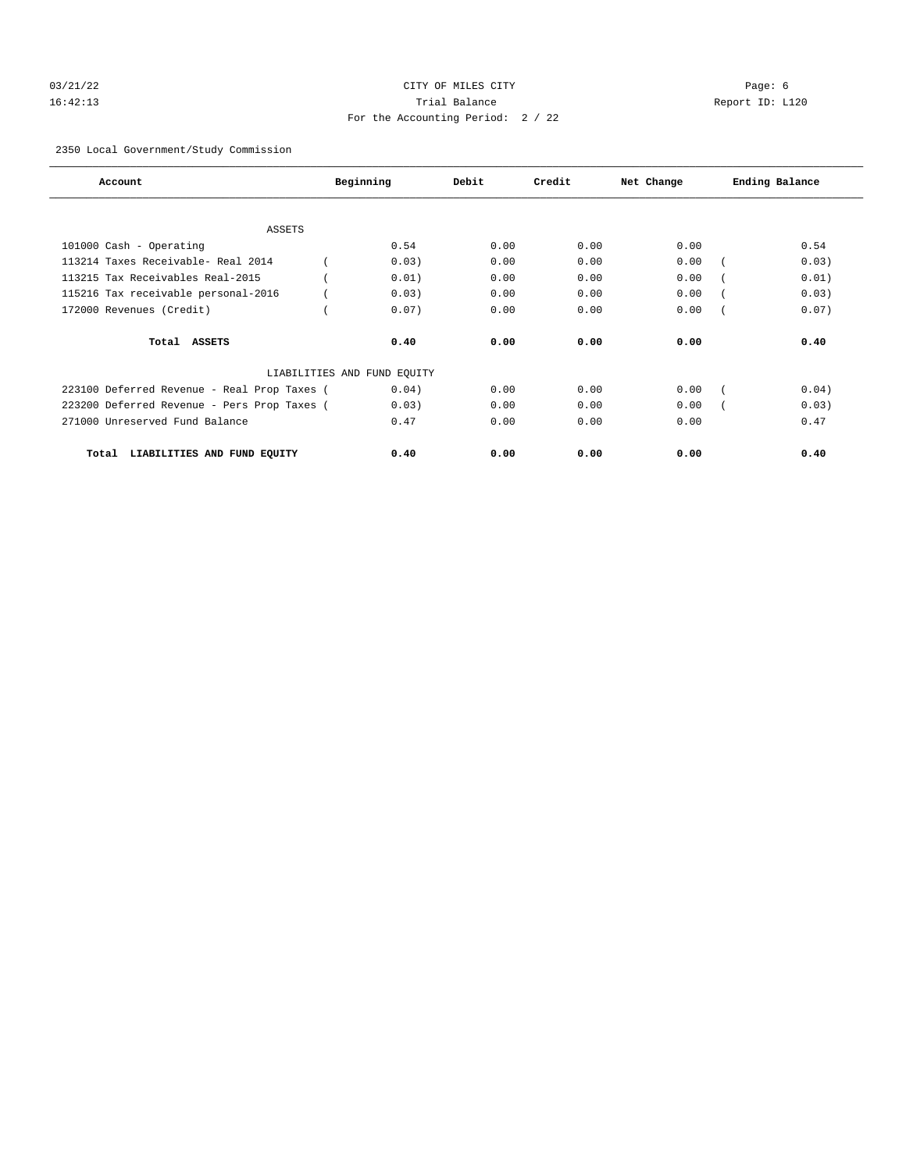# 03/21/22 Page: 6 Page: 6 Page: 6 Page: 6 Page: 6 Page: 6 Page: 6 Page: 6 Page: 6 Page: 6 Page: 6 Page: 6 Page: 6 Page: 6 Page: 6 Page: 6 Page: 6 Page: 6 Page: 6 Page: 6 Page: 6 Page: 6 Page: 6 Page: 6 Page: 6 Page: 6 Page: 16:42:13 Trial Balance Report ID: L120 For the Accounting Period: 2 / 22

2350 Local Government/Study Commission

| Account                                     |  | Beginning                   | Debit | Credit | Net Change | Ending Balance |  |
|---------------------------------------------|--|-----------------------------|-------|--------|------------|----------------|--|
|                                             |  |                             |       |        |            |                |  |
| <b>ASSETS</b>                               |  |                             |       |        |            |                |  |
| 101000 Cash - Operating                     |  | 0.54                        | 0.00  | 0.00   | 0.00       | 0.54           |  |
| 113214 Taxes Receivable- Real 2014          |  | 0.03)                       | 0.00  | 0.00   | 0.00       | 0.03)          |  |
| 113215 Tax Receivables Real-2015            |  | 0.01)                       | 0.00  | 0.00   | 0.00       | 0.01)          |  |
| 115216 Tax receivable personal-2016         |  | 0.03)                       | 0.00  | 0.00   | 0.00       | 0.03)          |  |
| 172000 Revenues (Credit)                    |  | 0.07)                       | 0.00  | 0.00   | 0.00       | 0.07)          |  |
| Total ASSETS                                |  | 0.40                        | 0.00  | 0.00   | 0.00       | 0.40           |  |
|                                             |  | LIABILITIES AND FUND EQUITY |       |        |            |                |  |
| 223100 Deferred Revenue - Real Prop Taxes ( |  | 0.04)                       | 0.00  | 0.00   | 0.00       | 0.04)          |  |
| 223200 Deferred Revenue - Pers Prop Taxes ( |  | 0.03)                       | 0.00  | 0.00   | 0.00       | 0.03)          |  |
| 271000 Unreserved Fund Balance              |  | 0.47                        | 0.00  | 0.00   | 0.00       | 0.47           |  |
| LIABILITIES AND FUND EQUITY<br>Total        |  | 0.40                        | 0.00  | 0.00   | 0.00       | 0.40           |  |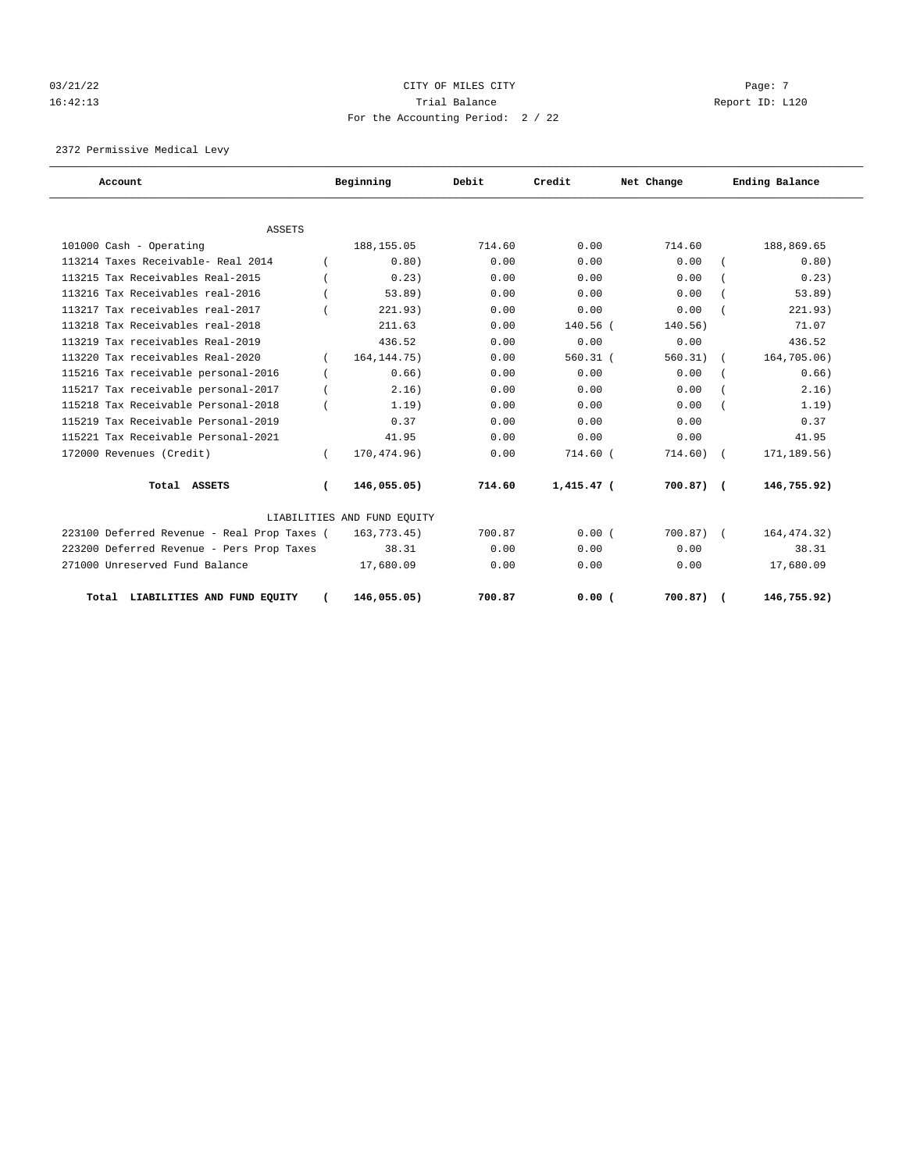# $03/21/22$  Page: 7 16:42:13 Trial Balance Report ID: L120 For the Accounting Period: 2 / 22

2372 Permissive Medical Levy

| Account                                     |          | Beginning                   | Debit<br>Credit |              | Net Change   | Ending Balance |  |
|---------------------------------------------|----------|-----------------------------|-----------------|--------------|--------------|----------------|--|
|                                             |          |                             |                 |              |              |                |  |
| <b>ASSETS</b>                               |          |                             |                 |              |              |                |  |
| 101000 Cash - Operating                     |          | 188, 155.05                 | 714.60          | 0.00         | 714.60       | 188,869.65     |  |
| 113214 Taxes Receivable- Real 2014          |          | 0.80)                       | 0.00            | 0.00         | 0.00         | 0.80)          |  |
| 113215 Tax Receivables Real-2015            |          | 0.23                        | 0.00            | 0.00         | 0.00         | 0.23)          |  |
| 113216 Tax Receivables real-2016            |          | 53.89)                      | 0.00            | 0.00         | 0.00         | 53.89)         |  |
| 113217 Tax receivables real-2017            |          | 221.93)                     | 0.00            | 0.00         | 0.00         | 221.93)        |  |
| 113218 Tax Receivables real-2018            |          | 211.63                      | 0.00            | $140.56$ (   | 140.56)      | 71.07          |  |
| 113219 Tax receivables Real-2019            |          | 436.52                      | 0.00            | 0.00         | 0.00         | 436.52         |  |
| 113220 Tax receivables Real-2020            | $\left($ | 164, 144. 75)               | 0.00            | $560.31$ (   | 560.31)      | 164,705.06)    |  |
| 115216 Tax receivable personal-2016         |          | 0.66)                       | 0.00            | 0.00         | 0.00         | 0.66)          |  |
| 115217 Tax receivable personal-2017         |          | 2.16)                       | 0.00            | 0.00         | 0.00         | 2.16)          |  |
| 115218 Tax Receivable Personal-2018         |          | 1.19)                       | 0.00            | 0.00         | 0.00         | 1.19)          |  |
| 115219 Tax Receivable Personal-2019         |          | 0.37                        | 0.00            | 0.00         | 0.00         | 0.37           |  |
| 115221 Tax Receivable Personal-2021         |          | 41.95                       | 0.00            | 0.00         | 0.00         | 41.95          |  |
| 172000 Revenues (Credit)                    |          | 170,474.96)                 | 0.00            | 714.60 (     | 714.60)      | 171,189.56)    |  |
| Total ASSETS                                | $\left($ | 146,055.05)                 | 714.60          | $1,415.47$ ( | $700.87$ ) ( | 146,755.92)    |  |
|                                             |          | LIABILITIES AND FUND EQUITY |                 |              |              |                |  |
| 223100 Deferred Revenue - Real Prop Taxes ( |          | 163,773.45)                 | 700.87          | 0.00(        | 700.87)      | 164, 474. 32)  |  |
| 223200 Deferred Revenue - Pers Prop Taxes   |          | 38.31                       | 0.00            | 0.00         | 0.00         | 38.31          |  |
| 271000 Unreserved Fund Balance              |          | 17,680.09                   | 0.00            | 0.00         | 0.00         | 17,680.09      |  |
| Total LIABILITIES AND FUND EQUITY           |          | 146,055.05)                 | 700.87          | 0.00(        | 700.87)      | 146,755.92)    |  |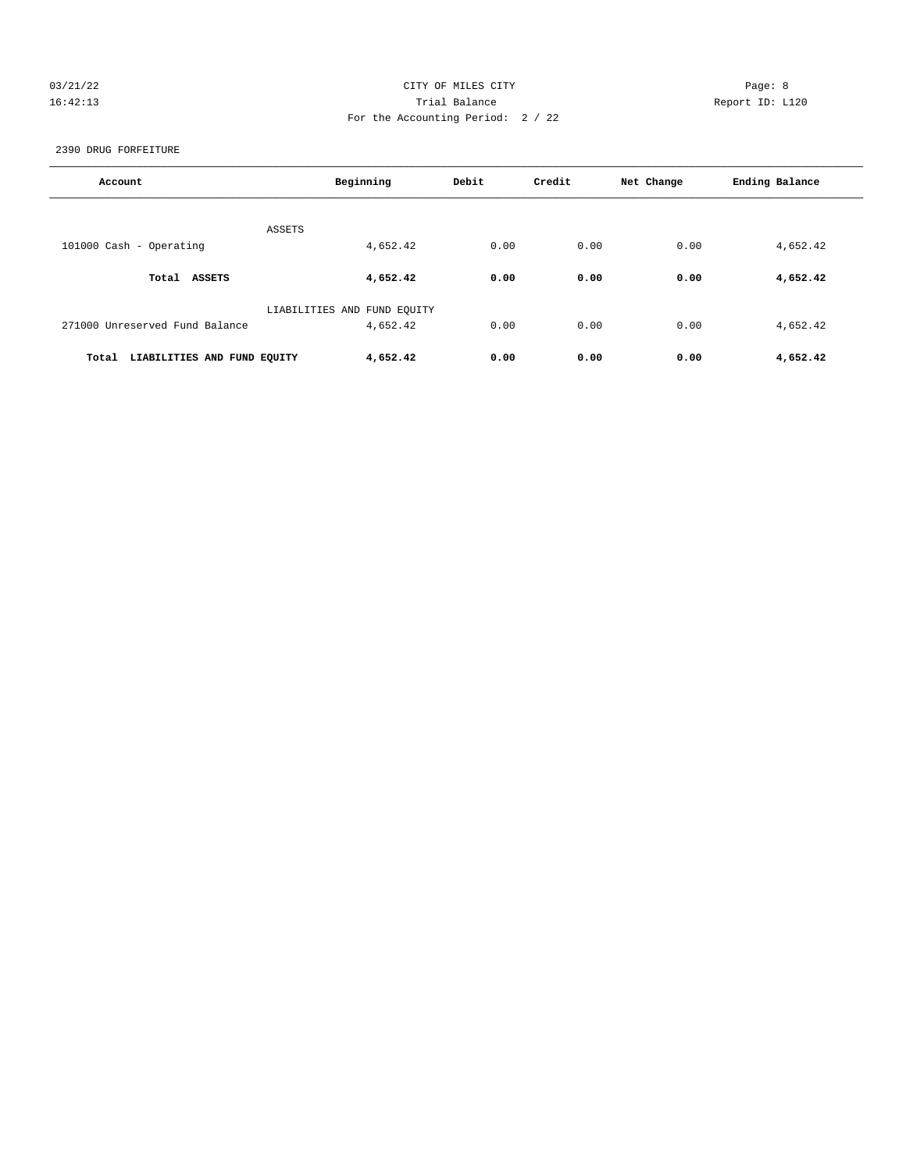# 03/21/22 Page: 8 CITY OF MILES CITY 16:42:13 Trial Balance Report ID: L120 For the Accounting Period: 2 / 22

2390 DRUG FORFEITURE

| Account                              | Beginning                   | Debit | Credit | Net Change | Ending Balance |
|--------------------------------------|-----------------------------|-------|--------|------------|----------------|
| <b>ASSETS</b>                        |                             |       |        |            |                |
| 101000 Cash - Operating              | 4,652.42                    | 0.00  | 0.00   | 0.00       | 4,652.42       |
| Total ASSETS                         | 4,652.42                    | 0.00  | 0.00   | 0.00       | 4,652.42       |
|                                      | LIABILITIES AND FUND EQUITY |       |        |            |                |
| 271000 Unreserved Fund Balance       | 4,652.42                    | 0.00  | 0.00   | 0.00       | 4,652.42       |
| Total<br>LIABILITIES AND FUND EQUITY | 4,652.42                    | 0.00  | 0.00   | 0.00       | 4,652.42       |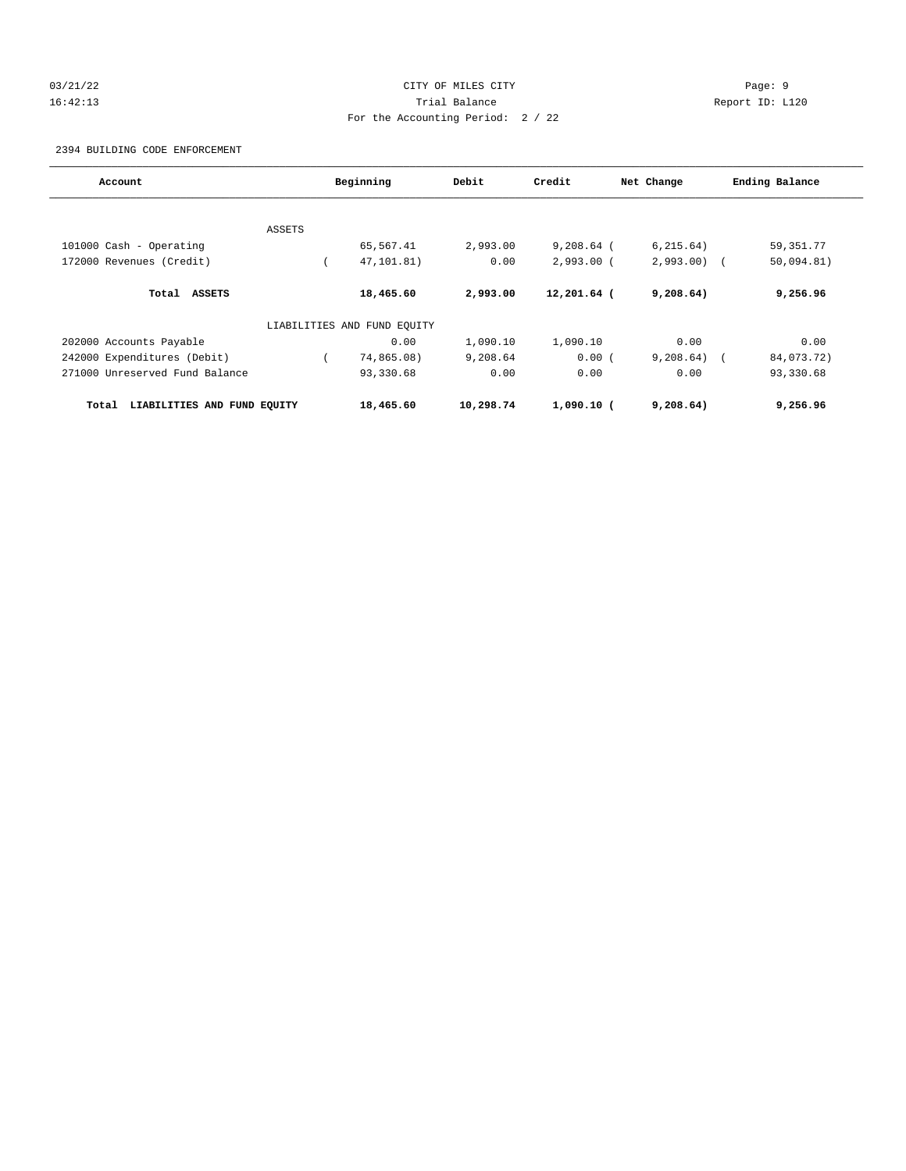# 03/21/22 Page: 9 16:42:13 Trial Balance Report ID: L120 For the Accounting Period: 2 / 22

2394 BUILDING CODE ENFORCEMENT

| Account                              | Beginning |                             | Debit     | Credit       | Net Change   | Ending Balance |  |  |
|--------------------------------------|-----------|-----------------------------|-----------|--------------|--------------|----------------|--|--|
|                                      |           |                             |           |              |              |                |  |  |
|                                      | ASSETS    |                             |           |              |              |                |  |  |
| 101000 Cash - Operating              |           | 65,567.41                   | 2,993.00  | $9,208.64$ ( | 6, 215.64)   | 59, 351. 77    |  |  |
| 172000 Revenues (Credit)             |           | 47,101.81)                  | 0.00      | $2,993.00$ ( | $2,993.00$ ( | 50,094.81)     |  |  |
| Total<br><b>ASSETS</b>               |           | 18,465.60                   | 2,993.00  | 12,201.64 (  | 9,208.64)    | 9,256.96       |  |  |
|                                      |           | LIABILITIES AND FUND EQUITY |           |              |              |                |  |  |
| 202000 Accounts Payable              |           | 0.00                        | 1,090.10  | 1,090.10     | 0.00         | 0.00           |  |  |
| 242000 Expenditures (Debit)          |           | 74,865.08)                  | 9,208.64  | 0.00(        | $9,208.64$ ( | 84,073.72)     |  |  |
| 271000 Unreserved Fund Balance       |           | 93,330.68                   | 0.00      | 0.00         | 0.00         | 93,330.68      |  |  |
| LIABILITIES AND FUND EOUITY<br>Total |           | 18,465.60                   | 10,298.74 | $1,090.10$ ( | 9,208.64)    | 9,256.96       |  |  |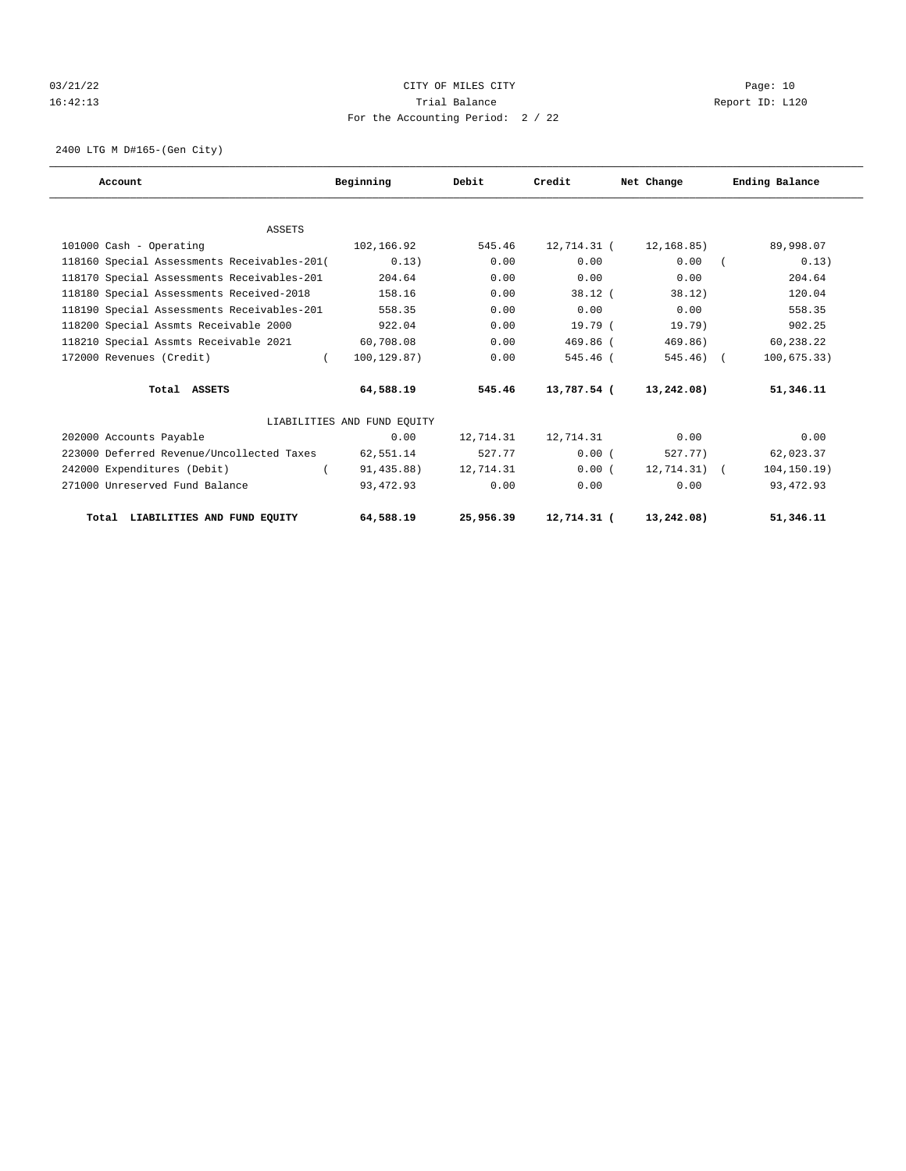# 03/21/22 Page: 10 16:42:13 Trial Balance Report ID: L120 For the Accounting Period: 2 / 22

2400 LTG M D#165-(Gen City)

| Account                                     | Beginning                   | Debit     | Credit      | Net Change     | Ending Balance  |  |
|---------------------------------------------|-----------------------------|-----------|-------------|----------------|-----------------|--|
|                                             |                             |           |             |                |                 |  |
| <b>ASSETS</b>                               |                             |           |             |                |                 |  |
| 101000 Cash - Operating                     | 102,166.92                  | 545.46    | 12,714.31 ( | 12,168.85)     | 89,998.07       |  |
| 118160 Special Assessments Receivables-201( | 0.13)                       | 0.00      | 0.00        | 0.00           | 0.13)           |  |
| 118170 Special Assessments Receivables-201  | 204.64                      | 0.00      | 0.00        | 0.00           | 204.64          |  |
| 118180 Special Assessments Received-2018    | 158.16                      | 0.00      | $38.12$ (   | 38.12          | 120.04          |  |
| 118190 Special Assessments Receivables-201  | 558.35                      | 0.00      | 0.00        | 0.00           | 558.35          |  |
| 118200 Special Assmts Receivable 2000       | 922.04                      | 0.00      | 19.79(      | 19.79)         | 902.25          |  |
| 118210 Special Assmts Receivable 2021       | 60,708.08                   | 0.00      | $469.86$ (  | 469.86)        | 60,238.22       |  |
| 172000 Revenues (Credit)                    | 100,129.87)<br>$\left($     | 0.00      | 545.46 (    | $545.46$ ) (   | 100, 675.33)    |  |
| Total ASSETS                                | 64,588.19                   | 545.46    | 13,787.54 ( | 13,242.08)     | 51,346.11       |  |
|                                             | LIABILITIES AND FUND EOUITY |           |             |                |                 |  |
| 202000 Accounts Payable                     | 0.00                        | 12,714.31 | 12,714.31   | 0.00           | 0.00            |  |
| 223000 Deferred Revenue/Uncollected Taxes   | 62,551.14                   | 527.77    | 0.00(       | 527.77)        | 62,023.37       |  |
| 242000 Expenditures (Debit)                 | 91, 435.88)                 | 12,714.31 | 0.00(       | $12, 714.31$ ( | $104, 150.19$ ) |  |
| 271000 Unreserved Fund Balance              | 93, 472.93                  | 0.00      | 0.00        | 0.00           | 93, 472.93      |  |
| Total LIABILITIES AND FUND EQUITY           | 64,588.19                   | 25,956.39 | 12,714.31 ( | 13,242.08)     | 51,346.11       |  |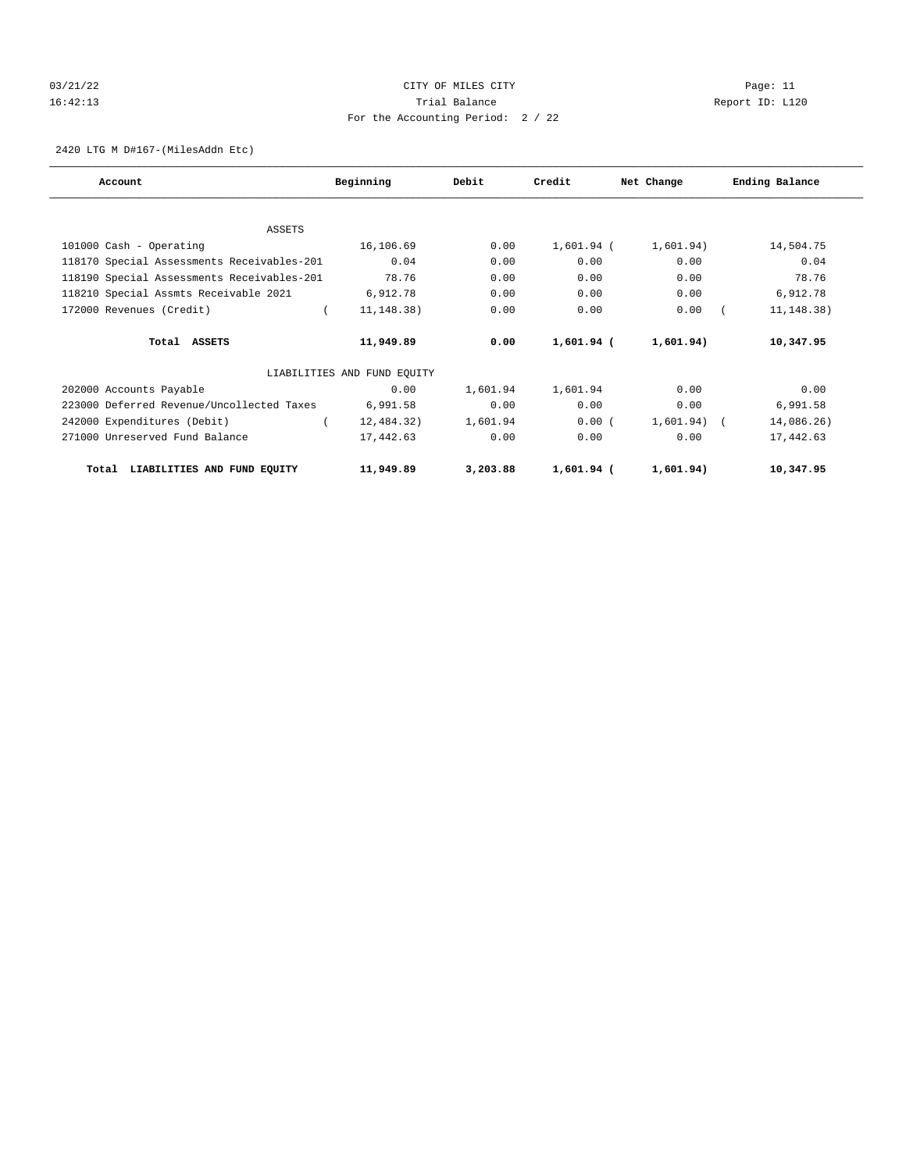# 03/21/22 Page: 11 CITY OF MILES CITY CONTROL PAGE: 11 16:42:13 Trial Balance Report ID: L120 For the Accounting Period: 2 / 22

2420 LTG M D#167-(MilesAddn Etc)

| Account                                    | Beginning                   | Debit    | Credit     | Net Change  | Ending Balance |
|--------------------------------------------|-----------------------------|----------|------------|-------------|----------------|
|                                            |                             |          |            |             |                |
| ASSETS                                     |                             |          |            |             |                |
| 101000 Cash - Operating                    | 16,106.69                   | 0.00     | 1,601.94 ( | 1,601.94)   | 14,504.75      |
| 118170 Special Assessments Receivables-201 | 0.04                        | 0.00     | 0.00       | 0.00        | 0.04           |
| 118190 Special Assessments Receivables-201 | 78.76                       | 0.00     | 0.00       | 0.00        | 78.76          |
| 118210 Special Assmts Receivable 2021      | 6,912.78                    | 0.00     | 0.00       | 0.00        | 6,912.78       |
| 172000 Revenues (Credit)                   | $\sqrt{2}$<br>11, 148. 38)  | 0.00     | 0.00       | 0.00        | 11, 148. 38)   |
| Total ASSETS                               | 11,949.89                   | 0.00     | 1,601.94 ( | 1,601.94)   | 10,347.95      |
|                                            | LIABILITIES AND FUND EQUITY |          |            |             |                |
| 202000 Accounts Payable                    | 0.00                        | 1,601.94 | 1,601.94   | 0.00        | 0.00           |
| 223000 Deferred Revenue/Uncollected Taxes  | 6,991.58                    | 0.00     | 0.00       | 0.00        | 6,991.58       |
| 242000 Expenditures (Debit)                | 12,484.32)                  | 1,601.94 | 0.00(      | 1,601.94) ( | 14,086.26)     |
| 271000 Unreserved Fund Balance             | 17,442.63                   | 0.00     | 0.00       | 0.00        | 17,442.63      |
| Total LIABILITIES AND FUND EQUITY          | 11,949.89                   | 3,203.88 | 1,601.94 ( | 1,601.94)   | 10,347.95      |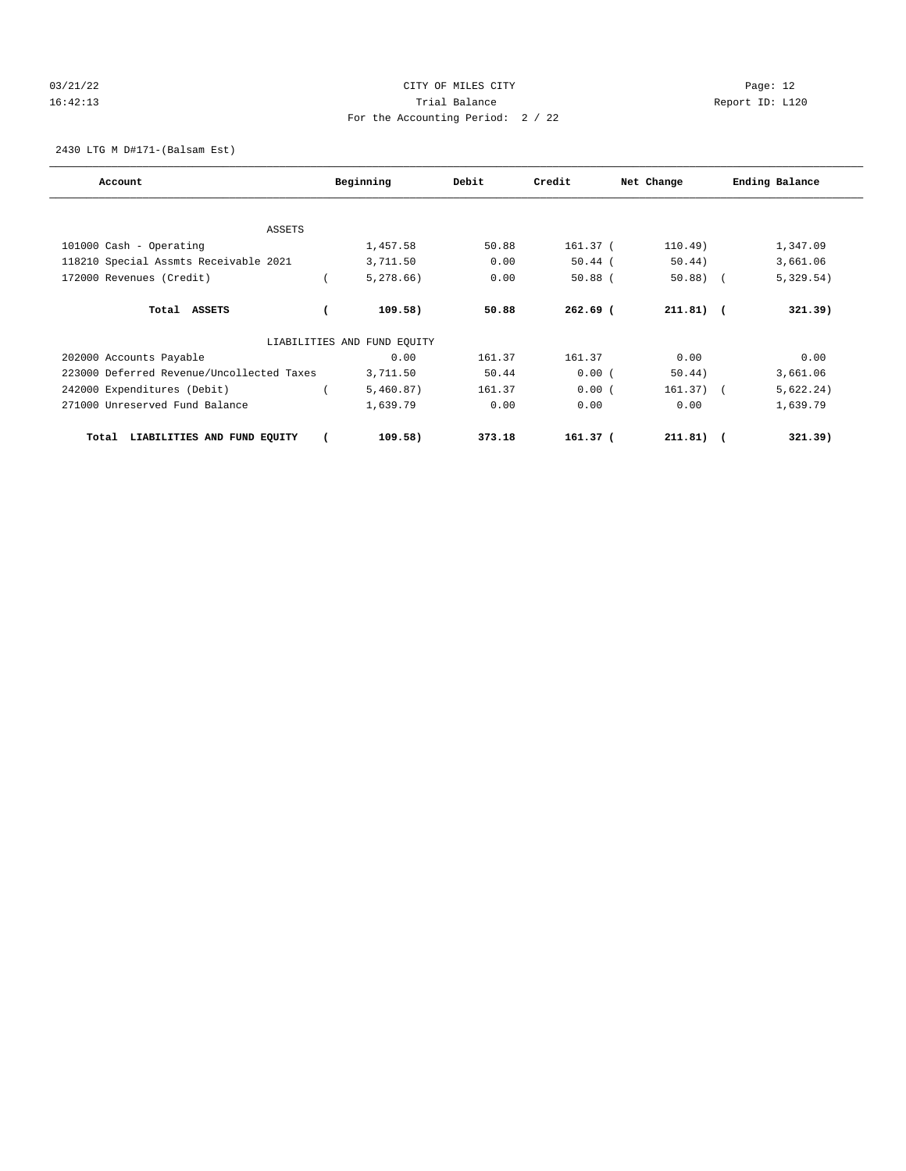# 03/21/22 Page: 12 16:42:13 Trial Balance Report ID: L120 For the Accounting Period: 2 / 22

2430 LTG M D#171-(Balsam Est)

| Account                                   | Beginning |                             | Debit  | Credit<br>Net Change |             | Ending Balance |           |
|-------------------------------------------|-----------|-----------------------------|--------|----------------------|-------------|----------------|-----------|
|                                           |           |                             |        |                      |             |                |           |
| ASSETS                                    |           |                             |        |                      |             |                |           |
| 101000 Cash - Operating                   |           | 1,457.58                    | 50.88  | 161.37 (             | 110.49)     |                | 1,347.09  |
| 118210 Special Assmts Receivable 2021     |           | 3,711.50                    | 0.00   | $50.44$ (            | 50.44)      |                | 3,661.06  |
| 172000 Revenues (Credit)                  |           | 5,278.66                    | 0.00   | $50.88$ (            | $50.88$ (   |                | 5,329.54) |
| Total ASSETS                              |           | 109.58)                     | 50.88  | $262.69$ (           | $211.81$ (  |                | 321.39)   |
|                                           |           | LIABILITIES AND FUND EQUITY |        |                      |             |                |           |
| 202000 Accounts Payable                   |           | 0.00                        | 161.37 | 161.37               | 0.00        |                | 0.00      |
| 223000 Deferred Revenue/Uncollected Taxes |           | 3,711.50                    | 50.44  | 0.00(                | 50.44)      |                | 3,661.06  |
| 242000 Expenditures (Debit)               |           | 5,460.87)                   | 161.37 | 0.00(                | $161.37)$ ( |                | 5,622.24) |
| 271000 Unreserved Fund Balance            |           | 1,639.79                    | 0.00   | 0.00                 | 0.00        |                | 1,639.79  |
| LIABILITIES AND FUND EQUITY<br>Total      |           | 109.58)                     | 373.18 | 161.37 <sub>0</sub>  | $211.81)$ ( |                | 321.39)   |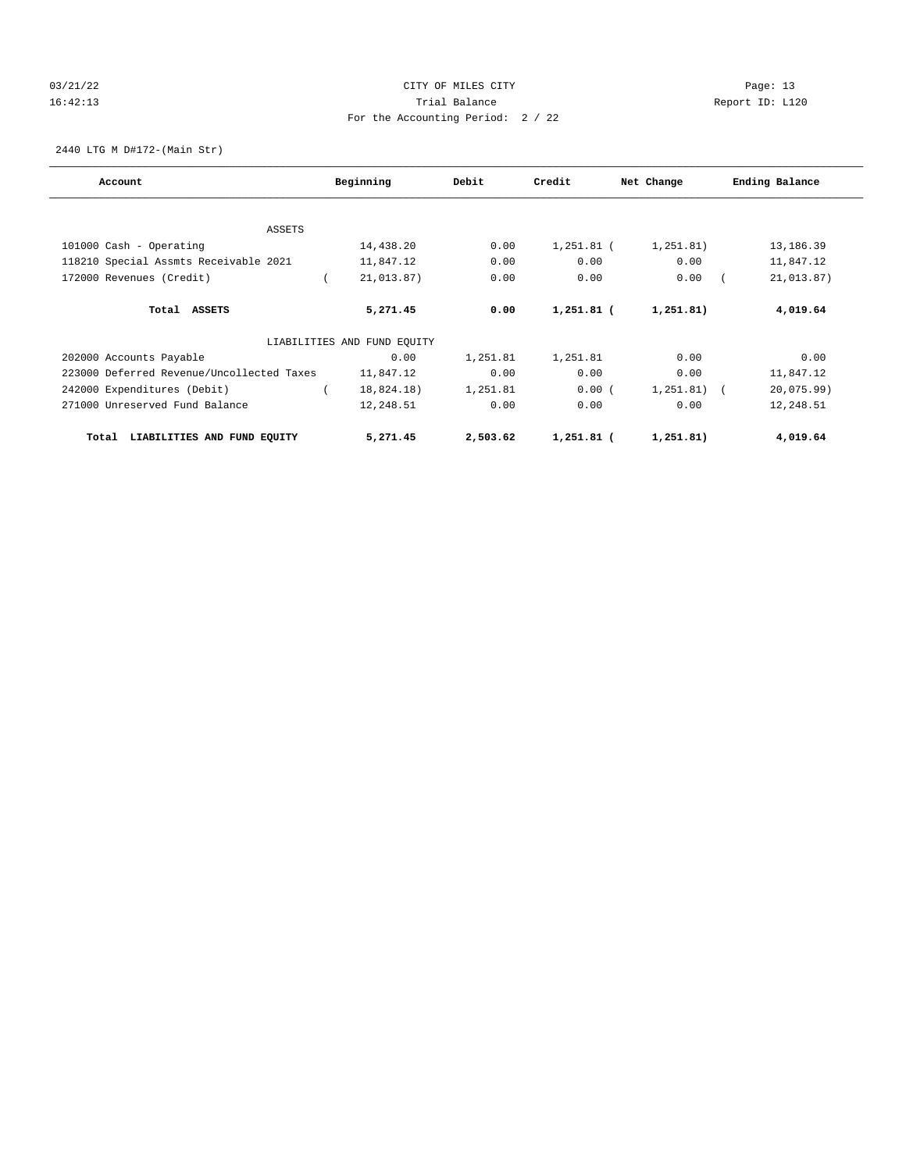# 03/21/22 Page: 13 16:42:13 Trial Balance Report ID: L120 For the Accounting Period: 2 / 22

2440 LTG M D#172-(Main Str)

| Account                                   | Beginning |                             | Debit    | Credit     | Net Change    | Ending Balance |
|-------------------------------------------|-----------|-----------------------------|----------|------------|---------------|----------------|
|                                           |           |                             |          |            |               |                |
| <b>ASSETS</b>                             |           |                             |          |            |               |                |
| 101000 Cash - Operating                   |           | 14,438.20                   | 0.00     | 1,251.81 ( | 1, 251, 81)   | 13,186.39      |
| 118210 Special Assmts Receivable 2021     |           | 11,847.12                   | 0.00     | 0.00       | 0.00          | 11,847.12      |
| 172000 Revenues (Credit)                  |           | 21,013.87)                  | 0.00     | 0.00       | 0.00          | 21,013.87)     |
| Total ASSETS                              |           | 5,271.45                    | 0.00     | 1,251.81 ( | 1,251.81)     | 4,019.64       |
|                                           |           | LIABILITIES AND FUND EQUITY |          |            |               |                |
| 202000 Accounts Payable                   |           | 0.00                        | 1,251.81 | 1,251.81   | 0.00          | 0.00           |
| 223000 Deferred Revenue/Uncollected Taxes |           | 11,847.12                   | 0.00     | 0.00       | 0.00          | 11,847.12      |
| 242000 Expenditures (Debit)               |           | 18,824.18)                  | 1,251.81 | 0.00(      | $1,251.81)$ ( | 20,075.99)     |
| 271000 Unreserved Fund Balance            |           | 12,248.51                   | 0.00     | 0.00       | 0.00          | 12,248.51      |
| LIABILITIES AND FUND EQUITY<br>Total      |           | 5,271.45                    | 2,503.62 | 1,251.81 ( | 1,251.81)     | 4,019.64       |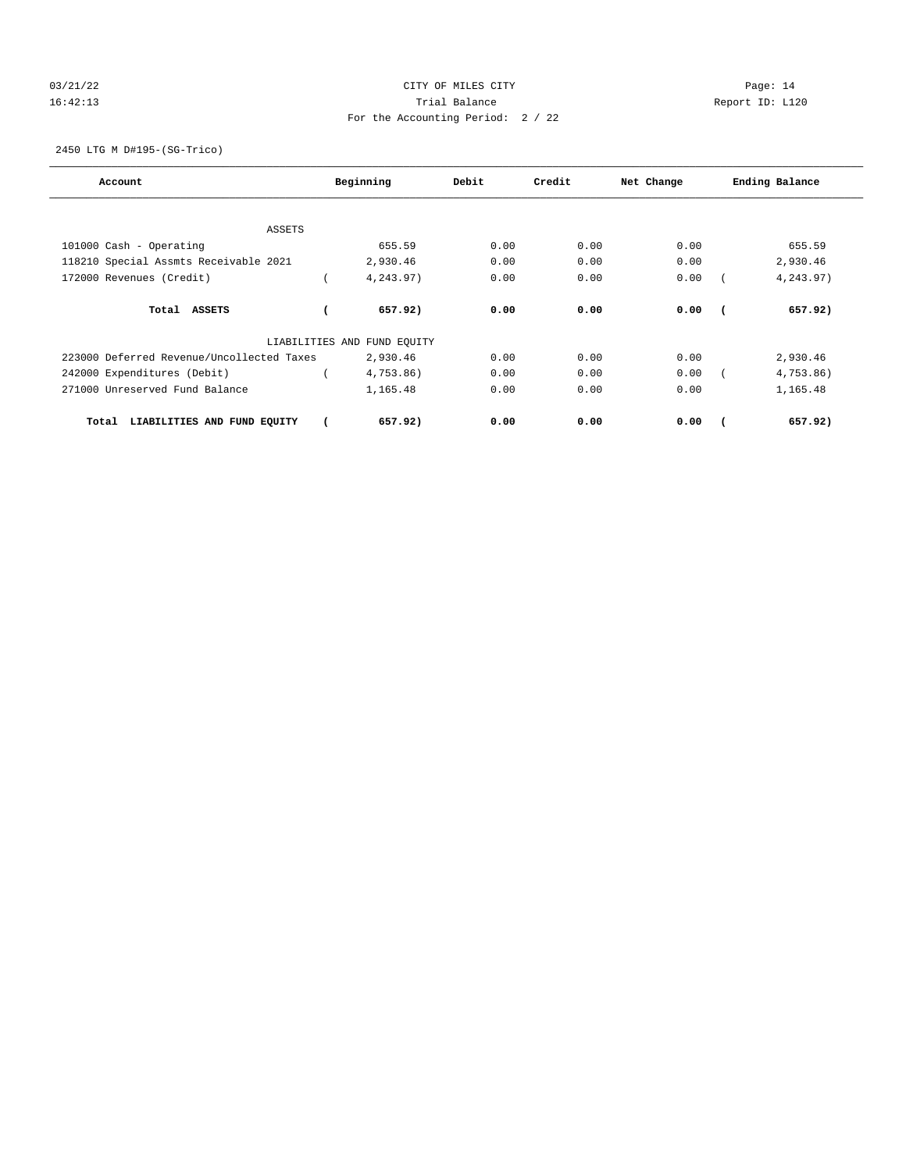# 03/21/22 Page: 14 16:42:13 Trial Balance Report ID: L120 For the Accounting Period: 2 / 22

2450 LTG M D#195-(SG-Trico)

| Account                                   | Beginning                   | Debit | Credit | Net Change | Ending Balance |
|-------------------------------------------|-----------------------------|-------|--------|------------|----------------|
|                                           |                             |       |        |            |                |
| ASSETS                                    |                             |       |        |            |                |
| 101000 Cash - Operating                   | 655.59                      | 0.00  | 0.00   | 0.00       | 655.59         |
| 118210 Special Assmts Receivable 2021     | 2,930.46                    | 0.00  | 0.00   | 0.00       | 2,930.46       |
| 172000 Revenues (Credit)                  | 4,243.97)                   | 0.00  | 0.00   | 0.00       | 4,243.97)      |
|                                           |                             |       |        |            |                |
| Total ASSETS                              | 657.92)                     | 0.00  | 0.00   | 0.00       | 657.92)        |
|                                           | LIABILITIES AND FUND EQUITY |       |        |            |                |
| 223000 Deferred Revenue/Uncollected Taxes | 2,930.46                    | 0.00  | 0.00   | 0.00       | 2,930.46       |
| 242000 Expenditures (Debit)               | 4,753.86)                   | 0.00  | 0.00   | 0.00       | 4,753.86)      |
| 271000 Unreserved Fund Balance            | 1,165.48                    | 0.00  | 0.00   | 0.00       | 1,165.48       |
|                                           |                             |       |        |            |                |
| LIABILITIES AND FUND EQUITY<br>Total      | 657.92)                     | 0.00  | 0.00   | 0.00       | 657.92)        |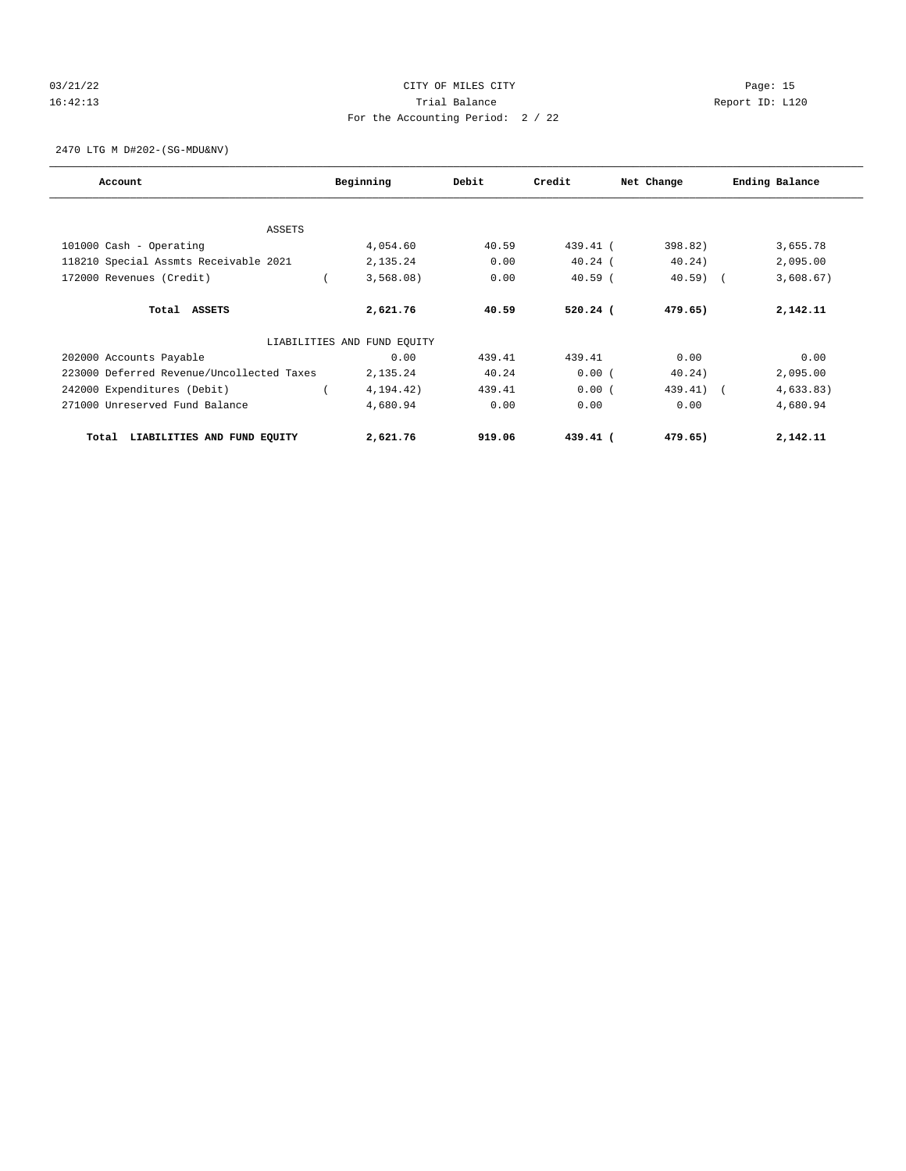# 03/21/22 Page: 15 16:42:13 Trial Balance Report ID: L120 For the Accounting Period: 2 / 22

2470 LTG M D#202-(SG-MDU&NV)

| Account                                   | Beginning                   | Debit  | Credit     | Net Change | Ending Balance |
|-------------------------------------------|-----------------------------|--------|------------|------------|----------------|
|                                           |                             |        |            |            |                |
| ASSETS                                    |                             |        |            |            |                |
| 101000 Cash - Operating                   | 4,054.60                    | 40.59  | $439.41$ ( | 398.82)    | 3,655.78       |
| 118210 Special Assmts Receivable 2021     | 2,135.24                    | 0.00   | $40.24$ (  | 40.24)     | 2,095.00       |
| 172000 Revenues (Credit)                  | 3,568.08)                   | 0.00   | $40.59$ (  | $40.59$ (  | 3,608.67)      |
| Total ASSETS                              | 2,621.76                    | 40.59  | $520.24$ ( | 479.65)    | 2,142.11       |
|                                           | LIABILITIES AND FUND EQUITY |        |            |            |                |
| 202000 Accounts Payable                   | 0.00                        | 439.41 | 439.41     | 0.00       | 0.00           |
| 223000 Deferred Revenue/Uncollected Taxes | 2,135.24                    | 40.24  | 0.00(      | 40.24)     | 2,095.00       |
| 242000 Expenditures (Debit)               | 4,194.42)                   | 439.41 | 0.00(      | 439.41) (  | 4,633.83)      |
| 271000 Unreserved Fund Balance            | 4,680.94                    | 0.00   | 0.00       | 0.00       | 4,680.94       |
| LIABILITIES AND FUND EQUITY<br>Total      | 2,621.76                    | 919.06 | $439.41$ ( | 479.65)    | 2,142.11       |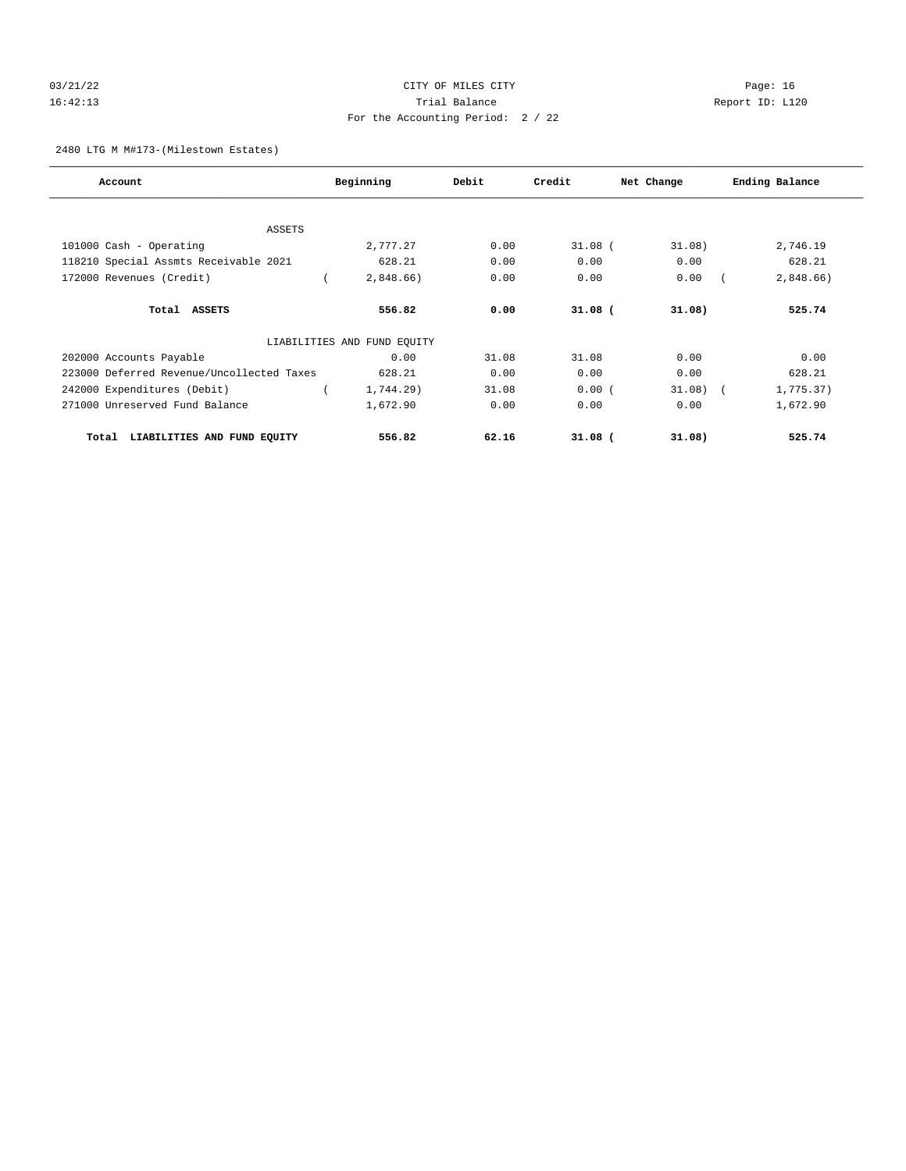# 03/21/22 Page: 16 16:42:13 Trial Balance Report ID: L120 For the Accounting Period: 2 / 22

#### 2480 LTG M M#173-(Milestown Estates)

| Account                                   | Beginning                   | Debit | Credit    | Net Change | Ending Balance |
|-------------------------------------------|-----------------------------|-------|-----------|------------|----------------|
|                                           |                             |       |           |            |                |
| <b>ASSETS</b>                             |                             |       |           |            |                |
| 101000 Cash - Operating                   | 2,777.27                    | 0.00  | $31.08$ ( | 31.08)     | 2,746.19       |
| 118210 Special Assmts Receivable 2021     | 628.21                      | 0.00  | 0.00      | 0.00       | 628.21         |
| 172000 Revenues (Credit)                  | 2,848.66)                   | 0.00  | 0.00      | 0.00       | 2,848.66)      |
| Total ASSETS                              | 556.82                      | 0.00  | $31.08$ ( | 31.08)     | 525.74         |
|                                           | LIABILITIES AND FUND EQUITY |       |           |            |                |
| 202000 Accounts Payable                   | 0.00                        | 31.08 | 31.08     | 0.00       | 0.00           |
| 223000 Deferred Revenue/Uncollected Taxes | 628.21                      | 0.00  | 0.00      | 0.00       | 628.21         |
| 242000 Expenditures (Debit)               | 1,744.29)                   | 31.08 | 0.00(     | $31.08$ (  | 1,775.37)      |
| 271000 Unreserved Fund Balance            | 1,672.90                    | 0.00  | 0.00      | 0.00       | 1,672.90       |
| LIABILITIES AND FUND EQUITY<br>Total      | 556.82                      | 62.16 | $31.08$ ( | 31.08)     | 525.74         |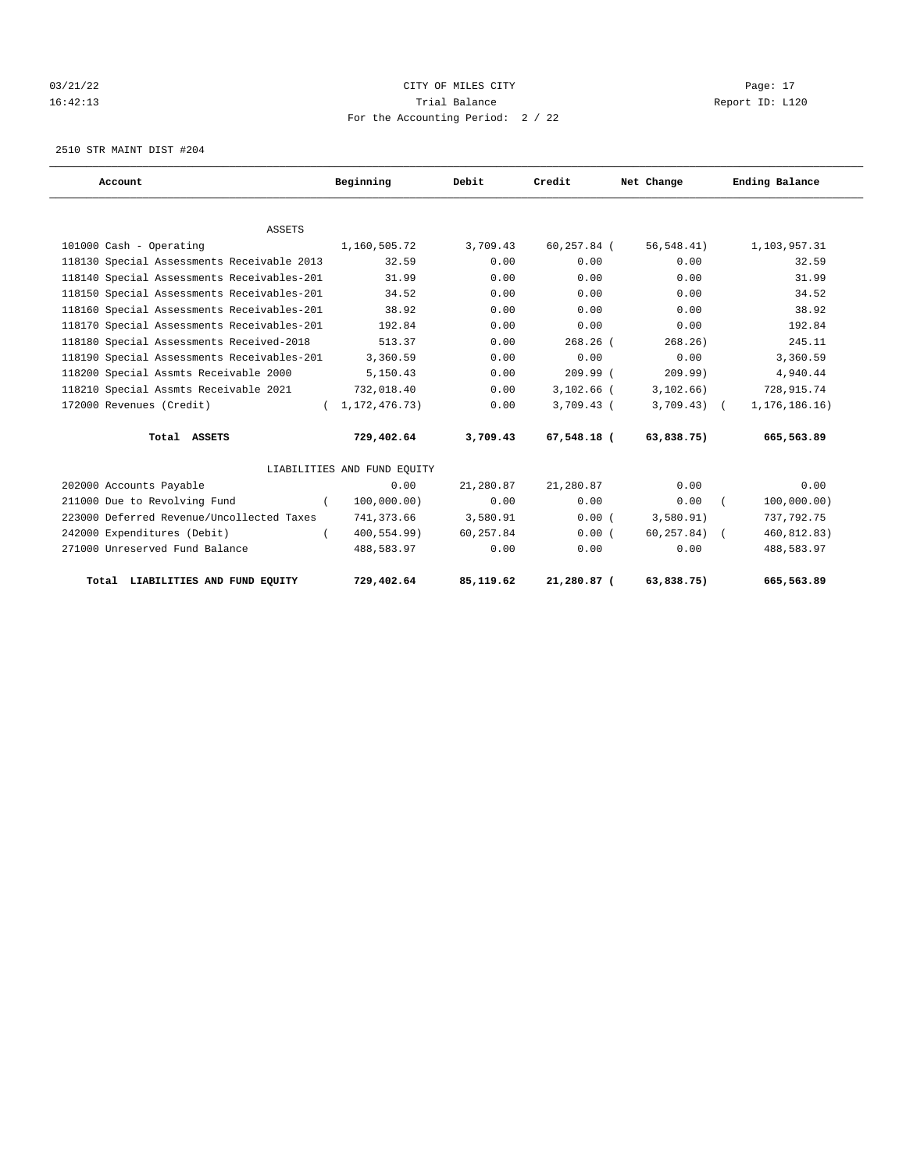# 03/21/22 Page: 17 CITY OF MILES CITY CONTROL PAGE: 17 16:42:13 Trial Balance Report ID: L120 For the Accounting Period: 2 / 22

2510 STR MAINT DIST #204

| Account                                    | Beginning                   | Debit     | Credit       | Net Change   | Ending Balance  |
|--------------------------------------------|-----------------------------|-----------|--------------|--------------|-----------------|
|                                            |                             |           |              |              |                 |
| <b>ASSETS</b>                              |                             |           |              |              |                 |
| 101000 Cash - Operating                    | 1,160,505.72                | 3,709.43  | 60,257.84 (  | 56, 548.41)  | 1,103,957.31    |
| 118130 Special Assessments Receivable 2013 | 32.59                       | 0.00      | 0.00         | 0.00         | 32.59           |
| 118140 Special Assessments Receivables-201 | 31.99                       | 0.00      | 0.00         | 0.00         | 31.99           |
| 118150 Special Assessments Receivables-201 | 34.52                       | 0.00      | 0.00         | 0.00         | 34.52           |
| 118160 Special Assessments Receivables-201 | 38.92                       | 0.00      | 0.00         | 0.00         | 38.92           |
| 118170 Special Assessments Receivables-201 | 192.84                      | 0.00      | 0.00         | 0.00         | 192.84          |
| 118180 Special Assessments Received-2018   | 513.37                      | 0.00      | $268.26$ (   | 268.26)      | 245.11          |
| 118190 Special Assessments Receivables-201 | 3,360.59                    | 0.00      | 0.00         | 0.00         | 3,360.59        |
| 118200 Special Assmts Receivable 2000      | 5,150.43                    | 0.00      | $209.99$ (   | 209.99)      | 4,940.44        |
| 118210 Special Assmts Receivable 2021      | 732,018.40                  | 0.00      | $3,102.66$ ( | 3,102.66)    | 728, 915.74     |
| 172000 Revenues (Credit)                   | (1, 172, 476, 73)           | 0.00      | $3,709.43$ ( | $3,709.43$ ( | 1, 176, 186.16) |
| Total ASSETS                               | 729,402.64                  | 3,709.43  | 67,548.18 (  | 63,838.75)   | 665,563.89      |
|                                            | LIABILITIES AND FUND EQUITY |           |              |              |                 |
| 202000 Accounts Payable                    | 0.00                        | 21,280.87 | 21,280.87    | 0.00         | 0.00            |
| 211000 Due to Revolving Fund               | 100,000.00)<br>$\left($     | 0.00      | 0.00         | 0.00         | 100,000.00)     |
| 223000 Deferred Revenue/Uncollected Taxes  | 741,373.66                  | 3,580.91  | 0.00(        | 3,580.91)    | 737,792.75      |
| 242000 Expenditures (Debit)                | $400, 554.99$ )             | 60,257.84 | 0.00(        | 60, 257.84)  | 460,812.83)     |
| 271000 Unreserved Fund Balance             | 488,583.97                  | 0.00      | 0.00         | 0.00         | 488,583.97      |
| Total LIABILITIES AND FUND EQUITY          | 729,402.64                  | 85,119.62 | 21,280.87 (  | 63,838.75)   | 665,563.89      |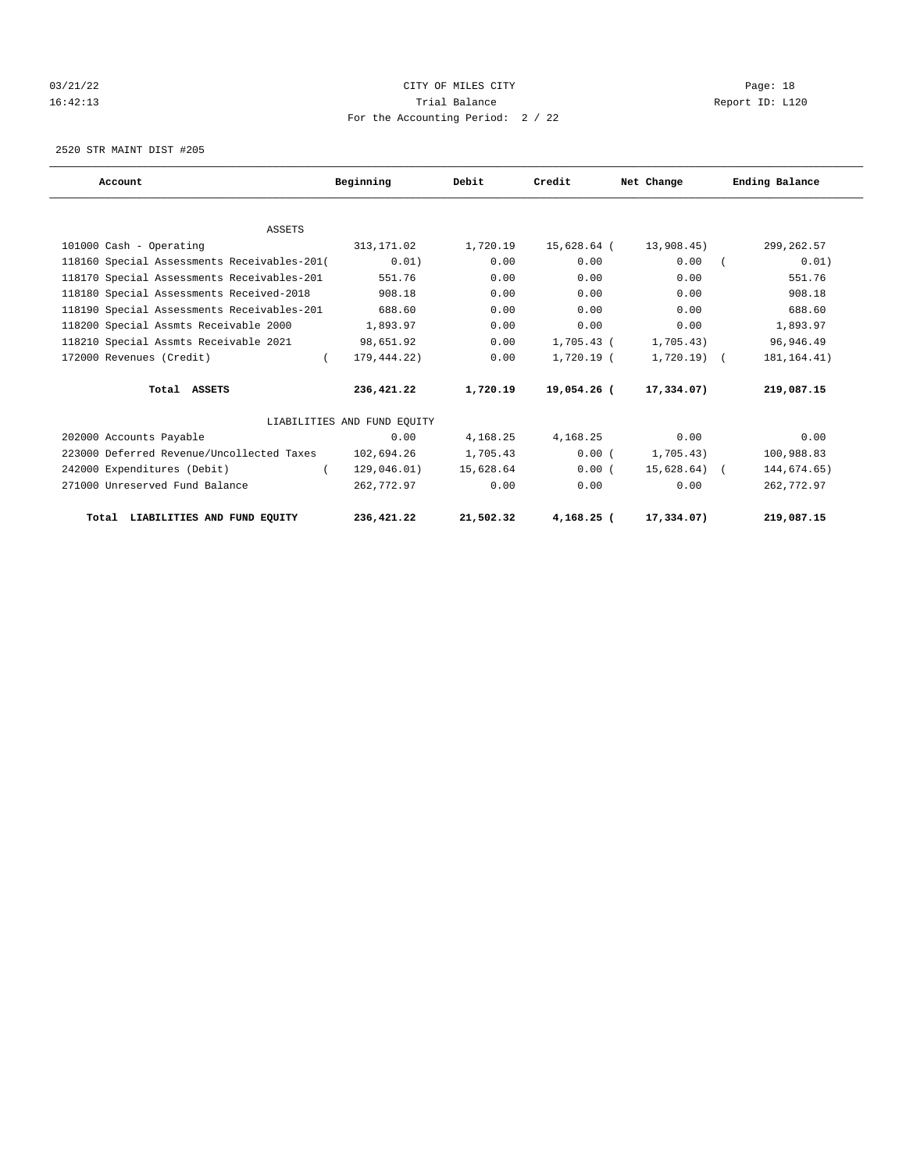# 03/21/22 Page: 18 16:42:13 Trial Balance Report ID: L120 For the Accounting Period: 2 / 22

2520 STR MAINT DIST #205

| Account                                     | Beginning                   | Debit     | Credit       | Net Change    | Ending Balance |
|---------------------------------------------|-----------------------------|-----------|--------------|---------------|----------------|
|                                             |                             |           |              |               |                |
| <b>ASSETS</b>                               |                             |           |              |               |                |
| 101000 Cash - Operating                     | 313,171.02                  | 1,720.19  | 15,628.64 (  | 13,908.45)    | 299, 262.57    |
| 118160 Special Assessments Receivables-201( | 0.01)                       | 0.00      | 0.00         | 0.00          | 0.01)          |
| 118170 Special Assessments Receivables-201  | 551.76                      | 0.00      | 0.00         | 0.00          | 551.76         |
| 118180 Special Assessments Received-2018    | 908.18                      | 0.00      | 0.00         | 0.00          | 908.18         |
| 118190 Special Assessments Receivables-201  | 688.60                      | 0.00      | 0.00         | 0.00          | 688.60         |
| 118200 Special Assmts Receivable 2000       | 1,893.97                    | 0.00      | 0.00         | 0.00          | 1,893.97       |
| 118210 Special Assmts Receivable 2021       | 98,651.92                   | 0.00      | 1,705.43 (   | 1,705.43)     | 96,946.49      |
| 172000 Revenues (Credit)<br>$\left($        | 179,444.22)                 | 0.00      | 1,720.19 (   | $1,720.19$ (  | 181, 164. 41)  |
| Total ASSETS                                | 236,421.22                  | 1,720.19  | 19,054.26 (  | 17,334.07)    | 219,087.15     |
|                                             | LIABILITIES AND FUND EQUITY |           |              |               |                |
| 202000 Accounts Payable                     | 0.00                        | 4,168.25  | 4,168.25     | 0.00          | 0.00           |
| 223000 Deferred Revenue/Uncollected Taxes   | 102,694.26                  | 1,705.43  | 0.00(        | 1,705.43)     | 100,988.83     |
| 242000 Expenditures (Debit)<br>$\left($     | 129,046.01)                 | 15,628.64 | 0.00(        | $15,628.64$ ( | 144,674.65)    |
| 271000 Unreserved Fund Balance              | 262,772.97                  | 0.00      | 0.00         | 0.00          | 262,772.97     |
| Total LIABILITIES AND FUND EQUITY           | 236,421.22                  | 21,502.32 | $4,168,25$ ( | 17,334.07)    | 219,087.15     |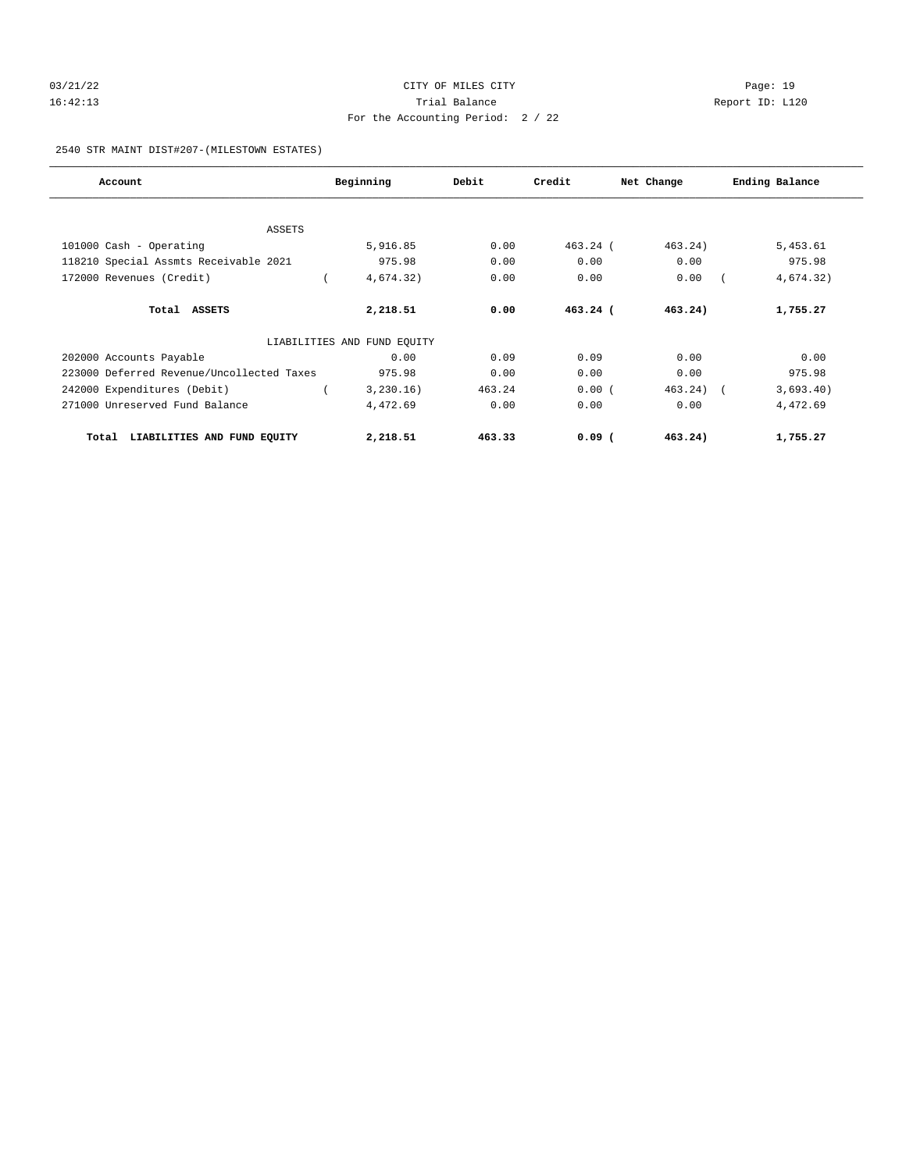# 03/21/22 Page: 19 16:42:13 Trial Balance Report ID: L120 For the Accounting Period: 2 / 22

#### 2540 STR MAINT DIST#207-(MILESTOWN ESTATES)

| Account                                   | Beginning                   | Debit  | Credit     | Net Change   | Ending Balance |
|-------------------------------------------|-----------------------------|--------|------------|--------------|----------------|
|                                           |                             |        |            |              |                |
| <b>ASSETS</b>                             |                             |        |            |              |                |
| 101000 Cash - Operating                   | 5,916.85                    | 0.00   | $463.24$ ( | 463.24)      | 5,453.61       |
| 118210 Special Assmts Receivable 2021     | 975.98                      | 0.00   | 0.00       | 0.00         | 975.98         |
| 172000 Revenues (Credit)                  | 4,674.32)                   | 0.00   | 0.00       | 0.00         | 4,674.32)      |
| Total ASSETS                              | 2,218.51                    | 0.00   | $463.24$ ( | 463.24)      | 1,755.27       |
|                                           | LIABILITIES AND FUND EQUITY |        |            |              |                |
| 202000 Accounts Payable                   | 0.00                        | 0.09   | 0.09       | 0.00         | 0.00           |
| 223000 Deferred Revenue/Uncollected Taxes | 975.98                      | 0.00   | 0.00       | 0.00         | 975.98         |
| 242000 Expenditures (Debit)               | 3,230.16)                   | 463.24 | 0.00(      | $463.24$ ) ( | 3,693.40)      |
| 271000 Unreserved Fund Balance            | 4,472.69                    | 0.00   | 0.00       | 0.00         | 4,472.69       |
| LIABILITIES AND FUND EQUITY<br>Total      | 2,218.51                    | 463.33 | $0.09$ $($ | 463.24)      | 1,755.27       |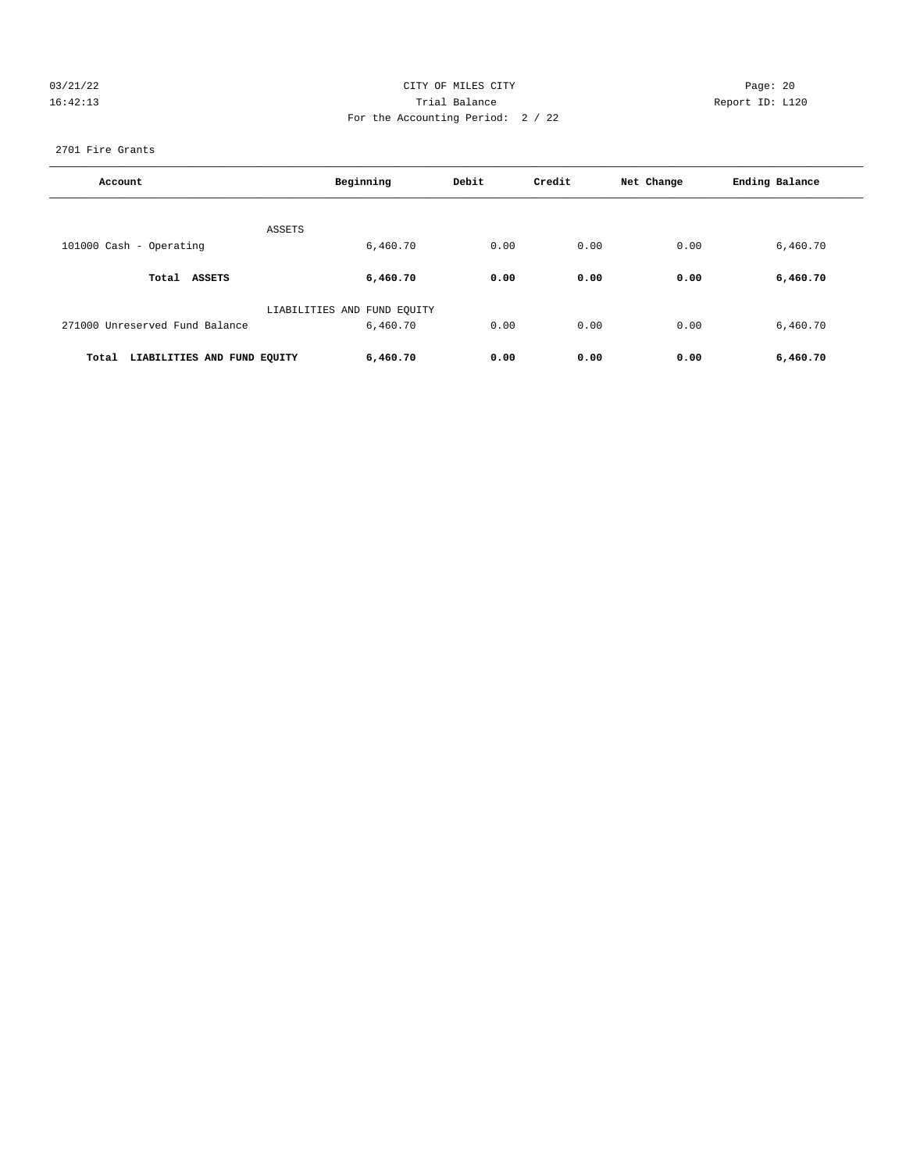# 03/21/22 Page: 20 16:42:13 Trial Balance Report ID: L120 For the Accounting Period: 2 / 22

#### 2701 Fire Grants

| Account                              | Beginning                               | Debit | Credit | Net Change | Ending Balance |
|--------------------------------------|-----------------------------------------|-------|--------|------------|----------------|
|                                      | ASSETS                                  |       |        |            |                |
| 101000 Cash - Operating              | 6,460.70                                | 0.00  | 0.00   | 0.00       | 6,460.70       |
| Total<br>ASSETS                      | 6,460.70                                | 0.00  | 0.00   | 0.00       | 6,460.70       |
| 271000 Unreserved Fund Balance       | LIABILITIES AND FUND EQUITY<br>6,460.70 | 0.00  | 0.00   | 0.00       | 6,460.70       |
| LIABILITIES AND FUND EQUITY<br>Total | 6,460.70                                | 0.00  | 0.00   | 0.00       | 6,460.70       |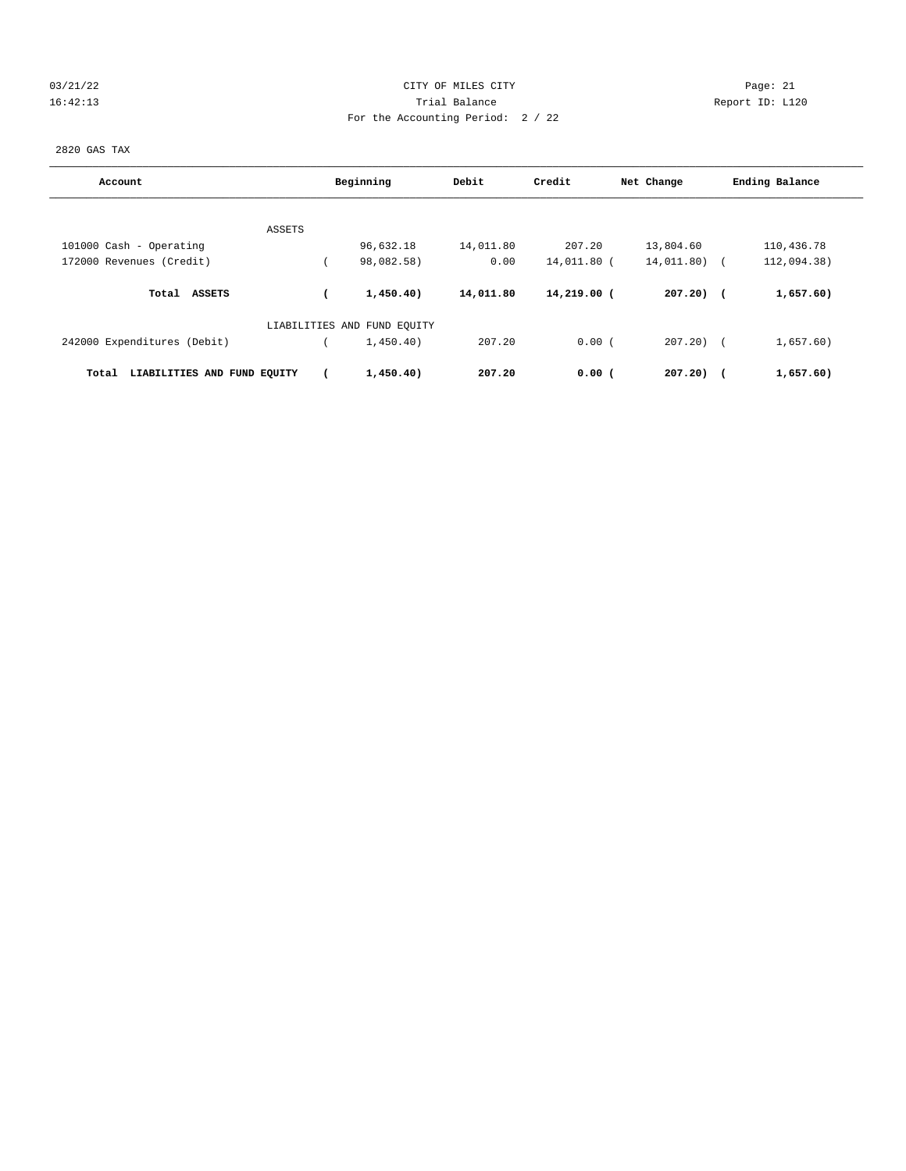# 03/21/22 Page: 21 CITY OF MILES CITY CONTROL Page: 21 16:42:13 Trial Balance Report ID: L120 For the Accounting Period: 2 / 22

2820 GAS TAX

| Account                              |        | Beginning                   | Debit     | Credit      | Net Change   | Ending Balance            |
|--------------------------------------|--------|-----------------------------|-----------|-------------|--------------|---------------------------|
|                                      |        |                             |           |             |              |                           |
|                                      | ASSETS | 96,632.18                   | 14,011.80 | 207.20      | 13,804.60    | 110,436.78                |
| 101000 Cash - Operating              |        |                             |           |             |              |                           |
| 172000 Revenues (Credit)             |        | 98,082.58)                  | 0.00      | 14,011.80 ( | 14,011.80)   | 112,094.38)<br>$\sqrt{1}$ |
| Total ASSETS                         |        | 1,450.40)                   | 14,011.80 | 14,219.00 ( | $207.20$ ) ( | 1,657.60)                 |
|                                      |        | LIABILITIES AND FUND EQUITY |           |             |              |                           |
| 242000 Expenditures (Debit)          |        | 1,450,40)                   | 207.20    | 0.00(       | $207.20$ $($ | 1,657.60)                 |
| LIABILITIES AND FUND EQUITY<br>Total |        | 1,450.40)                   | 207.20    | $0.00$ (    | 207.20)      | 1,657.60)<br>$\sqrt{2}$   |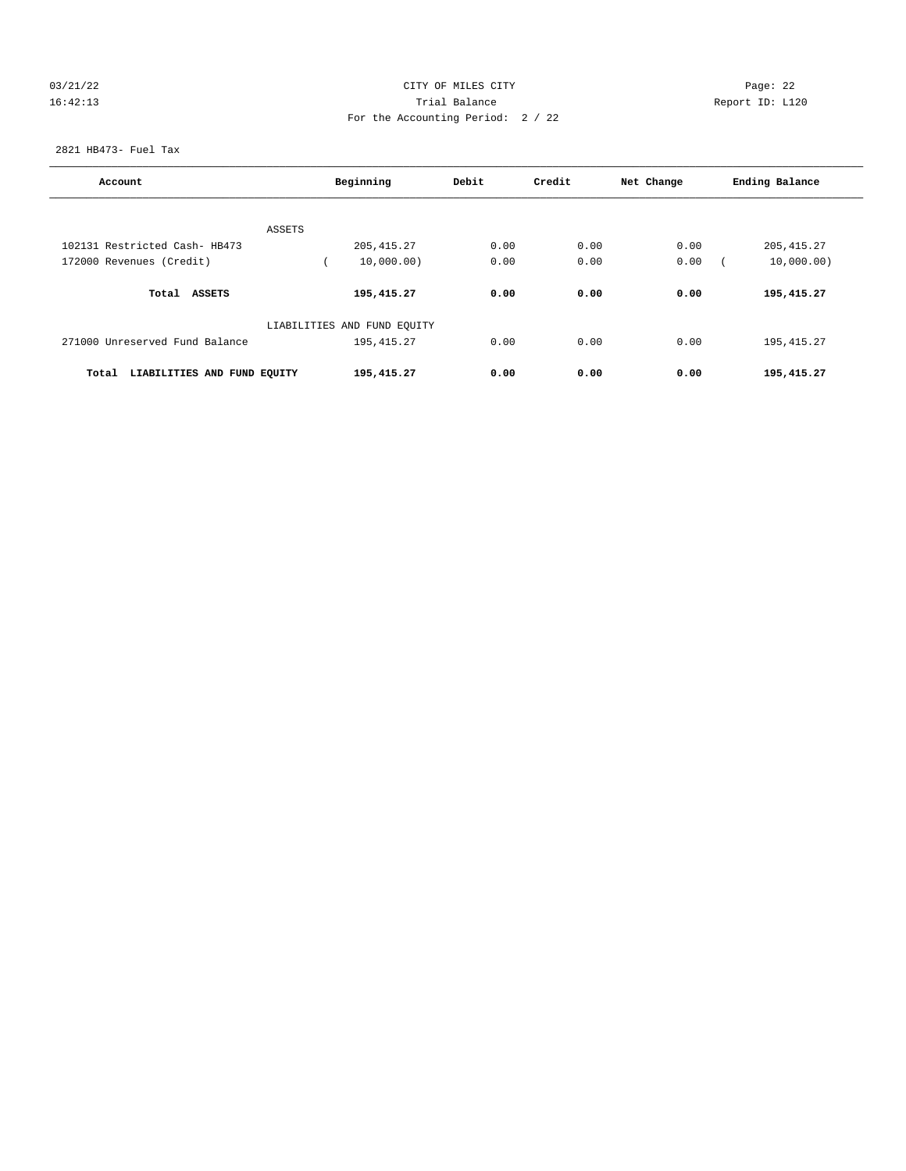# 03/21/22 Page: 22 16:42:13 Trial Balance Report ID: L120 For the Accounting Period: 2 / 22

2821 HB473- Fuel Tax

| Account                              | Beginning                   | Debit | Credit | Net Change | Ending Balance |
|--------------------------------------|-----------------------------|-------|--------|------------|----------------|
|                                      |                             |       |        |            |                |
| 102131 Restricted Cash- HB473        | ASSETS<br>205, 415.27       | 0.00  | 0.00   | 0.00       | 205, 415.27    |
| 172000 Revenues (Credit)             | 10,000.00)                  | 0.00  | 0.00   | 0.00       | 10,000.00)     |
|                                      |                             |       |        |            |                |
| Total ASSETS                         | 195,415.27                  | 0.00  | 0.00   | 0.00       | 195,415.27     |
|                                      | LIABILITIES AND FUND EQUITY |       |        |            |                |
| 271000 Unreserved Fund Balance       | 195, 415.27                 | 0.00  | 0.00   | 0.00       | 195, 415.27    |
| LIABILITIES AND FUND EQUITY<br>Total | 195,415.27                  | 0.00  | 0.00   | 0.00       | 195,415.27     |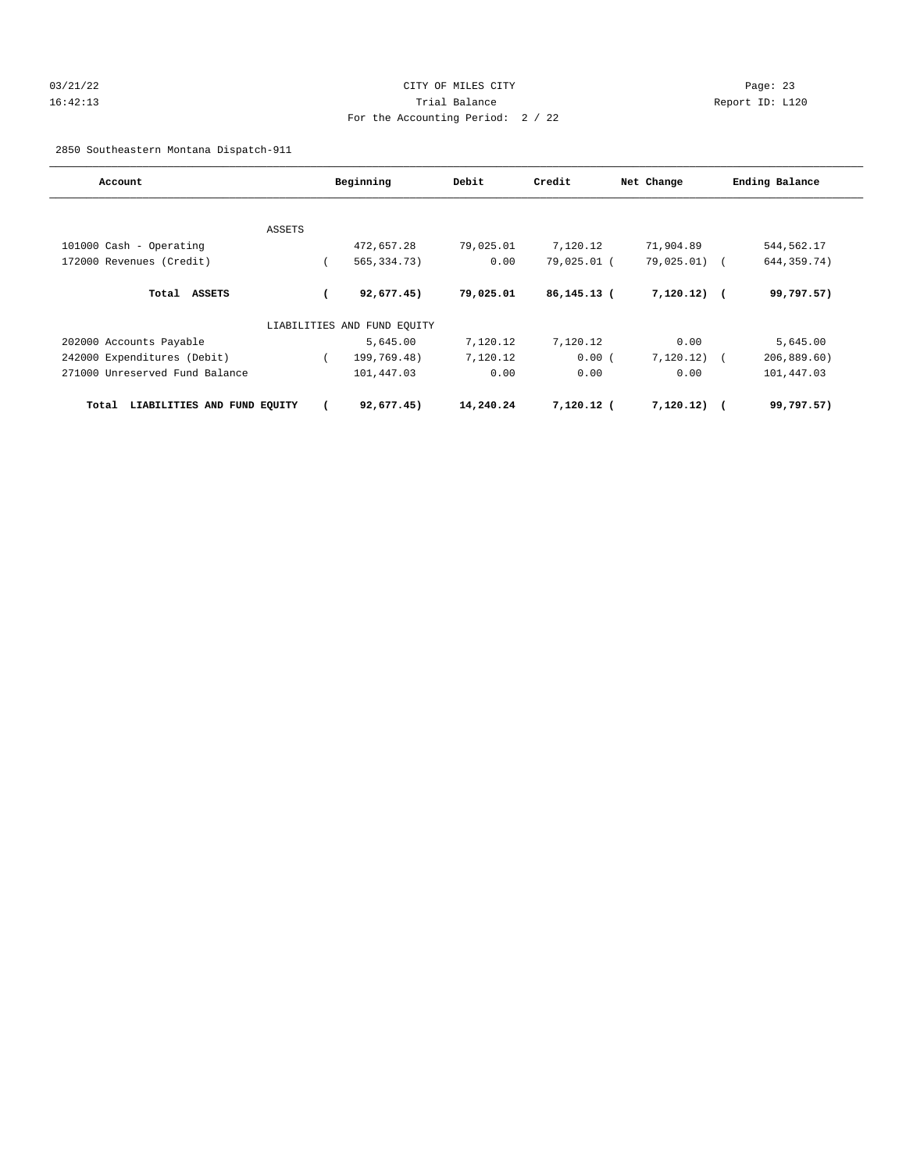# 03/21/22 Page: 23 16:42:13 Trial Balance Report ID: L120 For the Accounting Period: 2 / 22

2850 Southeastern Montana Dispatch-911

| Account                              |        | Beginning                   | Debit     | Credit         | Net Change     | Ending Balance |
|--------------------------------------|--------|-----------------------------|-----------|----------------|----------------|----------------|
|                                      |        |                             |           |                |                |                |
|                                      | ASSETS |                             |           |                |                |                |
| 101000 Cash - Operating              |        | 472,657.28                  | 79,025.01 | 7,120.12       | 71,904.89      | 544,562.17     |
| 172000 Revenues (Credit)             |        | 565, 334. 73)               | 0.00      | 79,025.01 (    | $79,025.01)$ ( | 644, 359. 74)  |
| Total ASSETS                         |        | 92,677.45)                  | 79,025.01 | $86, 145.13$ ( | $7,120.12)$ (  | 99,797.57)     |
|                                      |        | LIABILITIES AND FUND EQUITY |           |                |                |                |
| 202000 Accounts Payable              |        | 5,645.00                    | 7,120.12  | 7,120.12       | 0.00           | 5,645.00       |
| 242000 Expenditures (Debit)          |        | 199,769.48)                 | 7,120.12  | 0.00(          | 7,120.12)      | 206,889.60     |
| 271000 Unreserved Fund Balance       |        | 101,447.03                  | 0.00      | 0.00           | 0.00           | 101,447.03     |
| LIABILITIES AND FUND EQUITY<br>Total |        | 92,677.45)                  | 14,240.24 | 7,120.12 (     | 7,120.12)      | 99,797.57)     |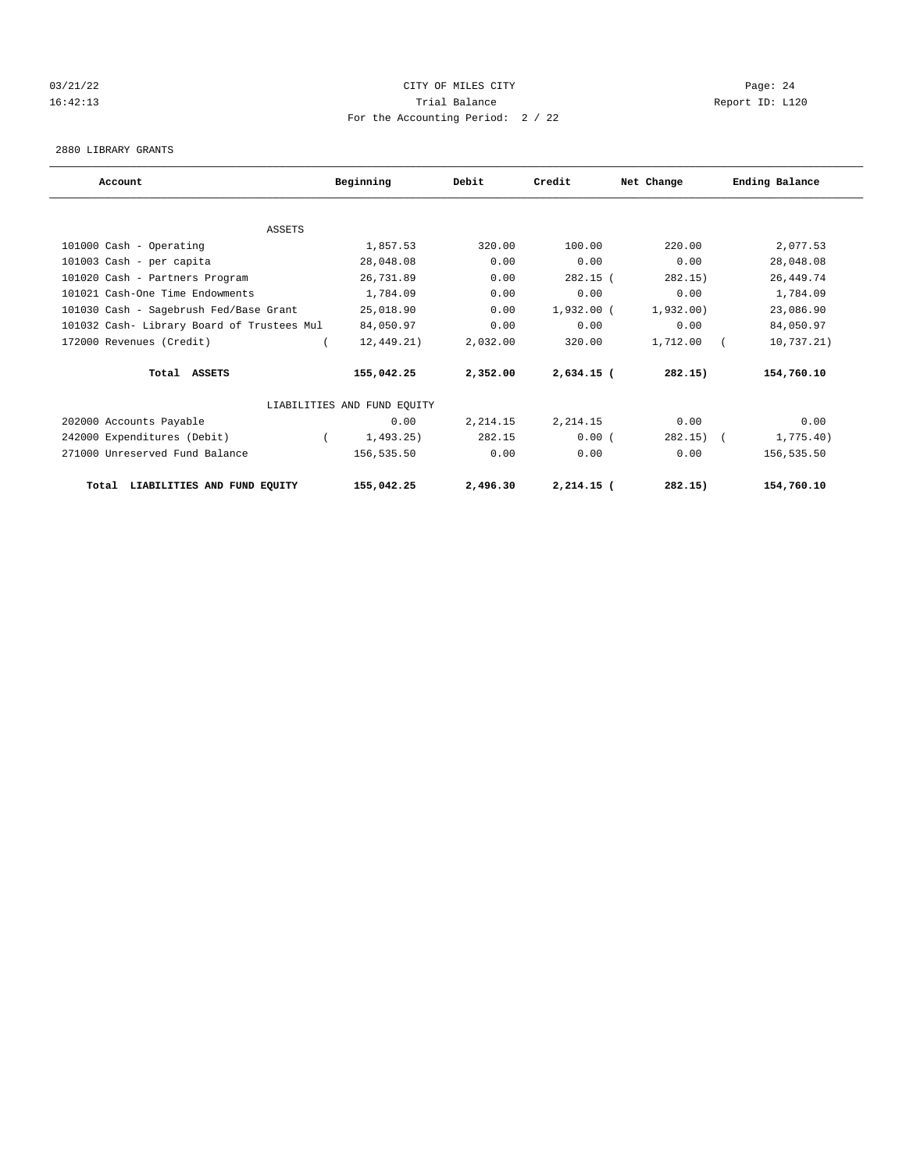# 03/21/22 Page: 24 16:42:13 Trial Balance Report ID: L120 For the Accounting Period: 2 / 22

#### 2880 LIBRARY GRANTS

| Account                                    | Beginning                   | Debit    | Credit       | Net Change | Ending Balance |
|--------------------------------------------|-----------------------------|----------|--------------|------------|----------------|
|                                            |                             |          |              |            |                |
| <b>ASSETS</b>                              |                             |          |              |            |                |
| 101000 Cash - Operating                    | 1,857.53                    | 320.00   | 100.00       | 220.00     | 2,077.53       |
| 101003 Cash - per capita                   | 28,048.08                   | 0.00     | 0.00         | 0.00       | 28,048.08      |
| 101020 Cash - Partners Program             | 26,731.89                   | 0.00     | $282.15$ (   | 282.15)    | 26, 449. 74    |
| 101021 Cash-One Time Endowments            | 1,784.09                    | 0.00     | 0.00         | 0.00       | 1,784.09       |
| 101030 Cash - Sagebrush Fed/Base Grant     | 25,018.90                   | 0.00     | $1,932.00$ ( | 1,932,00)  | 23,086.90      |
| 101032 Cash- Library Board of Trustees Mul | 84,050.97                   | 0.00     | 0.00         | 0.00       | 84,050.97      |
| 172000 Revenues (Credit)                   | 12, 449.21)                 | 2,032.00 | 320.00       | 1,712.00   | 10,737.21)     |
| Total ASSETS                               | 155,042.25                  | 2,352.00 | $2,634.15$ ( | 282.15)    | 154,760.10     |
|                                            | LIABILITIES AND FUND EQUITY |          |              |            |                |
| 202000 Accounts Payable                    | 0.00                        | 2,214.15 | 2,214.15     | 0.00       | 0.00           |
| 242000 Expenditures (Debit)                | 1,493.25)                   | 282.15   | 0.00(        | 282.15)    | 1,775.40)      |
| 271000 Unreserved Fund Balance             | 156,535.50                  | 0.00     | 0.00         | 0.00       | 156,535.50     |
| LIABILITIES AND FUND EQUITY<br>Total       | 155,042.25                  | 2,496.30 | $2,214.15$ ( | 282.15)    | 154,760.10     |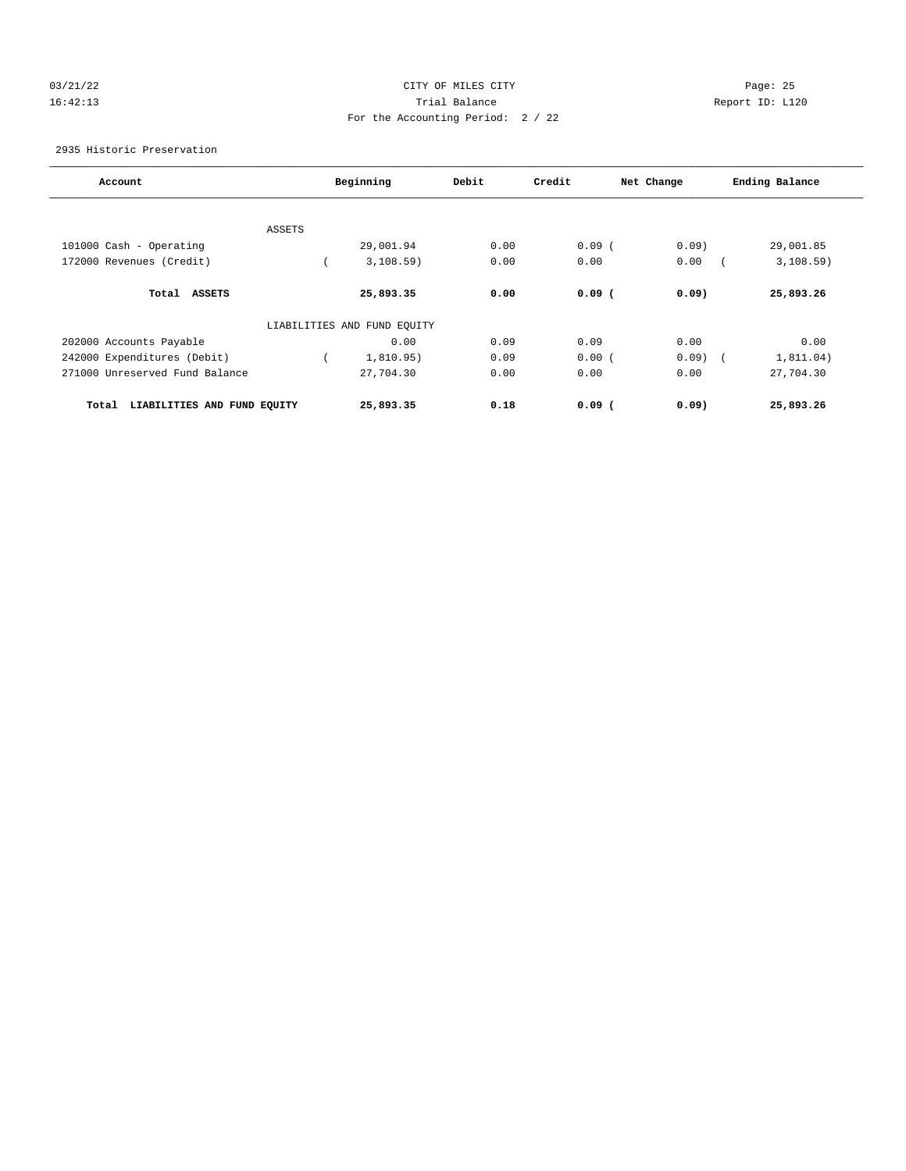# 03/21/22 Page: 25 16:42:13 Trial Balance Report ID: L120 For the Accounting Period: 2 / 22

2935 Historic Preservation

| Account                              |        | Beginning                   | Debit | Credit   | Net Change | Ending Balance |
|--------------------------------------|--------|-----------------------------|-------|----------|------------|----------------|
|                                      |        |                             |       |          |            |                |
|                                      | ASSETS |                             |       |          |            |                |
| 101000 Cash - Operating              |        | 29,001.94                   | 0.00  | 0.09(    | 0.09       | 29,001.85      |
| 172000 Revenues (Credit)             |        | 3,108.59)                   | 0.00  | 0.00     | 0.00       | 3,108.59)      |
| <b>ASSETS</b><br>Total               |        | 25,893.35                   | 0.00  | $0.09$ ( | 0.09       | 25,893.26      |
|                                      |        | LIABILITIES AND FUND EQUITY |       |          |            |                |
| 202000 Accounts Payable              |        | 0.00                        | 0.09  | 0.09     | 0.00       | 0.00           |
| 242000 Expenditures (Debit)          |        | 1,810.95)                   | 0.09  | 0.00(    | $0.09)$ (  | 1,811.04)      |
| 271000 Unreserved Fund Balance       |        | 27,704.30                   | 0.00  | 0.00     | 0.00       | 27,704.30      |
| LIABILITIES AND FUND EQUITY<br>Total |        | 25,893.35                   | 0.18  | $0.09$ ( | 0.09       | 25,893.26      |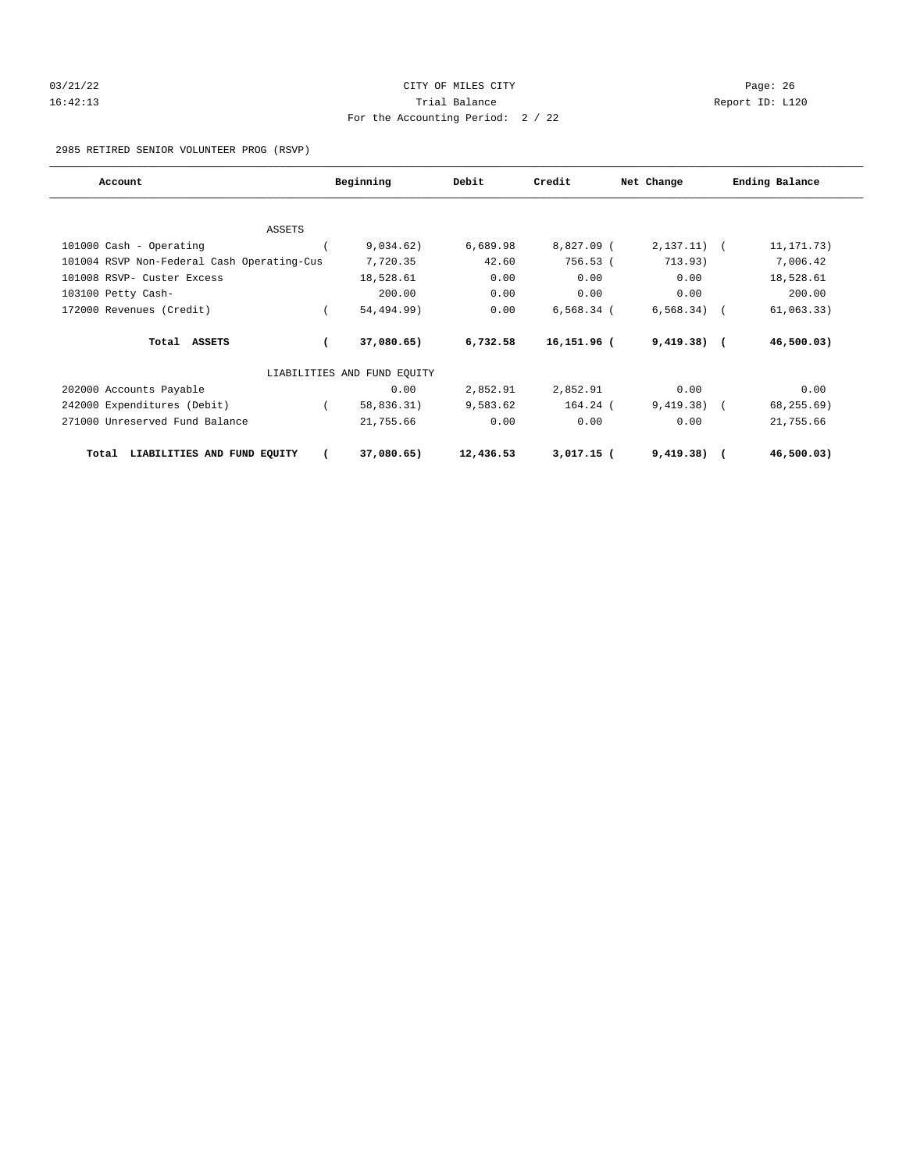# 03/21/22 Page: 26 16:42:13 Trial Balance Report ID: L120 For the Accounting Period: 2 / 22

2985 RETIRED SENIOR VOLUNTEER PROG (RSVP)

| Account                                    | Beginning                   | Debit     | Credit         | Net Change   | Ending Balance |
|--------------------------------------------|-----------------------------|-----------|----------------|--------------|----------------|
|                                            |                             |           |                |              |                |
| ASSETS                                     |                             |           |                |              |                |
| 101000 Cash - Operating                    | 9,034.62)                   | 6,689.98  | 8,827.09 (     | 2, 137.11)   | 11, 171. 73)   |
| 101004 RSVP Non-Federal Cash Operating-Cus | 7,720.35                    | 42.60     | 756.53 (       | 713.93)      | 7,006.42       |
| 101008 RSVP- Custer Excess                 | 18,528.61                   | 0.00      | 0.00           | 0.00         | 18,528.61      |
| 103100 Petty Cash-                         | 200.00                      | 0.00      | 0.00           | 0.00         | 200.00         |
| 172000 Revenues (Credit)                   | 54,494.99)                  | 0.00      | $6,568.34$ (   | 6, 568.34)   | 61,063.33)     |
| Total ASSETS                               | 37,080.65)                  | 6,732.58  | $16, 151.96$ ( | $9,419.38$ ( | 46,500.03)     |
|                                            | LIABILITIES AND FUND EQUITY |           |                |              |                |
| 202000 Accounts Payable                    | 0.00                        | 2,852.91  | 2,852.91       | 0.00         | 0.00           |
| 242000 Expenditures (Debit)                | 58,836.31)                  | 9,583.62  | $164.24$ (     | 9,419.38)    | 68, 255.69)    |
| 271000 Unreserved Fund Balance             | 21,755.66                   | 0.00      | 0.00           | 0.00         | 21,755.66      |
| LIABILITIES AND FUND EQUITY<br>Total       | 37,080.65)                  | 12,436.53 | $3,017.15$ (   | 9,419.38)    | 46,500.03      |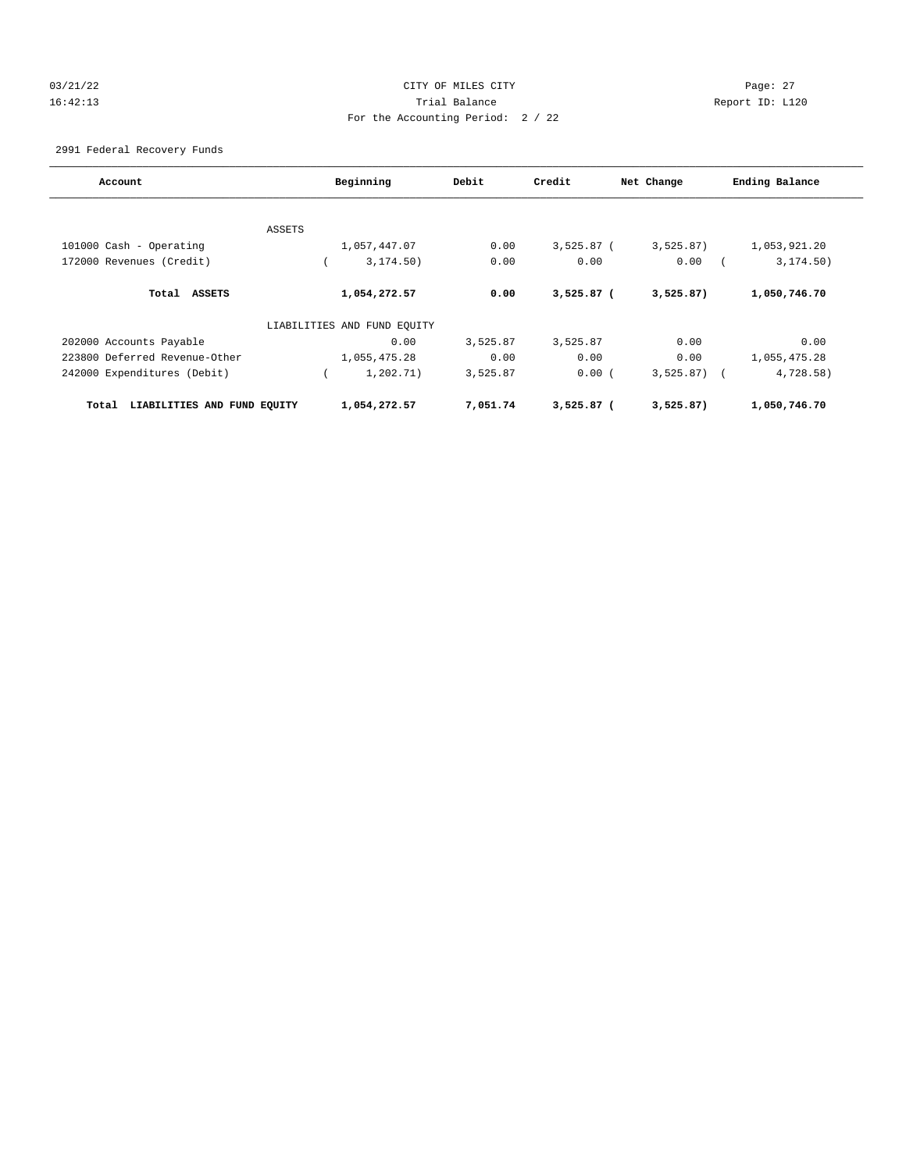# 03/21/22 Page: 27 16:42:13 Trial Balance Report ID: L120 For the Accounting Period: 2 / 22

2991 Federal Recovery Funds

| Account                              | Beginning                   | Debit    | Credit       | Net Change   | Ending Balance |
|--------------------------------------|-----------------------------|----------|--------------|--------------|----------------|
|                                      |                             |          |              |              |                |
|                                      | ASSETS                      |          |              |              |                |
| 101000 Cash - Operating              | 1,057,447.07                | 0.00     | $3,525.87$ ( | 3,525.87)    | 1,053,921.20   |
| 172000 Revenues (Credit)             | 3, 174.50)                  | 0.00     | 0.00         | 0.00         | 3, 174.50)     |
| Total<br>ASSETS                      | 1,054,272.57                | 0.00     | $3,525.87$ ( | 3,525.87)    | 1,050,746.70   |
|                                      | LIABILITIES AND FUND EQUITY |          |              |              |                |
| 202000 Accounts Payable              | 0.00                        | 3,525.87 | 3,525.87     | 0.00         | 0.00           |
| 223800 Deferred Revenue-Other        | 1,055,475.28                | 0.00     | 0.00         | 0.00         | 1,055,475.28   |
| 242000 Expenditures (Debit)          | 1,202.71)                   | 3,525.87 | 0.00(        | $3,525.87$ ( | 4,728.58)      |
| LIABILITIES AND FUND EQUITY<br>Total | 1,054,272.57                | 7,051.74 | $3.525.87$ ( | 3,525.87)    | 1,050,746.70   |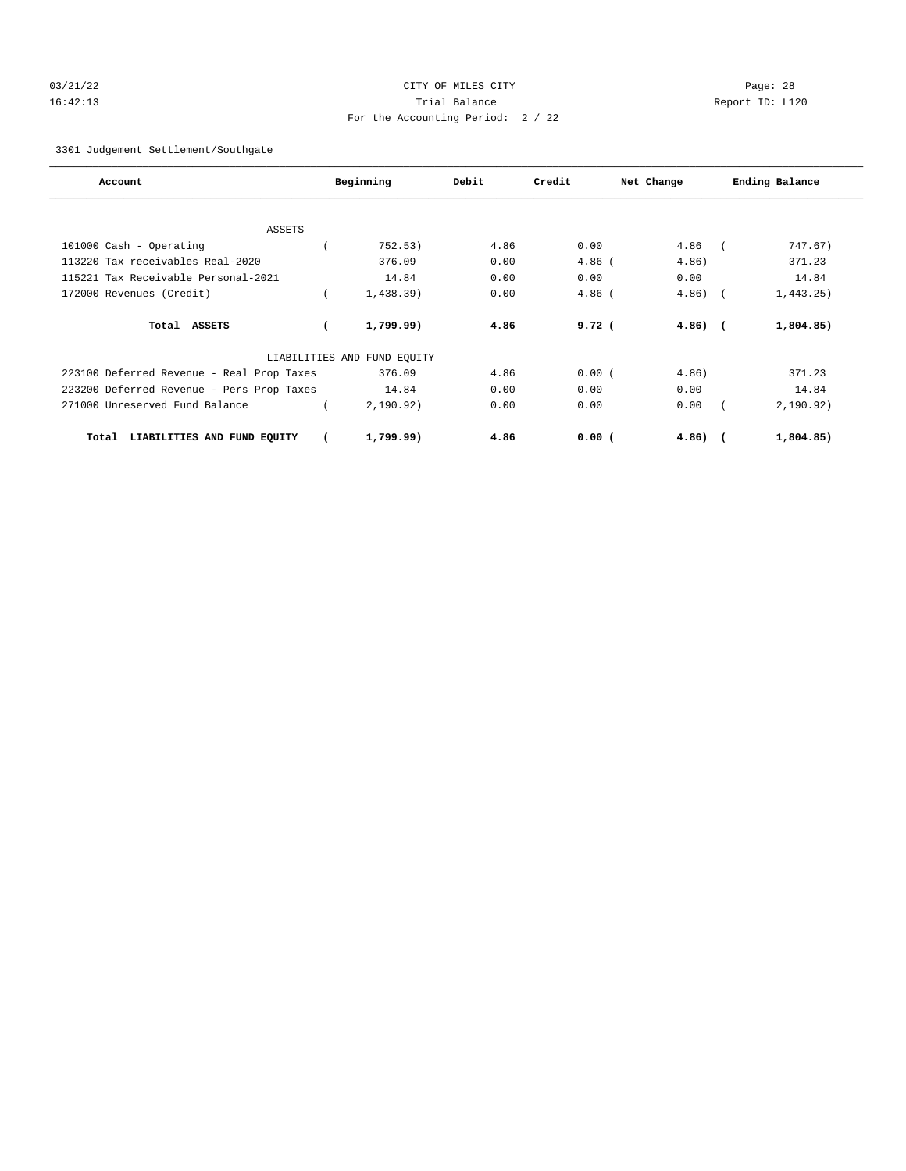# 03/21/22 Page: 28 16:42:13 Trial Balance Report ID: L120 For the Accounting Period: 2 / 22

3301 Judgement Settlement/Southgate

| Account                                   | Beginning                   | Debit | Credit            | Net Change   |            | Ending Balance |
|-------------------------------------------|-----------------------------|-------|-------------------|--------------|------------|----------------|
|                                           |                             |       |                   |              |            |                |
| <b>ASSETS</b>                             |                             |       |                   |              |            |                |
| 101000 Cash - Operating                   | 752.53)                     | 4.86  | 0.00              | 4.86         |            | 747.67)        |
| 113220 Tax receivables Real-2020          | 376.09                      | 0.00  | $4.86$ (          | 4.86)        |            | 371.23         |
| 115221 Tax Receivable Personal-2021       | 14.84                       | 0.00  | 0.00              | 0.00         |            | 14.84          |
| 172000 Revenues (Credit)                  | 1,438.39)                   | 0.00  | $4.86$ (          | 4.86)        | $\sqrt{2}$ | 1,443.25)      |
| Total ASSETS                              | 1,799.99)                   | 4.86  | 9.72 <sub>0</sub> | $4.86$ ) $($ |            | 1,804.85)      |
|                                           | LIABILITIES AND FUND EQUITY |       |                   |              |            |                |
| 223100 Deferred Revenue - Real Prop Taxes | 376.09                      | 4.86  | 0.00(             | 4.86)        |            | 371.23         |
| 223200 Deferred Revenue - Pers Prop Taxes | 14.84                       | 0.00  | 0.00              | 0.00         |            | 14.84          |
| 271000 Unreserved Fund Balance            | 2, 190.92)                  | 0.00  | 0.00              | 0.00         |            | 2,190.92)      |
| LIABILITIES AND FUND EQUITY<br>Total      | 1,799.99)                   | 4.86  | $0.00$ (          | $4.86)$ (    |            | 1,804.85)      |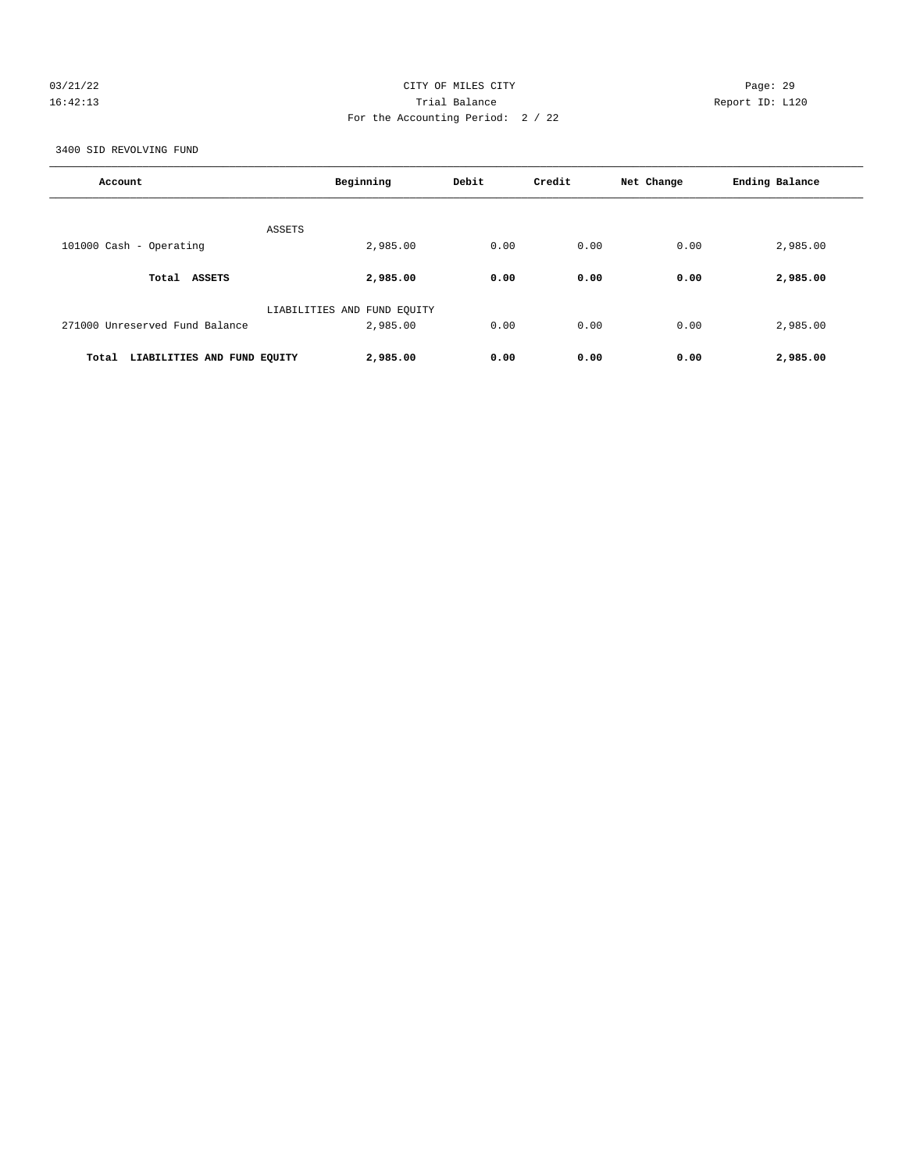# 03/21/22 Page: 29 16:42:13 Trial Balance Report ID: L120 For the Accounting Period: 2 / 22

3400 SID REVOLVING FUND

| Account                              | Beginning                   | Debit | Credit | Net Change | Ending Balance |
|--------------------------------------|-----------------------------|-------|--------|------------|----------------|
|                                      | <b>ASSETS</b>               |       |        |            |                |
| 101000 Cash - Operating              | 2,985.00                    | 0.00  | 0.00   | 0.00       | 2,985.00       |
| Total ASSETS                         | 2,985.00                    | 0.00  | 0.00   | 0.00       | 2,985.00       |
|                                      | LIABILITIES AND FUND EQUITY |       |        |            |                |
| 271000 Unreserved Fund Balance       | 2,985.00                    | 0.00  | 0.00   | 0.00       | 2,985.00       |
| Total<br>LIABILITIES AND FUND EQUITY | 2,985.00                    | 0.00  | 0.00   | 0.00       | 2,985.00       |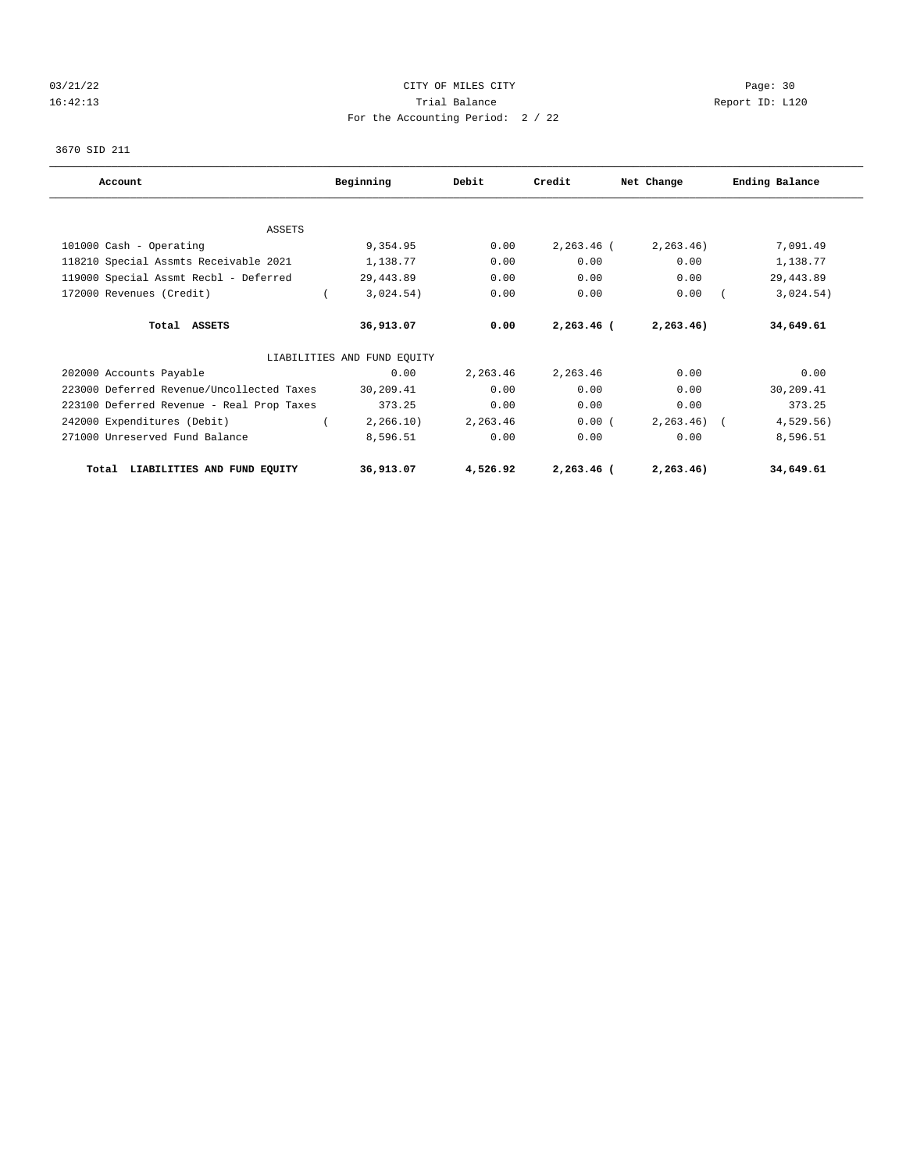# 03/21/22 Page: 30 16:42:13 Trial Balance Report ID: L120 For the Accounting Period: 2 / 22

# 3670 SID 211

| Account                                   | Beginning                   | Debit    | Credit       | Net Change  | Ending Balance |
|-------------------------------------------|-----------------------------|----------|--------------|-------------|----------------|
|                                           |                             |          |              |             |                |
| ASSETS                                    |                             |          |              |             |                |
| 101000 Cash - Operating                   | 9,354.95                    | 0.00     | $2,263.46$ ( | 2, 263, 46) | 7,091.49       |
| 118210 Special Assmts Receivable 2021     | 1,138.77                    | 0.00     | 0.00         | 0.00        | 1,138.77       |
| 119000 Special Assmt Recbl - Deferred     | 29,443.89                   | 0.00     | 0.00         | 0.00        | 29, 443.89     |
| 172000 Revenues (Credit)                  | 3,024.54)                   | 0.00     | 0.00         | 0.00        | 3,024.54)      |
| Total ASSETS                              | 36,913.07                   | 0.00     | $2,263.46$ ( | 2, 263.46)  | 34,649.61      |
|                                           | LIABILITIES AND FUND EQUITY |          |              |             |                |
| 202000 Accounts Payable                   | 0.00                        | 2,263.46 | 2,263.46     | 0.00        | 0.00           |
| 223000 Deferred Revenue/Uncollected Taxes | 30,209.41                   | 0.00     | 0.00         | 0.00        | 30,209.41      |
| 223100 Deferred Revenue - Real Prop Taxes | 373.25                      | 0.00     | 0.00         | 0.00        | 373.25         |
| 242000 Expenditures (Debit)               | 2, 266.10)                  | 2,263.46 | 0.00(        | 2, 263, 46) | 4,529.56)      |
| 271000 Unreserved Fund Balance            | 8,596.51                    | 0.00     | 0.00         | 0.00        | 8,596.51       |
| LIABILITIES AND FUND EQUITY<br>Total      | 36,913.07                   | 4,526.92 | 2,263.46 (   | 2, 263.46)  | 34,649.61      |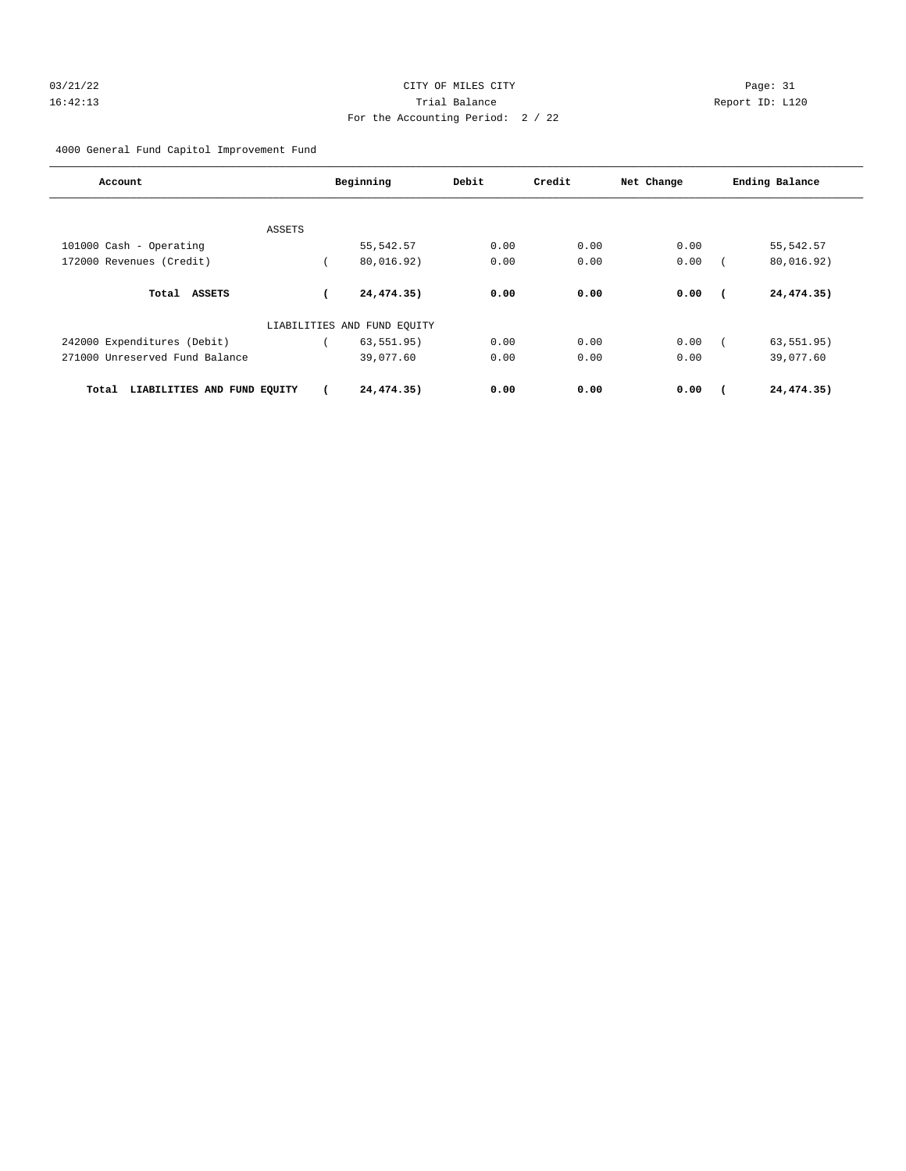# 03/21/22 Page: 31 16:42:13 Trial Balance Report ID: L120 For the Accounting Period: 2 / 22

4000 General Fund Capitol Improvement Fund

| Account                              | Beginning                   | Debit | Credit | Net Change | Ending Balance |  |
|--------------------------------------|-----------------------------|-------|--------|------------|----------------|--|
| ASSETS                               |                             |       |        |            |                |  |
| 101000 Cash - Operating              | 55, 542.57                  | 0.00  | 0.00   | 0.00       | 55, 542.57     |  |
| 172000 Revenues (Credit)             | 80,016.92)                  | 0.00  | 0.00   | 0.00       | 80,016.92)     |  |
| Total<br><b>ASSETS</b>               | 24,474.35)                  | 0.00  | 0.00   | 0.00       | 24,474.35)     |  |
|                                      | LIABILITIES AND FUND EQUITY |       |        |            |                |  |
| 242000 Expenditures (Debit)          | 63, 551.95)                 | 0.00  | 0.00   | 0.00       | 63, 551.95)    |  |
| 271000 Unreserved Fund Balance       | 39,077.60                   | 0.00  | 0.00   | 0.00       | 39,077.60      |  |
| LIABILITIES AND FUND EQUITY<br>Total | 24,474.35)                  | 0.00  | 0.00   | 0.00       | 24,474.35)     |  |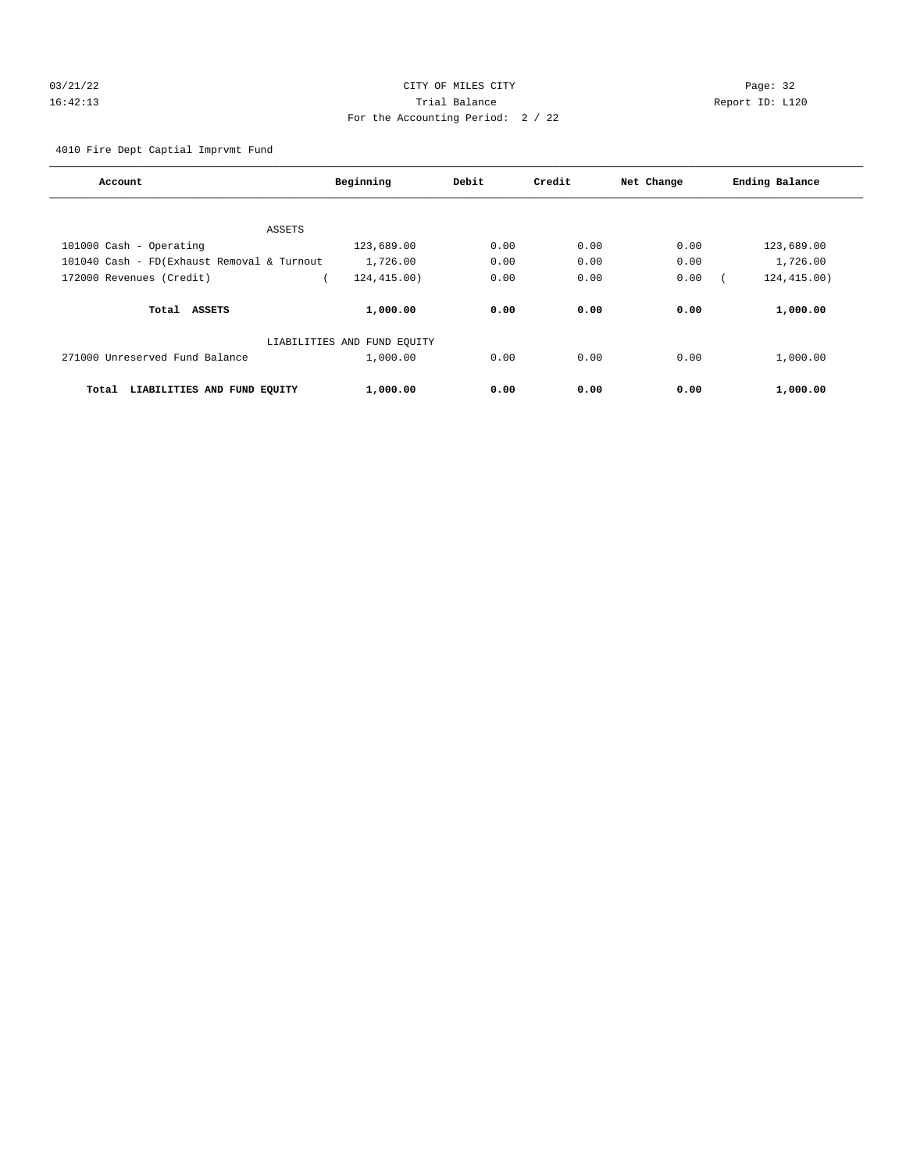# 03/21/22 Page: 32 16:42:13 Trial Balance Report ID: L120 For the Accounting Period: 2 / 22

4010 Fire Dept Captial Imprvmt Fund

| Account                                    | Beginning                   | Debit | Credit | Net Change | Ending Balance |
|--------------------------------------------|-----------------------------|-------|--------|------------|----------------|
|                                            |                             |       |        |            |                |
| ASSETS                                     |                             |       |        |            |                |
| 101000 Cash - Operating                    | 123,689.00                  | 0.00  | 0.00   | 0.00       | 123,689.00     |
| 101040 Cash - FD(Exhaust Removal & Turnout | 1,726.00                    | 0.00  | 0.00   | 0.00       | 1,726.00       |
| 172000 Revenues (Credit)                   | 124,415.00)                 | 0.00  | 0.00   | 0.00       | 124, 415.00)   |
| Total ASSETS                               | 1,000.00                    | 0.00  | 0.00   | 0.00       | 1,000.00       |
|                                            | LIABILITIES AND FUND EOUITY |       |        |            |                |
| 271000 Unreserved Fund Balance             | 1,000.00                    | 0.00  | 0.00   | 0.00       | 1,000.00       |
| LIABILITIES AND FUND EQUITY<br>Total       | 1,000.00                    | 0.00  | 0.00   | 0.00       | 1,000.00       |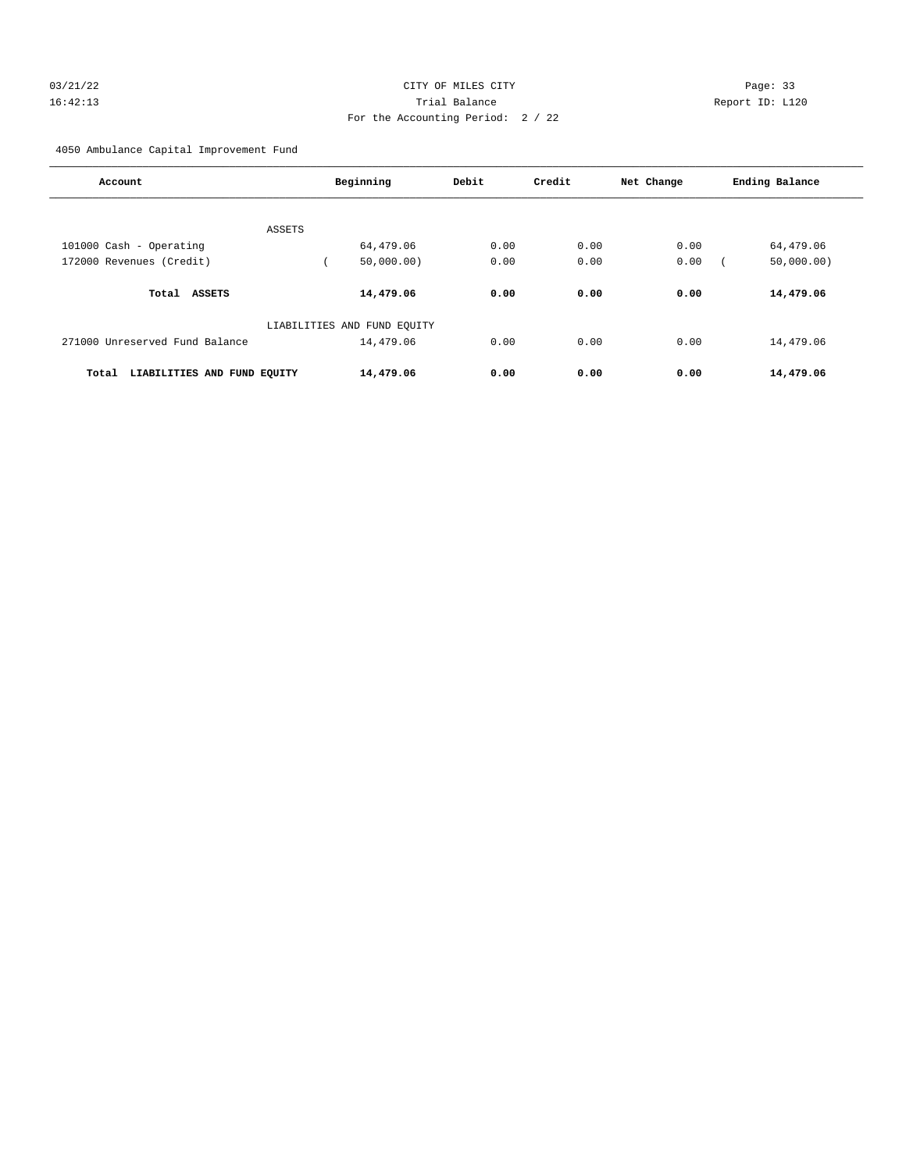# 03/21/22 Page: 33 16:42:13 Trial Balance Report ID: L120 For the Accounting Period: 2 / 22

4050 Ambulance Capital Improvement Fund

| Account                              | Beginning                   | Debit              | Credit | Net Change | Ending Balance |
|--------------------------------------|-----------------------------|--------------------|--------|------------|----------------|
|                                      |                             |                    |        |            |                |
| ASSETS                               |                             |                    |        |            |                |
| 101000 Cash - Operating              |                             | 64,479.06<br>0.00  | 0.00   | 0.00       | 64,479.06      |
| 172000 Revenues (Credit)             |                             | 0.00<br>50,000,00) | 0.00   | 0.00       | 50,000.00)     |
|                                      |                             |                    |        |            |                |
| <b>ASSETS</b><br>Total               |                             | 14,479.06<br>0.00  | 0.00   | 0.00       | 14,479.06      |
|                                      | LIABILITIES AND FUND EQUITY |                    |        |            |                |
| 271000 Unreserved Fund Balance       |                             | 14,479.06<br>0.00  | 0.00   | 0.00       | 14,479.06      |
| LIABILITIES AND FUND EQUITY<br>Total |                             | 14,479.06<br>0.00  | 0.00   | 0.00       | 14,479.06      |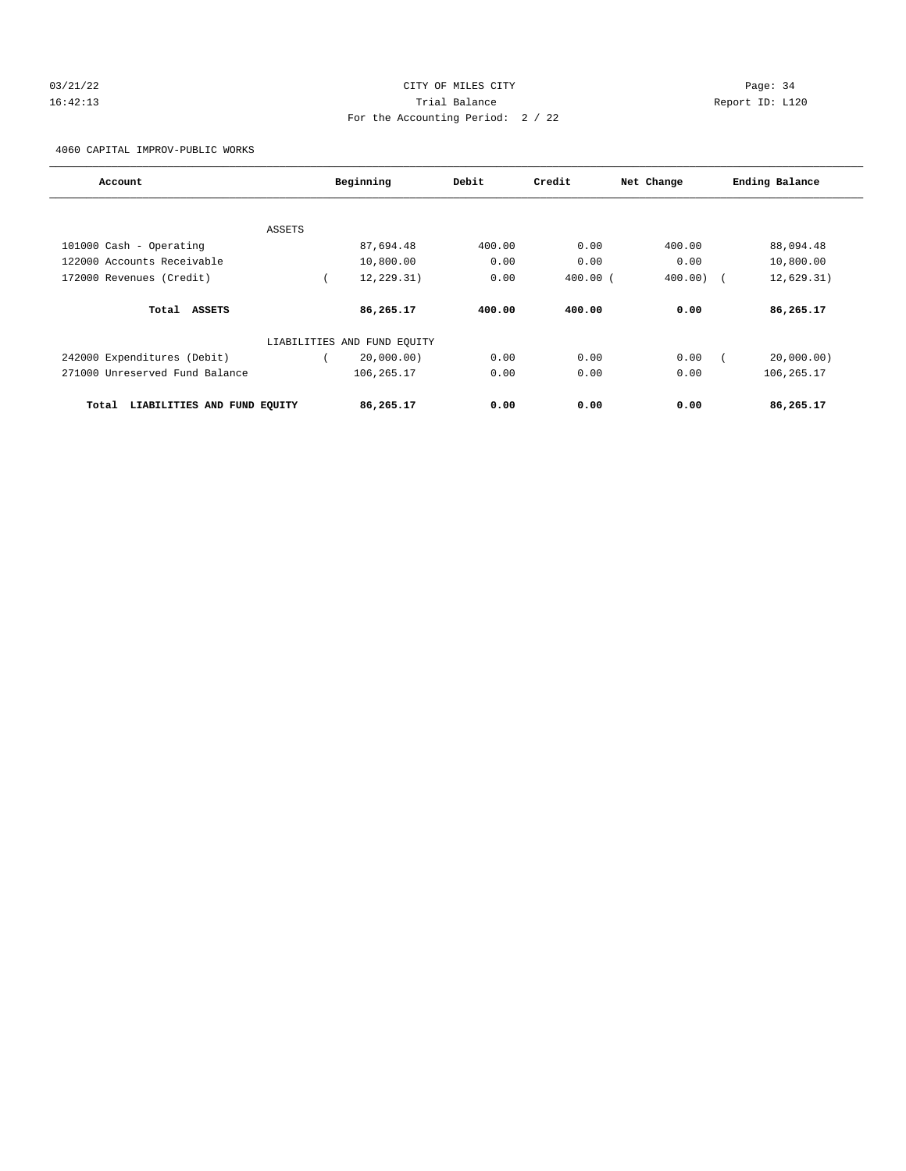# 03/21/22 Page: 34 16:42:13 Trial Balance Report ID: L120 For the Accounting Period: 2 / 22

4060 CAPITAL IMPROV-PUBLIC WORKS

| Account                              |        | Beginning                   | Debit  | Credit       | Net Change | Ending Balance |
|--------------------------------------|--------|-----------------------------|--------|--------------|------------|----------------|
|                                      |        |                             |        |              |            |                |
|                                      | ASSETS |                             |        |              |            |                |
| 101000 Cash - Operating              |        | 87,694.48                   | 400.00 | 0.00         | 400.00     | 88,094.48      |
| 122000 Accounts Receivable           |        | 10,800.00                   | 0.00   | 0.00         | 0.00       | 10,800.00      |
| 172000 Revenues (Credit)             |        | 12, 229.31)                 | 0.00   | $400.00$ $($ | 400.00     | 12,629.31)     |
| Total ASSETS                         |        | 86,265.17                   | 400.00 | 400.00       | 0.00       | 86,265.17      |
|                                      |        | LIABILITIES AND FUND EQUITY |        |              |            |                |
| 242000 Expenditures (Debit)          |        | 20,000.00)                  | 0.00   | 0.00         | 0.00       | 20,000.00)     |
| 271000 Unreserved Fund Balance       |        | 106,265.17                  | 0.00   | 0.00         | 0.00       | 106, 265.17    |
| LIABILITIES AND FUND EQUITY<br>Total |        | 86,265.17                   | 0.00   | 0.00         | 0.00       | 86,265.17      |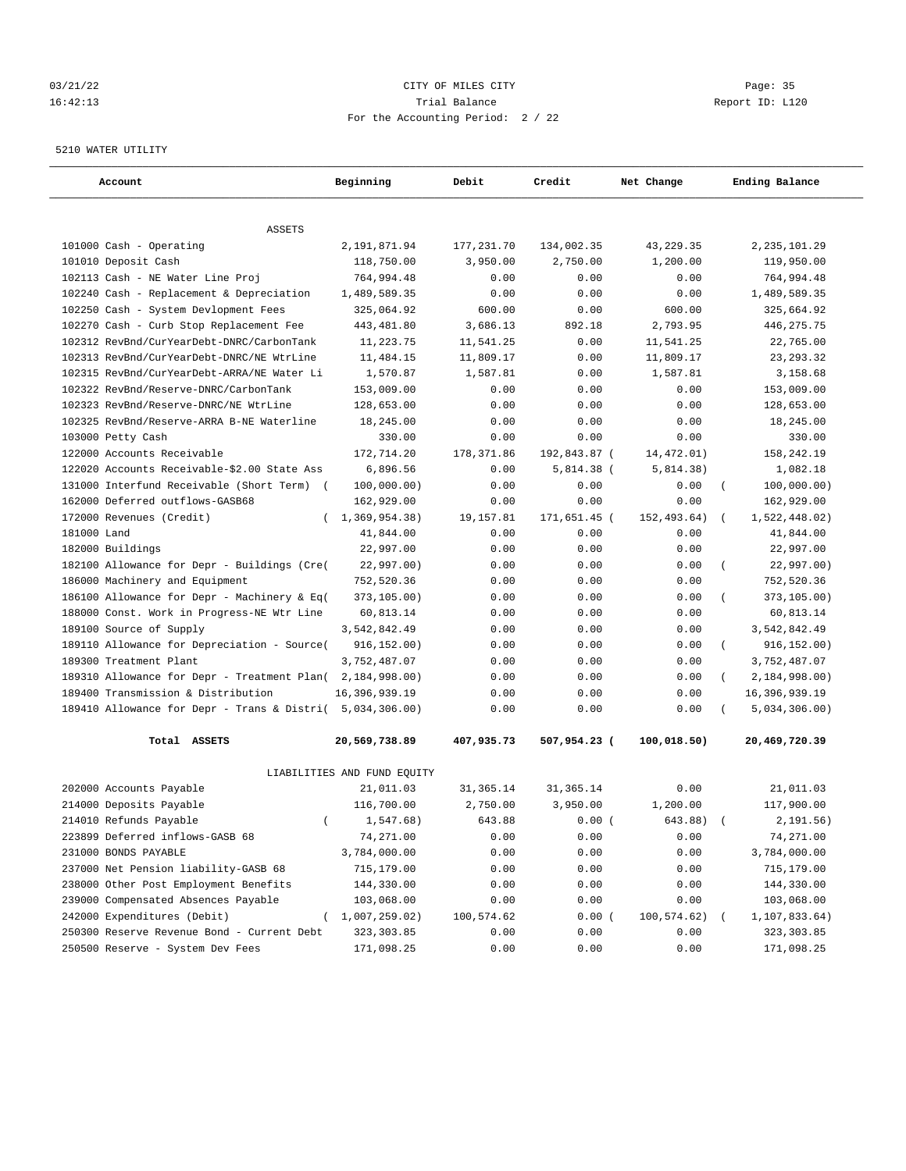# 03/21/22 Page: 35 16:42:13 Trial Balance Report ID: L120 For the Accounting Period: 2 / 22

5210 WATER UTILITY

| <b>ASSETS</b><br>101000 Cash - Operating<br>2,191,871.94<br>134,002.35<br>177,231.70<br>43,229.35<br>2,235,101.29<br>101010 Deposit Cash<br>118,750.00<br>3,950.00<br>2,750.00<br>1,200.00<br>119,950.00<br>102113 Cash - NE Water Line Proj<br>764,994.48<br>0.00<br>764,994.48<br>0.00<br>0.00<br>1,489,589.35<br>1,489,589.35<br>102240 Cash - Replacement & Depreciation<br>0.00<br>0.00<br>0.00<br>325,064.92<br>600.00<br>600.00<br>325,664.92<br>102250 Cash - System Devlopment Fees<br>0.00<br>102270 Cash - Curb Stop Replacement Fee<br>443,481.80<br>3,686.13<br>892.18<br>2,793.95<br>446, 275.75<br>102312 RevBnd/CurYearDebt-DNRC/CarbonTank<br>11,223.75<br>11,541.25<br>0.00<br>11,541.25<br>22,765.00<br>11,809.17<br>11,809.17<br>102313 RevBnd/CurYearDebt-DNRC/NE WtrLine<br>11,484.15<br>0.00<br>23, 293.32<br>1,570.87<br>1,587.81<br>102315 RevBnd/CurYearDebt-ARRA/NE Water Li<br>1,587.81<br>0.00<br>3,158.68<br>153,009.00<br>0.00<br>153,009.00<br>102322 RevBnd/Reserve-DNRC/CarbonTank<br>0.00<br>0.00<br>128,653.00<br>102323 RevBnd/Reserve-DNRC/NE WtrLine<br>0.00<br>0.00<br>0.00<br>128,653.00<br>102325 RevBnd/Reserve-ARRA B-NE Waterline<br>18,245.00<br>0.00<br>0.00<br>0.00<br>18,245.00<br>0.00<br>0.00<br>103000 Petty Cash<br>330.00<br>0.00<br>330.00<br>172,714.20<br>178, 371.86<br>192,843.87 (<br>14,472.01)<br>158,242.19<br>122000 Accounts Receivable<br>6,896.56<br>5,814.38)<br>1,082.18<br>122020 Accounts Receivable-\$2.00 State Ass<br>0.00<br>$5,814.38$ (<br>131000 Interfund Receivable (Short Term)<br>100,000.00)<br>100,000.00)<br>0.00<br>0.00<br>0.00<br>$\left($<br>162000 Deferred outflows-GASB68<br>162,929.00<br>0.00<br>0.00<br>0.00<br>162,929.00<br>1,369,954.38)<br>171,651.45 (<br>152,493.64)<br>172000 Revenues (Credit)<br>19,157.81<br>1,522,448.02)<br>$\left($<br>$\left($<br>181000 Land<br>41,844.00<br>0.00<br>0.00<br>0.00<br>41,844.00<br>182000 Buildings<br>22,997.00<br>22,997.00<br>0.00<br>0.00<br>0.00<br>182100 Allowance for Depr - Buildings (Cre(<br>22,997.00)<br>22,997.00)<br>0.00<br>0.00<br>0.00<br>$\left($<br>186000 Machinery and Equipment<br>752,520.36<br>0.00<br>0.00<br>0.00<br>752,520.36<br>186100 Allowance for Depr - Machinery & Eq(<br>373,105.00)<br>0.00<br>0.00<br>0.00<br>373,105.00)<br>188000 Const. Work in Progress-NE Wtr Line<br>60,813.14<br>0.00<br>60,813.14<br>0.00<br>0.00<br>189100 Source of Supply<br>3,542,842.49<br>3,542,842.49<br>0.00<br>0.00<br>0.00<br>189110 Allowance for Depreciation - Source(<br>916, 152.00)<br>916, 152.00)<br>0.00<br>0.00<br>0.00<br>$\left($<br>189300 Treatment Plant<br>3,752,487.07<br>0.00<br>0.00<br>0.00<br>3,752,487.07<br>189310 Allowance for Depr - Treatment Plan(<br>2,184,998.00)<br>0.00<br>2,184,998.00)<br>0.00<br>0.00<br>$\left($<br>189400 Transmission & Distribution<br>16,396,939.19<br>16,396,939.19<br>0.00<br>0.00<br>0.00<br>5,034,306.00)<br>189410 Allowance for Depr - Trans & Distri(<br>5,034,306.00)<br>0.00<br>0.00<br>0.00<br>20,569,738.89<br>Total ASSETS<br>407,935.73<br>507,954.23 (<br>100,018.50)<br>20,469,720.39<br>LIABILITIES AND FUND EQUITY<br>21,011.03<br>21,011.03<br>202000 Accounts Payable<br>31,365.14<br>31, 365.14<br>0.00<br>214000 Deposits Payable<br>116,700.00<br>2,750.00<br>3,950.00<br>1,200.00<br>117,900.00<br>214010 Refunds Payable<br>1,547.68)<br>643.88<br>0.00(<br>643.88)<br>2,191.56)<br>$\left($<br>$\left($<br>223899 Deferred inflows-GASB 68<br>74,271.00<br>0.00<br>0.00<br>0.00<br>74,271.00<br>231000 BONDS PAYABLE<br>3,784,000.00<br>0.00<br>0.00<br>0.00<br>3,784,000.00<br>237000 Net Pension liability-GASB 68<br>715,179.00<br>0.00<br>0.00<br>0.00<br>715,179.00<br>238000 Other Post Employment Benefits<br>0.00<br>0.00<br>0.00<br>144,330.00<br>144,330.00<br>239000 Compensated Absences Payable<br>103,068.00<br>0.00<br>0.00<br>0.00<br>103,068.00<br>242000 Expenditures (Debit)<br>(1,007,259.02)<br>100,574.62<br>0.00(<br>100,574.62)<br>1,107,833.64)<br>250300 Reserve Revenue Bond - Current Debt<br>323, 303.85<br>0.00<br>0.00<br>0.00<br>323,303.85 | Account                          | Beginning  | Debit | Credit | Net Change | Ending Balance |
|-----------------------------------------------------------------------------------------------------------------------------------------------------------------------------------------------------------------------------------------------------------------------------------------------------------------------------------------------------------------------------------------------------------------------------------------------------------------------------------------------------------------------------------------------------------------------------------------------------------------------------------------------------------------------------------------------------------------------------------------------------------------------------------------------------------------------------------------------------------------------------------------------------------------------------------------------------------------------------------------------------------------------------------------------------------------------------------------------------------------------------------------------------------------------------------------------------------------------------------------------------------------------------------------------------------------------------------------------------------------------------------------------------------------------------------------------------------------------------------------------------------------------------------------------------------------------------------------------------------------------------------------------------------------------------------------------------------------------------------------------------------------------------------------------------------------------------------------------------------------------------------------------------------------------------------------------------------------------------------------------------------------------------------------------------------------------------------------------------------------------------------------------------------------------------------------------------------------------------------------------------------------------------------------------------------------------------------------------------------------------------------------------------------------------------------------------------------------------------------------------------------------------------------------------------------------------------------------------------------------------------------------------------------------------------------------------------------------------------------------------------------------------------------------------------------------------------------------------------------------------------------------------------------------------------------------------------------------------------------------------------------------------------------------------------------------------------------------------------------------------------------------------------------------------------------------------------------------------------------------------------------------------------------------------------------------------------------------------------------------------------------------------------------------------------------------------------------------------------------------------------------------------------------------------------------------------------------------------------------------------------------------------------------------------------------------------------------------------------------------------------------------------------------------------------------------------------------------------------------------------------------------------------------------------------------------------------------------------------------------------------------------------------------------------------------------------------------------------------------------------------------|----------------------------------|------------|-------|--------|------------|----------------|
|                                                                                                                                                                                                                                                                                                                                                                                                                                                                                                                                                                                                                                                                                                                                                                                                                                                                                                                                                                                                                                                                                                                                                                                                                                                                                                                                                                                                                                                                                                                                                                                                                                                                                                                                                                                                                                                                                                                                                                                                                                                                                                                                                                                                                                                                                                                                                                                                                                                                                                                                                                                                                                                                                                                                                                                                                                                                                                                                                                                                                                                                                                                                                                                                                                                                                                                                                                                                                                                                                                                                                                                                                                                                                                                                                                                                                                                                                                                                                                                                                                                                                                                                   |                                  |            |       |        |            |                |
|                                                                                                                                                                                                                                                                                                                                                                                                                                                                                                                                                                                                                                                                                                                                                                                                                                                                                                                                                                                                                                                                                                                                                                                                                                                                                                                                                                                                                                                                                                                                                                                                                                                                                                                                                                                                                                                                                                                                                                                                                                                                                                                                                                                                                                                                                                                                                                                                                                                                                                                                                                                                                                                                                                                                                                                                                                                                                                                                                                                                                                                                                                                                                                                                                                                                                                                                                                                                                                                                                                                                                                                                                                                                                                                                                                                                                                                                                                                                                                                                                                                                                                                                   |                                  |            |       |        |            |                |
|                                                                                                                                                                                                                                                                                                                                                                                                                                                                                                                                                                                                                                                                                                                                                                                                                                                                                                                                                                                                                                                                                                                                                                                                                                                                                                                                                                                                                                                                                                                                                                                                                                                                                                                                                                                                                                                                                                                                                                                                                                                                                                                                                                                                                                                                                                                                                                                                                                                                                                                                                                                                                                                                                                                                                                                                                                                                                                                                                                                                                                                                                                                                                                                                                                                                                                                                                                                                                                                                                                                                                                                                                                                                                                                                                                                                                                                                                                                                                                                                                                                                                                                                   |                                  |            |       |        |            |                |
|                                                                                                                                                                                                                                                                                                                                                                                                                                                                                                                                                                                                                                                                                                                                                                                                                                                                                                                                                                                                                                                                                                                                                                                                                                                                                                                                                                                                                                                                                                                                                                                                                                                                                                                                                                                                                                                                                                                                                                                                                                                                                                                                                                                                                                                                                                                                                                                                                                                                                                                                                                                                                                                                                                                                                                                                                                                                                                                                                                                                                                                                                                                                                                                                                                                                                                                                                                                                                                                                                                                                                                                                                                                                                                                                                                                                                                                                                                                                                                                                                                                                                                                                   |                                  |            |       |        |            |                |
|                                                                                                                                                                                                                                                                                                                                                                                                                                                                                                                                                                                                                                                                                                                                                                                                                                                                                                                                                                                                                                                                                                                                                                                                                                                                                                                                                                                                                                                                                                                                                                                                                                                                                                                                                                                                                                                                                                                                                                                                                                                                                                                                                                                                                                                                                                                                                                                                                                                                                                                                                                                                                                                                                                                                                                                                                                                                                                                                                                                                                                                                                                                                                                                                                                                                                                                                                                                                                                                                                                                                                                                                                                                                                                                                                                                                                                                                                                                                                                                                                                                                                                                                   |                                  |            |       |        |            |                |
|                                                                                                                                                                                                                                                                                                                                                                                                                                                                                                                                                                                                                                                                                                                                                                                                                                                                                                                                                                                                                                                                                                                                                                                                                                                                                                                                                                                                                                                                                                                                                                                                                                                                                                                                                                                                                                                                                                                                                                                                                                                                                                                                                                                                                                                                                                                                                                                                                                                                                                                                                                                                                                                                                                                                                                                                                                                                                                                                                                                                                                                                                                                                                                                                                                                                                                                                                                                                                                                                                                                                                                                                                                                                                                                                                                                                                                                                                                                                                                                                                                                                                                                                   |                                  |            |       |        |            |                |
|                                                                                                                                                                                                                                                                                                                                                                                                                                                                                                                                                                                                                                                                                                                                                                                                                                                                                                                                                                                                                                                                                                                                                                                                                                                                                                                                                                                                                                                                                                                                                                                                                                                                                                                                                                                                                                                                                                                                                                                                                                                                                                                                                                                                                                                                                                                                                                                                                                                                                                                                                                                                                                                                                                                                                                                                                                                                                                                                                                                                                                                                                                                                                                                                                                                                                                                                                                                                                                                                                                                                                                                                                                                                                                                                                                                                                                                                                                                                                                                                                                                                                                                                   |                                  |            |       |        |            |                |
|                                                                                                                                                                                                                                                                                                                                                                                                                                                                                                                                                                                                                                                                                                                                                                                                                                                                                                                                                                                                                                                                                                                                                                                                                                                                                                                                                                                                                                                                                                                                                                                                                                                                                                                                                                                                                                                                                                                                                                                                                                                                                                                                                                                                                                                                                                                                                                                                                                                                                                                                                                                                                                                                                                                                                                                                                                                                                                                                                                                                                                                                                                                                                                                                                                                                                                                                                                                                                                                                                                                                                                                                                                                                                                                                                                                                                                                                                                                                                                                                                                                                                                                                   |                                  |            |       |        |            |                |
|                                                                                                                                                                                                                                                                                                                                                                                                                                                                                                                                                                                                                                                                                                                                                                                                                                                                                                                                                                                                                                                                                                                                                                                                                                                                                                                                                                                                                                                                                                                                                                                                                                                                                                                                                                                                                                                                                                                                                                                                                                                                                                                                                                                                                                                                                                                                                                                                                                                                                                                                                                                                                                                                                                                                                                                                                                                                                                                                                                                                                                                                                                                                                                                                                                                                                                                                                                                                                                                                                                                                                                                                                                                                                                                                                                                                                                                                                                                                                                                                                                                                                                                                   |                                  |            |       |        |            |                |
|                                                                                                                                                                                                                                                                                                                                                                                                                                                                                                                                                                                                                                                                                                                                                                                                                                                                                                                                                                                                                                                                                                                                                                                                                                                                                                                                                                                                                                                                                                                                                                                                                                                                                                                                                                                                                                                                                                                                                                                                                                                                                                                                                                                                                                                                                                                                                                                                                                                                                                                                                                                                                                                                                                                                                                                                                                                                                                                                                                                                                                                                                                                                                                                                                                                                                                                                                                                                                                                                                                                                                                                                                                                                                                                                                                                                                                                                                                                                                                                                                                                                                                                                   |                                  |            |       |        |            |                |
|                                                                                                                                                                                                                                                                                                                                                                                                                                                                                                                                                                                                                                                                                                                                                                                                                                                                                                                                                                                                                                                                                                                                                                                                                                                                                                                                                                                                                                                                                                                                                                                                                                                                                                                                                                                                                                                                                                                                                                                                                                                                                                                                                                                                                                                                                                                                                                                                                                                                                                                                                                                                                                                                                                                                                                                                                                                                                                                                                                                                                                                                                                                                                                                                                                                                                                                                                                                                                                                                                                                                                                                                                                                                                                                                                                                                                                                                                                                                                                                                                                                                                                                                   |                                  |            |       |        |            |                |
|                                                                                                                                                                                                                                                                                                                                                                                                                                                                                                                                                                                                                                                                                                                                                                                                                                                                                                                                                                                                                                                                                                                                                                                                                                                                                                                                                                                                                                                                                                                                                                                                                                                                                                                                                                                                                                                                                                                                                                                                                                                                                                                                                                                                                                                                                                                                                                                                                                                                                                                                                                                                                                                                                                                                                                                                                                                                                                                                                                                                                                                                                                                                                                                                                                                                                                                                                                                                                                                                                                                                                                                                                                                                                                                                                                                                                                                                                                                                                                                                                                                                                                                                   |                                  |            |       |        |            |                |
|                                                                                                                                                                                                                                                                                                                                                                                                                                                                                                                                                                                                                                                                                                                                                                                                                                                                                                                                                                                                                                                                                                                                                                                                                                                                                                                                                                                                                                                                                                                                                                                                                                                                                                                                                                                                                                                                                                                                                                                                                                                                                                                                                                                                                                                                                                                                                                                                                                                                                                                                                                                                                                                                                                                                                                                                                                                                                                                                                                                                                                                                                                                                                                                                                                                                                                                                                                                                                                                                                                                                                                                                                                                                                                                                                                                                                                                                                                                                                                                                                                                                                                                                   |                                  |            |       |        |            |                |
|                                                                                                                                                                                                                                                                                                                                                                                                                                                                                                                                                                                                                                                                                                                                                                                                                                                                                                                                                                                                                                                                                                                                                                                                                                                                                                                                                                                                                                                                                                                                                                                                                                                                                                                                                                                                                                                                                                                                                                                                                                                                                                                                                                                                                                                                                                                                                                                                                                                                                                                                                                                                                                                                                                                                                                                                                                                                                                                                                                                                                                                                                                                                                                                                                                                                                                                                                                                                                                                                                                                                                                                                                                                                                                                                                                                                                                                                                                                                                                                                                                                                                                                                   |                                  |            |       |        |            |                |
|                                                                                                                                                                                                                                                                                                                                                                                                                                                                                                                                                                                                                                                                                                                                                                                                                                                                                                                                                                                                                                                                                                                                                                                                                                                                                                                                                                                                                                                                                                                                                                                                                                                                                                                                                                                                                                                                                                                                                                                                                                                                                                                                                                                                                                                                                                                                                                                                                                                                                                                                                                                                                                                                                                                                                                                                                                                                                                                                                                                                                                                                                                                                                                                                                                                                                                                                                                                                                                                                                                                                                                                                                                                                                                                                                                                                                                                                                                                                                                                                                                                                                                                                   |                                  |            |       |        |            |                |
|                                                                                                                                                                                                                                                                                                                                                                                                                                                                                                                                                                                                                                                                                                                                                                                                                                                                                                                                                                                                                                                                                                                                                                                                                                                                                                                                                                                                                                                                                                                                                                                                                                                                                                                                                                                                                                                                                                                                                                                                                                                                                                                                                                                                                                                                                                                                                                                                                                                                                                                                                                                                                                                                                                                                                                                                                                                                                                                                                                                                                                                                                                                                                                                                                                                                                                                                                                                                                                                                                                                                                                                                                                                                                                                                                                                                                                                                                                                                                                                                                                                                                                                                   |                                  |            |       |        |            |                |
|                                                                                                                                                                                                                                                                                                                                                                                                                                                                                                                                                                                                                                                                                                                                                                                                                                                                                                                                                                                                                                                                                                                                                                                                                                                                                                                                                                                                                                                                                                                                                                                                                                                                                                                                                                                                                                                                                                                                                                                                                                                                                                                                                                                                                                                                                                                                                                                                                                                                                                                                                                                                                                                                                                                                                                                                                                                                                                                                                                                                                                                                                                                                                                                                                                                                                                                                                                                                                                                                                                                                                                                                                                                                                                                                                                                                                                                                                                                                                                                                                                                                                                                                   |                                  |            |       |        |            |                |
|                                                                                                                                                                                                                                                                                                                                                                                                                                                                                                                                                                                                                                                                                                                                                                                                                                                                                                                                                                                                                                                                                                                                                                                                                                                                                                                                                                                                                                                                                                                                                                                                                                                                                                                                                                                                                                                                                                                                                                                                                                                                                                                                                                                                                                                                                                                                                                                                                                                                                                                                                                                                                                                                                                                                                                                                                                                                                                                                                                                                                                                                                                                                                                                                                                                                                                                                                                                                                                                                                                                                                                                                                                                                                                                                                                                                                                                                                                                                                                                                                                                                                                                                   |                                  |            |       |        |            |                |
|                                                                                                                                                                                                                                                                                                                                                                                                                                                                                                                                                                                                                                                                                                                                                                                                                                                                                                                                                                                                                                                                                                                                                                                                                                                                                                                                                                                                                                                                                                                                                                                                                                                                                                                                                                                                                                                                                                                                                                                                                                                                                                                                                                                                                                                                                                                                                                                                                                                                                                                                                                                                                                                                                                                                                                                                                                                                                                                                                                                                                                                                                                                                                                                                                                                                                                                                                                                                                                                                                                                                                                                                                                                                                                                                                                                                                                                                                                                                                                                                                                                                                                                                   |                                  |            |       |        |            |                |
|                                                                                                                                                                                                                                                                                                                                                                                                                                                                                                                                                                                                                                                                                                                                                                                                                                                                                                                                                                                                                                                                                                                                                                                                                                                                                                                                                                                                                                                                                                                                                                                                                                                                                                                                                                                                                                                                                                                                                                                                                                                                                                                                                                                                                                                                                                                                                                                                                                                                                                                                                                                                                                                                                                                                                                                                                                                                                                                                                                                                                                                                                                                                                                                                                                                                                                                                                                                                                                                                                                                                                                                                                                                                                                                                                                                                                                                                                                                                                                                                                                                                                                                                   |                                  |            |       |        |            |                |
|                                                                                                                                                                                                                                                                                                                                                                                                                                                                                                                                                                                                                                                                                                                                                                                                                                                                                                                                                                                                                                                                                                                                                                                                                                                                                                                                                                                                                                                                                                                                                                                                                                                                                                                                                                                                                                                                                                                                                                                                                                                                                                                                                                                                                                                                                                                                                                                                                                                                                                                                                                                                                                                                                                                                                                                                                                                                                                                                                                                                                                                                                                                                                                                                                                                                                                                                                                                                                                                                                                                                                                                                                                                                                                                                                                                                                                                                                                                                                                                                                                                                                                                                   |                                  |            |       |        |            |                |
|                                                                                                                                                                                                                                                                                                                                                                                                                                                                                                                                                                                                                                                                                                                                                                                                                                                                                                                                                                                                                                                                                                                                                                                                                                                                                                                                                                                                                                                                                                                                                                                                                                                                                                                                                                                                                                                                                                                                                                                                                                                                                                                                                                                                                                                                                                                                                                                                                                                                                                                                                                                                                                                                                                                                                                                                                                                                                                                                                                                                                                                                                                                                                                                                                                                                                                                                                                                                                                                                                                                                                                                                                                                                                                                                                                                                                                                                                                                                                                                                                                                                                                                                   |                                  |            |       |        |            |                |
|                                                                                                                                                                                                                                                                                                                                                                                                                                                                                                                                                                                                                                                                                                                                                                                                                                                                                                                                                                                                                                                                                                                                                                                                                                                                                                                                                                                                                                                                                                                                                                                                                                                                                                                                                                                                                                                                                                                                                                                                                                                                                                                                                                                                                                                                                                                                                                                                                                                                                                                                                                                                                                                                                                                                                                                                                                                                                                                                                                                                                                                                                                                                                                                                                                                                                                                                                                                                                                                                                                                                                                                                                                                                                                                                                                                                                                                                                                                                                                                                                                                                                                                                   |                                  |            |       |        |            |                |
|                                                                                                                                                                                                                                                                                                                                                                                                                                                                                                                                                                                                                                                                                                                                                                                                                                                                                                                                                                                                                                                                                                                                                                                                                                                                                                                                                                                                                                                                                                                                                                                                                                                                                                                                                                                                                                                                                                                                                                                                                                                                                                                                                                                                                                                                                                                                                                                                                                                                                                                                                                                                                                                                                                                                                                                                                                                                                                                                                                                                                                                                                                                                                                                                                                                                                                                                                                                                                                                                                                                                                                                                                                                                                                                                                                                                                                                                                                                                                                                                                                                                                                                                   |                                  |            |       |        |            |                |
|                                                                                                                                                                                                                                                                                                                                                                                                                                                                                                                                                                                                                                                                                                                                                                                                                                                                                                                                                                                                                                                                                                                                                                                                                                                                                                                                                                                                                                                                                                                                                                                                                                                                                                                                                                                                                                                                                                                                                                                                                                                                                                                                                                                                                                                                                                                                                                                                                                                                                                                                                                                                                                                                                                                                                                                                                                                                                                                                                                                                                                                                                                                                                                                                                                                                                                                                                                                                                                                                                                                                                                                                                                                                                                                                                                                                                                                                                                                                                                                                                                                                                                                                   |                                  |            |       |        |            |                |
|                                                                                                                                                                                                                                                                                                                                                                                                                                                                                                                                                                                                                                                                                                                                                                                                                                                                                                                                                                                                                                                                                                                                                                                                                                                                                                                                                                                                                                                                                                                                                                                                                                                                                                                                                                                                                                                                                                                                                                                                                                                                                                                                                                                                                                                                                                                                                                                                                                                                                                                                                                                                                                                                                                                                                                                                                                                                                                                                                                                                                                                                                                                                                                                                                                                                                                                                                                                                                                                                                                                                                                                                                                                                                                                                                                                                                                                                                                                                                                                                                                                                                                                                   |                                  |            |       |        |            |                |
|                                                                                                                                                                                                                                                                                                                                                                                                                                                                                                                                                                                                                                                                                                                                                                                                                                                                                                                                                                                                                                                                                                                                                                                                                                                                                                                                                                                                                                                                                                                                                                                                                                                                                                                                                                                                                                                                                                                                                                                                                                                                                                                                                                                                                                                                                                                                                                                                                                                                                                                                                                                                                                                                                                                                                                                                                                                                                                                                                                                                                                                                                                                                                                                                                                                                                                                                                                                                                                                                                                                                                                                                                                                                                                                                                                                                                                                                                                                                                                                                                                                                                                                                   |                                  |            |       |        |            |                |
|                                                                                                                                                                                                                                                                                                                                                                                                                                                                                                                                                                                                                                                                                                                                                                                                                                                                                                                                                                                                                                                                                                                                                                                                                                                                                                                                                                                                                                                                                                                                                                                                                                                                                                                                                                                                                                                                                                                                                                                                                                                                                                                                                                                                                                                                                                                                                                                                                                                                                                                                                                                                                                                                                                                                                                                                                                                                                                                                                                                                                                                                                                                                                                                                                                                                                                                                                                                                                                                                                                                                                                                                                                                                                                                                                                                                                                                                                                                                                                                                                                                                                                                                   |                                  |            |       |        |            |                |
|                                                                                                                                                                                                                                                                                                                                                                                                                                                                                                                                                                                                                                                                                                                                                                                                                                                                                                                                                                                                                                                                                                                                                                                                                                                                                                                                                                                                                                                                                                                                                                                                                                                                                                                                                                                                                                                                                                                                                                                                                                                                                                                                                                                                                                                                                                                                                                                                                                                                                                                                                                                                                                                                                                                                                                                                                                                                                                                                                                                                                                                                                                                                                                                                                                                                                                                                                                                                                                                                                                                                                                                                                                                                                                                                                                                                                                                                                                                                                                                                                                                                                                                                   |                                  |            |       |        |            |                |
|                                                                                                                                                                                                                                                                                                                                                                                                                                                                                                                                                                                                                                                                                                                                                                                                                                                                                                                                                                                                                                                                                                                                                                                                                                                                                                                                                                                                                                                                                                                                                                                                                                                                                                                                                                                                                                                                                                                                                                                                                                                                                                                                                                                                                                                                                                                                                                                                                                                                                                                                                                                                                                                                                                                                                                                                                                                                                                                                                                                                                                                                                                                                                                                                                                                                                                                                                                                                                                                                                                                                                                                                                                                                                                                                                                                                                                                                                                                                                                                                                                                                                                                                   |                                  |            |       |        |            |                |
|                                                                                                                                                                                                                                                                                                                                                                                                                                                                                                                                                                                                                                                                                                                                                                                                                                                                                                                                                                                                                                                                                                                                                                                                                                                                                                                                                                                                                                                                                                                                                                                                                                                                                                                                                                                                                                                                                                                                                                                                                                                                                                                                                                                                                                                                                                                                                                                                                                                                                                                                                                                                                                                                                                                                                                                                                                                                                                                                                                                                                                                                                                                                                                                                                                                                                                                                                                                                                                                                                                                                                                                                                                                                                                                                                                                                                                                                                                                                                                                                                                                                                                                                   |                                  |            |       |        |            |                |
|                                                                                                                                                                                                                                                                                                                                                                                                                                                                                                                                                                                                                                                                                                                                                                                                                                                                                                                                                                                                                                                                                                                                                                                                                                                                                                                                                                                                                                                                                                                                                                                                                                                                                                                                                                                                                                                                                                                                                                                                                                                                                                                                                                                                                                                                                                                                                                                                                                                                                                                                                                                                                                                                                                                                                                                                                                                                                                                                                                                                                                                                                                                                                                                                                                                                                                                                                                                                                                                                                                                                                                                                                                                                                                                                                                                                                                                                                                                                                                                                                                                                                                                                   |                                  |            |       |        |            |                |
|                                                                                                                                                                                                                                                                                                                                                                                                                                                                                                                                                                                                                                                                                                                                                                                                                                                                                                                                                                                                                                                                                                                                                                                                                                                                                                                                                                                                                                                                                                                                                                                                                                                                                                                                                                                                                                                                                                                                                                                                                                                                                                                                                                                                                                                                                                                                                                                                                                                                                                                                                                                                                                                                                                                                                                                                                                                                                                                                                                                                                                                                                                                                                                                                                                                                                                                                                                                                                                                                                                                                                                                                                                                                                                                                                                                                                                                                                                                                                                                                                                                                                                                                   |                                  |            |       |        |            |                |
|                                                                                                                                                                                                                                                                                                                                                                                                                                                                                                                                                                                                                                                                                                                                                                                                                                                                                                                                                                                                                                                                                                                                                                                                                                                                                                                                                                                                                                                                                                                                                                                                                                                                                                                                                                                                                                                                                                                                                                                                                                                                                                                                                                                                                                                                                                                                                                                                                                                                                                                                                                                                                                                                                                                                                                                                                                                                                                                                                                                                                                                                                                                                                                                                                                                                                                                                                                                                                                                                                                                                                                                                                                                                                                                                                                                                                                                                                                                                                                                                                                                                                                                                   |                                  |            |       |        |            |                |
|                                                                                                                                                                                                                                                                                                                                                                                                                                                                                                                                                                                                                                                                                                                                                                                                                                                                                                                                                                                                                                                                                                                                                                                                                                                                                                                                                                                                                                                                                                                                                                                                                                                                                                                                                                                                                                                                                                                                                                                                                                                                                                                                                                                                                                                                                                                                                                                                                                                                                                                                                                                                                                                                                                                                                                                                                                                                                                                                                                                                                                                                                                                                                                                                                                                                                                                                                                                                                                                                                                                                                                                                                                                                                                                                                                                                                                                                                                                                                                                                                                                                                                                                   |                                  |            |       |        |            |                |
|                                                                                                                                                                                                                                                                                                                                                                                                                                                                                                                                                                                                                                                                                                                                                                                                                                                                                                                                                                                                                                                                                                                                                                                                                                                                                                                                                                                                                                                                                                                                                                                                                                                                                                                                                                                                                                                                                                                                                                                                                                                                                                                                                                                                                                                                                                                                                                                                                                                                                                                                                                                                                                                                                                                                                                                                                                                                                                                                                                                                                                                                                                                                                                                                                                                                                                                                                                                                                                                                                                                                                                                                                                                                                                                                                                                                                                                                                                                                                                                                                                                                                                                                   |                                  |            |       |        |            |                |
|                                                                                                                                                                                                                                                                                                                                                                                                                                                                                                                                                                                                                                                                                                                                                                                                                                                                                                                                                                                                                                                                                                                                                                                                                                                                                                                                                                                                                                                                                                                                                                                                                                                                                                                                                                                                                                                                                                                                                                                                                                                                                                                                                                                                                                                                                                                                                                                                                                                                                                                                                                                                                                                                                                                                                                                                                                                                                                                                                                                                                                                                                                                                                                                                                                                                                                                                                                                                                                                                                                                                                                                                                                                                                                                                                                                                                                                                                                                                                                                                                                                                                                                                   |                                  |            |       |        |            |                |
|                                                                                                                                                                                                                                                                                                                                                                                                                                                                                                                                                                                                                                                                                                                                                                                                                                                                                                                                                                                                                                                                                                                                                                                                                                                                                                                                                                                                                                                                                                                                                                                                                                                                                                                                                                                                                                                                                                                                                                                                                                                                                                                                                                                                                                                                                                                                                                                                                                                                                                                                                                                                                                                                                                                                                                                                                                                                                                                                                                                                                                                                                                                                                                                                                                                                                                                                                                                                                                                                                                                                                                                                                                                                                                                                                                                                                                                                                                                                                                                                                                                                                                                                   |                                  |            |       |        |            |                |
|                                                                                                                                                                                                                                                                                                                                                                                                                                                                                                                                                                                                                                                                                                                                                                                                                                                                                                                                                                                                                                                                                                                                                                                                                                                                                                                                                                                                                                                                                                                                                                                                                                                                                                                                                                                                                                                                                                                                                                                                                                                                                                                                                                                                                                                                                                                                                                                                                                                                                                                                                                                                                                                                                                                                                                                                                                                                                                                                                                                                                                                                                                                                                                                                                                                                                                                                                                                                                                                                                                                                                                                                                                                                                                                                                                                                                                                                                                                                                                                                                                                                                                                                   |                                  |            |       |        |            |                |
|                                                                                                                                                                                                                                                                                                                                                                                                                                                                                                                                                                                                                                                                                                                                                                                                                                                                                                                                                                                                                                                                                                                                                                                                                                                                                                                                                                                                                                                                                                                                                                                                                                                                                                                                                                                                                                                                                                                                                                                                                                                                                                                                                                                                                                                                                                                                                                                                                                                                                                                                                                                                                                                                                                                                                                                                                                                                                                                                                                                                                                                                                                                                                                                                                                                                                                                                                                                                                                                                                                                                                                                                                                                                                                                                                                                                                                                                                                                                                                                                                                                                                                                                   |                                  |            |       |        |            |                |
|                                                                                                                                                                                                                                                                                                                                                                                                                                                                                                                                                                                                                                                                                                                                                                                                                                                                                                                                                                                                                                                                                                                                                                                                                                                                                                                                                                                                                                                                                                                                                                                                                                                                                                                                                                                                                                                                                                                                                                                                                                                                                                                                                                                                                                                                                                                                                                                                                                                                                                                                                                                                                                                                                                                                                                                                                                                                                                                                                                                                                                                                                                                                                                                                                                                                                                                                                                                                                                                                                                                                                                                                                                                                                                                                                                                                                                                                                                                                                                                                                                                                                                                                   |                                  |            |       |        |            |                |
|                                                                                                                                                                                                                                                                                                                                                                                                                                                                                                                                                                                                                                                                                                                                                                                                                                                                                                                                                                                                                                                                                                                                                                                                                                                                                                                                                                                                                                                                                                                                                                                                                                                                                                                                                                                                                                                                                                                                                                                                                                                                                                                                                                                                                                                                                                                                                                                                                                                                                                                                                                                                                                                                                                                                                                                                                                                                                                                                                                                                                                                                                                                                                                                                                                                                                                                                                                                                                                                                                                                                                                                                                                                                                                                                                                                                                                                                                                                                                                                                                                                                                                                                   |                                  |            |       |        |            |                |
|                                                                                                                                                                                                                                                                                                                                                                                                                                                                                                                                                                                                                                                                                                                                                                                                                                                                                                                                                                                                                                                                                                                                                                                                                                                                                                                                                                                                                                                                                                                                                                                                                                                                                                                                                                                                                                                                                                                                                                                                                                                                                                                                                                                                                                                                                                                                                                                                                                                                                                                                                                                                                                                                                                                                                                                                                                                                                                                                                                                                                                                                                                                                                                                                                                                                                                                                                                                                                                                                                                                                                                                                                                                                                                                                                                                                                                                                                                                                                                                                                                                                                                                                   |                                  |            |       |        |            |                |
|                                                                                                                                                                                                                                                                                                                                                                                                                                                                                                                                                                                                                                                                                                                                                                                                                                                                                                                                                                                                                                                                                                                                                                                                                                                                                                                                                                                                                                                                                                                                                                                                                                                                                                                                                                                                                                                                                                                                                                                                                                                                                                                                                                                                                                                                                                                                                                                                                                                                                                                                                                                                                                                                                                                                                                                                                                                                                                                                                                                                                                                                                                                                                                                                                                                                                                                                                                                                                                                                                                                                                                                                                                                                                                                                                                                                                                                                                                                                                                                                                                                                                                                                   |                                  |            |       |        |            |                |
| 0.00<br>0.00                                                                                                                                                                                                                                                                                                                                                                                                                                                                                                                                                                                                                                                                                                                                                                                                                                                                                                                                                                                                                                                                                                                                                                                                                                                                                                                                                                                                                                                                                                                                                                                                                                                                                                                                                                                                                                                                                                                                                                                                                                                                                                                                                                                                                                                                                                                                                                                                                                                                                                                                                                                                                                                                                                                                                                                                                                                                                                                                                                                                                                                                                                                                                                                                                                                                                                                                                                                                                                                                                                                                                                                                                                                                                                                                                                                                                                                                                                                                                                                                                                                                                                                      | 250500 Reserve - System Dev Fees | 171,098.25 |       | 0.00   |            | 171,098.25     |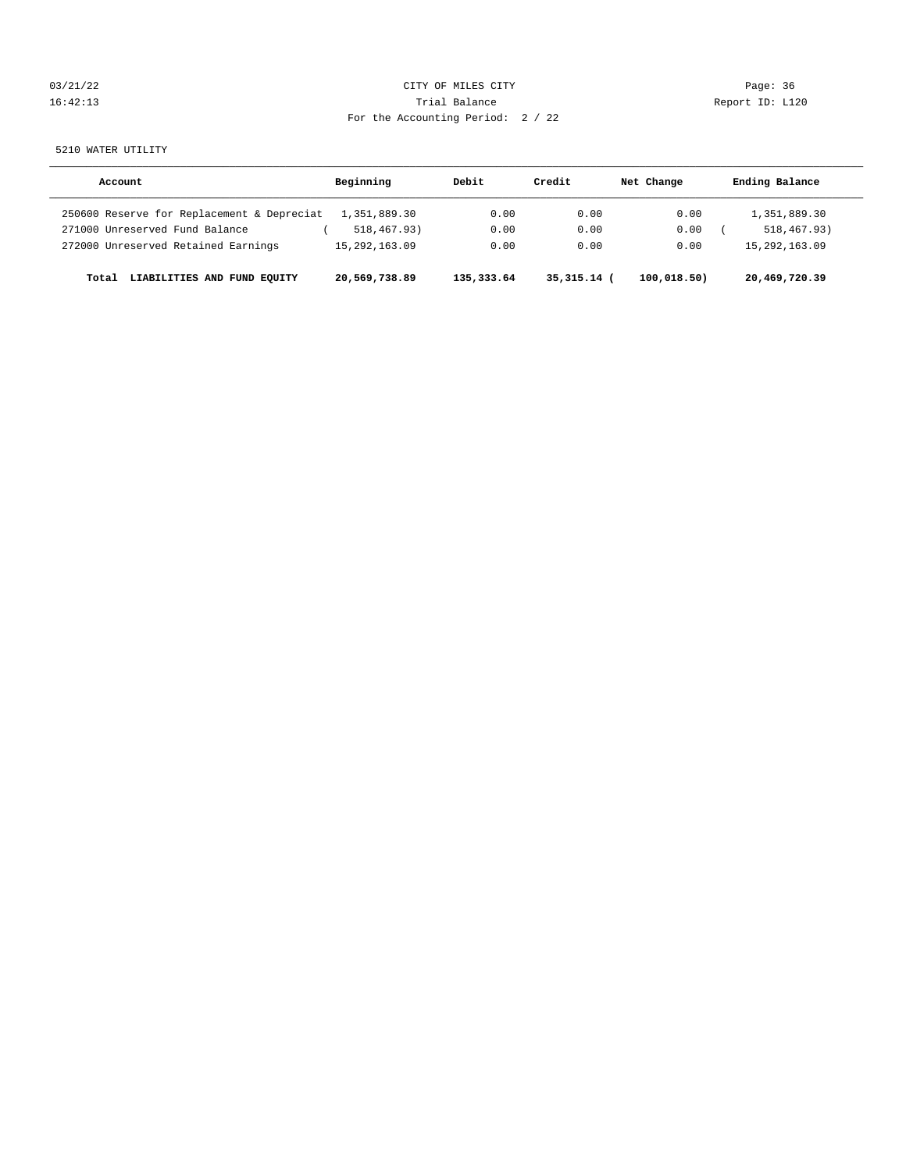| 03/21/22 | CITY OF MILES CITY                | Page: 36        |
|----------|-----------------------------------|-----------------|
| 16:42:13 | Trial Balance                     | Report ID: L120 |
|          | For the Accounting Period: 2 / 22 |                 |

5210 WATER UTILITY

| Account                                    | Beginning        | Debit      | Credit        | Net Change  | Ending Balance   |
|--------------------------------------------|------------------|------------|---------------|-------------|------------------|
| 250600 Reserve for Replacement & Depreciat | 1,351,889.30     | 0.00       | 0.00          | 0.00        | 1,351,889.30     |
| 271000 Unreserved Fund Balance             | 518,467.93)      | 0.00       | 0.00          | 0.00        | 518, 467, 93)    |
| 272000 Unreserved Retained Earnings        | 15, 292, 163, 09 | 0.00       | 0.00          | 0.00        | 15, 292, 163, 09 |
| LIABILITIES AND FUND EQUITY<br>Total       | 20,569,738.89    | 135,333.64 | $35,315.14$ ( | 100,018.50) | 20,469,720.39    |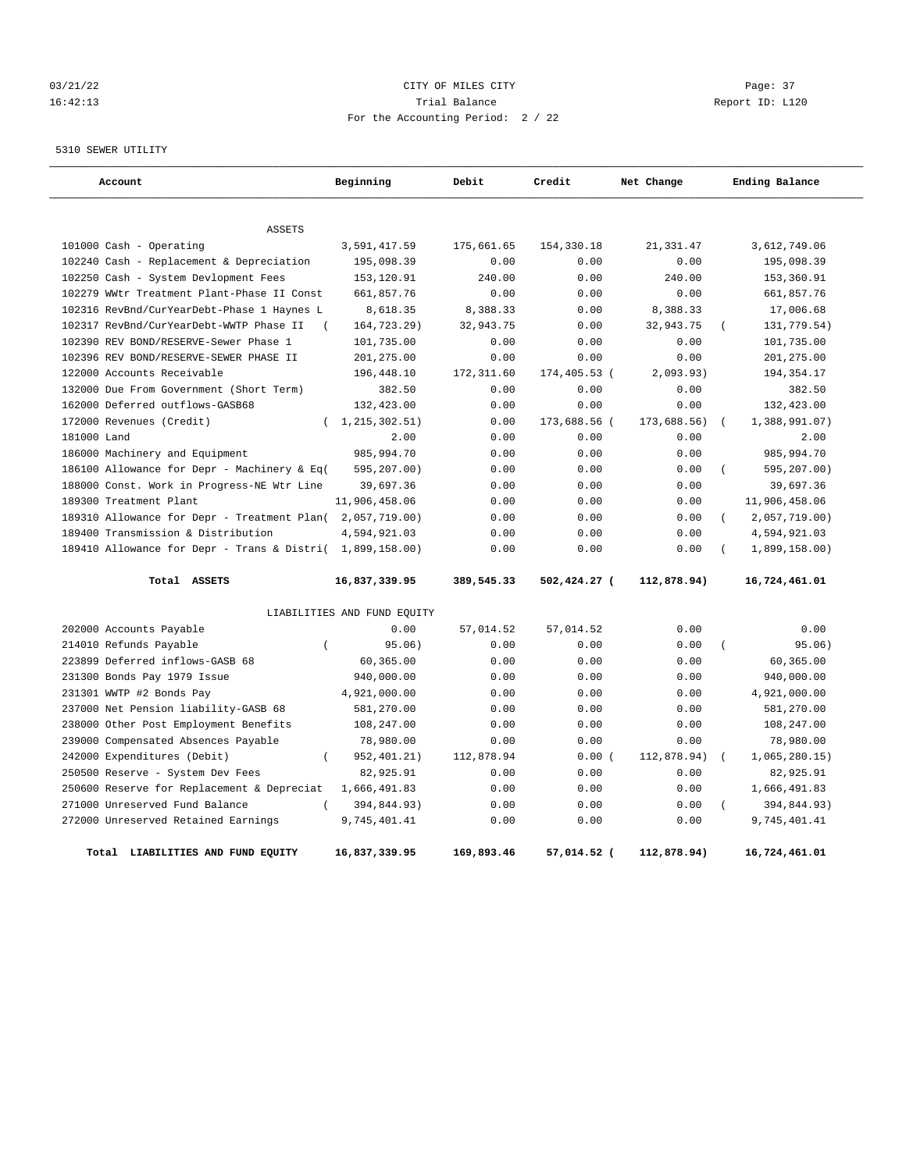## 03/21/22 Page: 37 16:42:13 Trial Balance Report ID: L120 For the Accounting Period: 2 / 22

5310 SEWER UTILITY

| Account                                                   | Beginning                   | Debit       | Credit       | Net Change  | Ending Balance            |
|-----------------------------------------------------------|-----------------------------|-------------|--------------|-------------|---------------------------|
|                                                           |                             |             |              |             |                           |
| <b>ASSETS</b>                                             |                             |             |              |             |                           |
| 101000 Cash - Operating                                   | 3,591,417.59                | 175,661.65  | 154,330.18   | 21, 331.47  | 3,612,749.06              |
| 102240 Cash - Replacement & Depreciation                  | 195,098.39                  | 0.00        | 0.00         | 0.00        | 195,098.39                |
| 102250 Cash - System Devlopment Fees                      | 153,120.91                  | 240.00      | 0.00         | 240.00      | 153,360.91                |
| 102279 WWtr Treatment Plant-Phase II Const                | 661,857.76                  | 0.00        | 0.00         | 0.00        | 661,857.76                |
| 102316 RevBnd/CurYearDebt-Phase 1 Haynes L                | 8,618.35                    | 8,388.33    | 0.00         | 8,388.33    | 17,006.68                 |
| 102317 RevBnd/CurYearDebt-WWTP Phase II                   | 164,723.29)                 | 32,943.75   | 0.00         | 32,943.75   | 131,779.54)<br>$\left($   |
| 102390 REV BOND/RESERVE-Sewer Phase 1                     | 101,735.00                  | 0.00        | 0.00         | 0.00        | 101,735.00                |
| 102396 REV BOND/RESERVE-SEWER PHASE II                    | 201,275.00                  | 0.00        | 0.00         | 0.00        | 201,275.00                |
| 122000 Accounts Receivable                                | 196,448.10                  | 172, 311.60 | 174,405.53 ( | 2,093.93)   | 194, 354. 17              |
| 132000 Due From Government (Short Term)                   | 382.50                      | 0.00        | 0.00         | 0.00        | 382.50                    |
| 162000 Deferred outflows-GASB68                           | 132,423.00                  | 0.00        | 0.00         | 0.00        | 132,423.00                |
| 172000 Revenues (Credit)                                  | 1,215,302.51)               | 0.00        | 173,688.56 ( | 173,688.56) | 1,388,991.07)<br>$\left($ |
| 181000 Land                                               | 2.00                        | 0.00        | 0.00         | 0.00        | 2.00                      |
| 186000 Machinery and Equipment                            | 985,994.70                  | 0.00        | 0.00         | 0.00        | 985,994.70                |
| 186100 Allowance for Depr - Machinery & Eq(               | 595,207.00)                 | 0.00        | 0.00         | 0.00        | 595,207.00)<br>$\left($   |
| 188000 Const. Work in Progress-NE Wtr Line                | 39,697.36                   | 0.00        | 0.00         | 0.00        | 39,697.36                 |
| 189300 Treatment Plant                                    | 11,906,458.06               | 0.00        | 0.00         | 0.00        | 11,906,458.06             |
| 189310 Allowance for Depr - Treatment Plan(2,057,719.00)  |                             | 0.00        | 0.00         | 0.00        | 2,057,719.00)<br>$\left($ |
| 189400 Transmission & Distribution                        | 4,594,921.03                | 0.00        | 0.00         | 0.00        | 4,594,921.03              |
| 189410 Allowance for Depr - Trans & Distri( 1,899,158.00) |                             | 0.00        | 0.00         | 0.00        | 1,899,158.00)             |
| Total ASSETS                                              | 16,837,339.95               | 389,545.33  | 502,424.27 ( | 112,878.94) | 16,724,461.01             |
|                                                           | LIABILITIES AND FUND EQUITY |             |              |             |                           |
| 202000 Accounts Payable                                   | 0.00                        | 57,014.52   | 57,014.52    | 0.00        | 0.00                      |
| 214010 Refunds Payable<br>$\overline{ }$                  | 95.06)                      | 0.00        | 0.00         | 0.00        | 95.06)<br>$\left($        |
| 223899 Deferred inflows-GASB 68                           | 60,365.00                   | 0.00        | 0.00         | 0.00        | 60,365.00                 |
| 231300 Bonds Pay 1979 Issue                               | 940,000.00                  | 0.00        | 0.00         | 0.00        | 940,000.00                |
| 231301 WWTP #2 Bonds Pay                                  | 4,921,000.00                | 0.00        | 0.00         | 0.00        | 4,921,000.00              |
| 237000 Net Pension liability-GASB 68                      | 581,270.00                  | 0.00        | 0.00         | 0.00        | 581,270.00                |
| 238000 Other Post Employment Benefits                     | 108,247.00                  | 0.00        | 0.00         | 0.00        | 108,247.00                |
| 239000 Compensated Absences Payable                       | 78,980.00                   | 0.00        | 0.00         | 0.00        | 78,980.00                 |
| 242000 Expenditures (Debit)                               | 952, 401.21)                | 112,878.94  | 0.00(        | 112,878.94) | 1,065,280.15              |
| 250500 Reserve - System Dev Fees                          | 82,925.91                   | 0.00        | 0.00         | 0.00        | 82,925.91                 |
| 250600 Reserve for Replacement & Depreciat                | 1,666,491.83                | 0.00        | 0.00         | 0.00        | 1,666,491.83              |
| 271000 Unreserved Fund Balance<br>$\left($                | 394,844.93)                 | 0.00        | 0.00         | 0.00        | $\left($<br>394,844.93)   |
| 272000 Unreserved Retained Earnings                       | 9,745,401.41                | 0.00        | 0.00         | 0.00        | 9,745,401.41              |
| Total LIABILITIES AND FUND EQUITY                         | 16,837,339.95               | 169,893.46  | 57,014.52 (  | 112,878.94) | 16,724,461.01             |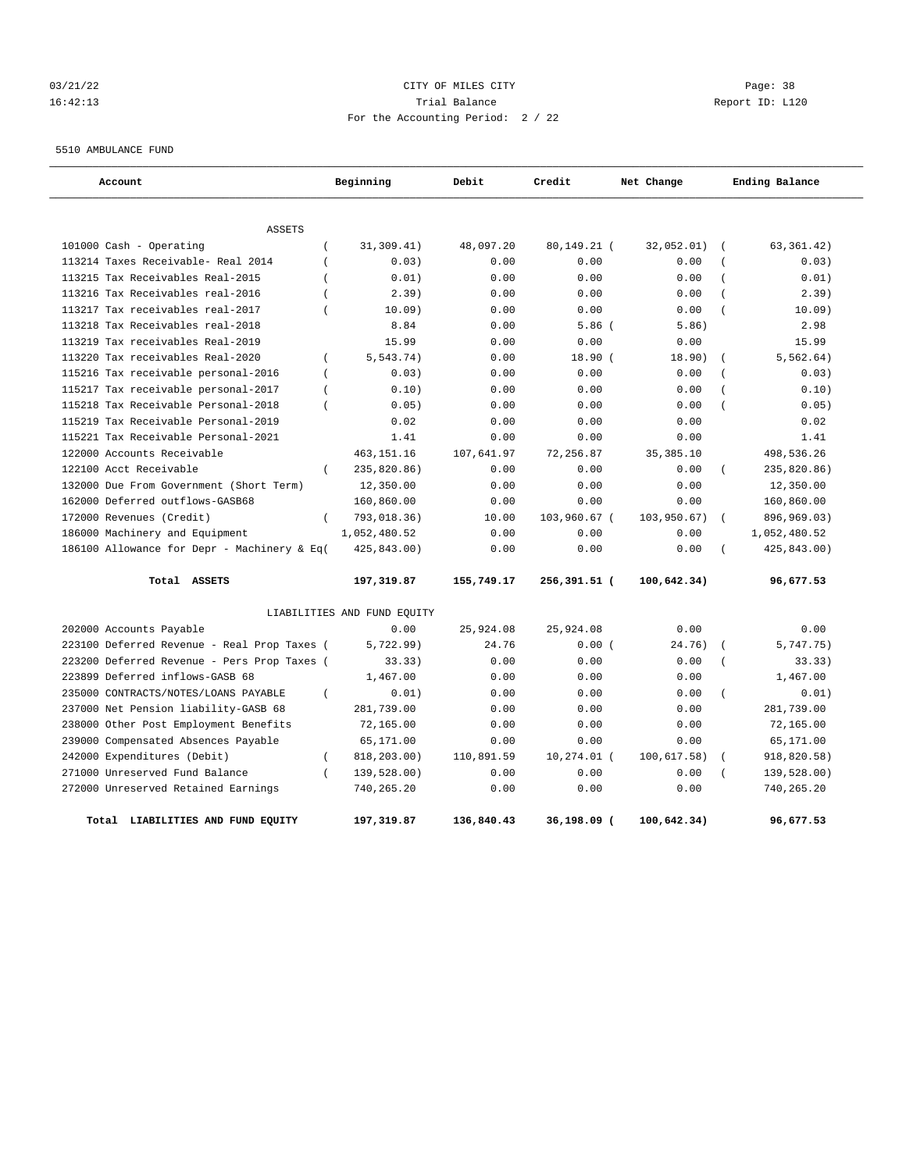## 03/21/22 Page: 38 16:42:13 Trial Balance Report ID: L120 For the Accounting Period: 2 / 22

5510 AMBULANCE FUND

| Account                                     | Beginning                    | Debit      | Credit       | Net Change  | Ending Balance               |
|---------------------------------------------|------------------------------|------------|--------------|-------------|------------------------------|
| <b>ASSETS</b>                               |                              |            |              |             |                              |
| 101000 Cash - Operating                     | 31,309.41)<br>$\overline{ }$ | 48,097.20  | 80,149.21 (  | 32,052.01)  | 63,361.42)                   |
| 113214 Taxes Receivable- Real 2014          | 0.03)                        | 0.00       | 0.00         | 0.00        | 0.03)                        |
| 113215 Tax Receivables Real-2015            | 0.01)                        | 0.00       | 0.00         | 0.00        | 0.01)<br>$\overline{ }$      |
| 113216 Tax Receivables real-2016            | 2.39)                        | 0.00       | 0.00         | 0.00        | 2.39)<br>$\overline{(\ }$    |
| 113217 Tax receivables real-2017            | 10.09)                       | 0.00       | 0.00         | 0.00        | 10.09)                       |
| 113218 Tax Receivables real-2018            | 8.84                         | 0.00       | 5.86(        | 5.86)       | 2.98                         |
| 113219 Tax receivables Real-2019            | 15.99                        | 0.00       | 0.00         | 0.00        | 15.99                        |
| 113220 Tax receivables Real-2020            | 5, 543.74)<br>$\left($       | 0.00       | 18.90(       | 18.90)      | 5, 562.64)<br>$\overline{ }$ |
| 115216 Tax receivable personal-2016         | 0.03)<br>$\left($            | 0.00       | 0.00         | 0.00        | 0.03)                        |
| 115217 Tax receivable personal-2017         | $\overline{ }$<br>0.10)      | 0.00       | 0.00         | 0.00        | 0.10)                        |
| 115218 Tax Receivable Personal-2018         | $\overline{ }$<br>0.05)      | 0.00       | 0.00         | 0.00        | 0.05)<br>$\overline{(\ }$    |
| 115219 Tax Receivable Personal-2019         | 0.02                         | 0.00       | 0.00         | 0.00        | 0.02                         |
| 115221 Tax Receivable Personal-2021         | 1.41                         | 0.00       | 0.00         | 0.00        | 1.41                         |
| 122000 Accounts Receivable                  | 463, 151. 16                 | 107,641.97 | 72,256.87    | 35, 385.10  | 498,536.26                   |
| 122100 Acct Receivable                      | $\left($<br>235,820.86)      | 0.00       | 0.00         | 0.00        | 235,820.86)                  |
| 132000 Due From Government (Short Term)     | 12,350.00                    | 0.00       | 0.00         | 0.00        | 12,350.00                    |
| 162000 Deferred outflows-GASB68             | 160,860.00                   | 0.00       | 0.00         | 0.00        | 160,860.00                   |
| 172000 Revenues (Credit)                    | 793,018.36)<br>$\left($      | 10.00      | 103,960.67 ( | 103,950.67) | 896,969.03)<br>$\sqrt{ }$    |
| 186000 Machinery and Equipment              | 1,052,480.52                 | 0.00       | 0.00         | 0.00        | 1,052,480.52                 |
| 186100 Allowance for Depr - Machinery & Eq( | 425,843.00)                  | 0.00       | 0.00         | 0.00        | 425,843.00)                  |
| Total ASSETS                                | 197,319.87                   | 155,749.17 | 256,391.51 ( | 100,642.34) | 96,677.53                    |
|                                             | LIABILITIES AND FUND EQUITY  |            |              |             |                              |
| 202000 Accounts Payable                     | 0.00                         | 25,924.08  | 25,924.08    | 0.00        | 0.00                         |
| 223100 Deferred Revenue - Real Prop Taxes ( | 5,722.99)                    | 24.76      | 0.00(        | 24.76)      | 5,747.75)                    |
| 223200 Deferred Revenue - Pers Prop Taxes ( | 33.33)                       | 0.00       | 0.00         | 0.00        | 33.33)                       |
| 223899 Deferred inflows-GASB 68             | 1,467.00                     | 0.00       | 0.00         | 0.00        | 1,467.00                     |
| 235000 CONTRACTS/NOTES/LOANS PAYABLE        | $\overline{(\ }$<br>0.01)    | 0.00       | 0.00         | 0.00        | $\overline{(\ }$<br>0.01)    |
| 237000 Net Pension liability-GASB 68        | 281,739.00                   | 0.00       | 0.00         | 0.00        | 281,739.00                   |
| 238000 Other Post Employment Benefits       | 72,165.00                    | 0.00       | 0.00         | 0.00        | 72,165.00                    |
| 239000 Compensated Absences Payable         | 65,171.00                    | 0.00       | 0.00         | 0.00        | 65,171.00                    |
| 242000 Expenditures (Debit)                 | 818,203.00)<br>$\left($      | 110,891.59 | 10,274.01 (  | 100,617.58) | 918,820.58)                  |
| 271000 Unreserved Fund Balance              | $\left($<br>139,528.00)      | 0.00       | 0.00         | 0.00        | 139,528.00)                  |
| 272000 Unreserved Retained Earnings         | 740,265.20                   | 0.00       | 0.00         | 0.00        | 740,265.20                   |
| LIABILITIES AND FUND EOUITY<br>Total        | 197,319.87                   | 136,840.43 | 36,198.09 (  | 100.642.34) | 96,677.53                    |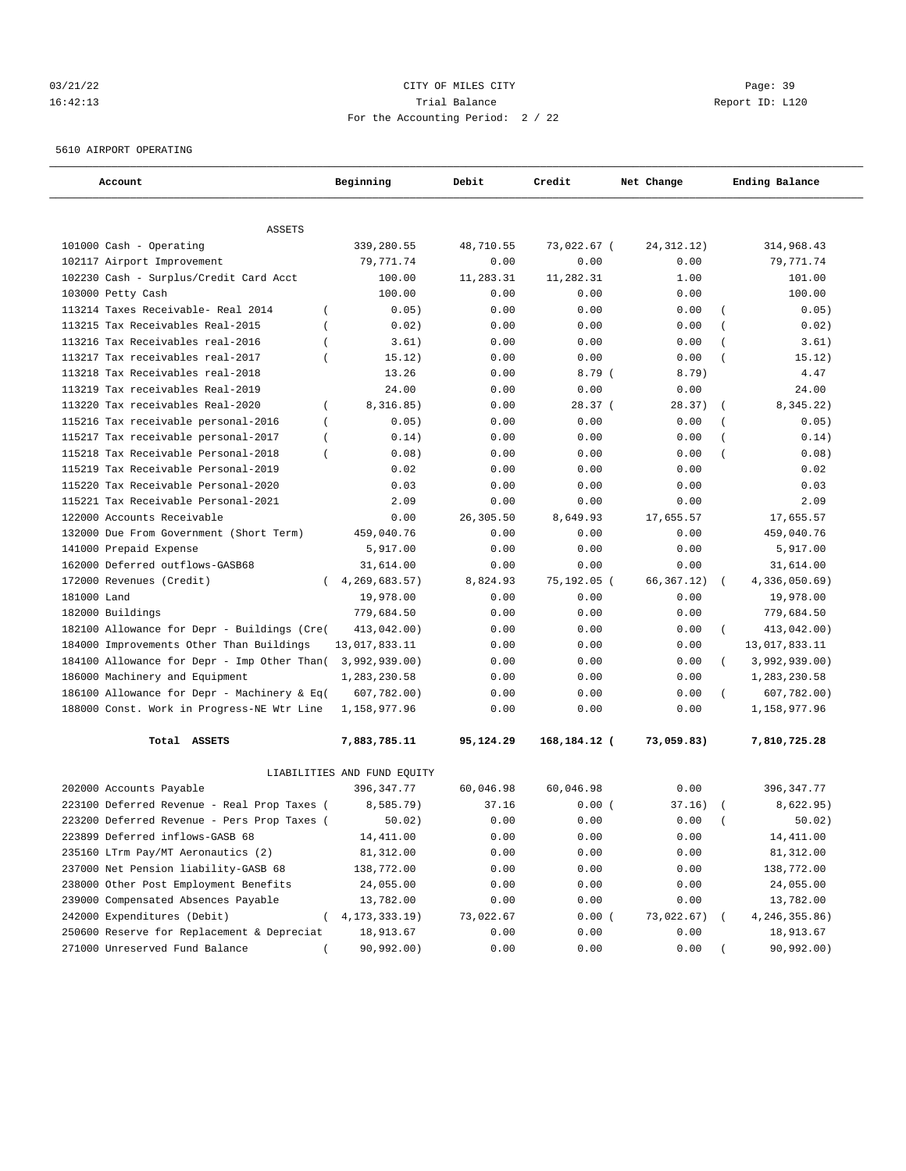## 03/21/22 Page: 39 16:42:13 Trial Balance Report ID: L120 For the Accounting Period: 2 / 22

5610 AIRPORT OPERATING

| Account                                               | Beginning                   | Debit     | Credit       | Net Change   | Ending Balance              |  |
|-------------------------------------------------------|-----------------------------|-----------|--------------|--------------|-----------------------------|--|
| <b>ASSETS</b>                                         |                             |           |              |              |                             |  |
| 101000 Cash - Operating                               | 339,280.55                  | 48,710.55 | 73,022.67 (  | 24, 312. 12) | 314,968.43                  |  |
| 102117 Airport Improvement                            | 79,771.74                   | 0.00      | 0.00         | 0.00         | 79,771.74                   |  |
| 102230 Cash - Surplus/Credit Card Acct                | 100.00                      | 11,283.31 | 11,282.31    | 1.00         | 101.00                      |  |
| 103000 Petty Cash                                     | 100.00                      | 0.00      | 0.00         | 0.00         | 100.00                      |  |
| 113214 Taxes Receivable- Real 2014<br>$\overline{ }$  | 0.05)                       | 0.00      | 0.00         | 0.00         | 0.05)                       |  |
| 113215 Tax Receivables Real-2015                      | 0.02)                       | 0.00      | 0.00         | 0.00         | 0.02)                       |  |
| 113216 Tax Receivables real-2016                      | 3.61)                       | 0.00      | 0.00         | 0.00         | 3.61)                       |  |
| 113217 Tax receivables real-2017<br>$\overline{ }$    | 15.12)                      | 0.00      | 0.00         | 0.00         | 15.12)                      |  |
| 113218 Tax Receivables real-2018                      | 13.26                       | 0.00      | 8.79(        | 8.79)        | 4.47                        |  |
| 113219 Tax receivables Real-2019                      | 24.00                       | 0.00      | 0.00         | 0.00         | 24.00                       |  |
| 113220 Tax receivables Real-2020<br>$\left($          | 8,316.85)                   | 0.00      | 28.37(       | 28.37)       | 8, 345.22)                  |  |
| 115216 Tax receivable personal-2016<br>$\overline{ }$ | 0.05)                       | 0.00      | 0.00         | 0.00         | 0.05)                       |  |
| 115217 Tax receivable personal-2017<br>$\left($       | 0.14)                       | 0.00      | 0.00         | 0.00         | 0.14)<br>$\left($           |  |
| 115218 Tax Receivable Personal-2018<br>$\left($       | 0.08)                       | 0.00      | 0.00         | 0.00         | 0.08)<br>$\overline{(\ }$   |  |
| 115219 Tax Receivable Personal-2019                   | 0.02                        | 0.00      | 0.00         | 0.00         | 0.02                        |  |
| 115220 Tax Receivable Personal-2020                   | 0.03                        | 0.00      | 0.00         | 0.00         | 0.03                        |  |
| 115221 Tax Receivable Personal-2021                   | 2.09                        | 0.00      | 0.00         | 0.00         | 2.09                        |  |
| 122000 Accounts Receivable                            | 0.00                        | 26,305.50 | 8,649.93     | 17,655.57    | 17,655.57                   |  |
| 132000 Due From Government (Short Term)               | 459,040.76                  | 0.00      | 0.00         | 0.00         | 459,040.76                  |  |
| 141000 Prepaid Expense                                | 5,917.00                    | 0.00      | 0.00         | 0.00         | 5,917.00                    |  |
| 162000 Deferred outflows-GASB68                       | 31,614.00                   | 0.00      | 0.00         | 0.00         | 31,614.00                   |  |
| 172000 Revenues (Credit)                              | 4, 269, 683.57)             | 8,824.93  | 75,192.05 (  | 66,367.12)   | 4,336,050.69)<br>$\sqrt{2}$ |  |
| 181000 Land                                           | 19,978.00                   | 0.00      | 0.00         | 0.00         | 19,978.00                   |  |
| 182000 Buildings                                      | 779,684.50                  | 0.00      | 0.00         | 0.00         | 779,684.50                  |  |
| 182100 Allowance for Depr - Buildings (Cre(           | 413,042.00)                 | 0.00      | 0.00         | 0.00         | 413,042.00)<br>$\left($     |  |
| 184000 Improvements Other Than Buildings              | 13,017,833.11               | 0.00      | 0.00         | 0.00         | 13,017,833.11               |  |
| 184100 Allowance for Depr - Imp Other Than(           | 3,992,939.00)               | 0.00      | 0.00         | 0.00         | 3,992,939.00)<br>$\left($   |  |
| 186000 Machinery and Equipment                        | 1,283,230.58                | 0.00      | 0.00         | 0.00         | 1,283,230.58                |  |
| 186100 Allowance for Depr - Machinery & Eq(           | 607,782.00)                 | 0.00      | 0.00         | 0.00         | 607,782.00)                 |  |
| 188000 Const. Work in Progress-NE Wtr Line            | 1,158,977.96                | 0.00      | 0.00         | 0.00         | 1,158,977.96                |  |
| Total ASSETS                                          | 7,883,785.11                | 95,124.29 | 168,184.12 ( | 73,059.83)   | 7,810,725.28                |  |
|                                                       | LIABILITIES AND FUND EQUITY |           |              |              |                             |  |
| 202000 Accounts Payable                               | 396, 347. 77                | 60,046.98 | 60,046.98    | 0.00         | 396, 347.77                 |  |
| 223100 Deferred Revenue - Real Prop Taxes (           | 8,585.79)                   | 37.16     | 0.00(        | 37.16)       | 8,622.95)                   |  |
| 223200 Deferred Revenue - Pers Prop Taxes             | 50.02                       | 0.00      | 0.00         | 0.00         | 50.02)                      |  |
| 223899 Deferred inflows-GASB 68                       | 14,411.00                   | 0.00      | 0.00         | 0.00         | 14,411.00                   |  |
| 235160 LTrm Pay/MT Aeronautics (2)                    | 81,312.00                   | 0.00      | 0.00         | 0.00         | 81,312.00                   |  |
| 237000 Net Pension liability-GASB 68                  | 138,772.00                  | 0.00      | 0.00         | 0.00         | 138,772.00                  |  |
| 238000 Other Post Employment Benefits                 | 24,055.00                   | 0.00      | 0.00         | 0.00         | 24,055.00                   |  |
| 239000 Compensated Absences Payable                   | 13,782.00                   | 0.00      | 0.00         | 0.00         | 13,782.00                   |  |
| 242000 Expenditures (Debit)<br>$\left($               | 4, 173, 333. 19)            | 73,022.67 | 0.00(        | 73,022.67)   | 4,246,355.86)               |  |
| 250600 Reserve for Replacement & Depreciat            | 18,913.67                   | 0.00      | 0.00         | 0.00         | 18,913.67                   |  |
| 271000 Unreserved Fund Balance                        | 90,992.00)                  | 0.00      | 0.00         | 0.00         | 90,992.00)                  |  |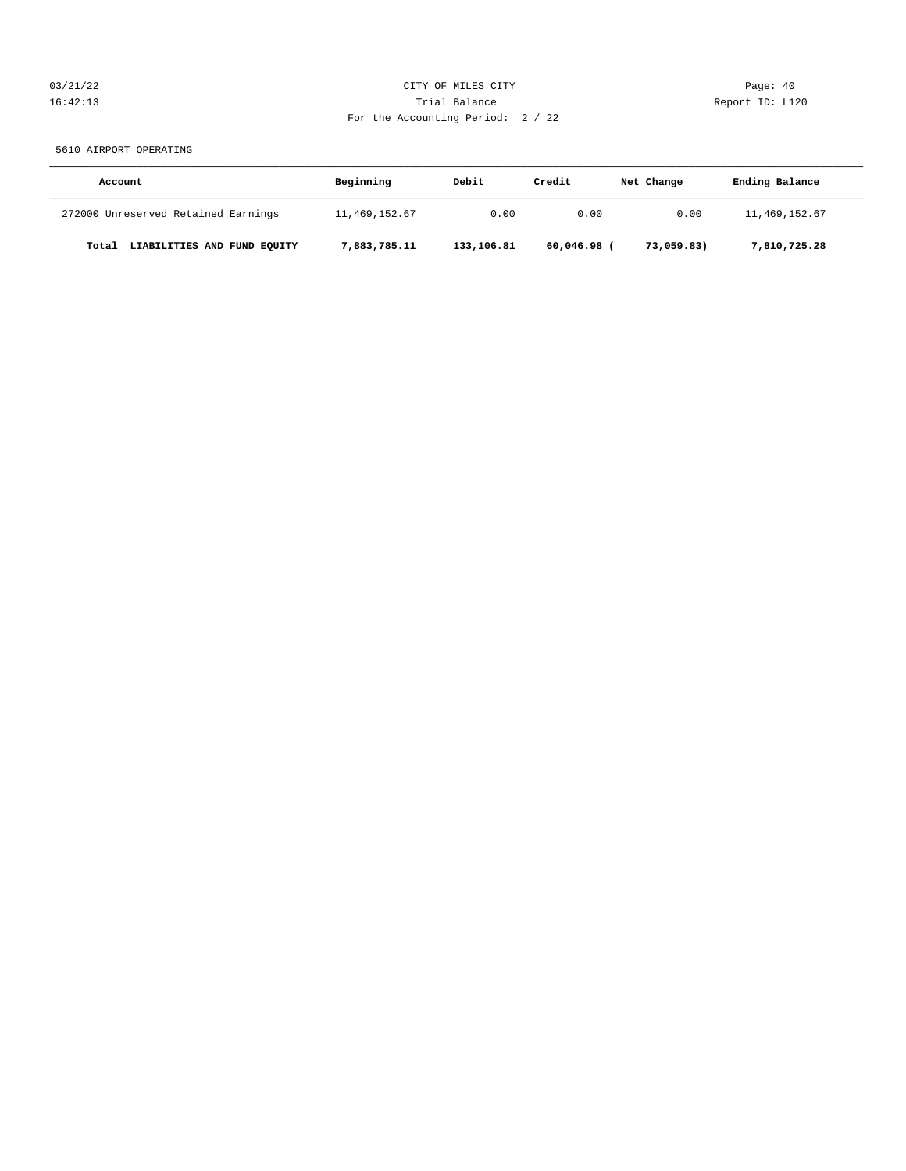## 03/21/22 Page: 40 16:42:13 Trial Balance Report ID: L120 For the Accounting Period: 2 / 22

5610 AIRPORT OPERATING

| Account                              | Beginning     | Debit      | Credit      | Net Change | Ending Balance |
|--------------------------------------|---------------|------------|-------------|------------|----------------|
| 272000 Unreserved Retained Earnings  | 11,469,152.67 | 0.00       | 0.00        | 0.00       | 11,469,152.67  |
| LIABILITIES AND FUND EQUITY<br>Total | 7,883,785.11  | 133,106.81 | 60,046.98 ( | 73,059.83) | 7,810,725.28   |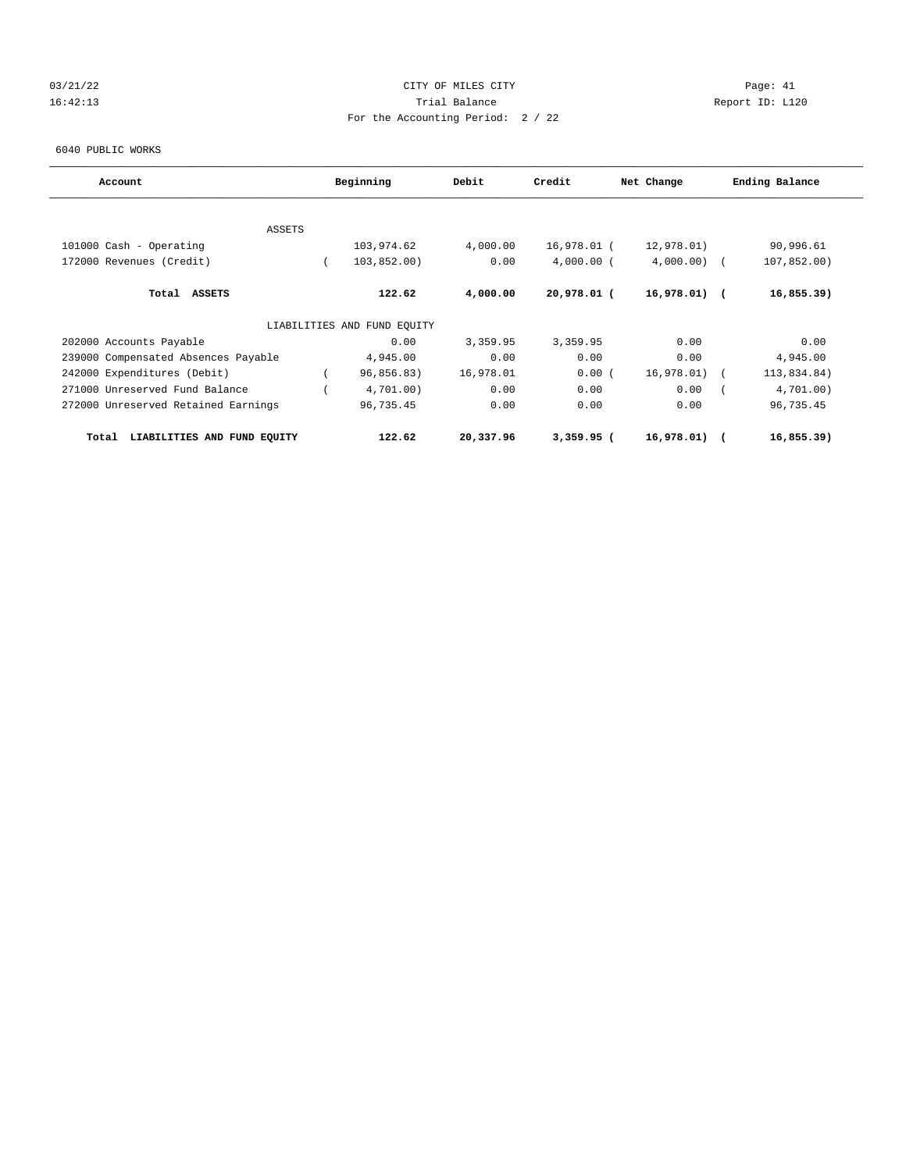## 03/21/22 Page: 41 16:42:13 Trial Balance Report ID: L120 For the Accounting Period: 2 / 22

6040 PUBLIC WORKS

| Account                              | Beginning                   | Debit     | Credit       | Net Change    | Ending Balance |
|--------------------------------------|-----------------------------|-----------|--------------|---------------|----------------|
|                                      |                             |           |              |               |                |
| <b>ASSETS</b>                        |                             |           |              |               |                |
| 101000 Cash - Operating              | 103,974.62                  | 4,000.00  | 16,978.01 (  | 12,978.01)    | 90,996.61      |
| 172000 Revenues (Credit)             | 103,852.00)                 | 0.00      | $4,000.00$ ( | 4,000.00)     | 107,852.00)    |
| Total ASSETS                         | 122.62                      | 4,000.00  | 20,978.01 (  | $16,978.01$ ( | 16,855.39)     |
|                                      | LIABILITIES AND FUND EQUITY |           |              |               |                |
| 202000 Accounts Payable              | 0.00                        | 3,359.95  | 3,359.95     | 0.00          | 0.00           |
| 239000 Compensated Absences Payable  | 4,945.00                    | 0.00      | 0.00         | 0.00          | 4,945.00       |
| 242000 Expenditures (Debit)          | 96,856.83)                  | 16,978.01 | 0.00(        | 16,978.01)    | 113,834.84)    |
| 271000 Unreserved Fund Balance       | 4,701.00)                   | 0.00      | 0.00         | 0.00          | 4,701.00)      |
| 272000 Unreserved Retained Earnings  | 96,735.45                   | 0.00      | 0.00         | 0.00          | 96,735.45      |
| LIABILITIES AND FUND EQUITY<br>Total | 122.62                      | 20,337.96 | $3,359.95$ ( | 16,978.01) (  | 16,855.39)     |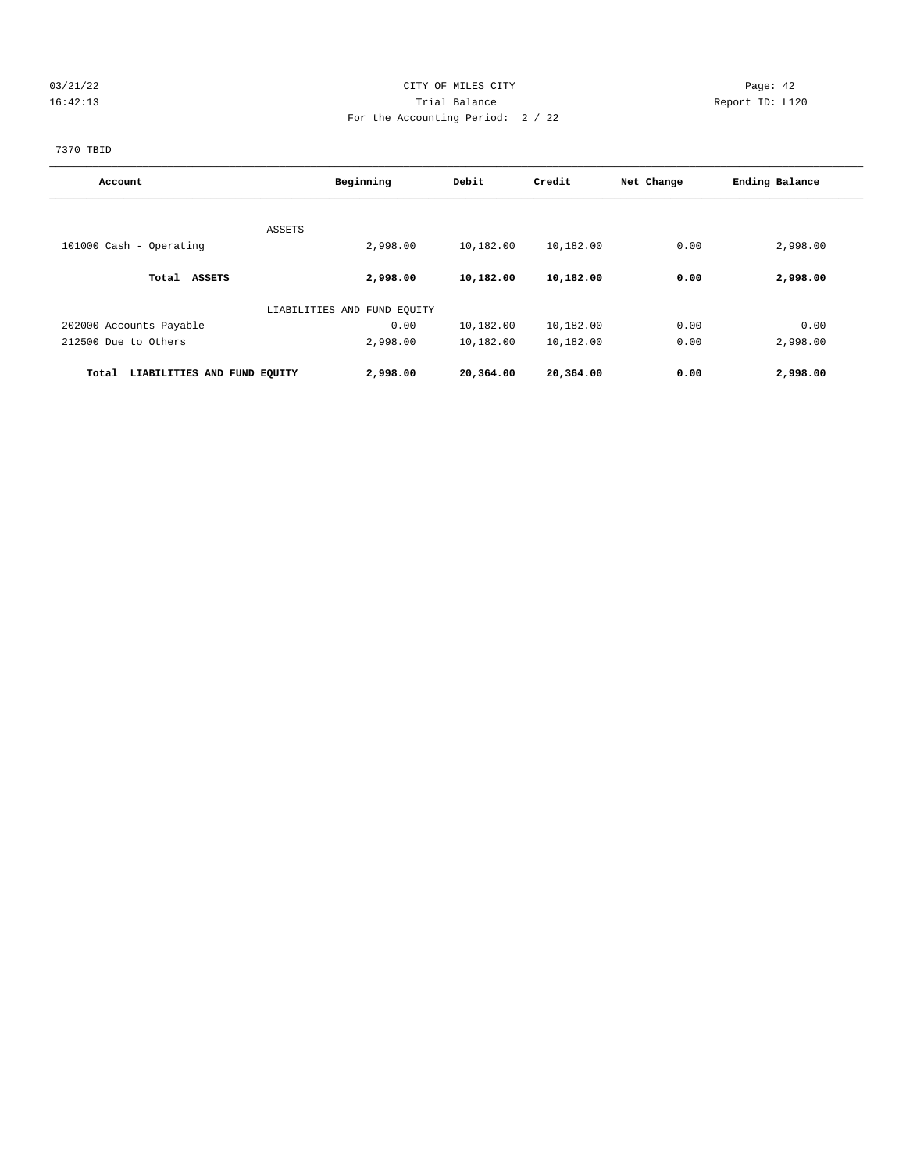## 03/21/22 Page: 42 16:42:13 Trial Balance Report ID: L120 For the Accounting Period: 2 / 22

7370 TBID

| Account                              | Beginning                   | Debit     | Credit    | Net Change | Ending Balance |  |
|--------------------------------------|-----------------------------|-----------|-----------|------------|----------------|--|
|                                      |                             |           |           |            |                |  |
| ASSETS<br>101000 Cash - Operating    | 2,998.00                    | 10,182.00 | 10,182.00 | 0.00       | 2,998.00       |  |
|                                      |                             |           |           |            |                |  |
| <b>ASSETS</b><br>Total               | 2,998.00                    | 10,182.00 | 10,182.00 | 0.00       | 2,998.00       |  |
|                                      | LIABILITIES AND FUND EQUITY |           |           |            |                |  |
| 202000 Accounts Payable              | 0.00                        | 10,182.00 | 10,182.00 | 0.00       | 0.00           |  |
| 212500 Due to Others                 | 2,998.00                    | 10,182.00 | 10,182.00 | 0.00       | 2,998.00       |  |
| LIABILITIES AND FUND EQUITY<br>Total | 2,998.00                    | 20,364.00 | 20,364.00 | 0.00       | 2,998.00       |  |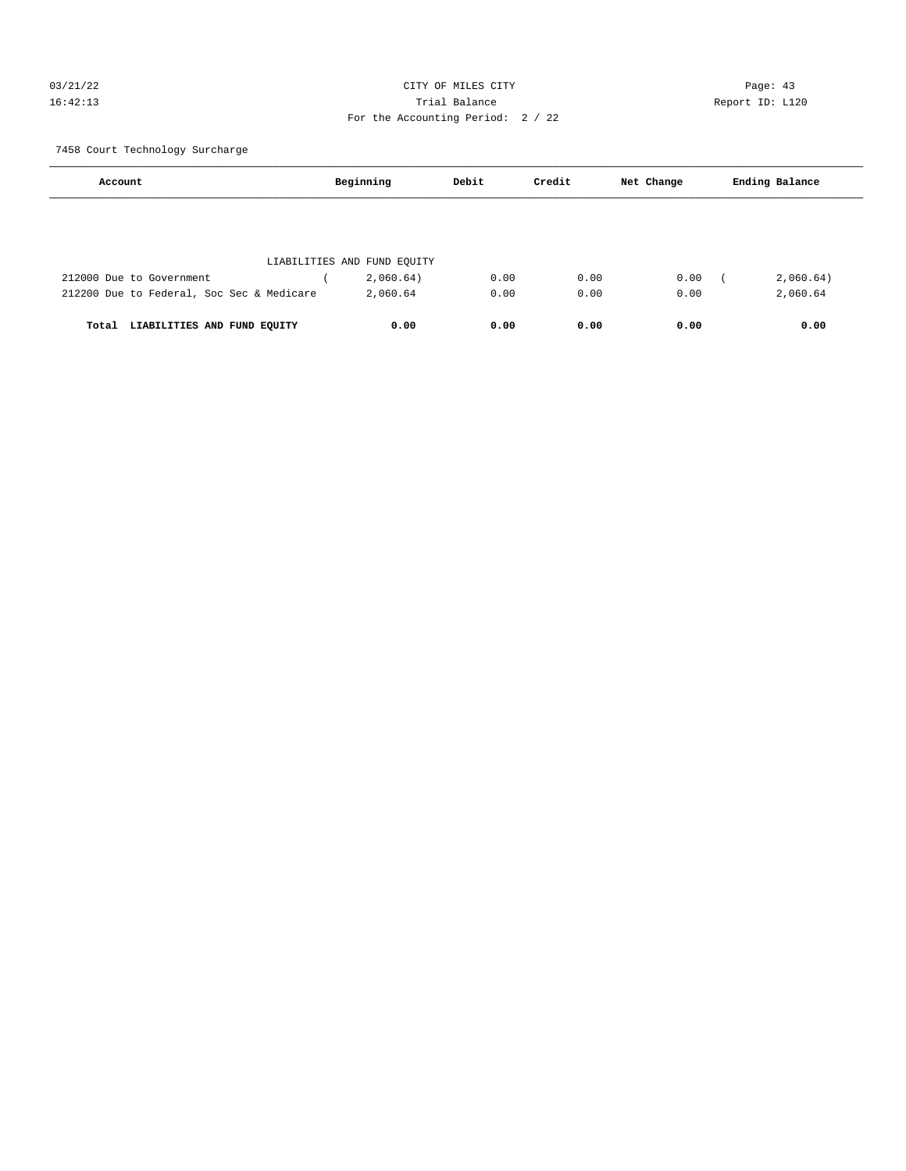## 03/21/22 Page: 43 16:42:13 Trial Balance Report ID: L120 For the Accounting Period: 2 / 22

7458 Court Technology Surcharge

| Account                                   | Beginning                   | Debit | Credit | Net Change | Ending Balance |
|-------------------------------------------|-----------------------------|-------|--------|------------|----------------|
|                                           |                             |       |        |            |                |
|                                           |                             |       |        |            |                |
|                                           | LIABILITIES AND FUND EQUITY |       |        |            |                |
| 212000 Due to Government                  | 2,060.64)                   | 0.00  | 0.00   | 0.00       | 2,060.64)      |
| 212200 Due to Federal, Soc Sec & Medicare | 2,060.64                    | 0.00  | 0.00   | 0.00       | 2,060.64       |
|                                           |                             |       |        |            |                |
| LIABILITIES AND FUND EQUITY<br>Total      | 0.00                        | 0.00  | 0.00   | 0.00       | 0.00           |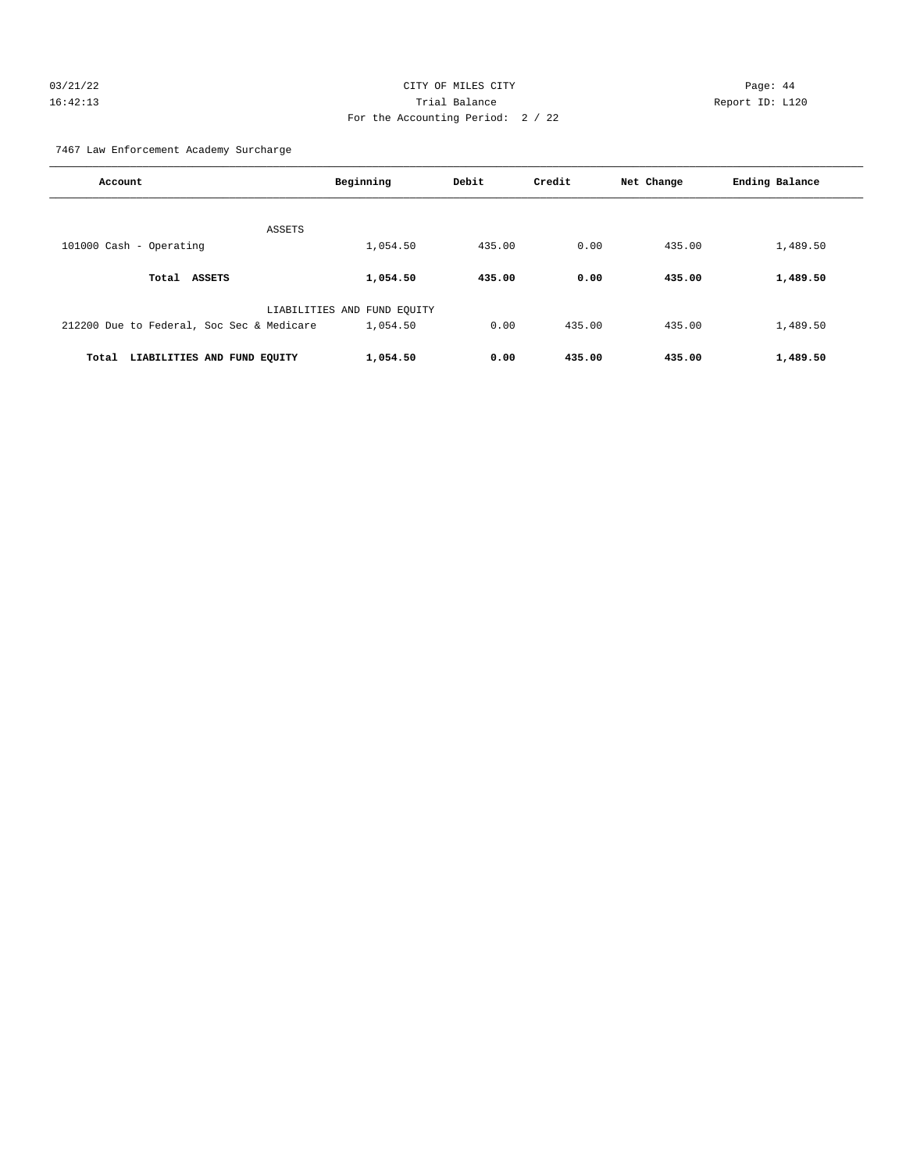## 03/21/22 Page: 44 16:42:13 Trial Balance Report ID: L120 For the Accounting Period: 2 / 22

7467 Law Enforcement Academy Surcharge

| Account                                   | Beginning                   | Debit  | Credit | Net Change | Ending Balance |
|-------------------------------------------|-----------------------------|--------|--------|------------|----------------|
| ASSETS                                    |                             |        |        |            |                |
| 101000 Cash - Operating                   | 1,054.50                    | 435.00 | 0.00   | 435.00     | 1,489.50       |
| Total ASSETS                              | 1,054.50                    | 435.00 | 0.00   | 435.00     | 1,489.50       |
|                                           | LIABILITIES AND FUND EQUITY |        |        |            |                |
| 212200 Due to Federal, Soc Sec & Medicare | 1,054.50                    | 0.00   | 435.00 | 435.00     | 1,489.50       |
| Total<br>LIABILITIES AND FUND EQUITY      | 1,054.50                    | 0.00   | 435.00 | 435.00     | 1,489.50       |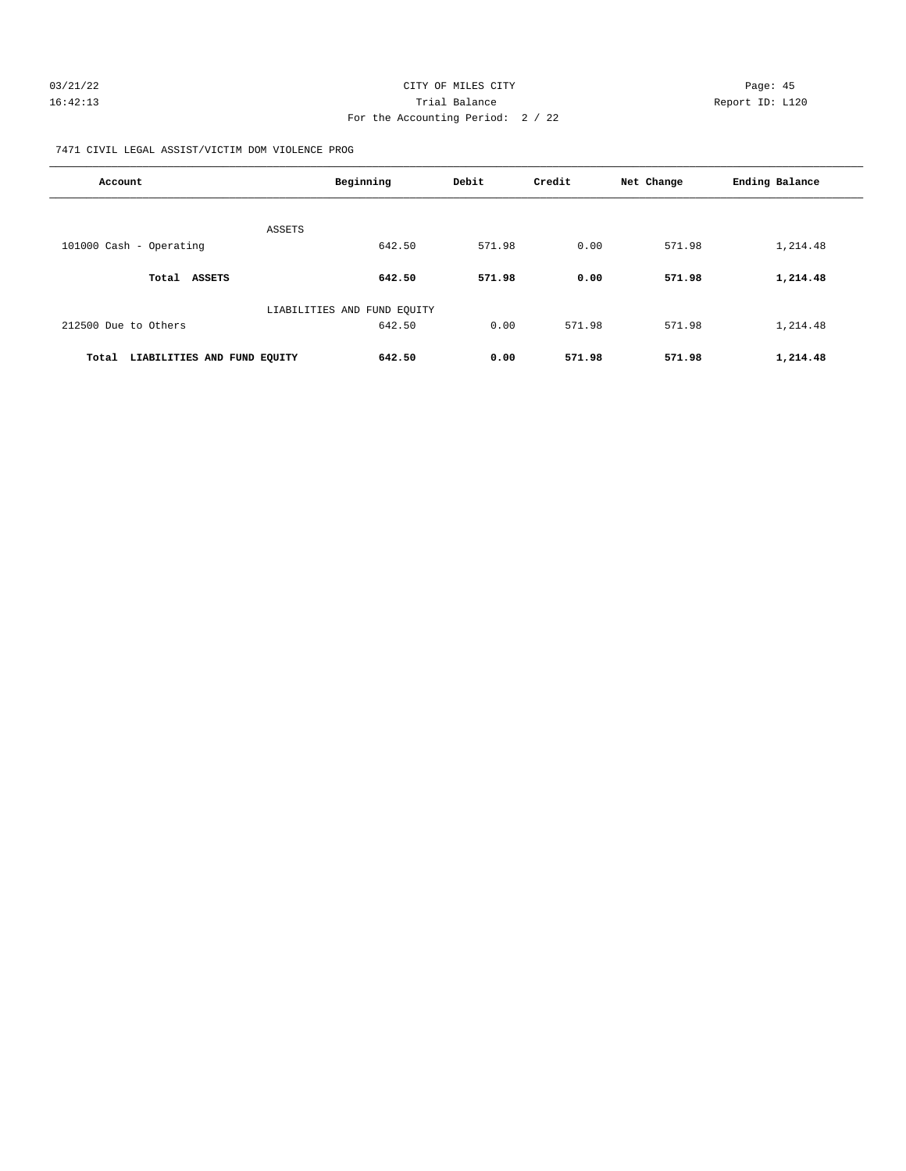| 03/21/22 | CITY OF MILES CITY                | Page: 45        |
|----------|-----------------------------------|-----------------|
| 16:42:13 | Trial Balance                     | Report ID: L120 |
|          | For the Accounting Period: 2 / 22 |                 |

7471 CIVIL LEGAL ASSIST/VICTIM DOM VIOLENCE PROG

| Account                              | Beginning                   | Debit  | Credit | Net Change | Ending Balance |
|--------------------------------------|-----------------------------|--------|--------|------------|----------------|
| ASSETS                               |                             |        |        |            |                |
| 101000 Cash - Operating              | 642.50                      | 571.98 | 0.00   | 571.98     | 1,214.48       |
| Total<br>ASSETS                      | 642.50                      | 571.98 | 0.00   | 571.98     | 1,214.48       |
|                                      | LIABILITIES AND FUND EQUITY |        |        |            |                |
| 212500 Due to Others                 | 642.50                      | 0.00   | 571.98 | 571.98     | 1,214.48       |
| LIABILITIES AND FUND EQUITY<br>Total | 642.50                      | 0.00   | 571.98 | 571.98     | 1,214.48       |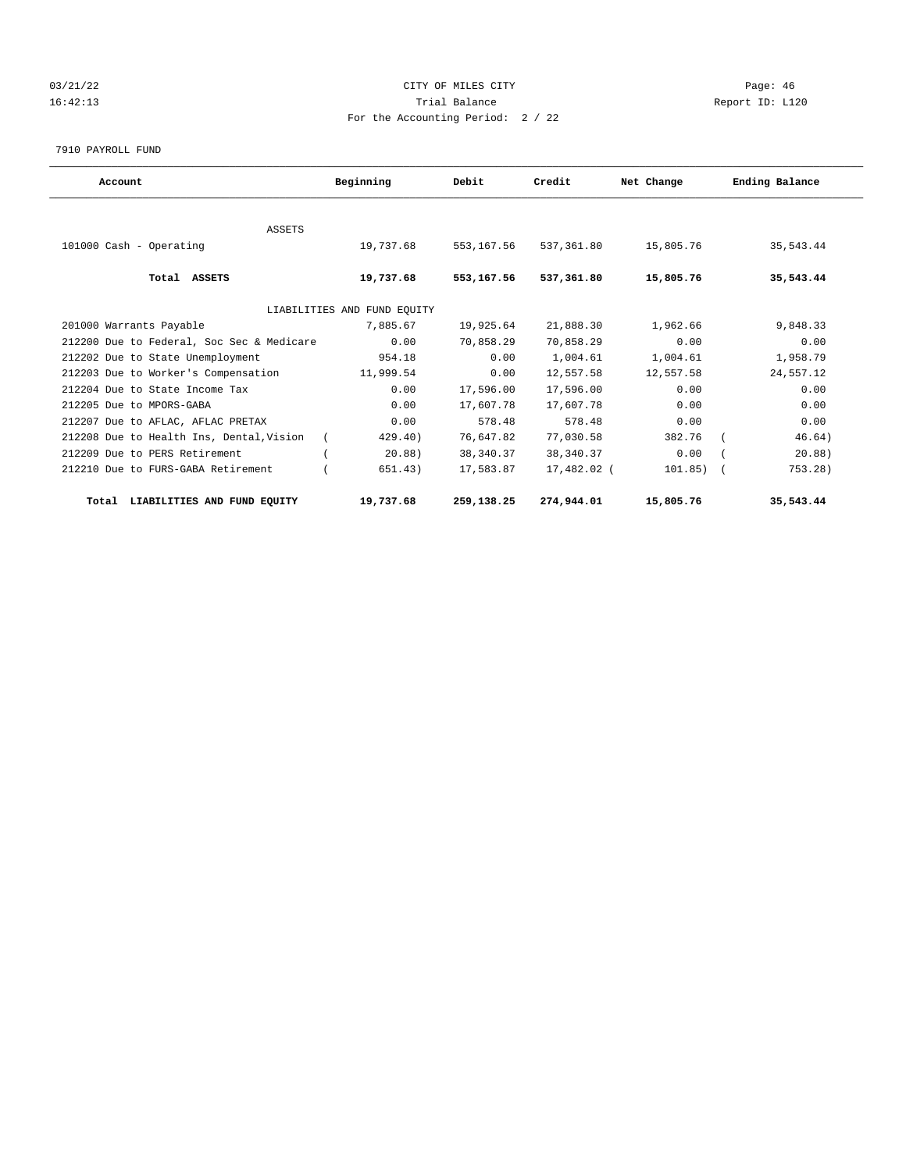## 03/21/22 Page: 46 16:42:13 Trial Balance Report ID: L120 For the Accounting Period: 2 / 22

7910 PAYROLL FUND

| Account                                   | Beginning                   | Debit       | Credit      | Net Change | Ending Balance |
|-------------------------------------------|-----------------------------|-------------|-------------|------------|----------------|
|                                           |                             |             |             |            |                |
| <b>ASSETS</b>                             |                             |             |             |            |                |
| 101000 Cash - Operating                   | 19,737.68                   | 553, 167.56 | 537,361.80  | 15,805.76  | 35,543.44      |
| Total ASSETS                              | 19,737.68                   | 553,167.56  | 537,361.80  | 15,805.76  | 35,543.44      |
|                                           | LIABILITIES AND FUND EQUITY |             |             |            |                |
| 201000 Warrants Payable                   | 7,885.67                    | 19,925.64   | 21,888.30   | 1,962.66   | 9,848.33       |
| 212200 Due to Federal, Soc Sec & Medicare | 0.00                        | 70,858.29   | 70,858.29   | 0.00       | 0.00           |
| 212202 Due to State Unemployment          | 954.18                      | 0.00        | 1,004.61    | 1,004.61   | 1,958.79       |
| 212203 Due to Worker's Compensation       | 11,999.54                   | 0.00        | 12,557.58   | 12,557.58  | 24,557.12      |
| 212204 Due to State Income Tax            | 0.00                        | 17,596.00   | 17,596.00   | 0.00       | 0.00           |
| 212205 Due to MPORS-GABA                  | 0.00                        | 17,607.78   | 17,607.78   | 0.00       | 0.00           |
| 212207 Due to AFLAC, AFLAC PRETAX         | 0.00                        | 578.48      | 578.48      | 0.00       | 0.00           |
| 212208 Due to Health Ins, Dental, Vision  | 429.40)                     | 76,647.82   | 77,030.58   | 382.76     | 46.64)         |
| 212209 Due to PERS Retirement             | 20.88)                      | 38,340.37   | 38, 340. 37 | 0.00       | 20.88)         |
| 212210 Due to FURS-GABA Retirement        | 651.43)                     | 17,583.87   | 17,482.02 ( | 101.85)    | 753.28)        |
| LIABILITIES AND FUND EQUITY<br>Total      | 19,737.68                   | 259,138.25  | 274,944.01  | 15,805.76  | 35,543.44      |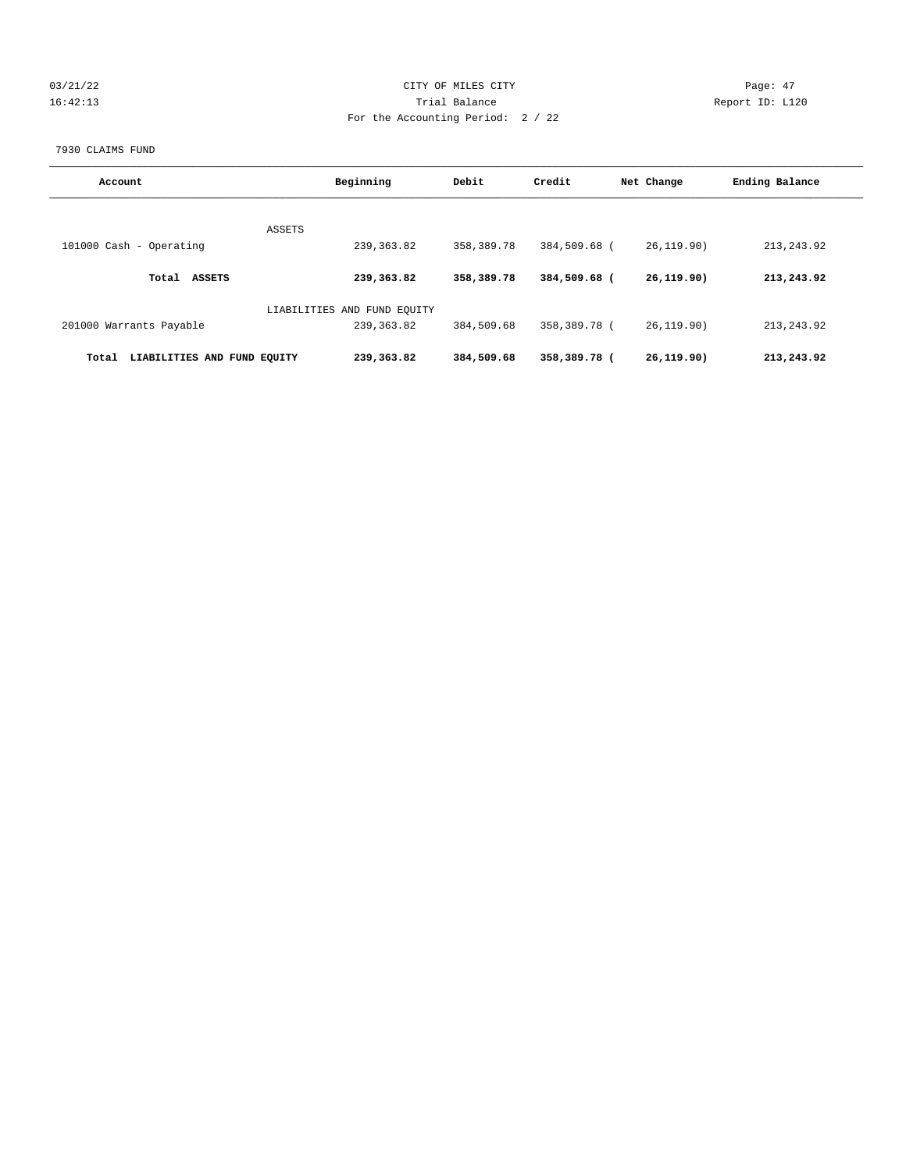## 03/21/22 Page: 47 16:42:13 Trial Balance Report ID: L120 For the Accounting Period: 2 / 22

#### 7930 CLAIMS FUND

| Account                              | Beginning                   | Debit      | Credit       | Net Change   | Ending Balance |
|--------------------------------------|-----------------------------|------------|--------------|--------------|----------------|
|                                      | ASSETS                      |            |              |              |                |
| 101000 Cash - Operating              | 239, 363.82                 | 358,389.78 | 384,509.68 ( | 26, 119.90)  | 213, 243. 92   |
| <b>ASSETS</b><br>Total               | 239,363.82                  | 358,389.78 | 384,509.68 ( | 26, 119, 90) | 213,243.92     |
|                                      | LIABILITIES AND FUND EQUITY |            |              |              |                |
| 201000 Warrants Payable              | 239, 363.82                 | 384,509.68 | 358,389.78 ( | 26.119.90)   | 213, 243.92    |
| LIABILITIES AND FUND EOUITY<br>Total | 239,363.82                  | 384,509.68 | 358,389.78 ( | 26, 119, 90) | 213,243.92     |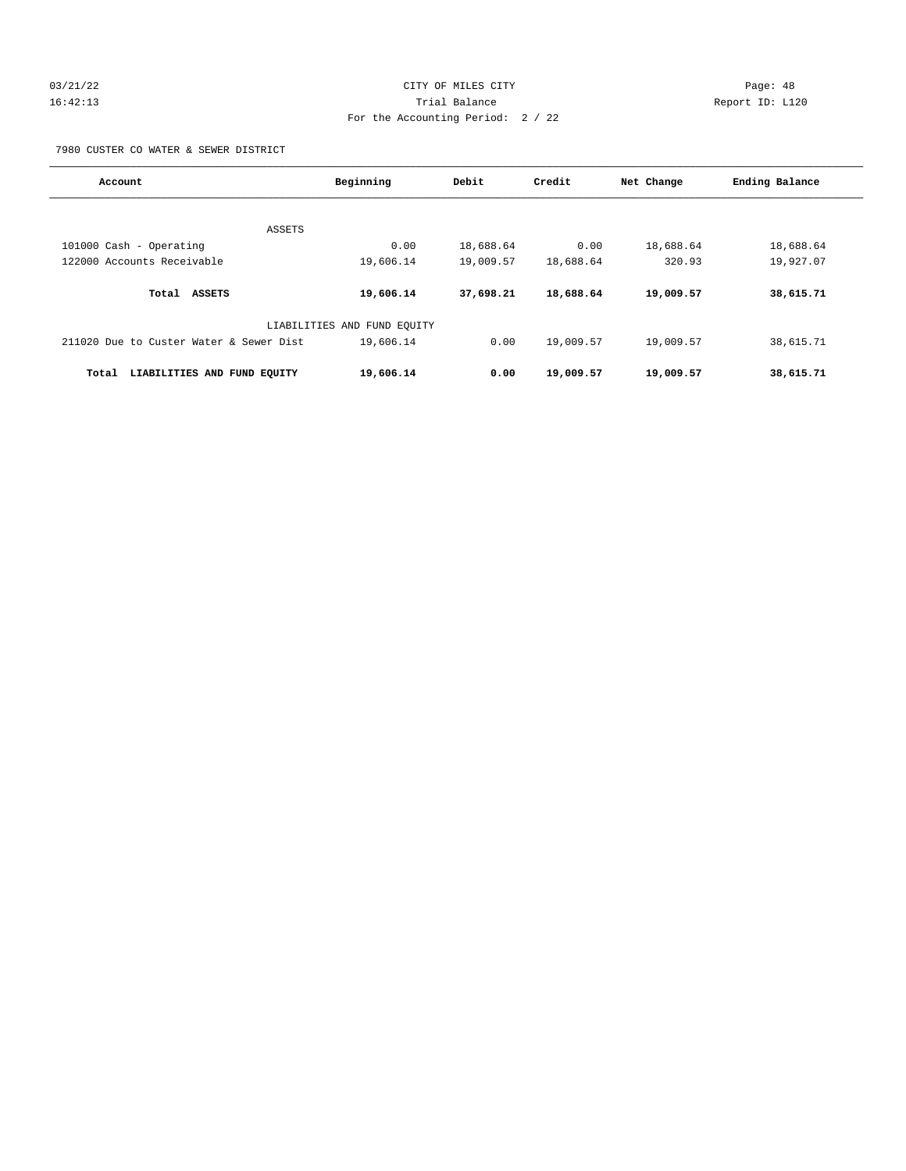## 03/21/22 Page: 48 16:42:13 Trial Balance Report ID: L120 For the Accounting Period: 2 / 22

7980 CUSTER CO WATER & SEWER DISTRICT

| Account                                 | Beginning                   | Debit     | Credit    | Net Change | Ending Balance |
|-----------------------------------------|-----------------------------|-----------|-----------|------------|----------------|
|                                         |                             |           |           |            |                |
| ASSETS                                  |                             |           |           |            |                |
| 101000 Cash - Operating                 | 0.00                        | 18,688.64 | 0.00      | 18,688.64  | 18,688.64      |
| 122000 Accounts Receivable              | 19,606.14                   | 19,009.57 | 18,688.64 | 320.93     | 19,927.07      |
| Total<br><b>ASSETS</b>                  | 19,606.14                   | 37,698.21 | 18,688.64 | 19,009.57  | 38,615.71      |
|                                         | LIABILITIES AND FUND EQUITY |           |           |            |                |
| 211020 Due to Custer Water & Sewer Dist | 19,606.14                   | 0.00      | 19,009.57 | 19,009.57  | 38,615.71      |
| Total<br>LIABILITIES AND FUND EQUITY    | 19,606.14                   | 0.00      | 19,009.57 | 19,009.57  | 38,615.71      |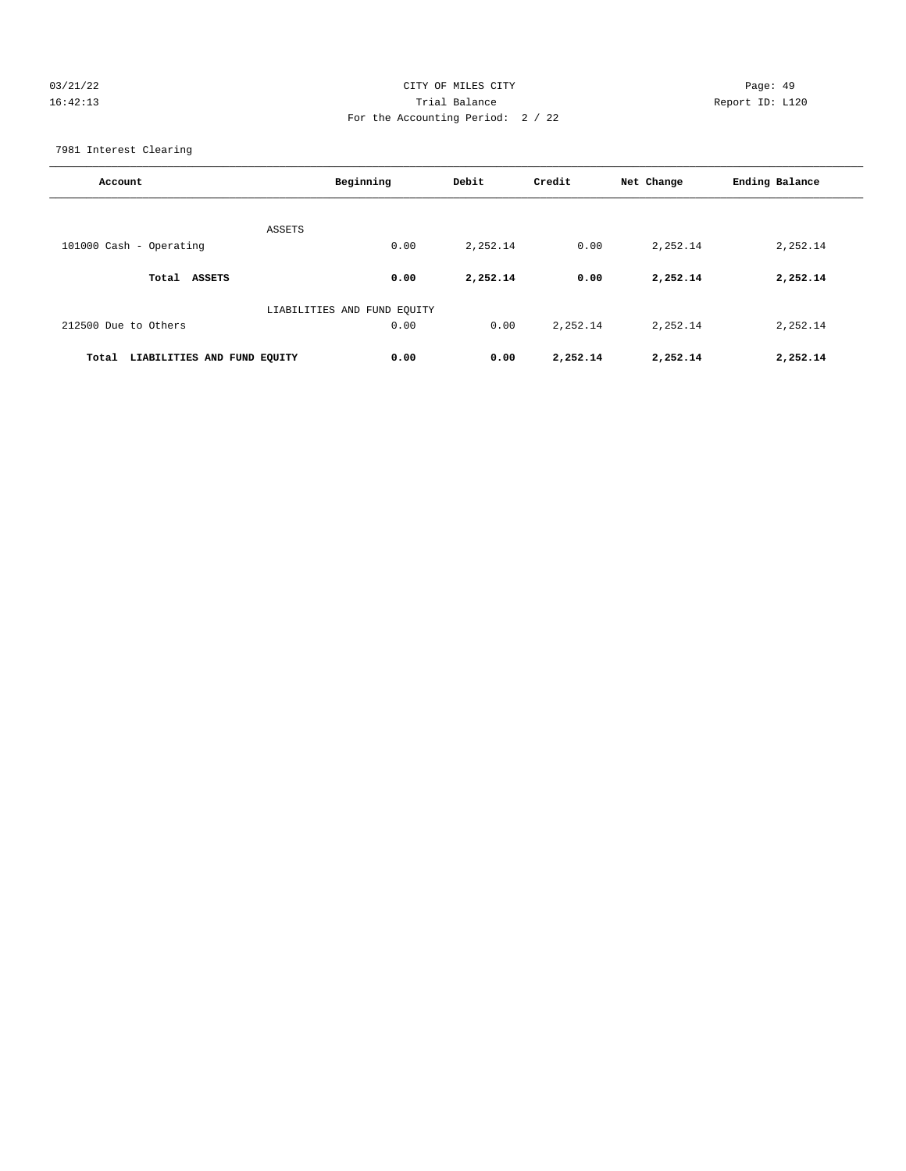## 03/21/22 Page: 49 16:42:13 Trial Balance Report ID: L120 For the Accounting Period: 2 / 22

7981 Interest Clearing

| Account                              | Beginning                   | Debit    | Credit    | Net Change | Ending Balance |
|--------------------------------------|-----------------------------|----------|-----------|------------|----------------|
| <b>ASSETS</b>                        |                             |          |           |            |                |
| 101000 Cash - Operating              | 0.00                        | 2,252.14 | 0.00      | 2,252.14   | 2,252.14       |
| <b>ASSETS</b><br>Total               | 0.00                        | 2,252.14 | 0.00      | 2,252.14   | 2,252.14       |
|                                      | LIABILITIES AND FUND EQUITY |          |           |            |                |
| 212500 Due to Others                 | 0.00                        | 0.00     | 2, 252.14 | 2,252.14   | 2,252.14       |
| LIABILITIES AND FUND EQUITY<br>Total | 0.00                        | 0.00     | 2,252.14  | 2,252.14   | 2,252.14       |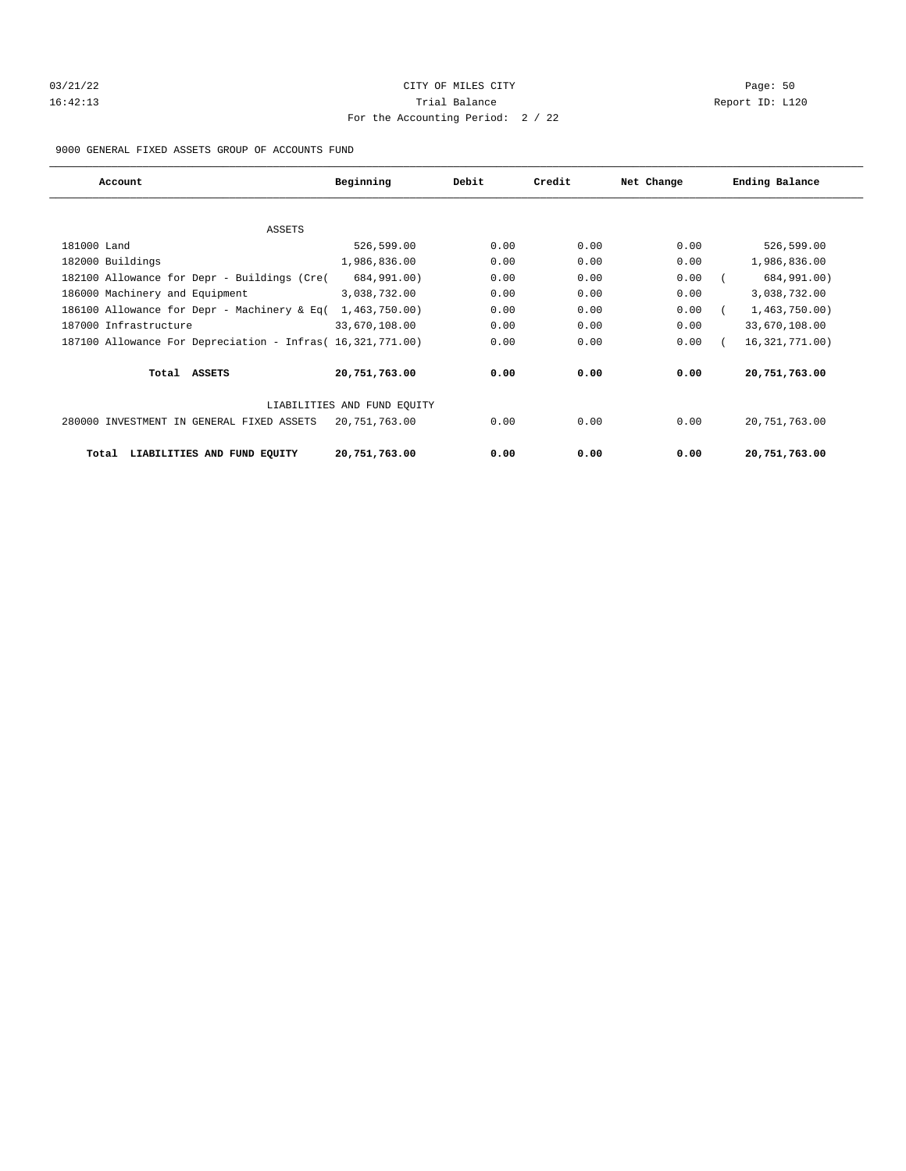# 03/21/22 Page: 50 16:42:13 Trial Balance Report ID: L120 For the Accounting Period: 2 / 22

9000 GENERAL FIXED ASSETS GROUP OF ACCOUNTS FUND

| Account                                                    | Beginning                   | Debit | Credit | Net Change | Ending Balance   |
|------------------------------------------------------------|-----------------------------|-------|--------|------------|------------------|
|                                                            |                             |       |        |            |                  |
| ASSETS                                                     |                             |       |        |            |                  |
| 181000 Land                                                | 526,599.00                  | 0.00  | 0.00   | 0.00       | 526,599.00       |
| 182000 Buildings                                           | 1,986,836.00                | 0.00  | 0.00   | 0.00       | 1,986,836.00     |
| 182100 Allowance for Depr - Buildings (Cre(                | 684,991.00)                 | 0.00  | 0.00   | 0.00       | 684,991.00)      |
| 186000 Machinery and Equipment                             | 3,038,732.00                | 0.00  | 0.00   | 0.00       | 3,038,732.00     |
| 186100 Allowance for Depr - Machinery & Eq(                | 1,463,750.00)               | 0.00  | 0.00   | 0.00       | 1,463,750.00     |
| 187000 Infrastructure                                      | 33,670,108.00               | 0.00  | 0.00   | 0.00       | 33,670,108.00    |
| 187100 Allowance For Depreciation - Infras( 16,321,771.00) |                             | 0.00  | 0.00   | 0.00       | 16, 321, 771.00) |
| Total ASSETS                                               | 20,751,763.00               | 0.00  | 0.00   | 0.00       | 20,751,763.00    |
|                                                            | LIABILITIES AND FUND EQUITY |       |        |            |                  |
| 280000 INVESTMENT IN GENERAL FIXED ASSETS                  | 20,751,763.00               | 0.00  | 0.00   | 0.00       | 20,751,763.00    |
| LIABILITIES AND FUND EQUITY<br>Total                       | 20,751,763.00               | 0.00  | 0.00   | 0.00       | 20,751,763.00    |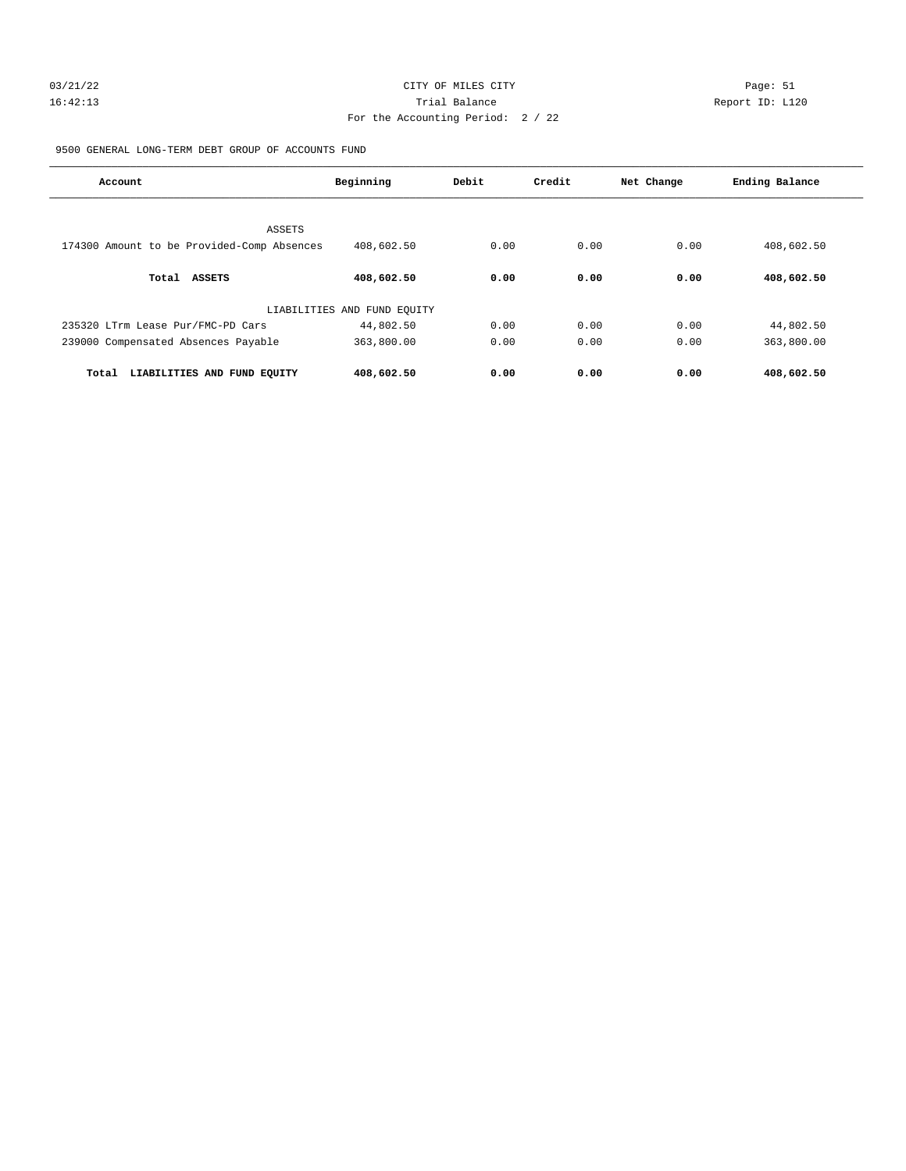# 03/21/22 Page: 51 16:42:13 Trial Balance Report ID: L120 For the Accounting Period: 2 / 22

9500 GENERAL LONG-TERM DEBT GROUP OF ACCOUNTS FUND

| Account                                    | Beginning                   | Debit | Credit | Net Change | Ending Balance |
|--------------------------------------------|-----------------------------|-------|--------|------------|----------------|
|                                            |                             |       |        |            |                |
| ASSETS                                     |                             |       |        |            |                |
| 174300 Amount to be Provided-Comp Absences | 408,602.50                  | 0.00  | 0.00   | 0.00       | 408,602.50     |
|                                            |                             |       |        |            |                |
| ASSETS<br>Total                            | 408,602.50                  | 0.00  | 0.00   | 0.00       | 408,602.50     |
|                                            | LIABILITIES AND FUND EQUITY |       |        |            |                |
| 235320 LTrm Lease Pur/FMC-PD Cars          | 44,802.50                   | 0.00  | 0.00   | 0.00       | 44,802.50      |
| 239000 Compensated Absences Payable        | 363,800.00                  | 0.00  | 0.00   | 0.00       | 363,800.00     |
|                                            |                             |       |        |            |                |
| LIABILITIES AND FUND EQUITY<br>Total       | 408,602.50                  | 0.00  | 0.00   | 0.00       | 408,602.50     |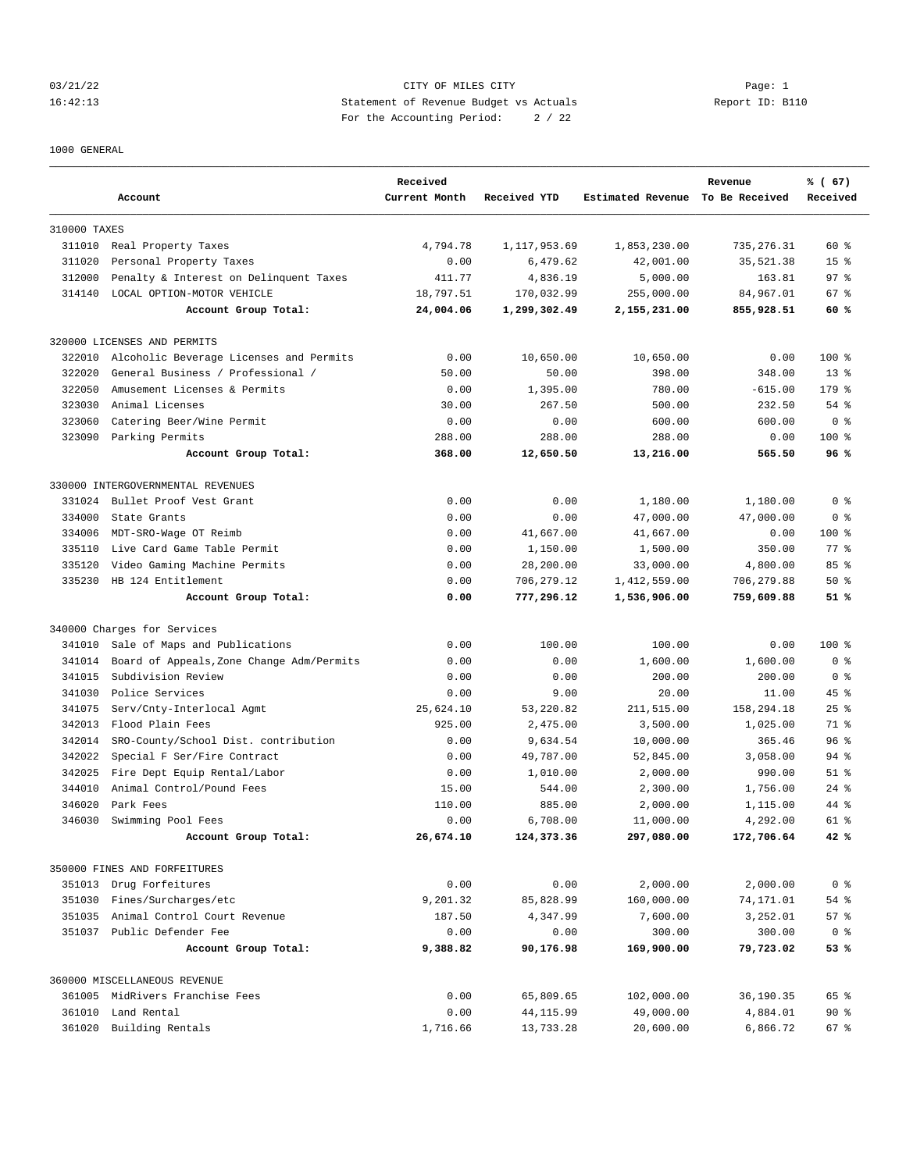## 03/21/22 Page: 1 Page: 1 16:42:13 Statement of Revenue Budget vs Actuals Report ID: B110 For the Accounting Period: 2 / 22

#### 1000 GENERAL

|              | Account                                   | Received<br>Current Month | Received YTD | Estimated Revenue To Be Received | Revenue     | % (67)<br>Received |
|--------------|-------------------------------------------|---------------------------|--------------|----------------------------------|-------------|--------------------|
| 310000 TAXES |                                           |                           |              |                                  |             |                    |
|              | 311010 Real Property Taxes                | 4,794.78                  | 1,117,953.69 | 1,853,230.00                     | 735, 276.31 | $60*$              |
| 311020       | Personal Property Taxes                   | 0.00                      | 6,479.62     | 42,001.00                        | 35,521.38   | 15 <sup>8</sup>    |
| 312000       | Penalty & Interest on Delinquent Taxes    | 411.77                    | 4,836.19     | 5,000.00                         | 163.81      | 97%                |
| 314140       | LOCAL OPTION-MOTOR VEHICLE                | 18,797.51                 | 170,032.99   | 255,000.00                       | 84,967.01   | 67 %               |
|              | Account Group Total:                      | 24,004.06                 | 1,299,302.49 | 2,155,231.00                     | 855,928.51  | 60 %               |
|              | 320000 LICENSES AND PERMITS               |                           |              |                                  |             |                    |
| 322010       | Alcoholic Beverage Licenses and Permits   | 0.00                      | 10,650.00    | 10,650.00                        | 0.00        | $100$ %            |
| 322020       | General Business / Professional /         | 50.00                     | 50.00        | 398.00                           | 348.00      | $13*$              |
| 322050       | Amusement Licenses & Permits              | 0.00                      | 1,395.00     | 780.00                           | $-615.00$   | $179$ %            |
| 323030       | Animal Licenses                           | 30.00                     | 267.50       | 500.00                           | 232.50      | 54 %               |
| 323060       | Catering Beer/Wine Permit                 | 0.00                      | 0.00         | 600.00                           | 600.00      | 0 <sup>8</sup>     |
|              | 323090 Parking Permits                    | 288.00                    | 288.00       | 288.00                           | 0.00        | $100$ %            |
|              | Account Group Total:                      | 368.00                    | 12,650.50    | 13,216.00                        | 565.50      | 96%                |
|              | 330000 INTERGOVERNMENTAL REVENUES         |                           |              |                                  |             |                    |
| 331024       | Bullet Proof Vest Grant                   | 0.00                      | 0.00         | 1,180.00                         | 1,180.00    | 0 <sup>8</sup>     |
| 334000       | State Grants                              | 0.00                      | 0.00         | 47,000.00                        | 47,000.00   | 0 <sup>8</sup>     |
| 334006       | MDT-SRO-Wage OT Reimb                     | 0.00                      | 41,667.00    | 41,667.00                        | 0.00        | $100$ %            |
| 335110       | Live Card Game Table Permit               | 0.00                      | 1,150.00     | 1,500.00                         | 350.00      | $77$ $%$           |
| 335120       | Video Gaming Machine Permits              | 0.00                      | 28,200.00    | 33,000.00                        | 4,800.00    | 85%                |
| 335230       | HB 124 Entitlement                        | 0.00                      | 706,279.12   | 1,412,559.00                     | 706,279.88  | $50*$              |
|              | Account Group Total:                      | 0.00                      | 777,296.12   | 1,536,906.00                     | 759,609.88  | 51%                |
|              | 340000 Charges for Services               |                           |              |                                  |             |                    |
| 341010       | Sale of Maps and Publications             | 0.00                      | 100.00       | 100.00                           | 0.00        | 100 %              |
| 341014       | Board of Appeals, Zone Change Adm/Permits | 0.00                      | 0.00         | 1,600.00                         | 1,600.00    | 0 %                |
| 341015       | Subdivision Review                        | 0.00                      | 0.00         | 200.00                           | 200.00      | 0 <sup>8</sup>     |
| 341030       | Police Services                           | 0.00                      | 9.00         | 20.00                            | 11.00       | 45 %               |
| 341075       | Serv/Cnty-Interlocal Agmt                 | 25,624.10                 | 53,220.82    | 211,515.00                       | 158,294.18  | $25$ $%$           |
| 342013       | Flood Plain Fees                          | 925.00                    | 2,475.00     | 3,500.00                         | 1,025.00    | 71 %               |
| 342014       | SRO-County/School Dist. contribution      | 0.00                      | 9,634.54     | 10,000.00                        | 365.46      | 96 <sup>8</sup>    |
| 342022       | Special F Ser/Fire Contract               | 0.00                      | 49,787.00    | 52,845.00                        | 3,058.00    | $94$ %             |
| 342025       | Fire Dept Equip Rental/Labor              | 0.00                      | 1,010.00     | 2,000.00                         | 990.00      | $51$ %             |
| 344010       | Animal Control/Pound Fees                 | 15.00                     | 544.00       | 2,300.00                         | 1,756.00    | $24$ %             |
| 346020       | Park Fees                                 | 110.00                    | 885.00       | 2,000.00                         | 1,115.00    | 44 %               |
| 346030       | Swimming Pool Fees                        | 0.00                      | 6,708.00     | 11,000.00                        | 4,292.00    | $61*$              |
|              | Account Group Total:                      | 26,674.10                 | 124,373.36   | 297,080.00                       | 172,706.64  | 42 %               |
|              | 350000 FINES AND FORFEITURES              |                           |              |                                  |             |                    |
|              | 351013 Drug Forfeitures                   | 0.00                      | 0.00         | 2,000.00                         | 2,000.00    | 0 <sup>8</sup>     |
| 351030       | Fines/Surcharges/etc                      | 9,201.32                  | 85,828.99    | 160,000.00                       | 74,171.01   | $54$ $%$           |
| 351035       | Animal Control Court Revenue              | 187.50                    | 4,347.99     | 7,600.00                         | 3,252.01    | 57%                |
|              | 351037 Public Defender Fee                | 0.00                      | 0.00         | 300.00                           | 300.00      | 0 <sup>8</sup>     |
|              | Account Group Total:                      | 9,388.82                  | 90,176.98    | 169,900.00                       | 79,723.02   | 53 %               |
|              | 360000 MISCELLANEOUS REVENUE              |                           |              |                                  |             |                    |
|              | 361005 MidRivers Franchise Fees           | 0.00                      | 65,809.65    | 102,000.00                       | 36,190.35   | 65 %               |
|              | 361010 Land Rental                        | 0.00                      | 44, 115.99   | 49,000.00                        | 4,884.01    | 90%                |
| 361020       | Building Rentals                          | 1,716.66                  | 13,733.28    | 20,600.00                        | 6,866.72    | 67 %               |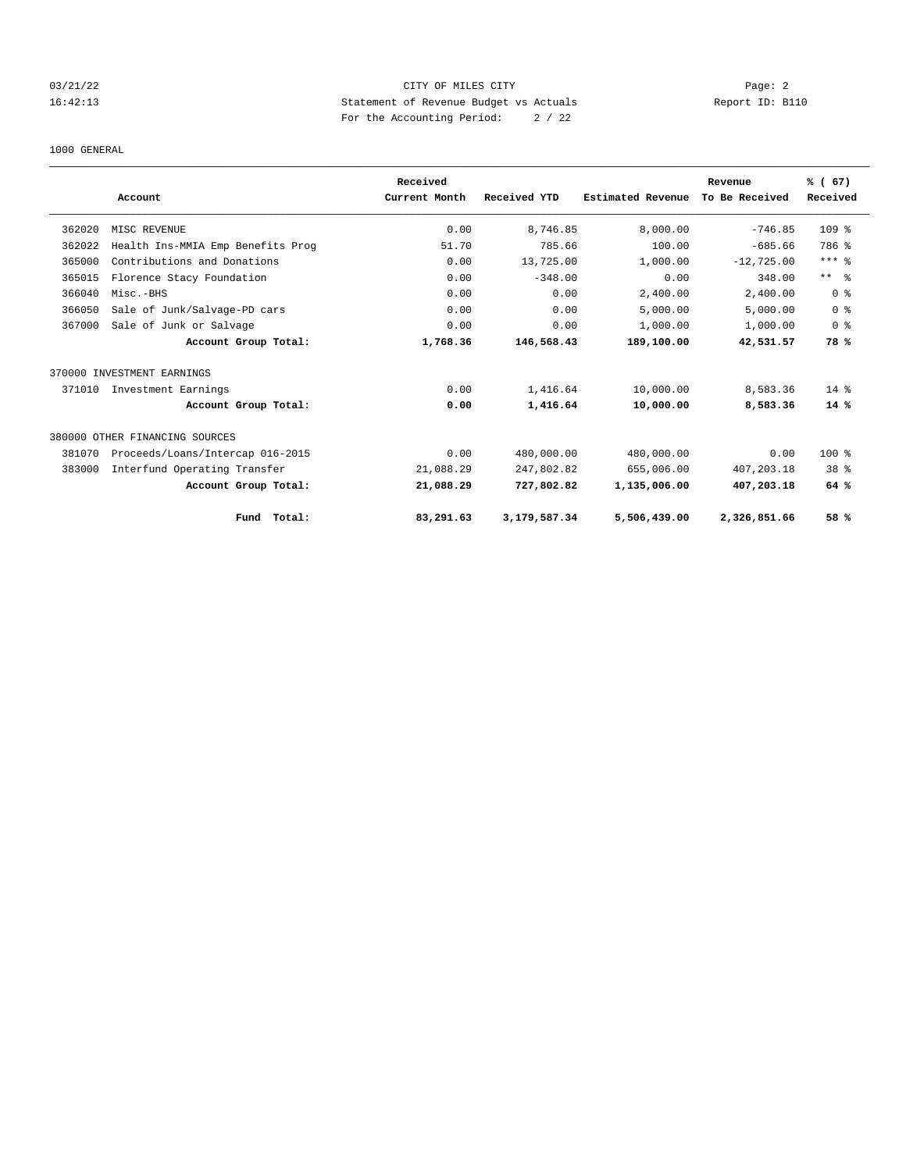## 03/21/22 Page: 2 16:42:13 Statement of Revenue Budget vs Actuals Report ID: B110 For the Accounting Period: 2 / 22

#### 1000 GENERAL

|        |                                   | Received      |              |                   | Revenue        | % (67)           |
|--------|-----------------------------------|---------------|--------------|-------------------|----------------|------------------|
|        | Account                           | Current Month | Received YTD | Estimated Revenue | To Be Received | Received         |
| 362020 | MISC REVENUE                      | 0.00          | 8,746.85     | 8,000.00          | $-746.85$      | 109 <sub>8</sub> |
| 362022 | Health Ins-MMIA Emp Benefits Prog | 51.70         | 785.66       | 100.00            | $-685.66$      | 786 %            |
| 365000 | Contributions and Donations       | 0.00          | 13,725.00    | 1,000.00          | $-12,725.00$   | $***$ $_{8}$     |
| 365015 | Florence Stacy Foundation         | 0.00          | $-348.00$    | 0.00              | 348.00         | $***$ $ -$       |
| 366040 | Misc.-BHS                         | 0.00          | 0.00         | 2,400.00          | 2,400.00       | 0 %              |
| 366050 | Sale of Junk/Salvage-PD cars      | 0.00          | 0.00         | 5,000.00          | 5,000.00       | 0 <sup>8</sup>   |
| 367000 | Sale of Junk or Salvage           | 0.00          | 0.00         | 1,000.00          | 1,000.00       | 0 <sup>8</sup>   |
|        | Account Group Total:              | 1,768.36      | 146,568.43   | 189,100.00        | 42,531.57      | 78 %             |
|        | 370000 INVESTMENT EARNINGS        |               |              |                   |                |                  |
| 371010 | Investment Earnings               | 0.00          | 1,416.64     | 10,000.00         | 8,583.36       | $14*$            |
|        | Account Group Total:              | 0.00          | 1,416.64     | 10,000.00         | 8,583.36       | $14*$            |
|        | 380000 OTHER FINANCING SOURCES    |               |              |                   |                |                  |
| 381070 | Proceeds/Loans/Intercap 016-2015  | 0.00          | 480,000.00   | 480,000.00        | 0.00           | $100$ %          |
| 383000 | Interfund Operating Transfer      | 21,088.29     | 247,802.82   | 655,006.00        | 407,203.18     | $38*$            |
|        | Account Group Total:              | 21,088.29     | 727,802.82   | 1,135,006.00      | 407,203.18     | 64 %             |
|        | Total:<br>Fund                    | 83,291.63     | 3,179,587.34 | 5,506,439.00      | 2,326,851.66   | 58 %             |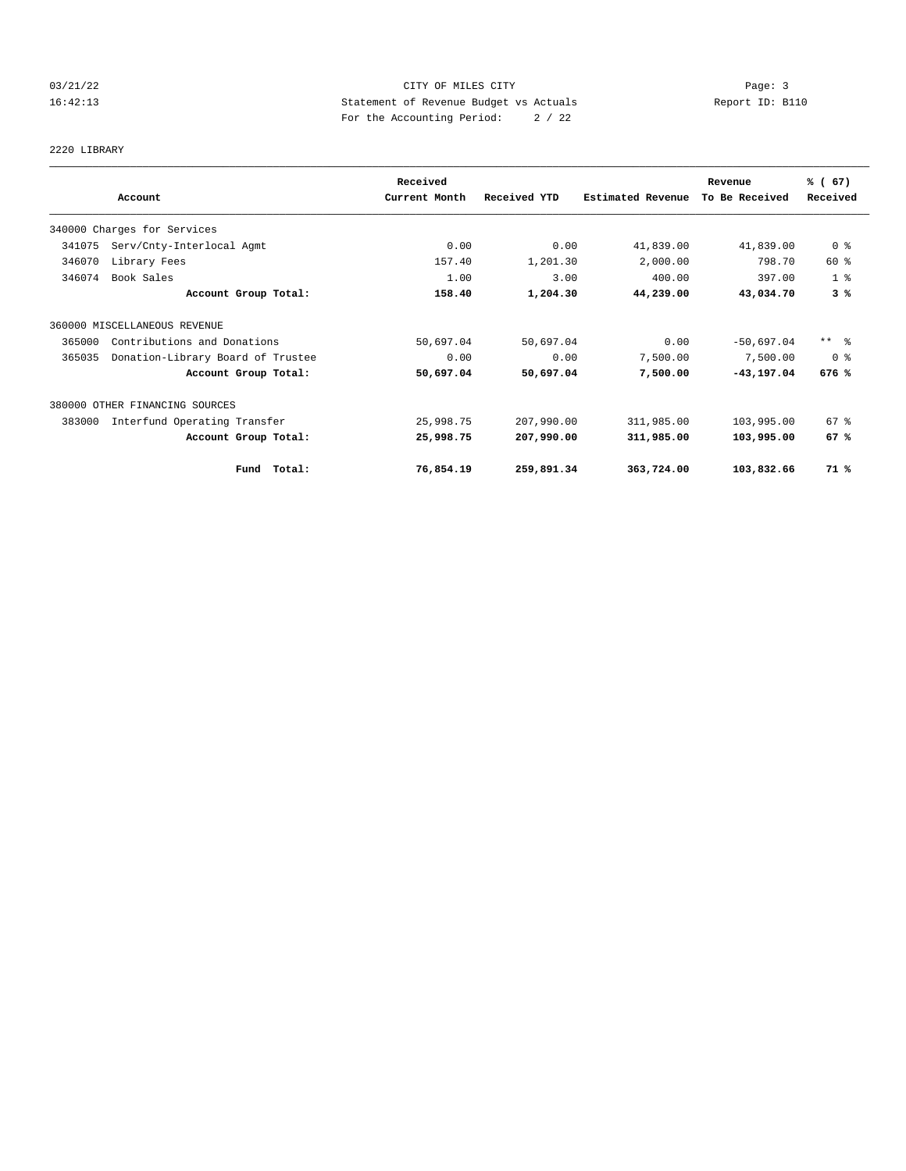## 03/21/22 Page: 3 Page: 3 Page: 3 16:42:13 Statement of Revenue Budget vs Actuals Report ID: B110 For the Accounting Period: 2 / 22

# 2220 LIBRARY

|        |                                   | Received      |              |                          | Revenue        | % (67)          |
|--------|-----------------------------------|---------------|--------------|--------------------------|----------------|-----------------|
|        | Account                           | Current Month | Received YTD | <b>Estimated Revenue</b> | To Be Received | Received        |
|        | 340000 Charges for Services       |               |              |                          |                |                 |
| 341075 | Serv/Cnty-Interlocal Agmt         | 0.00          | 0.00         | 41,839.00                | 41,839.00      | 0 %             |
| 346070 | Library Fees                      | 157.40        | 1,201.30     | 2,000.00                 | 798.70         | 60 %            |
| 346074 | Book Sales                        | 1.00          | 3.00         | 400.00                   | 397.00         | 1 <sup>8</sup>  |
|        | Account Group Total:              | 158.40        | 1,204.30     | 44,239.00                | 43,034.70      | 3%              |
|        | 360000 MISCELLANEOUS REVENUE      |               |              |                          |                |                 |
| 365000 | Contributions and Donations       | 50,697.04     | 50,697.04    | 0.00                     | $-50,697.04$   | $***$ $\approx$ |
| 365035 | Donation-Library Board of Trustee | 0.00          | 0.00         | 7,500.00                 | 7,500.00       | 0 %             |
|        | Account Group Total:              | 50,697.04     | 50,697.04    | 7,500.00                 | $-43, 197.04$  | 676 %           |
|        | 380000 OTHER FINANCING SOURCES    |               |              |                          |                |                 |
| 383000 | Interfund Operating Transfer      | 25,998.75     | 207,990.00   | 311,985.00               | 103,995.00     | 67 %            |
|        | Account Group Total:              | 25,998.75     | 207,990.00   | 311,985.00               | 103,995.00     | 67 %            |
|        | Fund Total:                       | 76,854.19     | 259,891.34   | 363,724.00               | 103,832.66     | 71 %            |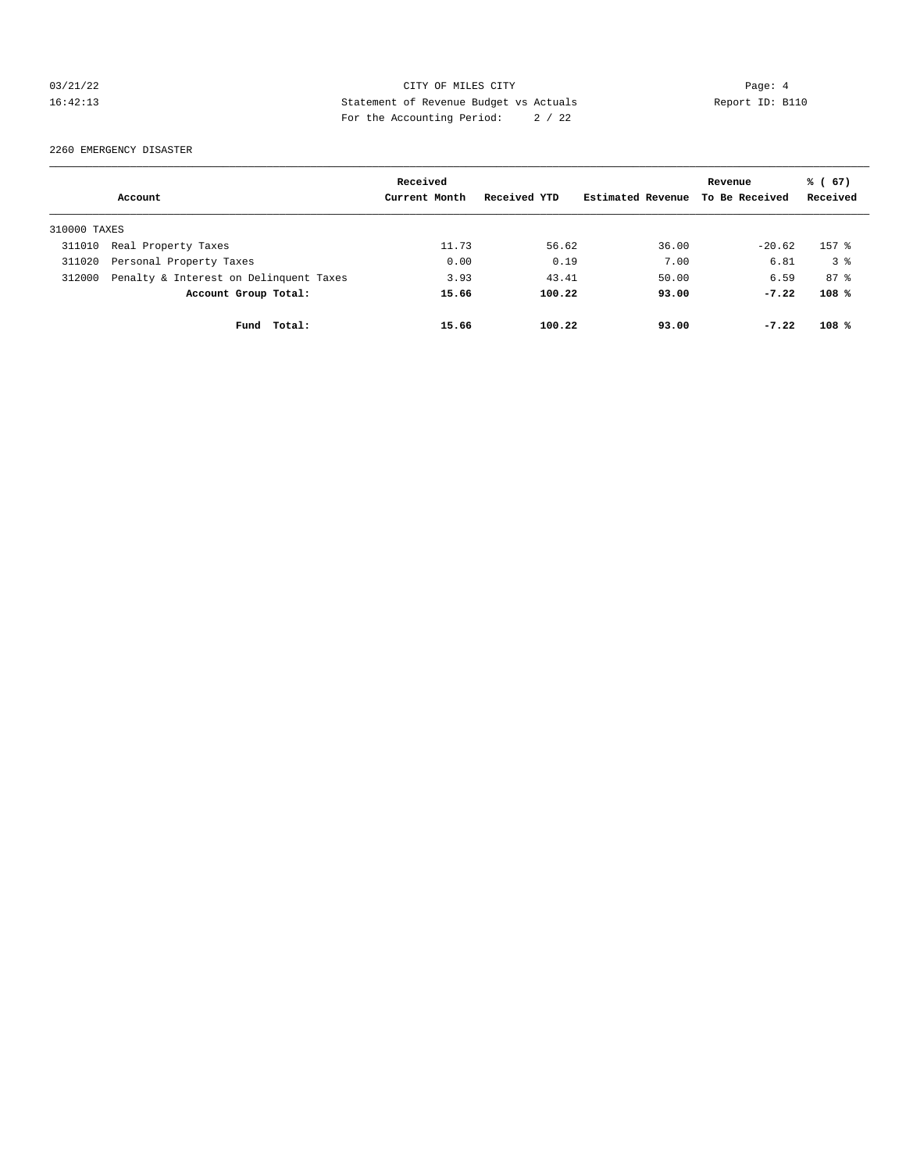## 03/21/22 Page: 4 CITY OF MILES CITY 16:42:13 Statement of Revenue Budget vs Actuals Report ID: B110 For the Accounting Period: 2 / 22

2260 EMERGENCY DISASTER

|              |                                        | Received      |              |                   | Revenue        | % (67)    |
|--------------|----------------------------------------|---------------|--------------|-------------------|----------------|-----------|
|              | Account                                | Current Month | Received YTD | Estimated Revenue | To Be Received | Received  |
| 310000 TAXES |                                        |               |              |                   |                |           |
| 311010       | Real Property Taxes                    | 11.73         | 56.62        | 36.00             | $-20.62$       | $157$ $%$ |
| 311020       | Personal Property Taxes                | 0.00          | 0.19         | 7.00              | 6.81           | 38        |
| 312000       | Penalty & Interest on Delinquent Taxes | 3.93          | 43.41        | 50.00             | 6.59           | $87 - 8$  |
|              | Account Group Total:                   | 15.66         | 100.22       | 93.00             | $-7.22$        | 108%      |
|              | Fund Total:                            | 15.66         | 100.22       | 93.00             | $-7.22$        | 108%      |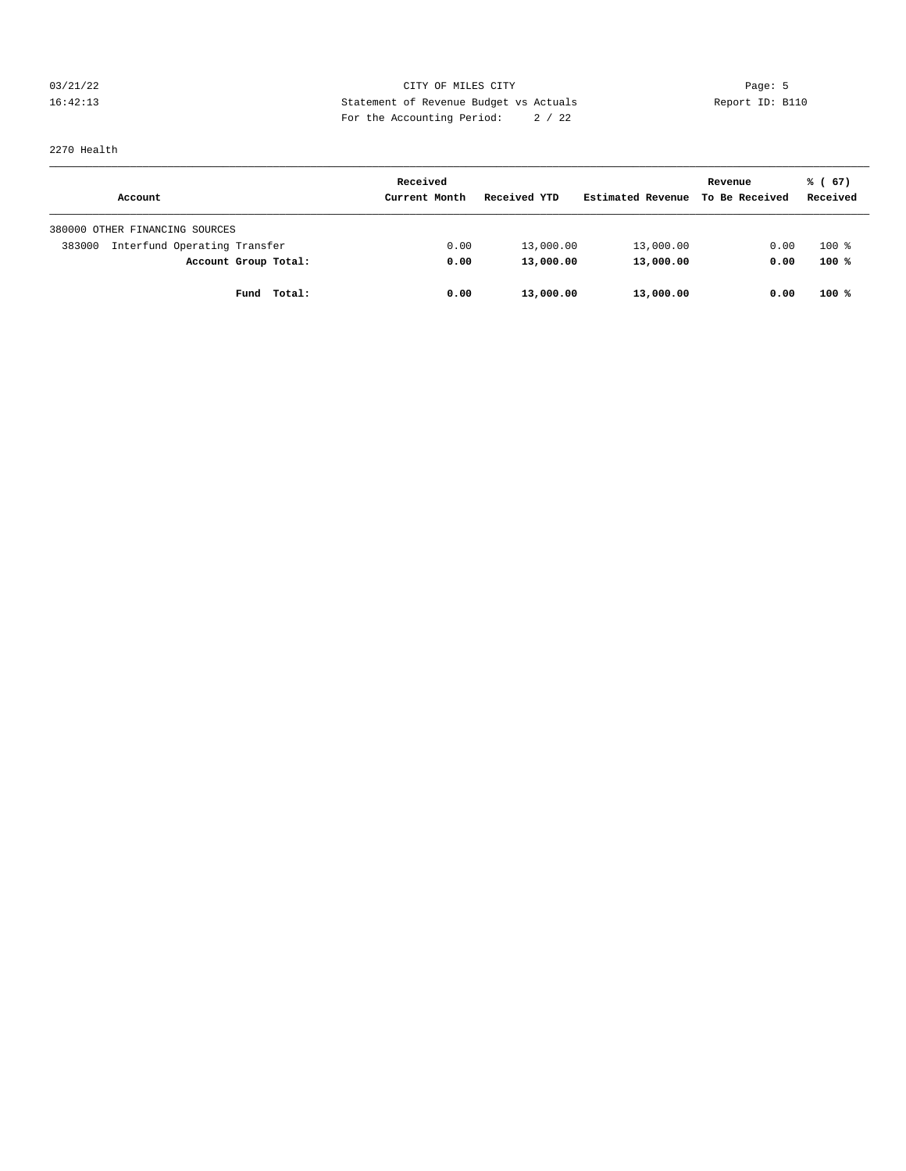03/21/22 Page: 5 Page: 5 Page: 5 Page: 6 Page: 6 Page: 6 Page: 6 Page: 6 Page: 6 Page: 6 Page: 6 Page: 6 Page: 6 Page: 6 Page: 6 Page: 6 Page: 6 Page: 6 Page: 6 Page: 6 Page: 6 Page: 6 Page: 6 Page: 6 Page: 6 Page: 6 Page: 16:42:13 Statement of Revenue Budget vs Actuals Report ID: B110 For the Accounting Period: 2 / 22

2270 Health

|                                        | Received      |              |                   | Revenue        | % (67)   |
|----------------------------------------|---------------|--------------|-------------------|----------------|----------|
| Account                                | Current Month | Received YTD | Estimated Revenue | To Be Received | Received |
| 380000 OTHER FINANCING SOURCES         |               |              |                   |                |          |
| Interfund Operating Transfer<br>383000 | 0.00          | 13,000.00    | 13,000.00         | 0.00           | $100*$   |
| Account Group Total:                   | 0.00          | 13,000.00    | 13,000.00         | 0.00           | 100%     |
| Total:<br>Fund                         | 0.00          | 13,000.00    | 13,000.00         | 0.00           | $100*$   |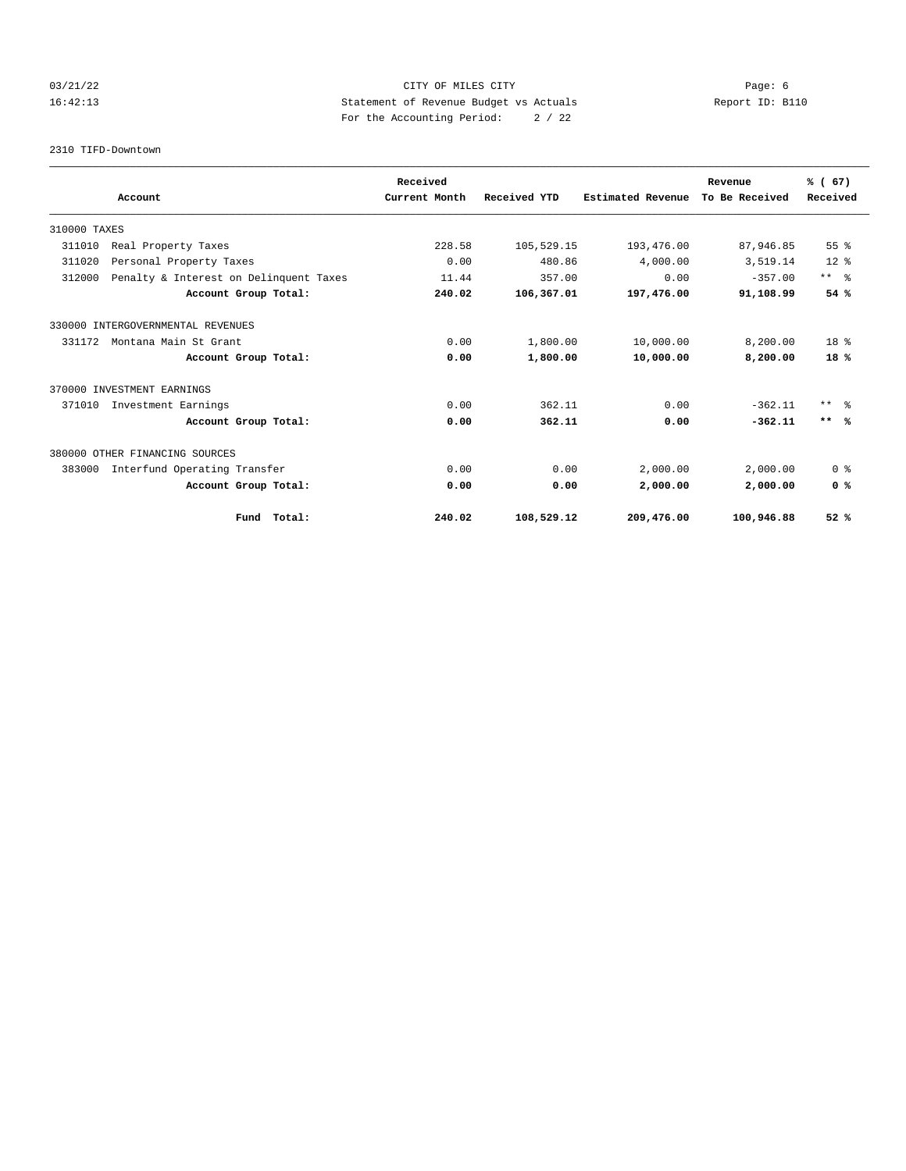## 03/21/22 Page: 6 CITY OF MILES CITY 16:42:13 Statement of Revenue Budget vs Actuals Report ID: B110 For the Accounting Period: 2 / 22

2310 TIFD-Downtown

|                                                  | Received      |              |                          | Revenue        | % (67)          |
|--------------------------------------------------|---------------|--------------|--------------------------|----------------|-----------------|
| Account                                          | Current Month | Received YTD | <b>Estimated Revenue</b> | To Be Received | Received        |
| 310000 TAXES                                     |               |              |                          |                |                 |
| 311010<br>Real Property Taxes                    | 228.58        | 105,529.15   | 193,476.00               | 87,946.85      | 55%             |
| 311020<br>Personal Property Taxes                | 0.00          | 480.86       | 4,000.00                 | 3,519.14       | $12*$           |
| 312000<br>Penalty & Interest on Delinquent Taxes | 11.44         | 357.00       | 0.00                     | $-357.00$      | $***$ $ -$      |
| Account Group Total:                             | 240.02        | 106,367.01   | 197,476.00               | 91,108.99      | 54%             |
| 330000 INTERGOVERNMENTAL REVENUES                |               |              |                          |                |                 |
| 331172<br>Montana Main St Grant                  | 0.00          | 1,800.00     | 10,000.00                | 8,200.00       | 18 <sup>8</sup> |
| Account Group Total:                             | 0.00          | 1,800.00     | 10,000.00                | 8,200.00       | $18*$           |
| 370000 INVESTMENT EARNINGS                       |               |              |                          |                |                 |
| 371010<br>Investment Earnings                    | 0.00          | 362.11       | 0.00                     | $-362.11$      | $***$ $\approx$ |
| Account Group Total:                             | 0.00          | 362.11       | 0.00                     | $-362.11$      | $***$ %         |
| 380000 OTHER FINANCING SOURCES                   |               |              |                          |                |                 |
| Interfund Operating Transfer<br>383000           | 0.00          | 0.00         | 2,000.00                 | 2,000.00       | 0 <sup>8</sup>  |
| Account Group Total:                             | 0.00          | 0.00         | 2,000.00                 | 2,000.00       | 0 <sup>8</sup>  |
| Fund Total:                                      | 240.02        | 108,529.12   | 209,476.00               | 100,946.88     | 52%             |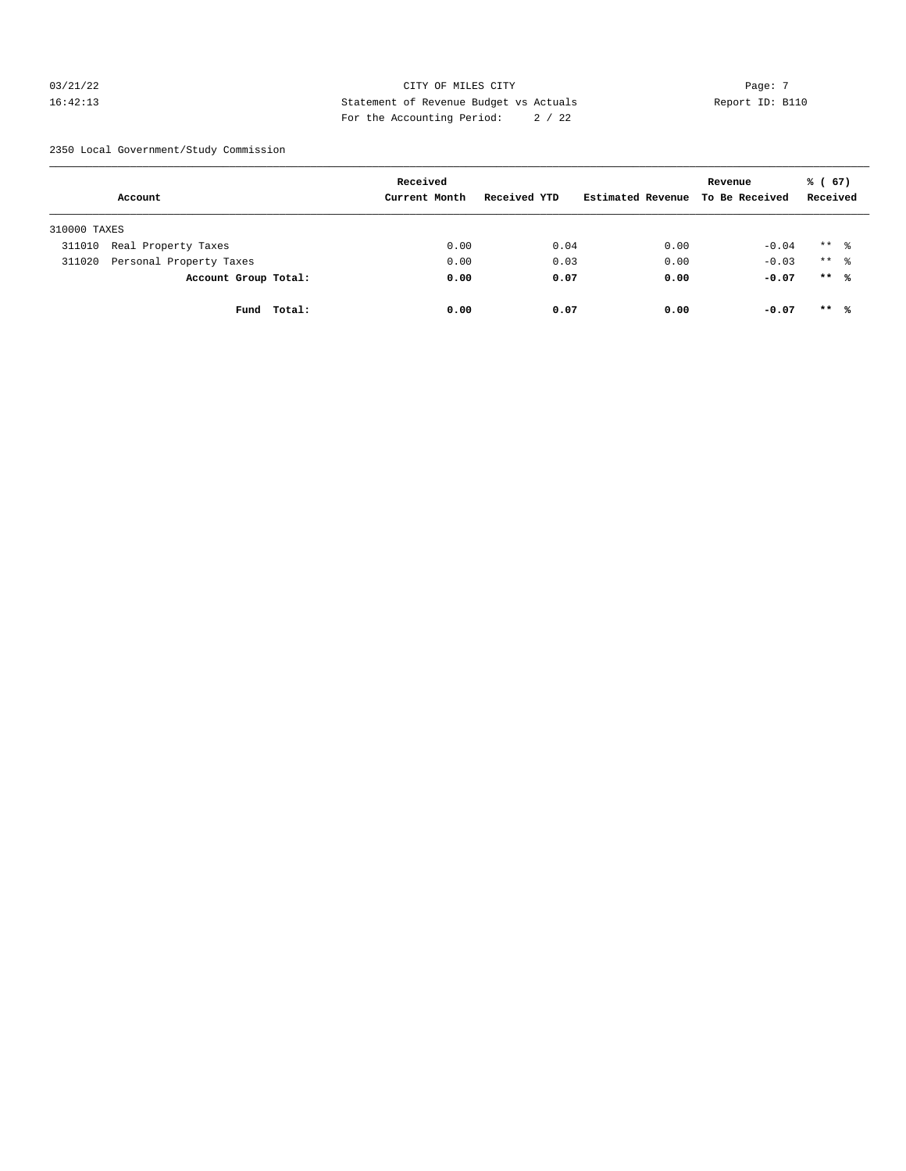## $03/21/22$  Page: 7 16:42:13 Statement of Revenue Budget vs Actuals Report ID: B110 For the Accounting Period: 2 / 22

2350 Local Government/Study Commission

|              | Account                 |             | Received<br>Current Month | Received YTD | Estimated Revenue | Revenue<br>To Be Received | % (67)<br>Received   |  |
|--------------|-------------------------|-------------|---------------------------|--------------|-------------------|---------------------------|----------------------|--|
| 310000 TAXES |                         |             |                           |              |                   |                           |                      |  |
| 311010       | Real Property Taxes     |             | 0.00                      | 0.04         | 0.00              | $-0.04$                   | $***$ 2              |  |
| 311020       | Personal Property Taxes |             | 0.00                      | 0.03         | 0.00              | $-0.03$                   | $***$ $\frac{6}{10}$ |  |
|              | Account Group Total:    |             | 0.00                      | 0.07         | 0.00              | $-0.07$                   | $***$ %              |  |
|              |                         | Fund Total: | 0.00                      | 0.07         | 0.00              | $-0.07$                   | $***$ %              |  |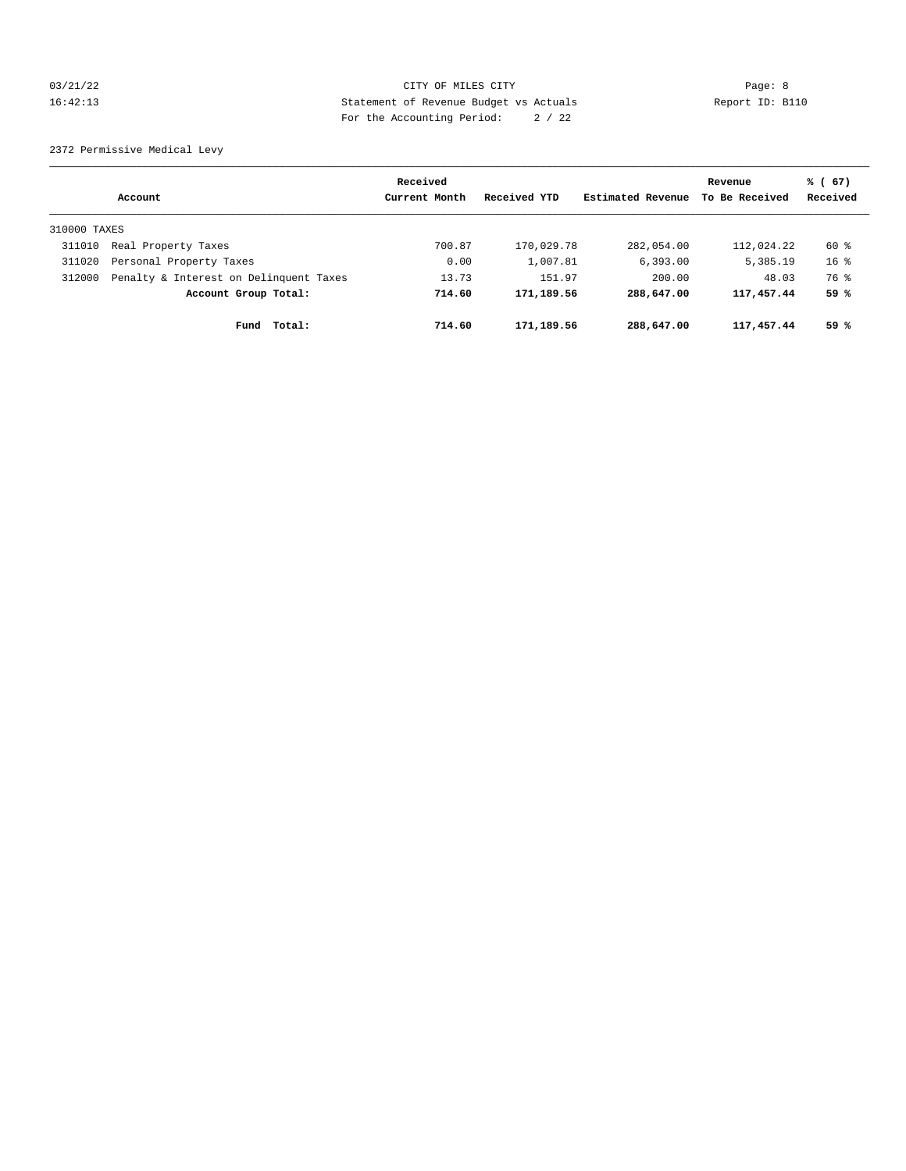## 03/21/22 Page: 8 CITY OF MILES CITY 16:42:13 Statement of Revenue Budget vs Actuals Report ID: B110 For the Accounting Period: 2 / 22

2372 Permissive Medical Levy

|              |                                        | Received      |              |                   | Revenue        | % (67)   |
|--------------|----------------------------------------|---------------|--------------|-------------------|----------------|----------|
|              | Account                                | Current Month | Received YTD | Estimated Revenue | To Be Received | Received |
| 310000 TAXES |                                        |               |              |                   |                |          |
| 311010       | Real Property Taxes                    | 700.87        | 170,029.78   | 282,054.00        | 112,024.22     | 60 %     |
| 311020       | Personal Property Taxes                | 0.00          | 1,007.81     | 6,393.00          | 5,385.19       | $16*$    |
| 312000       | Penalty & Interest on Delinquent Taxes | 13.73         | 151.97       | 200.00            | 48.03          | 76 %     |
|              | Account Group Total:                   | 714.60        | 171,189.56   | 288,647.00        | 117,457.44     | 59 %     |
|              | Total:<br>Fund                         | 714.60        | 171,189.56   | 288,647.00        | 117,457.44     | 59 %     |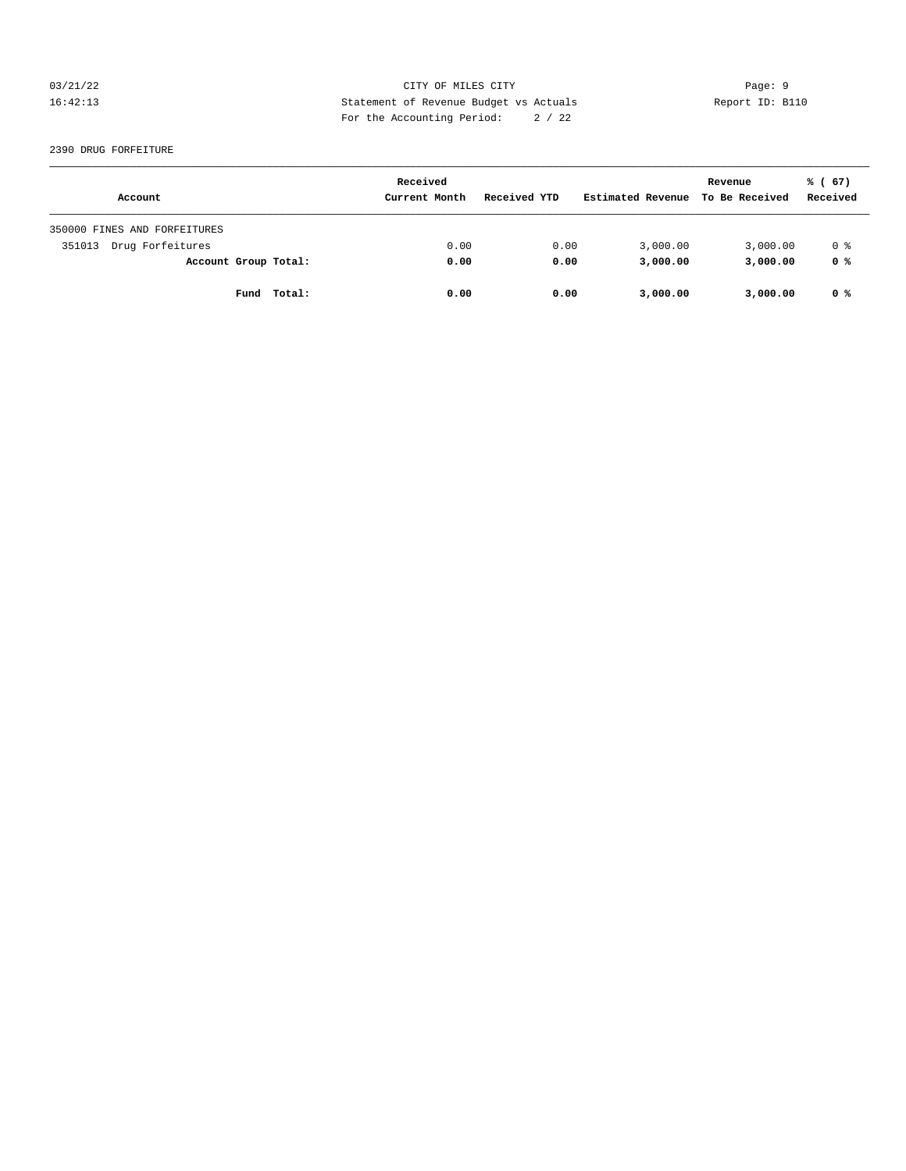## 03/21/22 Page: 9 16:42:13 Statement of Revenue Budget vs Actuals Report ID: B110 For the Accounting Period: 2 / 22

#### 2390 DRUG FORFEITURE

| Account                      | Received<br>Current Month | Received YTD | Estimated Revenue | Revenue<br>To Be Received | % (67)<br>Received |
|------------------------------|---------------------------|--------------|-------------------|---------------------------|--------------------|
|                              |                           |              |                   |                           |                    |
| 350000 FINES AND FORFEITURES |                           |              |                   |                           |                    |
| Drug Forfeitures<br>351013   | 0.00                      | 0.00         | 3,000.00          | 3,000.00                  | 0 %                |
| Account Group Total:         | 0.00                      | 0.00         | 3,000.00          | 3,000.00                  | 0 %                |
| Fund Total:                  | 0.00                      | 0.00         | 3,000.00          | 3,000.00                  | 0 %                |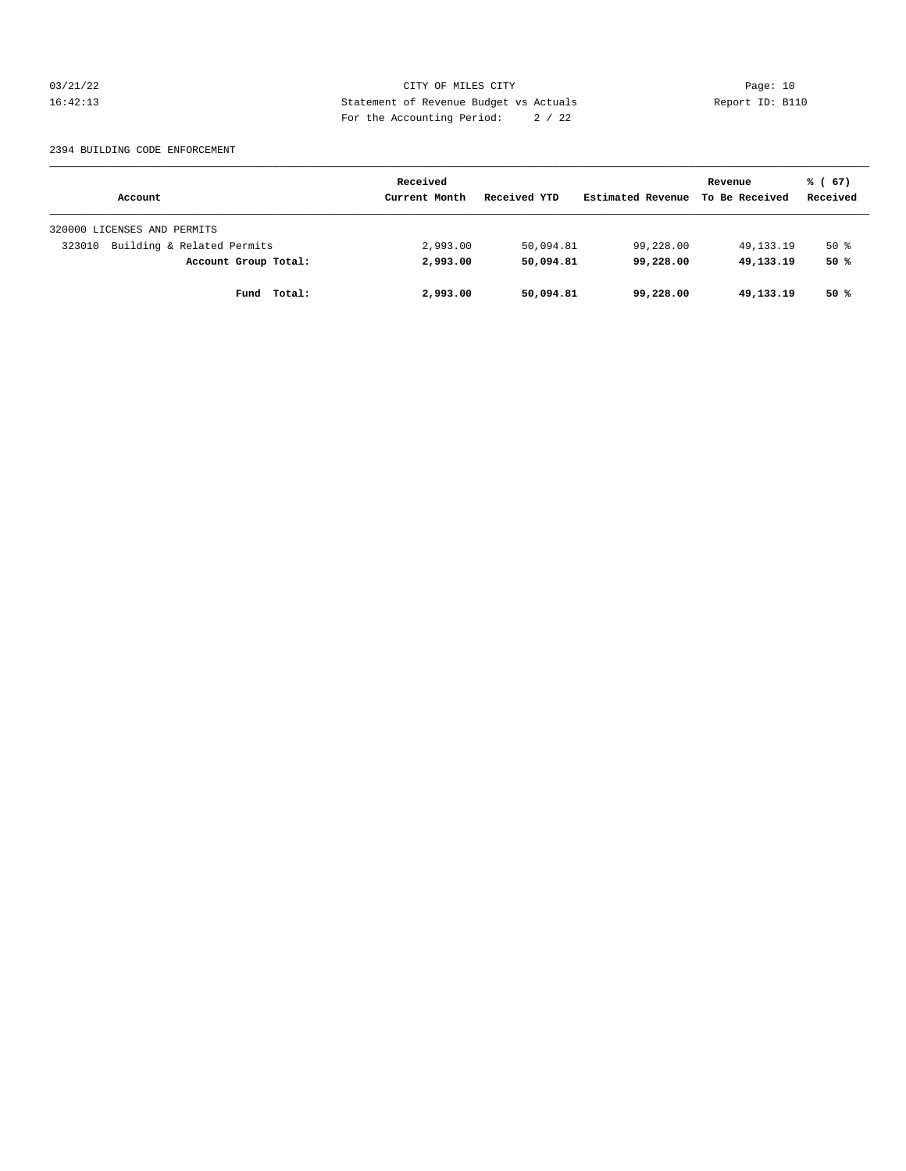03/21/22 Page: 10 16:42:13 Statement of Revenue Budget vs Actuals Report ID: B110 For the Accounting Period: 2 / 22

#### 2394 BUILDING CODE ENFORCEMENT

|                                      | Received      |              |                   | Revenue        | % (67)   |
|--------------------------------------|---------------|--------------|-------------------|----------------|----------|
| Account                              | Current Month | Received YTD | Estimated Revenue | To Be Received | Received |
| 320000 LICENSES AND PERMITS          |               |              |                   |                |          |
| Building & Related Permits<br>323010 | 2,993.00      | 50,094.81    | 99,228.00         | 49,133.19      | $50*$    |
| Account Group Total:                 | 2,993.00      | 50,094.81    | 99,228.00         | 49,133.19      | 50%      |
| Total:<br>Fund                       | 2,993.00      | 50,094.81    | 99,228.00         | 49,133.19      | 50 %     |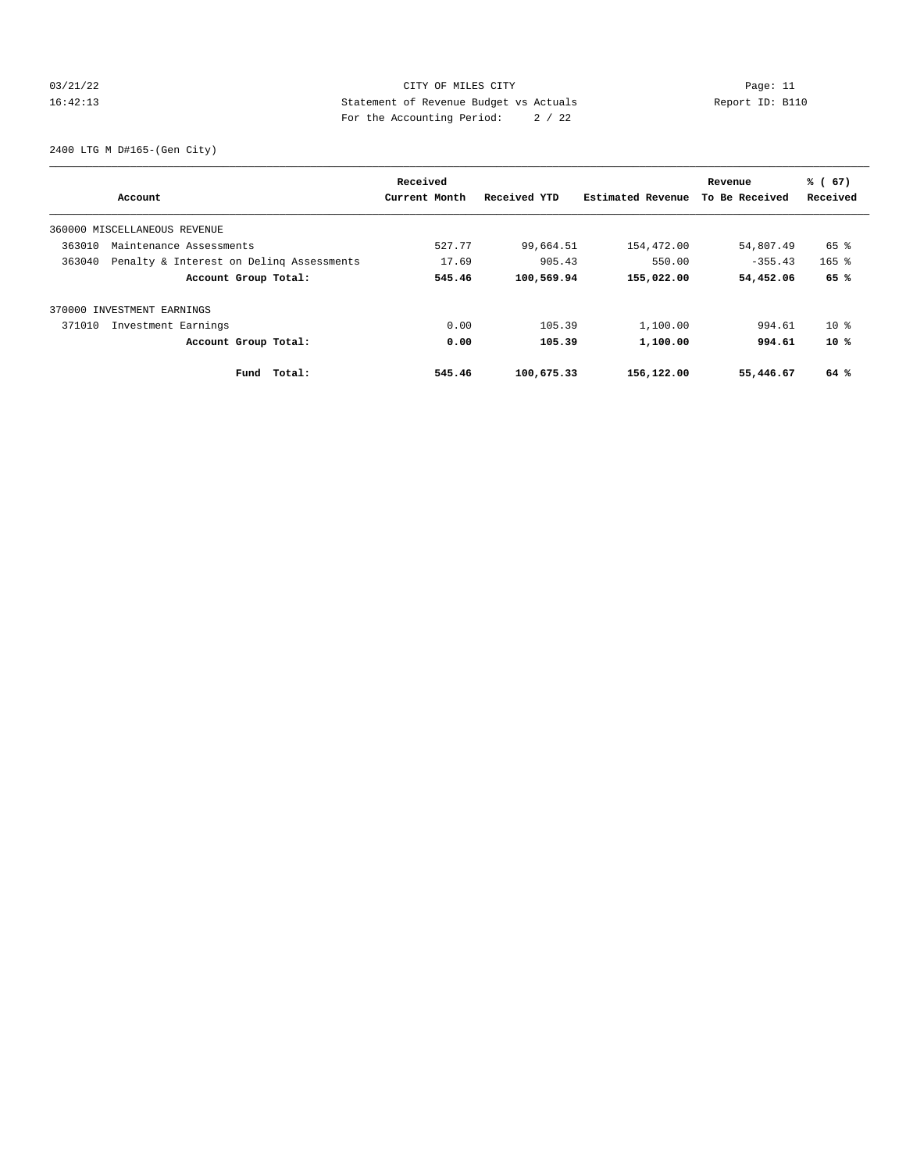## 03/21/22 Page: 11 CITY OF MILES CITY CONTROL PAGE: 11 16:42:13 Statement of Revenue Budget vs Actuals Report ID: B110 For the Accounting Period: 2 / 22

2400 LTG M D#165-(Gen City)

| Account                                            | Received<br>Current Month | Received YTD | Estimated Revenue | Revenue<br>To Be Received | % (67)<br>Received |
|----------------------------------------------------|---------------------------|--------------|-------------------|---------------------------|--------------------|
|                                                    |                           |              |                   |                           |                    |
| 360000 MISCELLANEOUS REVENUE                       |                           |              |                   |                           |                    |
| 363010<br>Maintenance Assessments                  | 527.77                    | 99,664.51    | 154,472.00        | 54,807.49                 | $65$ $\frac{6}{3}$ |
| 363040<br>Penalty & Interest on Deling Assessments | 17.69                     | 905.43       | 550.00            | $-355.43$                 | $165$ %            |
| Account Group Total:                               | 545.46                    | 100,569.94   | 155,022.00        | 54,452.06                 | 65 %               |
| 370000 INVESTMENT EARNINGS                         |                           |              |                   |                           |                    |
| Investment Earnings<br>371010                      | 0.00                      | 105.39       | 1,100.00          | 994.61                    | $10*$              |
| Account Group Total:                               | 0.00                      | 105.39       | 1,100.00          | 994.61                    | $10*$              |
| Total:<br>Fund                                     | 545.46                    | 100,675.33   | 156,122.00        | 55,446.67                 | 64 %               |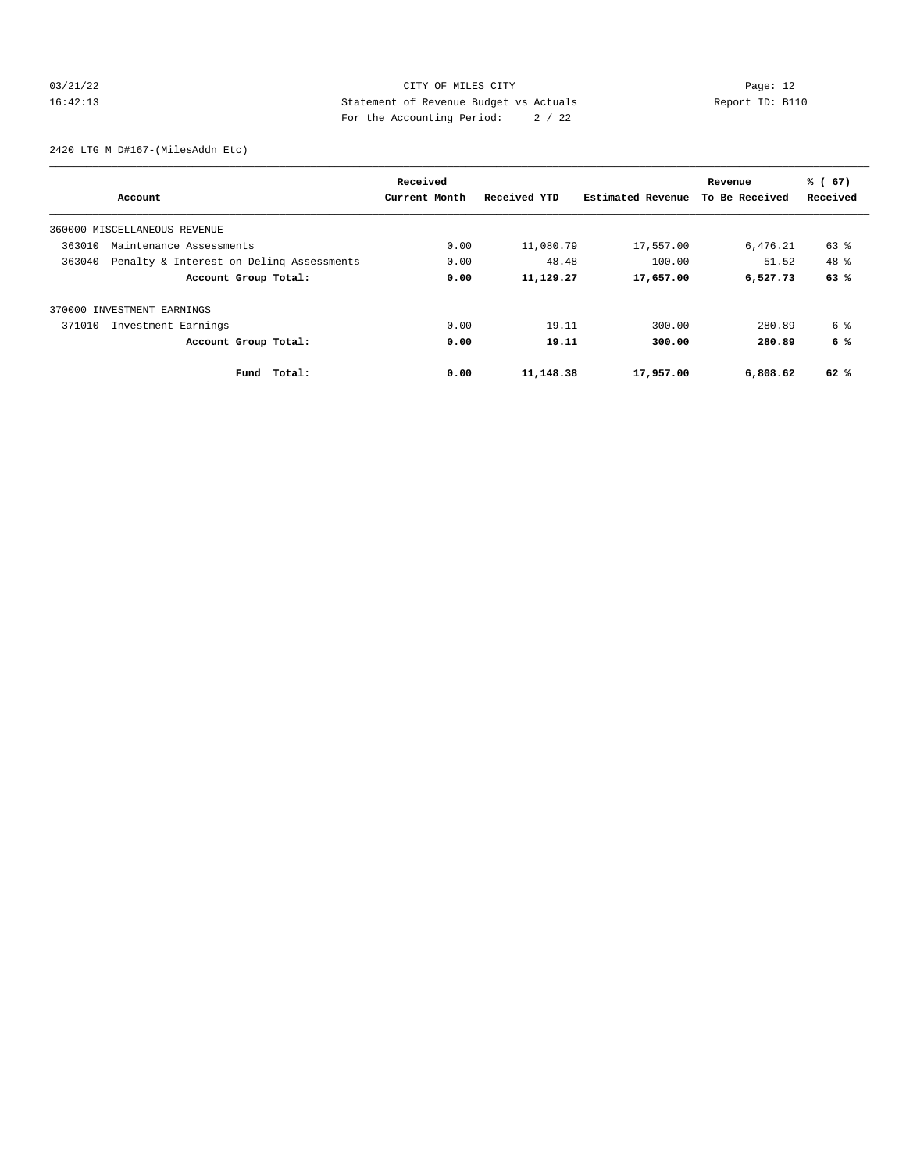## 03/21/22 Page: 12 16:42:13 Statement of Revenue Budget vs Actuals Report ID: B110 For the Accounting Period: 2 / 22

2420 LTG M D#167-(MilesAddn Etc)

|                                                    | Received      |              |                   | Revenue        | % (67)   |
|----------------------------------------------------|---------------|--------------|-------------------|----------------|----------|
| Account                                            | Current Month | Received YTD | Estimated Revenue | To Be Received | Received |
| 360000 MISCELLANEOUS REVENUE                       |               |              |                   |                |          |
| 363010<br>Maintenance Assessments                  | 0.00          | 11,080.79    | 17,557.00         | 6,476.21       | 63 %     |
| 363040<br>Penalty & Interest on Deling Assessments | 0.00          | 48.48        | 100.00            | 51.52          | 48 %     |
| Account Group Total:                               | 0.00          | 11,129.27    | 17,657.00         | 6,527.73       | 63%      |
| 370000 INVESTMENT EARNINGS                         |               |              |                   |                |          |
| 371010<br>Investment Earnings                      | 0.00          | 19.11        | 300.00            | 280.89         | 6 %      |
| Account Group Total:                               | 0.00          | 19.11        | 300.00            | 280.89         | 6 %      |
| Fund Total:                                        | 0.00          | 11,148.38    | 17,957.00         | 6,808.62       | 62%      |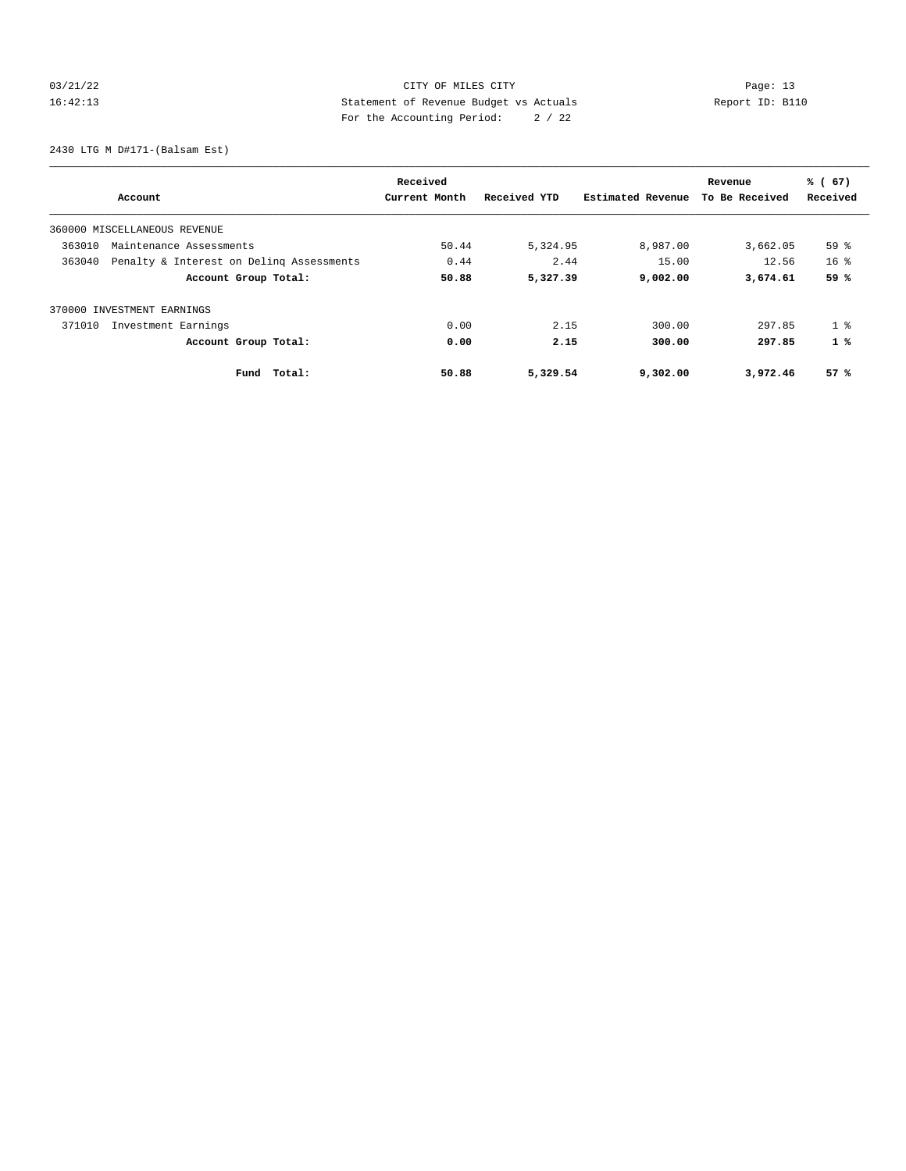## 03/21/22 Page: 13 16:42:13 Statement of Revenue Budget vs Actuals Report ID: B110 For the Accounting Period: 2 / 22

2430 LTG M D#171-(Balsam Est)

|                                                    | Received |               |              | Revenue           | % (67)         |                 |
|----------------------------------------------------|----------|---------------|--------------|-------------------|----------------|-----------------|
| Account                                            |          | Current Month | Received YTD | Estimated Revenue | To Be Received | Received        |
| 360000 MISCELLANEOUS REVENUE                       |          |               |              |                   |                |                 |
| 363010<br>Maintenance Assessments                  |          | 50.44         | 5,324.95     | 8,987.00          | 3,662.05       | 59 %            |
| 363040<br>Penalty & Interest on Deling Assessments |          | 0.44          | 2.44         | 15.00             | 12.56          | 16 <sup>8</sup> |
| Account Group Total:                               |          | 50.88         | 5,327.39     | 9,002.00          | 3,674.61       | 59 %            |
| 370000 INVESTMENT EARNINGS                         |          |               |              |                   |                |                 |
| Investment Earnings<br>371010                      |          | 0.00          | 2.15         | 300.00            | 297.85         | 1 <sup>8</sup>  |
| Account Group Total:                               |          | 0.00          | 2.15         | 300.00            | 297.85         | $1 \times$      |
| Fund                                               | Total:   | 50.88         | 5,329.54     | 9,302.00          | 3,972.46       | 57%             |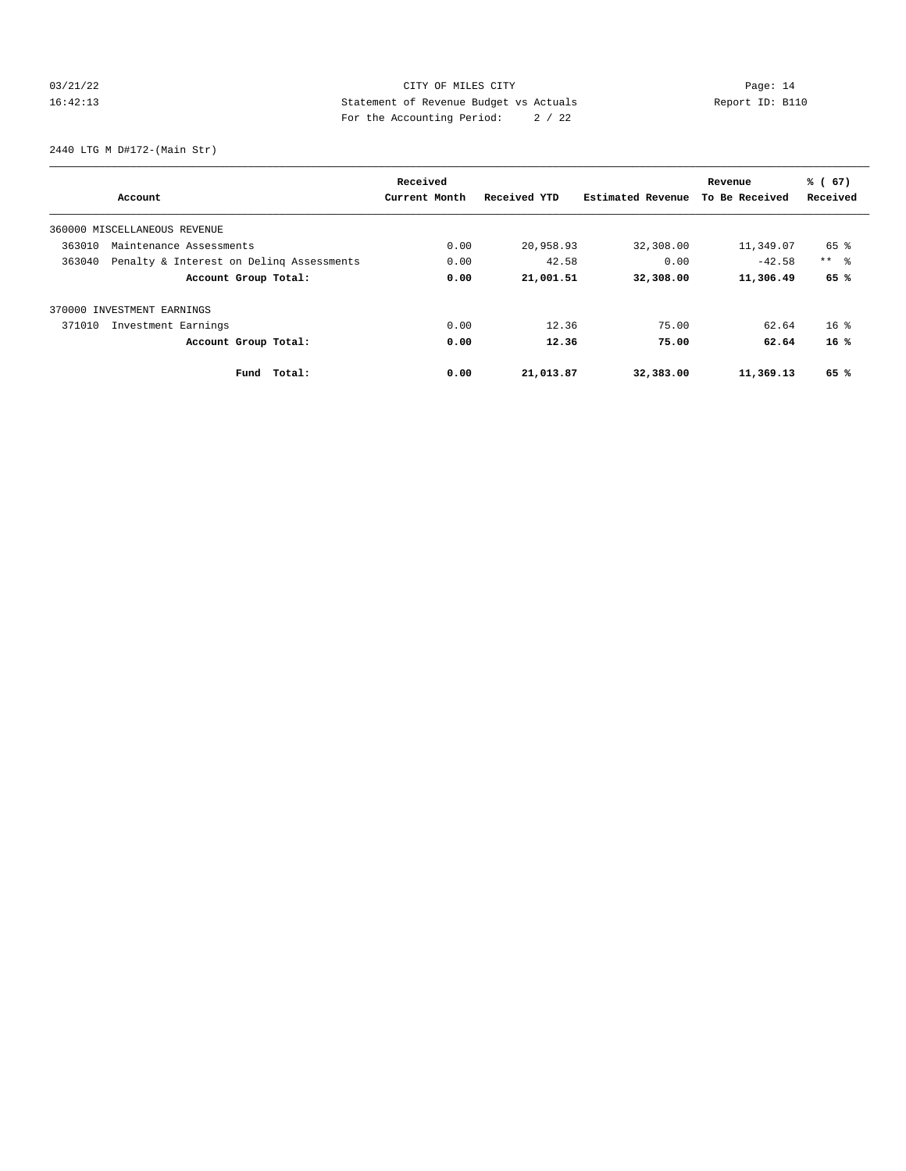## 03/21/22 Page: 14 16:42:13 Statement of Revenue Budget vs Actuals Report ID: B110 For the Accounting Period: 2 / 22

2440 LTG M D#172-(Main Str)

|                                                    | Received      |              |                   | Revenue        | % (67)     |
|----------------------------------------------------|---------------|--------------|-------------------|----------------|------------|
| Account                                            | Current Month | Received YTD | Estimated Revenue | To Be Received | Received   |
| 360000 MISCELLANEOUS REVENUE                       |               |              |                   |                |            |
| 363010<br>Maintenance Assessments                  | 0.00          | 20,958.93    | 32,308.00         | 11,349.07      | 65 %       |
| 363040<br>Penalty & Interest on Deling Assessments | 0.00          | 42.58        | 0.00              | $-42.58$       | $***$ $ -$ |
| Account Group Total:                               | 0.00          | 21,001.51    | 32,308.00         | 11,306.49      | 65 %       |
| 370000 INVESTMENT EARNINGS                         |               |              |                   |                |            |
| 371010<br>Investment Earnings                      | 0.00          | 12.36        | 75.00             | 62.64          | $16*$      |
| Account Group Total:                               | 0.00          | 12.36        | 75.00             | 62.64          | 16%        |
| Total:<br>Fund                                     | 0.00          | 21,013.87    | 32,383.00         | 11,369.13      | 65 %       |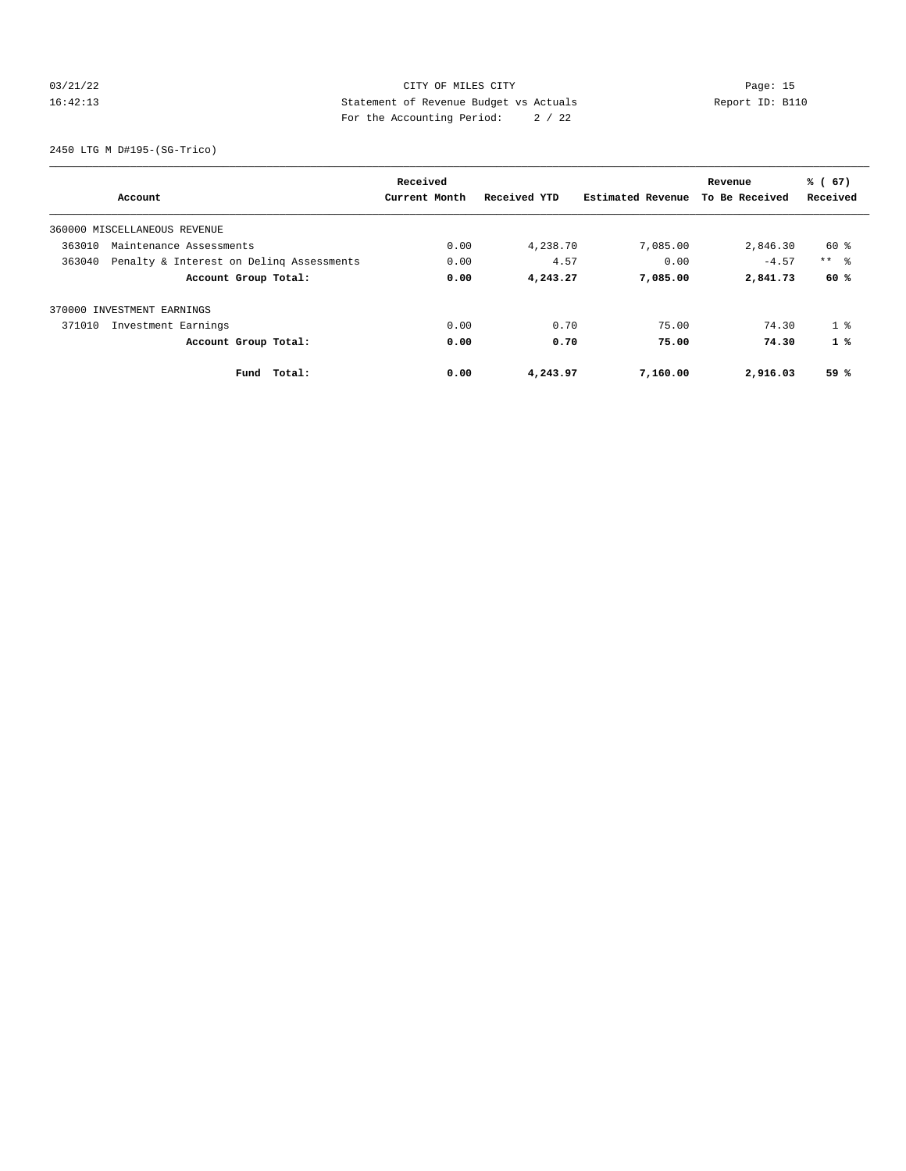## 03/21/22 Page: 15 16:42:13 Statement of Revenue Budget vs Actuals Report ID: B110 For the Accounting Period: 2 / 22

2450 LTG M D#195-(SG-Trico)

|                                                    | Received      |              |                   | Revenue        | % (67)          |
|----------------------------------------------------|---------------|--------------|-------------------|----------------|-----------------|
| Account                                            | Current Month | Received YTD | Estimated Revenue | To Be Received | Received        |
| 360000 MISCELLANEOUS REVENUE                       |               |              |                   |                |                 |
| 363010<br>Maintenance Assessments                  | 0.00          | 4,238.70     | 7,085.00          | 2,846.30       | 60 %            |
| 363040<br>Penalty & Interest on Deling Assessments | 0.00          | 4.57         | 0.00              | $-4.57$        | $***$ $\approx$ |
| Account Group Total:                               | 0.00          | 4,243.27     | 7,085.00          | 2,841.73       | 60 %            |
| 370000 INVESTMENT EARNINGS                         |               |              |                   |                |                 |
| 371010<br>Investment Earnings                      | 0.00          | 0.70         | 75.00             | 74.30          | 1 <sup>8</sup>  |
| Account Group Total:                               | 0.00          | 0.70         | 75.00             | 74.30          | 1%              |
| Total:<br>Fund                                     | 0.00          | 4,243.97     | 7,160.00          | 2,916.03       | 59 %            |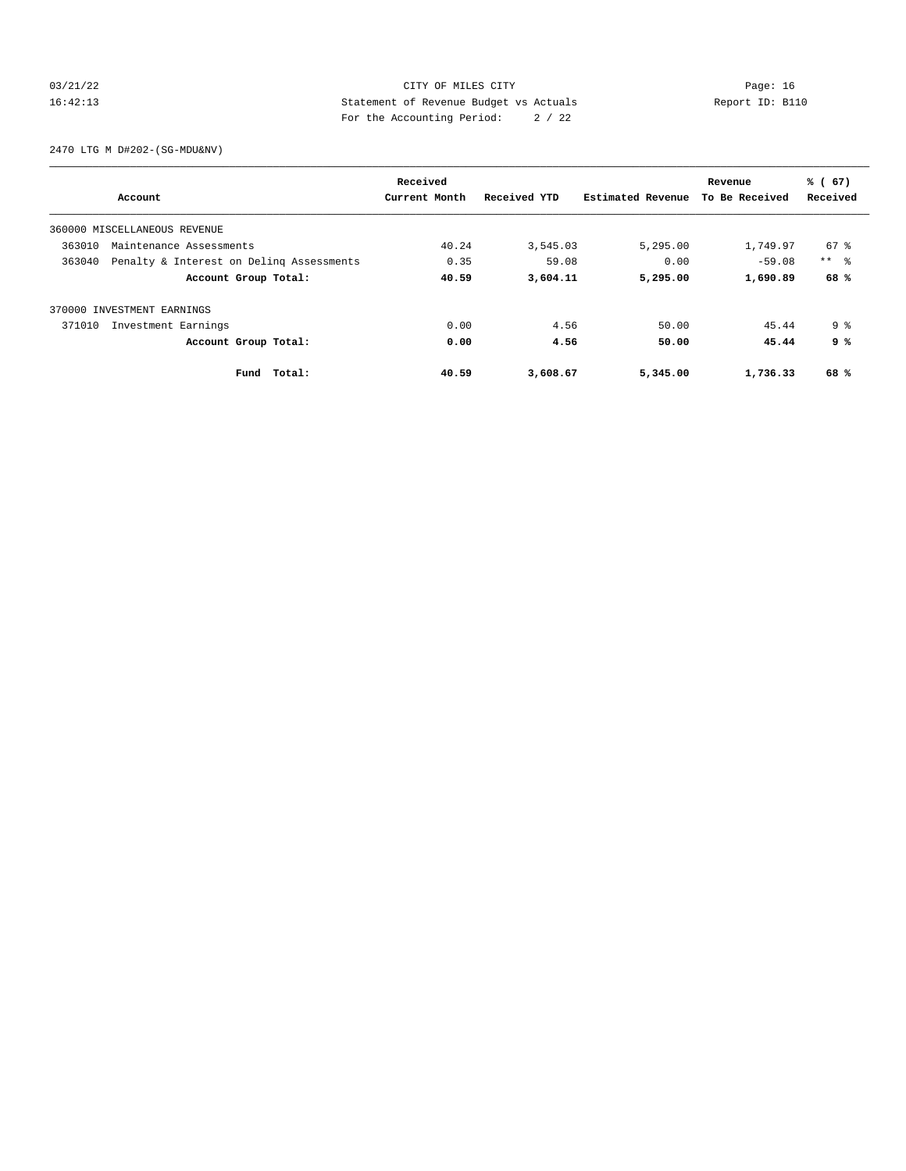## 03/21/22 Page: 16 16:42:13 Statement of Revenue Budget vs Actuals Report ID: B110 For the Accounting Period: 2 / 22

2470 LTG M D#202-(SG-MDU&NV)

|        |                                          | Received      |              |                   | Revenue        | % (67)          |
|--------|------------------------------------------|---------------|--------------|-------------------|----------------|-----------------|
|        | Account                                  | Current Month | Received YTD | Estimated Revenue | To Be Received | Received        |
|        | 360000 MISCELLANEOUS REVENUE             |               |              |                   |                |                 |
| 363010 | Maintenance Assessments                  | 40.24         | 3,545.03     | 5,295.00          | 1,749.97       | 67 %            |
| 363040 | Penalty & Interest on Deling Assessments | 0.35          | 59.08        | 0.00              | $-59.08$       | $***$ $\approx$ |
|        | Account Group Total:                     | 40.59         | 3,604.11     | 5,295.00          | 1,690.89       | 68%             |
|        | 370000 INVESTMENT EARNINGS               |               |              |                   |                |                 |
| 371010 | Investment Earnings                      | 0.00          | 4.56         | 50.00             | 45.44          | 9 <sup>8</sup>  |
|        | Account Group Total:                     | 0.00          | 4.56         | 50.00             | 45.44          | 9 %             |
|        | Total:<br>Fund                           | 40.59         | 3,608.67     | 5,345.00          | 1,736.33       | 68%             |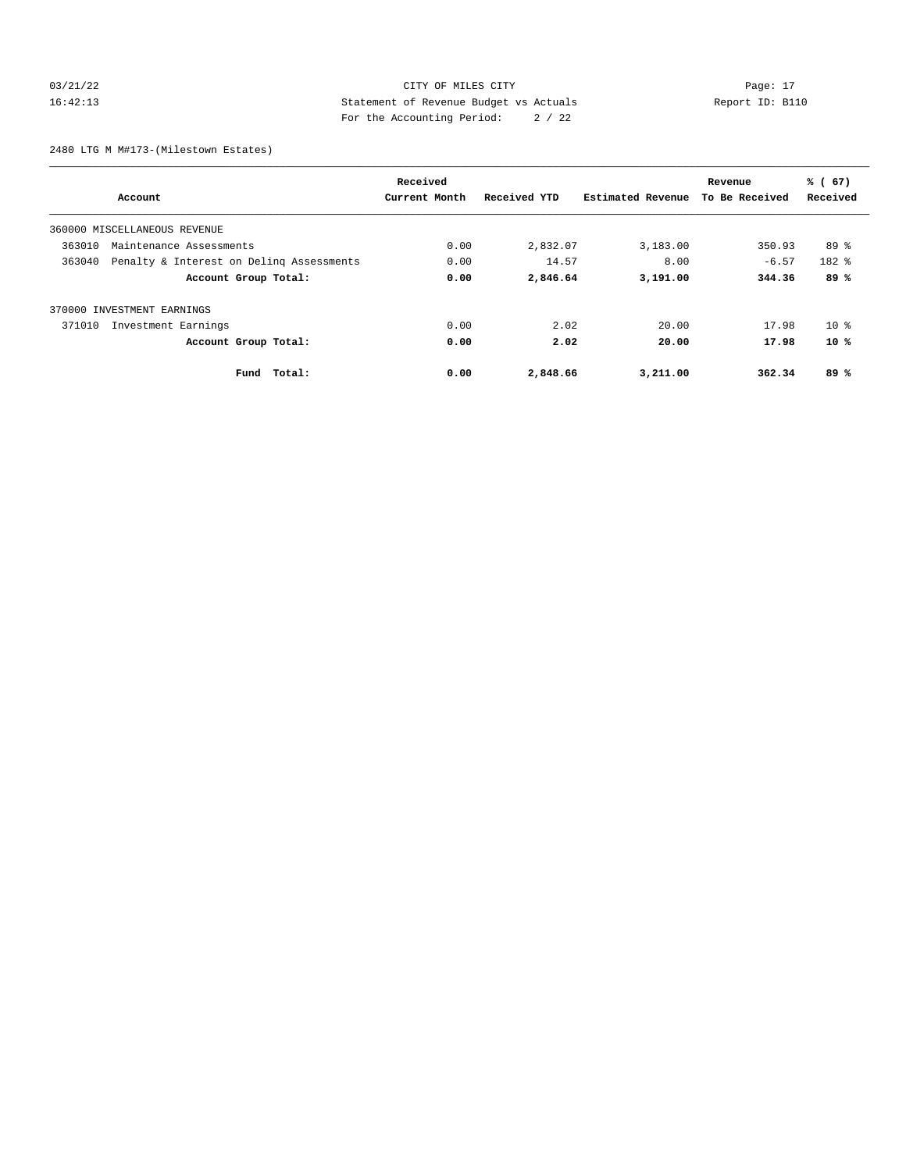## 03/21/22 Page: 17 CITY OF MILES CITY CONTROL PAGE: 17 16:42:13 Statement of Revenue Budget vs Actuals Report ID: B110 For the Accounting Period: 2 / 22

2480 LTG M M#173-(Milestown Estates)

|                                                    | Received      |              |                   | Revenue        | % (67)    |
|----------------------------------------------------|---------------|--------------|-------------------|----------------|-----------|
| Account                                            | Current Month | Received YTD | Estimated Revenue | To Be Received | Received  |
| 360000 MISCELLANEOUS REVENUE                       |               |              |                   |                |           |
| 363010<br>Maintenance Assessments                  | 0.00          | 2,832.07     | 3,183.00          | 350.93         | $89*$     |
| 363040<br>Penalty & Interest on Deling Assessments | 0.00          | 14.57        | 8.00              | $-6.57$        | $182$ $%$ |
| Account Group Total:                               | 0.00          | 2,846.64     | 3,191.00          | 344.36         | 89%       |
| 370000 INVESTMENT EARNINGS                         |               |              |                   |                |           |
| Investment Earnings<br>371010                      | 0.00          | 2.02         | 20.00             | 17.98          | $10*$     |
| Account Group Total:                               | 0.00          | 2.02         | 20.00             | 17.98          | $10*$     |
| Total:<br>Fund                                     | 0.00          | 2,848.66     | 3,211.00          | 362.34         | 89%       |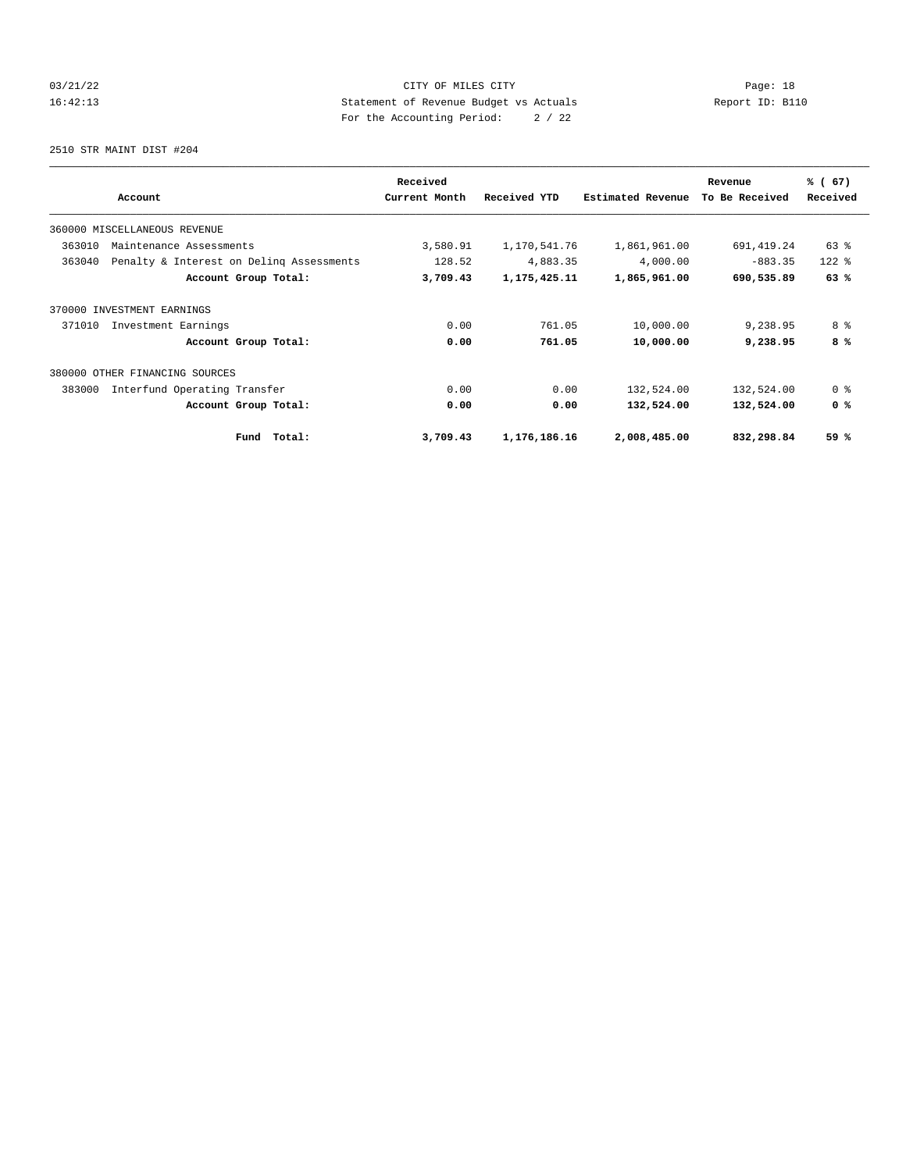## 03/21/22 Page: 18 16:42:13 Statement of Revenue Budget vs Actuals Report ID: B110 For the Accounting Period: 2 / 22

2510 STR MAINT DIST #204

|                                                    | Received      |              |                   | Revenue        | % (67)         |
|----------------------------------------------------|---------------|--------------|-------------------|----------------|----------------|
| Account                                            | Current Month | Received YTD | Estimated Revenue | To Be Received | Received       |
| 360000 MISCELLANEOUS REVENUE                       |               |              |                   |                |                |
| 363010<br>Maintenance Assessments                  | 3,580.91      | 1,170,541.76 | 1,861,961.00      | 691,419.24     | 63 %           |
| 363040<br>Penalty & Interest on Deling Assessments | 128.52        | 4,883.35     | 4,000.00          | $-883.35$      | $122$ $%$      |
| Account Group Total:                               | 3,709.43      | 1,175,425.11 | 1,865,961.00      | 690,535.89     | 63%            |
| 370000 INVESTMENT EARNINGS                         |               |              |                   |                |                |
| 371010<br>Investment Earnings                      | 0.00          | 761.05       | 10,000.00         | 9,238.95       | 8 %            |
| Account Group Total:                               | 0.00          | 761.05       | 10,000.00         | 9,238.95       | 8%             |
| 380000 OTHER FINANCING SOURCES                     |               |              |                   |                |                |
| 383000<br>Interfund Operating Transfer             | 0.00          | 0.00         | 132,524.00        | 132,524.00     | 0 <sup>8</sup> |
| Account Group Total:                               | 0.00          | 0.00         | 132,524.00        | 132,524.00     | 0 <sup>8</sup> |
| Total:<br>Fund                                     | 3,709.43      | 1,176,186.16 | 2,008,485.00      | 832,298.84     | 59 %           |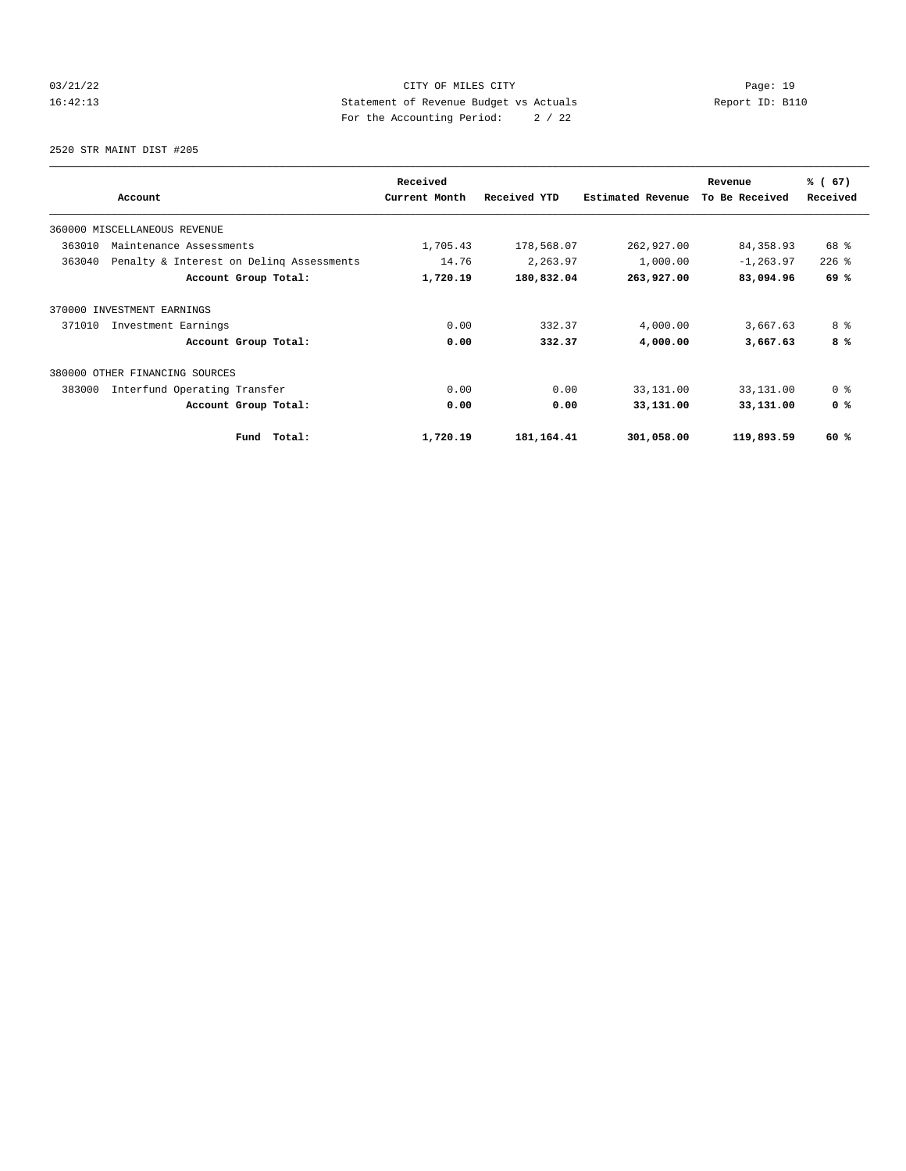## 03/21/22 Page: 19 16:42:13 Statement of Revenue Budget vs Actuals Report ID: B110 For the Accounting Period: 2 / 22

2520 STR MAINT DIST #205

|                                                    | Received      |              |                   | Revenue        | % (67)         |
|----------------------------------------------------|---------------|--------------|-------------------|----------------|----------------|
| Account                                            | Current Month | Received YTD | Estimated Revenue | To Be Received | Received       |
| 360000 MISCELLANEOUS REVENUE                       |               |              |                   |                |                |
| 363010<br>Maintenance Assessments                  | 1,705.43      | 178,568.07   | 262,927.00        | 84, 358.93     | 68 %           |
| 363040<br>Penalty & Interest on Deling Assessments | 14.76         | 2,263.97     | 1,000.00          | $-1, 263.97$   | $226$ %        |
| Account Group Total:                               | 1,720.19      | 180,832.04   | 263,927.00        | 83,094.96      | 69%            |
| 370000 INVESTMENT EARNINGS                         |               |              |                   |                |                |
| 371010<br>Investment Earnings                      | 0.00          | 332.37       | 4,000.00          | 3,667.63       | 8 %            |
| Account Group Total:                               | 0.00          | 332.37       | 4,000.00          | 3,667.63       | 8%             |
| 380000 OTHER FINANCING SOURCES                     |               |              |                   |                |                |
| 383000<br>Interfund Operating Transfer             | 0.00          | 0.00         | 33,131.00         | 33,131.00      | 0 <sup>8</sup> |
| Account Group Total:                               | 0.00          | 0.00         | 33,131.00         | 33,131.00      | 0 <sup>8</sup> |
| Total:<br>Fund                                     | 1,720.19      | 181, 164. 41 | 301,058.00        | 119,893.59     | 60 %           |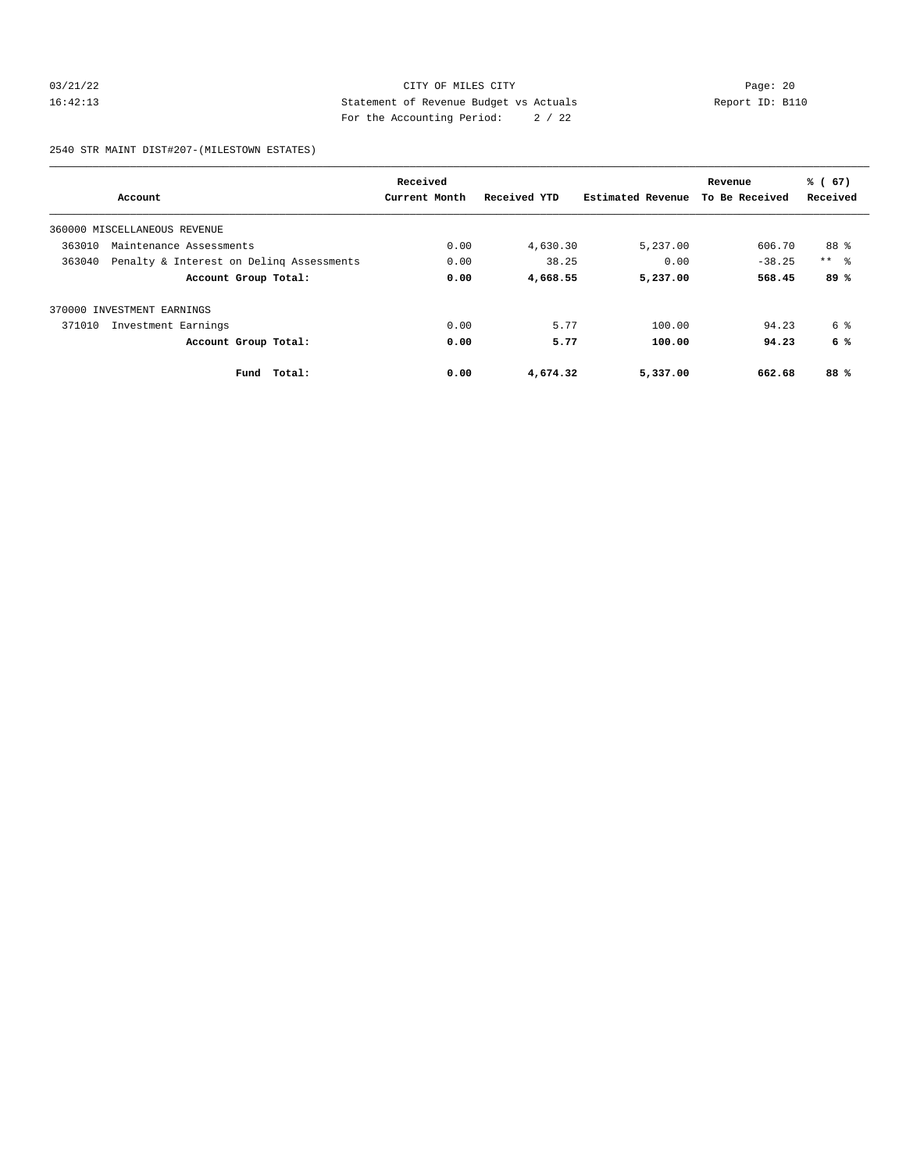## 03/21/22 Page: 20 16:42:13 Statement of Revenue Budget vs Actuals Report ID: B110 For the Accounting Period: 2 / 22

2540 STR MAINT DIST#207-(MILESTOWN ESTATES)

|        |                                          | Received      |              |                   | Revenue        | % (67)     |
|--------|------------------------------------------|---------------|--------------|-------------------|----------------|------------|
|        | Account                                  | Current Month | Received YTD | Estimated Revenue | To Be Received | Received   |
|        | 360000 MISCELLANEOUS REVENUE             |               |              |                   |                |            |
| 363010 | Maintenance Assessments                  | 0.00          | 4,630.30     | 5,237.00          | 606.70         | 88 %       |
| 363040 | Penalty & Interest on Deling Assessments | 0.00          | 38.25        | 0.00              | $-38.25$       | $***$ $ -$ |
|        | Account Group Total:                     | 0.00          | 4,668.55     | 5,237.00          | 568.45         | 89%        |
| 370000 | INVESTMENT EARNINGS                      |               |              |                   |                |            |
| 371010 | Investment Earnings                      | 0.00          | 5.77         | 100.00            | 94.23          | 6 %        |
|        | Account Group Total:                     | 0.00          | 5.77         | 100.00            | 94.23          | 6 %        |
|        | Fund Total:                              | 0.00          | 4,674.32     | 5,337.00          | 662.68         | 88%        |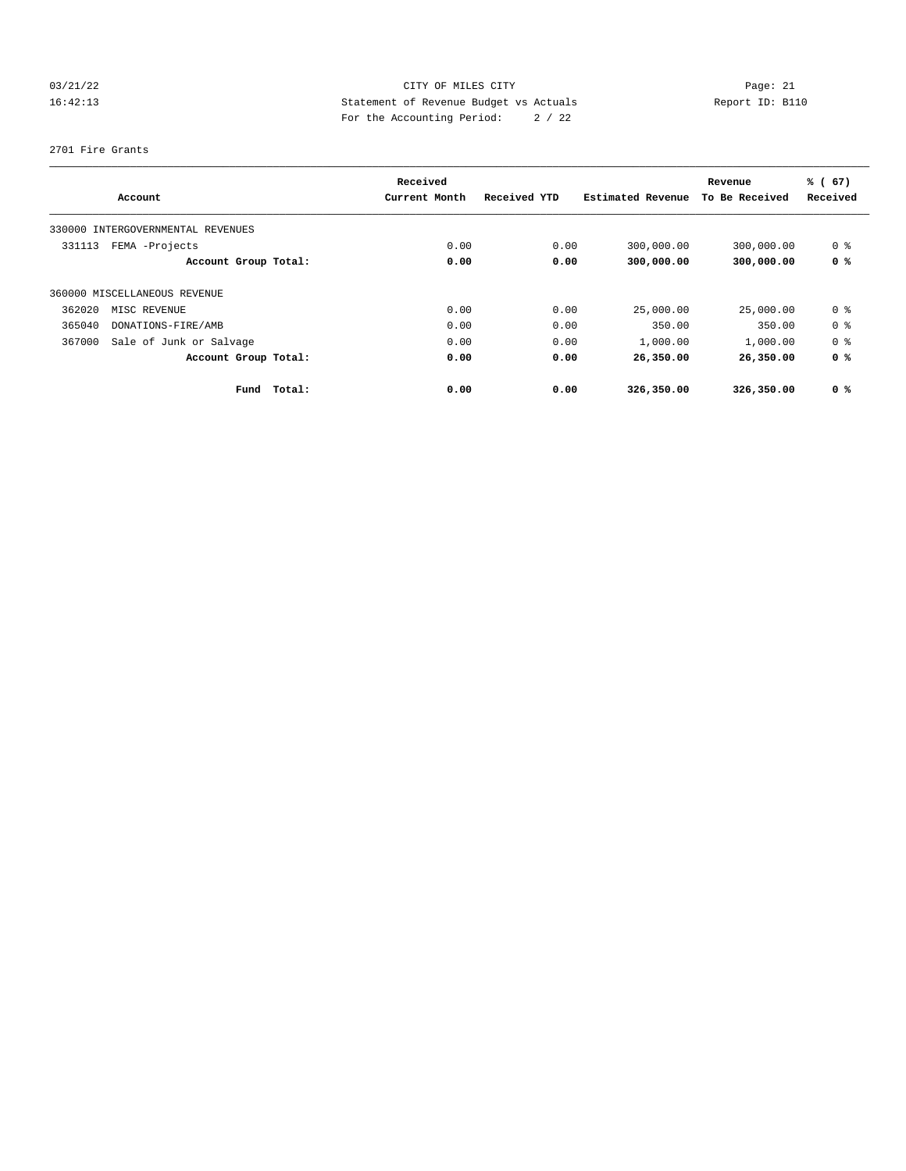## 03/21/22 Page: 21 CITY OF MILES CITY CONTROL Page: 21 16:42:13 Statement of Revenue Budget vs Actuals Report ID: B110 For the Accounting Period: 2 / 22

#### 2701 Fire Grants

|        | Account                           |        | Received<br>Current Month | Received YTD | Estimated Revenue | Revenue<br>To Be Received | % (67)<br>Received |
|--------|-----------------------------------|--------|---------------------------|--------------|-------------------|---------------------------|--------------------|
|        |                                   |        |                           |              |                   |                           |                    |
|        | 330000 INTERGOVERNMENTAL REVENUES |        |                           |              |                   |                           |                    |
| 331113 | FEMA -Projects                    |        | 0.00                      | 0.00         | 300,000.00        | 300,000.00                | 0 %                |
|        | Account Group Total:              |        | 0.00                      | 0.00         | 300,000.00        | 300,000.00                | 0 %                |
|        | 360000 MISCELLANEOUS REVENUE      |        |                           |              |                   |                           |                    |
| 362020 | MISC REVENUE                      |        | 0.00                      | 0.00         | 25,000.00         | 25,000.00                 | 0 %                |
| 365040 | DONATIONS-FIRE/AMB                |        | 0.00                      | 0.00         | 350.00            | 350.00                    | 0 %                |
| 367000 | Sale of Junk or Salvage           |        | 0.00                      | 0.00         | 1,000.00          | 1,000.00                  | 0 %                |
|        | Account Group Total:              |        | 0.00                      | 0.00         | 26,350.00         | 26,350.00                 | 0 <sup>8</sup>     |
|        | Fund                              | Total: | 0.00                      | 0.00         | 326,350.00        | 326,350.00                | 0 <sup>8</sup>     |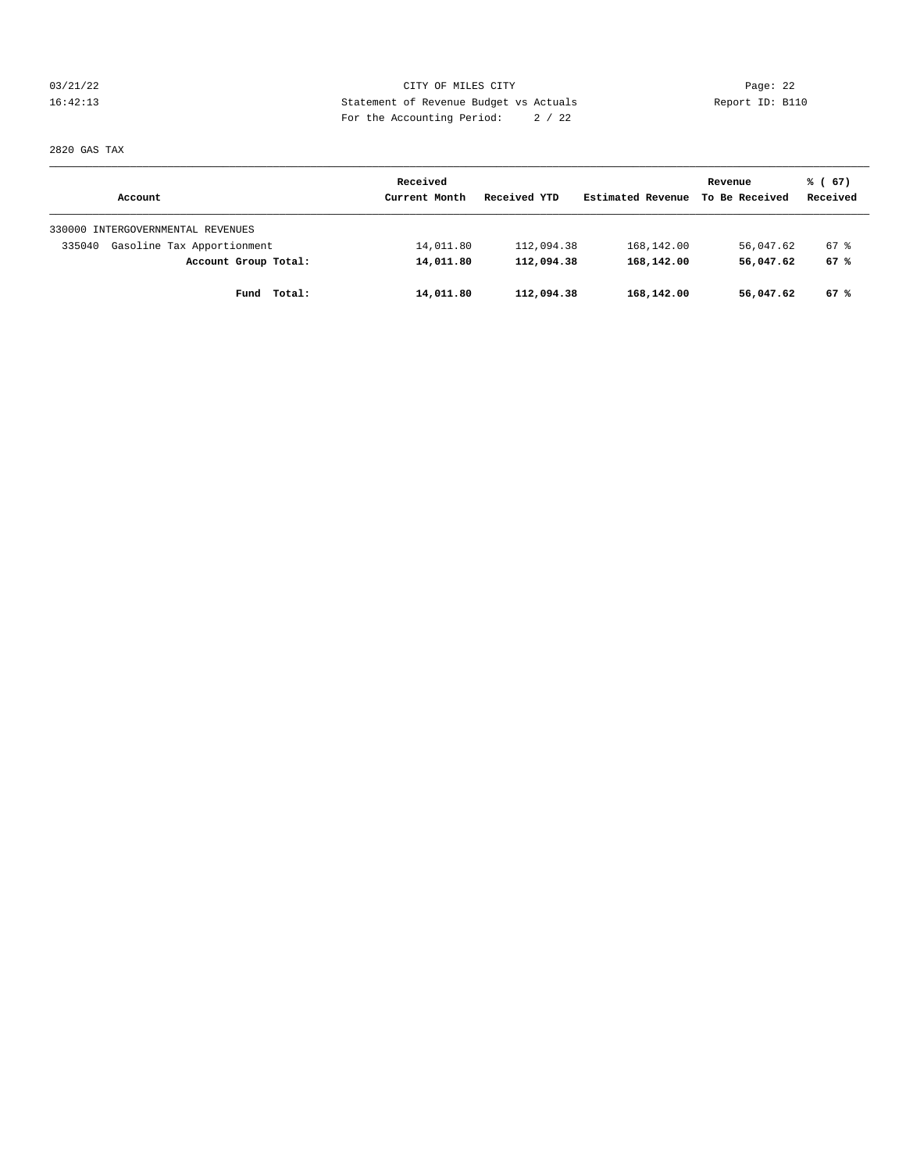03/21/22 Page: 22 16:42:13 Statement of Revenue Budget vs Actuals Report ID: B110 For the Accounting Period: 2 / 22

2820 GAS TAX

|                                      | Received      |              |                   | Revenue        | % (67)   |
|--------------------------------------|---------------|--------------|-------------------|----------------|----------|
| Account                              | Current Month | Received YTD | Estimated Revenue | To Be Received | Received |
| 330000 INTERGOVERNMENTAL REVENUES    |               |              |                   |                |          |
| Gasoline Tax Apportionment<br>335040 | 14,011.80     | 112,094.38   | 168,142.00        | 56,047.62      | 67 %     |
| Account Group Total:                 | 14,011.80     | 112,094.38   | 168,142.00        | 56,047.62      | 67%      |
| Total:<br>Fund                       | 14,011.80     | 112,094.38   | 168,142.00        | 56,047.62      | 67%      |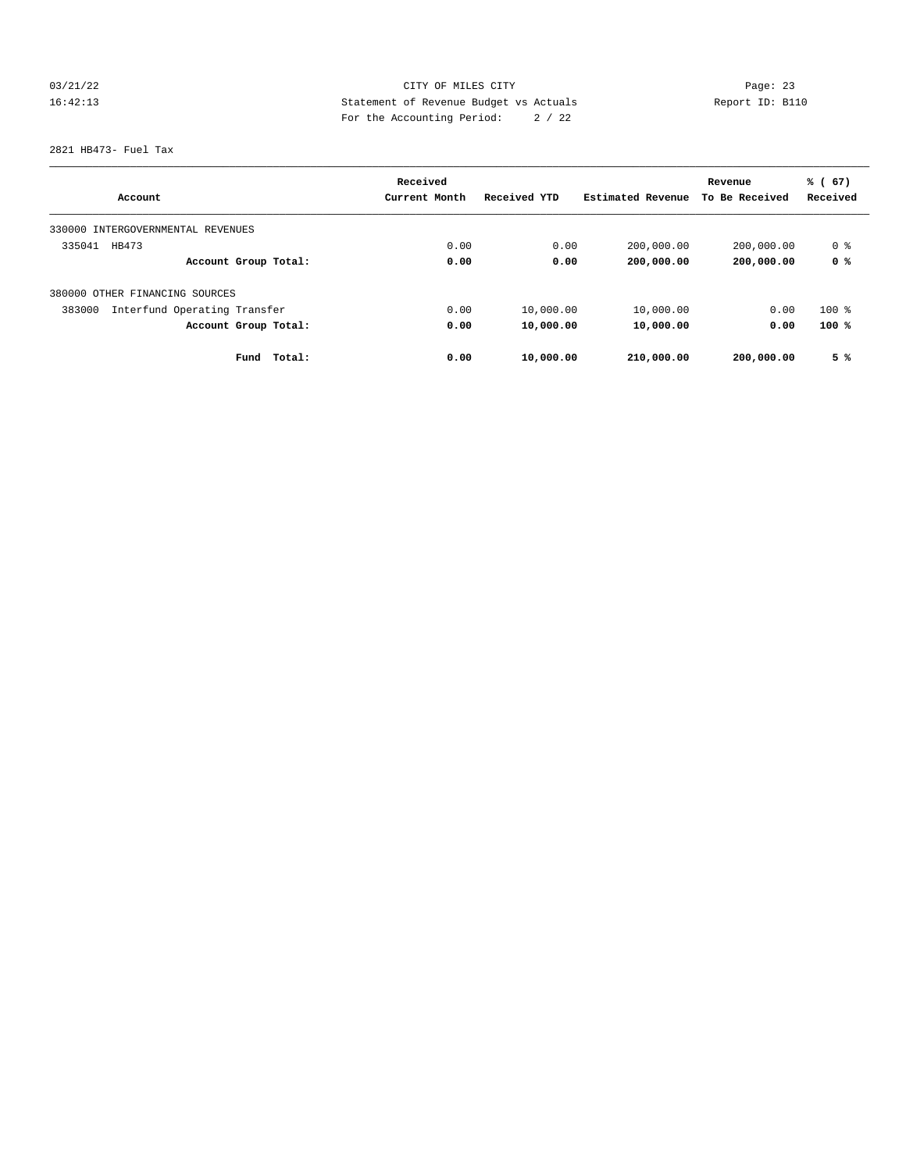## 03/21/22 Page: 23 16:42:13 Statement of Revenue Budget vs Actuals Report ID: B110 For the Accounting Period: 2 / 22

2821 HB473- Fuel Tax

|                                        | Received      |              |                   | Revenue        | % (67)   |
|----------------------------------------|---------------|--------------|-------------------|----------------|----------|
| Account                                | Current Month | Received YTD | Estimated Revenue | To Be Received | Received |
| INTERGOVERNMENTAL REVENUES<br>330000   |               |              |                   |                |          |
| 335041<br>HB473                        | 0.00          | 0.00         | 200,000.00        | 200,000.00     | 0 %      |
| Account Group Total:                   | 0.00          | 0.00         | 200,000.00        | 200,000.00     | 0 %      |
| 380000 OTHER FINANCING SOURCES         |               |              |                   |                |          |
| Interfund Operating Transfer<br>383000 | 0.00          | 10,000.00    | 10,000.00         | 0.00           | $100$ %  |
| Account Group Total:                   | 0.00          | 10,000.00    | 10,000.00         | 0.00           | 100%     |
| Fund<br>Total:                         | 0.00          | 10,000.00    | 210,000.00        | 200,000.00     | 5%       |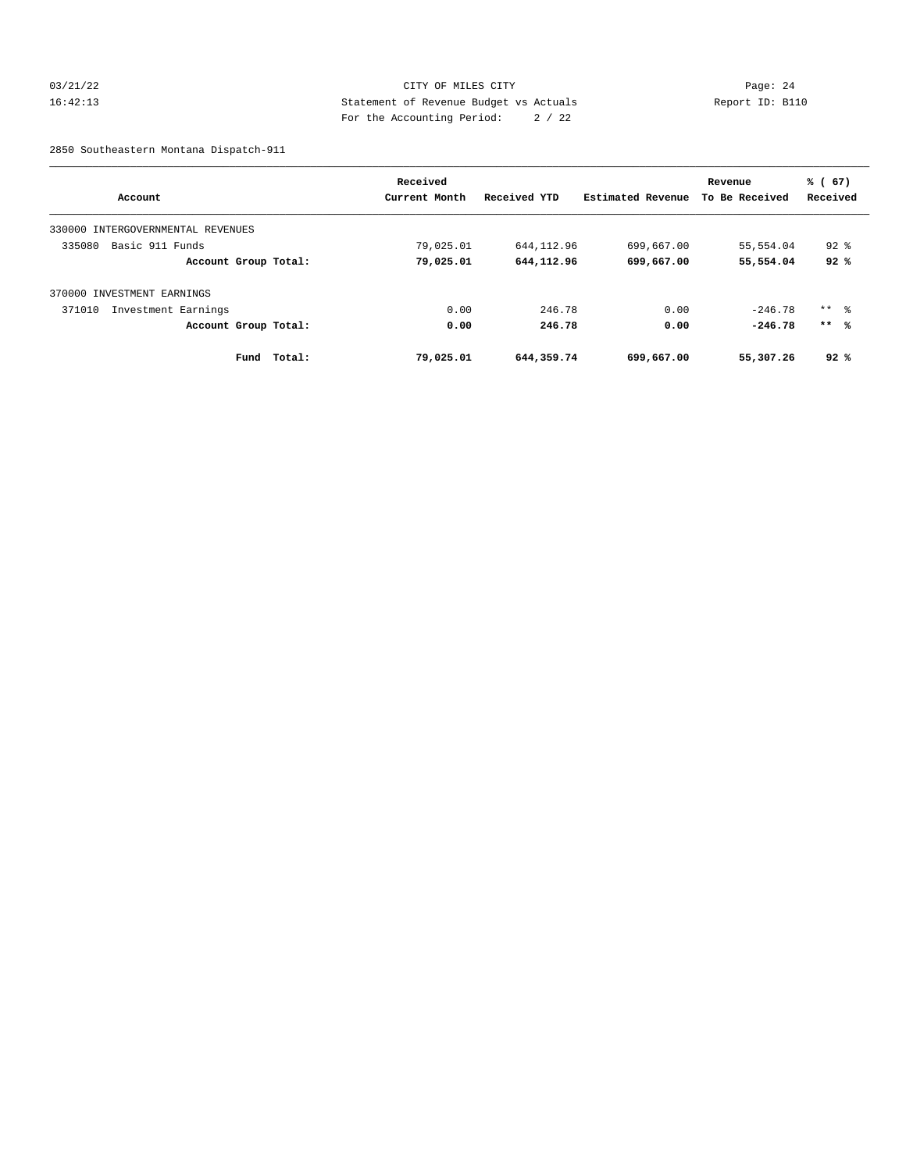## 03/21/22 Page: 24 16:42:13 Statement of Revenue Budget vs Actuals Report ID: B110 For the Accounting Period: 2 / 22

2850 Southeastern Montana Dispatch-911

|                                      | Received      |              |                   | Revenue        | % (67)          |
|--------------------------------------|---------------|--------------|-------------------|----------------|-----------------|
| Account                              | Current Month | Received YTD | Estimated Revenue | To Be Received | Received        |
| INTERGOVERNMENTAL REVENUES<br>330000 |               |              |                   |                |                 |
| 335080<br>Basic 911 Funds            | 79,025.01     | 644, 112, 96 | 699,667.00        | 55,554.04      | $92*$           |
| Account Group Total:                 | 79,025.01     | 644, 112, 96 | 699,667.00        | 55,554.04      | 92%             |
| 370000 INVESTMENT EARNINGS           |               |              |                   |                |                 |
| 371010<br>Investment Earnings        | 0.00          | 246.78       | 0.00              | $-246.78$      | $***$ $\approx$ |
| Account Group Total:                 | 0.00          | 246.78       | 0.00              | $-246.78$      | $***$ %         |
| Total:<br>Fund                       | 79,025.01     | 644,359.74   | 699,667.00        | 55,307.26      | 92%             |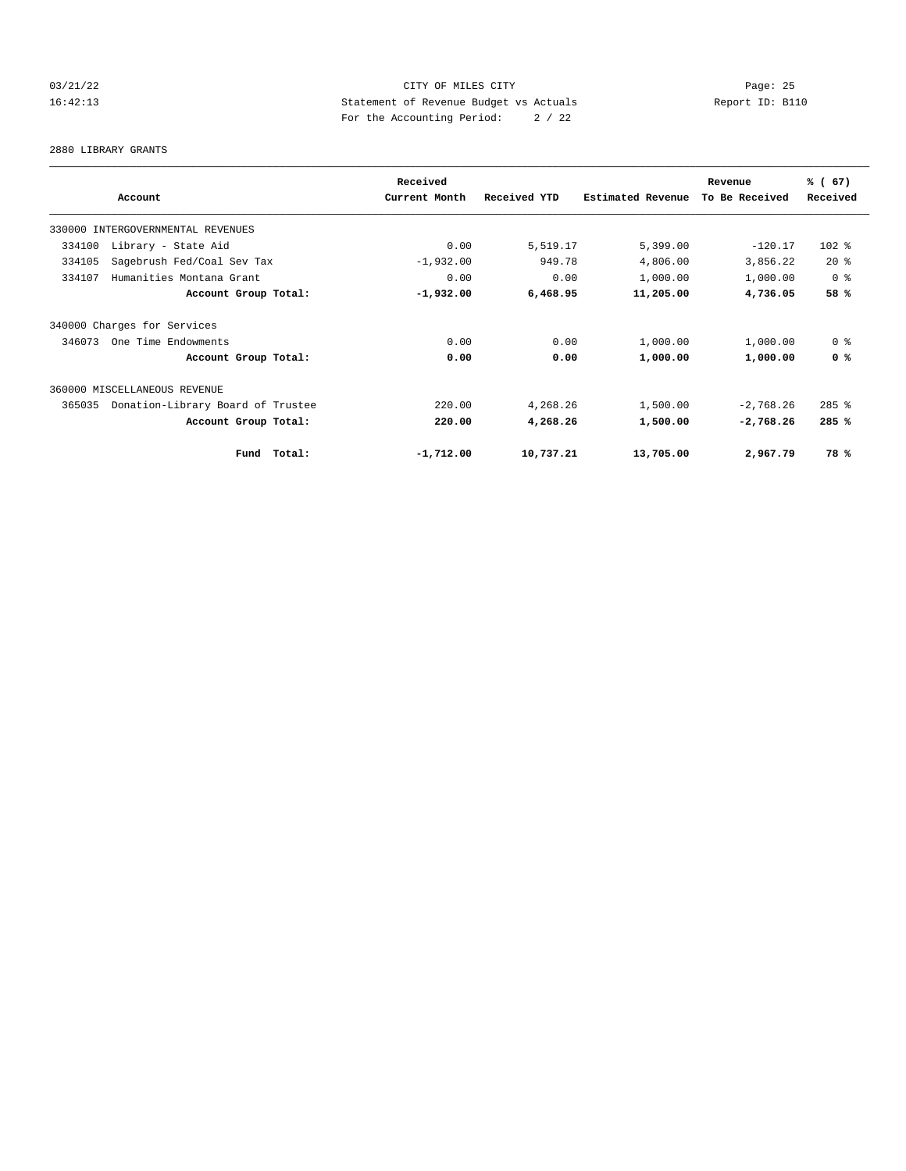## 03/21/22 Page: 25 16:42:13 Statement of Revenue Budget vs Actuals Report ID: B110 For the Accounting Period: 2 / 22

#### 2880 LIBRARY GRANTS

|                                             | Received      |              |                   | Revenue        | % (67)         |
|---------------------------------------------|---------------|--------------|-------------------|----------------|----------------|
| Account                                     | Current Month | Received YTD | Estimated Revenue | To Be Received | Received       |
| 330000 INTERGOVERNMENTAL REVENUES           |               |              |                   |                |                |
| Library - State Aid<br>334100               | 0.00          | 5,519.17     | 5,399.00          | $-120.17$      | $102$ %        |
| 334105<br>Sagebrush Fed/Coal Sev Tax        | $-1,932.00$   | 949.78       | 4,806.00          | 3,856.22       | $20*$          |
| 334107<br>Humanities Montana Grant          | 0.00          | 0.00         | 1,000.00          | 1,000.00       | 0 %            |
| Account Group Total:                        | $-1,932.00$   | 6,468.95     | 11,205.00         | 4,736.05       | 58 %           |
| 340000 Charges for Services                 |               |              |                   |                |                |
| 346073<br>One Time Endowments               | 0.00          | 0.00         | 1,000.00          | 1,000.00       | 0 <sup>8</sup> |
| Account Group Total:                        | 0.00          | 0.00         | 1,000.00          | 1,000.00       | 0 <sup>8</sup> |
| 360000 MISCELLANEOUS REVENUE                |               |              |                   |                |                |
| Donation-Library Board of Trustee<br>365035 | 220.00        | 4,268.26     | 1,500.00          | $-2,768.26$    | $285$ $%$      |
| Account Group Total:                        | 220.00        | 4,268.26     | 1,500.00          | $-2,768.26$    | 285%           |
| Fund Total:                                 | $-1,712.00$   | 10,737.21    | 13,705.00         | 2,967.79       | 78%            |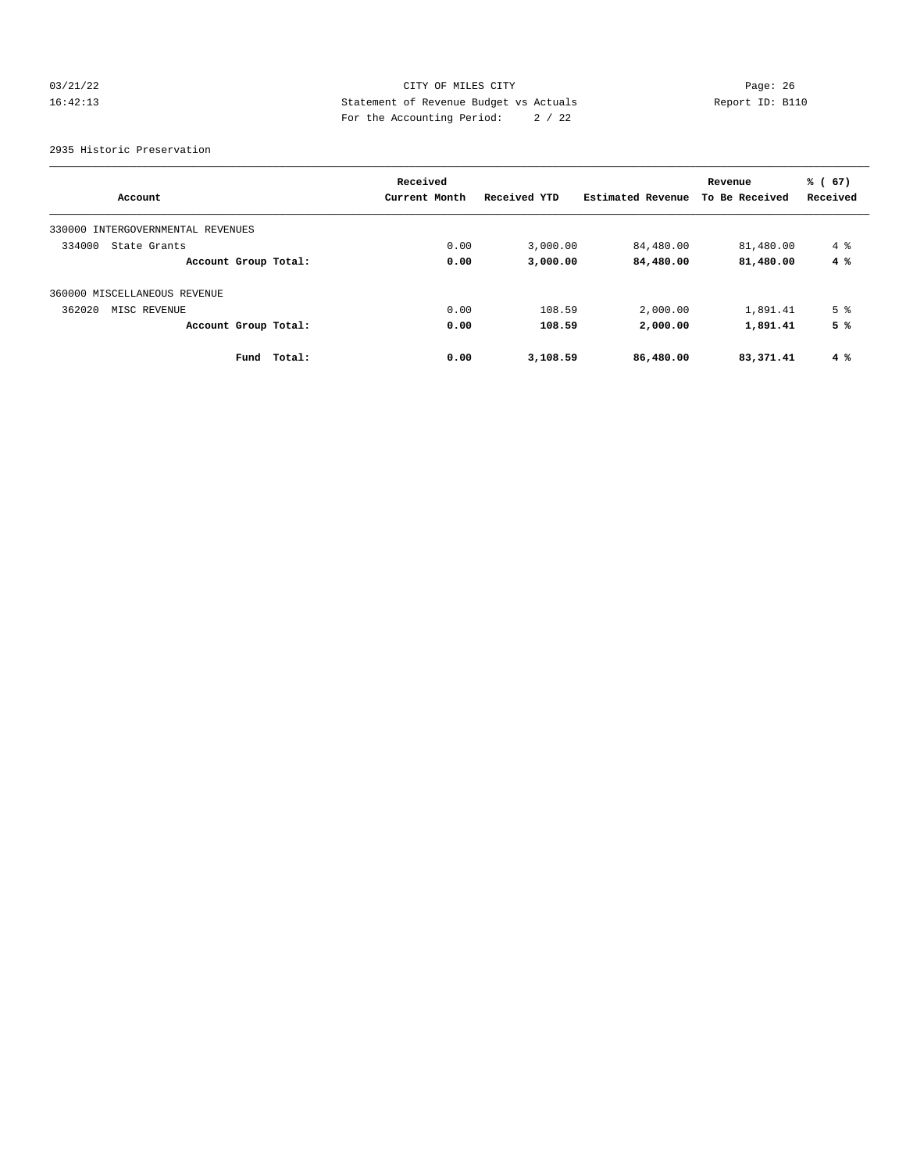## 03/21/22 Page: 26 16:42:13 Statement of Revenue Budget vs Actuals Report ID: B110 For the Accounting Period: 2 / 22

2935 Historic Preservation

|                                      | Received       |              |                   | Revenue        | % (67)         |
|--------------------------------------|----------------|--------------|-------------------|----------------|----------------|
| Account                              | Current Month  | Received YTD | Estimated Revenue | To Be Received | Received       |
| 330000<br>INTERGOVERNMENTAL REVENUES |                |              |                   |                |                |
| 334000<br>State Grants               | 0.00           | 3,000.00     | 84,480.00         | 81,480.00      | $4\degree$     |
| Account Group Total:                 | 0.00           | 3,000.00     | 84,480.00         | 81,480.00      | 4%             |
| 360000 MISCELLANEOUS REVENUE         |                |              |                   |                |                |
| 362020<br>MISC REVENUE               | 0.00           | 108.59       | 2,000.00          | 1,891.41       | 5 <sup>°</sup> |
| Account Group Total:                 | 0.00           | 108.59       | 2,000.00          | 1,891.41       | 5%             |
| Fund                                 | 0.00<br>Total: | 3,108.59     | 86,480.00         | 83,371.41      | $4\degree$     |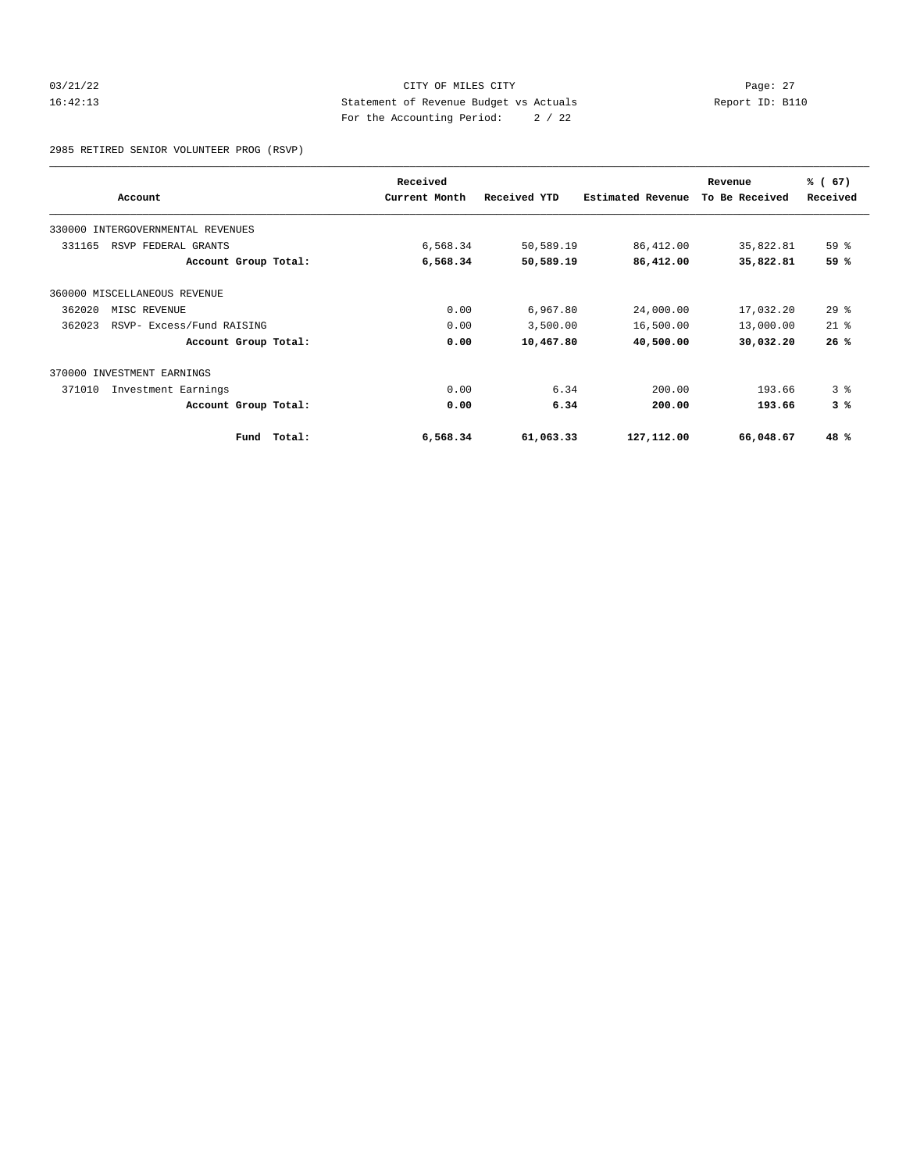## 03/21/22 Page: 27 16:42:13 Statement of Revenue Budget vs Actuals Report ID: B110 For the Accounting Period: 2 / 22

2985 RETIRED SENIOR VOLUNTEER PROG (RSVP)

|        |                                   |        | Received      |              |                          | Revenue        | % (67)         |
|--------|-----------------------------------|--------|---------------|--------------|--------------------------|----------------|----------------|
|        | Account                           |        | Current Month | Received YTD | <b>Estimated Revenue</b> | To Be Received | Received       |
|        | 330000 INTERGOVERNMENTAL REVENUES |        |               |              |                          |                |                |
| 331165 | RSVP FEDERAL GRANTS               |        | 6,568.34      | 50,589.19    | 86,412.00                | 35,822.81      | 59 %           |
|        | Account Group Total:              |        | 6,568.34      | 50,589.19    | 86,412.00                | 35,822.81      | 59 %           |
|        | 360000 MISCELLANEOUS REVENUE      |        |               |              |                          |                |                |
| 362020 | MISC REVENUE                      |        | 0.00          | 6,967.80     | 24,000.00                | 17,032.20      | $29$ $%$       |
| 362023 | RSVP- Excess/Fund RAISING         |        | 0.00          | 3,500.00     | 16,500.00                | 13,000.00      | $21$ %         |
|        | Account Group Total:              |        | 0.00          | 10,467.80    | 40,500.00                | 30,032.20      | 26%            |
|        | 370000 INVESTMENT EARNINGS        |        |               |              |                          |                |                |
| 371010 | Investment Earnings               |        | 0.00          | 6.34         | 200.00                   | 193.66         | 3 <sup>8</sup> |
|        | Account Group Total:              |        | 0.00          | 6.34         | 200.00                   | 193.66         | 3%             |
|        | Fund                              | Total: | 6,568.34      | 61,063.33    | 127,112.00               | 66,048.67      | 48%            |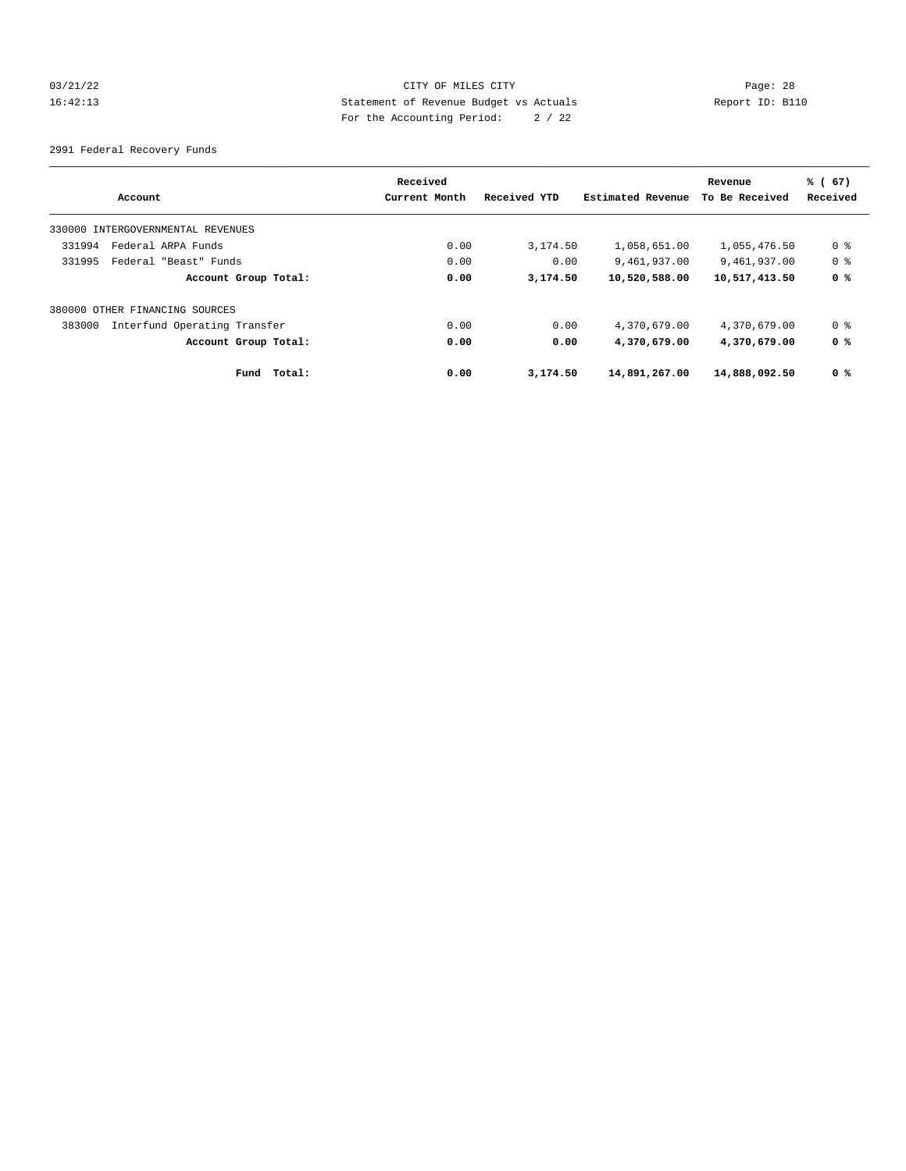## 03/21/22 Page: 28 16:42:13 Statement of Revenue Budget vs Actuals Report ID: B110 For the Accounting Period: 2 / 22

2991 Federal Recovery Funds

| Account                                | Received<br>Current Month | Received YTD | Estimated Revenue | Revenue<br>To Be Received | % (67)<br>Received |
|----------------------------------------|---------------------------|--------------|-------------------|---------------------------|--------------------|
| 330000 INTERGOVERNMENTAL REVENUES      |                           |              |                   |                           |                    |
| Federal ARPA Funds<br>331994           | 0.00                      | 3,174.50     | 1,058,651.00      | 1,055,476.50              | 0 %                |
| 331995<br>Federal "Beast" Funds        | 0.00                      | 0.00         | 9,461,937.00      | 9,461,937.00              | 0 %                |
| Account Group Total:                   | 0.00                      | 3,174.50     | 10,520,588.00     | 10,517,413.50             | 0 <sup>8</sup>     |
| 380000 OTHER FINANCING SOURCES         |                           |              |                   |                           |                    |
| 383000<br>Interfund Operating Transfer | 0.00                      | 0.00         | 4,370,679.00      | 4,370,679.00              | 0 %                |
| Account Group Total:                   | 0.00                      | 0.00         | 4,370,679.00      | 4,370,679.00              | 0 %                |
| Total:<br>Fund                         | 0.00                      | 3,174.50     | 14,891,267.00     | 14,888,092.50             | 0 %                |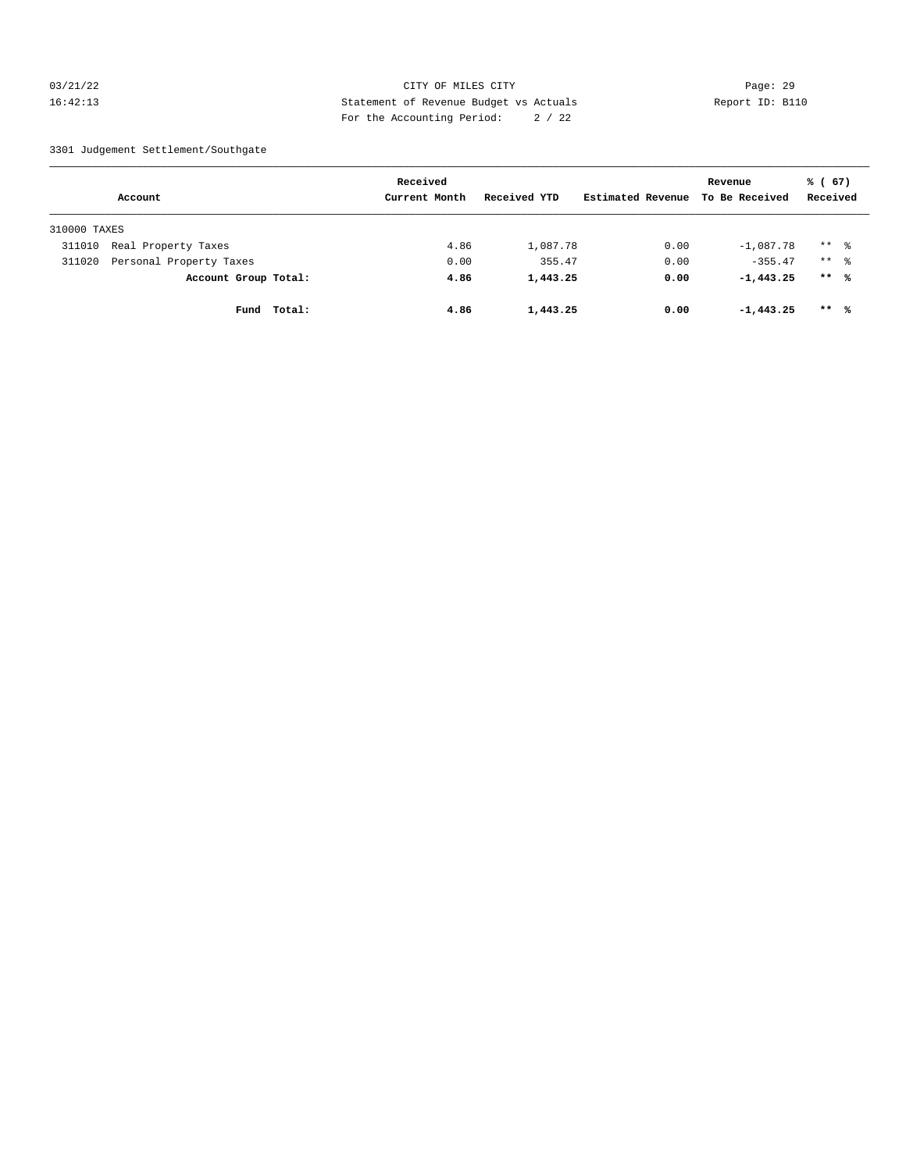## 03/21/22 Page: 29 16:42:13 Statement of Revenue Budget vs Actuals Report ID: B110 For the Accounting Period: 2 / 22

#### 3301 Judgement Settlement/Southgate

|              |                         |        | Received      |              |                   | Revenue        | % (67)              |  |
|--------------|-------------------------|--------|---------------|--------------|-------------------|----------------|---------------------|--|
|              | Account                 |        | Current Month | Received YTD | Estimated Revenue | To Be Received | Received            |  |
| 310000 TAXES |                         |        |               |              |                   |                |                     |  |
| 311010       | Real Property Taxes     |        | 4.86          | 1,087.78     | 0.00              | $-1,087.78$    | $***$ $\frac{6}{6}$ |  |
| 311020       | Personal Property Taxes |        | 0.00          | 355.47       | 0.00              | $-355.47$      | $***$ $\frac{6}{6}$ |  |
|              | Account Group Total:    |        | 4.86          | 1,443.25     | 0.00              | $-1, 443, 25$  | $***$ 8             |  |
|              | Fund                    | Total: | 4.86          | 1,443.25     | 0.00              | $-1, 443, 25$  | $***$ %             |  |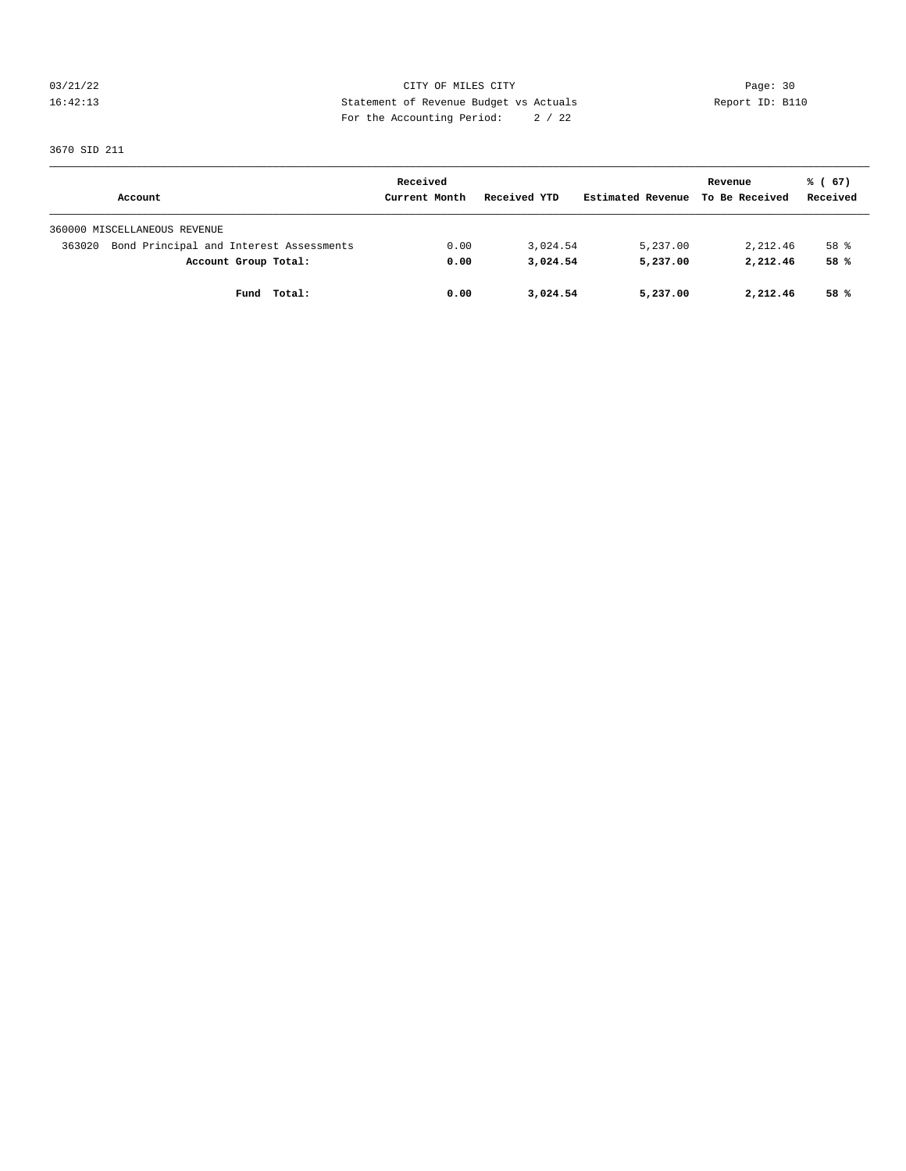03/21/22 Page: 30 16:42:13 Statement of Revenue Budget vs Actuals Report ID: B110 For the Accounting Period: 2 / 22

3670 SID 211

|                                                   | Received      |              |                   | Revenue        | % (67)   |
|---------------------------------------------------|---------------|--------------|-------------------|----------------|----------|
| Account                                           | Current Month | Received YTD | Estimated Revenue | To Be Received | Received |
| 360000 MISCELLANEOUS REVENUE                      |               |              |                   |                |          |
| Bond Principal and Interest Assessments<br>363020 | 0.00          | 3,024.54     | 5,237.00          | 2,212.46       | 58 %     |
| Account Group Total:                              | 0.00          | 3,024.54     | 5,237.00          | 2,212.46       | 58%      |
| Total:<br>Fund                                    | 0.00          | 3,024.54     | 5,237.00          | 2,212.46       | 58 %     |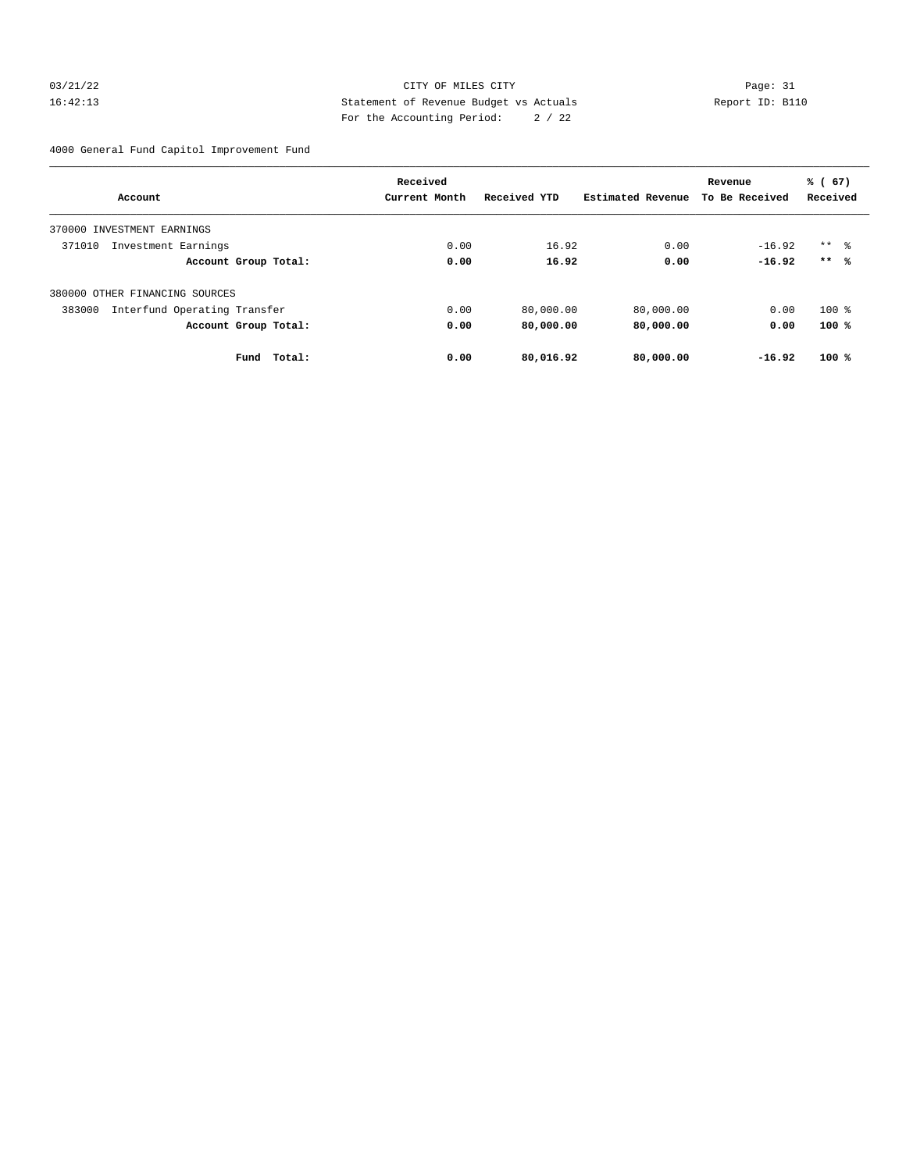## 03/21/22 Page: 31 16:42:13 Statement of Revenue Budget vs Actuals Report ID: B110 For the Accounting Period: 2 / 22

4000 General Fund Capitol Improvement Fund

|                                        | Received      |              |                   | Revenue        | % (67)              |
|----------------------------------------|---------------|--------------|-------------------|----------------|---------------------|
| Account                                | Current Month | Received YTD | Estimated Revenue | To Be Received | Received            |
| 370000 INVESTMENT EARNINGS             |               |              |                   |                |                     |
| 371010<br>Investment Earnings          | 0.00          | 16.92        | 0.00              | $-16.92$       | $***$ $\frac{6}{3}$ |
| Account Group Total:                   | 0.00          | 16.92        | 0.00              | $-16.92$       | $***$ %             |
| 380000 OTHER FINANCING SOURCES         |               |              |                   |                |                     |
| 383000<br>Interfund Operating Transfer | 0.00          | 80,000.00    | 80,000.00         | 0.00           | $100$ %             |
| Account Group Total:                   | 0.00          | 80,000.00    | 80,000.00         | 0.00           | $100*$              |
| Total:<br>Fund                         | 0.00          | 80,016.92    | 80,000.00         | $-16.92$       | 100%                |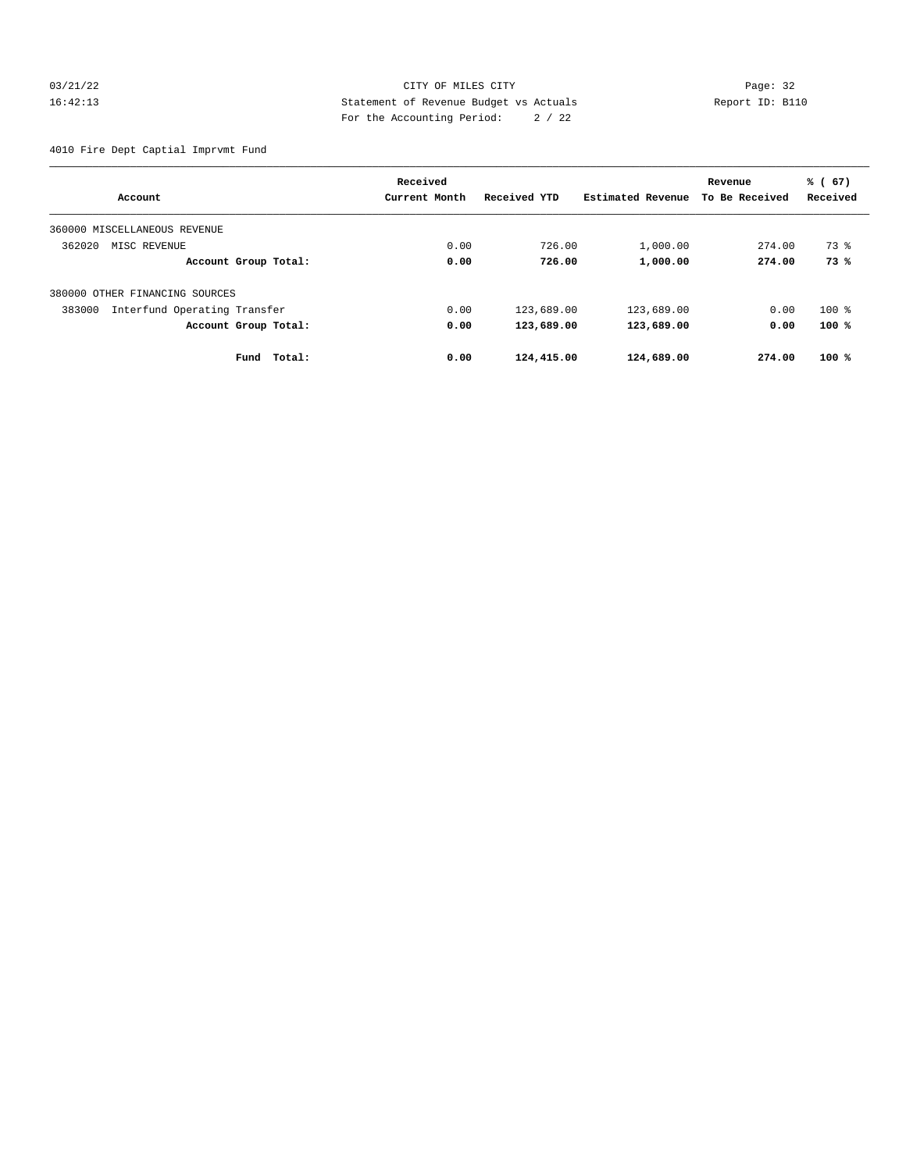## 03/21/22 Page: 32 16:42:13 Statement of Revenue Budget vs Actuals Report ID: B110 For the Accounting Period: 2 / 22

4010 Fire Dept Captial Imprvmt Fund

|                                        | Received      |              |                   | Revenue        | % (67)   |
|----------------------------------------|---------------|--------------|-------------------|----------------|----------|
| Account                                | Current Month | Received YTD | Estimated Revenue | To Be Received | Received |
| 360000 MISCELLANEOUS REVENUE           |               |              |                   |                |          |
| 362020<br>MISC REVENUE                 | 0.00          | 726.00       | 1,000.00          | 274.00         | 73 %     |
| Account Group Total:                   | 0.00          | 726.00       | 1,000.00          | 274.00         | 73%      |
| 380000 OTHER FINANCING SOURCES         |               |              |                   |                |          |
| 383000<br>Interfund Operating Transfer | 0.00          | 123,689.00   | 123,689.00        | 0.00           | $100$ %  |
| Account Group Total:                   | 0.00          | 123,689.00   | 123,689.00        | 0.00           | 100%     |
| Total:<br>Fund                         | 0.00          | 124,415.00   | 124,689.00        | 274.00         | $100*$   |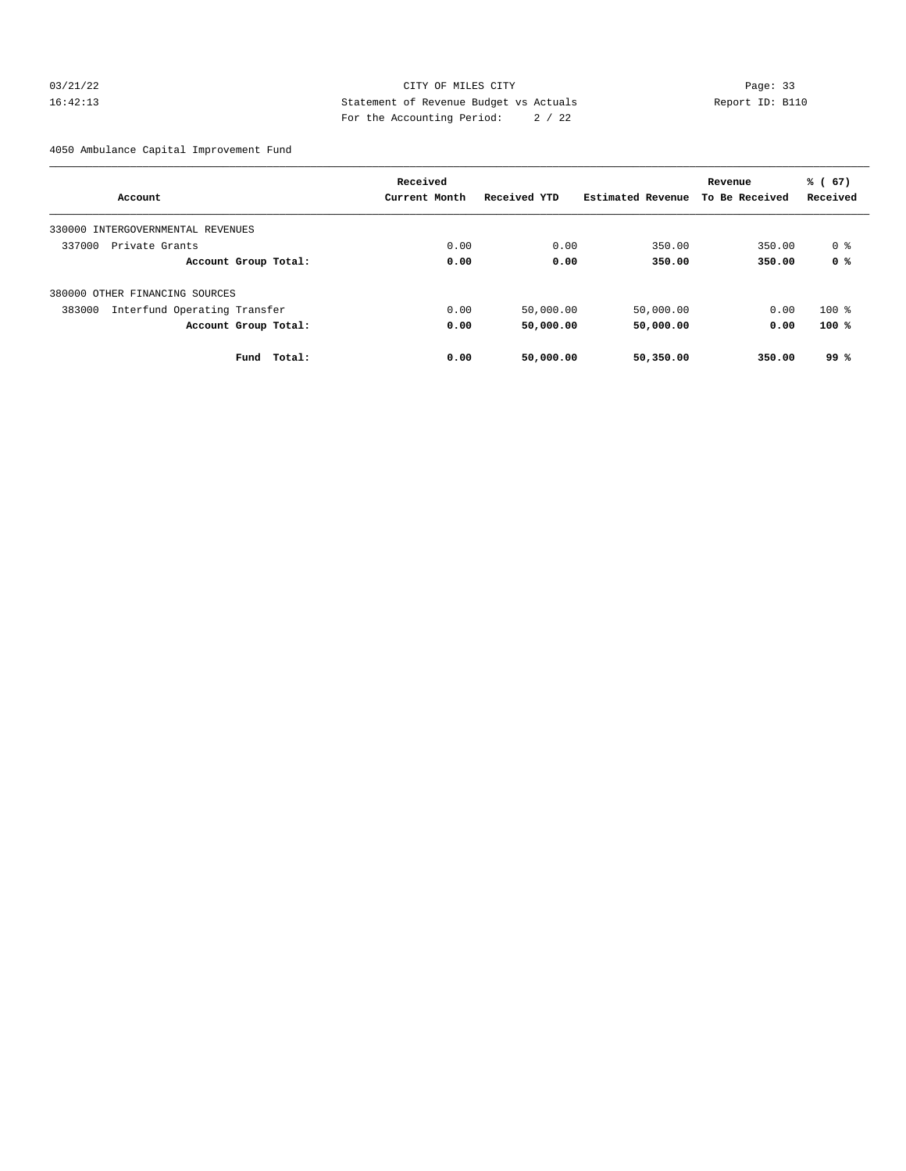## 03/21/22 Page: 33 16:42:13 Statement of Revenue Budget vs Actuals Report ID: B110 For the Accounting Period: 2 / 22

4050 Ambulance Capital Improvement Fund

|                                        | Received      |              |                   | Revenue        | % (67)   |
|----------------------------------------|---------------|--------------|-------------------|----------------|----------|
| Account                                | Current Month | Received YTD | Estimated Revenue | To Be Received | Received |
| 330000 INTERGOVERNMENTAL REVENUES      |               |              |                   |                |          |
| 337000<br>Private Grants               | 0.00          | 0.00         | 350.00            | 350.00         | 0 %      |
| Account Group Total:                   | 0.00          | 0.00         | 350.00            | 350.00         | 0 %      |
| 380000 OTHER FINANCING SOURCES         |               |              |                   |                |          |
| Interfund Operating Transfer<br>383000 | 0.00          | 50,000.00    | 50,000.00         | 0.00           | $100$ %  |
| Account Group Total:                   | 0.00          | 50,000.00    | 50,000.00         | 0.00           | 100%     |
| Fund<br>Total:                         | 0.00          | 50,000.00    | 50,350.00         | 350.00         | 99%      |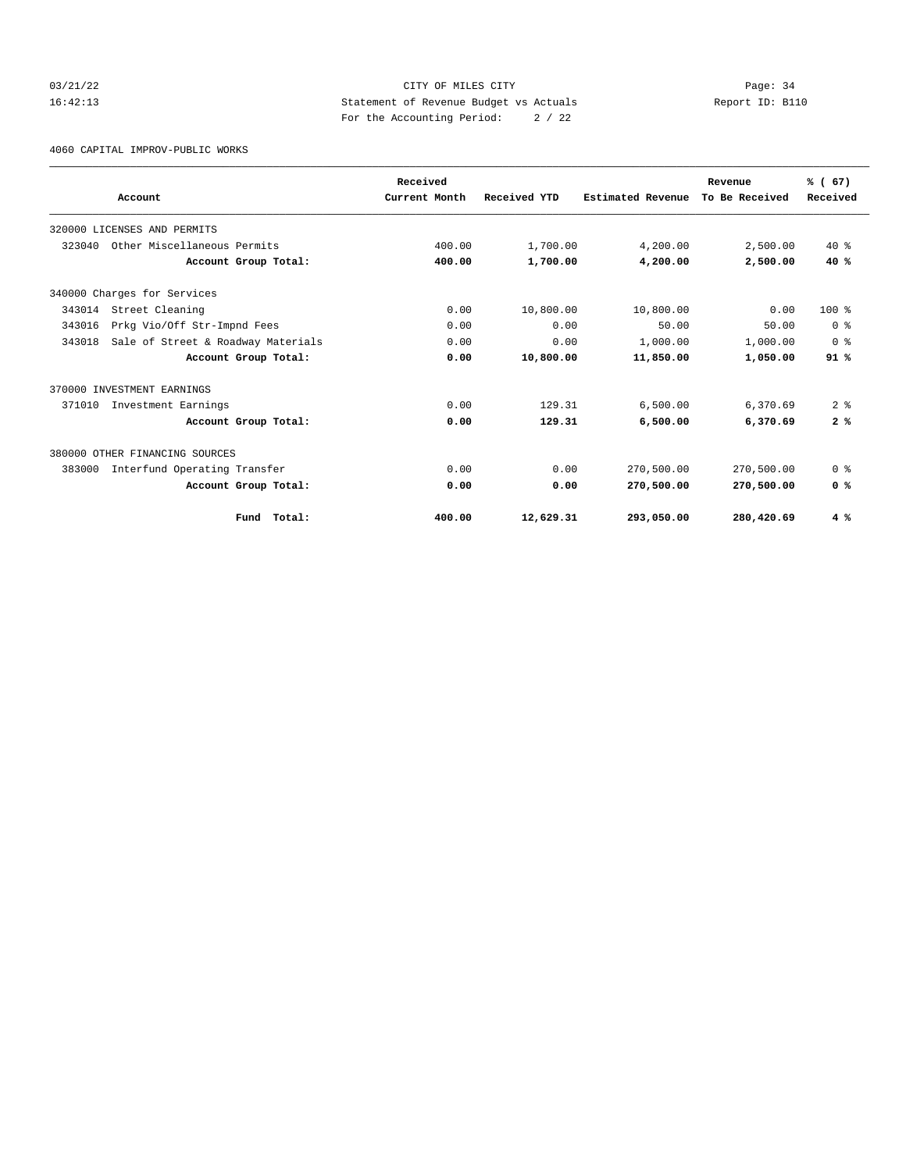## 03/21/22 Page: 34 16:42:13 Statement of Revenue Budget vs Actuals Report ID: B110 For the Accounting Period: 2 / 22

4060 CAPITAL IMPROV-PUBLIC WORKS

|        |                                    | Received      |              |                   | Revenue        | % (67)         |
|--------|------------------------------------|---------------|--------------|-------------------|----------------|----------------|
|        | Account                            | Current Month | Received YTD | Estimated Revenue | To Be Received | Received       |
|        | 320000 LICENSES AND PERMITS        |               |              |                   |                |                |
| 323040 | Other Miscellaneous Permits        | 400.00        | 1,700.00     | 4,200.00          | 2,500.00       | $40*$          |
|        | Account Group Total:               | 400.00        | 1,700.00     | 4,200.00          | 2,500.00       | 40%            |
|        | 340000 Charges for Services        |               |              |                   |                |                |
| 343014 | Street Cleaning                    | 0.00          | 10,800.00    | 10,800.00         | 0.00           | $100*$         |
| 343016 | Prkg Vio/Off Str-Impnd Fees        | 0.00          | 0.00         | 50.00             | 50.00          | 0 <sup>8</sup> |
| 343018 | Sale of Street & Roadway Materials | 0.00          | 0.00         | 1,000.00          | 1,000.00       | 0 <sup>8</sup> |
|        | Account Group Total:               | 0.00          | 10,800.00    | 11,850.00         | 1,050.00       | 91%            |
|        | 370000 INVESTMENT EARNINGS         |               |              |                   |                |                |
| 371010 | Investment Earnings                | 0.00          | 129.31       | 6.500.00          | 6,370.69       | 2 <sup>8</sup> |
|        | Account Group Total:               | 0.00          | 129.31       | 6,500.00          | 6,370.69       | 2%             |
|        | 380000 OTHER FINANCING SOURCES     |               |              |                   |                |                |
| 383000 | Interfund Operating Transfer       | 0.00          | 0.00         | 270,500.00        | 270,500.00     | 0 <sup>8</sup> |
|        | Account Group Total:               | 0.00          | 0.00         | 270,500.00        | 270,500.00     | 0 <sup>8</sup> |
|        | Fund Total:                        | 400.00        | 12,629.31    | 293,050.00        | 280,420.69     | 4%             |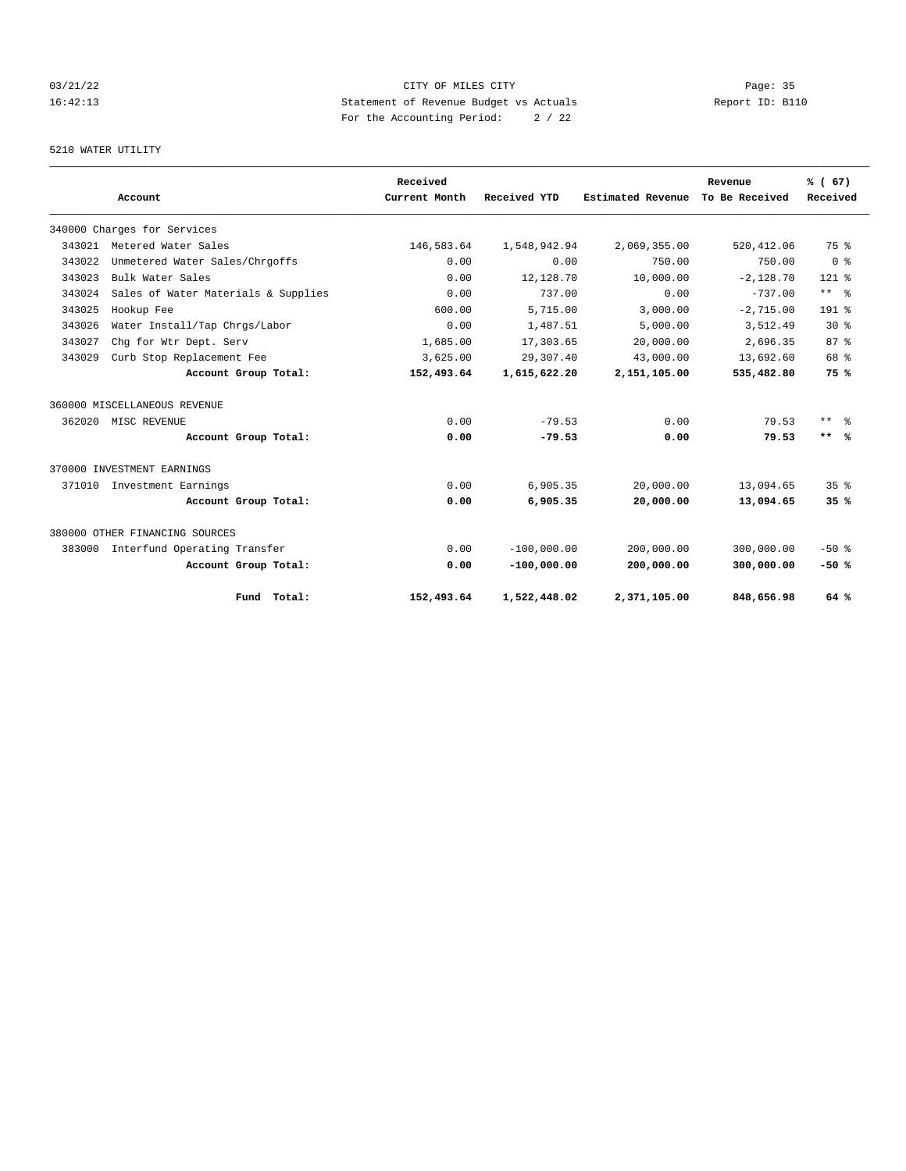## 03/21/22 Page: 35 16:42:13 Statement of Revenue Budget vs Actuals Report ID: B110 For the Accounting Period: 2 / 22

## 5210 WATER UTILITY

|        |                                     |                      | Received      |               |                   | Revenue        | % (67)          |
|--------|-------------------------------------|----------------------|---------------|---------------|-------------------|----------------|-----------------|
|        | Account                             |                      | Current Month | Received YTD  | Estimated Revenue | To Be Received | Received        |
|        | 340000 Charges for Services         |                      |               |               |                   |                |                 |
| 343021 | Metered Water Sales                 |                      | 146,583.64    | 1,548,942.94  | 2,069,355.00      | 520, 412.06    | 75 %            |
| 343022 | Unmetered Water Sales/Chrgoffs      |                      | 0.00          | 0.00          | 750.00            | 750.00         | 0 <sup>8</sup>  |
| 343023 | Bulk Water Sales                    |                      | 0.00          | 12,128.70     | 10,000.00         | $-2.128.70$    | $121$ %         |
| 343024 | Sales of Water Materials & Supplies |                      | 0.00          | 737.00        | 0.00              | $-737.00$      | $***$ $ -$      |
| 343025 | Hookup Fee                          |                      | 600.00        | 5,715.00      | 3,000.00          | $-2,715.00$    | $191$ %         |
| 343026 | Water Install/Tap Chrgs/Labor       |                      | 0.00          | 1,487.51      | 5.000.00          | 3,512.49       | $30*$           |
| 343027 | Chg for Wtr Dept. Serv              |                      | 1,685.00      | 17,303.65     | 20,000.00         | 2,696.35       | 87 <sup>8</sup> |
| 343029 | Curb Stop Replacement Fee           |                      | 3,625.00      | 29,307.40     | 43,000.00         | 13,692.60      | 68 %            |
|        |                                     | Account Group Total: | 152,493.64    | 1,615,622.20  | 2,151,105.00      | 535,482.80     | 75 %            |
|        | 360000 MISCELLANEOUS REVENUE        |                      |               |               |                   |                |                 |
| 362020 | MISC REVENUE                        |                      | 0.00          | $-79.53$      | 0.00              | 79.53          | $***$ $ -$      |
|        |                                     | Account Group Total: | 0.00          | $-79.53$      | 0.00              | 79.53          | $***$ %         |
|        | 370000 INVESTMENT EARNINGS          |                      |               |               |                   |                |                 |
|        | 371010 Investment Earnings          |                      | 0.00          | 6.905.35      | 20,000.00         | 13,094.65      | 35 <sup>8</sup> |
|        |                                     | Account Group Total: | 0.00          | 6,905.35      | 20,000.00         | 13,094.65      | 35%             |
|        | 380000 OTHER FINANCING SOURCES      |                      |               |               |                   |                |                 |
| 383000 | Interfund Operating Transfer        |                      | 0.00          | $-100,000.00$ | 200,000.00        | 300,000.00     | $-50$ %         |
|        |                                     | Account Group Total: | 0.00          | $-100,000,00$ | 200,000.00        | 300,000.00     | $-50%$          |
|        |                                     | Fund Total:          | 152,493.64    | 1,522,448.02  | 2,371,105.00      | 848,656.98     | 64 %            |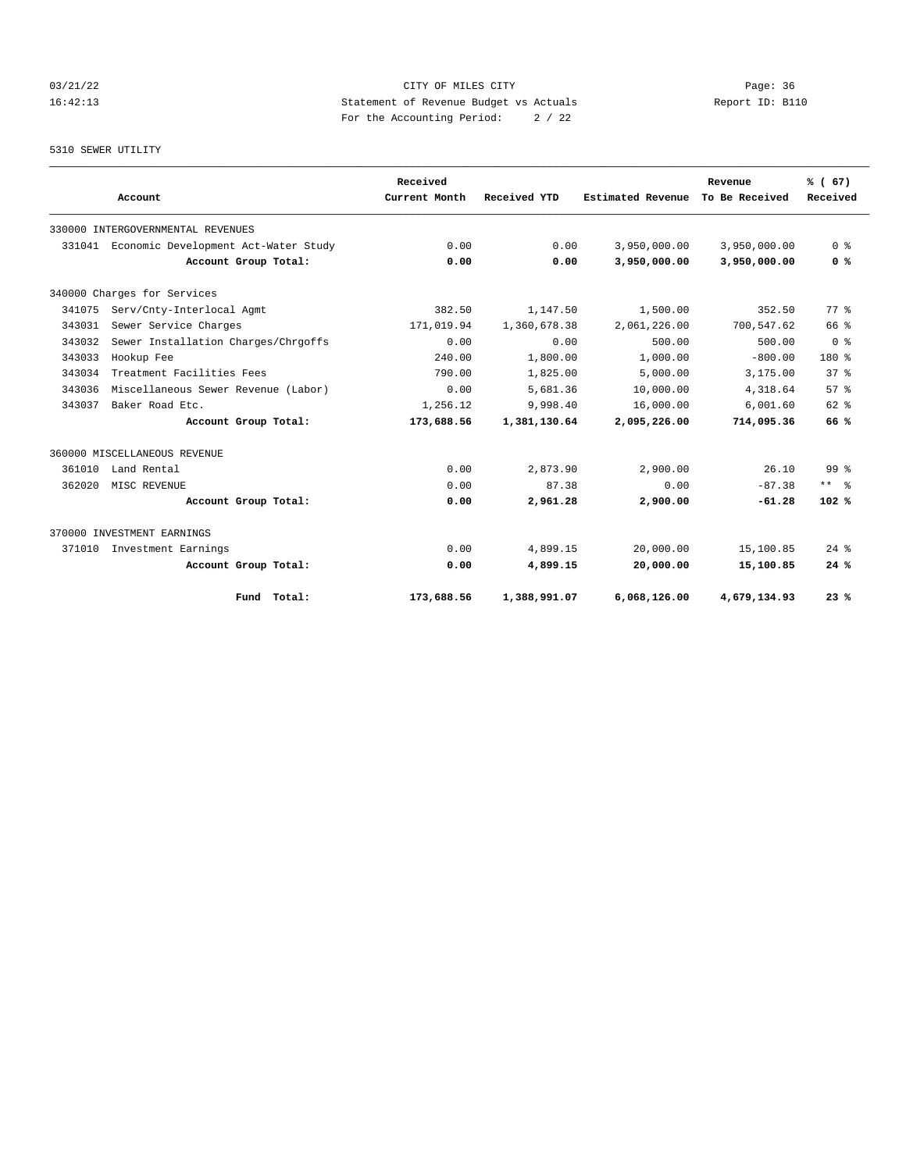## 03/21/22 Page: 36 16:42:13 Statement of Revenue Budget vs Actuals Report ID: B110 For the Accounting Period: 2 / 22

## 5310 SEWER UTILITY

|        |                                      | Received      |              |                   | Revenue        | % (67)             |
|--------|--------------------------------------|---------------|--------------|-------------------|----------------|--------------------|
|        | Account                              | Current Month | Received YTD | Estimated Revenue | To Be Received | Received           |
|        | 330000 INTERGOVERNMENTAL REVENUES    |               |              |                   |                |                    |
| 331041 | Economic Development Act-Water Study | 0.00          | 0.00         | 3,950,000.00      | 3,950,000.00   | 0 <sup>8</sup>     |
|        | Account Group Total:                 | 0.00          | 0.00         | 3,950,000.00      | 3,950,000.00   | 0 <sup>8</sup>     |
|        | 340000 Charges for Services          |               |              |                   |                |                    |
| 341075 | Serv/Cnty-Interlocal Agmt            | 382.50        | 1,147.50     | 1,500.00          | 352.50         | $77*$              |
| 343031 | Sewer Service Charges                | 171,019.94    | 1,360,678.38 | 2,061,226.00      | 700,547.62     | 66 %               |
| 343032 | Sewer Installation Charges/Chrgoffs  | 0.00          | 0.00         | 500.00            | 500.00         | 0 <sup>8</sup>     |
| 343033 | Hookup Fee                           | 240.00        | 1,800.00     | 1,000.00          | $-800.00$      | $180*$             |
| 343034 | Treatment Facilities Fees            | 790.00        | 1,825.00     | 5,000.00          | 3,175.00       | $37*$              |
| 343036 | Miscellaneous Sewer Revenue (Labor)  | 0.00          | 5,681.36     | 10,000.00         | 4,318.64       | $57*$              |
| 343037 | Baker Road Etc.                      | 1,256.12      | 9,998.40     | 16,000.00         | 6,001.60       | $62$ $%$           |
|        | Account Group Total:                 | 173,688.56    | 1,381,130.64 | 2,095,226.00      | 714,095.36     | 66%                |
|        | 360000 MISCELLANEOUS REVENUE         |               |              |                   |                |                    |
| 361010 | Land Rental                          | 0.00          | 2,873.90     | 2,900.00          | 26.10          | 99 %               |
| 362020 | MISC REVENUE                         | 0.00          | 87.38        | 0.00              | $-87.38$       | $***$ $%$          |
|        | Account Group Total:                 | 0.00          | 2,961.28     | 2,900.00          | $-61.28$       | 102%               |
|        | 370000 INVESTMENT EARNINGS           |               |              |                   |                |                    |
| 371010 | Investment Earnings                  | 0.00          | 4,899.15     | 20,000.00         | 15,100.85      | $24$ $\frac{6}{3}$ |
|        | Account Group Total:                 | 0.00          | 4,899.15     | 20,000.00         | 15,100.85      | 24%                |
|        | Fund Total:                          | 173,688.56    | 1,388,991.07 | 6,068,126.00      | 4,679,134.93   | 23%                |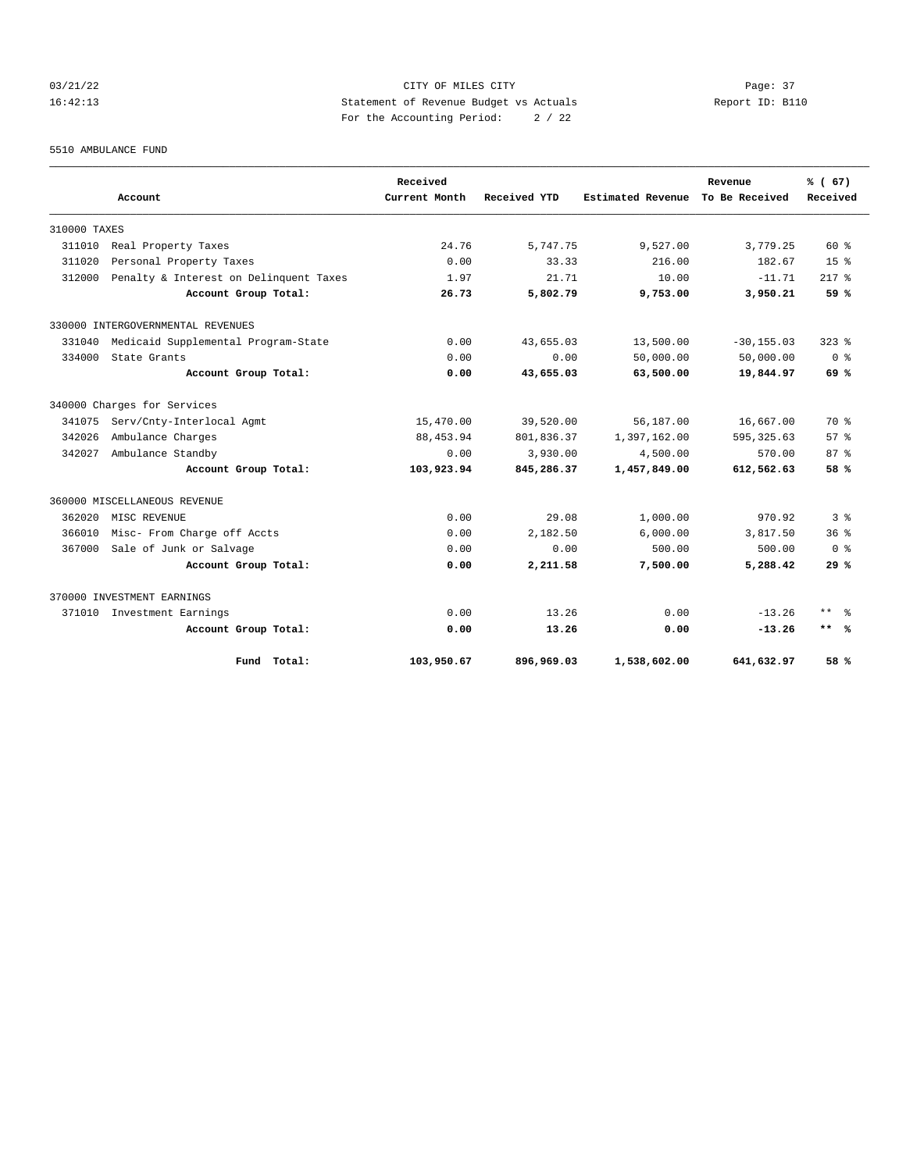## 03/21/22 Page: 37 16:42:13 Statement of Revenue Budget vs Actuals Report ID: B110 For the Accounting Period: 2 / 22

5510 AMBULANCE FUND

|              | Account                                | Received<br>Current Month | Received YTD | <b>Estimated Revenue</b> | Revenue<br>To Be Received | % (67)<br>Received |
|--------------|----------------------------------------|---------------------------|--------------|--------------------------|---------------------------|--------------------|
|              |                                        |                           |              |                          |                           |                    |
| 310000 TAXES |                                        |                           |              |                          |                           |                    |
| 311010       | Real Property Taxes                    | 24.76                     | 5,747.75     | 9,527.00                 | 3,779.25                  | 60 %               |
| 311020       | Personal Property Taxes                | 0.00                      | 33.33        | 216.00                   | 182.67                    | 15 <sup>8</sup>    |
| 312000       | Penalty & Interest on Delinquent Taxes | 1.97                      | 21.71        | 10.00                    | $-11.71$                  | $217*$             |
|              | Account Group Total:                   | 26.73                     | 5,802.79     | 9,753.00                 | 3,950.21                  | 59 %               |
|              | 330000 INTERGOVERNMENTAL REVENUES      |                           |              |                          |                           |                    |
| 331040       | Medicaid Supplemental Program-State    | 0.00                      | 43,655.03    | 13,500.00                | $-30, 155.03$             | $323$ $%$          |
| 334000       | State Grants                           | 0.00                      | 0.00         | 50,000.00                | 50,000.00                 | ი ჵ                |
|              | Account Group Total:                   | 0.00                      | 43,655.03    | 63,500.00                | 19,844.97                 | 69%                |
|              | 340000 Charges for Services            |                           |              |                          |                           |                    |
| 341075       | Serv/Cnty-Interlocal Agmt              | 15,470.00                 | 39,520.00    | 56,187.00                | 16,667.00                 | 70 %               |
| 342026       | Ambulance Charges                      | 88, 453.94                | 801,836.37   | 1,397,162.00             | 595, 325, 63              | 57%                |
| 342027       | Ambulance Standby                      | 0.00                      | 3,930.00     | 4,500.00                 | 570.00                    | $87*$              |
|              | Account Group Total:                   | 103,923.94                | 845,286.37   | 1,457,849.00             | 612,562.63                | 58 %               |
|              | 360000 MISCELLANEOUS REVENUE           |                           |              |                          |                           |                    |
| 362020       | MISC REVENUE                           | 0.00                      | 29.08        | 1,000.00                 | 970.92                    | 3 <sup>8</sup>     |
| 366010       | Misc- From Charge off Accts            | 0.00                      | 2,182.50     | 6,000.00                 | 3,817.50                  | $36*$              |
| 367000       | Sale of Junk or Salvage                | 0.00                      | 0.00         | 500.00                   | 500.00                    | 0 <sup>8</sup>     |
|              | Account Group Total:                   | 0.00                      | 2,211.58     | 7,500.00                 | 5,288.42                  | 29%                |
|              | 370000 INVESTMENT EARNINGS             |                           |              |                          |                           |                    |
|              | 371010 Investment Earnings             | 0.00                      | 13.26        | 0.00                     | $-13.26$                  | ** 응               |
|              | Account Group Total:                   | 0.00                      | 13.26        | 0.00                     | $-13.26$                  | $***$ %            |
|              | Fund Total:                            | 103,950.67                | 896,969.03   | 1,538,602.00             | 641,632.97                | 58 %               |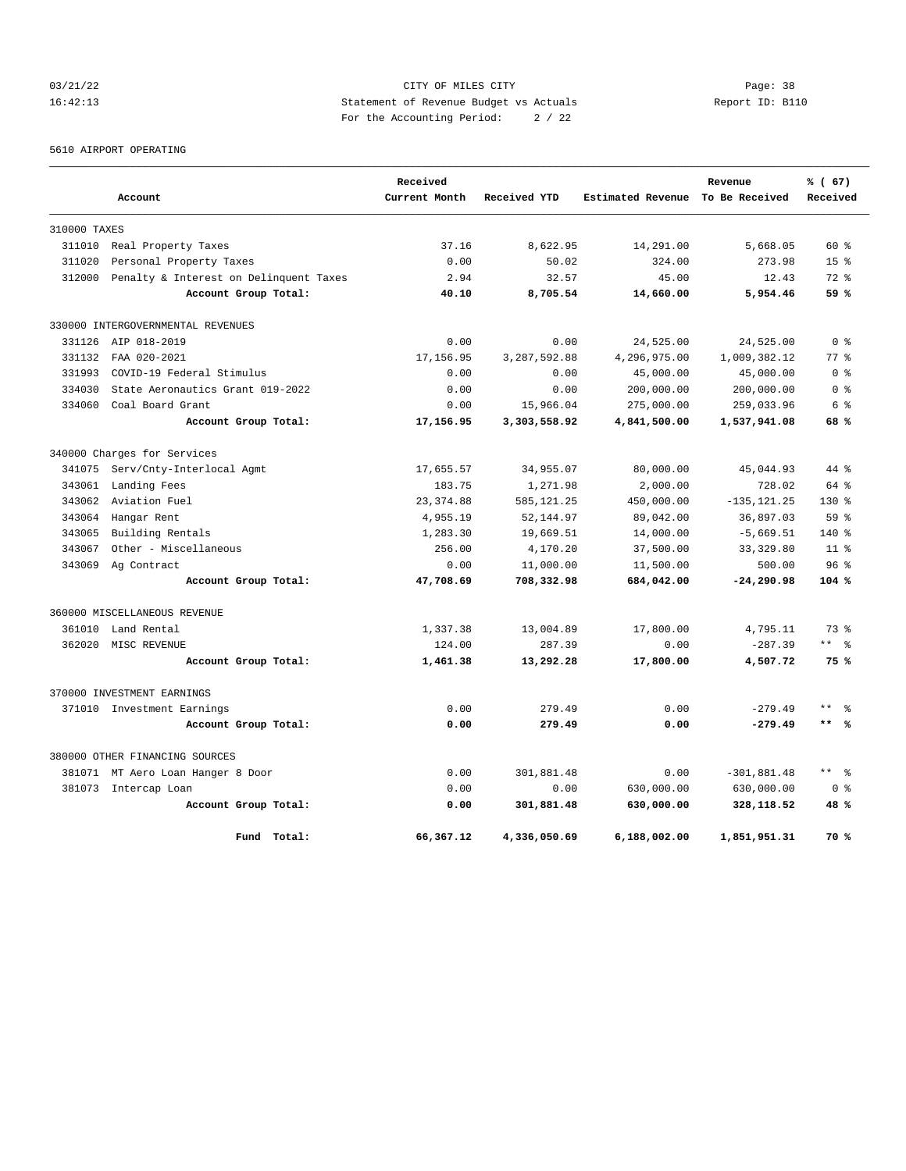## 03/21/22 Page: 38 16:42:13 Statement of Revenue Budget vs Actuals Report ID: B110 For the Accounting Period: 2 / 22

5610 AIRPORT OPERATING

|              |                                        | Received      |              |                   | Revenue        | % (67)              |
|--------------|----------------------------------------|---------------|--------------|-------------------|----------------|---------------------|
|              | Account                                | Current Month | Received YTD | Estimated Revenue | To Be Received | Received            |
| 310000 TAXES |                                        |               |              |                   |                |                     |
| 311010       | Real Property Taxes                    | 37.16         | 8,622.95     | 14,291.00         | 5,668.05       | $60*$               |
| 311020       | Personal Property Taxes                | 0.00          | 50.02        | 324.00            | 273.98         | 15 <sup>°</sup>     |
| 312000       | Penalty & Interest on Delinquent Taxes | 2.94          | 32.57        | 45.00             | 12.43          | $72*$               |
|              | Account Group Total:                   | 40.10         | 8,705.54     | 14,660.00         | 5,954.46       | 59%                 |
|              | 330000 INTERGOVERNMENTAL REVENUES      |               |              |                   |                |                     |
| 331126       | AIP 018-2019                           | 0.00          | 0.00         | 24,525.00         | 24,525.00      | 0 <sup>8</sup>      |
| 331132       | FAA 020-2021                           | 17, 156.95    | 3,287,592.88 | 4,296,975.00      | 1,009,382.12   | 77.8                |
| 331993       | COVID-19 Federal Stimulus              | 0.00          | 0.00         | 45,000.00         | 45,000.00      | 0 %                 |
| 334030       | State Aeronautics Grant 019-2022       | 0.00          | 0.00         | 200,000.00        | 200,000.00     | 0 <sup>8</sup>      |
| 334060       | Coal Board Grant                       | 0.00          | 15,966.04    | 275,000.00        | 259,033.96     | 6 %                 |
|              | Account Group Total:                   | 17,156.95     | 3,303,558.92 | 4,841,500.00      | 1,537,941.08   | 68%                 |
|              | 340000 Charges for Services            |               |              |                   |                |                     |
| 341075       | Serv/Cnty-Interlocal Agmt              | 17,655.57     | 34,955.07    | 80,000.00         | 45,044.93      | 44 %                |
| 343061       | Landing Fees                           | 183.75        | 1,271.98     | 2,000.00          | 728.02         | $64$ $%$            |
| 343062       | Aviation Fuel                          | 23, 374.88    | 585,121.25   | 450,000.00        | $-135, 121.25$ | $130*$              |
| 343064       | Hangar Rent                            | 4,955.19      | 52, 144.97   | 89,042.00         | 36,897.03      | 59 <sup>8</sup>     |
| 343065       | Building Rentals                       | 1,283.30      | 19,669.51    | 14,000.00         | $-5,669.51$    | 140 %               |
| 343067       | Other - Miscellaneous                  | 256.00        | 4,170.20     | 37,500.00         | 33, 329.80     | 11 <sup>8</sup>     |
| 343069       | Ag Contract                            | 0.00          | 11,000.00    | 11,500.00         | 500.00         | 96 <sup>8</sup>     |
|              | Account Group Total:                   | 47,708.69     | 708,332.98   | 684,042.00        | $-24, 290.98$  | $104*$              |
|              | 360000 MISCELLANEOUS REVENUE           |               |              |                   |                |                     |
| 361010       | Land Rental                            | 1,337.38      | 13,004.89    | 17,800.00         | 4,795.11       | 73.8                |
| 362020       | MISC REVENUE                           | 124.00        | 287.39       | 0.00              | $-287.39$      | $***$ %             |
|              | Account Group Total:                   | 1,461.38      | 13,292.28    | 17,800.00         | 4,507.72       | 75%                 |
|              | 370000 INVESTMENT EARNINGS             |               |              |                   |                |                     |
|              | 371010 Investment Earnings             | 0.00          | 279.49       | 0.00              | $-279.49$      | $\star\star$<br>န္  |
|              | Account Group Total:                   | 0.00          | 279.49       | 0.00              | $-279.49$      | $***$ %             |
|              | 380000 OTHER FINANCING SOURCES         |               |              |                   |                |                     |
| 381071       | MT Aero Loan Hanger 8 Door             | 0.00          | 301,881.48   | 0.00              | $-301,881.48$  | $\star\star$<br>- ৡ |
|              | 381073 Intercap Loan                   | 0.00          | 0.00         | 630,000.00        | 630,000.00     | 0 %                 |
|              | Account Group Total:                   | 0.00          | 301,881.48   | 630,000.00        | 328,118.52     | 48%                 |
|              | Fund Total:                            | 66,367.12     | 4,336,050.69 | 6,188,002.00      | 1,851,951.31   | 70 %                |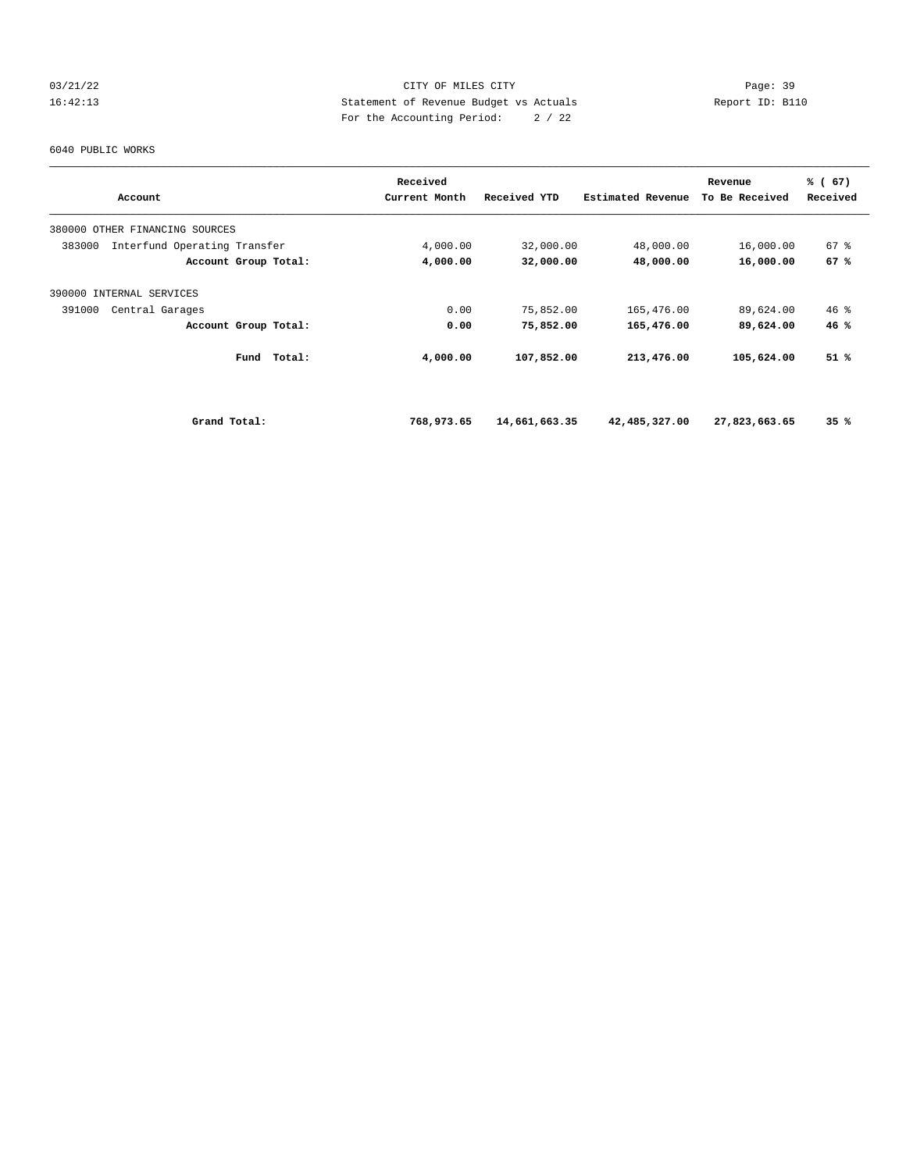## 03/21/22 Page: 39 16:42:13 Statement of Revenue Budget vs Actuals Report ID: B110 For the Accounting Period: 2 / 22

#### 6040 PUBLIC WORKS

|                                        | Received      |               |                   | Revenue        | % (67)   |  |
|----------------------------------------|---------------|---------------|-------------------|----------------|----------|--|
| Account                                | Current Month | Received YTD  | Estimated Revenue | To Be Received | Received |  |
| 380000 OTHER FINANCING SOURCES         |               |               |                   |                |          |  |
| Interfund Operating Transfer<br>383000 | 4,000.00      | 32,000.00     | 48,000.00         | 16,000.00      | 67%      |  |
| Account Group Total:                   | 4,000.00      | 32,000.00     | 48,000.00         | 16,000.00      | 67 %     |  |
| 390000 INTERNAL SERVICES               |               |               |                   |                |          |  |
| 391000<br>Central Garages              | 0.00          | 75,852.00     | 165,476.00        | 89,624.00      | $46$ %   |  |
| Account Group Total:                   | 0.00          | 75,852.00     | 165,476.00        | 89,624.00      | 46%      |  |
| Total:<br>Fund                         | 4,000.00      | 107,852.00    | 213,476.00        | 105,624.00     | 51 %     |  |
| Grand Total:                           | 768,973.65    | 14,661,663.35 | 42,485,327.00     | 27,823,663.65  | 35%      |  |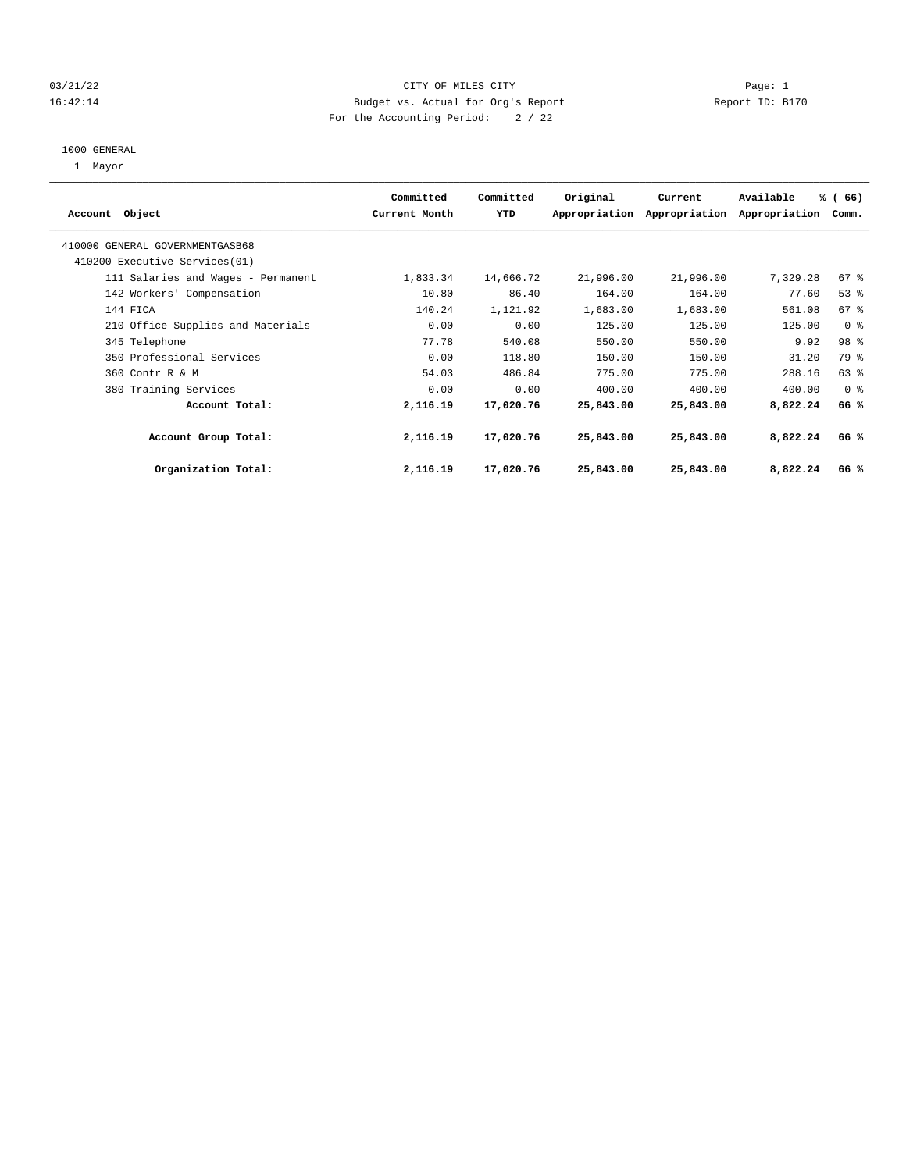## 03/21/22 Page: 1 CITY OF MILES CITY 16:42:14 Budget vs. Actual for Org's Report Report ID: B170 For the Accounting Period: 2 / 22

#### 1000 GENERAL

1 Mayor

|                                    | Committed     | Committed | Original  | Current                     | Available     | % (66)          |  |
|------------------------------------|---------------|-----------|-----------|-----------------------------|---------------|-----------------|--|
| Account Object                     | Current Month | YTD       |           | Appropriation Appropriation | Appropriation | Comm.           |  |
|                                    |               |           |           |                             |               |                 |  |
| 410000 GENERAL GOVERNMENTGASB68    |               |           |           |                             |               |                 |  |
| 410200 Executive Services (01)     |               |           |           |                             |               |                 |  |
| 111 Salaries and Wages - Permanent | 1,833.34      | 14,666.72 | 21,996.00 | 21,996.00                   | 7,329.28      | 67 <sup>8</sup> |  |
| 142 Workers' Compensation          | 10.80         | 86.40     | 164.00    | 164.00                      | 77.60         | 53%             |  |
| 144 FICA                           | 140.24        | 1,121.92  | 1,683.00  | 1,683.00                    | 561.08        | 67 <sup>8</sup> |  |
| 210 Office Supplies and Materials  | 0.00          | 0.00      | 125.00    | 125.00                      | 125.00        | 0 <sup>8</sup>  |  |
| 345 Telephone                      | 77.78         | 540.08    | 550.00    | 550.00                      | 9.92          | 98 %            |  |
| 350 Professional Services          | 0.00          | 118.80    | 150.00    | 150.00                      | 31.20         | 79 %            |  |
| 360 Contr R & M                    | 54.03         | 486.84    | 775.00    | 775.00                      | 288.16        | 63 %            |  |
| 380 Training Services              | 0.00          | 0.00      | 400.00    | 400.00                      | 400.00        | 0 <sup>8</sup>  |  |
| Account Total:                     | 2,116.19      | 17,020.76 | 25,843.00 | 25,843.00                   | 8,822.24      | 66%             |  |
| Account Group Total:               | 2,116.19      | 17,020.76 | 25,843.00 | 25,843.00                   | 8,822.24      | 66%             |  |
| Organization Total:                | 2,116.19      | 17,020.76 | 25,843.00 | 25,843.00                   | 8,822.24      | 66%             |  |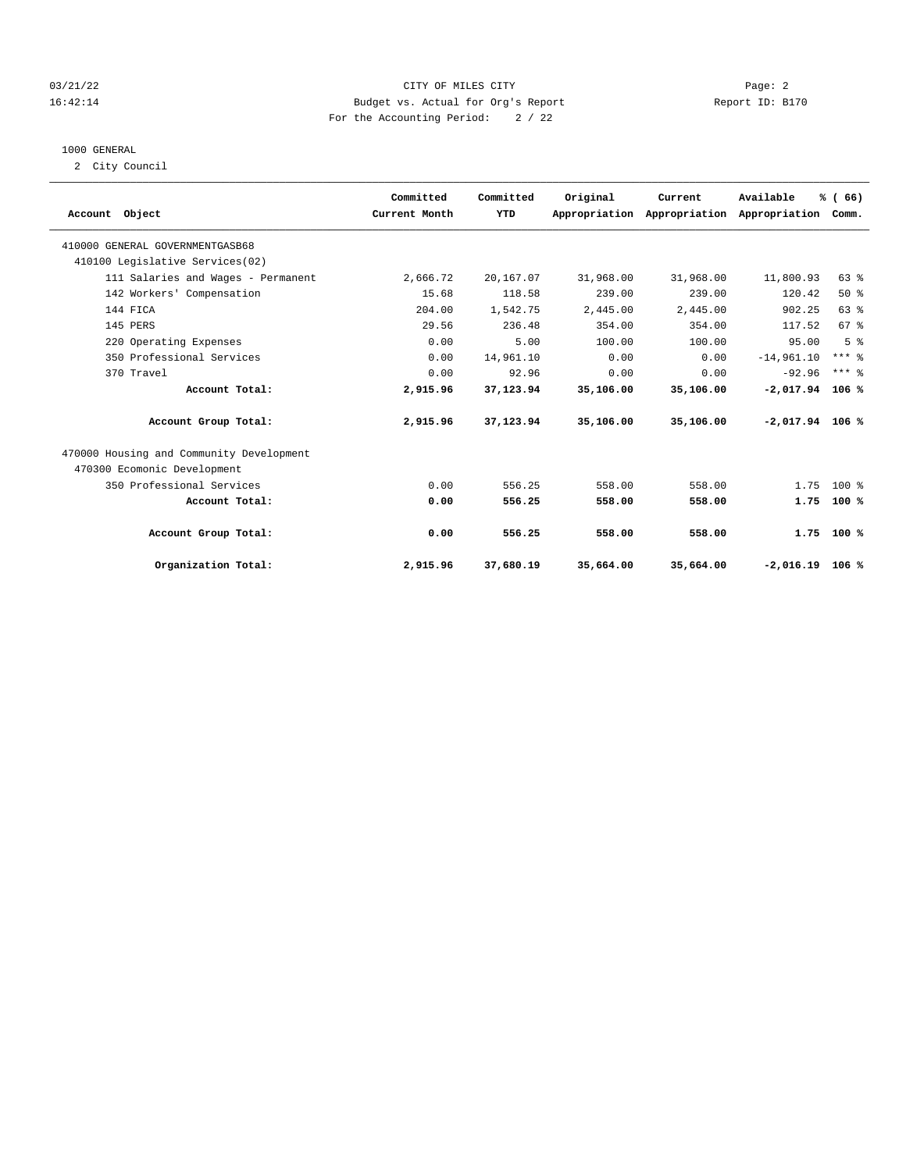## 03/21/22 Page: 2 16:42:14 Budget vs. Actual for Org's Report Report ID: B170 For the Accounting Period: 2 / 22

#### 1000 GENERAL

2 City Council

| Account Object                           | Committed<br>Current Month | Committed<br>YTD | Original  | Current<br>Appropriation Appropriation | Available<br>Appropriation Comm. | % (66)         |  |
|------------------------------------------|----------------------------|------------------|-----------|----------------------------------------|----------------------------------|----------------|--|
| 410000 GENERAL GOVERNMENTGASB68          |                            |                  |           |                                        |                                  |                |  |
| 410100 Legislative Services(02)          |                            |                  |           |                                        |                                  |                |  |
| 111 Salaries and Wages - Permanent       | 2,666.72                   | 20,167.07        | 31,968.00 | 31,968.00                              | 11,800.93                        | 63 %           |  |
| 142 Workers' Compensation                | 15.68                      | 118.58           | 239.00    | 239.00                                 | 120.42                           | 50%            |  |
| 144 FICA                                 | 204.00                     | 1,542.75         | 2,445.00  | 2.445.00                               | 902.25                           | 63%            |  |
| 145 PERS                                 | 29.56                      | 236.48           | 354.00    | 354.00                                 | 117.52                           | 67%            |  |
| 220 Operating Expenses                   | 0.00                       | 5.00             | 100.00    | 100.00                                 | 95.00                            | 5 <sup>8</sup> |  |
| 350 Professional Services                | 0.00                       | 14,961.10        | 0.00      | 0.00                                   | $-14,961.10$                     | $***$ $%$      |  |
| 370 Travel                               | 0.00                       | 92.96            | 0.00      | 0.00                                   | $-92.96$                         | $***$ 2        |  |
| Account Total:                           | 2,915.96                   | 37,123.94        | 35,106.00 | 35,106.00                              | $-2,017.94$                      | 106%           |  |
| Account Group Total:                     | 2,915.96                   | 37,123.94        | 35,106.00 | 35,106.00                              | $-2,017.94$ 106 %                |                |  |
| 470000 Housing and Community Development |                            |                  |           |                                        |                                  |                |  |
| 470300 Ecomonic Development              |                            |                  |           |                                        |                                  |                |  |
| 350 Professional Services                | 0.00                       | 556.25           | 558.00    | 558.00                                 | 1.75                             | $100*$         |  |
| Account Total:                           | 0.00                       | 556.25           | 558.00    | 558.00                                 | 1.75                             | 100%           |  |
| Account Group Total:                     | 0.00                       | 556.25           | 558.00    | 558.00                                 |                                  | $1.75$ 100 %   |  |
| Organization Total:                      | 2,915.96                   | 37,680.19        | 35,664.00 | 35,664.00                              | $-2,016.19$                      | 106%           |  |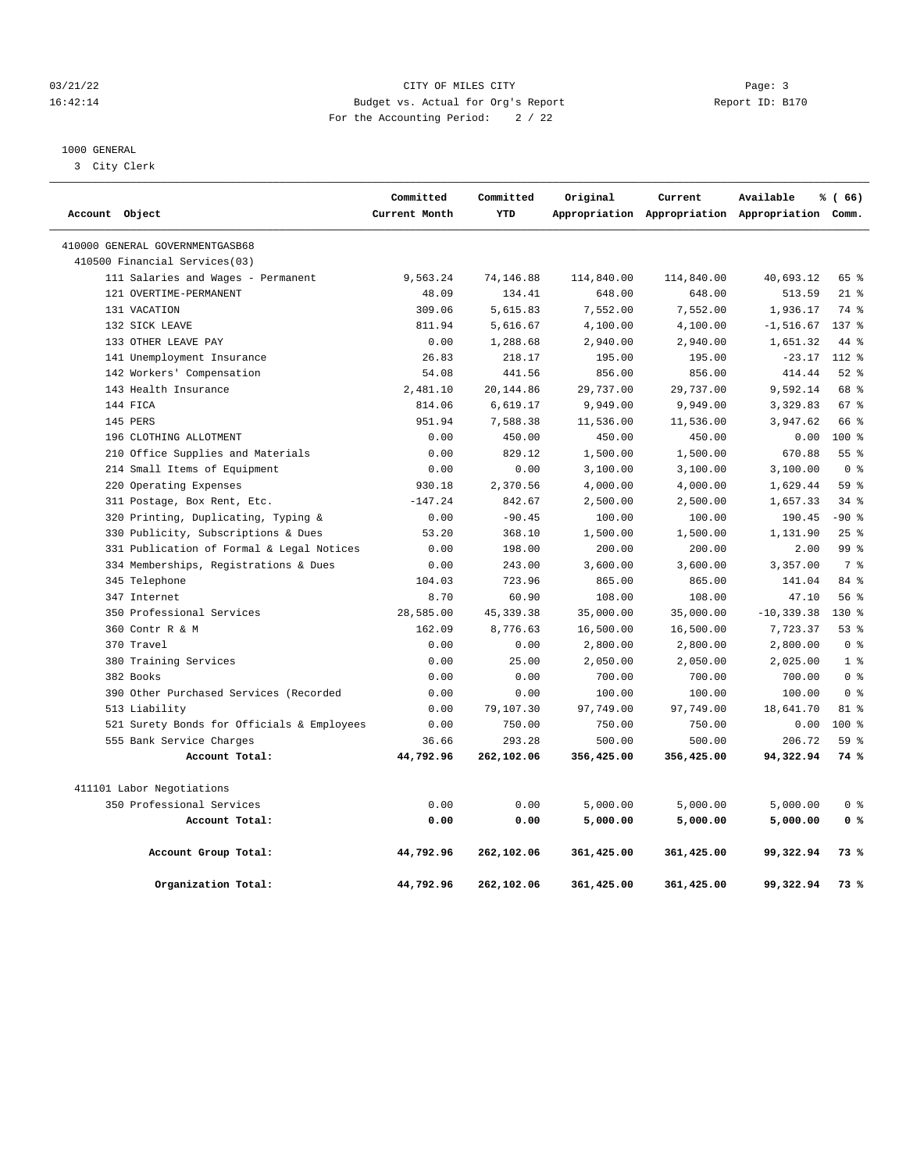## 03/21/22 Page: 3 Page: 3 Page: 3 16:42:14 Budget vs. Actual for Org's Report Report ID: B170 For the Accounting Period: 2 / 22

## 1000 GENERAL

3 City Clerk

|                |                                            | Committed     | Committed  | Original   | Current    | Available                                       | % (66)          |
|----------------|--------------------------------------------|---------------|------------|------------|------------|-------------------------------------------------|-----------------|
| Account Object |                                            | Current Month | YTD        |            |            | Appropriation Appropriation Appropriation Comm. |                 |
|                | 410000 GENERAL GOVERNMENTGASB68            |               |            |            |            |                                                 |                 |
|                | 410500 Financial Services(03)              |               |            |            |            |                                                 |                 |
|                | 111 Salaries and Wages - Permanent         | 9,563.24      | 74,146.88  | 114,840.00 | 114,840.00 | 40,693.12                                       | 65 %            |
|                | 121 OVERTIME-PERMANENT                     | 48.09         | 134.41     | 648.00     | 648.00     | 513.59                                          | $21$ %          |
|                | 131 VACATION                               | 309.06        | 5,615.83   | 7,552.00   | 7,552.00   | 1,936.17                                        | 74 %            |
|                | 132 SICK LEAVE                             | 811.94        | 5,616.67   | 4,100.00   | 4,100.00   | $-1, 516.67$                                    | 137 %           |
|                | 133 OTHER LEAVE PAY                        | 0.00          | 1,288.68   | 2,940.00   | 2,940.00   | 1,651.32                                        | 44 %            |
|                | 141 Unemployment Insurance                 | 26.83         | 218.17     | 195.00     | 195.00     | $-23.17$                                        | 112 %           |
|                | 142 Workers' Compensation                  | 54.08         | 441.56     | 856.00     | 856.00     | 414.44                                          | $52$ $%$        |
|                | 143 Health Insurance                       | 2,481.10      | 20,144.86  | 29,737.00  | 29,737.00  | 9,592.14                                        | 68 %            |
|                | 144 FICA                                   | 814.06        | 6,619.17   | 9,949.00   | 9,949.00   | 3,329.83                                        | 67%             |
|                | 145 PERS                                   | 951.94        | 7,588.38   | 11,536.00  | 11,536.00  | 3,947.62                                        | 66 %            |
|                | 196 CLOTHING ALLOTMENT                     | 0.00          | 450.00     | 450.00     | 450.00     | 0.00                                            | $100*$          |
|                | 210 Office Supplies and Materials          | 0.00          | 829.12     | 1,500.00   | 1,500.00   | 670.88                                          | 55%             |
|                | 214 Small Items of Equipment               | 0.00          | 0.00       | 3,100.00   | 3,100.00   | 3,100.00                                        | 0 <sup>8</sup>  |
|                | 220 Operating Expenses                     | 930.18        | 2,370.56   | 4,000.00   | 4,000.00   | 1,629.44                                        | 59 %            |
|                | 311 Postage, Box Rent, Etc.                | $-147.24$     | 842.67     | 2,500.00   | 2,500.00   | 1,657.33                                        | $34$ $%$        |
|                | 320 Printing, Duplicating, Typing &        | 0.00          | $-90.45$   | 100.00     | 100.00     | 190.45                                          | $-90$ %         |
|                | 330 Publicity, Subscriptions & Dues        | 53.20         | 368.10     | 1,500.00   | 1,500.00   | 1,131.90                                        | 25%             |
|                | 331 Publication of Formal & Legal Notices  | 0.00          | 198.00     | 200.00     | 200.00     | 2.00                                            | 99 <sub>8</sub> |
|                | 334 Memberships, Registrations & Dues      | 0.00          | 243.00     | 3,600.00   | 3,600.00   | 3,357.00                                        | 7 %             |
|                | 345 Telephone                              | 104.03        | 723.96     | 865.00     | 865.00     | 141.04                                          | 84 %            |
|                | 347 Internet                               | 8.70          | 60.90      | 108.00     | 108.00     | 47.10                                           | 56 %            |
|                | 350 Professional Services                  | 28,585.00     | 45, 339.38 | 35,000.00  | 35,000.00  | $-10, 339.38$                                   | $130*$          |
|                | 360 Contr R & M                            | 162.09        | 8,776.63   | 16,500.00  | 16,500.00  | 7,723.37                                        | 53%             |
|                | 370 Travel                                 | 0.00          | 0.00       | 2,800.00   | 2,800.00   | 2,800.00                                        | 0 <sup>8</sup>  |
|                | 380 Training Services                      | 0.00          | 25.00      | 2,050.00   | 2,050.00   | 2,025.00                                        | 1 <sup>8</sup>  |
|                | 382 Books                                  | 0.00          | 0.00       | 700.00     | 700.00     | 700.00                                          | 0 <sup>8</sup>  |
|                | 390 Other Purchased Services (Recorded     | 0.00          | 0.00       | 100.00     | 100.00     | 100.00                                          | 0 <sup>8</sup>  |
|                | 513 Liability                              | 0.00          | 79,107.30  | 97,749.00  | 97,749.00  | 18,641.70                                       | 81 %            |
|                | 521 Surety Bonds for Officials & Employees | 0.00          | 750.00     | 750.00     | 750.00     | 0.00                                            | $100*$          |
|                | 555 Bank Service Charges                   | 36.66         | 293.28     | 500.00     | 500.00     | 206.72                                          | 59 %            |
|                | Account Total:                             | 44,792.96     | 262,102.06 | 356,425.00 | 356,425.00 | 94,322.94                                       | 74 %            |
|                | 411101 Labor Negotiations                  |               |            |            |            |                                                 |                 |
|                | 350 Professional Services                  | 0.00          | 0.00       | 5,000.00   | 5,000.00   | 5,000.00                                        | 0 <sup>8</sup>  |
|                | Account Total:                             | 0.00          | 0.00       | 5,000.00   | 5,000.00   | 5,000.00                                        | 0 <sup>8</sup>  |
|                | Account Group Total:                       | 44,792.96     | 262,102.06 | 361,425.00 | 361,425.00 | 99,322.94                                       | 73%             |
|                | Organization Total:                        | 44,792.96     | 262,102.06 | 361,425.00 | 361,425.00 | 99,322.94                                       | 73%             |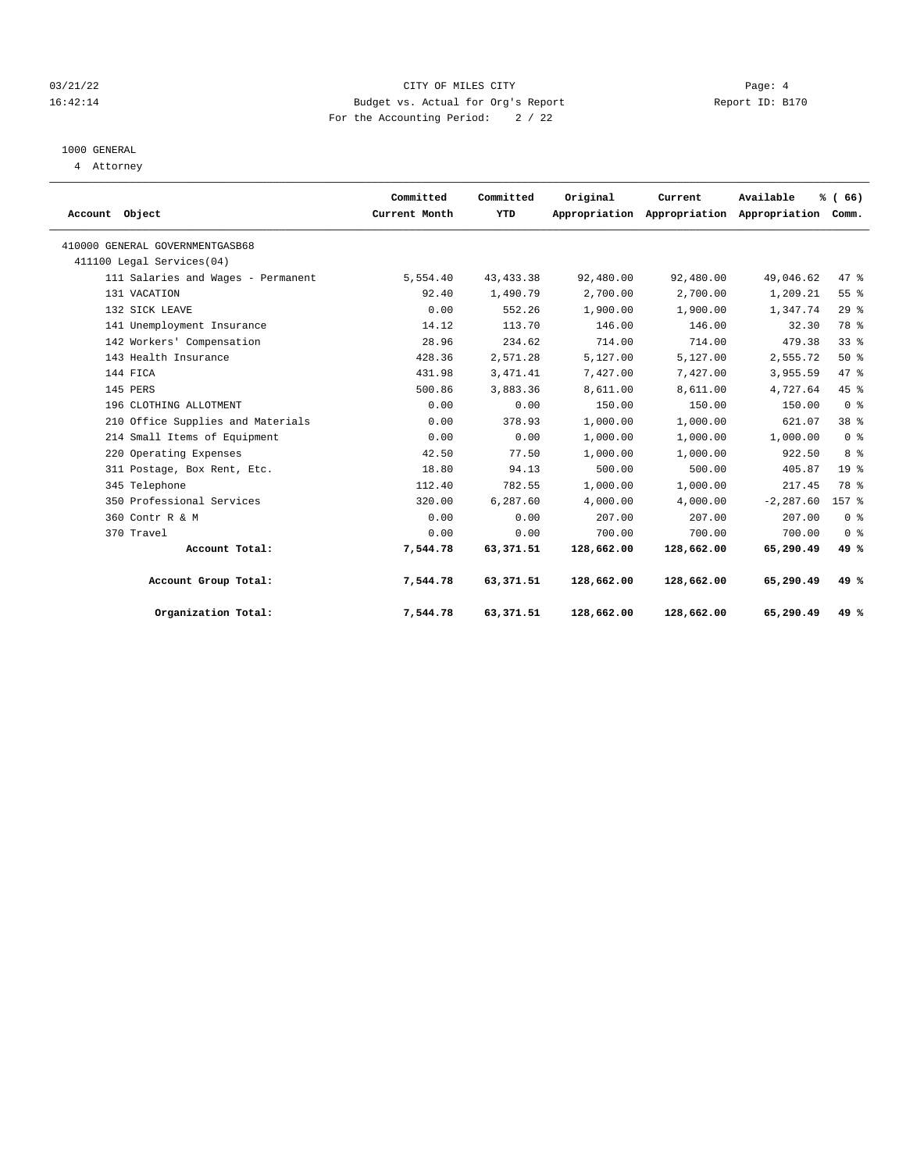## 03/21/22 Page: 4 16:42:14 Budget vs. Actual for Org's Report Report ID: B170 For the Accounting Period: 2 / 22

# 1000 GENERAL

4 Attorney

| Account Object |                                    | Committed<br>Current Month | Committed<br>YTD | Original   | Current<br>Appropriation Appropriation Appropriation | Available    | % (66)<br>Comm. |  |
|----------------|------------------------------------|----------------------------|------------------|------------|------------------------------------------------------|--------------|-----------------|--|
|                | 410000 GENERAL GOVERNMENTGASB68    |                            |                  |            |                                                      |              |                 |  |
|                | 411100 Legal Services (04)         |                            |                  |            |                                                      |              |                 |  |
|                | 111 Salaries and Wages - Permanent | 5,554.40                   | 43, 433.38       | 92,480.00  | 92,480.00                                            | 49,046.62    | 47.8            |  |
|                | 131 VACATION                       | 92.40                      | 1,490.79         | 2,700.00   | 2,700.00                                             | 1,209.21     | 55 %            |  |
|                | 132 SICK LEAVE                     | 0.00                       | 552.26           | 1,900.00   | 1,900.00                                             | 1,347.74     | 29%             |  |
|                | 141 Unemployment Insurance         | 14.12                      | 113.70           | 146.00     | 146.00                                               | 32.30        | 78 %            |  |
|                | 142 Workers' Compensation          | 28.96                      | 234.62           | 714.00     | 714.00                                               | 479.38       | 338             |  |
|                | 143 Health Insurance               | 428.36                     | 2,571.28         | 5,127.00   | 5,127.00                                             | 2,555.72     | 50%             |  |
|                | 144 FICA                           | 431.98                     | 3, 471.41        | 7,427.00   | 7,427.00                                             | 3,955.59     | 47 %            |  |
|                | 145 PERS                           | 500.86                     | 3,883.36         | 8,611.00   | 8,611.00                                             | 4,727.64     | 45%             |  |
|                | 196 CLOTHING ALLOTMENT             | 0.00                       | 0.00             | 150.00     | 150.00                                               | 150.00       | 0 <sup>8</sup>  |  |
|                | 210 Office Supplies and Materials  | 0.00                       | 378.93           | 1,000.00   | 1,000.00                                             | 621.07       | 38 <sup>8</sup> |  |
|                | 214 Small Items of Equipment       | 0.00                       | 0.00             | 1,000.00   | 1,000.00                                             | 1,000.00     | 0 <sup>8</sup>  |  |
|                | 220 Operating Expenses             | 42.50                      | 77.50            | 1,000.00   | 1,000.00                                             | 922.50       | 8 %             |  |
|                | 311 Postage, Box Rent, Etc.        | 18.80                      | 94.13            | 500.00     | 500.00                                               | 405.87       | 19 <sup>8</sup> |  |
|                | 345 Telephone                      | 112.40                     | 782.55           | 1,000.00   | 1,000.00                                             | 217.45       | 78 %            |  |
|                | 350 Professional Services          | 320.00                     | 6,287.60         | 4,000.00   | 4,000.00                                             | $-2, 287.60$ | 157 %           |  |
|                | 360 Contr R & M                    | 0.00                       | 0.00             | 207.00     | 207.00                                               | 207.00       | 0 <sup>8</sup>  |  |
|                | 370 Travel                         | 0.00                       | 0.00             | 700.00     | 700.00                                               | 700.00       | 0 <sup>8</sup>  |  |
|                | Account Total:                     | 7,544.78                   | 63,371.51        | 128,662.00 | 128,662.00                                           | 65,290.49    | 49 %            |  |
|                | Account Group Total:               | 7,544.78                   | 63,371.51        | 128,662.00 | 128,662.00                                           | 65,290.49    | 49%             |  |
|                | Organization Total:                | 7,544.78                   | 63,371.51        | 128,662.00 | 128,662.00                                           | 65,290.49    | 49 $%$          |  |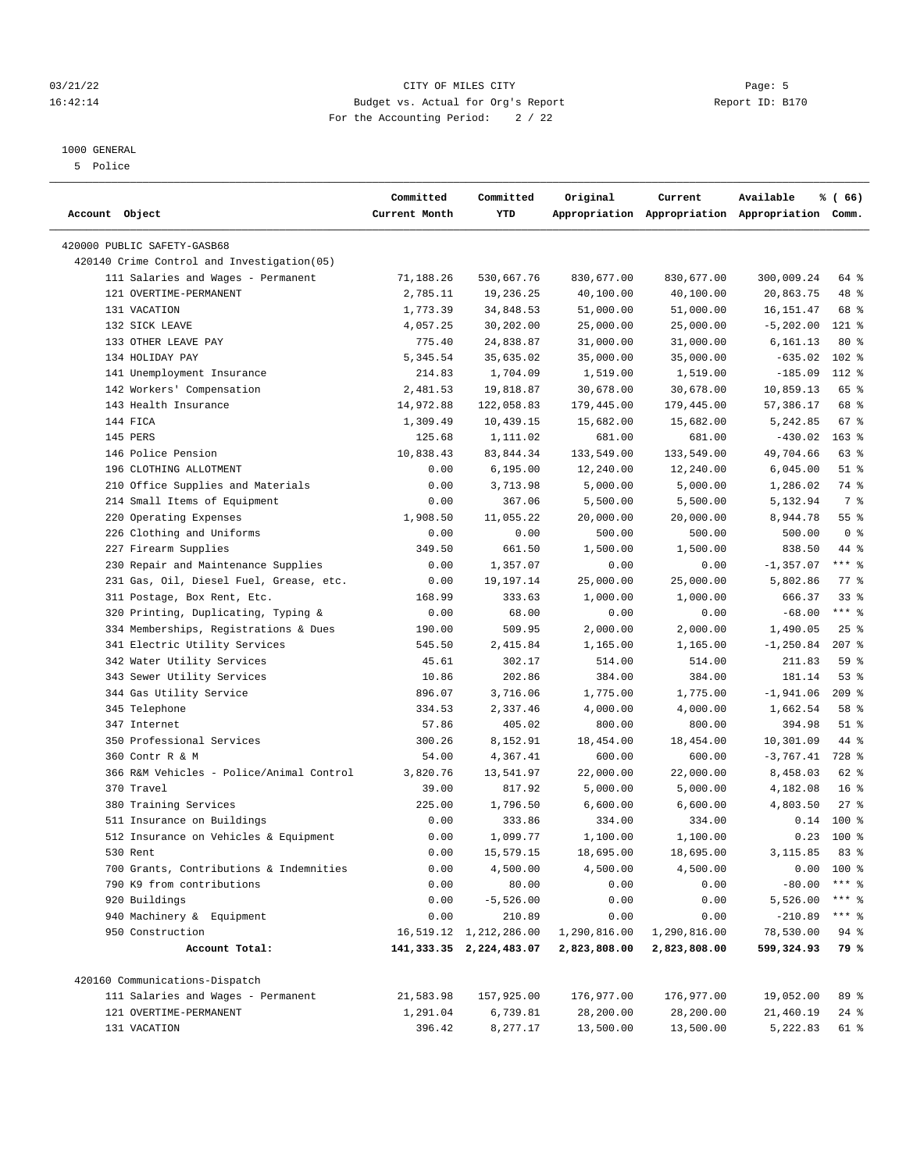#### 1000 GENERAL

5 Police

|                                             | Committed     | Committed               | Original        | Current                                         | Available       | % (66)             |
|---------------------------------------------|---------------|-------------------------|-----------------|-------------------------------------------------|-----------------|--------------------|
| Account Object                              | Current Month | YTD                     |                 | Appropriation Appropriation Appropriation Comm. |                 |                    |
| 420000 PUBLIC SAFETY-GASB68                 |               |                         |                 |                                                 |                 |                    |
| 420140 Crime Control and Investigation (05) |               |                         |                 |                                                 |                 |                    |
| 111 Salaries and Wages - Permanent          | 71,188.26     | 530,667.76              | 830,677.00      | 830,677.00                                      | 300,009.24      | 64 %               |
| 121 OVERTIME-PERMANENT                      | 2,785.11      | 19,236.25               | 40,100.00       | 40,100.00                                       | 20,863.75       | 48 %               |
| 131 VACATION                                | 1,773.39      | 34,848.53               | 51,000.00       | 51,000.00                                       | 16, 151.47      | 68 %               |
| 132 SICK LEAVE                              | 4,057.25      | 30,202.00               | 25,000.00       | 25,000.00                                       | $-5,202.00$     | $121$ %            |
| 133 OTHER LEAVE PAY                         | 775.40        | 24,838.87               | 31,000.00       | 31,000.00                                       | 6,161.13        | $80*$              |
| 134 HOLIDAY PAY                             | 5,345.54      | 35,635.02               | 35,000.00       | 35,000.00                                       | $-635.02$       | $102$ %            |
| 141 Unemployment Insurance                  | 214.83        | 1,704.09                | 1,519.00        | 1,519.00                                        | $-185.09$       | 112 %              |
| 142 Workers' Compensation                   | 2,481.53      | 19,818.87               | 30,678.00       | 30,678.00                                       | 10,859.13       | 65 %               |
| 143 Health Insurance                        | 14,972.88     | 122,058.83              | 179,445.00      | 179,445.00                                      | 57,386.17       | 68 %               |
| 144 FICA                                    | 1,309.49      | 10,439.15               | 15,682.00       | 15,682.00                                       | 5,242.85        | 67%                |
| 145 PERS                                    | 125.68        | 1,111.02                | 681.00          | 681.00                                          | $-430.02$       | $163$ %            |
| 146 Police Pension                          | 10,838.43     | 83,844.34               | 133,549.00      | 133,549.00                                      | 49,704.66       | 63%                |
| 196 CLOTHING ALLOTMENT                      | 0.00          | 6, 195.00               | 12,240.00       | 12,240.00                                       | 6,045.00        | $51$ %             |
| 210 Office Supplies and Materials           | 0.00          | 3,713.98                | 5,000.00        | 5,000.00                                        | 1,286.02        | 74 %               |
| 214 Small Items of Equipment                | 0.00          | 367.06                  | 5,500.00        | 5,500.00                                        | 5,132.94        | 7 %                |
| 220 Operating Expenses                      | 1,908.50      | 11,055.22               | 20,000.00       | 20,000.00                                       | 8,944.78        | 55%                |
| 226 Clothing and Uniforms                   | 0.00          | 0.00                    | 500.00          | 500.00                                          | 500.00          | 0 <sup>8</sup>     |
| 227 Firearm Supplies                        | 349.50        | 661.50                  | 1,500.00        | 1,500.00                                        | 838.50          | 44 %               |
| 230 Repair and Maintenance Supplies         | 0.00          | 1,357.07                | 0.00            | 0.00                                            | $-1,357.07$     | $***$ $-$          |
| 231 Gas, Oil, Diesel Fuel, Grease, etc.     | 0.00          | 19,197.14               | 25,000.00       | 25,000.00                                       | 5,802.86        | $77$ $\frac{6}{9}$ |
| 311 Postage, Box Rent, Etc.                 | 168.99        | 333.63                  | 1,000.00        | 1,000.00                                        | 666.37          | 33%                |
| 320 Printing, Duplicating, Typing &         | 0.00          | 68.00                   | 0.00            | 0.00                                            | $-68.00$        | $***$ $_{8}$       |
| 334 Memberships, Registrations & Dues       | 190.00        | 509.95                  | 2,000.00        | 2,000.00                                        | 1,490.05        | 25%                |
| 341 Electric Utility Services               | 545.50        | 2,415.84                | 1,165.00        | 1,165.00                                        | $-1, 250.84$    | $207$ %            |
| 342 Water Utility Services                  | 45.61         | 302.17                  | 514.00          | 514.00                                          | 211.83          | 59%                |
| 343 Sewer Utility Services                  | 10.86         | 202.86                  | 384.00          | 384.00                                          | 181.14          | 53%                |
| 344 Gas Utility Service                     | 896.07        | 3,716.06                | 1,775.00        | 1,775.00                                        | $-1,941.06$     | $209$ %            |
| 345 Telephone                               | 334.53        | 2,337.46                | 4,000.00        | 4,000.00                                        | 1,662.54        | 58 %               |
| 347 Internet                                | 57.86         | 405.02                  | 800.00          | 800.00                                          | 394.98          | $51$ %             |
| 350 Professional Services                   | 300.26        | 8,152.91                | 18,454.00       | 18,454.00                                       | 10,301.09       | 44 %               |
| 360 Contr R & M                             | 54.00         | 4,367.41                | 600.00          | 600.00                                          | $-3,767.41$     | 728 %              |
| 366 R&M Vehicles - Police/Animal Control    | 3,820.76      | 13,541.97               | 22,000.00       | 22,000.00                                       | 8,458.03        | 62 %               |
| 370 Travel                                  | 39.00         | 817.92                  | 5,000.00        | 5,000.00                                        | 4,182.08        | $16*$              |
| 380 Training Services                       | 225.00        | 1,796.50                | 6,600.00        | 6,600.00                                        | 4,803.50        | $27$ %             |
| 511 Insurance on Buildings                  | 0.00          | 333.86                  | 334.00          | 334.00                                          | 0.14            | 100 %              |
| 512 Insurance on Vehicles & Equipment       | 0.00          | 1,099.77                | 1,100.00        | 1,100.00                                        | 0.23            | 100 %              |
| 530 Rent                                    | 0.00          | 15,579.15               | $18\,,695\,.00$ | 18,695.00                                       | $3,115.85$ 83 % |                    |
| 700 Grants, Contributions & Indemnities     | 0.00          | 4,500.00                | 4,500.00        | 4,500.00                                        |                 | $0.00 100$ %       |
| 790 K9 from contributions                   | 0.00          | 80.00                   | 0.00            | 0.00                                            | $-80.00$        | $***$ 8            |
| 920 Buildings                               | 0.00          | $-5,526.00$             | 0.00            | 0.00                                            | 5,526.00        | *** 응              |
| 940 Machinery & Equipment                   | 0.00          | 210.89                  | 0.00            | 0.00                                            | $-210.89$       | $***$ $_{8}$       |
| 950 Construction                            |               | 16,519.12 1,212,286.00  | 1,290,816.00    | 1,290,816.00                                    | 78,530.00       | $94$ %             |
| Account Total:                              |               | 141,333.35 2,224,483.07 | 2,823,808.00    | 2,823,808.00                                    | 599,324.93      | 79 %               |
| 420160 Communications-Dispatch              |               |                         |                 |                                                 |                 |                    |
| 111 Salaries and Wages - Permanent          | 21,583.98     | 157,925.00              | 176,977.00      | 176,977.00                                      | 19,052.00       | 89 %               |
| 121 OVERTIME-PERMANENT                      | 1,291.04      | 6,739.81                | 28,200.00       | 28,200.00                                       | 21,460.19       | 24 %               |
| 131 VACATION                                | 396.42        | 8,277.17                | 13,500.00       | 13,500.00                                       | 5,222.83        | 61 %               |

03/21/22 Page: 5 Page: 5 Page: 5 Page: 5 Page: 5 Page: 5 Page: 5 Page: 5 Page: 5 Page: 5 16:42:14 Budget vs. Actual for Org's Report Report ID: B170 For the Accounting Period: 2 / 22

————————————————————————————————————————————————————————————————————————————————————————————————————————————————————————————————————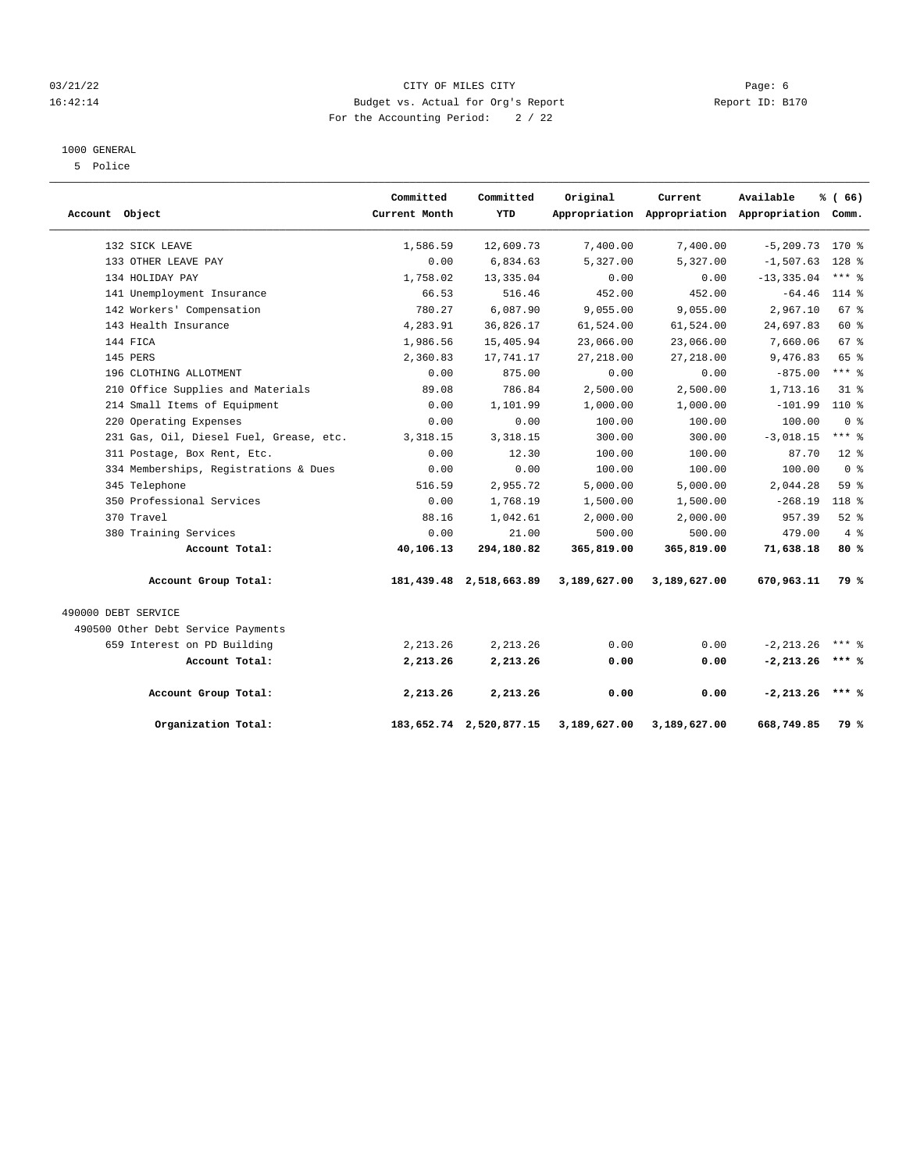## 03/21/22 Page: 6 CITY OF MILES CITY COMMUNISMENT PAGE: 6 16:42:14 Budget vs. Actual for Org's Report Report ID: B170 For the Accounting Period: 2 / 22

#### 1000 GENERAL

5 Police

| Account Object      |                                         | Committed<br>Current Month | Committed<br>YTD        | Original     | Current      | Available<br>Appropriation Appropriation Appropriation Comm. | % (66)         |
|---------------------|-----------------------------------------|----------------------------|-------------------------|--------------|--------------|--------------------------------------------------------------|----------------|
|                     | 132 SICK LEAVE                          | 1,586.59                   | 12,609.73               | 7,400.00     | 7,400.00     | $-5, 209.73$                                                 | $170*$         |
|                     | 133 OTHER LEAVE PAY                     | 0.00                       | 6,834.63                | 5,327.00     | 5,327.00     | $-1,507.63$                                                  | 128 %          |
|                     | 134 HOLIDAY PAY                         | 1,758.02                   | 13, 335.04              | 0.00         | 0.00         | $-13, 335.04$                                                | $***$ $%$      |
|                     | 141 Unemployment Insurance              | 66.53                      | 516.46                  | 452.00       | 452.00       | $-64.46$                                                     | 114 %          |
|                     | 142 Workers' Compensation               | 780.27                     | 6,087.90                | 9,055.00     | 9,055.00     | 2,967.10                                                     | 67%            |
|                     | 143 Health Insurance                    | 4,283.91                   | 36,826.17               | 61,524.00    | 61,524.00    | 24,697.83                                                    | 60 %           |
|                     | 144 FICA                                | 1,986.56                   | 15,405.94               | 23,066.00    | 23,066.00    | 7,660.06                                                     | 67 %           |
|                     | 145 PERS                                | 2,360.83                   | 17,741.17               | 27, 218.00   | 27, 218.00   | 9,476.83                                                     | 65 %           |
|                     | 196 CLOTHING ALLOTMENT                  | 0.00                       | 875.00                  | 0.00         | 0.00         | $-875.00$                                                    | $***$ $-$      |
|                     | 210 Office Supplies and Materials       | 89.08                      | 786.84                  | 2,500.00     | 2,500.00     | 1,713.16                                                     | $31*$          |
|                     | 214 Small Items of Equipment            | 0.00                       | 1,101.99                | 1,000.00     | 1,000.00     | $-101.99$                                                    | $110*$         |
|                     | 220 Operating Expenses                  | 0.00                       | 0.00                    | 100.00       | 100.00       | 100.00                                                       | 0 <sup>8</sup> |
|                     | 231 Gas, Oil, Diesel Fuel, Grease, etc. | 3, 318.15                  | 3,318.15                | 300.00       | 300.00       | $-3,018.15$                                                  | $***$ $-$      |
|                     | 311 Postage, Box Rent, Etc.             | 0.00                       | 12.30                   | 100.00       | 100.00       | 87.70                                                        | $12*$          |
|                     | 334 Memberships, Registrations & Dues   | 0.00                       | 0.00                    | 100.00       | 100.00       | 100.00                                                       | 0 <sup>8</sup> |
|                     | 345 Telephone                           | 516.59                     | 2,955.72                | 5,000.00     | 5,000.00     | 2,044.28                                                     | 59%            |
|                     | 350 Professional Services               | 0.00                       | 1,768.19                | 1,500.00     | 1,500.00     | $-268.19$                                                    | 118 %          |
|                     | 370 Travel                              | 88.16                      | 1,042.61                | 2,000.00     | 2,000.00     | 957.39                                                       | $52$ $%$       |
|                     | 380 Training Services                   | 0.00                       | 21.00                   | 500.00       | 500.00       | 479.00                                                       | 4%             |
|                     | Account Total:                          | 40,106.13                  | 294,180.82              | 365,819.00   | 365,819.00   | 71,638.18                                                    | 80%            |
|                     | Account Group Total:                    |                            | 181,439.48 2,518,663.89 | 3,189,627.00 | 3,189,627.00 | 670,963.11                                                   | <b>79 %</b>    |
| 490000 DEBT SERVICE |                                         |                            |                         |              |              |                                                              |                |
|                     | 490500 Other Debt Service Payments      |                            |                         |              |              |                                                              |                |
|                     | 659 Interest on PD Building             | 2, 213.26                  | 2, 213.26               | 0.00         | 0.00         | $-2, 213.26$                                                 | $***$ 2        |
|                     | Account Total:                          | 2,213.26                   | 2,213.26                | 0.00         | 0.00         | $-2, 213.26$                                                 | $***$ %        |
|                     | Account Group Total:                    | 2,213.26                   | 2,213.26                | 0.00         | 0.00         | $-2, 213.26$                                                 | $***$ &        |
|                     | Organization Total:                     |                            | 183,652.74 2,520,877.15 | 3,189,627.00 | 3,189,627.00 | 668,749.85                                                   | 79 %           |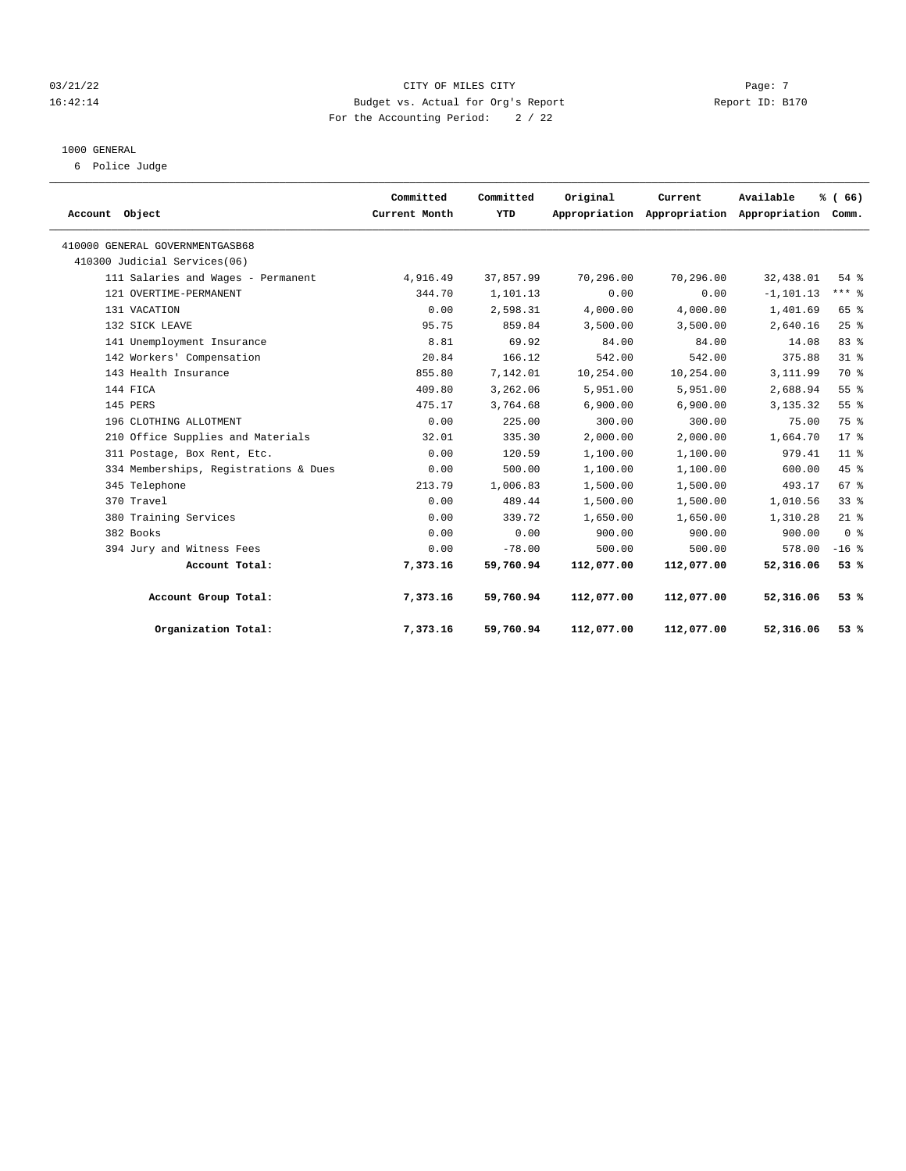## $03/21/22$  Page: 7 16:42:14 Budget vs. Actual for Org's Report Report ID: B170 For the Accounting Period: 2 / 22

#### 1000 GENERAL

6 Police Judge

|                                       | Committed     | Committed | Original   | Current                                         | Available    | % (66)          |
|---------------------------------------|---------------|-----------|------------|-------------------------------------------------|--------------|-----------------|
| Account Object                        | Current Month | YTD       |            | Appropriation Appropriation Appropriation Comm. |              |                 |
| 410000 GENERAL GOVERNMENTGASB68       |               |           |            |                                                 |              |                 |
| 410300 Judicial Services(06)          |               |           |            |                                                 |              |                 |
| 111 Salaries and Wages - Permanent    | 4,916.49      | 37,857.99 | 70,296.00  | 70,296.00                                       | 32,438.01    | 54%             |
| 121 OVERTIME-PERMANENT                | 344.70        | 1,101.13  | 0.00       | 0.00                                            | $-1, 101.13$ | $***$ $%$       |
| 131 VACATION                          | 0.00          | 2,598.31  | 4,000.00   | 4,000.00                                        | 1,401.69     | 65 %            |
| 132 SICK LEAVE                        | 95.75         | 859.84    | 3,500.00   | 3.500.00                                        | 2,640.16     | 25%             |
| 141 Unemployment Insurance            | 8.81          | 69.92     | 84.00      | 84.00                                           | 14.08        | 83%             |
| 142 Workers' Compensation             | 20.84         | 166.12    | 542.00     | 542.00                                          | 375.88       | 31.8            |
| 143 Health Insurance                  | 855.80        | 7,142.01  | 10,254.00  | 10,254.00                                       | 3,111.99     | 70 %            |
| 144 FICA                              | 409.80        | 3,262.06  | 5,951.00   | 5,951.00                                        | 2,688.94     | 55%             |
| 145 PERS                              | 475.17        | 3,764.68  | 6,900.00   | 6,900.00                                        | 3, 135. 32   | 55%             |
| 196 CLOTHING ALLOTMENT                | 0.00          | 225.00    | 300.00     | 300.00                                          | 75.00        | 75 %            |
| 210 Office Supplies and Materials     | 32.01         | 335.30    | 2,000.00   | 2,000.00                                        | 1,664.70     | $17*$           |
| 311 Postage, Box Rent, Etc.           | 0.00          | 120.59    | 1,100.00   | 1,100.00                                        | 979.41       | 11 <sup>8</sup> |
| 334 Memberships, Registrations & Dues | 0.00          | 500.00    | 1,100.00   | 1,100.00                                        | 600.00       | 45 %            |
| 345 Telephone                         | 213.79        | 1,006.83  | 1,500.00   | 1,500.00                                        | 493.17       | 67 <sup>8</sup> |
| 370 Travel                            | 0.00          | 489.44    | 1,500.00   | 1,500.00                                        | 1,010.56     | 33%             |
| 380 Training Services                 | 0.00          | 339.72    | 1,650.00   | 1,650.00                                        | 1,310.28     | $21$ %          |
| 382 Books                             | 0.00          | 0.00      | 900.00     | 900.00                                          | 900.00       | 0 <sup>8</sup>  |
| 394 Jury and Witness Fees             | 0.00          | $-78.00$  | 500.00     | 500.00                                          | 578.00       | $-16$ %         |
| Account Total:                        | 7,373.16      | 59,760.94 | 112,077.00 | 112,077.00                                      | 52,316.06    | 53%             |
| Account Group Total:                  | 7,373.16      | 59,760.94 | 112,077.00 | 112,077.00                                      | 52,316.06    | 53%             |
| Organization Total:                   | 7,373.16      | 59,760.94 | 112,077.00 | 112,077.00                                      | 52,316.06    | 53%             |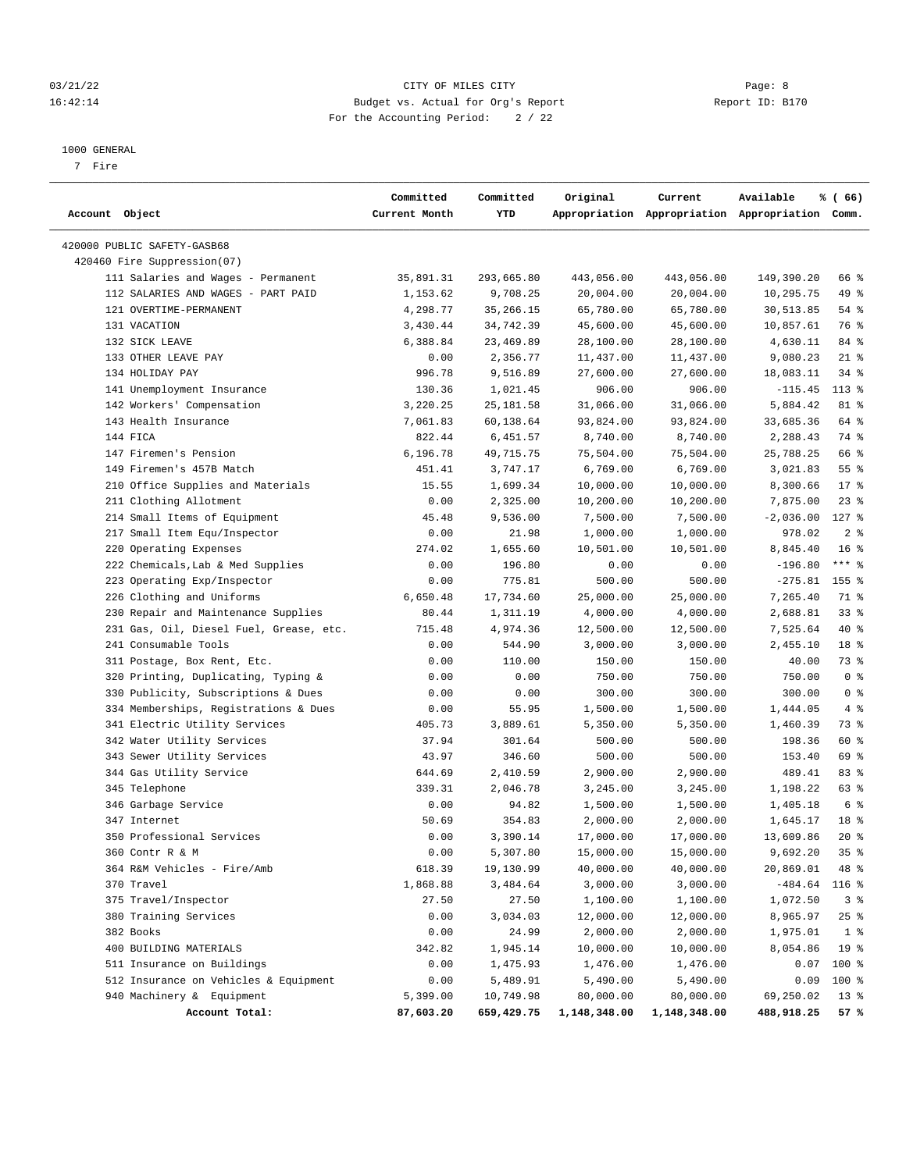## 03/21/22 Page: 8 CITY OF MILES CITY 16:42:14 Budget vs. Actual for Org's Report Report ID: B170 For the Accounting Period: 2 / 22

#### 1000 GENERAL

7 Fire

| Account Object                          | Committed<br>Current Month | Committed<br>YTD | Original     | Current      | Available<br>Appropriation Appropriation Appropriation Comm. | % (66)          |
|-----------------------------------------|----------------------------|------------------|--------------|--------------|--------------------------------------------------------------|-----------------|
| 420000 PUBLIC SAFETY-GASB68             |                            |                  |              |              |                                                              |                 |
| 420460 Fire Suppression(07)             |                            |                  |              |              |                                                              |                 |
| 111 Salaries and Wages - Permanent      | 35,891.31                  | 293,665.80       | 443,056.00   | 443,056.00   | 149,390.20                                                   | 66 %            |
| 112 SALARIES AND WAGES - PART PAID      | 1,153.62                   | 9,708.25         | 20,004.00    | 20,004.00    | 10,295.75                                                    | 49 %            |
| 121 OVERTIME-PERMANENT                  | 4,298.77                   | 35, 266. 15      | 65,780.00    | 65,780.00    | 30,513.85                                                    | 54%             |
| 131 VACATION                            | 3,430.44                   | 34,742.39        | 45,600.00    | 45,600.00    | 10,857.61                                                    | 76 %            |
| 132 SICK LEAVE                          | 6,388.84                   | 23,469.89        | 28,100.00    | 28,100.00    | 4,630.11                                                     | 84 %            |
| 133 OTHER LEAVE PAY                     | 0.00                       | 2,356.77         | 11,437.00    | 11,437.00    | 9,080.23                                                     | $21$ %          |
| 134 HOLIDAY PAY                         | 996.78                     | 9,516.89         | 27,600.00    | 27,600.00    | 18,083.11                                                    | $34$ $%$        |
| 141 Unemployment Insurance              | 130.36                     | 1,021.45         | 906.00       | 906.00       | $-115.45$                                                    | $113*$          |
| 142 Workers' Compensation               | 3,220.25                   | 25, 181.58       | 31,066.00    | 31,066.00    | 5,884.42                                                     | 81 %            |
| 143 Health Insurance                    | 7,061.83                   | 60,138.64        | 93,824.00    | 93,824.00    | 33,685.36                                                    | 64 %            |
| 144 FICA                                | 822.44                     | 6,451.57         | 8,740.00     | 8,740.00     | 2,288.43                                                     | 74 %            |
| 147 Firemen's Pension                   | 6,196.78                   | 49,715.75        | 75,504.00    | 75,504.00    | 25,788.25                                                    | 66 %            |
| 149 Firemen's 457B Match                | 451.41                     | 3,747.17         | 6,769.00     | 6,769.00     | 3,021.83                                                     | 55%             |
| 210 Office Supplies and Materials       | 15.55                      | 1,699.34         | 10,000.00    | 10,000.00    | 8,300.66                                                     | $17*$           |
| 211 Clothing Allotment                  | 0.00                       | 2,325.00         | 10,200.00    | 10,200.00    | 7,875.00                                                     | $23$ %          |
| 214 Small Items of Equipment            | 45.48                      | 9,536.00         | 7,500.00     | 7,500.00     | $-2,036.00$                                                  | $127$ %         |
| 217 Small Item Equ/Inspector            | 0.00                       | 21.98            | 1,000.00     | 1,000.00     | 978.02                                                       | 2 <sup>8</sup>  |
| 220 Operating Expenses                  | 274.02                     | 1,655.60         | 10,501.00    | 10,501.00    | 8,845.40                                                     | 16 <sup>8</sup> |
| 222 Chemicals, Lab & Med Supplies       | 0.00                       | 196.80           | 0.00         | 0.00         | $-196.80$                                                    | $***$ $-$       |
| 223 Operating Exp/Inspector             | 0.00                       | 775.81           | 500.00       | 500.00       | $-275.81$                                                    | $155$ %         |
| 226 Clothing and Uniforms               | 6,650.48                   | 17,734.60        | 25,000.00    | 25,000.00    | 7,265.40                                                     | 71 %            |
| 230 Repair and Maintenance Supplies     | 80.44                      | 1,311.19         | 4,000.00     | 4,000.00     | 2,688.81                                                     | 33%             |
| 231 Gas, Oil, Diesel Fuel, Grease, etc. | 715.48                     | 4,974.36         | 12,500.00    | 12,500.00    | 7,525.64                                                     | $40*$           |
| 241 Consumable Tools                    | 0.00                       | 544.90           | 3,000.00     | 3,000.00     | 2,455.10                                                     | 18 <sup>8</sup> |
| 311 Postage, Box Rent, Etc.             | 0.00                       | 110.00           | 150.00       | 150.00       | 40.00                                                        | 73 %            |
| 320 Printing, Duplicating, Typing &     | 0.00                       | 0.00             | 750.00       | 750.00       | 750.00                                                       | 0 <sup>8</sup>  |
| 330 Publicity, Subscriptions & Dues     | 0.00                       | 0.00             | 300.00       | 300.00       | 300.00                                                       | 0 <sup>8</sup>  |
| 334 Memberships, Registrations & Dues   | 0.00                       | 55.95            | 1,500.00     | 1,500.00     | 1,444.05                                                     | 4%              |
| 341 Electric Utility Services           | 405.73                     | 3,889.61         | 5,350.00     | 5,350.00     | 1,460.39                                                     | 73 %            |
| 342 Water Utility Services              | 37.94                      | 301.64           | 500.00       | 500.00       | 198.36                                                       | 60 %            |
| 343 Sewer Utility Services              | 43.97                      | 346.60           | 500.00       | 500.00       | 153.40                                                       | 69 %            |
| 344 Gas Utility Service                 | 644.69                     | 2,410.59         | 2,900.00     | 2,900.00     | 489.41                                                       | 83%             |
| 345 Telephone                           | 339.31                     | 2,046.78         | 3,245.00     | 3,245.00     | 1,198.22                                                     | 63%             |
| 346 Garbage Service                     | 0.00                       | 94.82            | 1,500.00     | 1,500.00     | 1,405.18                                                     | 6 %             |
| 347 Internet                            | 50.69                      | 354.83           | 2,000.00     | 2,000.00     | 1,645.17                                                     | 18 %            |
| 350 Professional Services               | 0.00                       | 3,390.14         | 17,000.00    | 17,000.00    | 13,609.86                                                    | $20*$           |
| 360 Contr R & M                         | 0.00                       | 5,307.80         | 15,000.00    | 15,000.00    | 9,692.20                                                     | 35%             |
| 364 R&M Vehicles - Fire/Amb             | 618.39                     | 19,130.99        | 40,000.00    | 40,000.00    | 20,869.01                                                    | 48 %            |
| 370 Travel                              | 1,868.88                   | 3,484.64         | 3,000.00     | 3,000.00     | $-484.64$                                                    | $116$ %         |
| 375 Travel/Inspector                    | 27.50                      | 27.50            | 1,100.00     | 1,100.00     | 1,072.50                                                     | 3%              |
| 380 Training Services                   | 0.00                       | 3,034.03         | 12,000.00    | 12,000.00    | 8,965.97                                                     | 25%             |
| 382 Books                               | 0.00                       | 24.99            | 2,000.00     | 2,000.00     | 1,975.01                                                     | 1 <sup>8</sup>  |
| 400 BUILDING MATERIALS                  | 342.82                     | 1,945.14         | 10,000.00    | 10,000.00    | 8,054.86                                                     | 19 <sup>°</sup> |
| 511 Insurance on Buildings              | 0.00                       | 1,475.93         | 1,476.00     | 1,476.00     | 0.07                                                         | 100 %           |
| 512 Insurance on Vehicles & Equipment   | 0.00                       | 5,489.91         | 5,490.00     | 5,490.00     | 0.09                                                         | 100 %           |
| 940 Machinery & Equipment               | 5,399.00                   | 10,749.98        | 80,000.00    | 80,000.00    | 69,250.02                                                    | $13*$           |
| Account Total:                          | 87,603.20                  | 659,429.75       | 1,148,348.00 | 1,148,348.00 | 488,918.25                                                   | 57%             |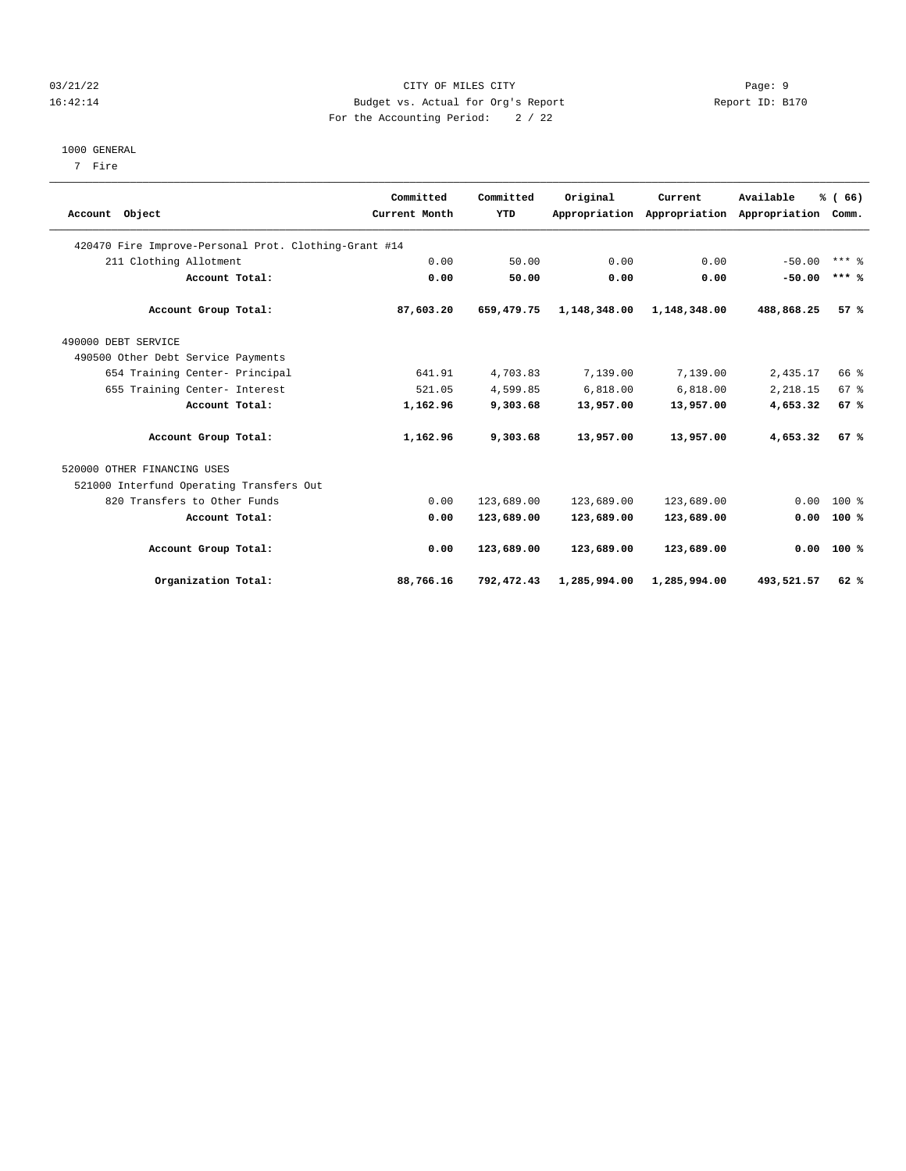## 03/21/22 Page: 9 16:42:14 Budget vs. Actual for Org's Report Report ID: B170 For the Accounting Period: 2 / 22

#### 1000 GENERAL

7 Fire

|                                                       | Committed     | Committed  | Original     | Current                     | Available     | % (66)          |  |
|-------------------------------------------------------|---------------|------------|--------------|-----------------------------|---------------|-----------------|--|
| Account Object                                        | Current Month | YTD        |              | Appropriation Appropriation | Appropriation | Comm.           |  |
| 420470 Fire Improve-Personal Prot. Clothing-Grant #14 |               |            |              |                             |               |                 |  |
| 211 Clothing Allotment                                | 0.00          | 50.00      | 0.00         | 0.00                        | $-50.00$      | $***$ 2         |  |
| Account Total:                                        | 0.00          | 50.00      | 0.00         | 0.00                        | $-50.00$      | $***$ %         |  |
| Account Group Total:                                  | 87,603.20     | 659,479.75 | 1,148,348.00 | 1,148,348.00                | 488,868.25    | 57%             |  |
| 490000 DEBT SERVICE                                   |               |            |              |                             |               |                 |  |
| 490500 Other Debt Service Payments                    |               |            |              |                             |               |                 |  |
| 654 Training Center- Principal                        | 641.91        | 4,703.83   | 7,139.00     | 7,139.00                    | 2,435.17      | 66 %            |  |
| 655 Training Center- Interest                         | 521.05        | 4,599.85   | 6,818.00     | 6,818.00                    | 2,218.15      | 67 <sup>8</sup> |  |
| Account Total:                                        | 1,162.96      | 9,303.68   | 13,957.00    | 13,957.00                   | 4,653.32      | 67%             |  |
| Account Group Total:                                  | 1,162.96      | 9,303.68   | 13,957.00    | 13,957.00                   | 4,653.32      | 67%             |  |
| 520000 OTHER FINANCING USES                           |               |            |              |                             |               |                 |  |
| 521000 Interfund Operating Transfers Out              |               |            |              |                             |               |                 |  |
| 820 Transfers to Other Funds                          | 0.00          | 123,689.00 | 123,689.00   | 123,689.00                  | 0.00          | $100*$          |  |
| Account Total:                                        | 0.00          | 123,689.00 | 123,689.00   | 123,689.00                  | 0.00          | 100%            |  |
| Account Group Total:                                  | 0.00          | 123,689.00 | 123,689.00   | 123,689.00                  |               | $0.00$ 100 %    |  |
| Organization Total:                                   | 88,766.16     | 792,472.43 | 1,285,994.00 | 1,285,994.00                | 493,521.57    | 62%             |  |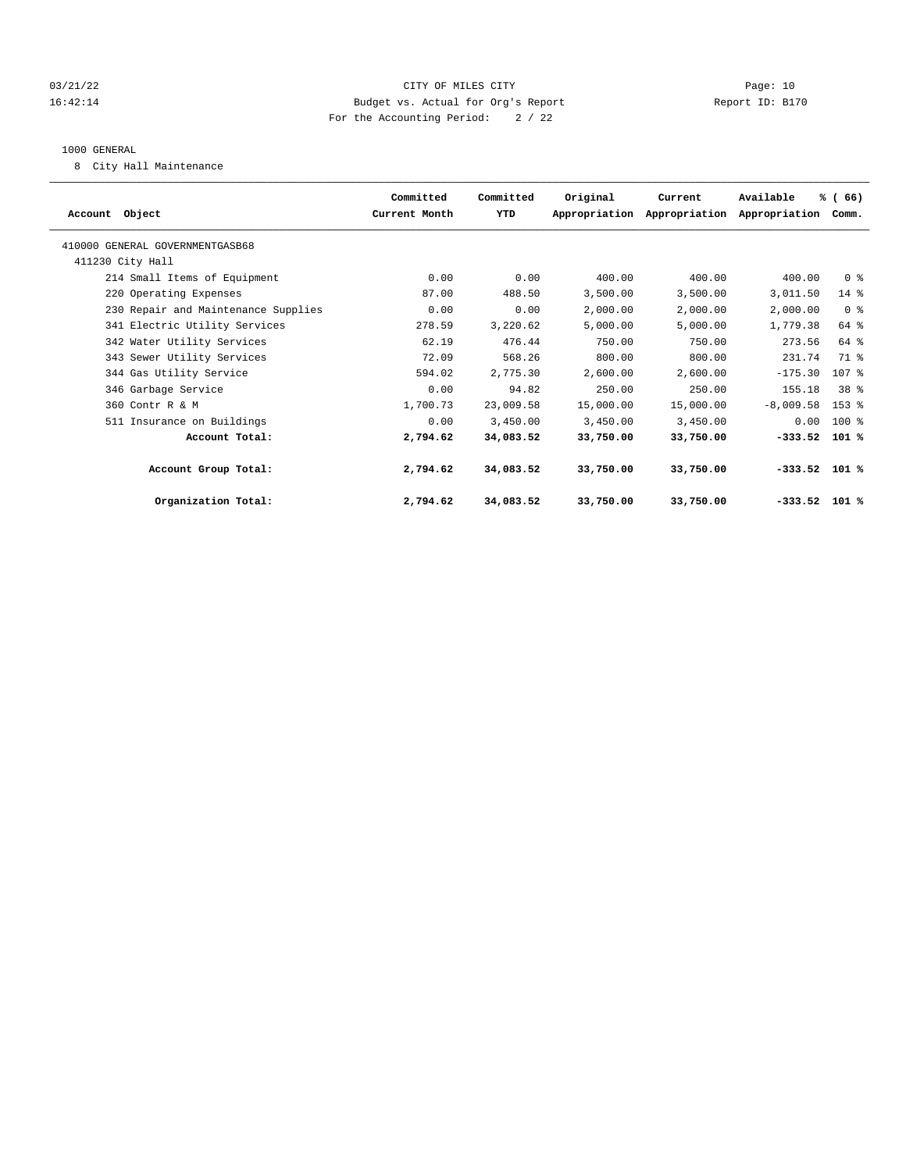## 03/21/22 Page: 10 16:42:14 Budget vs. Actual for Org's Report Report ID: B170 For the Accounting Period: 2 / 22

#### 1000 GENERAL

8 City Hall Maintenance

|                                     | Committed     | Committed | Original  | Current                     | Available       | % (66)          |  |
|-------------------------------------|---------------|-----------|-----------|-----------------------------|-----------------|-----------------|--|
| Account Object                      | Current Month | YTD       |           | Appropriation Appropriation | Appropriation   | Comm.           |  |
| 410000 GENERAL GOVERNMENTGASB68     |               |           |           |                             |                 |                 |  |
| 411230 City Hall                    |               |           |           |                             |                 |                 |  |
| 214 Small Items of Equipment        | 0.00          | 0.00      | 400.00    | 400.00                      | 400.00          | 0 <sup>8</sup>  |  |
| 220 Operating Expenses              | 87.00         | 488.50    | 3,500.00  | 3,500.00                    | 3,011.50        | $14$ %          |  |
| 230 Repair and Maintenance Supplies | 0.00          | 0.00      | 2,000.00  | 2,000.00                    | 2,000.00        | 0 <sup>8</sup>  |  |
| 341 Electric Utility Services       | 278.59        | 3,220.62  | 5,000.00  | 5,000.00                    | 1,779.38        | 64 %            |  |
| 342 Water Utility Services          | 62.19         | 476.44    | 750.00    | 750.00                      | 273.56          | 64 %            |  |
| 343 Sewer Utility Services          | 72.09         | 568.26    | 800.00    | 800.00                      | 231.74          | 71 %            |  |
| 344 Gas Utility Service             | 594.02        | 2,775.30  | 2,600.00  | 2,600.00                    | $-175.30$       | 107 %           |  |
| 346 Garbage Service                 | 0.00          | 94.82     | 250.00    | 250.00                      | 155.18          | 38 <sup>8</sup> |  |
| 360 Contr R & M                     | 1,700.73      | 23,009.58 | 15,000.00 | 15,000.00                   | $-8,009.58$     | 153 %           |  |
| 511 Insurance on Buildings          | 0.00          | 3,450.00  | 3,450.00  | 3,450.00                    | 0.00            | 100 %           |  |
| Account Total:                      | 2,794.62      | 34,083.52 | 33,750.00 | 33,750.00                   | $-333.52$       | $101$ %         |  |
| Account Group Total:                | 2,794.62      | 34,083.52 | 33,750.00 | 33,750.00                   | $-333.52$ 101 % |                 |  |
| Organization Total:                 | 2,794.62      | 34,083.52 | 33,750.00 | 33,750.00                   | $-333.52$ 101 % |                 |  |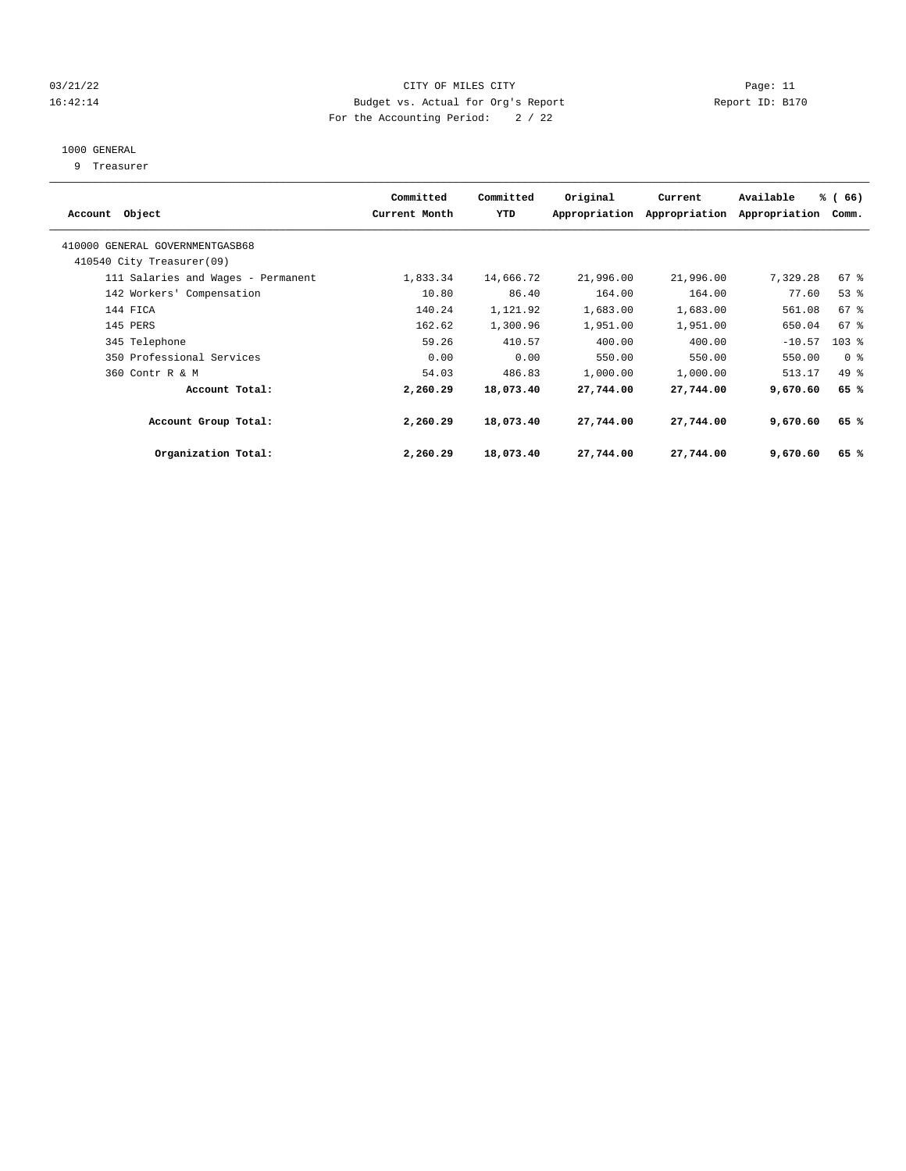## 03/21/22 Page: 11 CITY OF MILES CITY CONTROL CONTROL Page: 11 16:42:14 Budget vs. Actual for Org's Report Report ID: B170 For the Accounting Period: 2 / 22

# 1000 GENERAL

9 Treasurer

| Account Object                                               | Committed<br>Current Month | Committed<br>YTD | Original  | Current<br>Appropriation Appropriation | Available<br>Appropriation | % (66)<br>Comm. |  |
|--------------------------------------------------------------|----------------------------|------------------|-----------|----------------------------------------|----------------------------|-----------------|--|
| 410000 GENERAL GOVERNMENTGASB68<br>410540 City Treasurer(09) |                            |                  |           |                                        |                            |                 |  |
| 111 Salaries and Wages - Permanent                           | 1,833.34                   | 14,666.72        | 21,996.00 | 21,996.00                              | 7,329.28                   | $67$ %          |  |
| 142 Workers' Compensation                                    | 10.80                      | 86.40            | 164.00    | 164.00                                 | 77.60                      | 53%             |  |
| 144 FICA                                                     | 140.24                     | 1,121.92         | 1,683.00  | 1,683.00                               | 561.08                     | 67 %            |  |
| 145 PERS                                                     | 162.62                     | 1,300.96         | 1,951.00  | 1,951.00                               | 650.04                     | 67 %            |  |
| 345 Telephone                                                | 59.26                      | 410.57           | 400.00    | 400.00                                 | $-10.57$                   | $103$ $%$       |  |
| 350 Professional Services                                    | 0.00                       | 0.00             | 550.00    | 550.00                                 | 550.00                     | 0 <sup>8</sup>  |  |
| 360 Contr R & M                                              | 54.03                      | 486.83           | 1,000.00  | 1,000.00                               | 513.17                     | 49 %            |  |
| Account Total:                                               | 2,260.29                   | 18,073.40        | 27,744.00 | 27,744.00                              | 9,670.60                   | 65 %            |  |
| Account Group Total:                                         | 2,260.29                   | 18,073.40        | 27,744.00 | 27,744.00                              | 9,670.60                   | 65 %            |  |
| Organization Total:                                          | 2,260.29                   | 18,073.40        | 27,744.00 | 27,744.00                              | 9,670.60                   | 65 %            |  |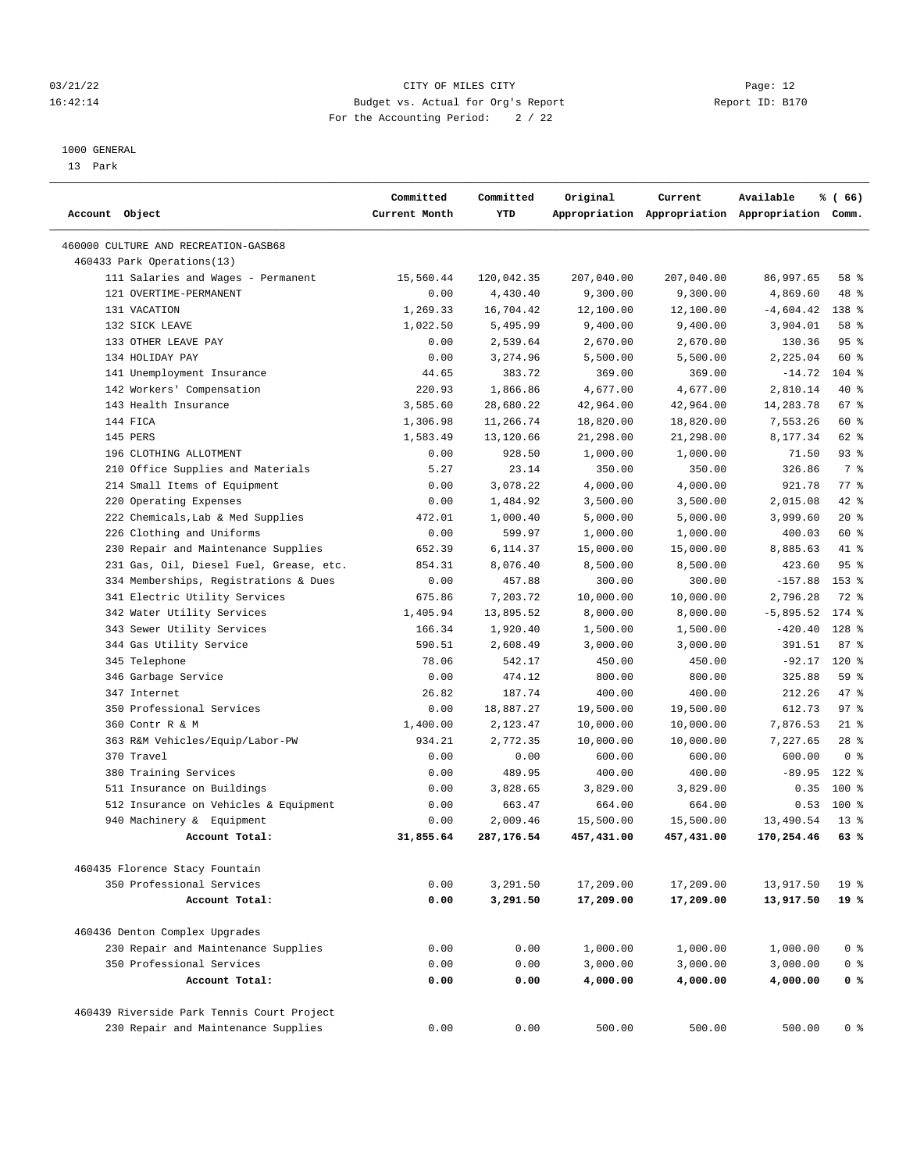## 03/21/22 Page: 12 16:42:14 Budget vs. Actual for Org's Report Report ID: B170 For the Accounting Period: 2 / 22

————————————————————————————————————————————————————————————————————————————————————————————————————————————————————————————————————

#### 1000 GENERAL

13 Park

| Account Object                                              | Committed<br>Current Month | Committed<br>YTD     | Original               | Current                | Available                                       | % (66)          |  |
|-------------------------------------------------------------|----------------------------|----------------------|------------------------|------------------------|-------------------------------------------------|-----------------|--|
|                                                             |                            |                      |                        |                        | Appropriation Appropriation Appropriation Comm. |                 |  |
| 460000 CULTURE AND RECREATION-GASB68                        |                            |                      |                        |                        |                                                 |                 |  |
| 460433 Park Operations(13)                                  |                            |                      |                        |                        |                                                 |                 |  |
| 111 Salaries and Wages - Permanent                          | 15,560.44                  | 120,042.35           | 207,040.00             | 207,040.00             | 86,997.65                                       | 58 %            |  |
| 121 OVERTIME-PERMANENT                                      | 0.00                       | 4,430.40             | 9,300.00               | 9,300.00               | 4,869.60                                        | 48 %            |  |
| 131 VACATION                                                | 1,269.33                   | 16,704.42            | 12,100.00              | 12,100.00              | $-4,604.42$                                     | 138 %           |  |
| 132 SICK LEAVE                                              | 1,022.50                   | 5,495.99             | 9,400.00               | 9,400.00               | 3,904.01                                        | 58 %            |  |
| 133 OTHER LEAVE PAY                                         | 0.00                       | 2,539.64             | 2,670.00               | 2,670.00               | 130.36                                          | 95%             |  |
| 134 HOLIDAY PAY                                             | 0.00                       | 3,274.96             | 5,500.00               | 5,500.00               | 2,225.04                                        | 60 %            |  |
| 141 Unemployment Insurance                                  | 44.65                      | 383.72               | 369.00                 | 369.00                 | $-14.72$                                        | $104$ %         |  |
| 142 Workers' Compensation                                   | 220.93                     | 1,866.86             | 4,677.00               | 4,677.00               | 2,810.14                                        | 40 %            |  |
| 143 Health Insurance                                        | 3,585.60                   | 28,680.22            | 42,964.00              | 42,964.00              | 14,283.78                                       | 67 %            |  |
| 144 FICA                                                    | 1,306.98                   | 11,266.74            | 18,820.00              | 18,820.00              | 7,553.26                                        | 60 %            |  |
| 145 PERS                                                    | 1,583.49                   | 13,120.66            | 21,298.00              | 21,298.00              | 8,177.34                                        | 62 %            |  |
| 196 CLOTHING ALLOTMENT                                      | 0.00                       | 928.50               | 1,000.00               | 1,000.00               | 71.50                                           | $93$ $%$        |  |
| 210 Office Supplies and Materials                           | 5.27                       | 23.14                | 350.00                 | 350.00                 | 326.86                                          | 7 %             |  |
| 214 Small Items of Equipment                                | 0.00                       | 3,078.22             | 4,000.00               | 4,000.00               | 921.78                                          | 77 %            |  |
| 220 Operating Expenses                                      | 0.00                       | 1,484.92             | 3,500.00               | 3,500.00               | 2,015.08                                        | 42 %            |  |
| 222 Chemicals, Lab & Med Supplies                           | 472.01                     | 1,000.40             | 5,000.00               | 5,000.00               | 3,999.60                                        | $20*$           |  |
| 226 Clothing and Uniforms                                   | 0.00                       | 599.97               | 1,000.00               | 1,000.00               | 400.03                                          | 60 %            |  |
| 230 Repair and Maintenance Supplies                         | 652.39                     | 6,114.37             | 15,000.00              | 15,000.00              | 8,885.63                                        | 41 %            |  |
| 231 Gas, Oil, Diesel Fuel, Grease, etc.                     | 854.31                     | 8,076.40             | 8,500.00               | 8,500.00               | 423.60                                          | 95%             |  |
| 334 Memberships, Registrations & Dues                       | 0.00                       | 457.88               | 300.00                 | 300.00                 | $-157.88$                                       | $153$ %         |  |
| 341 Electric Utility Services                               | 675.86                     | 7,203.72             | 10,000.00              | 10,000.00              | 2,796.28                                        | 72 %            |  |
| 342 Water Utility Services                                  | 1,405.94                   | 13,895.52            | 8,000.00               | 8,000.00               | $-5,895.52$                                     | 174 %           |  |
| 343 Sewer Utility Services                                  | 166.34                     | 1,920.40             | 1,500.00               | 1,500.00               | $-420.40$                                       | 128 %           |  |
| 344 Gas Utility Service                                     | 590.51                     | 2,608.49             | 3,000.00               | 3,000.00               | 391.51                                          | 87%             |  |
| 345 Telephone                                               | 78.06                      | 542.17               | 450.00                 | 450.00                 | $-92.17$                                        | 120%            |  |
| 346 Garbage Service                                         | 0.00                       | 474.12               | 800.00                 | 800.00                 | 325.88                                          | 59 %            |  |
| 347 Internet                                                | 26.82                      | 187.74               | 400.00                 | 400.00                 | 212.26                                          | 47 %            |  |
| 350 Professional Services                                   | 0.00                       | 18,887.27            | 19,500.00              | 19,500.00              | 612.73                                          | 97%             |  |
| 360 Contr R & M                                             | 1,400.00                   | 2,123.47             | 10,000.00              | 10,000.00              | 7,876.53                                        | $21$ %          |  |
| 363 R&M Vehicles/Equip/Labor-PW                             | 934.21                     | 2,772.35             | 10,000.00              | 10,000.00              | 7,227.65                                        | $28$ %          |  |
| 370 Travel                                                  | 0.00                       | 0.00                 | 600.00                 | 600.00                 | 600.00                                          | 0 <sup>8</sup>  |  |
| 380 Training Services                                       | 0.00                       | 489.95               | 400.00                 | 400.00                 | $-89.95$                                        | $122$ $%$       |  |
| 511 Insurance on Buildings                                  | 0.00                       | 3,828.65             | 3,829.00               | 3,829.00               | 0.35                                            | 100 %           |  |
| 512 Insurance on Vehicles & Equipment                       | 0.00                       | 663.47               | 664.00                 | 664.00                 | 0.53                                            | 100 %           |  |
| 940 Machinery & Equipment                                   | 0.00                       | 2,009.46             | 15,500.00              | 15,500.00              | 13,490.54                                       | $13*$           |  |
| Account Total:                                              | 31,855.64                  | 287,176.54           | 457,431.00             | 457,431.00             | 170,254.46                                      | 63 %            |  |
|                                                             |                            |                      |                        |                        |                                                 |                 |  |
| 460435 Florence Stacy Fountain<br>350 Professional Services |                            |                      |                        |                        |                                                 | 19 <sup>°</sup> |  |
| Account Total:                                              | 0.00<br>0.00               | 3,291.50<br>3,291.50 | 17,209.00<br>17,209.00 | 17,209.00<br>17,209.00 | 13,917.50<br>13,917.50                          | $19*$           |  |
|                                                             |                            |                      |                        |                        |                                                 |                 |  |
| 460436 Denton Complex Upgrades                              |                            |                      |                        |                        |                                                 |                 |  |
| 230 Repair and Maintenance Supplies                         | 0.00                       | 0.00                 | 1,000.00               | 1,000.00               | 1,000.00                                        | 0 <sup>8</sup>  |  |
| 350 Professional Services                                   | 0.00                       | 0.00                 | 3,000.00               | 3,000.00               | 3,000.00                                        | 0 <sup>8</sup>  |  |
| Account Total:                                              | 0.00                       | 0.00                 | 4,000.00               | 4,000.00               | 4,000.00                                        | 0 <sup>8</sup>  |  |
| 460439 Riverside Park Tennis Court Project                  |                            |                      |                        |                        |                                                 |                 |  |
| 230 Repair and Maintenance Supplies                         | 0.00                       | 0.00                 | 500.00                 | 500.00                 | 500.00                                          | 0 <sup>8</sup>  |  |
|                                                             |                            |                      |                        |                        |                                                 |                 |  |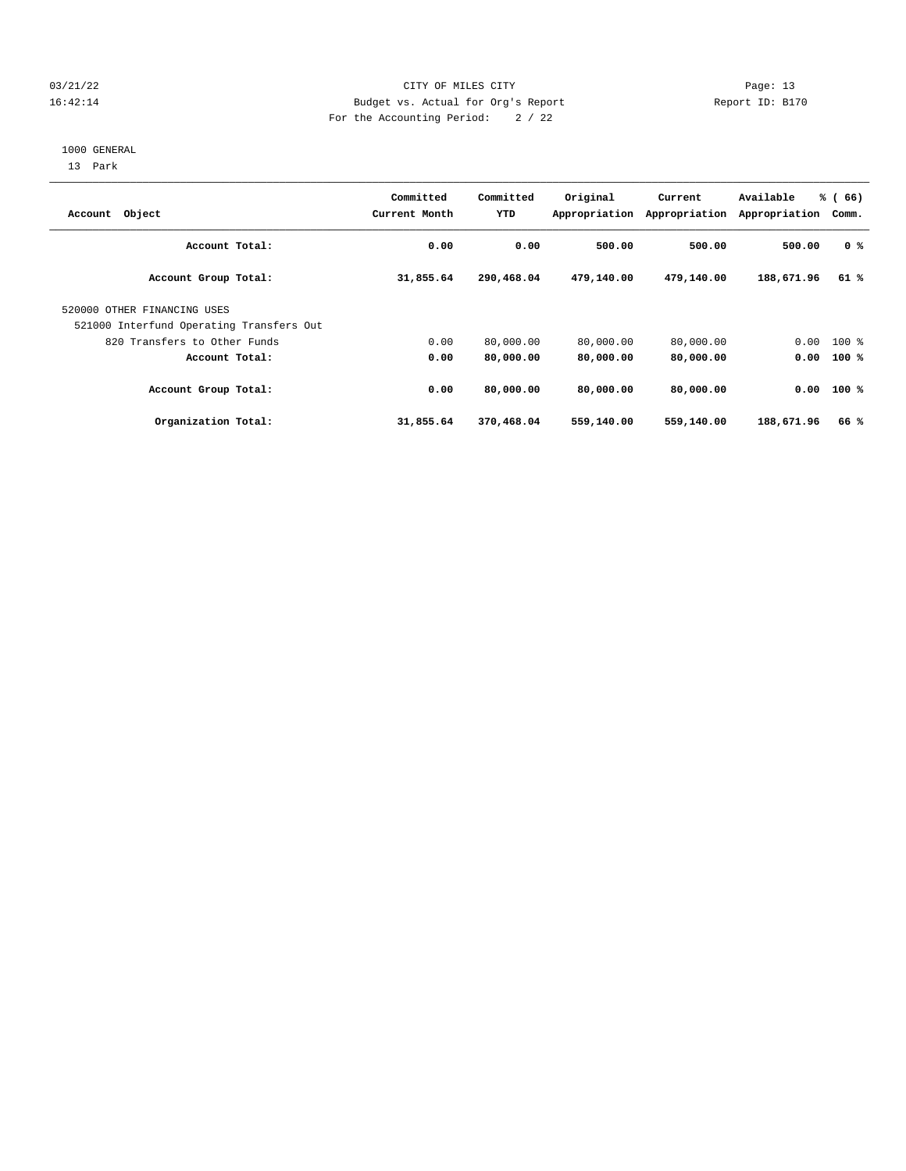## 03/21/22 Page: 13 16:42:14 Budget vs. Actual for Org's Report Report ID: B170 For the Accounting Period: 2 / 22

#### 1000 GENERAL

13 Park

| Account Object                                                          | Committed<br>Current Month | Committed<br>YTD | Original   | Current<br>Appropriation Appropriation | Available<br>Appropriation | % (66)<br>Comm. |
|-------------------------------------------------------------------------|----------------------------|------------------|------------|----------------------------------------|----------------------------|-----------------|
| Account Total:                                                          | 0.00                       | 0.00             | 500.00     | 500.00                                 | 500.00                     | 0 <sup>8</sup>  |
| Account Group Total:                                                    | 31,855.64                  | 290,468.04       | 479,140.00 | 479,140.00                             | 188,671.96                 | 61%             |
| 520000 OTHER FINANCING USES<br>521000 Interfund Operating Transfers Out |                            |                  |            |                                        |                            |                 |
| 820 Transfers to Other Funds                                            | 0.00                       | 80,000.00        | 80,000.00  | 80,000.00                              |                            | $0.00$ 100 %    |
| Account Total:                                                          | 0.00                       | 80,000.00        | 80,000.00  | 80,000.00                              | 0.00                       | $100*$          |
| Account Group Total:                                                    | 0.00                       | 80,000.00        | 80,000.00  | 80,000.00                              |                            | $0.00$ 100 %    |
| Organization Total:                                                     | 31,855.64                  | 370,468.04       | 559,140.00 | 559,140.00                             | 188,671.96                 | 66%             |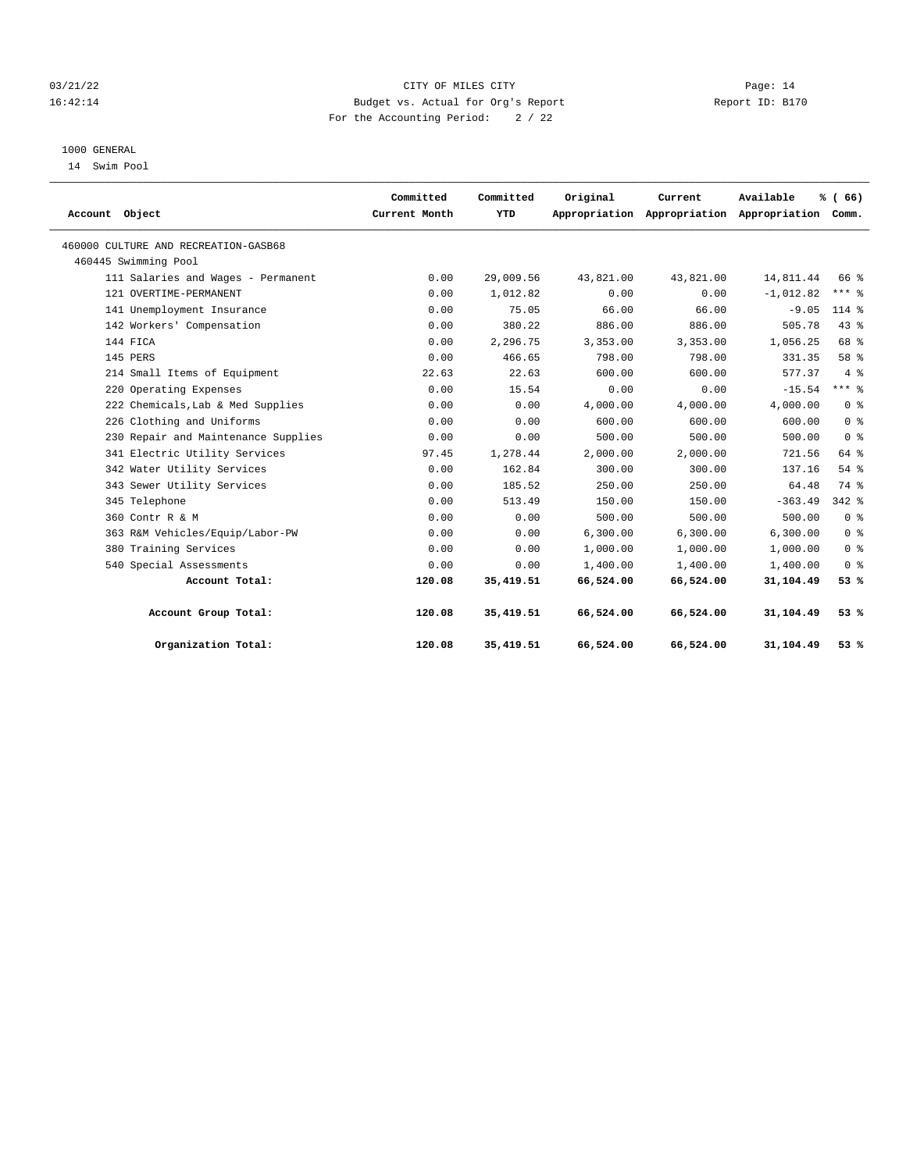## 03/21/22 Page: 14 16:42:14 Budget vs. Actual for Org's Report Report ID: B170 For the Accounting Period: 2 / 22

# 1000 GENERAL

14 Swim Pool

| Account Object                       | Committed<br>Current Month | Committed<br>YTD | Original  | Current<br>Appropriation Appropriation Appropriation Comm. | Available   | % (66)         |  |
|--------------------------------------|----------------------------|------------------|-----------|------------------------------------------------------------|-------------|----------------|--|
| 460000 CULTURE AND RECREATION-GASB68 |                            |                  |           |                                                            |             |                |  |
| 460445 Swimming Pool                 |                            |                  |           |                                                            |             |                |  |
| 111 Salaries and Wages - Permanent   | 0.00                       | 29,009.56        | 43,821.00 | 43,821.00                                                  | 14,811.44   | 66 %           |  |
| 121 OVERTIME-PERMANENT               | 0.00                       | 1,012.82         | 0.00      | 0.00                                                       | $-1,012.82$ | $***$ $%$      |  |
| 141 Unemployment Insurance           | 0.00                       | 75.05            | 66.00     | 66.00                                                      | $-9.05$     | $114*$         |  |
| 142 Workers' Compensation            | 0.00                       | 380.22           | 886.00    | 886.00                                                     | 505.78      | 43.8           |  |
| 144 FICA                             | 0.00                       | 2,296.75         | 3,353.00  | 3,353.00                                                   | 1,056.25    | 68 %           |  |
| 145 PERS                             | 0.00                       | 466.65           | 798.00    | 798.00                                                     | 331.35      | 58 %           |  |
| 214 Small Items of Equipment         | 22.63                      | 22.63            | 600.00    | 600.00                                                     | 577.37      | 4%             |  |
| 220 Operating Expenses               | 0.00                       | 15.54            | 0.00      | 0.00                                                       | $-15.54$    | $***$ 8        |  |
| 222 Chemicals, Lab & Med Supplies    | 0.00                       | 0.00             | 4,000.00  | 4,000.00                                                   | 4,000.00    | 0 <sup>8</sup> |  |
| 226 Clothing and Uniforms            | 0.00                       | 0.00             | 600.00    | 600.00                                                     | 600.00      | 0 <sup>8</sup> |  |
| 230 Repair and Maintenance Supplies  | 0.00                       | 0.00             | 500.00    | 500.00                                                     | 500.00      | 0 <sup>8</sup> |  |
| 341 Electric Utility Services        | 97.45                      | 1,278.44         | 2,000.00  | 2.000.00                                                   | 721.56      | 64 %           |  |
| 342 Water Utility Services           | 0.00                       | 162.84           | 300.00    | 300.00                                                     | 137.16      | 54%            |  |
| 343 Sewer Utility Services           | 0.00                       | 185.52           | 250.00    | 250.00                                                     | 64.48       | 74 %           |  |
| 345 Telephone                        | 0.00                       | 513.49           | 150.00    | 150.00                                                     | $-363.49$   | $342$ $%$      |  |
| 360 Contr R & M                      | 0.00                       | 0.00             | 500.00    | 500.00                                                     | 500.00      | 0 <sup>8</sup> |  |
| 363 R&M Vehicles/Equip/Labor-PW      | 0.00                       | 0.00             | 6,300.00  | 6,300.00                                                   | 6,300.00    | 0 <sup>8</sup> |  |
| 380 Training Services                | 0.00                       | 0.00             | 1,000.00  | 1,000.00                                                   | 1,000.00    | 0 <sup>8</sup> |  |
| 540 Special Assessments              | 0.00                       | 0.00             | 1,400.00  | 1,400.00                                                   | 1,400.00    | 0 <sup>8</sup> |  |
| Account Total:                       | 120.08                     | 35, 419.51       | 66,524.00 | 66,524.00                                                  | 31,104.49   | 53%            |  |
| Account Group Total:                 | 120.08                     | 35, 419.51       | 66,524.00 | 66,524.00                                                  | 31,104.49   | 53%            |  |
| Organization Total:                  | 120.08                     | 35, 419.51       | 66,524.00 | 66,524.00                                                  | 31,104.49   | 53%            |  |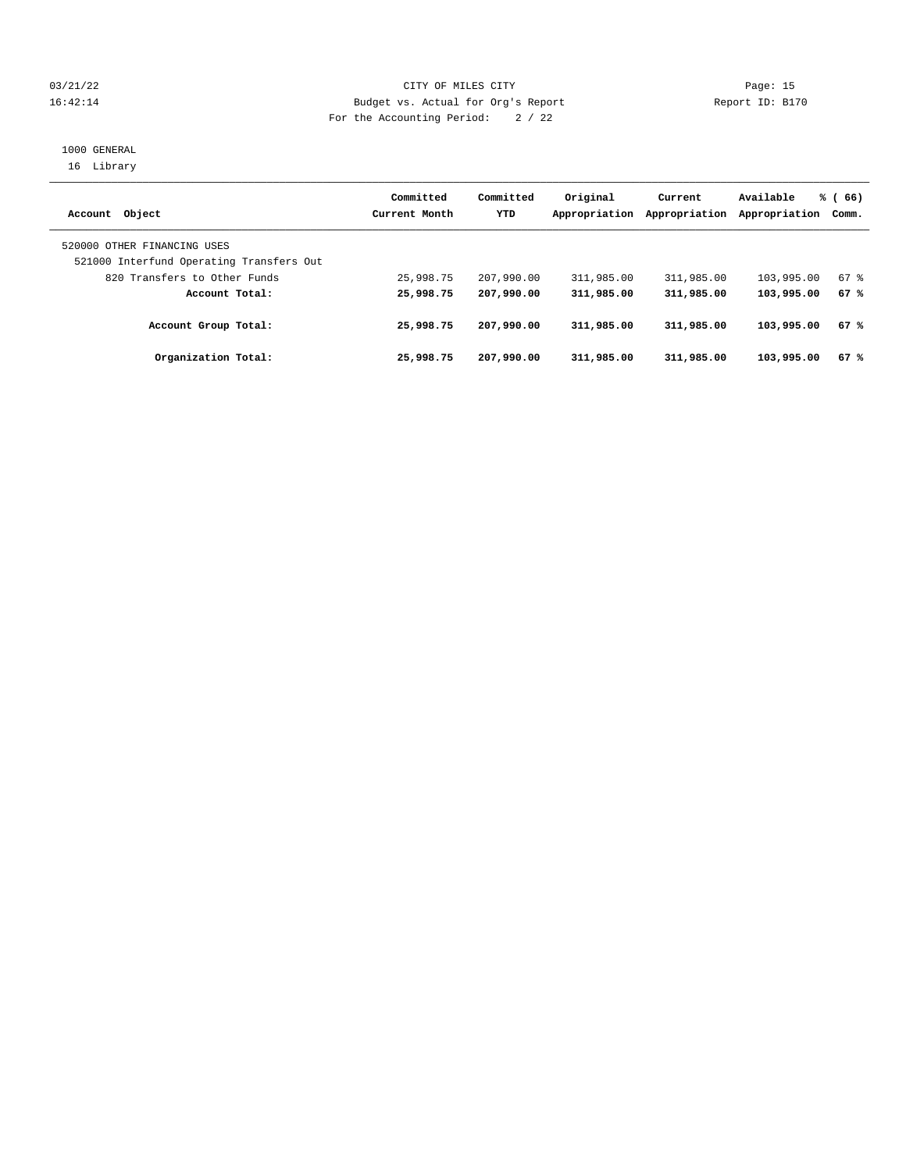## 03/21/22 Page: 15 16:42:14 Budget vs. Actual for Org's Report Report ID: B170 For the Accounting Period: 2 / 22

## 1000 GENERAL 16 Library

| Account Object                                                          | Committed<br>Current Month | Committed<br>YTD | Original<br>Appropriation | Current<br>Appropriation | Available<br>Appropriation | % (66)<br>Comm. |
|-------------------------------------------------------------------------|----------------------------|------------------|---------------------------|--------------------------|----------------------------|-----------------|
| 520000 OTHER FINANCING USES<br>521000 Interfund Operating Transfers Out |                            |                  |                           |                          |                            |                 |
| 820 Transfers to Other Funds                                            | 25,998.75                  | 207,990.00       | 311,985.00                | 311,985.00               | 103,995.00                 | 67%             |
| Account Total:                                                          | 25,998.75                  | 207,990.00       | 311,985.00                | 311,985.00               | 103,995.00                 | 67%             |
| Account Group Total:                                                    | 25,998.75                  | 207,990.00       | 311,985.00                | 311,985.00               | 103,995.00                 | 67%             |
| Organization Total:                                                     | 25,998.75                  | 207,990.00       | 311,985.00                | 311,985.00               | 103,995.00                 | 67%             |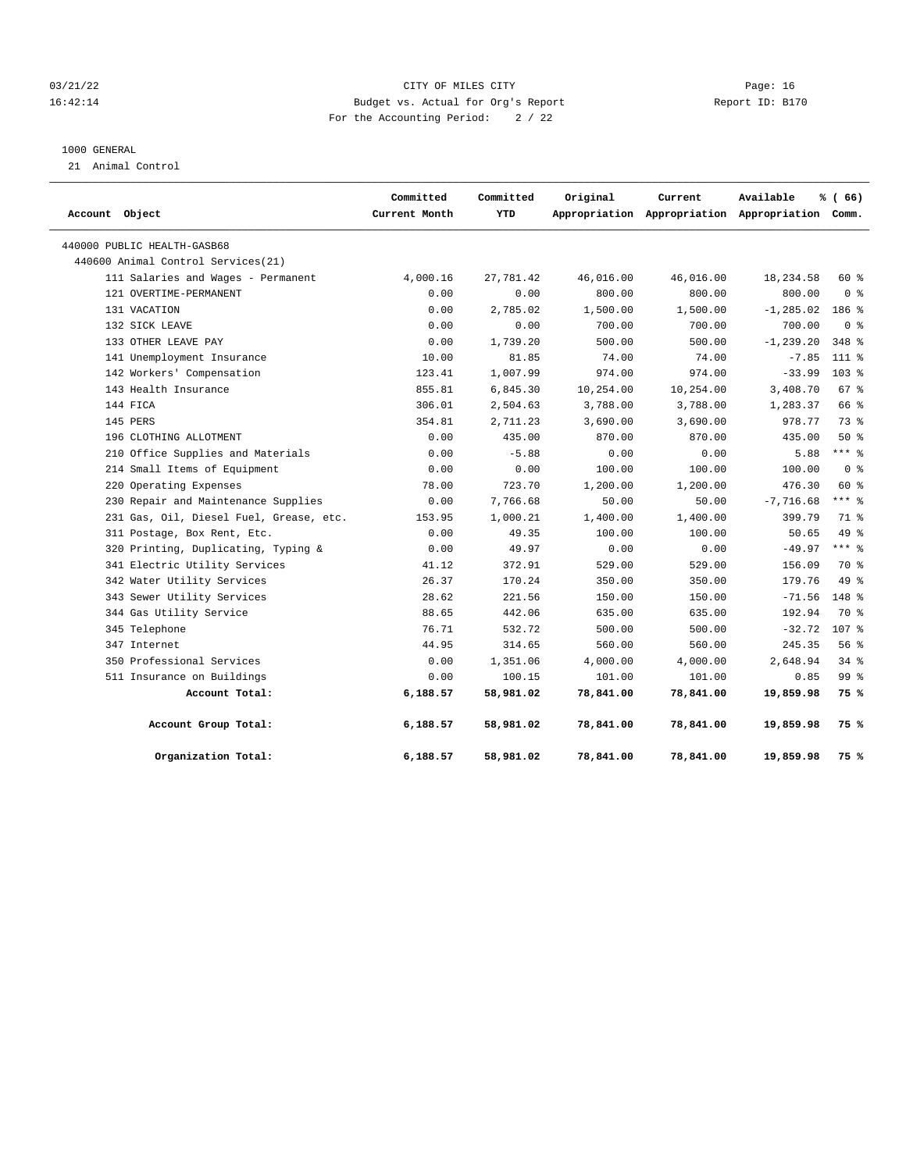## 03/21/22 Page: 16 16:42:14 Budget vs. Actual for Org's Report Report ID: B170 For the Accounting Period: 2 / 22

#### 1000 GENERAL

21 Animal Control

| Account Object                          | Committed<br>Current Month | Committed<br>YTD | Original  | Current   | Available<br>Appropriation Appropriation Appropriation Comm. | % (66)           |  |
|-----------------------------------------|----------------------------|------------------|-----------|-----------|--------------------------------------------------------------|------------------|--|
| 440000 PUBLIC HEALTH-GASB68             |                            |                  |           |           |                                                              |                  |  |
| 440600 Animal Control Services (21)     |                            |                  |           |           |                                                              |                  |  |
| 111 Salaries and Wages - Permanent      | 4,000.16                   | 27,781.42        | 46,016.00 | 46,016.00 | 18,234.58                                                    | $60*$            |  |
| 121 OVERTIME-PERMANENT                  | 0.00                       | 0.00             | 800.00    | 800.00    | 800.00                                                       | 0 <sup>8</sup>   |  |
| 131 VACATION                            | 0.00                       | 2,785.02         | 1,500.00  | 1,500.00  | $-1, 285.02$                                                 | 186 %            |  |
| 132 SICK LEAVE                          | 0.00                       | 0.00             | 700.00    | 700.00    | 700.00                                                       | 0 <sup>8</sup>   |  |
| 133 OTHER LEAVE PAY                     | 0.00                       | 1,739.20         | 500.00    | 500.00    | $-1, 239.20$                                                 | 348 %            |  |
| 141 Unemployment Insurance              | 10.00                      | 81.85            | 74.00     | 74.00     | $-7.85$                                                      | 111 %            |  |
| 142 Workers' Compensation               | 123.41                     | 1,007.99         | 974.00    | 974.00    | $-33.99$                                                     | $103$ %          |  |
| 143 Health Insurance                    | 855.81                     | 6,845.30         | 10,254.00 | 10,254.00 | 3,408.70                                                     | 67%              |  |
| 144 FICA                                | 306.01                     | 2,504.63         | 3,788.00  | 3,788.00  | 1,283.37                                                     | 66 %             |  |
| 145 PERS                                | 354.81                     | 2,711.23         | 3,690.00  | 3,690.00  | 978.77                                                       | 73%              |  |
| 196 CLOTHING ALLOTMENT                  | 0.00                       | 435.00           | 870.00    | 870.00    | 435.00                                                       | 50%              |  |
| 210 Office Supplies and Materials       | 0.00                       | $-5.88$          | 0.00      | 0.00      | 5.88                                                         | $***$ 8          |  |
| 214 Small Items of Equipment            | 0.00                       | 0.00             | 100.00    | 100.00    | 100.00                                                       | 0 <sup>8</sup>   |  |
| 220 Operating Expenses                  | 78.00                      | 723.70           | 1,200.00  | 1,200.00  | 476.30                                                       | 60 %             |  |
| 230 Repair and Maintenance Supplies     | 0.00                       | 7,766.68         | 50.00     | 50.00     | $-7,716.68$                                                  | $***$ 8          |  |
| 231 Gas, Oil, Diesel Fuel, Grease, etc. | 153.95                     | 1,000.21         | 1,400.00  | 1,400.00  | 399.79                                                       | 71 %             |  |
| 311 Postage, Box Rent, Etc.             | 0.00                       | 49.35            | 100.00    | 100.00    | 50.65                                                        | 49 %             |  |
| 320 Printing, Duplicating, Typing &     | 0.00                       | 49.97            | 0.00      | 0.00      | $-49.97$                                                     | $***$ 8          |  |
| 341 Electric Utility Services           | 41.12                      | 372.91           | 529.00    | 529.00    | 156.09                                                       | 70 %             |  |
| 342 Water Utility Services              | 26.37                      | 170.24           | 350.00    | 350.00    | 179.76                                                       | 49 %             |  |
| 343 Sewer Utility Services              | 28.62                      | 221.56           | 150.00    | 150.00    | $-71.56$                                                     | $148$ %          |  |
| 344 Gas Utility Service                 | 88.65                      | 442.06           | 635.00    | 635.00    | 192.94                                                       | 70 %             |  |
| 345 Telephone                           | 76.71                      | 532.72           | 500.00    | 500.00    | $-32.72$                                                     | 107 <sub>8</sub> |  |
| 347 Internet                            | 44.95                      | 314.65           | 560.00    | 560.00    | 245.35                                                       | 56%              |  |
| 350 Professional Services               | 0.00                       | 1,351.06         | 4,000.00  | 4,000.00  | 2,648.94                                                     | $34*$            |  |
| 511 Insurance on Buildings              | 0.00                       | 100.15           | 101.00    | 101.00    | 0.85                                                         | 99 %             |  |
| Account Total:                          | 6,188.57                   | 58,981.02        | 78,841.00 | 78,841.00 | 19,859.98                                                    | 75 %             |  |
| Account Group Total:                    | 6,188.57                   | 58,981.02        | 78,841.00 | 78,841.00 | 19,859.98                                                    | 75 %             |  |
| Organization Total:                     | 6,188.57                   | 58,981.02        | 78,841.00 | 78,841.00 | 19,859.98                                                    | 75 %             |  |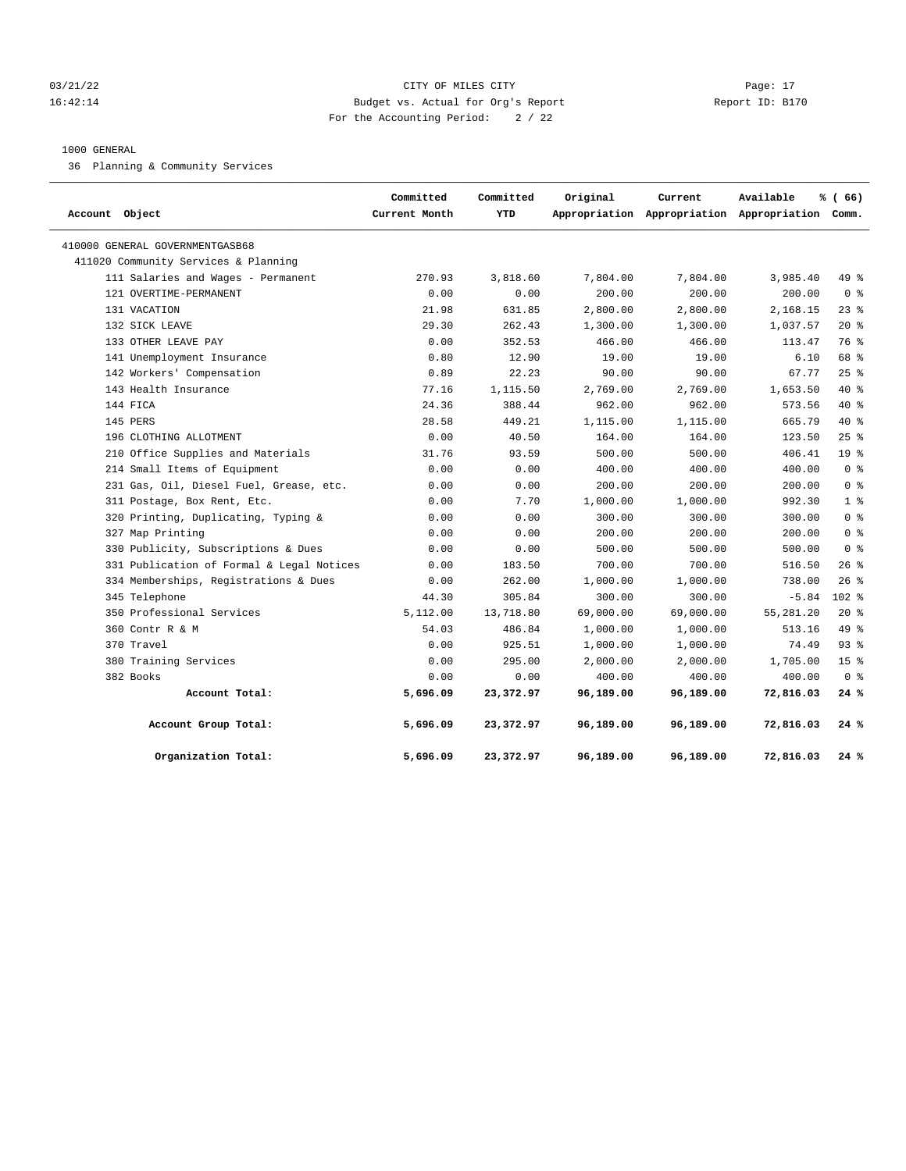## 03/21/22 Page: 17 CITY OF MILES CITY CONTROL PAGE: 17 16:42:14 Budget vs. Actual for Org's Report Report ID: B170 For the Accounting Period: 2 / 22

# 1000 GENERAL

36 Planning & Community Services

| Account Object                            | Committed<br>Current Month | Committed<br>YTD | Original  | Current   | Available<br>Appropriation Appropriation Appropriation Comm. | % (66)          |
|-------------------------------------------|----------------------------|------------------|-----------|-----------|--------------------------------------------------------------|-----------------|
| 410000 GENERAL GOVERNMENTGASB68           |                            |                  |           |           |                                                              |                 |
| 411020 Community Services & Planning      |                            |                  |           |           |                                                              |                 |
| 111 Salaries and Wages - Permanent        | 270.93                     | 3,818.60         | 7,804.00  | 7,804.00  | 3,985.40                                                     | 49 %            |
| 121 OVERTIME-PERMANENT                    | 0.00                       | 0.00             | 200.00    | 200.00    | 200.00                                                       | 0 <sup>8</sup>  |
| 131 VACATION                              | 21.98                      | 631.85           | 2,800.00  | 2,800.00  | 2,168.15                                                     | $23$ $%$        |
| 132 SICK LEAVE                            | 29.30                      | 262.43           | 1,300.00  | 1,300.00  | 1,037.57                                                     | $20*$           |
| 133 OTHER LEAVE PAY                       | 0.00                       | 352.53           | 466.00    | 466.00    | 113.47                                                       | 76 %            |
| 141 Unemployment Insurance                | 0.80                       | 12.90            | 19.00     | 19.00     | 6.10                                                         | 68 %            |
| 142 Workers' Compensation                 | 0.89                       | 22.23            | 90.00     | 90.00     | 67.77                                                        | 25%             |
| 143 Health Insurance                      | 77.16                      | 1,115.50         | 2,769.00  | 2,769.00  | 1,653.50                                                     | $40*$           |
| 144 FICA                                  | 24.36                      | 388.44           | 962.00    | 962.00    | 573.56                                                       | $40*$           |
| 145 PERS                                  | 28.58                      | 449.21           | 1,115.00  | 1,115.00  | 665.79                                                       | $40*$           |
| 196 CLOTHING ALLOTMENT                    | 0.00                       | 40.50            | 164.00    | 164.00    | 123.50                                                       | 25%             |
| 210 Office Supplies and Materials         | 31.76                      | 93.59            | 500.00    | 500.00    | 406.41                                                       | 19 <sup>°</sup> |
| 214 Small Items of Equipment              | 0.00                       | 0.00             | 400.00    | 400.00    | 400.00                                                       | 0 <sup>8</sup>  |
| 231 Gas, Oil, Diesel Fuel, Grease, etc.   | 0.00                       | 0.00             | 200.00    | 200.00    | 200.00                                                       | 0 <sup>8</sup>  |
| 311 Postage, Box Rent, Etc.               | 0.00                       | 7.70             | 1,000.00  | 1,000.00  | 992.30                                                       | 1 <sup>8</sup>  |
| 320 Printing, Duplicating, Typing &       | 0.00                       | 0.00             | 300.00    | 300.00    | 300.00                                                       | 0 <sup>8</sup>  |
| 327 Map Printing                          | 0.00                       | 0.00             | 200.00    | 200.00    | 200.00                                                       | 0 <sup>8</sup>  |
| 330 Publicity, Subscriptions & Dues       | 0.00                       | 0.00             | 500.00    | 500.00    | 500.00                                                       | 0 <sup>8</sup>  |
| 331 Publication of Formal & Legal Notices | 0.00                       | 183.50           | 700.00    | 700.00    | 516.50                                                       | 26%             |
| 334 Memberships, Registrations & Dues     | 0.00                       | 262.00           | 1,000.00  | 1,000.00  | 738.00                                                       | 26%             |
| 345 Telephone                             | 44.30                      | 305.84           | 300.00    | 300.00    | $-5.84$                                                      | $102$ %         |
| 350 Professional Services                 | 5,112.00                   | 13,718.80        | 69,000.00 | 69,000.00 | 55,281.20                                                    | $20*$           |
| 360 Contr R & M                           | 54.03                      | 486.84           | 1,000.00  | 1,000.00  | 513.16                                                       | 49 %            |
| 370 Travel                                | 0.00                       | 925.51           | 1,000.00  | 1,000.00  | 74.49                                                        | $93$ $%$        |
| 380 Training Services                     | 0.00                       | 295.00           | 2,000.00  | 2,000.00  | 1,705.00                                                     | 15 <sup>°</sup> |
| 382 Books                                 | 0.00                       | 0.00             | 400.00    | 400.00    | 400.00                                                       | 0 <sup>8</sup>  |
| Account Total:                            | 5,696.09                   | 23,372.97        | 96,189.00 | 96,189.00 | 72,816.03                                                    | 24%             |
| Account Group Total:                      | 5,696.09                   | 23,372.97        | 96,189.00 | 96,189.00 | 72,816.03                                                    | 24 %            |
| Organization Total:                       | 5,696.09                   | 23,372.97        | 96,189.00 | 96,189.00 | 72,816.03                                                    | 24%             |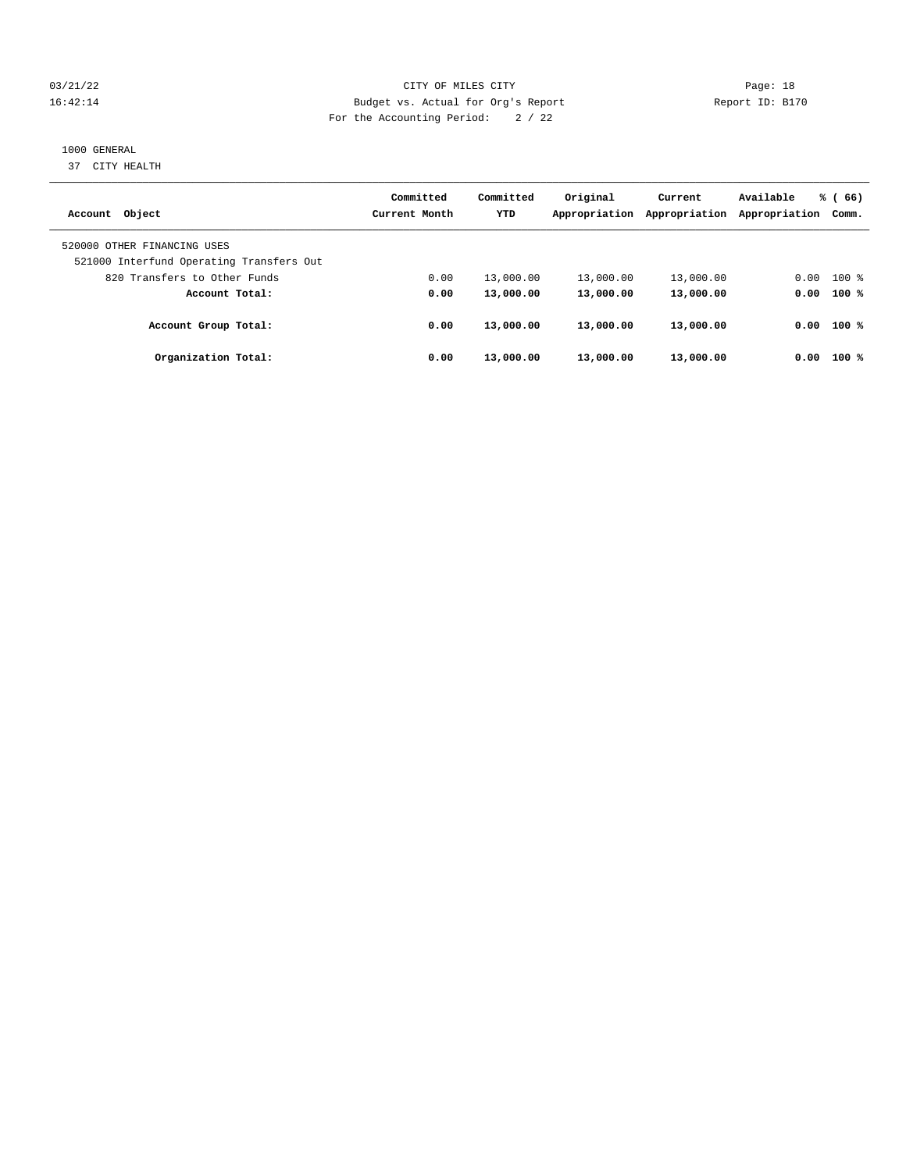## 03/21/22 Page: 18 16:42:14 Budget vs. Actual for Org's Report Report ID: B170 For the Accounting Period: 2 / 22

## 1000 GENERAL

37 CITY HEALTH

| Account Object                                                          | Committed<br>Current Month | Committed<br><b>YTD</b> | Original<br>Appropriation | Current<br>Appropriation | Available<br>Appropriation | % (66)<br>Comm. |
|-------------------------------------------------------------------------|----------------------------|-------------------------|---------------------------|--------------------------|----------------------------|-----------------|
| 520000 OTHER FINANCING USES<br>521000 Interfund Operating Transfers Out |                            |                         |                           |                          |                            |                 |
| 820 Transfers to Other Funds                                            | 0.00                       | 13,000.00               | 13,000.00                 | 13,000.00                | 0.00                       | $100$ %         |
| Account Total:                                                          | 0.00                       | 13,000.00               | 13,000.00                 | 13,000.00                |                            | $0.00$ 100 %    |
| Account Group Total:                                                    | 0.00                       | 13,000.00               | 13,000.00                 | 13,000.00                | 0.00                       | 100 %           |
| Organization Total:                                                     | 0.00                       | 13,000.00               | 13,000.00                 | 13,000.00                | 0.00                       | 100%            |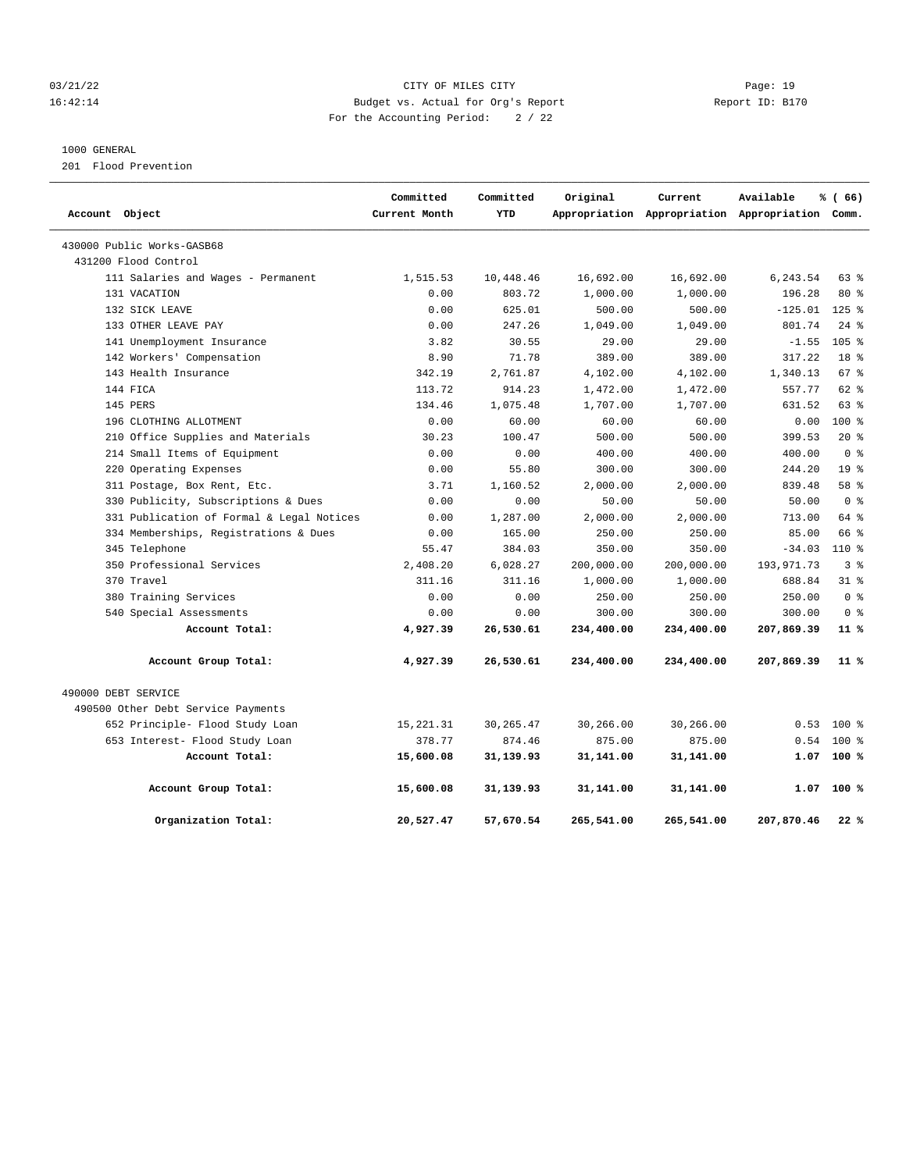#### 03/21/22 Page: 19 16:42:14 Budget vs. Actual for Org's Report Report ID: B170 For the Accounting Period: 2 / 22

#### 1000 GENERAL

201 Flood Prevention

| Account Object                            | Committed<br>Current Month | Committed<br><b>YTD</b> | Original   | Current<br>Appropriation Appropriation Appropriation Comm. | Available    | % (66)           |
|-------------------------------------------|----------------------------|-------------------------|------------|------------------------------------------------------------|--------------|------------------|
|                                           |                            |                         |            |                                                            |              |                  |
| 430000 Public Works-GASB68                |                            |                         |            |                                                            |              |                  |
| 431200 Flood Control                      |                            |                         |            |                                                            |              |                  |
| 111 Salaries and Wages - Permanent        | 1,515.53                   | 10,448.46               | 16,692.00  | 16,692.00                                                  | 6,243.54     | $63$ $%$         |
| 131 VACATION                              | 0.00                       | 803.72                  | 1,000.00   | 1,000.00                                                   | 196.28       | $80*$            |
| 132 SICK LEAVE                            | 0.00                       | 625.01                  | 500.00     | 500.00                                                     | $-125.01$    | $125$ $%$        |
| 133 OTHER LEAVE PAY                       | 0.00                       | 247.26                  | 1,049.00   | 1,049.00                                                   | 801.74       | $24$ %           |
| 141 Unemployment Insurance                | 3.82                       | 30.55                   | 29.00      | 29.00                                                      | $-1.55$      | 105 <sup>8</sup> |
| 142 Workers' Compensation                 | 8.90                       | 71.78                   | 389.00     | 389.00                                                     | 317.22       | 18 <sup>8</sup>  |
| 143 Health Insurance                      | 342.19                     | 2,761.87                | 4,102.00   | 4,102.00                                                   | 1,340.13     | 67%              |
| 144 FICA                                  | 113.72                     | 914.23                  | 1,472.00   | 1,472.00                                                   | 557.77       | 62 %             |
| 145 PERS                                  | 134.46                     | 1,075.48                | 1,707.00   | 1,707.00                                                   | 631.52       | 63%              |
| 196 CLOTHING ALLOTMENT                    | 0.00                       | 60.00                   | 60.00      | 60.00                                                      | 0.00         | $100*$           |
| 210 Office Supplies and Materials         | 30.23                      | 100.47                  | 500.00     | 500.00                                                     | 399.53       | $20*$            |
| 214 Small Items of Equipment              | 0.00                       | 0.00                    | 400.00     | 400.00                                                     | 400.00       | 0 <sup>8</sup>   |
| 220 Operating Expenses                    | 0.00                       | 55.80                   | 300.00     | 300.00                                                     | 244.20       | 19 <sup>8</sup>  |
| 311 Postage, Box Rent, Etc.               | 3.71                       | 1,160.52                | 2,000.00   | 2,000.00                                                   | 839.48       | 58 %             |
| 330 Publicity, Subscriptions & Dues       | 0.00                       | 0.00                    | 50.00      | 50.00                                                      | 50.00        | 0 <sup>8</sup>   |
| 331 Publication of Formal & Legal Notices | 0.00                       | 1,287.00                | 2,000.00   | 2,000.00                                                   | 713.00       | $64$ $%$         |
| 334 Memberships, Registrations & Dues     | 0.00                       | 165.00                  | 250.00     | 250.00                                                     | 85.00        | 66 %             |
| 345 Telephone                             | 55.47                      | 384.03                  | 350.00     | 350.00                                                     | $-34.03$     | $110*$           |
| 350 Professional Services                 | 2,408.20                   | 6,028.27                | 200,000.00 | 200,000.00                                                 | 193, 971. 73 | 3 <sup>8</sup>   |
| 370 Travel                                | 311.16                     | 311.16                  | 1,000.00   | 1,000.00                                                   | 688.84       | 31.8             |
| 380 Training Services                     | 0.00                       | 0.00                    | 250.00     | 250.00                                                     | 250.00       | 0 <sup>8</sup>   |
| 540 Special Assessments                   | 0.00                       | 0.00                    | 300.00     | 300.00                                                     | 300.00       | 0 <sup>8</sup>   |
| Account Total:                            | 4,927.39                   | 26,530.61               | 234,400.00 | 234,400.00                                                 | 207,869.39   | 11 <sup>8</sup>  |
| Account Group Total:                      | 4,927.39                   | 26,530.61               | 234,400.00 | 234,400.00                                                 | 207,869.39   | $11*$            |
| 490000 DEBT SERVICE                       |                            |                         |            |                                                            |              |                  |
| 490500 Other Debt Service Payments        |                            |                         |            |                                                            |              |                  |
| 652 Principle- Flood Study Loan           | 15, 221.31                 | 30, 265.47              | 30,266.00  | 30,266.00                                                  | 0.53         | 100 %            |
| 653 Interest- Flood Study Loan            | 378.77                     | 874.46                  | 875.00     | 875.00                                                     | 0.54         | 100 %            |
| Account Total:                            | 15,600.08                  | 31,139.93               | 31,141.00  | 31,141.00                                                  |              | $1.07$ 100 %     |
| Account Group Total:                      | 15,600.08                  | 31,139.93               | 31,141.00  | 31,141.00                                                  | 1.07         | 100%             |
| Organization Total:                       | 20,527.47                  | 57,670.54               | 265,541.00 | 265,541.00                                                 | 207,870.46   | 22%              |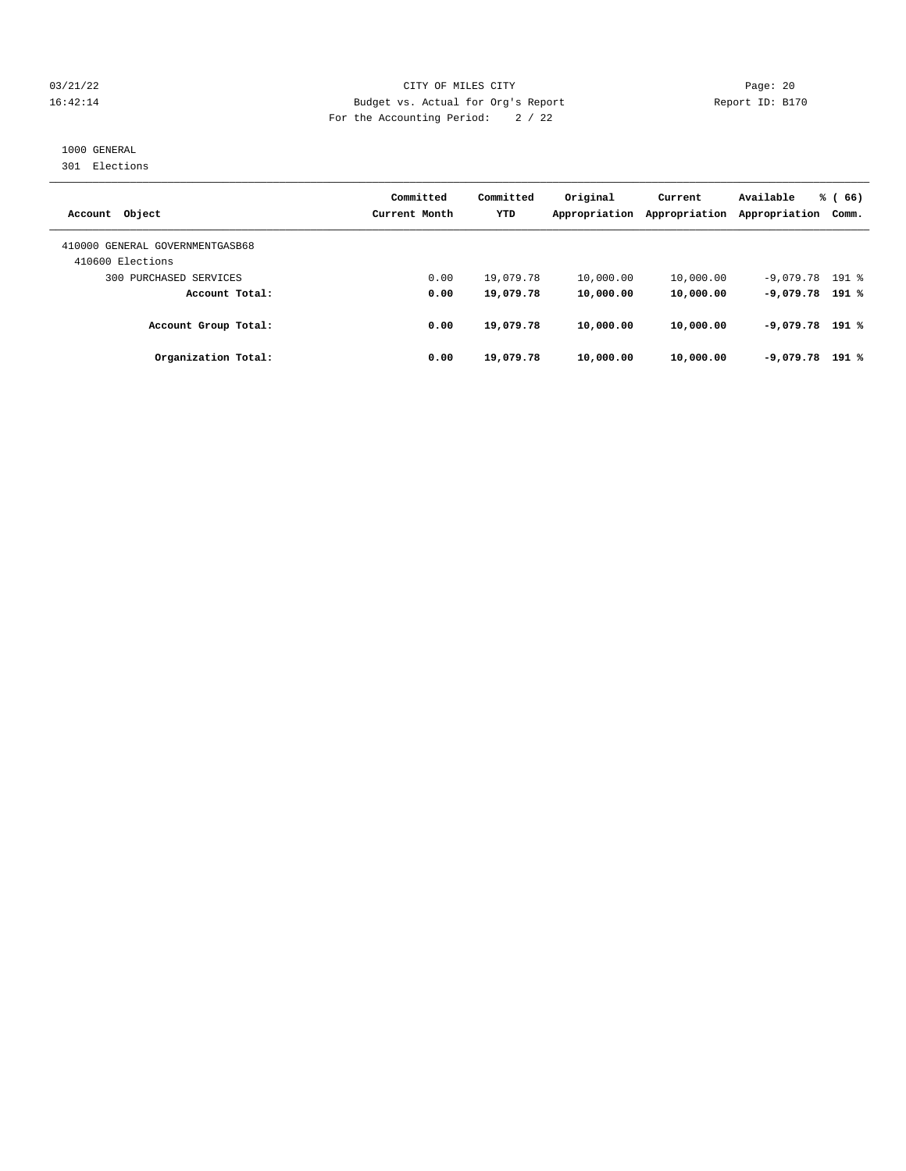#### 03/21/22 Page: 20 16:42:14 Budget vs. Actual for Org's Report Report ID: B170 For the Accounting Period: 2 / 22

### 1000 GENERAL

301 Elections

| Account Object                                      | Committed<br>Current Month | Committed<br><b>YTD</b> | Original<br>Appropriation | Current<br>Appropriation | Available<br>Appropriation | % (66)<br>Comm. |
|-----------------------------------------------------|----------------------------|-------------------------|---------------------------|--------------------------|----------------------------|-----------------|
| 410000 GENERAL GOVERNMENTGASB68<br>410600 Elections |                            |                         |                           |                          |                            |                 |
| 300 PURCHASED SERVICES                              | 0.00                       | 19,079.78               | 10,000.00                 | 10,000.00                | $-9,079.78$ 191 %          |                 |
| Account Total:                                      | 0.00                       | 19,079.78               | 10,000.00                 | 10,000.00                | $-9,079.78$ 191 %          |                 |
| Account Group Total:                                | 0.00                       | 19,079.78               | 10,000.00                 | 10,000.00                | $-9,079.78$ 191 %          |                 |
| Organization Total:                                 | 0.00                       | 19,079.78               | 10,000.00                 | 10,000.00                | $-9,079,78$                | 191 %           |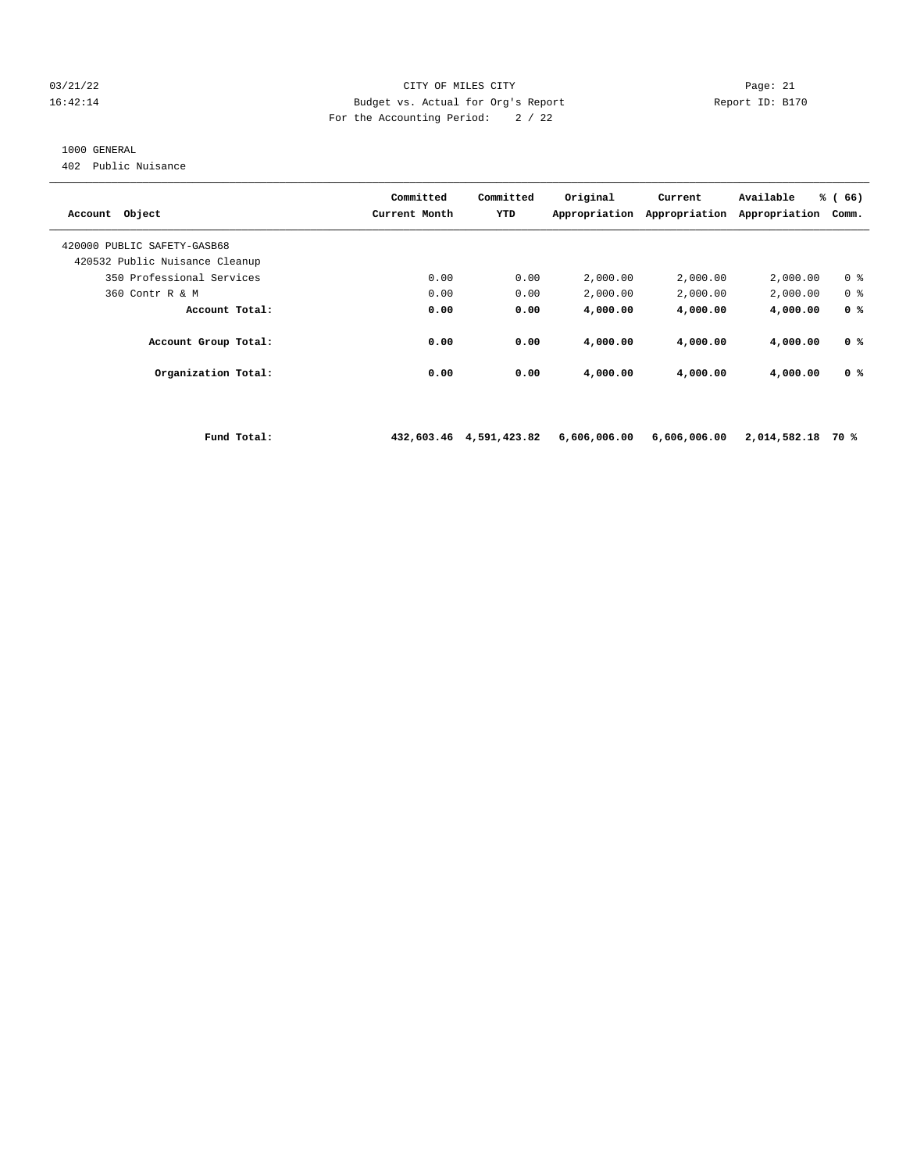#### $03/21/22$  Page: 21<br>16:42:14 Budget vs. Actual for Org's Report Peport ID: B17 16:42:14 Budget vs. Actual for Org's Report Report ID: B170 For the Accounting Period: 2 / 22

#### 1000 GENERAL

402 Public Nuisance

| Object<br>Account                                             | Committed<br>Current Month | Committed<br>YTD | Original<br>Appropriation | Current<br>Appropriation | Available<br>Appropriation | % (<br>66)<br>Comm. |
|---------------------------------------------------------------|----------------------------|------------------|---------------------------|--------------------------|----------------------------|---------------------|
| 420000 PUBLIC SAFETY-GASB68<br>420532 Public Nuisance Cleanup |                            |                  |                           |                          |                            |                     |
|                                                               |                            |                  |                           |                          |                            |                     |
| 350 Professional Services                                     | 0.00                       | 0.00             | 2,000.00                  | 2,000.00                 | 2,000.00                   | 0 <sup>8</sup>      |
| 360 Contr R & M                                               | 0.00                       | 0.00             | 2,000.00                  | 2,000.00                 | 2,000.00                   | 0 <sup>8</sup>      |
| Account Total:                                                | 0.00                       | 0.00             | 4,000.00                  | 4,000.00                 | 4,000.00                   | 0 <sup>8</sup>      |
| Account Group Total:                                          | 0.00                       | 0.00             | 4,000.00                  | 4,000.00                 | 4,000.00                   | 0 <sup>8</sup>      |
| Organization Total:                                           | 0.00                       | 0.00             | 4,000.00                  | 4,000.00                 | 4,000.00                   | 0 <sup>8</sup>      |
|                                                               |                            |                  |                           |                          |                            |                     |

 **Fund Total: 432,603.46 4,591,423.82 6,606,006.00 6,606,006.00 2,014,582.18 70 %**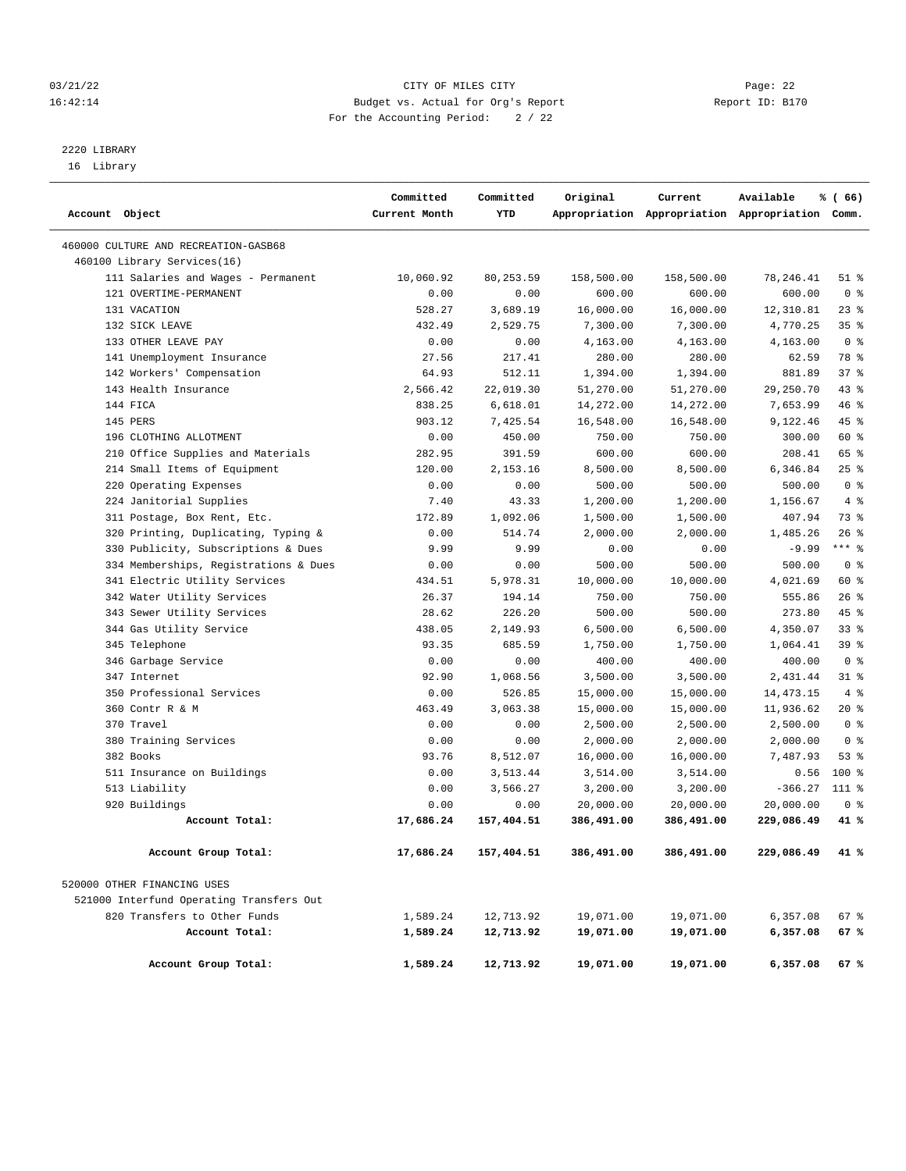#### 03/21/22 Page: 22 16:42:14 Budget vs. Actual for Org's Report Report ID: B170 For the Accounting Period: 2 / 22

————————————————————————————————————————————————————————————————————————————————————————————————————————————————————————————————————

## 2220 LIBRARY

16 Library

|                |                                          | Committed     | Committed  | Original   | Current    | Available                                       | % (66)         |
|----------------|------------------------------------------|---------------|------------|------------|------------|-------------------------------------------------|----------------|
| Account Object |                                          | Current Month | YTD        |            |            | Appropriation Appropriation Appropriation Comm. |                |
|                | 460000 CULTURE AND RECREATION-GASB68     |               |            |            |            |                                                 |                |
|                | 460100 Library Services(16)              |               |            |            |            |                                                 |                |
|                | 111 Salaries and Wages - Permanent       | 10,060.92     | 80,253.59  | 158,500.00 | 158,500.00 | 78,246.41                                       | $51$ %         |
|                | 121 OVERTIME-PERMANENT                   | 0.00          | 0.00       | 600.00     | 600.00     | 600.00                                          | 0 <sup>8</sup> |
|                | 131 VACATION                             | 528.27        | 3,689.19   | 16,000.00  | 16,000.00  | 12,310.81                                       | $23$ %         |
|                | 132 SICK LEAVE                           | 432.49        | 2,529.75   | 7,300.00   | 7,300.00   | 4,770.25                                        | 35%            |
|                | 133 OTHER LEAVE PAY                      | 0.00          | 0.00       | 4,163.00   | 4,163.00   | 4,163.00                                        | 0 <sup>8</sup> |
|                | 141 Unemployment Insurance               | 27.56         | 217.41     | 280.00     | 280.00     | 62.59                                           | 78 %           |
|                | 142 Workers' Compensation                | 64.93         | 512.11     | 1,394.00   | 1,394.00   | 881.89                                          | 37%            |
|                | 143 Health Insurance                     | 2,566.42      | 22,019.30  | 51,270.00  | 51,270.00  | 29,250.70                                       | 43%            |
|                | 144 FICA                                 | 838.25        | 6,618.01   | 14,272.00  | 14,272.00  | 7,653.99                                        | 46 %           |
|                | 145 PERS                                 | 903.12        | 7,425.54   | 16,548.00  | 16,548.00  | 9,122.46                                        | 45 %           |
|                | 196 CLOTHING ALLOTMENT                   | 0.00          | 450.00     | 750.00     | 750.00     | 300.00                                          | 60 %           |
|                | 210 Office Supplies and Materials        | 282.95        | 391.59     | 600.00     | 600.00     | 208.41                                          | 65 %           |
|                | 214 Small Items of Equipment             | 120.00        | 2,153.16   | 8,500.00   | 8,500.00   | 6,346.84                                        | $25$ %         |
|                | 220 Operating Expenses                   | 0.00          | 0.00       | 500.00     | 500.00     | 500.00                                          | 0 <sup>8</sup> |
|                | 224 Janitorial Supplies                  | 7.40          | 43.33      | 1,200.00   | 1,200.00   | 1,156.67                                        | 4%             |
|                | 311 Postage, Box Rent, Etc.              | 172.89        | 1,092.06   | 1,500.00   | 1,500.00   | 407.94                                          | 73 %           |
|                | 320 Printing, Duplicating, Typing &      | 0.00          | 514.74     | 2,000.00   | 2,000.00   | 1,485.26                                        | $26$ %         |
|                | 330 Publicity, Subscriptions & Dues      | 9.99          | 9.99       | 0.00       | 0.00       | $-9.99$                                         | $***$ $%$      |
|                | 334 Memberships, Registrations & Dues    | 0.00          | 0.00       | 500.00     | 500.00     | 500.00                                          | 0 <sup>8</sup> |
|                | 341 Electric Utility Services            | 434.51        | 5,978.31   | 10,000.00  | 10,000.00  | 4,021.69                                        | 60 %           |
|                | 342 Water Utility Services               | 26.37         | 194.14     | 750.00     | 750.00     | 555.86                                          | 26%            |
|                | 343 Sewer Utility Services               | 28.62         | 226.20     | 500.00     | 500.00     | 273.80                                          | 45 %           |
|                | 344 Gas Utility Service                  | 438.05        | 2,149.93   | 6,500.00   | 6,500.00   | 4,350.07                                        | 33%            |
|                | 345 Telephone                            | 93.35         | 685.59     | 1,750.00   | 1,750.00   | 1,064.41                                        | 39 %           |
|                | 346 Garbage Service                      | 0.00          | 0.00       | 400.00     | 400.00     | 400.00                                          | 0 <sup>8</sup> |
|                | 347 Internet                             | 92.90         | 1,068.56   | 3,500.00   | 3,500.00   | 2,431.44                                        | $31$ %         |
|                | 350 Professional Services                | 0.00          | 526.85     | 15,000.00  | 15,000.00  | 14, 473. 15                                     | 4%             |
|                | 360 Contr R & M                          | 463.49        | 3,063.38   | 15,000.00  | 15,000.00  | 11,936.62                                       | $20*$          |
|                | 370 Travel                               | 0.00          | 0.00       | 2,500.00   | 2,500.00   | 2,500.00                                        | 0 <sup>8</sup> |
|                | 380 Training Services                    | 0.00          | 0.00       | 2,000.00   | 2,000.00   | 2,000.00                                        | 0 <sup>8</sup> |
|                | 382 Books                                | 93.76         | 8,512.07   | 16,000.00  | 16,000.00  | 7,487.93                                        | 53%            |
|                | 511 Insurance on Buildings               | 0.00          | 3,513.44   | 3,514.00   | 3,514.00   | 0.56                                            | $100$ %        |
|                | 513 Liability                            | 0.00          | 3,566.27   | 3,200.00   | 3,200.00   | -366.27                                         | 111 %          |
|                | 920 Buildings                            | 0.00          | 0.00       | 20,000.00  | 20,000.00  | 20,000.00                                       | 0 <sup>8</sup> |
|                | Account Total:                           | 17,686.24     | 157,404.51 | 386,491.00 | 386,491.00 | 229,086.49                                      | 41 %           |
|                | Account Group Total:                     | 17,686.24     | 157,404.51 | 386,491.00 | 386,491.00 | 229,086.49                                      | $41*$          |
|                | 520000 OTHER FINANCING USES              |               |            |            |            |                                                 |                |
|                | 521000 Interfund Operating Transfers Out |               |            |            |            |                                                 |                |
|                | 820 Transfers to Other Funds             | 1,589.24      | 12,713.92  | 19,071.00  | 19,071.00  | 6,357.08                                        | 67%            |
|                | Account Total:                           | 1,589.24      | 12,713.92  | 19,071.00  | 19,071.00  | 6,357.08                                        | 67 %           |
|                | Account Group Total:                     | 1,589.24      | 12,713.92  | 19,071.00  | 19,071.00  | 6,357.08                                        | 67 %           |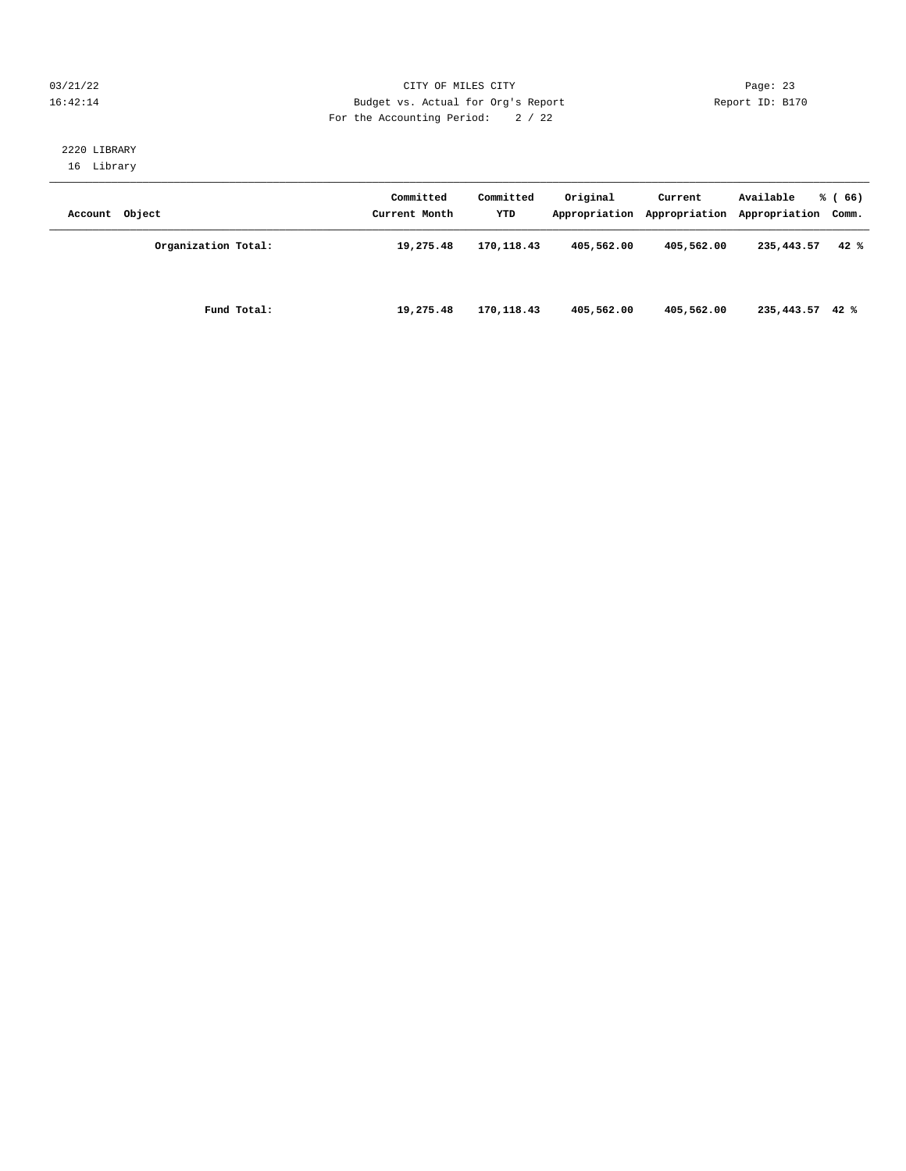#### 03/21/22 Page: 23 16:42:14 Budget vs. Actual for Org's Report Report ID: B170 For the Accounting Period: 2 / 22

# 2220 LIBRARY

16 Library

| Account Object |                     | Committed<br>Current Month | Committed<br>YTD | Original   | Current    | Available<br>Appropriation Appropriation Appropriation Comm. | % (66) |
|----------------|---------------------|----------------------------|------------------|------------|------------|--------------------------------------------------------------|--------|
|                | Organization Total: | 19,275.48                  | 170,118.43       | 405,562.00 | 405,562.00 | 235,443.57                                                   | 42%    |
|                | Fund Total:         | 19,275.48                  | 170,118.43       | 405,562.00 | 405,562.00 | $235,443.57$ 42 %                                            |        |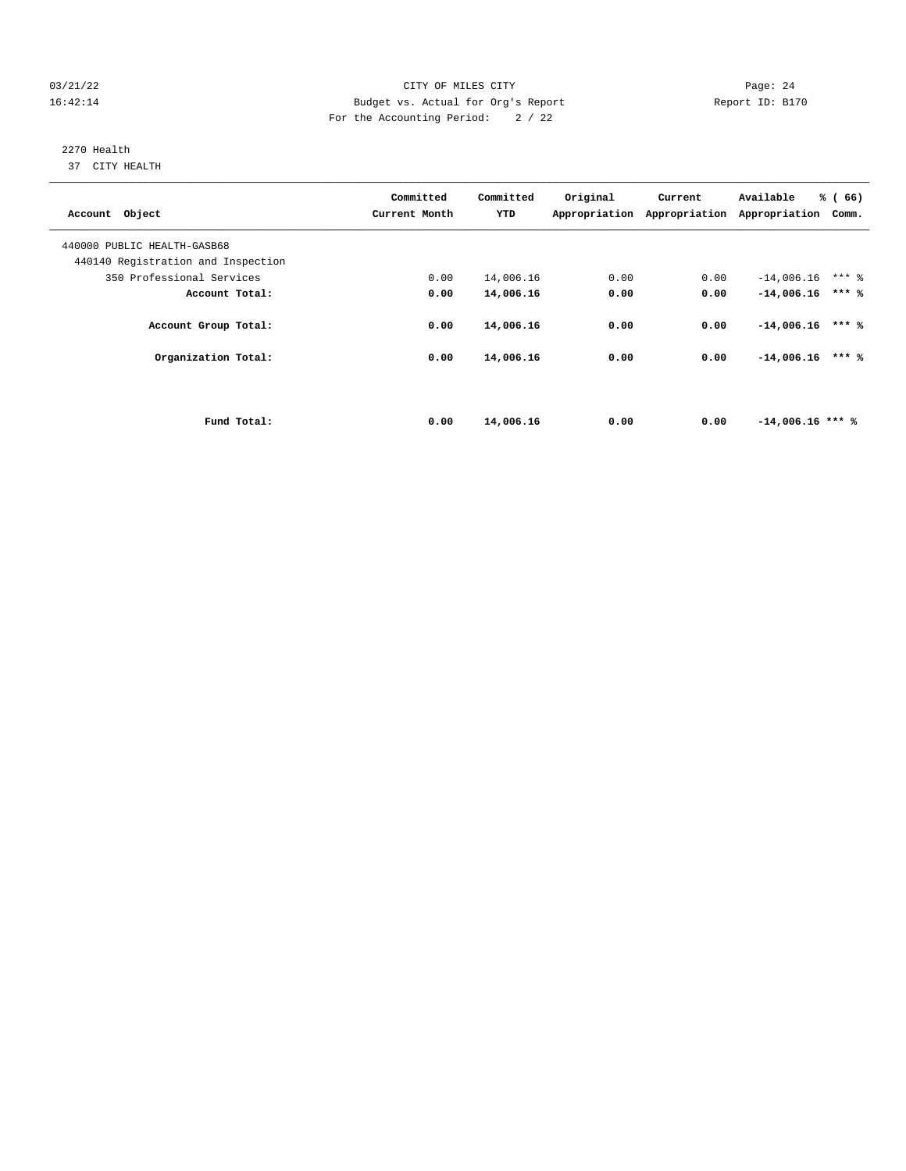#### 03/21/22 Page: 24 16:42:14 Budget vs. Actual for Org's Report Report ID: B170 For the Accounting Period: 2 / 22

# 2270 Health

37 CITY HEALTH

| Account Object                     | Committed<br>Current Month | Committed<br>YTD | Original | Current | Available<br>Appropriation Appropriation Appropriation | % (66)<br>Comm. |
|------------------------------------|----------------------------|------------------|----------|---------|--------------------------------------------------------|-----------------|
| 440000 PUBLIC HEALTH-GASB68        |                            |                  |          |         |                                                        |                 |
| 440140 Registration and Inspection |                            |                  |          |         |                                                        |                 |
| 350 Professional Services          | 0.00                       | 14,006.16        | 0.00     | 0.00    | $-14,006.16$                                           | $***$ 2         |
| Account Total:                     | 0.00                       | 14,006.16        | 0.00     | 0.00    | $-14,006.16$                                           | $***$ %         |
| Account Group Total:               | 0.00                       | 14,006.16        | 0.00     | 0.00    | $-14,006.16$                                           | $***$ %         |
| Organization Total:                | 0.00                       | 14,006.16        | 0.00     | 0.00    | $-14,006.16$                                           | $***$ %         |
|                                    |                            |                  |          |         |                                                        |                 |
| Fund Total:                        | 0.00                       | 14,006.16        | 0.00     | 0.00    | $-14,006.16$ *** %                                     |                 |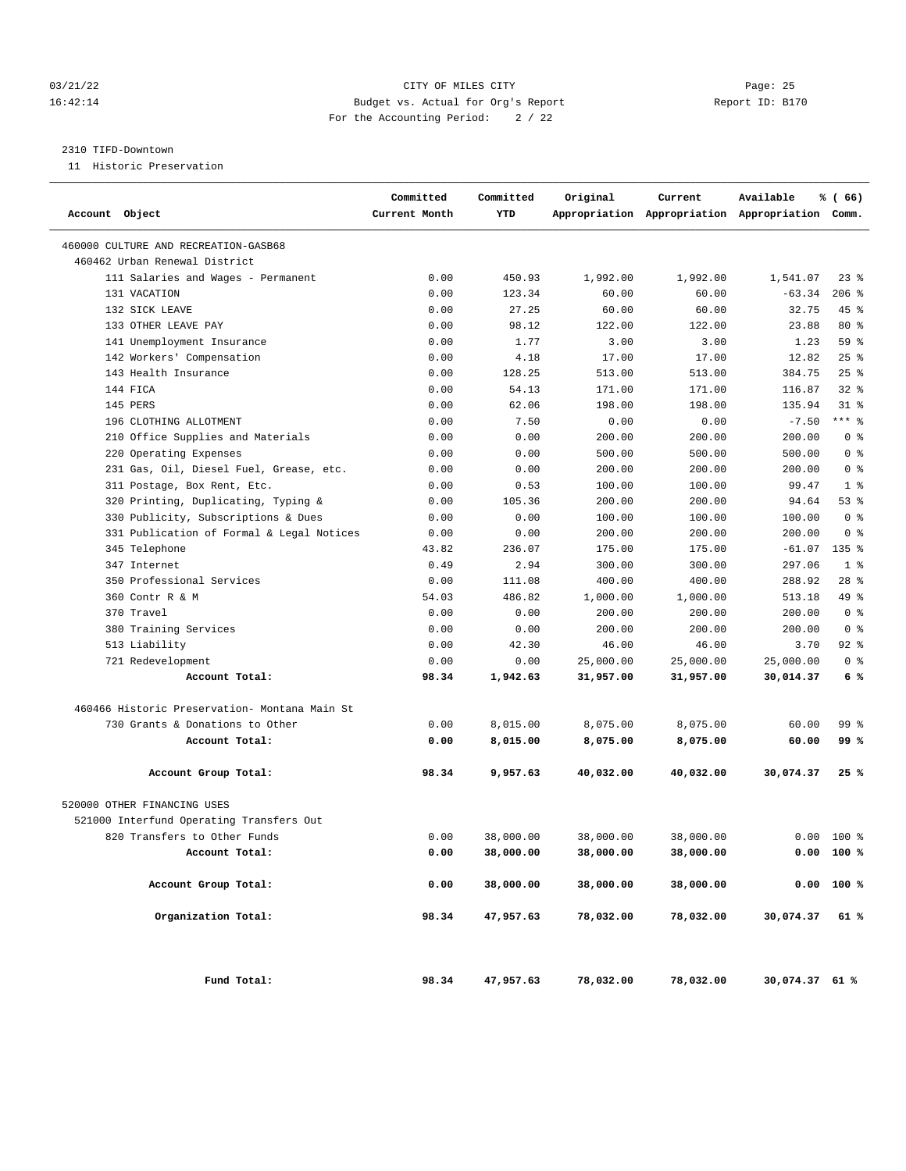#### 03/21/22 Page: 25 16:42:14 Budget vs. Actual for Org's Report Report ID: B170 For the Accounting Period: 2 / 22

#### 2310 TIFD-Downtown

11 Historic Preservation

| Account Object                                | Committed<br>Current Month | Committed<br>YTD | Original  | Current   | Available<br>Appropriation Appropriation Appropriation Comm. | % (66)         |  |
|-----------------------------------------------|----------------------------|------------------|-----------|-----------|--------------------------------------------------------------|----------------|--|
| 460000 CULTURE AND RECREATION-GASB68          |                            |                  |           |           |                                                              |                |  |
| 460462 Urban Renewal District                 |                            |                  |           |           |                                                              |                |  |
| 111 Salaries and Wages - Permanent            | 0.00                       | 450.93           | 1,992.00  | 1,992.00  | 1,541.07                                                     | 238            |  |
| 131 VACATION                                  | 0.00                       | 123.34           | 60.00     | 60.00     | $-63.34$                                                     | $206$ %        |  |
| 132 SICK LEAVE                                | 0.00                       | 27.25            | 60.00     | 60.00     | 32.75                                                        | $45$ %         |  |
| 133 OTHER LEAVE PAY                           | 0.00                       | 98.12            | 122.00    | 122.00    | 23.88                                                        | $80*$          |  |
| 141 Unemployment Insurance                    | 0.00                       | 1.77             | 3.00      | 3.00      | 1.23                                                         | 59 %           |  |
| 142 Workers' Compensation                     | 0.00                       | 4.18             | 17.00     | 17.00     | 12.82                                                        | 25%            |  |
| 143 Health Insurance                          | 0.00                       | 128.25           | 513.00    | 513.00    | 384.75                                                       | $25$ %         |  |
| 144 FICA                                      | 0.00                       | 54.13            | 171.00    | 171.00    | 116.87                                                       | $32$ $%$       |  |
| 145 PERS                                      | 0.00                       | 62.06            | 198.00    | 198.00    | 135.94                                                       | $31$ %         |  |
| 196 CLOTHING ALLOTMENT                        | 0.00                       | 7.50             | 0.00      | 0.00      | $-7.50$                                                      | $***$ 8        |  |
| 210 Office Supplies and Materials             | 0.00                       | 0.00             | 200.00    | 200.00    | 200.00                                                       | 0 <sup>8</sup> |  |
| 220 Operating Expenses                        | 0.00                       | 0.00             | 500.00    | 500.00    | 500.00                                                       | 0 <sup>8</sup> |  |
| 231 Gas, Oil, Diesel Fuel, Grease, etc.       | 0.00                       | 0.00             | 200.00    | 200.00    | 200.00                                                       | 0 <sup>8</sup> |  |
| 311 Postage, Box Rent, Etc.                   | 0.00                       | 0.53             | 100.00    | 100.00    | 99.47                                                        | 1 <sup>8</sup> |  |
| 320 Printing, Duplicating, Typing &           | 0.00                       | 105.36           | 200.00    | 200.00    | 94.64                                                        | 53%            |  |
| 330 Publicity, Subscriptions & Dues           | 0.00                       | 0.00             | 100.00    | 100.00    | 100.00                                                       | 0 <sup>8</sup> |  |
| 331 Publication of Formal & Legal Notices     | 0.00                       | 0.00             | 200.00    | 200.00    | 200.00                                                       | 0 <sup>8</sup> |  |
| 345 Telephone                                 | 43.82                      | 236.07           | 175.00    | 175.00    | $-61.07$                                                     | $135$ %        |  |
| 347 Internet                                  | 0.49                       | 2.94             | 300.00    | 300.00    | 297.06                                                       | 1 <sup>8</sup> |  |
| 350 Professional Services                     | 0.00                       | 111.08           | 400.00    | 400.00    | 288.92                                                       | $28$ %         |  |
| 360 Contr R & M                               | 54.03                      | 486.82           | 1,000.00  | 1,000.00  | 513.18                                                       | 49 %           |  |
| 370 Travel                                    | 0.00                       | 0.00             | 200.00    | 200.00    | 200.00                                                       | 0 <sup>8</sup> |  |
| 380 Training Services                         | 0.00                       | 0.00             | 200.00    | 200.00    | 200.00                                                       | 0 <sup>8</sup> |  |
| 513 Liability                                 | 0.00                       | 42.30            | 46.00     | 46.00     | 3.70                                                         | $92$ $%$       |  |
| 721 Redevelopment                             | 0.00                       | 0.00             | 25,000.00 | 25,000.00 | 25,000.00                                                    | 0 <sup>8</sup> |  |
| Account Total:                                | 98.34                      | 1,942.63         | 31,957.00 | 31,957.00 | 30,014.37                                                    | 6%             |  |
| 460466 Historic Preservation- Montana Main St |                            |                  |           |           |                                                              |                |  |
| 730 Grants & Donations to Other               | 0.00                       | 8,015.00         | 8,075.00  | 8,075.00  | 60.00                                                        | 99 %           |  |
| Account Total:                                | 0.00                       | 8,015.00         | 8,075.00  | 8,075.00  | 60.00                                                        | 99 %           |  |
| Account Group Total:                          | 98.34                      | 9,957.63         | 40,032.00 | 40,032.00 | 30,074.37                                                    | 25 %           |  |
| 520000 OTHER FINANCING USES                   |                            |                  |           |           |                                                              |                |  |
| 521000 Interfund Operating Transfers Out      |                            |                  |           |           |                                                              |                |  |
| 820 Transfers to Other Funds                  | 0.00                       | 38,000.00        | 38,000.00 | 38,000.00 | 0.00                                                         | $100*$         |  |
| Account Total:                                | 0.00                       | 38,000.00        | 38,000.00 | 38,000.00 |                                                              | 0.00 100 %     |  |
| Account Group Total:                          | 0.00                       | 38,000.00        | 38,000.00 | 38,000.00 |                                                              | 0.00 100 %     |  |
| Organization Total:                           | 98.34                      | 47,957.63        | 78,032.00 | 78,032.00 | 30,074.37                                                    | 61 %           |  |
| Fund Total:                                   | 98.34                      | 47,957.63        | 78,032.00 | 78,032.00 | 30,074.37 61 %                                               |                |  |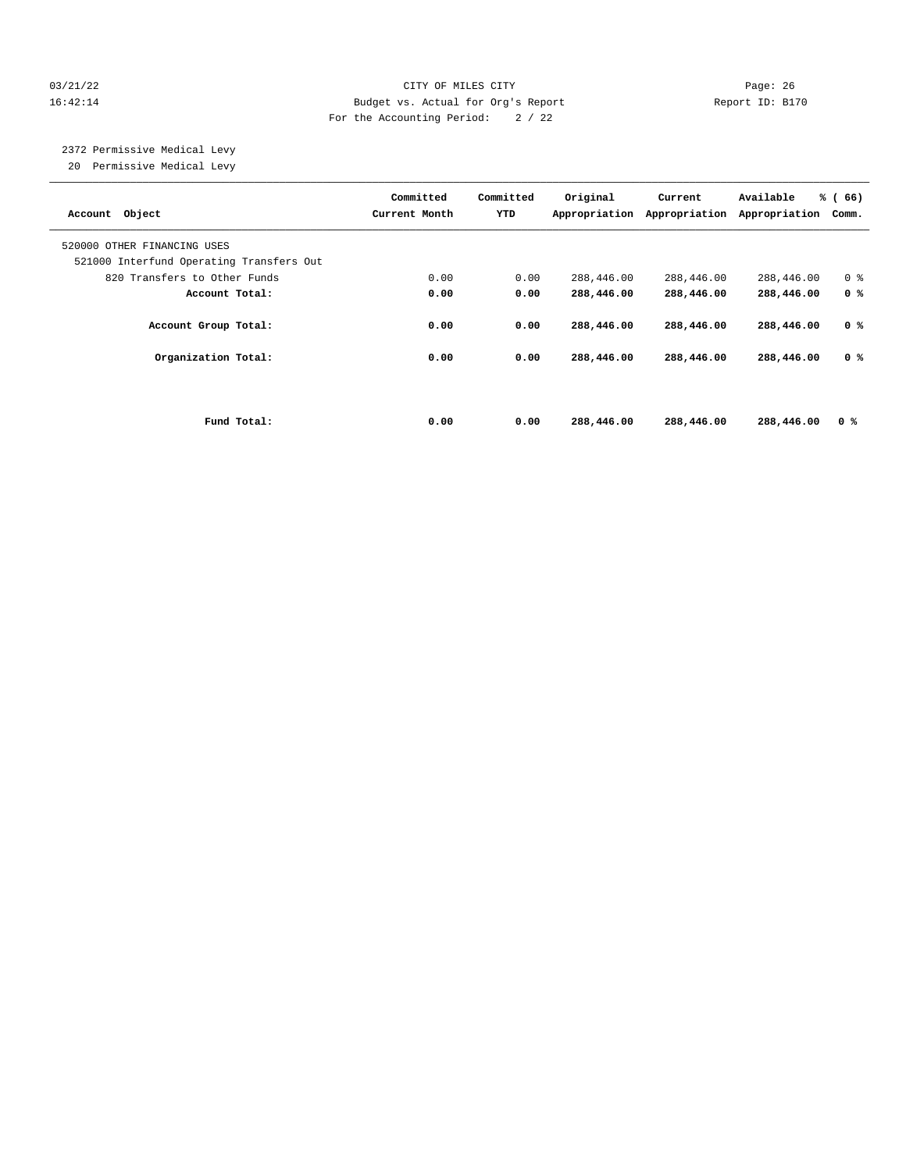#### 03/21/22 Page: 26 16:42:14 Budget vs. Actual for Org's Report Report ID: B170 For the Accounting Period: 2 / 22

 2372 Permissive Medical Levy 20 Permissive Medical Levy

| Account Object                                                          | Committed<br>Current Month | Committed<br>YTD | Original<br>Appropriation | Current<br>Appropriation | Available<br>Appropriation | % (66)<br>Comm. |
|-------------------------------------------------------------------------|----------------------------|------------------|---------------------------|--------------------------|----------------------------|-----------------|
| 520000 OTHER FINANCING USES<br>521000 Interfund Operating Transfers Out |                            |                  |                           |                          |                            |                 |
| 820 Transfers to Other Funds                                            | 0.00                       | 0.00             | 288,446.00                | 288,446.00               | 288,446.00                 | 0 <sup>8</sup>  |
| Account Total:                                                          | 0.00                       | 0.00             | 288,446.00                | 288,446.00               | 288,446.00                 | 0 <sup>8</sup>  |
| Account Group Total:                                                    | 0.00                       | 0.00             | 288,446.00                | 288,446.00               | 288,446.00                 | 0 <sup>8</sup>  |
| Organization Total:                                                     | 0.00                       | 0.00             | 288,446.00                | 288,446.00               | 288,446.00                 | 0 %             |
|                                                                         |                            |                  |                           |                          |                            |                 |
| Fund Total:                                                             | 0.00                       | 0.00             | 288,446.00                | 288,446.00               | 288,446.00                 | 0 <sup>8</sup>  |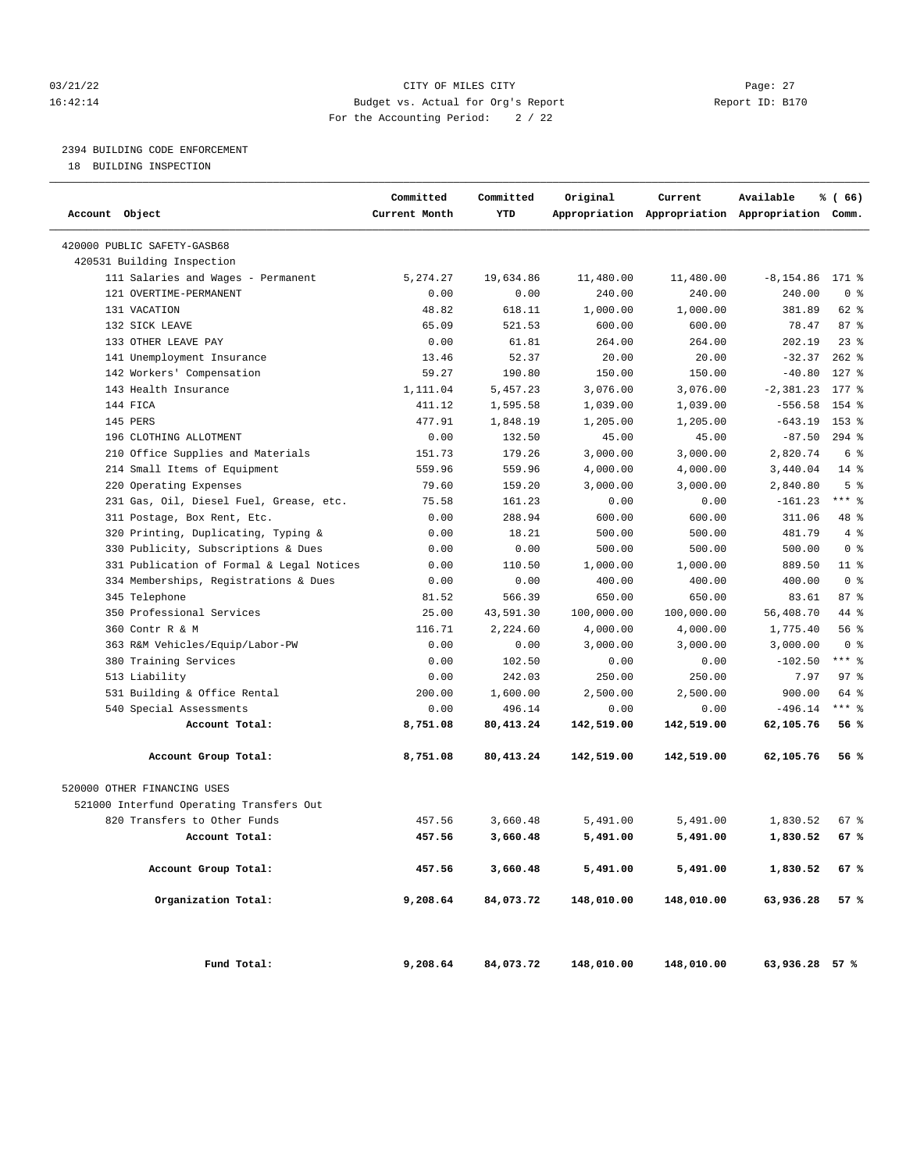#### 03/21/22 Page: 27 16:42:14 Budget vs. Actual for Org's Report Report ID: B170 For the Accounting Period: 2 / 22

#### 2394 BUILDING CODE ENFORCEMENT

18 BUILDING INSPECTION

| Account Object                            | Committed<br>Current Month | Committed<br>YTD | Original   | Current    | Available<br>Appropriation Appropriation Appropriation Comm. | % (66)         |
|-------------------------------------------|----------------------------|------------------|------------|------------|--------------------------------------------------------------|----------------|
| 420000 PUBLIC SAFETY-GASB68               |                            |                  |            |            |                                                              |                |
| 420531 Building Inspection                |                            |                  |            |            |                                                              |                |
| 111 Salaries and Wages - Permanent        | 5, 274.27                  | 19,634.86        | 11,480.00  | 11,480.00  | $-8, 154.86$                                                 | $171$ %        |
| 121 OVERTIME-PERMANENT                    | 0.00                       | 0.00             | 240.00     | 240.00     | 240.00                                                       | 0 <sup>8</sup> |
| 131 VACATION                              | 48.82                      | 618.11           | 1,000.00   | 1,000.00   | 381.89                                                       | 62 %           |
| 132 SICK LEAVE                            | 65.09                      | 521.53           | 600.00     | 600.00     | 78.47                                                        | 87%            |
| 133 OTHER LEAVE PAY                       | 0.00                       | 61.81            | 264.00     | 264.00     | 202.19                                                       | $23$ %         |
| 141 Unemployment Insurance                | 13.46                      | 52.37            | 20.00      | 20.00      | $-32.37$                                                     | $262$ %        |
| 142 Workers' Compensation                 | 59.27                      | 190.80           | 150.00     | 150.00     | $-40.80$                                                     | $127$ %        |
| 143 Health Insurance                      | 1,111.04                   | 5,457.23         | 3,076.00   | 3,076.00   | $-2, 381.23$                                                 | $177$ %        |
| 144 FICA                                  | 411.12                     | 1,595.58         | 1,039.00   | 1,039.00   | $-556.58$                                                    | 154 %          |
| 145 PERS                                  | 477.91                     | 1,848.19         | 1,205.00   | 1,205.00   | $-643.19$                                                    | 153 %          |
| 196 CLOTHING ALLOTMENT                    | 0.00                       | 132.50           | 45.00      | 45.00      | $-87.50$                                                     | $294$ %        |
| 210 Office Supplies and Materials         | 151.73                     | 179.26           | 3,000.00   | 3,000.00   | 2,820.74                                                     | 6 %            |
| 214 Small Items of Equipment              | 559.96                     | 559.96           | 4,000.00   | 4,000.00   | 3,440.04                                                     | $14*$          |
| 220 Operating Expenses                    | 79.60                      | 159.20           | 3,000.00   | 3,000.00   | 2,840.80                                                     | 5 <sup>8</sup> |
| 231 Gas, Oil, Diesel Fuel, Grease, etc.   | 75.58                      | 161.23           | 0.00       | 0.00       | $-161.23$                                                    | $***$ $-$      |
| 311 Postage, Box Rent, Etc.               | 0.00                       | 288.94           | 600.00     | 600.00     | 311.06                                                       | 48 %           |
| 320 Printing, Duplicating, Typing &       | 0.00                       | 18.21            | 500.00     | 500.00     | 481.79                                                       | 4%             |
| 330 Publicity, Subscriptions & Dues       | 0.00                       | 0.00             | 500.00     | 500.00     | 500.00                                                       | 0 <sup>8</sup> |
| 331 Publication of Formal & Legal Notices | 0.00                       | 110.50           | 1,000.00   | 1,000.00   | 889.50                                                       | $11$ %         |
| 334 Memberships, Registrations & Dues     | 0.00                       | 0.00             | 400.00     | 400.00     | 400.00                                                       | 0 <sup>8</sup> |
| 345 Telephone                             | 81.52                      | 566.39           | 650.00     | 650.00     | 83.61                                                        | 87%            |
| 350 Professional Services                 | 25.00                      | 43,591.30        | 100,000.00 | 100,000.00 | 56,408.70                                                    | 44 %           |
| 360 Contr R & M                           | 116.71                     | 2,224.60         | 4,000.00   | 4,000.00   | 1,775.40                                                     | 56%            |
| 363 R&M Vehicles/Equip/Labor-PW           | 0.00                       | 0.00             | 3,000.00   | 3,000.00   | 3,000.00                                                     | 0 <sup>8</sup> |
| 380 Training Services                     | 0.00                       | 102.50           | 0.00       | 0.00       | $-102.50$                                                    | $***$ $-$      |
| 513 Liability                             | 0.00                       | 242.03           | 250.00     | 250.00     | 7.97                                                         | 97%            |
| 531 Building & Office Rental              | 200.00                     | 1,600.00         | 2,500.00   | 2,500.00   | 900.00                                                       | 64 %           |
| 540 Special Assessments                   | 0.00                       | 496.14           | 0.00       | 0.00       | $-496.14$                                                    | $***$ $-$      |
| Account Total:                            | 8,751.08                   | 80, 413. 24      | 142,519.00 | 142,519.00 | 62,105.76                                                    | 56%            |
| Account Group Total:                      | 8,751.08                   | 80,413.24        | 142,519.00 | 142,519.00 | 62,105.76                                                    | 56%            |
| 520000 OTHER FINANCING USES               |                            |                  |            |            |                                                              |                |
| 521000 Interfund Operating Transfers Out  |                            |                  |            |            |                                                              |                |
| 820 Transfers to Other Funds              | 457.56                     | 3,660.48         | 5,491.00   | 5,491.00   | 1,830.52                                                     | 67 %           |
| Account Total:                            | 457.56                     | 3,660.48         | 5,491.00   | 5,491.00   | 1,830.52                                                     | 67%            |
| Account Group Total:                      | 457.56                     | 3,660.48         | 5,491.00   | 5,491.00   | 1,830.52                                                     | 67 %           |
| Organization Total:                       | 9,208.64                   | 84,073.72        | 148,010.00 | 148,010.00 | 63,936.28                                                    | 57 %           |
| Fund Total:                               | 9,208.64                   | 84,073.72        | 148,010.00 | 148,010.00 | 63,936.28 57 %                                               |                |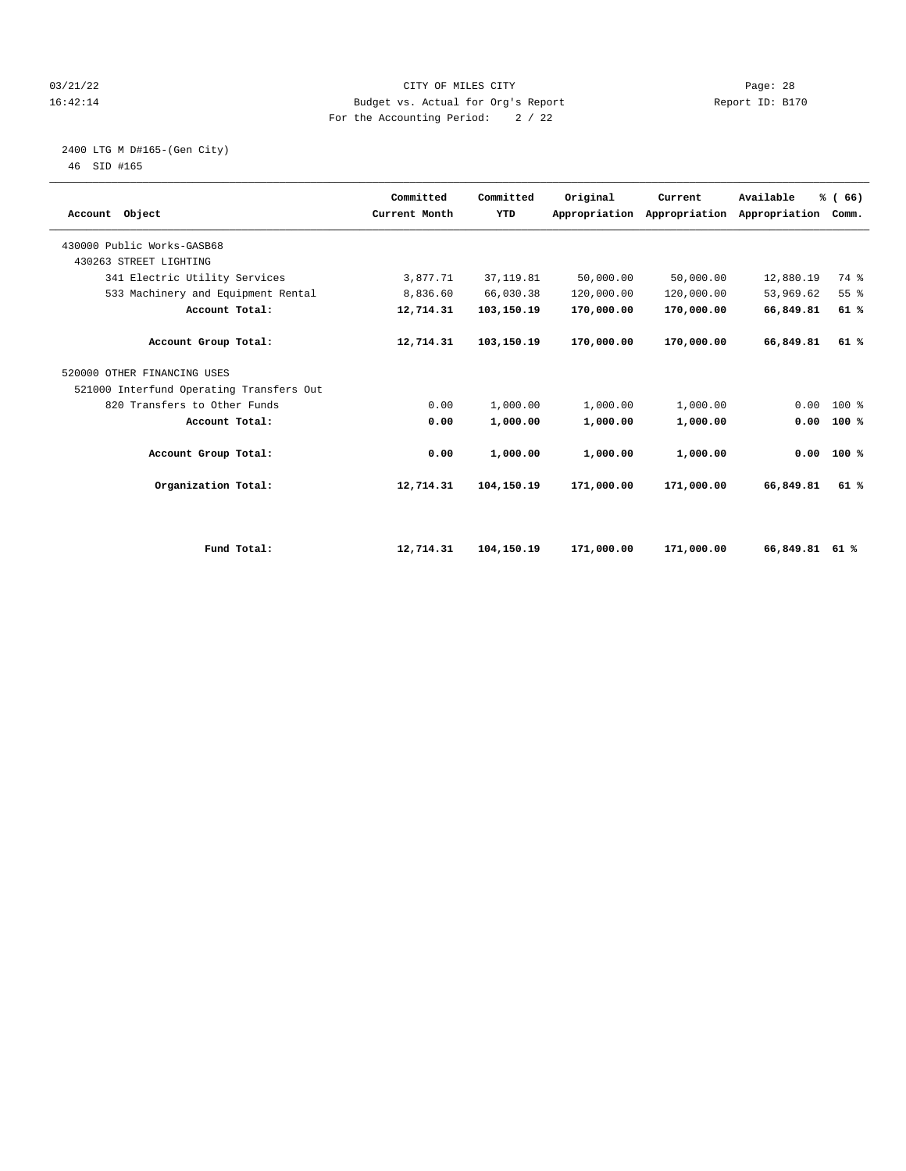#### 03/21/22 Page: 28 16:42:14 Budget vs. Actual for Org's Report Report ID: B170 For the Accounting Period: 2 / 22

# 2400 LTG M D#165-(Gen City)

| Account Object                           | Committed<br>Current Month | Committed<br>YTD | Original   | Current<br>Appropriation Appropriation | Available<br>Appropriation | % (66)<br>Comm. |  |
|------------------------------------------|----------------------------|------------------|------------|----------------------------------------|----------------------------|-----------------|--|
| 430000 Public Works-GASB68               |                            |                  |            |                                        |                            |                 |  |
| 430263 STREET LIGHTING                   |                            |                  |            |                                        |                            |                 |  |
| 341 Electric Utility Services            | 3,877.71                   | 37, 119.81       | 50,000.00  | 50,000.00                              | 12,880.19                  | 74 %            |  |
| 533 Machinery and Equipment Rental       | 8,836.60                   | 66,030.38        | 120,000.00 | 120,000.00                             | 53,969.62                  | 55 %            |  |
| Account Total:                           | 12,714.31                  | 103,150.19       | 170,000.00 | 170,000.00                             | 66,849.81                  | 61%             |  |
| Account Group Total:                     | 12,714.31                  | 103,150.19       | 170,000.00 | 170,000.00                             | 66,849.81                  | 61 %            |  |
| 520000 OTHER FINANCING USES              |                            |                  |            |                                        |                            |                 |  |
| 521000 Interfund Operating Transfers Out |                            |                  |            |                                        |                            |                 |  |
| 820 Transfers to Other Funds             | 0.00                       | 1,000.00         | 1,000.00   | 1,000.00                               | 0.00                       | $100*$          |  |
| Account Total:                           | 0.00                       | 1,000.00         | 1,000.00   | 1,000.00                               | 0.00                       | 100%            |  |
| Account Group Total:                     | 0.00                       | 1,000.00         | 1,000.00   | 1,000.00                               | 0.00                       | 100%            |  |
| Organization Total:                      | 12,714.31                  | 104,150.19       | 171,000.00 | 171,000.00                             | 66,849.81                  | 61 %            |  |
| Fund Total:                              | 12,714.31                  | 104,150.19       | 171,000.00 | 171,000.00                             | 66,849.81                  | 61 %            |  |
|                                          |                            |                  |            |                                        |                            |                 |  |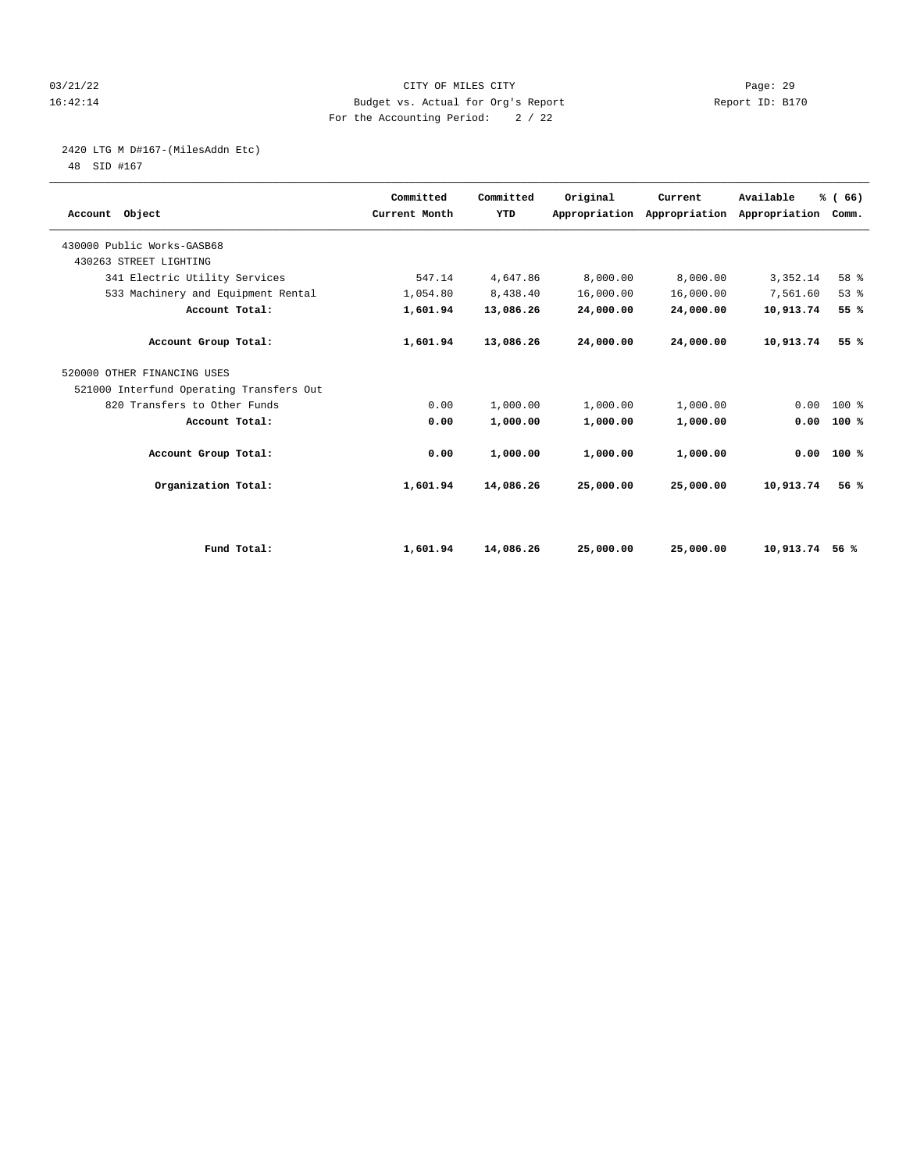#### 03/21/22 Page: 29 16:42:14 Budget vs. Actual for Org's Report Report ID: B170 For the Accounting Period: 2 / 22

## 2420 LTG M D#167-(MilesAddn Etc)

| Account Object                           | Committed<br>Current Month | Committed<br>YTD | Original  | Current<br>Appropriation Appropriation | Available<br>Appropriation | % (66)<br>Comm. |  |
|------------------------------------------|----------------------------|------------------|-----------|----------------------------------------|----------------------------|-----------------|--|
| 430000 Public Works-GASB68               |                            |                  |           |                                        |                            |                 |  |
| 430263 STREET LIGHTING                   |                            |                  |           |                                        |                            |                 |  |
| 341 Electric Utility Services            | 547.14                     | 4,647.86         | 8,000.00  | 8,000.00                               | 3,352.14                   | 58 %            |  |
| 533 Machinery and Equipment Rental       | 1,054.80                   | 8,438.40         | 16,000.00 | 16,000.00                              | 7,561.60                   | 53%             |  |
| Account Total:                           | 1,601.94                   | 13,086.26        | 24,000.00 | 24,000.00                              | 10,913.74                  | 55 %            |  |
| Account Group Total:                     | 1,601.94                   | 13,086.26        | 24,000.00 | 24,000.00                              | 10,913.74                  | 55%             |  |
| 520000 OTHER FINANCING USES              |                            |                  |           |                                        |                            |                 |  |
| 521000 Interfund Operating Transfers Out |                            |                  |           |                                        |                            |                 |  |
| 820 Transfers to Other Funds             | 0.00                       | 1,000.00         | 1,000.00  | 1,000.00                               | 0.00                       | 100 %           |  |
| Account Total:                           | 0.00                       | 1,000.00         | 1,000.00  | 1,000.00                               | 0.00                       | 100%            |  |
| Account Group Total:                     | 0.00                       | 1,000.00         | 1,000.00  | 1,000.00                               | 0.00                       | 100%            |  |
| Organization Total:                      | 1,601.94                   | 14,086.26        | 25,000.00 | 25,000.00                              | 10,913.74                  | 56%             |  |
|                                          |                            |                  |           |                                        |                            |                 |  |
| Fund Total:                              | 1,601.94                   | 14,086.26        | 25,000.00 | 25,000.00                              | 10,913.74                  | 56 %            |  |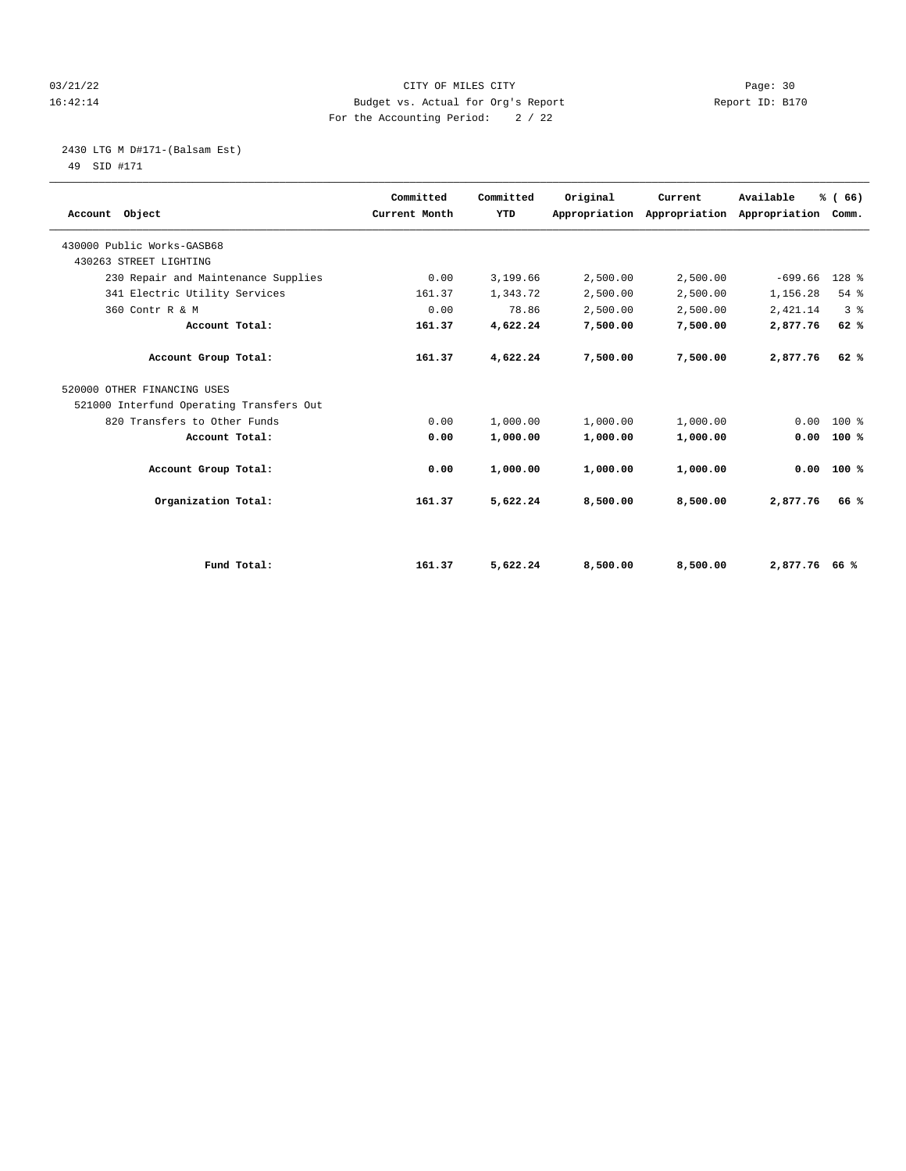#### 03/21/22 Page: 30 16:42:14 Budget vs. Actual for Org's Report Report ID: B170 For the Accounting Period: 2 / 22

## 2430 LTG M D#171-(Balsam Est)

| Account Object                           | Committed<br>Current Month | Committed<br>YTD | Original | Current<br>Appropriation Appropriation | Available<br>Appropriation Comm. | % (66)         |  |
|------------------------------------------|----------------------------|------------------|----------|----------------------------------------|----------------------------------|----------------|--|
| 430000 Public Works-GASB68               |                            |                  |          |                                        |                                  |                |  |
| 430263 STREET LIGHTING                   |                            |                  |          |                                        |                                  |                |  |
| 230 Repair and Maintenance Supplies      | 0.00                       | 3,199.66         | 2,500.00 | 2,500.00                               | $-699.66$                        | $128$ %        |  |
| 341 Electric Utility Services            | 161.37                     | 1,343.72         | 2,500.00 | 2,500.00                               | 1,156.28                         | 54%            |  |
| 360 Contr R & M                          | 0.00                       | 78.86            | 2,500.00 | 2,500.00                               | 2,421.14                         | 3 <sup>8</sup> |  |
| Account Total:                           | 161.37                     | 4,622.24         | 7,500.00 | 7,500.00                               | 2,877.76                         | 62%            |  |
| Account Group Total:                     | 161.37                     | 4,622.24         | 7,500.00 | 7,500.00                               | 2,877.76                         | 62%            |  |
| 520000 OTHER FINANCING USES              |                            |                  |          |                                        |                                  |                |  |
| 521000 Interfund Operating Transfers Out |                            |                  |          |                                        |                                  |                |  |
| 820 Transfers to Other Funds             | 0.00                       | 1,000.00         | 1,000.00 | 1,000.00                               | 0.00                             | $100*$         |  |
| Account Total:                           | 0.00                       | 1,000.00         | 1,000.00 | 1,000.00                               | 0.00                             | 100%           |  |
| Account Group Total:                     | 0.00                       | 1,000.00         | 1,000.00 | 1,000.00                               | 0.00                             | 100%           |  |
| Organization Total:                      | 161.37                     | 5,622.24         | 8,500.00 | 8,500.00                               | 2,877.76                         | 66 %           |  |
|                                          |                            |                  |          |                                        |                                  |                |  |
| Fund Total:                              | 161.37                     | 5,622.24         | 8,500.00 | 8,500.00                               | 2.877.7666%                      |                |  |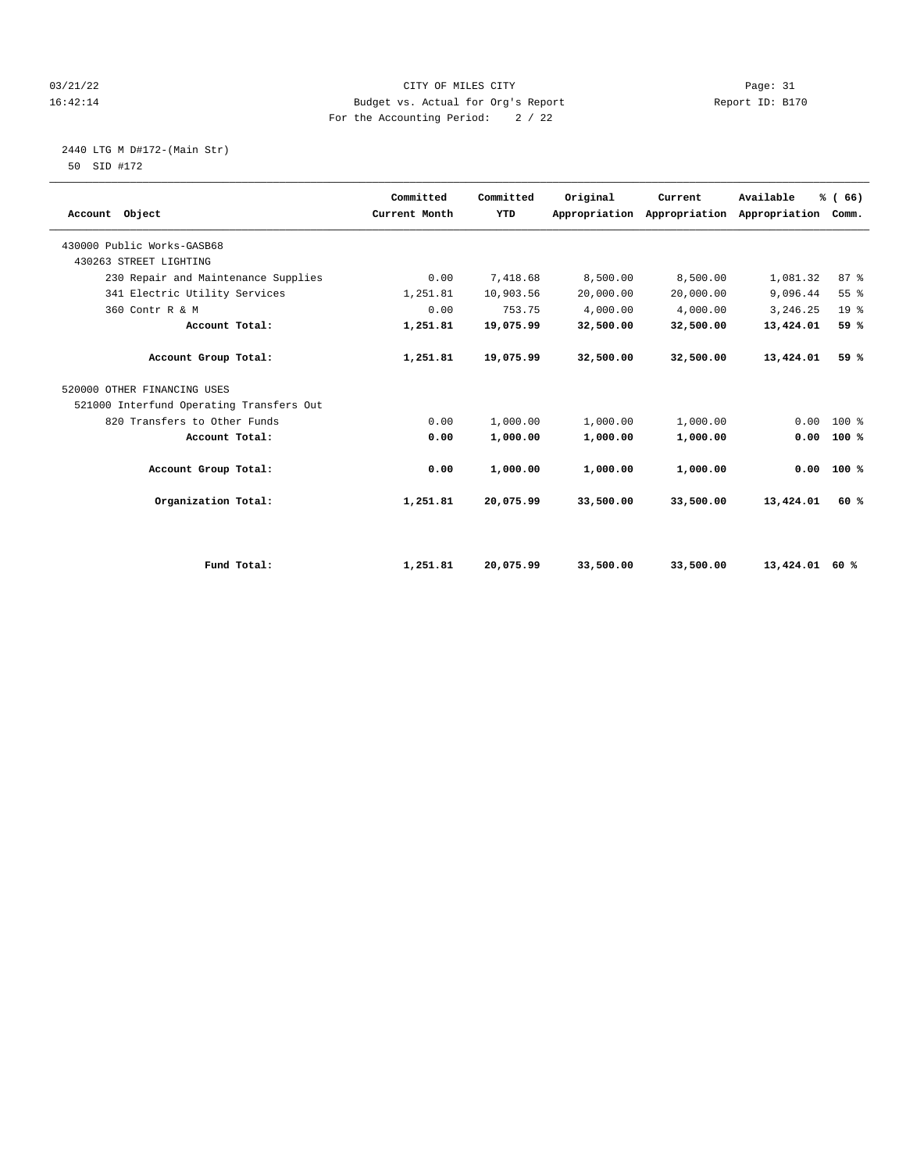#### 03/21/22 Page: 31 16:42:14 Budget vs. Actual for Org's Report Report ID: B170 For the Accounting Period: 2 / 22

# 2440 LTG M D#172-(Main Str)

| Account Object                           | Committed<br>Current Month | Committed<br>YTD | Original  | Current<br>Appropriation Appropriation | Available<br>Appropriation | % (66)<br>Comm. |  |
|------------------------------------------|----------------------------|------------------|-----------|----------------------------------------|----------------------------|-----------------|--|
| 430000 Public Works-GASB68               |                            |                  |           |                                        |                            |                 |  |
| 430263 STREET LIGHTING                   |                            |                  |           |                                        |                            |                 |  |
| 230 Repair and Maintenance Supplies      | 0.00                       | 7,418.68         | 8,500.00  | 8,500.00                               | 1,081.32                   | 87%             |  |
| 341 Electric Utility Services            | 1,251.81                   | 10,903.56        | 20,000.00 | 20,000.00                              | 9,096.44                   | 55 %            |  |
| 360 Contr R & M                          | 0.00                       | 753.75           | 4,000.00  | 4,000.00                               | 3,246.25                   | 19 <sup>°</sup> |  |
| Account Total:                           | 1,251.81                   | 19,075.99        | 32,500.00 | 32,500.00                              | 13,424.01                  | 59 %            |  |
| Account Group Total:                     | 1,251.81                   | 19,075.99        | 32,500.00 | 32,500.00                              | 13,424.01                  | 59 %            |  |
| 520000 OTHER FINANCING USES              |                            |                  |           |                                        |                            |                 |  |
| 521000 Interfund Operating Transfers Out |                            |                  |           |                                        |                            |                 |  |
| 820 Transfers to Other Funds             | 0.00                       | 1,000.00         | 1,000.00  | 1,000.00                               | 0.00                       | $100*$          |  |
| Account Total:                           | 0.00                       | 1,000.00         | 1,000.00  | 1,000.00                               | 0.00                       | 100%            |  |
| Account Group Total:                     | 0.00                       | 1,000.00         | 1,000.00  | 1,000.00                               | 0.00                       | 100%            |  |
| Organization Total:                      | 1,251.81                   | 20,075.99        | 33,500.00 | 33,500.00                              | 13,424.01                  | 60%             |  |
|                                          |                            |                  |           |                                        |                            |                 |  |
| Fund Total:                              | 1,251.81                   | 20,075.99        | 33,500.00 | 33,500.00                              | 13,424.01 60 %             |                 |  |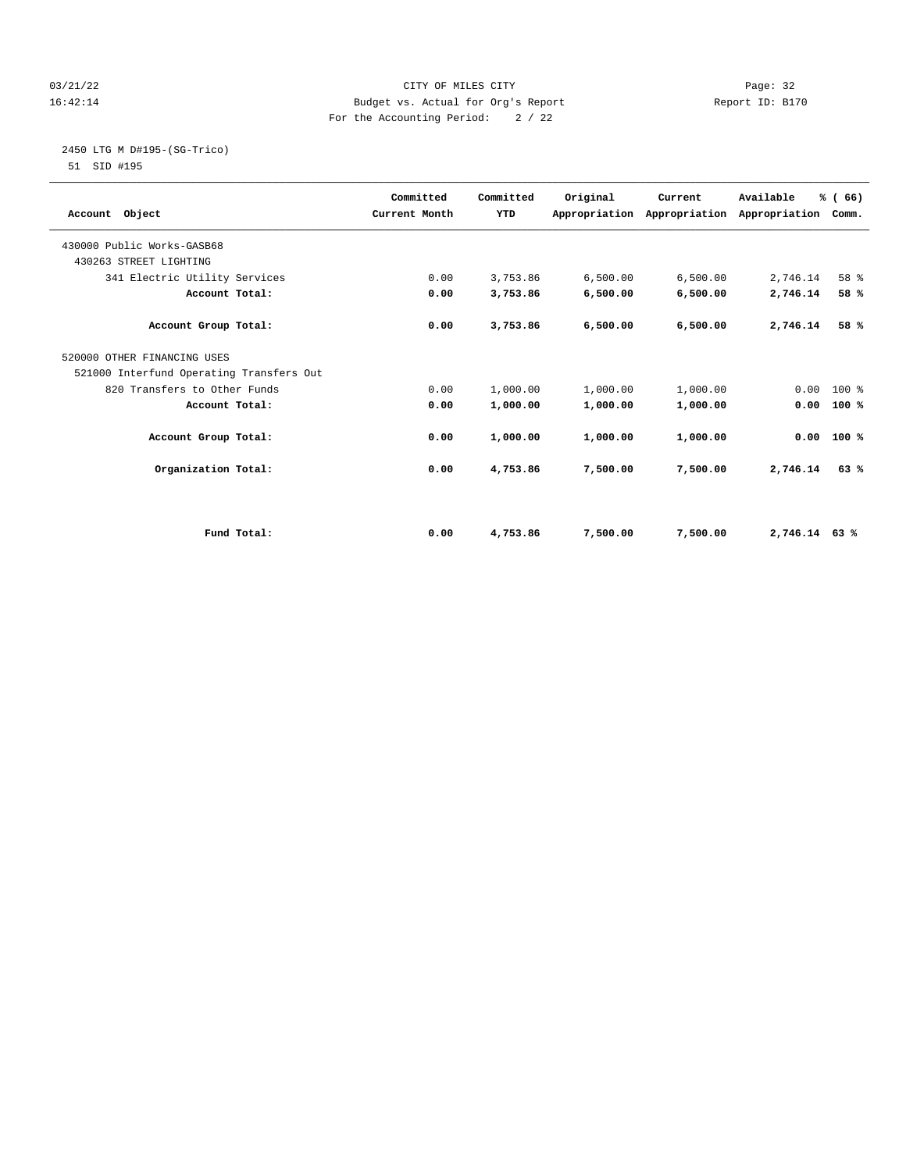#### 03/21/22 Page: 32 16:42:14 Budget vs. Actual for Org's Report Report ID: B170 For the Accounting Period: 2 / 22

# 2450 LTG M D#195-(SG-Trico)

|                                          | Committed     | Committed | Original | Current                                         | Available     | % (66) |  |
|------------------------------------------|---------------|-----------|----------|-------------------------------------------------|---------------|--------|--|
| Account Object                           | Current Month | YTD       |          | Appropriation Appropriation Appropriation Comm. |               |        |  |
|                                          |               |           |          |                                                 |               |        |  |
| 430000 Public Works-GASB68               |               |           |          |                                                 |               |        |  |
| 430263 STREET LIGHTING                   |               |           |          |                                                 |               |        |  |
| 341 Electric Utility Services            | 0.00          | 3,753.86  | 6,500.00 | 6,500.00                                        | 2,746.14      | 58 %   |  |
| Account Total:                           | 0.00          | 3,753.86  | 6,500.00 | 6,500.00                                        | 2,746.14      | 58 %   |  |
| Account Group Total:                     | 0.00          | 3,753.86  | 6,500.00 | 6,500.00                                        | 2,746.14      | 58 %   |  |
| 520000 OTHER FINANCING USES              |               |           |          |                                                 |               |        |  |
| 521000 Interfund Operating Transfers Out |               |           |          |                                                 |               |        |  |
| 820 Transfers to Other Funds             | 0.00          | 1,000.00  | 1,000.00 | 1,000.00                                        | 0.00          | $100*$ |  |
| Account Total:                           | 0.00          | 1,000.00  | 1,000.00 | 1,000.00                                        | 0.00          | 100%   |  |
| Account Group Total:                     | 0.00          | 1,000.00  | 1,000.00 | 1,000.00                                        | 0.00          | 100%   |  |
| Organization Total:                      | 0.00          | 4,753.86  | 7,500.00 | 7,500.00                                        | 2,746.14      | 63%    |  |
|                                          |               |           |          |                                                 |               |        |  |
| Fund Total:                              | 0.00          | 4,753.86  | 7,500.00 | 7,500.00                                        | 2,746.14 63 % |        |  |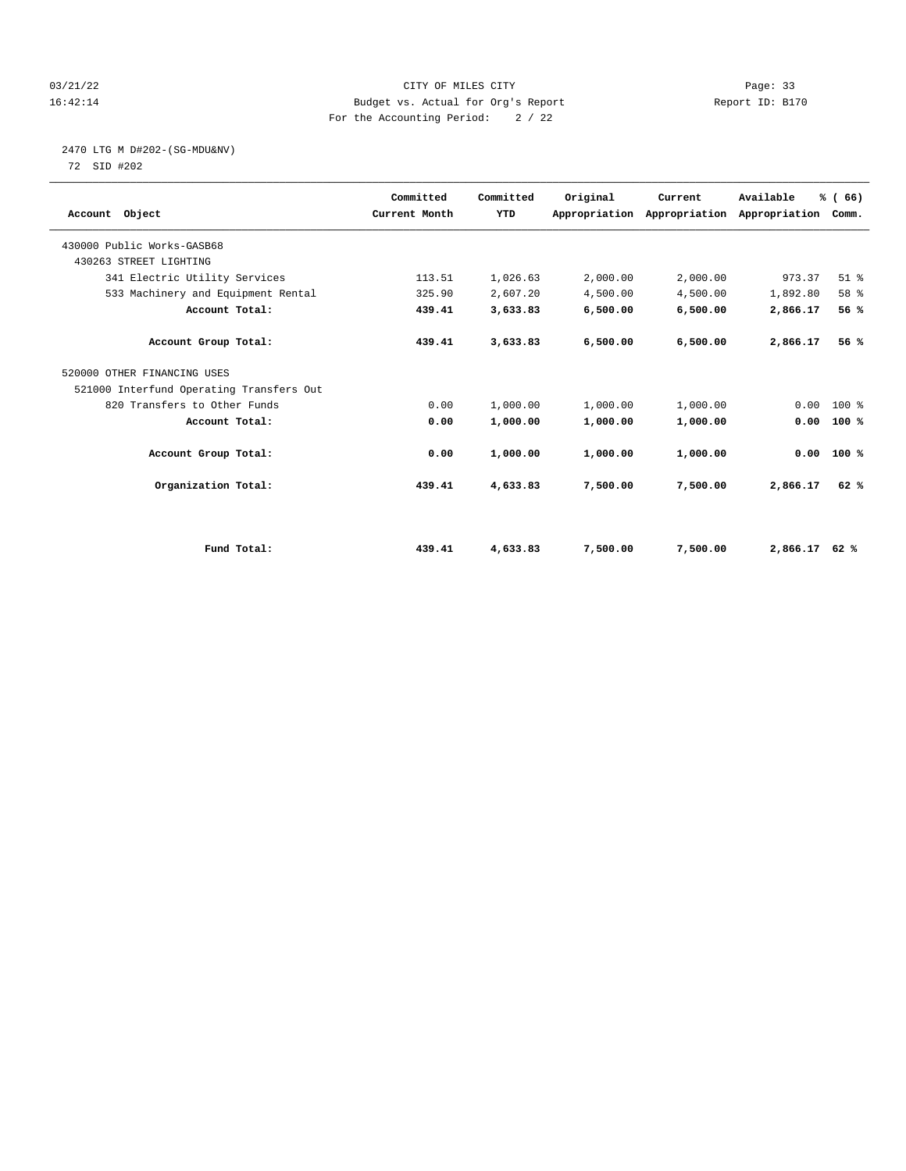#### 03/21/22 Page: 33 16:42:14 Budget vs. Actual for Org's Report Report ID: B170 For the Accounting Period: 2 / 22

# 2470 LTG M D#202-(SG-MDU&NV)

| Account Object                           | Committed<br>Current Month | Committed<br>YTD | Original | Current<br>Appropriation Appropriation Appropriation | Available | % (66)<br>Comm. |  |
|------------------------------------------|----------------------------|------------------|----------|------------------------------------------------------|-----------|-----------------|--|
| 430000 Public Works-GASB68               |                            |                  |          |                                                      |           |                 |  |
| 430263 STREET LIGHTING                   |                            |                  |          |                                                      |           |                 |  |
| 341 Electric Utility Services            | 113.51                     | 1,026.63         | 2,000.00 | 2,000.00                                             | 973.37    | $51$ $%$        |  |
| 533 Machinery and Equipment Rental       | 325.90                     | 2,607.20         | 4,500.00 | 4,500.00                                             | 1,892.80  | 58 %            |  |
| Account Total:                           | 439.41                     | 3,633.83         | 6,500.00 | 6,500.00                                             | 2,866.17  | 56%             |  |
| Account Group Total:                     | 439.41                     | 3,633.83         | 6,500.00 | 6,500.00                                             | 2,866.17  | 56%             |  |
| 520000 OTHER FINANCING USES              |                            |                  |          |                                                      |           |                 |  |
| 521000 Interfund Operating Transfers Out |                            |                  |          |                                                      |           |                 |  |
| 820 Transfers to Other Funds             | 0.00                       | 1,000.00         | 1,000.00 | 1,000.00                                             | 0.00      | $100*$          |  |
| Account Total:                           | 0.00                       | 1,000.00         | 1,000.00 | 1,000.00                                             | 0.00      | 100%            |  |
| Account Group Total:                     | 0.00                       | 1,000.00         | 1,000.00 | 1,000.00                                             | 0.00      | 100%            |  |
| Organization Total:                      | 439.41                     | 4,633.83         | 7,500.00 | 7,500.00                                             | 2,866.17  | 62%             |  |
|                                          |                            |                  |          |                                                      |           |                 |  |
| Fund Total:                              | 439.41                     | 4,633.83         | 7,500.00 | 7,500.00                                             | 2,866.17  | 62%             |  |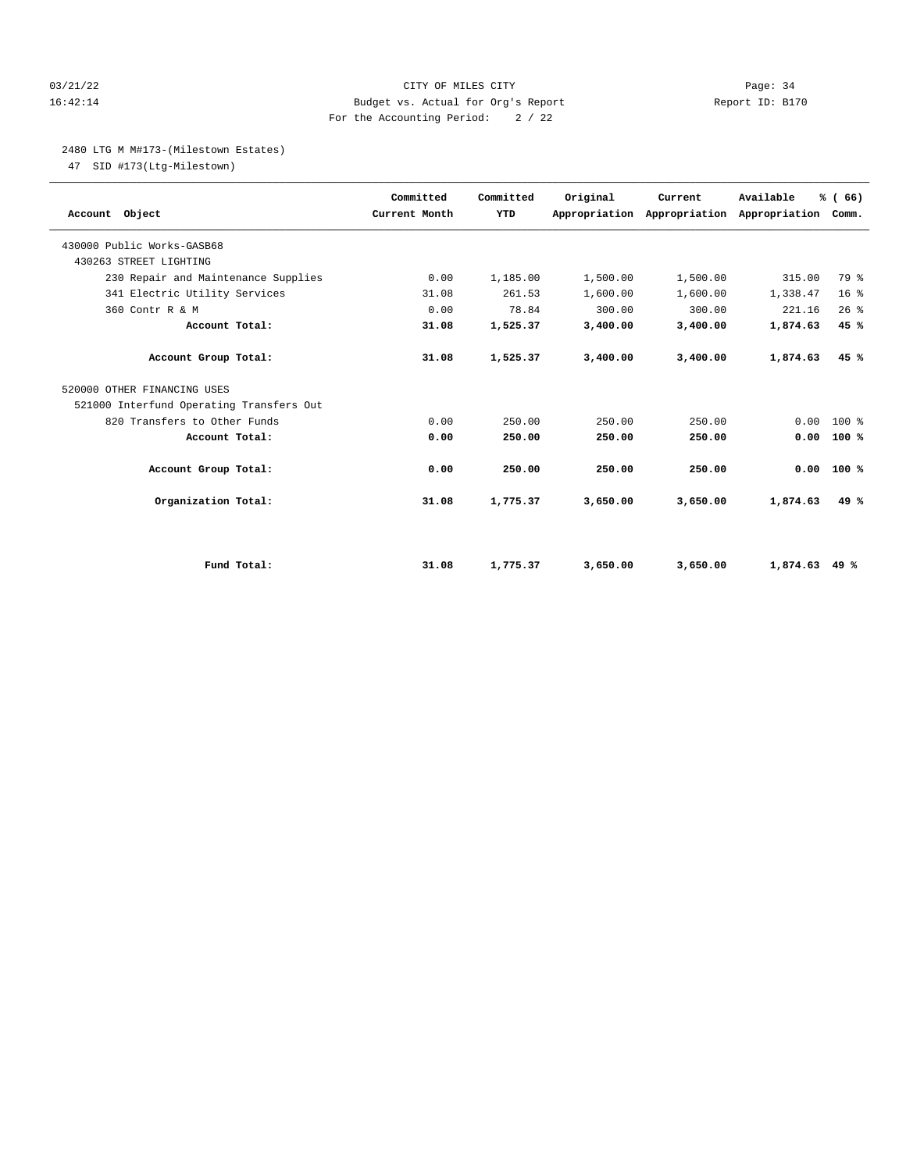#### 03/21/22 Page: 34 16:42:14 Budget vs. Actual for Org's Report Report ID: B170 For the Accounting Period: 2 / 22

#### 2480 LTG M M#173-(Milestown Estates)

47 SID #173(Ltg-Milestown)

| Account Object                           | Committed<br>Current Month | Committed<br>YTD | Original | Current<br>Appropriation Appropriation Appropriation Comm. | Available | % (66)          |  |
|------------------------------------------|----------------------------|------------------|----------|------------------------------------------------------------|-----------|-----------------|--|
| 430000 Public Works-GASB68               |                            |                  |          |                                                            |           |                 |  |
| 430263 STREET LIGHTING                   |                            |                  |          |                                                            |           |                 |  |
| 230 Repair and Maintenance Supplies      | 0.00                       | 1,185.00         | 1,500.00 | 1,500.00                                                   | 315.00    | 79 %            |  |
| 341 Electric Utility Services            | 31.08                      | 261.53           | 1,600.00 | 1,600.00                                                   | 1,338.47  | 16 <sup>8</sup> |  |
| 360 Contr R & M                          | 0.00                       | 78.84            | 300.00   | 300.00                                                     | 221.16    | 26%             |  |
| Account Total:                           | 31.08                      | 1,525.37         | 3,400.00 | 3,400.00                                                   | 1,874.63  | 45 %            |  |
| Account Group Total:                     | 31.08                      | 1,525.37         | 3,400.00 | 3,400.00                                                   | 1,874.63  | 45%             |  |
| 520000 OTHER FINANCING USES              |                            |                  |          |                                                            |           |                 |  |
| 521000 Interfund Operating Transfers Out |                            |                  |          |                                                            |           |                 |  |
| 820 Transfers to Other Funds             | 0.00                       | 250.00           | 250.00   | 250.00                                                     | 0.00      | $100*$          |  |
| Account Total:                           | 0.00                       | 250.00           | 250.00   | 250.00                                                     | 0.00      | 100%            |  |
| Account Group Total:                     | 0.00                       | 250.00           | 250.00   | 250.00                                                     |           | $0.00$ 100 %    |  |
| Organization Total:                      | 31.08                      | 1,775.37         | 3,650.00 | 3,650.00                                                   | 1,874.63  | 49%             |  |
|                                          |                            |                  |          |                                                            |           |                 |  |
| Fund Total:                              | 31.08                      | 1,775.37         | 3,650.00 | 3,650.00                                                   | 1,874.63  | 49 %            |  |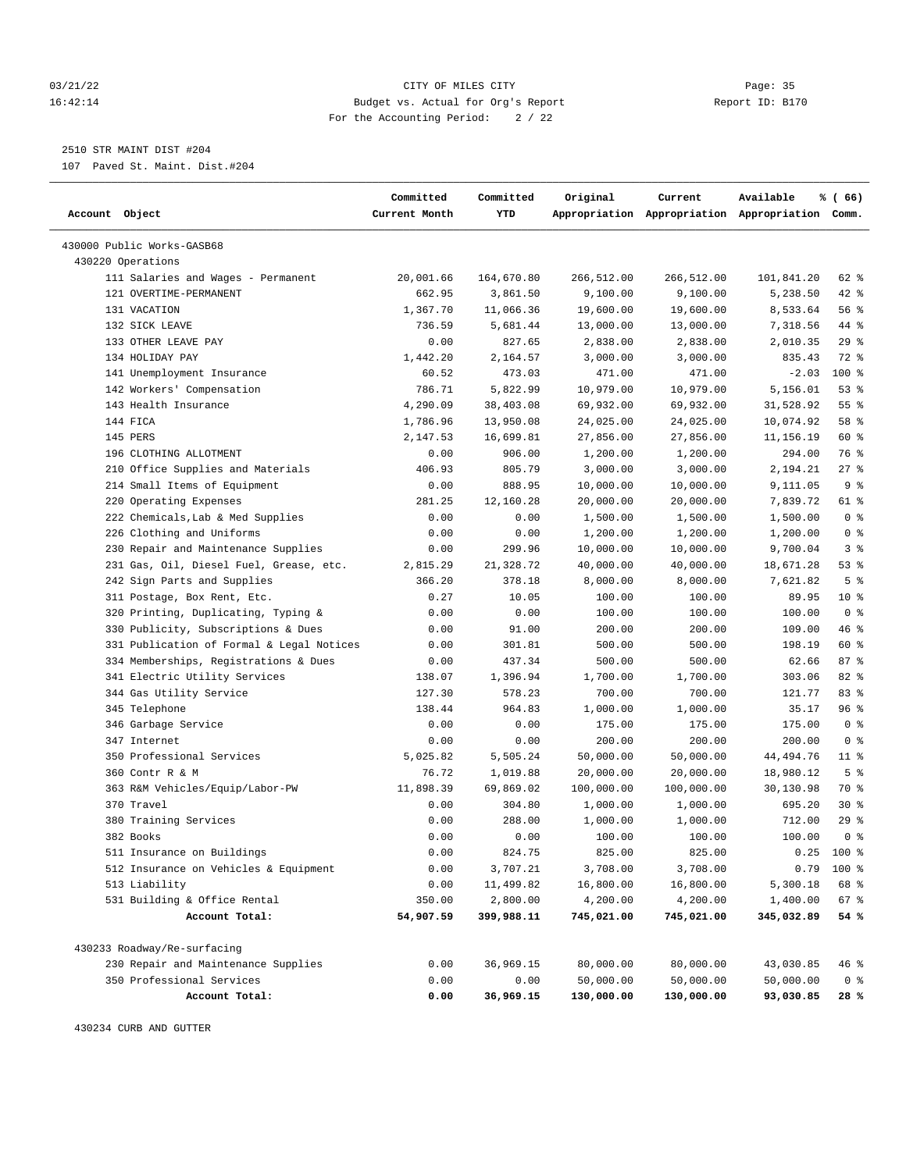#### 03/21/22 Page: 35 16:42:14 Budget vs. Actual for Org's Report Report ID: B170 For the Accounting Period: 2 / 22

————————————————————————————————————————————————————————————————————————————————————————————————————————————————————————————————————

### 2510 STR MAINT DIST #204

107 Paved St. Maint. Dist.#204

|                                           | Committed     | Committed  | Original   | Current                                         | Available   | % (66)         |
|-------------------------------------------|---------------|------------|------------|-------------------------------------------------|-------------|----------------|
| Account Object                            | Current Month | YTD        |            | Appropriation Appropriation Appropriation Comm. |             |                |
| 430000 Public Works-GASB68                |               |            |            |                                                 |             |                |
| 430220 Operations                         |               |            |            |                                                 |             |                |
| 111 Salaries and Wages - Permanent        | 20,001.66     | 164,670.80 | 266,512.00 | 266,512.00                                      | 101,841.20  | 62 %           |
| 121 OVERTIME-PERMANENT                    | 662.95        | 3,861.50   | 9,100.00   | 9,100.00                                        | 5,238.50    | $42$ %         |
| 131 VACATION                              | 1,367.70      | 11,066.36  | 19,600.00  | 19,600.00                                       | 8,533.64    | 56%            |
| 132 SICK LEAVE                            | 736.59        | 5,681.44   | 13,000.00  | 13,000.00                                       | 7,318.56    | 44 %           |
| 133 OTHER LEAVE PAY                       | 0.00          | 827.65     | 2,838.00   | 2,838.00                                        | 2,010.35    | 29%            |
| 134 HOLIDAY PAY                           | 1,442.20      | 2,164.57   | 3,000.00   | 3,000.00                                        | 835.43      | 72 %           |
| 141 Unemployment Insurance                | 60.52         | 473.03     | 471.00     | 471.00                                          | $-2.03$     | $100$ %        |
| 142 Workers' Compensation                 | 786.71        | 5,822.99   | 10,979.00  | 10,979.00                                       | 5,156.01    | 53%            |
| 143 Health Insurance                      | 4,290.09      | 38,403.08  | 69,932.00  | 69,932.00                                       | 31,528.92   | 55%            |
| 144 FICA                                  | 1,786.96      | 13,950.08  | 24,025.00  | 24,025.00                                       | 10,074.92   | 58 %           |
| 145 PERS                                  | 2,147.53      | 16,699.81  | 27,856.00  | 27,856.00                                       | 11,156.19   | 60 %           |
| 196 CLOTHING ALLOTMENT                    | 0.00          | 906.00     | 1,200.00   | 1,200.00                                        | 294.00      | 76 %           |
| 210 Office Supplies and Materials         | 406.93        | 805.79     | 3,000.00   | 3,000.00                                        | 2,194.21    | $27$ %         |
| 214 Small Items of Equipment              | 0.00          | 888.95     | 10,000.00  | 10,000.00                                       | 9,111.05    | 9 <sup>8</sup> |
| 220 Operating Expenses                    | 281.25        | 12,160.28  | 20,000.00  | 20,000.00                                       | 7,839.72    | 61 %           |
| 222 Chemicals, Lab & Med Supplies         | 0.00          | 0.00       | 1,500.00   | 1,500.00                                        | 1,500.00    | 0 <sup>8</sup> |
| 226 Clothing and Uniforms                 | 0.00          | 0.00       | 1,200.00   | 1,200.00                                        | 1,200.00    | 0 <sup>8</sup> |
| 230 Repair and Maintenance Supplies       | 0.00          | 299.96     | 10,000.00  | 10,000.00                                       | 9,700.04    | 3%             |
| 231 Gas, Oil, Diesel Fuel, Grease, etc.   | 2,815.29      | 21,328.72  | 40,000.00  | 40,000.00                                       | 18,671.28   | 53%            |
| 242 Sign Parts and Supplies               | 366.20        | 378.18     | 8,000.00   | 8,000.00                                        | 7,621.82    | 5 <sup>8</sup> |
| 311 Postage, Box Rent, Etc.               | 0.27          | 10.05      | 100.00     | 100.00                                          | 89.95       | $10*$          |
| 320 Printing, Duplicating, Typing &       | 0.00          | 0.00       | 100.00     | 100.00                                          | 100.00      | 0 <sup>8</sup> |
| 330 Publicity, Subscriptions & Dues       | 0.00          | 91.00      | 200.00     | 200.00                                          | 109.00      | 46 %           |
| 331 Publication of Formal & Legal Notices | 0.00          | 301.81     | 500.00     | 500.00                                          | 198.19      | 60 %           |
| 334 Memberships, Registrations & Dues     | 0.00          | 437.34     | 500.00     | 500.00                                          | 62.66       | 87%            |
| 341 Electric Utility Services             | 138.07        | 1,396.94   | 1,700.00   | 1,700.00                                        | 303.06      | 82%            |
| 344 Gas Utility Service                   | 127.30        | 578.23     | 700.00     | 700.00                                          | 121.77      | 83%            |
| 345 Telephone                             | 138.44        | 964.83     | 1,000.00   | 1,000.00                                        | 35.17       | 96%            |
| 346 Garbage Service                       | 0.00          | 0.00       | 175.00     | 175.00                                          | 175.00      | 0 <sup>8</sup> |
| 347 Internet                              | 0.00          | 0.00       | 200.00     | 200.00                                          | 200.00      | 0 <sup>8</sup> |
| 350 Professional Services                 | 5,025.82      | 5,505.24   | 50,000.00  | 50,000.00                                       | 44, 494. 76 | $11$ %         |
| 360 Contr R & M                           | 76.72         | 1,019.88   | 20,000.00  | 20,000.00                                       | 18,980.12   | 5 <sup>8</sup> |
| 363 R&M Vehicles/Equip/Labor-PW           | 11,898.39     | 69,869.02  | 100,000.00 | 100,000.00                                      | 30,130.98   | 70 %           |
| 370 Travel                                | 0.00          | 304.80     | 1,000.00   | 1,000.00                                        | 695.20      | $30*$          |
| 380 Training Services                     | 0.00          | 288.00     | 1,000.00   | 1,000.00                                        | 712.00      | 29%            |
| 382 Books                                 | 0.00          | 0.00       | 100.00     | 100.00                                          | 100.00      | 0 <sup>8</sup> |
| 511 Insurance on Buildings                | 0.00          | 824.75     | 825.00     | 825.00                                          |             | $0.25$ 100 %   |
| 512 Insurance on Vehicles & Equipment     | 0.00          | 3,707.21   | 3,708.00   | 3,708.00                                        |             | $0.79$ 100 %   |
| 513 Liability                             | 0.00          | 11,499.82  | 16,800.00  | 16,800.00                                       | 5,300.18    | 68 %           |
| 531 Building & Office Rental              | 350.00        | 2,800.00   | 4,200.00   | 4,200.00                                        | 1,400.00    | 67 %           |
| Account Total:                            | 54,907.59     | 399,988.11 | 745,021.00 | 745,021.00                                      | 345,032.89  | 54 %           |
| 430233 Roadway/Re-surfacing               |               |            |            |                                                 |             |                |
| 230 Repair and Maintenance Supplies       | 0.00          | 36,969.15  | 80,000.00  | 80,000.00                                       | 43,030.85   | 46 %           |
| 350 Professional Services                 | 0.00          | 0.00       | 50,000.00  | 50,000.00                                       | 50,000.00   | 0 <sub>8</sub> |
| Account Total:                            | 0.00          | 36,969.15  | 130,000.00 | 130,000.00                                      | 93,030.85   | 28 %           |

430234 CURB AND GUTTER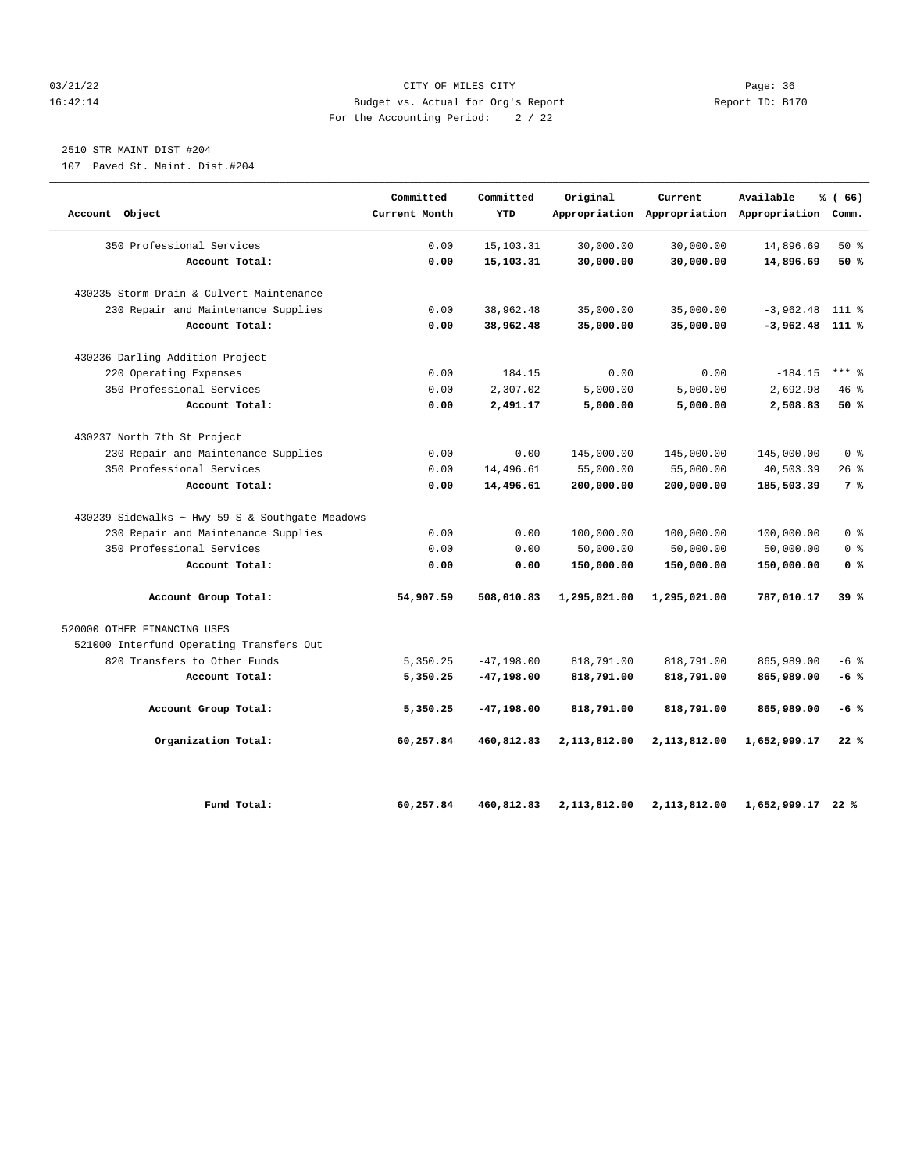#### 03/21/22 Page: 36 16:42:14 Budget vs. Actual for Org's Report Report ID: B170 For the Accounting Period: 2 / 22

## 2510 STR MAINT DIST #204

107 Paved St. Maint. Dist.#204

| Account Object                                  | Committed<br>Current Month | Committed<br>YTD | Original     | Current      | Available<br>Appropriation Appropriation Appropriation Comm. | % (66)         |
|-------------------------------------------------|----------------------------|------------------|--------------|--------------|--------------------------------------------------------------|----------------|
| 350 Professional Services                       | 0.00                       | 15, 103. 31      | 30,000.00    | 30,000.00    | 14,896.69                                                    | $50*$          |
| Account Total:                                  | 0.00                       | 15,103.31        | 30,000.00    | 30,000.00    | 14,896.69                                                    | 50 %           |
| 430235 Storm Drain & Culvert Maintenance        |                            |                  |              |              |                                                              |                |
| 230 Repair and Maintenance Supplies             | 0.00                       | 38,962.48        | 35,000.00    | 35,000.00    | $-3,962.48$                                                  | $111*$         |
| Account Total:                                  | 0.00                       | 38,962.48        | 35,000.00    | 35,000.00    | $-3,962.48$ 111 %                                            |                |
| 430236 Darling Addition Project                 |                            |                  |              |              |                                                              |                |
| 220 Operating Expenses                          | 0.00                       | 184.15           | 0.00         | 0.00         | $-184.15$                                                    | $***$ 8        |
| 350 Professional Services                       | 0.00                       | 2,307.02         | 5,000.00     | 5,000.00     | 2,692.98                                                     | 46%            |
| Account Total:                                  | 0.00                       | 2,491.17         | 5,000.00     | 5,000.00     | 2,508.83                                                     | 50%            |
| 430237 North 7th St Project                     |                            |                  |              |              |                                                              |                |
| 230 Repair and Maintenance Supplies             | 0.00                       | 0.00             | 145,000.00   | 145,000.00   | 145,000.00                                                   | 0 <sup>8</sup> |
| 350 Professional Services                       | 0.00                       | 14,496.61        | 55,000.00    | 55,000.00    | 40,503.39                                                    | 26%            |
| Account Total:                                  | 0.00                       | 14,496.61        | 200,000.00   | 200,000.00   | 185,503.39                                                   | 7 %            |
| 430239 Sidewalks ~ Hwy 59 S & Southgate Meadows |                            |                  |              |              |                                                              |                |
| 230 Repair and Maintenance Supplies             | 0.00                       | 0.00             | 100,000.00   | 100,000.00   | 100,000.00                                                   | 0 <sup>8</sup> |
| 350 Professional Services                       | 0.00                       | 0.00             | 50,000.00    | 50,000.00    | 50,000.00                                                    | 0 <sup>8</sup> |
| Account Total:                                  | 0.00                       | 0.00             | 150,000.00   | 150,000.00   | 150,000.00                                                   | 0 <sup>8</sup> |
| Account Group Total:                            | 54,907.59                  | 508,010.83       | 1,295,021.00 | 1,295,021.00 | 787,010.17                                                   | 39%            |
| 520000 OTHER FINANCING USES                     |                            |                  |              |              |                                                              |                |
| 521000 Interfund Operating Transfers Out        |                            |                  |              |              |                                                              |                |
| 820 Transfers to Other Funds                    | 5,350.25                   | $-47, 198.00$    | 818,791.00   | 818,791.00   | 865,989.00                                                   | $-6$ %         |
| Account Total:                                  | 5,350.25                   | $-47, 198.00$    | 818,791.00   | 818,791.00   | 865,989.00                                                   | $-6%$          |
| Account Group Total:                            | 5,350.25                   | $-47, 198.00$    | 818,791.00   | 818,791.00   | 865,989.00                                                   | $-6%$          |
| Organization Total:                             | 60,257.84                  | 460,812.83       | 2,113,812.00 | 2,113,812.00 | 1,652,999.17                                                 | 22%            |
| Fund Total:                                     | 60,257.84                  | 460,812.83       | 2,113,812.00 | 2,113,812.00 | 1,652,999.17 22 %                                            |                |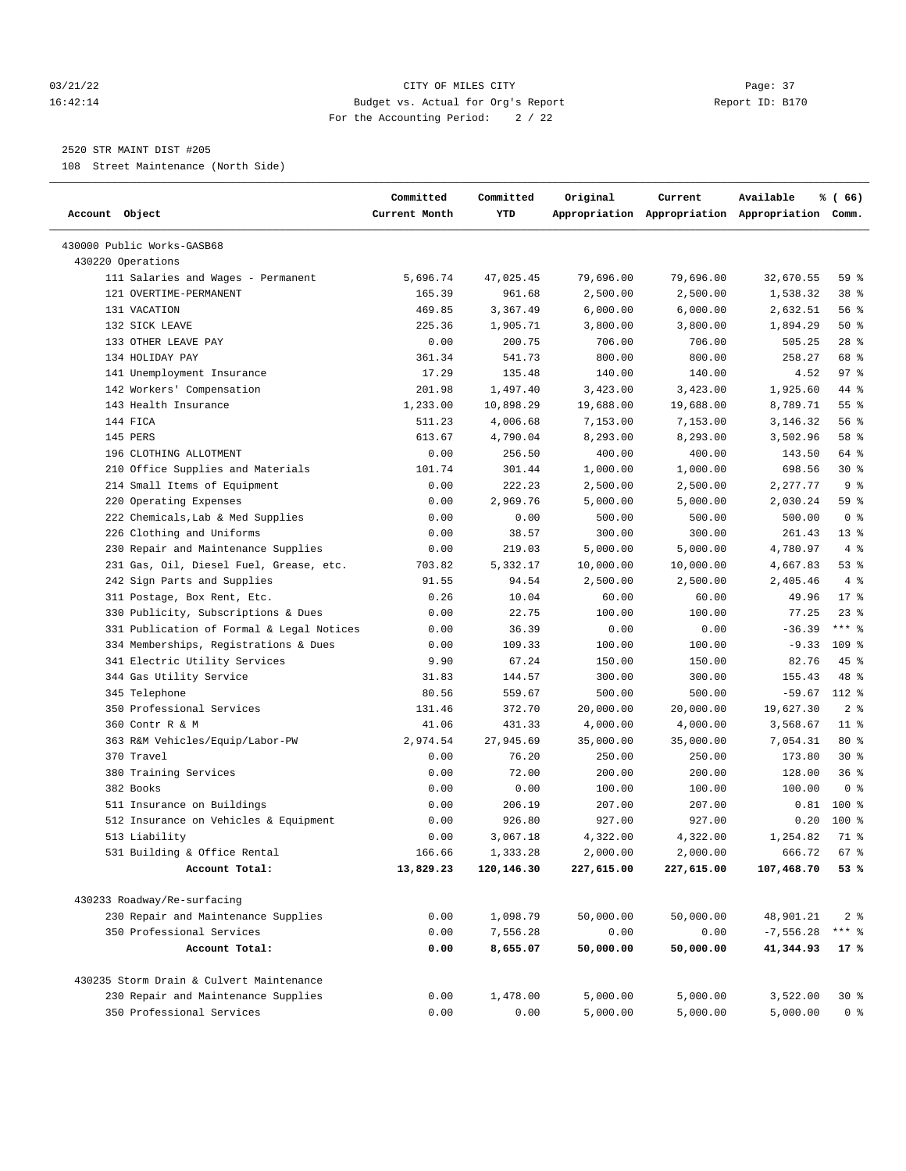#### 03/21/22 Page: 37 16:42:14 Budget vs. Actual for Org's Report Report ID: B170 For the Accounting Period: 2 / 22

————————————————————————————————————————————————————————————————————————————————————————————————————————————————————————————————————

#### 2520 STR MAINT DIST #205

108 Street Maintenance (North Side)

|                                           | Committed     | Committed  | Original   | Current                                         | Available   | % (66)          |  |
|-------------------------------------------|---------------|------------|------------|-------------------------------------------------|-------------|-----------------|--|
| Account Object                            | Current Month | YTD        |            | Appropriation Appropriation Appropriation Comm. |             |                 |  |
| 430000 Public Works-GASB68                |               |            |            |                                                 |             |                 |  |
| 430220 Operations                         |               |            |            |                                                 |             |                 |  |
| 111 Salaries and Wages - Permanent        | 5,696.74      | 47,025.45  | 79,696.00  | 79,696.00                                       | 32,670.55   | 59 %            |  |
| 121 OVERTIME-PERMANENT                    | 165.39        | 961.68     | 2,500.00   | 2,500.00                                        | 1,538.32    | 38 <sup>8</sup> |  |
| 131 VACATION                              | 469.85        | 3,367.49   | 6,000.00   | 6,000.00                                        | 2,632.51    | 56%             |  |
| 132 SICK LEAVE                            | 225.36        | 1,905.71   | 3,800.00   | 3,800.00                                        | 1,894.29    | 50%             |  |
| 133 OTHER LEAVE PAY                       | 0.00          | 200.75     | 706.00     | 706.00                                          | 505.25      | $28$ %          |  |
| 134 HOLIDAY PAY                           | 361.34        | 541.73     | 800.00     | 800.00                                          | 258.27      | 68 %            |  |
| 141 Unemployment Insurance                | 17.29         | 135.48     | 140.00     | 140.00                                          | 4.52        | 97%             |  |
| 142 Workers' Compensation                 | 201.98        | 1,497.40   | 3,423.00   | 3,423.00                                        | 1,925.60    | 44 %            |  |
| 143 Health Insurance                      | 1,233.00      | 10,898.29  | 19,688.00  | 19,688.00                                       | 8,789.71    | 55%             |  |
| 144 FICA                                  | 511.23        | 4,006.68   | 7,153.00   | 7,153.00                                        | 3,146.32    | 56%             |  |
| 145 PERS                                  | 613.67        | 4,790.04   | 8,293.00   | 8,293.00                                        | 3,502.96    | 58 %            |  |
| 196 CLOTHING ALLOTMENT                    | 0.00          | 256.50     | 400.00     | 400.00                                          | 143.50      | 64 %            |  |
| 210 Office Supplies and Materials         | 101.74        | 301.44     | 1,000.00   | 1,000.00                                        | 698.56      | $30*$           |  |
| 214 Small Items of Equipment              | 0.00          | 222.23     | 2,500.00   | 2,500.00                                        | 2,277.77    | 9 <sup>8</sup>  |  |
| 220 Operating Expenses                    | 0.00          | 2,969.76   | 5,000.00   | 5,000.00                                        | 2,030.24    | 59 %            |  |
| 222 Chemicals, Lab & Med Supplies         | 0.00          | 0.00       | 500.00     | 500.00                                          | 500.00      | 0 <sup>8</sup>  |  |
| 226 Clothing and Uniforms                 | 0.00          | 38.57      | 300.00     | 300.00                                          | 261.43      | $13*$           |  |
| 230 Repair and Maintenance Supplies       | 0.00          | 219.03     | 5,000.00   | 5,000.00                                        | 4,780.97    | 4%              |  |
| 231 Gas, Oil, Diesel Fuel, Grease, etc.   | 703.82        | 5,332.17   | 10,000.00  | 10,000.00                                       | 4,667.83    | 53%             |  |
| 242 Sign Parts and Supplies               | 91.55         | 94.54      | 2,500.00   | 2,500.00                                        | 2,405.46    | 4%              |  |
| 311 Postage, Box Rent, Etc.               | 0.26          | 10.04      | 60.00      | 60.00                                           | 49.96       | $17*$           |  |
| 330 Publicity, Subscriptions & Dues       | 0.00          | 22.75      | 100.00     | 100.00                                          | 77.25       | $23$ %          |  |
| 331 Publication of Formal & Legal Notices | 0.00          | 36.39      | 0.00       | 0.00                                            | $-36.39$    | $***$ $8$       |  |
| 334 Memberships, Registrations & Dues     | 0.00          | 109.33     | 100.00     | 100.00                                          | $-9.33$     | 109 %           |  |
| 341 Electric Utility Services             | 9.90          | 67.24      | 150.00     | 150.00                                          | 82.76       | $45$ %          |  |
| 344 Gas Utility Service                   | 31.83         | 144.57     | 300.00     | 300.00                                          | 155.43      | 48 %            |  |
| 345 Telephone                             | 80.56         | 559.67     | 500.00     | 500.00                                          | $-59.67$    | 112 %           |  |
| 350 Professional Services                 | 131.46        | 372.70     | 20,000.00  | 20,000.00                                       | 19,627.30   | 2 <sup>8</sup>  |  |
| 360 Contr R & M                           | 41.06         | 431.33     | 4,000.00   | 4,000.00                                        | 3,568.67    | $11$ %          |  |
| 363 R&M Vehicles/Equip/Labor-PW           | 2,974.54      | 27,945.69  | 35,000.00  | 35,000.00                                       | 7,054.31    | $80*$           |  |
| 370 Travel                                | 0.00          | 76.20      | 250.00     | 250.00                                          | 173.80      | $30*$           |  |
| 380 Training Services                     | 0.00          | 72.00      | 200.00     | 200.00                                          | 128.00      | 36%             |  |
| 382 Books                                 | 0.00          | 0.00       | 100.00     | 100.00                                          | 100.00      | 0 <sup>8</sup>  |  |
| 511 Insurance on Buildings                | 0.00          | 206.19     | 207.00     | 207.00                                          | 0.81        | 100 %           |  |
| 512 Insurance on Vehicles & Equipment     | 0.00          | 926.80     | 927.00     | 927.00                                          | 0.20        | $100*$          |  |
| 513 Liability                             | 0.00          | 3,067.18   | 4,322.00   | 4,322.00                                        | 1,254.82    | 71 %            |  |
| 531 Building & Office Rental              | 166.66        | 1,333.28   | 2,000.00   | 2,000.00                                        | 666.72      | 67%             |  |
| Account Total:                            | 13,829.23     | 120,146.30 | 227,615.00 | 227,615.00                                      | 107,468.70  | 53%             |  |
| 430233 Roadway/Re-surfacing               |               |            |            |                                                 |             |                 |  |
| 230 Repair and Maintenance Supplies       | 0.00          | 1,098.79   | 50,000.00  | 50,000.00                                       | 48,901.21   | 2 <sup>8</sup>  |  |
| 350 Professional Services                 | 0.00          | 7,556.28   | 0.00       | 0.00                                            | $-7,556.28$ | *** 응           |  |
| Account Total:                            | 0.00          | 8,655.07   | 50,000.00  | 50,000.00                                       | 41,344.93   | 17%             |  |
| 430235 Storm Drain & Culvert Maintenance  |               |            |            |                                                 |             |                 |  |
| 230 Repair and Maintenance Supplies       | 0.00          | 1,478.00   | 5,000.00   | 5,000.00                                        | 3,522.00    | $30*$           |  |
| 350 Professional Services                 | 0.00          | 0.00       |            | 5,000.00                                        |             |                 |  |
|                                           |               |            | 5,000.00   |                                                 | 5,000.00    | 0 <sup>8</sup>  |  |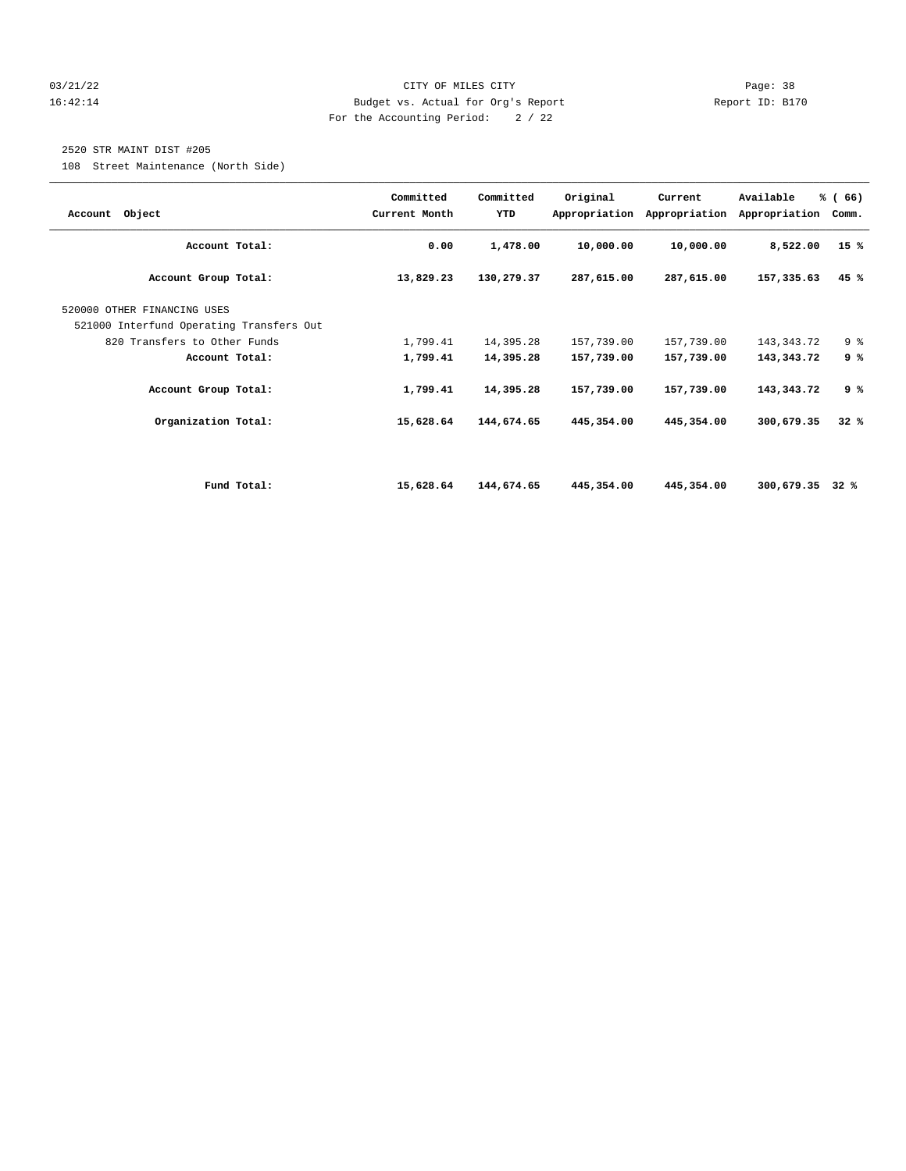#### 03/21/22 Page: 38 16:42:14 Budget vs. Actual for Org's Report Report ID: B170 For the Accounting Period: 2 / 22

#### 2520 STR MAINT DIST #205

108 Street Maintenance (North Side)

| Account Object                           | Committed<br>Current Month | Committed<br>YTD | Original     | Current<br>Appropriation Appropriation | Available<br>Appropriation | % (66)<br>Comm. |
|------------------------------------------|----------------------------|------------------|--------------|----------------------------------------|----------------------------|-----------------|
| Account Total:                           | 0.00                       | 1,478.00         | 10,000.00    | 10,000.00                              | 8,522.00                   | 15%             |
| Account Group Total:                     | 13,829.23                  | 130,279.37       | 287,615.00   | 287,615.00                             | 157,335.63                 | 45%             |
| 520000 OTHER FINANCING USES              |                            |                  |              |                                        |                            |                 |
| 521000 Interfund Operating Transfers Out |                            |                  |              |                                        |                            |                 |
| 820 Transfers to Other Funds             | 1,799.41                   | 14,395.28        | 157,739.00   | 157,739.00                             | 143, 343. 72               | 9%              |
| Account Total:                           | 1,799.41                   | 14,395.28        | 157,739.00   | 157,739.00                             | 143, 343, 72               | 9%              |
| Account Group Total:                     | 1,799.41                   | 14,395.28        | 157,739.00   | 157,739.00                             | 143, 343, 72               | 9%              |
| Organization Total:                      | 15,628.64                  | 144,674.65       | 445, 354, 00 | 445,354.00                             | 300,679.35                 | 32%             |
|                                          |                            |                  |              |                                        |                            |                 |
| Fund Total:                              | 15,628.64                  | 144,674.65       | 445,354.00   | 445,354.00                             | 300,679.35                 | 32%             |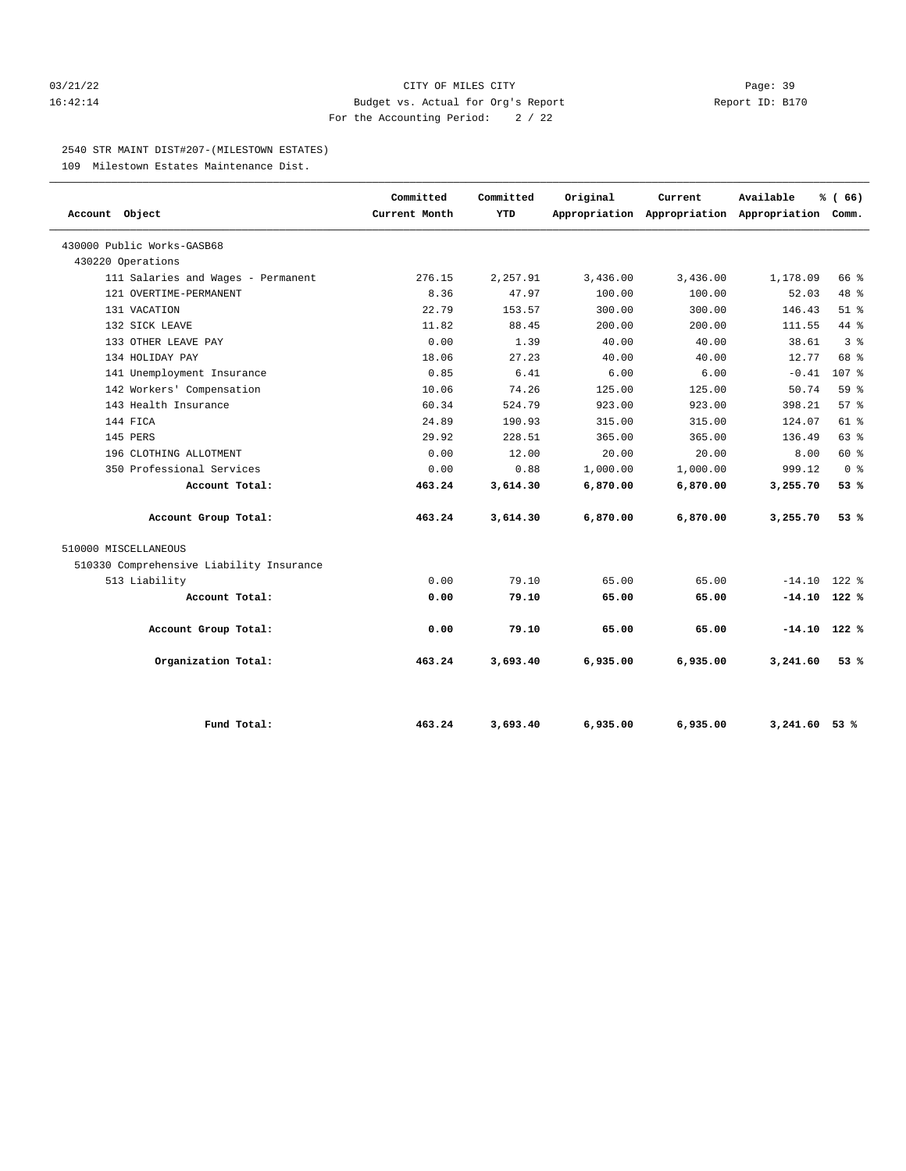#### 03/21/22 Page: 39 16:42:14 Budget vs. Actual for Org's Report Report ID: B170 For the Accounting Period: 2 / 22

#### 2540 STR MAINT DIST#207-(MILESTOWN ESTATES)

109 Milestown Estates Maintenance Dist.

| Account Object                           | Committed<br>Current Month | Committed<br><b>YTD</b> | Original | Current<br>Appropriation Appropriation Appropriation Comm. | Available       | % (66)           |
|------------------------------------------|----------------------------|-------------------------|----------|------------------------------------------------------------|-----------------|------------------|
| 430000 Public Works-GASB68               |                            |                         |          |                                                            |                 |                  |
| 430220 Operations                        |                            |                         |          |                                                            |                 |                  |
| 111 Salaries and Wages - Permanent       | 276.15                     | 2,257.91                | 3,436.00 | 3,436.00                                                   | 1,178.09        | 66 %             |
| 121 OVERTIME-PERMANENT                   | 8.36                       | 47.97                   | 100.00   | 100.00                                                     | 52.03           | 48 %             |
| 131 VACATION                             | 22.79                      | 153.57                  | 300.00   | 300.00                                                     | 146.43          | $51$ $%$         |
| 132 SICK LEAVE                           | 11.82                      | 88.45                   | 200.00   | 200.00                                                     | 111.55          | $44$ $%$         |
| 133 OTHER LEAVE PAY                      | 0.00                       | 1.39                    | 40.00    | 40.00                                                      | 38.61           | 3 <sup>8</sup>   |
| 134 HOLIDAY PAY                          | 18.06                      | 27.23                   | 40.00    | 40.00                                                      | 12.77           | 68 %             |
| 141 Unemployment Insurance               | 0.85                       | 6.41                    | 6.00     | 6.00                                                       | $-0.41$         | 107 <sub>8</sub> |
| 142 Workers' Compensation                | 10.06                      | 74.26                   | 125.00   | 125.00                                                     | 50.74           | 59%              |
| 143 Health Insurance                     | 60.34                      | 524.79                  | 923.00   | 923.00                                                     | 398.21          | 57%              |
| 144 FICA                                 | 24.89                      | 190.93                  | 315.00   | 315.00                                                     | 124.07          | $61$ %           |
| 145 PERS                                 | 29.92                      | 228.51                  | 365.00   | 365.00                                                     | 136.49          | 63%              |
| 196 CLOTHING ALLOTMENT                   | 0.00                       | 12.00                   | 20.00    | 20.00                                                      | 8.00            | 60 %             |
| 350 Professional Services                | 0.00                       | 0.88                    | 1,000.00 | 1,000.00                                                   | 999.12          | 0 <sup>8</sup>   |
| Account Total:                           | 463.24                     | 3,614.30                | 6,870.00 | 6,870.00                                                   | 3,255.70        | 53%              |
| Account Group Total:                     | 463.24                     | 3,614.30                | 6,870.00 | 6,870.00                                                   | 3,255.70        | 53%              |
| 510000 MISCELLANEOUS                     |                            |                         |          |                                                            |                 |                  |
| 510330 Comprehensive Liability Insurance |                            |                         |          |                                                            |                 |                  |
| 513 Liability                            | 0.00                       | 79.10                   | 65.00    | 65.00                                                      | $-14.10$ 122 %  |                  |
| Account Total:                           | 0.00                       | 79.10                   | 65.00    | 65.00                                                      | $-14.10$ 122 %  |                  |
| Account Group Total:                     | 0.00                       | 79.10                   | 65.00    | 65.00                                                      | $-14.10$ 122 %  |                  |
| Organization Total:                      | 463.24                     | 3,693.40                | 6,935.00 | 6,935.00                                                   | 3,241.60        | 53%              |
| Fund Total:                              | 463.24                     | 3,693.40                | 6,935.00 | 6,935.00                                                   | $3,241.60$ 53 % |                  |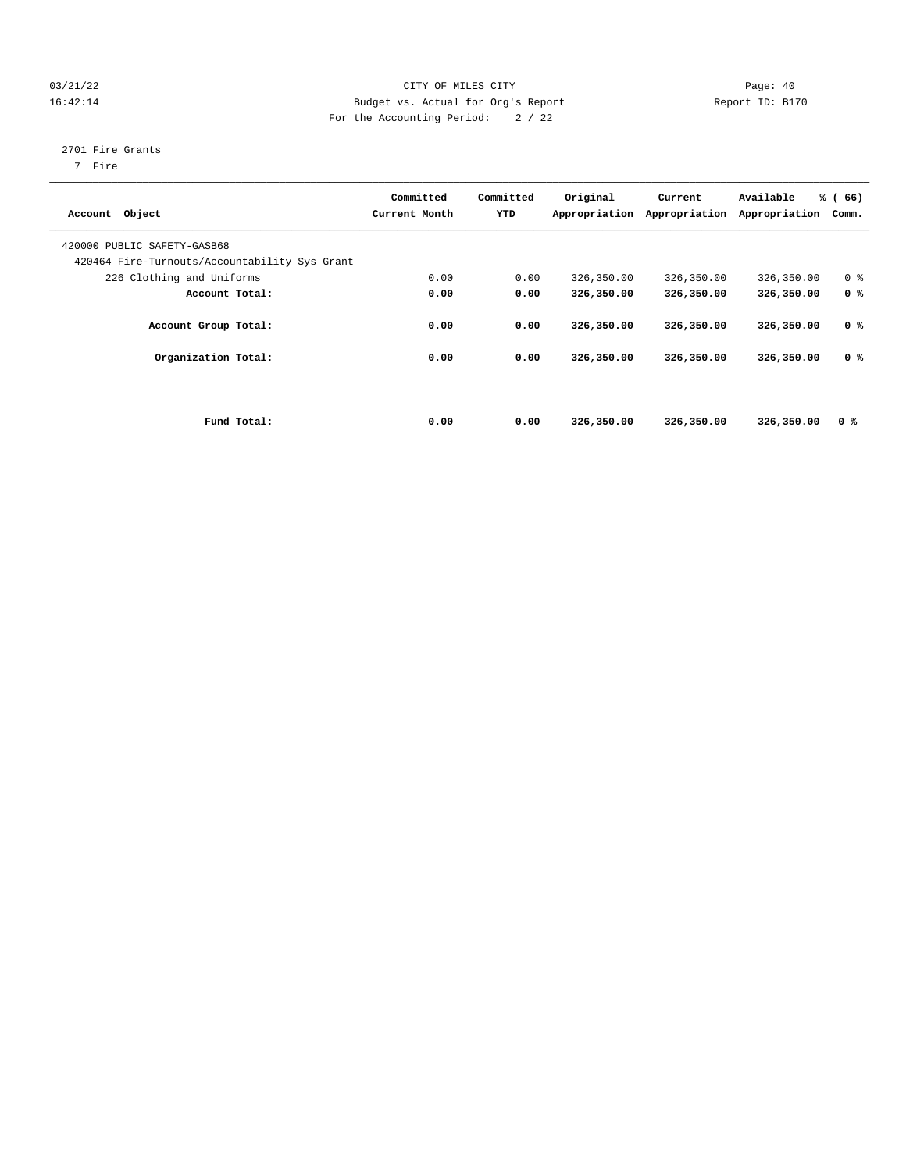#### 03/21/22 Page: 40 16:42:14 Budget vs. Actual for Org's Report Report ID: B170 For the Accounting Period: 2 / 22

#### 2701 Fire Grants

7 Fire

| Account Object              |                                               | Committed<br>Current Month | Committed<br>YTD | Original<br>Appropriation | Current<br>Appropriation | Available<br>Appropriation | % (66)<br>Comm. |
|-----------------------------|-----------------------------------------------|----------------------------|------------------|---------------------------|--------------------------|----------------------------|-----------------|
| 420000 PUBLIC SAFETY-GASB68 | 420464 Fire-Turnouts/Accountability Sys Grant |                            |                  |                           |                          |                            |                 |
|                             | 226 Clothing and Uniforms                     | 0.00                       | 0.00             | 326,350.00                | 326,350.00               | 326,350.00                 | 0 <sup>8</sup>  |
|                             | Account Total:                                | 0.00                       | 0.00             | 326,350.00                | 326,350.00               | 326,350.00                 | 0 <sup>8</sup>  |
|                             | Account Group Total:                          | 0.00                       | 0.00             | 326,350.00                | 326,350.00               | 326,350.00                 | 0 <sup>8</sup>  |
|                             | Organization Total:                           | 0.00                       | 0.00             | 326,350.00                | 326,350.00               | 326,350.00                 | 0 %             |
|                             |                                               |                            |                  |                           |                          |                            |                 |
|                             | Fund Total:                                   | 0.00                       | 0.00             | 326,350.00                | 326,350.00               | 326,350.00                 | 0 <sup>8</sup>  |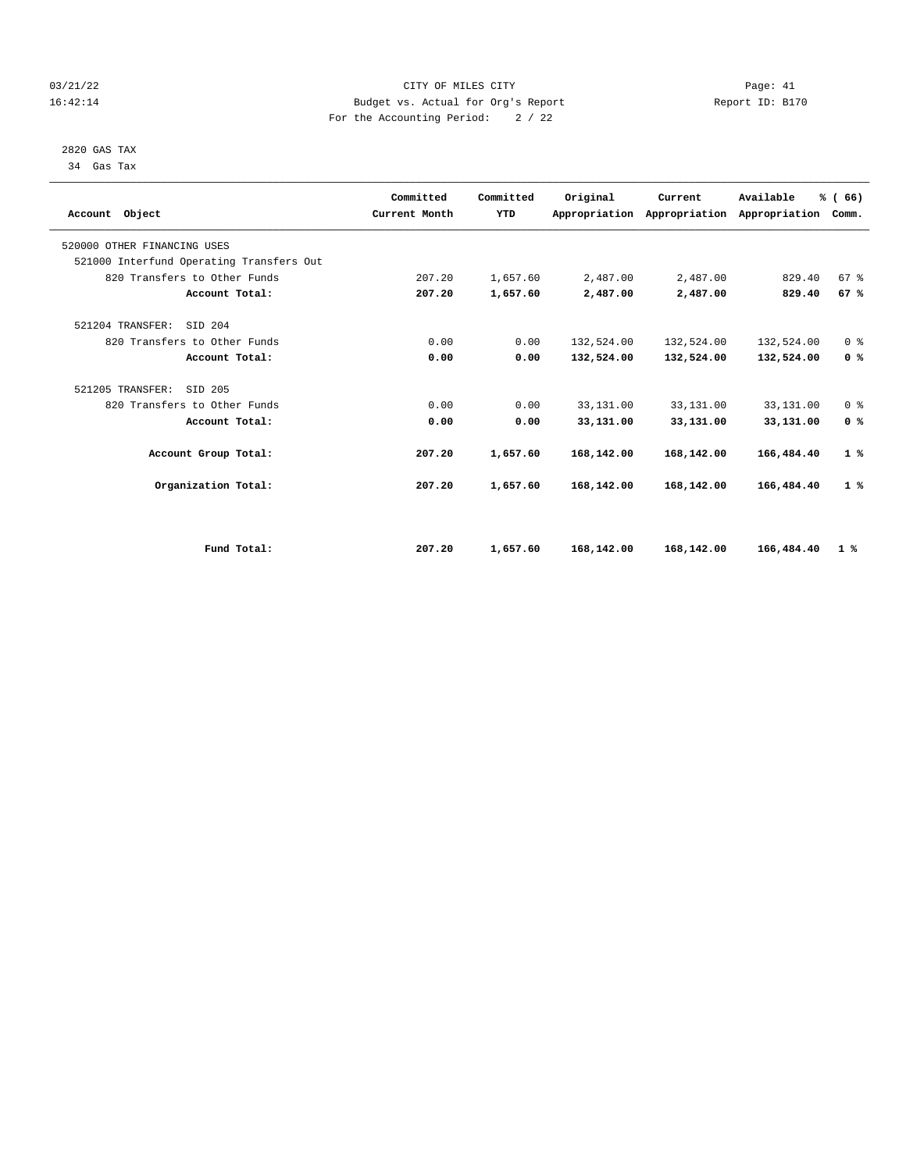#### 03/21/22 Page: 41 16:42:14 Budget vs. Actual for Org's Report Report ID: B170 For the Accounting Period: 2 / 22

 2820 GAS TAX 34 Gas Tax

| Account Object                           | Committed<br>Current Month | Committed<br><b>YTD</b> | Original   | Current<br>Appropriation Appropriation | Available<br>Appropriation | % (66)<br>Comm. |  |
|------------------------------------------|----------------------------|-------------------------|------------|----------------------------------------|----------------------------|-----------------|--|
| 520000 OTHER FINANCING USES              |                            |                         |            |                                        |                            |                 |  |
| 521000 Interfund Operating Transfers Out |                            |                         |            |                                        |                            |                 |  |
| 820 Transfers to Other Funds             | 207.20                     | 1,657.60                | 2,487.00   | 2,487.00                               | 829.40                     | 67%             |  |
| Account Total:                           | 207.20                     | 1,657.60                | 2,487.00   | 2,487.00                               | 829.40                     | 67%             |  |
| SID 204<br>521204 TRANSFER:              |                            |                         |            |                                        |                            |                 |  |
| 820 Transfers to Other Funds             | 0.00                       | 0.00                    | 132,524.00 | 132,524.00                             | 132,524.00                 | 0 <sup>8</sup>  |  |
| Account Total:                           | 0.00                       | 0.00                    | 132,524.00 | 132,524.00                             | 132,524.00                 | 0 <sup>8</sup>  |  |
| 521205 TRANSFER:<br>SID 205              |                            |                         |            |                                        |                            |                 |  |
| 820 Transfers to Other Funds             | 0.00                       | 0.00                    | 33,131.00  | 33,131.00                              | 33,131.00                  | 0 <sup>8</sup>  |  |
| Account Total:                           | 0.00                       | 0.00                    | 33,131.00  | 33,131.00                              | 33,131.00                  | 0 <sup>8</sup>  |  |
| Account Group Total:                     | 207.20                     | 1,657.60                | 168,142.00 | 168,142.00                             | 166,484.40                 | 1%              |  |
| Organization Total:                      | 207.20                     | 1,657.60                | 168,142.00 | 168,142.00                             | 166,484.40                 | 1%              |  |
|                                          |                            |                         |            |                                        |                            |                 |  |
| Fund Total:                              | 207.20                     | 1,657.60                | 168,142.00 | 168,142.00                             | 166,484.40                 | $1\degree$      |  |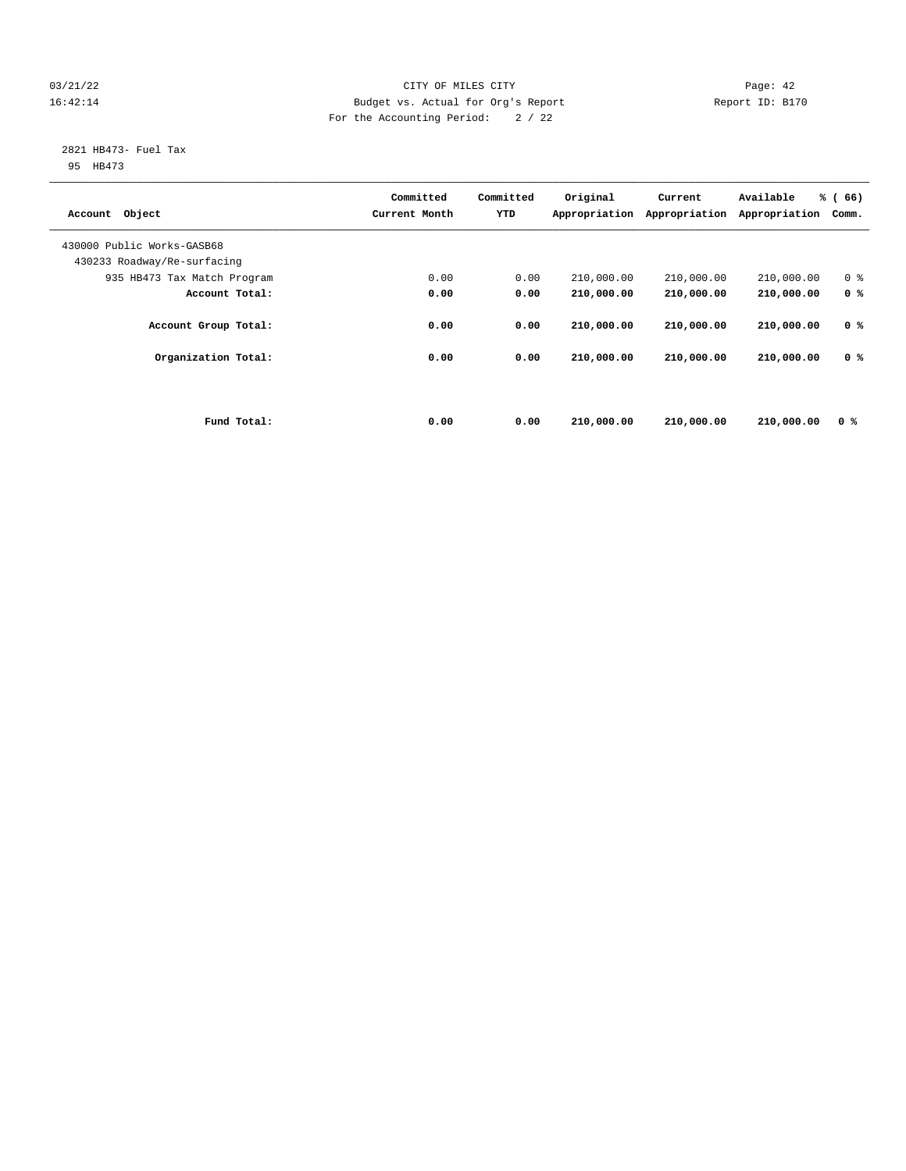#### 03/21/22 Page: 42 16:42:14 Budget vs. Actual for Org's Report Report ID: B170 For the Accounting Period: 2 / 22

## 2821 HB473- Fuel Tax

95 HB473

| Object<br>Account           |             | Committed<br>Current Month | Committed<br>YTD | Original<br>Appropriation | Current<br>Appropriation | Available<br>Appropriation | % (66)<br>Comm. |
|-----------------------------|-------------|----------------------------|------------------|---------------------------|--------------------------|----------------------------|-----------------|
| 430000 Public Works-GASB68  |             |                            |                  |                           |                          |                            |                 |
| 430233 Roadway/Re-surfacing |             |                            |                  |                           |                          |                            |                 |
| 935 HB473 Tax Match Program |             | 0.00                       | 0.00             | 210,000.00                | 210,000.00               | 210,000.00                 | 0 <sup>8</sup>  |
| Account Total:              |             | 0.00                       | 0.00             | 210,000.00                | 210,000.00               | 210,000.00                 | 0 <sup>8</sup>  |
| Account Group Total:        |             | 0.00                       | 0.00             | 210,000.00                | 210,000.00               | 210,000.00                 | 0 <sup>8</sup>  |
| Organization Total:         |             | 0.00                       | 0.00             | 210,000.00                | 210,000.00               | 210,000.00                 | 0 <sup>8</sup>  |
|                             | Fund Total: | 0.00                       | 0.00             | 210,000.00                | 210,000.00               | 210,000.00                 | 0 %             |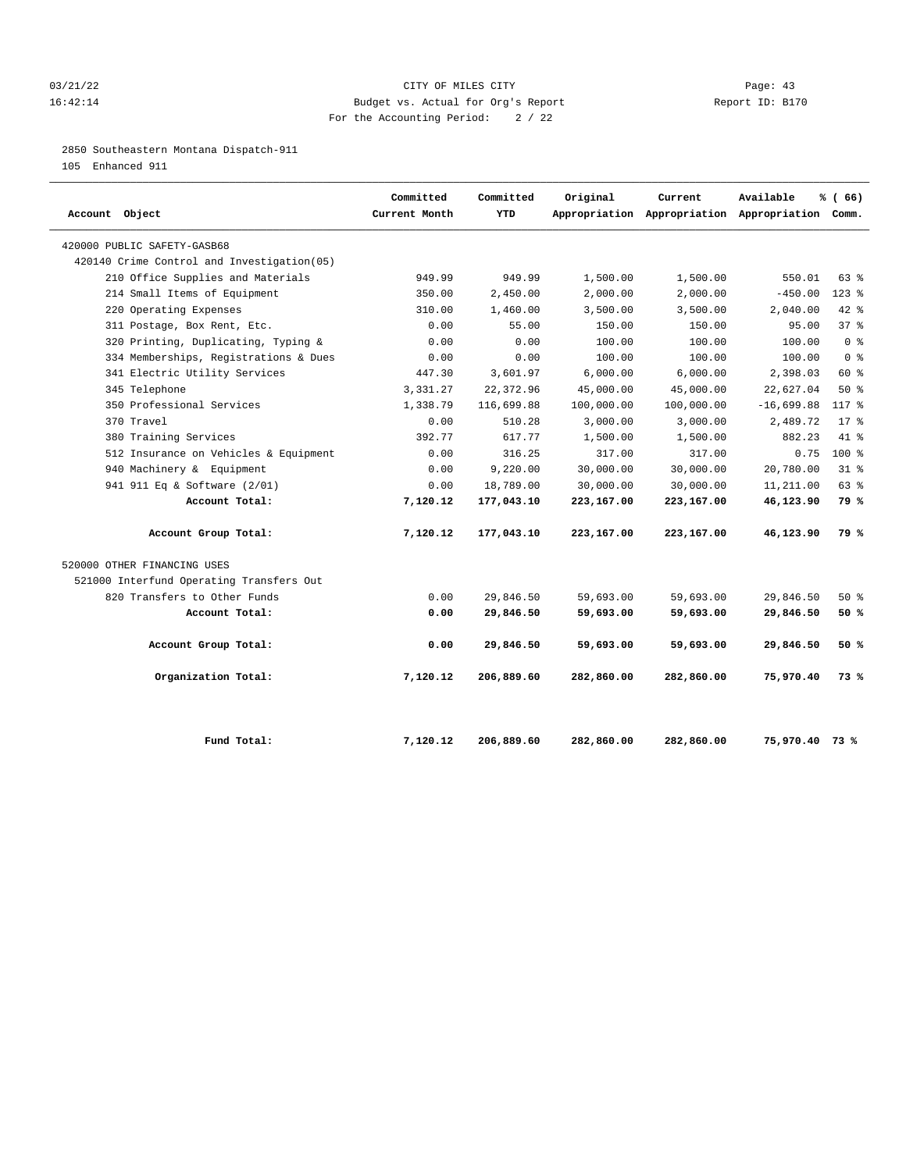#### 03/21/22 Page: 43 16:42:14 Budget vs. Actual for Org's Report Report ID: B170 For the Accounting Period: 2 / 22

#### 2850 Southeastern Montana Dispatch-911

105 Enhanced 911

| Account Object                             | Committed<br>Current Month | Committed<br><b>YTD</b> | Original   | Current    | Available<br>Appropriation Appropriation Appropriation Comm. | % (66)         |
|--------------------------------------------|----------------------------|-------------------------|------------|------------|--------------------------------------------------------------|----------------|
| 420000 PUBLIC SAFETY-GASB68                |                            |                         |            |            |                                                              |                |
| 420140 Crime Control and Investigation(05) |                            |                         |            |            |                                                              |                |
| 210 Office Supplies and Materials          | 949.99                     | 949.99                  | 1,500.00   | 1,500.00   | 550.01                                                       | $63$ $%$       |
| 214 Small Items of Equipment               | 350.00                     | 2,450.00                | 2,000.00   | 2,000.00   | $-450.00$                                                    | $123$ $%$      |
| 220 Operating Expenses                     | 310.00                     | 1,460.00                | 3,500.00   | 3,500.00   | 2,040.00                                                     | $42$ $%$       |
| 311 Postage, Box Rent, Etc.                | 0.00                       | 55.00                   | 150.00     | 150.00     | 95.00                                                        | 37%            |
| 320 Printing, Duplicating, Typing &        | 0.00                       | 0.00                    | 100.00     | 100.00     | 100.00                                                       | 0 <sup>8</sup> |
| 334 Memberships, Registrations & Dues      | 0.00                       | 0.00                    | 100.00     | 100.00     | 100.00                                                       | 0 <sup>8</sup> |
| 341 Electric Utility Services              | 447.30                     | 3,601.97                | 6,000.00   | 6,000.00   | 2,398.03                                                     | 60 %           |
| 345 Telephone                              | 3,331.27                   | 22, 372.96              | 45,000.00  | 45,000.00  | 22,627.04                                                    | $50*$          |
| 350 Professional Services                  | 1,338.79                   | 116,699.88              | 100,000.00 | 100,000.00 | $-16,699.88$                                                 | 117 %          |
| 370 Travel                                 | 0.00                       | 510.28                  | 3,000.00   | 3,000.00   | 2,489.72                                                     | $17*$          |
| 380 Training Services                      | 392.77                     | 617.77                  | 1,500.00   | 1,500.00   | 882.23                                                       | $41*$          |
| 512 Insurance on Vehicles & Equipment      | 0.00                       | 316.25                  | 317.00     | 317.00     | 0.75                                                         | $100*$         |
| 940 Machinery & Equipment                  | 0.00                       | 9.220.00                | 30,000.00  | 30,000.00  | 20,780.00                                                    | $31*$          |
| 941 911 Eq & Software (2/01)               | 0.00                       | 18,789.00               | 30,000.00  | 30,000.00  | 11,211.00                                                    | 63 %           |
| Account Total:                             | 7,120.12                   | 177,043.10              | 223,167.00 | 223,167.00 | 46,123.90                                                    | 79 %           |
| Account Group Total:                       | 7,120.12                   | 177,043.10              | 223,167.00 | 223,167.00 | 46,123.90                                                    | 79 %           |
| 520000 OTHER FINANCING USES                |                            |                         |            |            |                                                              |                |
| 521000 Interfund Operating Transfers Out   |                            |                         |            |            |                                                              |                |
| 820 Transfers to Other Funds               | 0.00                       | 29,846.50               | 59,693.00  | 59,693.00  | 29,846.50                                                    | $50*$          |
| Account Total:                             | 0.00                       | 29,846.50               | 59,693.00  | 59,693.00  | 29,846.50                                                    | 50%            |
| Account Group Total:                       | 0.00                       | 29,846.50               | 59,693.00  | 59,693.00  | 29,846.50                                                    | 50%            |
| Organization Total:                        | 7,120.12                   | 206,889.60              | 282,860.00 | 282,860.00 | 75,970.40                                                    | 73%            |
| Fund Total:                                | 7,120.12                   | 206,889.60              | 282,860.00 | 282,860.00 | 75,970.40 73 %                                               |                |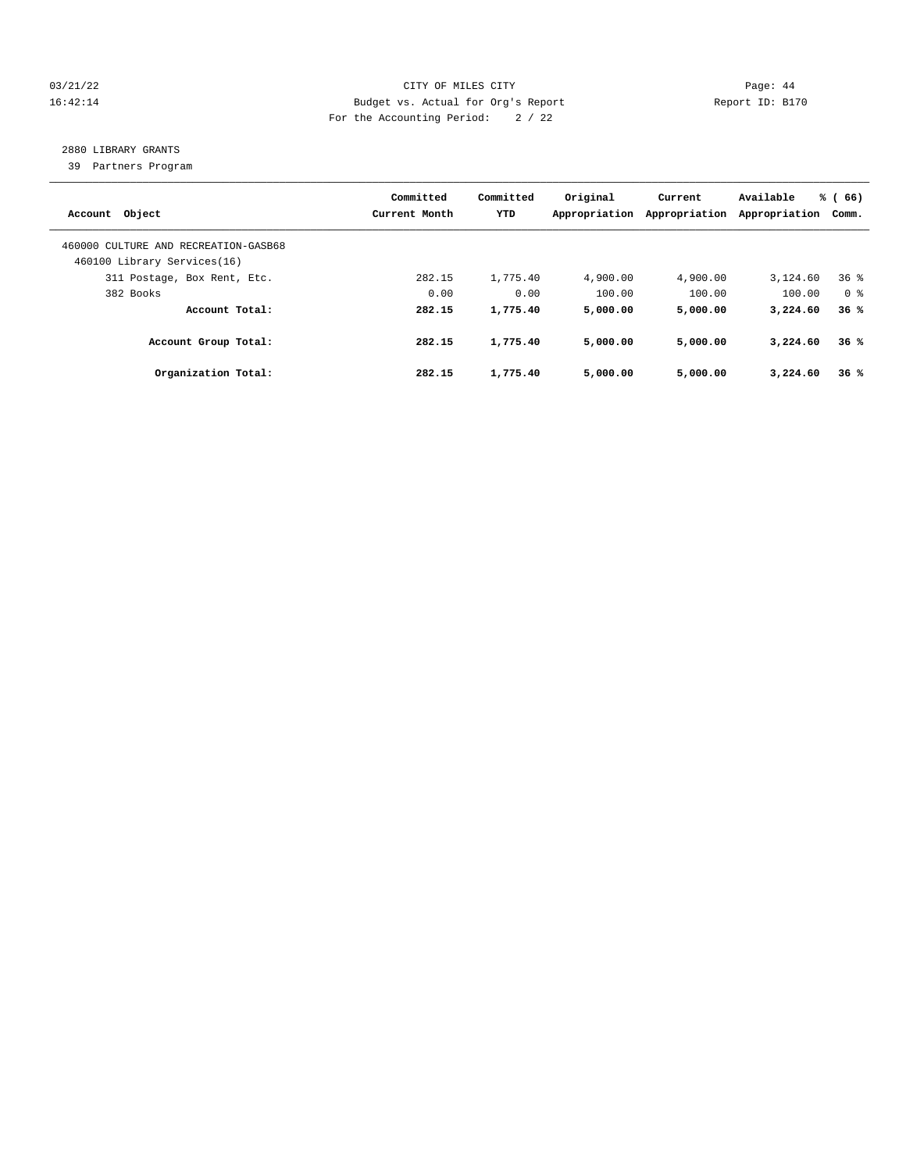#### 03/21/22 Page: 44 16:42:14 Budget vs. Actual for Org's Report Report ID: B170 For the Accounting Period: 2 / 22

### 2880 LIBRARY GRANTS

39 Partners Program

| Account Object                                                      | Committed<br>Current Month | Committed<br><b>YTD</b> | Original<br>Appropriation | Current<br>Appropriation | Available<br>Appropriation | % (66)<br>Comm. |
|---------------------------------------------------------------------|----------------------------|-------------------------|---------------------------|--------------------------|----------------------------|-----------------|
| 460000 CULTURE AND RECREATION-GASB68<br>460100 Library Services(16) |                            |                         |                           |                          |                            |                 |
| 311 Postage, Box Rent, Etc.                                         | 282.15                     | 1,775.40                | 4,900.00                  | 4,900.00                 | 3,124.60                   | 36 <sup>8</sup> |
| 382 Books                                                           | 0.00                       | 0.00                    | 100.00                    | 100.00                   | 100.00                     | 0 <sup>8</sup>  |
| Account Total:                                                      | 282.15                     | 1,775.40                | 5,000.00                  | 5,000.00                 | 3,224.60                   | 36%             |
| Account Group Total:                                                | 282.15                     | 1,775.40                | 5,000.00                  | 5,000.00                 | 3,224.60                   | 36%             |
| Organization Total:                                                 | 282.15                     | 1,775.40                | 5,000.00                  | 5,000.00                 | 3,224.60                   | 36%             |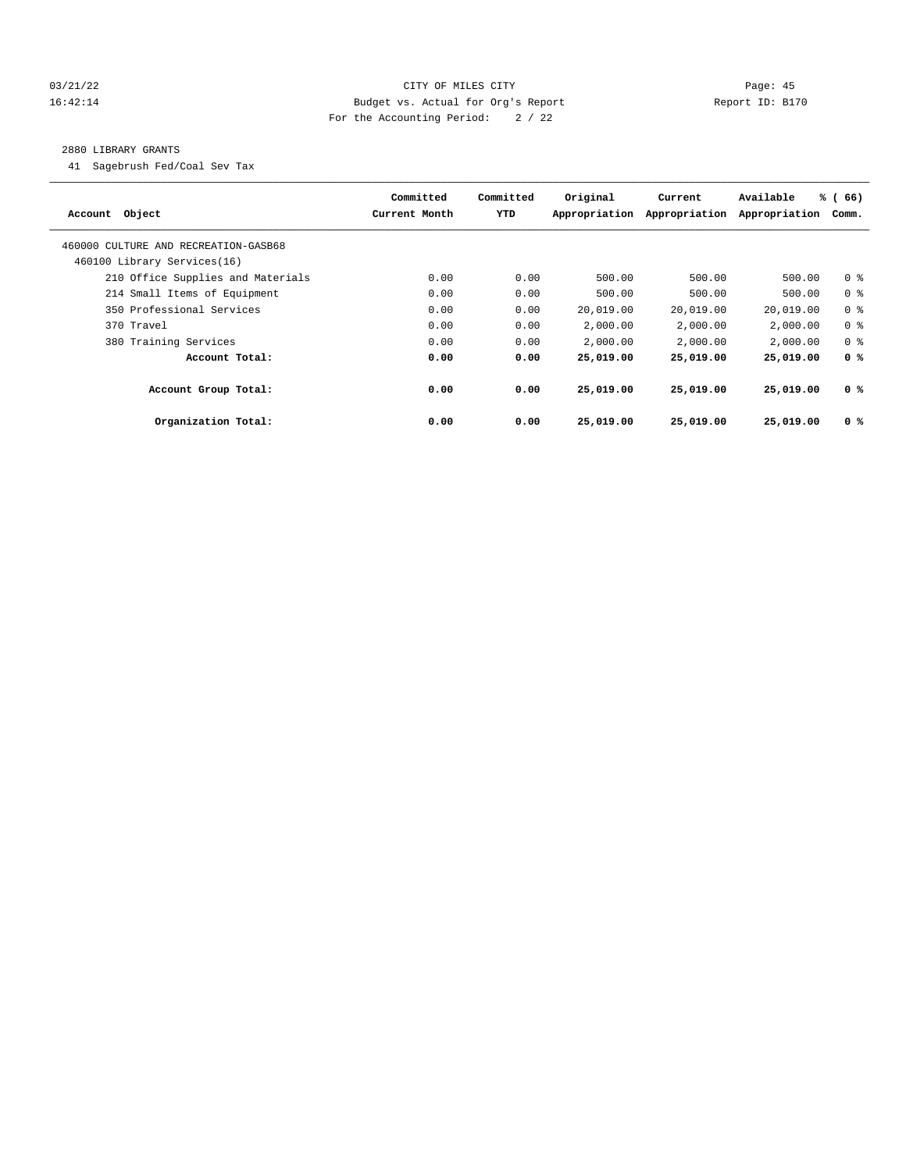#### 03/21/22 Page: 45 16:42:14 Budget vs. Actual for Org's Report Report ID: B170 For the Accounting Period: 2 / 22

#### 2880 LIBRARY GRANTS

41 Sagebrush Fed/Coal Sev Tax

| Account Object                       | Committed<br>Current Month | Committed<br>YTD | Original<br>Appropriation | Current<br>Appropriation | Available<br>Appropriation | % (66)<br>Comm. |
|--------------------------------------|----------------------------|------------------|---------------------------|--------------------------|----------------------------|-----------------|
| 460000 CULTURE AND RECREATION-GASB68 |                            |                  |                           |                          |                            |                 |
| 460100 Library Services(16)          |                            |                  |                           |                          |                            |                 |
| 210 Office Supplies and Materials    | 0.00                       | 0.00             | 500.00                    | 500.00                   | 500.00                     | 0 <sup>8</sup>  |
| 214 Small Items of Equipment         | 0.00                       | 0.00             | 500.00                    | 500.00                   | 500.00                     | 0 <sup>8</sup>  |
| 350 Professional Services            | 0.00                       | 0.00             | 20,019.00                 | 20,019.00                | 20,019.00                  | 0 <sup>8</sup>  |
| 370 Travel                           | 0.00                       | 0.00             | 2,000.00                  | 2,000.00                 | 2,000.00                   | 0 <sup>8</sup>  |
| 380 Training Services                | 0.00                       | 0.00             | 2,000.00                  | 2,000.00                 | 2,000.00                   | 0 <sup>8</sup>  |
| Account Total:                       | 0.00                       | 0.00             | 25,019.00                 | 25,019.00                | 25,019.00                  | 0 <sup>8</sup>  |
| Account Group Total:                 | 0.00                       | 0.00             | 25,019.00                 | 25,019.00                | 25,019.00                  | 0 %             |
| Organization Total:                  | 0.00                       | 0.00             | 25,019.00                 | 25,019.00                | 25,019.00                  | 0 <sup>8</sup>  |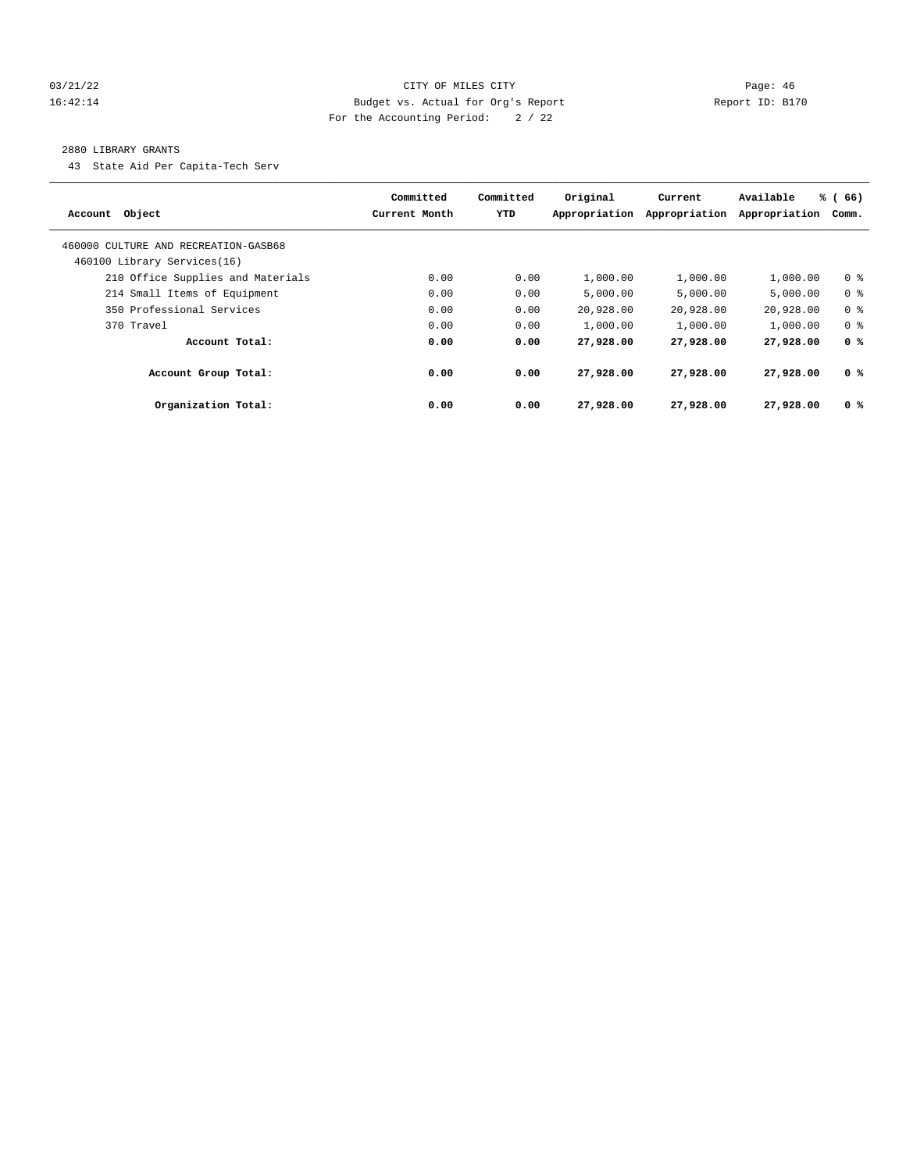#### 03/21/22 Page: 46 16:42:14 Budget vs. Actual for Org's Report Report ID: B170 For the Accounting Period: 2 / 22

#### 2880 LIBRARY GRANTS

43 State Aid Per Capita-Tech Serv

| Account Object                       | Committed<br>Current Month | Committed<br><b>YTD</b> | Original<br>Appropriation | Current<br>Appropriation | Available<br>Appropriation | % (66)<br>Comm. |
|--------------------------------------|----------------------------|-------------------------|---------------------------|--------------------------|----------------------------|-----------------|
| 460000 CULTURE AND RECREATION-GASB68 |                            |                         |                           |                          |                            |                 |
| 460100 Library Services(16)          |                            |                         |                           |                          |                            |                 |
| 210 Office Supplies and Materials    | 0.00                       | 0.00                    | 1,000.00                  | 1,000.00                 | 1,000.00                   | 0 <sup>8</sup>  |
| 214 Small Items of Equipment         | 0.00                       | 0.00                    | 5.000.00                  | 5.000.00                 | 5.000.00                   | 0 <sup>8</sup>  |
| 350 Professional Services            | 0.00                       | 0.00                    | 20,928.00                 | 20,928.00                | 20,928.00                  | 0 <sup>8</sup>  |
| 370 Travel                           | 0.00                       | 0.00                    | 1,000.00                  | 1,000.00                 | 1,000.00                   | 0 <sup>8</sup>  |
| Account Total:                       | 0.00                       | 0.00                    | 27,928.00                 | 27,928.00                | 27,928.00                  | 0 <sup>8</sup>  |
| Account Group Total:                 | 0.00                       | 0.00                    | 27,928.00                 | 27,928,00                | 27,928.00                  | 0 %             |
| Organization Total:                  | 0.00                       | 0.00                    | 27,928.00                 | 27,928.00                | 27,928.00                  | 0 <sup>8</sup>  |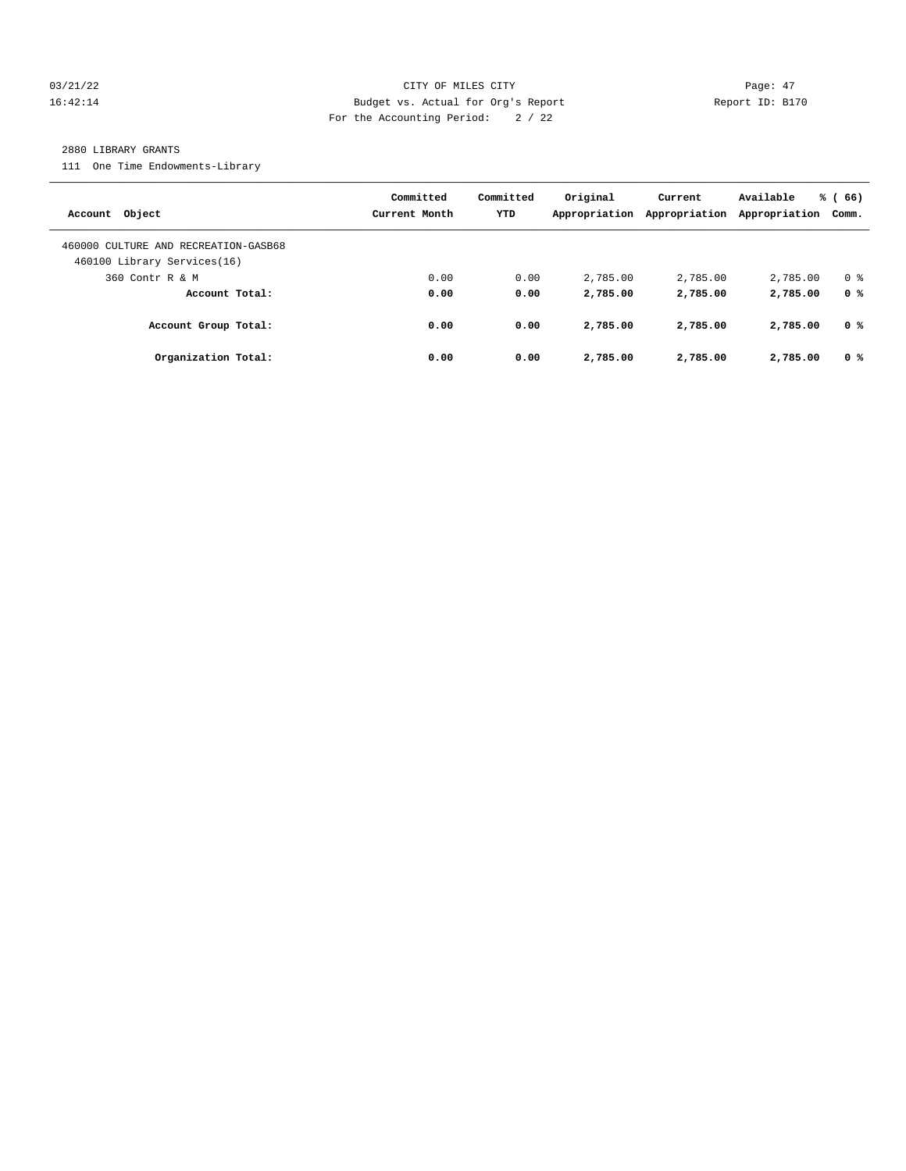#### 03/21/22 Page: 47 16:42:14 Budget vs. Actual for Org's Report Report ID: B170 For the Accounting Period: 2 / 22

#### 2880 LIBRARY GRANTS

111 One Time Endowments-Library

| Account Object                                                      | Committed<br>Current Month | Committed<br><b>YTD</b> | Original<br>Appropriation | Current<br>Appropriation | Available<br>Appropriation | % (66)<br>Comm. |
|---------------------------------------------------------------------|----------------------------|-------------------------|---------------------------|--------------------------|----------------------------|-----------------|
| 460000 CULTURE AND RECREATION-GASB68<br>460100 Library Services(16) |                            |                         |                           |                          |                            |                 |
| 360 Contr R & M                                                     | 0.00                       | 0.00                    | 2,785.00                  | 2,785.00                 | 2,785.00                   | 0 <sup>8</sup>  |
| Account Total:                                                      | 0.00                       | 0.00                    | 2,785.00                  | 2,785.00                 | 2,785.00                   | 0 <sup>8</sup>  |
| Account Group Total:                                                | 0.00                       | 0.00                    | 2,785.00                  | 2,785.00                 | 2,785.00                   | 0 %             |
| Organization Total:                                                 | 0.00                       | 0.00                    | 2,785.00                  | 2,785.00                 | 2,785.00                   | 0 <sup>8</sup>  |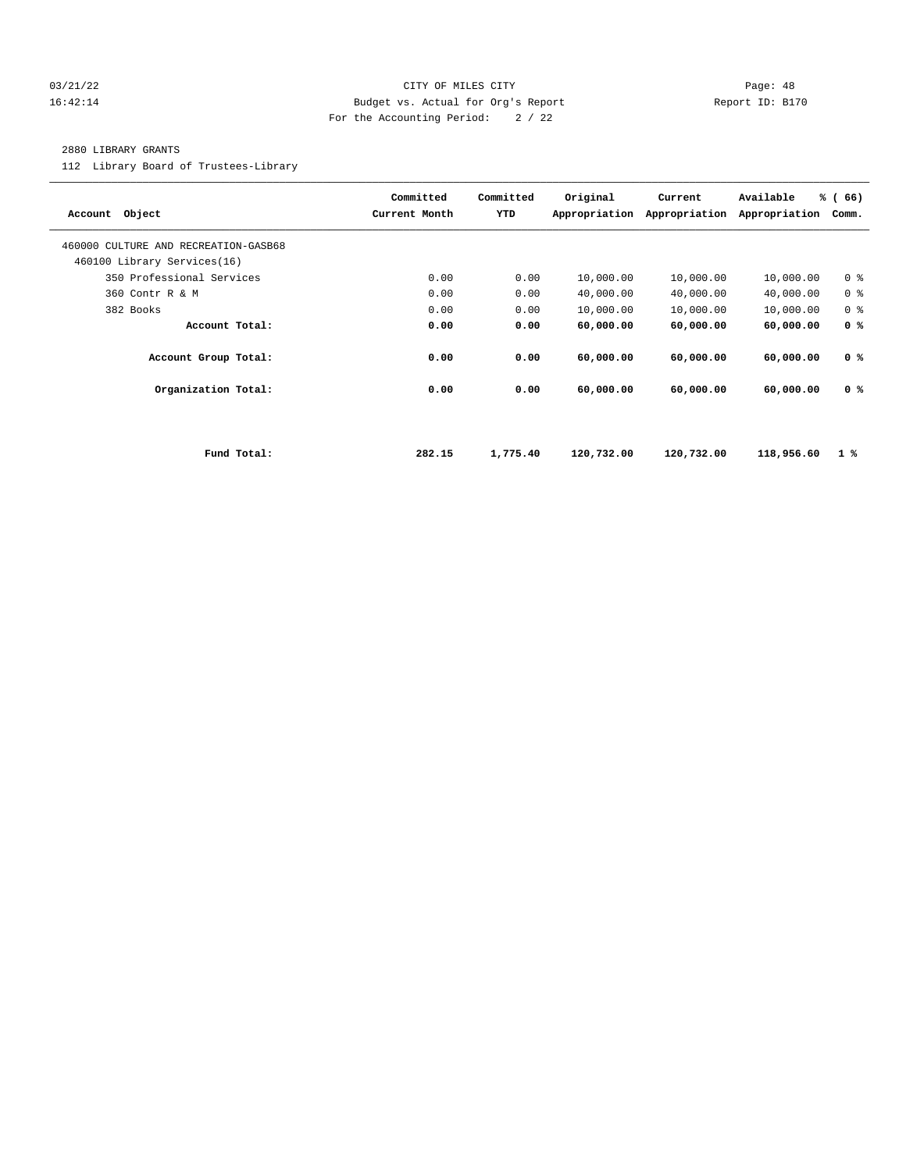#### 03/21/22 Page: 48 16:42:14 Budget vs. Actual for Org's Report Report ID: B170 For the Accounting Period: 2 / 22

#### 2880 LIBRARY GRANTS

112 Library Board of Trustees-Library

| Account Object                                                      |             | Committed<br>Current Month | Committed<br>YTD | Original<br>Appropriation | Current<br>Appropriation | Available<br>Appropriation | % (66)<br>Comm. |
|---------------------------------------------------------------------|-------------|----------------------------|------------------|---------------------------|--------------------------|----------------------------|-----------------|
| 460000 CULTURE AND RECREATION-GASB68<br>460100 Library Services(16) |             |                            |                  |                           |                          |                            |                 |
| 350 Professional Services                                           |             | 0.00                       | 0.00             | 10,000.00                 | 10,000.00                | 10,000.00                  | 0 <sup>8</sup>  |
| 360 Contr R & M                                                     |             | 0.00                       | 0.00             | 40,000.00                 | 40,000.00                | 40,000.00                  | 0 <sup>8</sup>  |
| 382 Books                                                           |             | 0.00                       | 0.00             | 10,000.00                 | 10,000.00                | 10,000.00                  | 0 <sup>8</sup>  |
| Account Total:                                                      |             | 0.00                       | 0.00             | 60,000.00                 | 60,000.00                | 60,000.00                  | 0 <sup>8</sup>  |
| Account Group Total:                                                |             | 0.00                       | 0.00             | 60,000.00                 | 60,000.00                | 60,000.00                  | 0 <sup>8</sup>  |
| Organization Total:                                                 |             | 0.00                       | 0.00             | 60,000.00                 | 60,000.00                | 60,000.00                  | 0 <sup>8</sup>  |
|                                                                     |             |                            |                  |                           |                          |                            |                 |
|                                                                     | Fund Total: | 282.15                     | 1,775.40         | 120,732.00                | 120,732.00               | 118,956.60                 | $1\degree$      |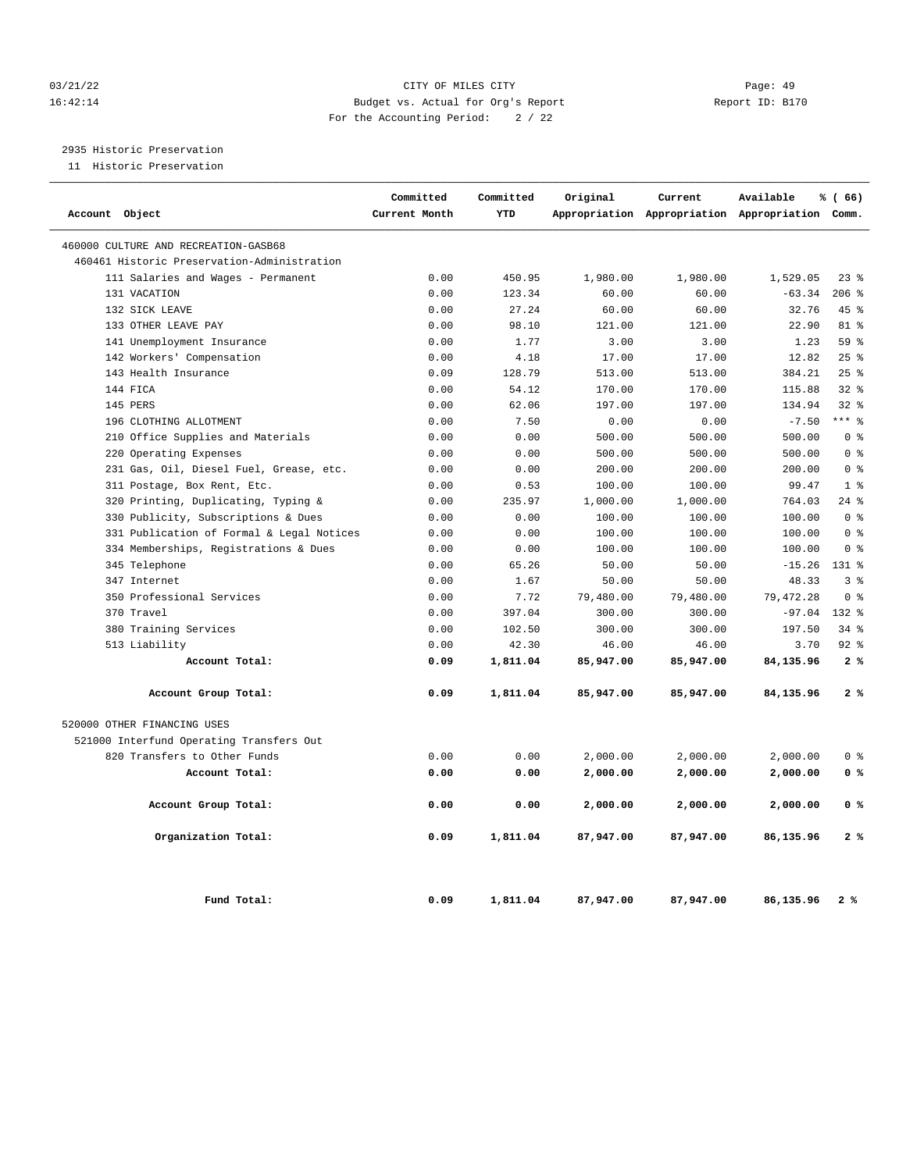#### 03/21/22 Page: 49 16:42:14 Budget vs. Actual for Org's Report Report ID: B170 For the Accounting Period: 2 / 22

2935 Historic Preservation

11 Historic Preservation

| Account Object                              | Committed<br>Current Month | Committed<br>YTD | Original  | Current   | Available<br>Appropriation Appropriation Appropriation Comm. | % (66)         |
|---------------------------------------------|----------------------------|------------------|-----------|-----------|--------------------------------------------------------------|----------------|
|                                             |                            |                  |           |           |                                                              |                |
| 460000 CULTURE AND RECREATION-GASB68        |                            |                  |           |           |                                                              |                |
| 460461 Historic Preservation-Administration |                            |                  |           |           |                                                              |                |
| 111 Salaries and Wages - Permanent          | 0.00                       | 450.95           | 1,980.00  | 1,980.00  | 1,529.05                                                     | $23$ $%$       |
| 131 VACATION                                | 0.00                       | 123.34           | 60.00     | 60.00     | $-63.34$                                                     | 206%           |
| 132 SICK LEAVE                              | 0.00                       | 27.24            | 60.00     | 60.00     | 32.76                                                        | $45*$          |
| 133 OTHER LEAVE PAY                         | 0.00                       | 98.10            | 121.00    | 121.00    | 22.90                                                        | 81 %           |
| 141 Unemployment Insurance                  | 0.00                       | 1.77             | 3.00      | 3.00      | 1.23                                                         | 59 %           |
| 142 Workers' Compensation                   | 0.00                       | 4.18             | 17.00     | 17.00     | 12.82                                                        | 25%            |
| 143 Health Insurance                        | 0.09                       | 128.79           | 513.00    | 513.00    | 384.21                                                       | 25%            |
| 144 FICA                                    | 0.00                       | 54.12            | 170.00    | 170.00    | 115.88                                                       | $32$ $%$       |
| 145 PERS                                    | 0.00                       | 62.06            | 197.00    | 197.00    | 134.94                                                       | $32$ $%$       |
| 196 CLOTHING ALLOTMENT                      | 0.00                       | 7.50             | 0.00      | 0.00      | $-7.50$                                                      | $***$ 8        |
| 210 Office Supplies and Materials           | 0.00                       | 0.00             | 500.00    | 500.00    | 500.00                                                       | 0 <sup>8</sup> |
| 220 Operating Expenses                      | 0.00                       | 0.00             | 500.00    | 500.00    | 500.00                                                       | 0 <sup>8</sup> |
| 231 Gas, Oil, Diesel Fuel, Grease, etc.     | 0.00                       | 0.00             | 200.00    | 200.00    | 200.00                                                       | 0 <sup>8</sup> |
| 311 Postage, Box Rent, Etc.                 | 0.00                       | 0.53             | 100.00    | 100.00    | 99.47                                                        | 1 <sup>8</sup> |
| 320 Printing, Duplicating, Typing &         | 0.00                       | 235.97           | 1,000.00  | 1,000.00  | 764.03                                                       | $24$ %         |
| Publicity, Subscriptions & Dues<br>330      | 0.00                       | 0.00             | 100.00    | 100.00    | 100.00                                                       | 0 <sup>8</sup> |
| 331 Publication of Formal & Legal Notices   | 0.00                       | 0.00             | 100.00    | 100.00    | 100.00                                                       | 0 <sup>8</sup> |
| 334 Memberships, Registrations & Dues       | 0.00                       | 0.00             | 100.00    | 100.00    | 100.00                                                       | 0 <sup>°</sup> |
| 345 Telephone                               | 0.00                       | 65.26            | 50.00     | 50.00     | $-15.26$                                                     | 131 %          |
| 347 Internet                                | 0.00                       | 1.67             | 50.00     | 50.00     | 48.33                                                        | 3 <sup>8</sup> |
| 350 Professional Services                   | 0.00                       | 7.72             | 79,480.00 | 79,480.00 | 79, 472.28                                                   | 0 <sup>8</sup> |
| 370 Travel                                  | 0.00                       | 397.04           | 300.00    | 300.00    | $-97.04$                                                     | $132*$         |
| 380 Training Services                       | 0.00                       | 102.50           | 300.00    | 300.00    | 197.50                                                       | $34$ $%$       |
| 513 Liability                               | 0.00                       | 42.30            | 46.00     | 46.00     | 3.70                                                         | $92$ $%$       |
| Account Total:                              | 0.09                       | 1,811.04         | 85,947.00 | 85,947.00 | 84,135.96                                                    | 2%             |
| Account Group Total:                        | 0.09                       | 1,811.04         | 85,947.00 | 85,947.00 | 84,135.96                                                    | 2%             |
| 520000 OTHER FINANCING USES                 |                            |                  |           |           |                                                              |                |
| 521000 Interfund Operating Transfers Out    |                            |                  |           |           |                                                              |                |
| 820 Transfers to Other Funds                | 0.00                       | 0.00             | 2,000.00  | 2,000.00  | 2,000.00                                                     | 0 <sup>8</sup> |
| Account Total:                              | 0.00                       | 0.00             | 2,000.00  | 2,000.00  | 2,000.00                                                     | 0 <sup>8</sup> |
| Account Group Total:                        | 0.00                       | 0.00             | 2,000.00  | 2,000.00  | 2,000.00                                                     | 0 <sup>8</sup> |
| Organization Total:                         | 0.09                       | 1,811.04         | 87,947.00 | 87,947.00 | 86,135.96                                                    | 2%             |
| Fund Total:                                 | 0.09                       | 1,811.04         | 87,947.00 | 87,947.00 | 86,135.96                                                    | 2%             |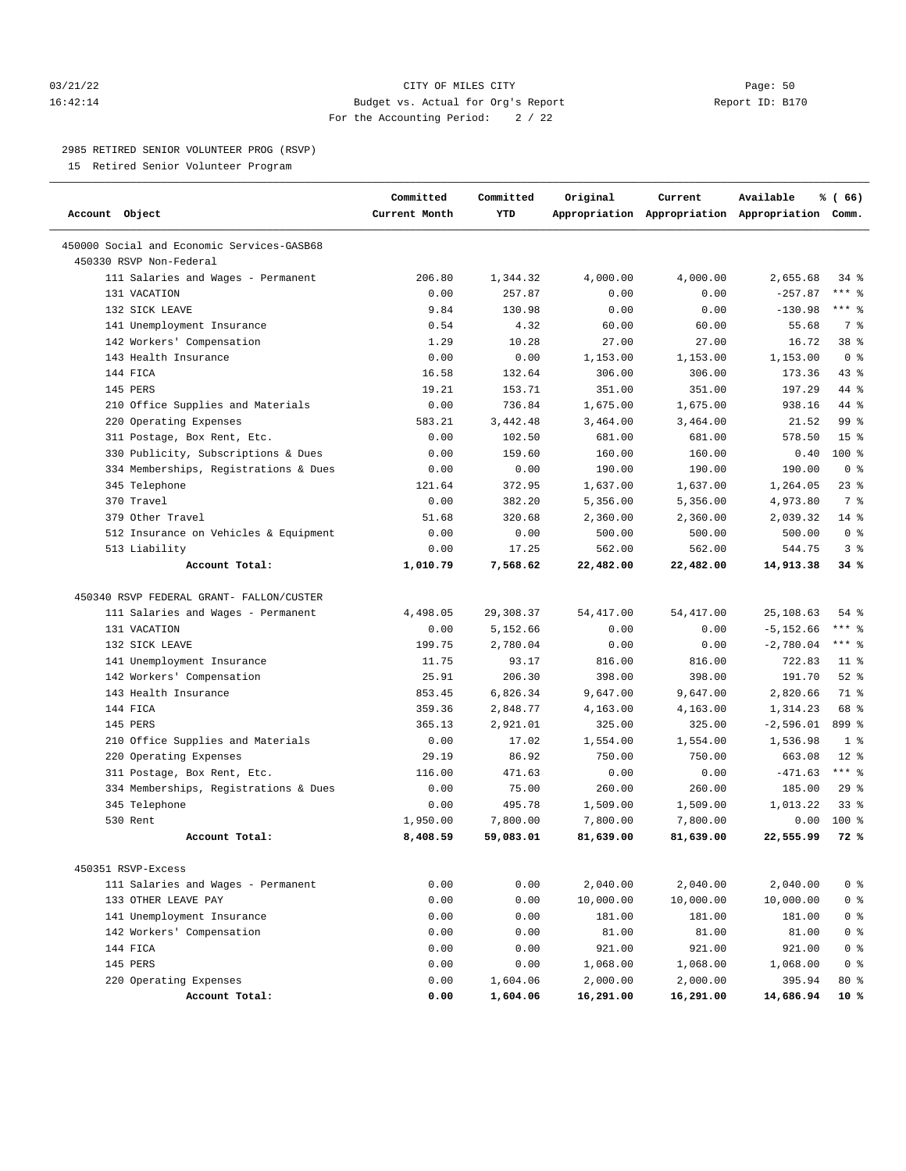#### 03/21/22 Page: 50 16:42:14 Budget vs. Actual for Org's Report Report ID: B170 For the Accounting Period: 2 / 22

#### 2985 RETIRED SENIOR VOLUNTEER PROG (RSVP)

15 Retired Senior Volunteer Program

| Account Object                                                        | Committed<br>Current Month | Committed<br>YTD  | Original           | Current            | Available<br>Appropriation Appropriation Appropriation Comm. | % (66)                  |
|-----------------------------------------------------------------------|----------------------------|-------------------|--------------------|--------------------|--------------------------------------------------------------|-------------------------|
| 450000 Social and Economic Services-GASB68<br>450330 RSVP Non-Federal |                            |                   |                    |                    |                                                              |                         |
| 111 Salaries and Wages - Permanent                                    | 206.80                     | 1,344.32          | 4,000.00           | 4,000.00           | 2,655.68                                                     | 34 %                    |
| 131 VACATION                                                          | 0.00                       | 257.87            | 0.00               | 0.00               | $-257.87$                                                    | $***$ $%$               |
| 132 SICK LEAVE                                                        | 9.84                       | 130.98            | 0.00               | 0.00               | $-130.98$                                                    | $***$ $-$               |
| 141 Unemployment Insurance                                            | 0.54                       | 4.32              | 60.00              | 60.00              | 55.68                                                        | 7 %                     |
| 142 Workers' Compensation                                             | 1.29                       | 10.28             | 27.00              | 27.00              | 16.72                                                        | 38 %                    |
| 143 Health Insurance                                                  | 0.00                       | 0.00              | 1,153.00           | 1,153.00           | 1,153.00                                                     | 0 <sup>8</sup>          |
| 144 FICA                                                              | 16.58                      | 132.64            | 306.00             | 306.00             | 173.36                                                       | 43 %                    |
| 145 PERS                                                              | 19.21                      | 153.71            | 351.00             | 351.00             | 197.29                                                       | 44 %                    |
| 210 Office Supplies and Materials                                     | 0.00                       | 736.84            | 1,675.00           | 1,675.00           | 938.16                                                       | 44 %                    |
| 220 Operating Expenses                                                | 583.21                     | 3,442.48          | 3,464.00           | 3,464.00           | 21.52                                                        | 99 %                    |
| 311 Postage, Box Rent, Etc.                                           | 0.00                       | 102.50            | 681.00             | 681.00             | 578.50                                                       | 15 <sup>°</sup>         |
| 330 Publicity, Subscriptions & Dues                                   | 0.00                       | 159.60            | 160.00             | 160.00             | 0.40                                                         | 100%                    |
| 334 Memberships, Registrations & Dues                                 | 0.00                       | 0.00              | 190.00             | 190.00             | 190.00                                                       | 0 <sup>8</sup>          |
| 345 Telephone                                                         | 121.64                     | 372.95            | 1,637.00           | 1,637.00           | 1,264.05                                                     | 23%                     |
| 370 Travel                                                            | 0.00                       | 382.20            | 5,356.00           | 5,356.00           | 4,973.80                                                     | 7 %                     |
| 379 Other Travel                                                      | 51.68                      | 320.68            | 2,360.00           | 2,360.00           | 2,039.32                                                     | $14*$                   |
| 512 Insurance on Vehicles & Equipment                                 | 0.00                       | 0.00              | 500.00             | 500.00             | 500.00                                                       | 0 <sup>8</sup>          |
| 513 Liability                                                         | 0.00                       | 17.25             | 562.00             | 562.00             | 544.75                                                       | 3%                      |
| Account Total:                                                        | 1,010.79                   | 7,568.62          | 22,482.00          | 22,482.00          | 14,913.38                                                    | 34 %                    |
|                                                                       |                            |                   |                    |                    |                                                              |                         |
| 450340 RSVP FEDERAL GRANT- FALLON/CUSTER                              |                            |                   |                    |                    |                                                              |                         |
| 111 Salaries and Wages - Permanent                                    | 4,498.05                   | 29,308.37         | 54, 417.00         | 54, 417.00         | 25,108.63                                                    | $54$ %                  |
| 131 VACATION                                                          | 0.00                       | 5,152.66          | 0.00               | 0.00               | $-5, 152.66$                                                 | $***$ $-$               |
| 132 SICK LEAVE                                                        | 199.75                     | 2,780.04          | 0.00               | 0.00               | $-2,780.04$                                                  | $***$ $-$               |
| 141 Unemployment Insurance                                            | 11.75                      | 93.17             | 816.00             | 816.00             | 722.83                                                       | $11$ %                  |
| 142 Workers' Compensation                                             | 25.91                      | 206.30            | 398.00             | 398.00             | 191.70                                                       | $52$ $%$<br>71 %        |
| 143 Health Insurance                                                  | 853.45                     | 6,826.34          | 9,647.00           | 9,647.00           | 2,820.66                                                     |                         |
| 144 FICA                                                              | 359.36                     | 2,848.77          | 4,163.00           | 4,163.00           | 1,314.23                                                     | 68 %                    |
| 145 PERS                                                              | 365.13<br>0.00             | 2,921.01<br>17.02 | 325.00             | 325.00<br>1,554.00 | $-2,596.01$<br>1,536.98                                      | 899 %<br>1 <sup>8</sup> |
| 210 Office Supplies and Materials<br>220 Operating Expenses           | 29.19                      | 86.92             | 1,554.00<br>750.00 | 750.00             | 663.08                                                       | $12*$                   |
| 311 Postage, Box Rent, Etc.                                           | 116.00                     | 471.63            | 0.00               | 0.00               | $-471.63$                                                    | $***$ 2                 |
| 334 Memberships, Registrations & Dues                                 | 0.00                       | 75.00             | 260.00             | 260.00             | 185.00                                                       | 29%                     |
| 345 Telephone                                                         | 0.00                       | 495.78            | 1,509.00           | 1,509.00           |                                                              | 33%                     |
| 530 Rent                                                              | 1,950.00                   | 7,800.00          | 7,800.00           | 7,800.00           | 1,013.22<br>0.00                                             | 100 %                   |
| Account Total:                                                        | 8,408.59                   | 59,083.01         | 81,639.00          | 81,639.00          | 22,555.99                                                    | 72%                     |
|                                                                       |                            |                   |                    |                    |                                                              |                         |
| 450351 RSVP-Excess                                                    |                            |                   |                    |                    |                                                              |                         |
| 111 Salaries and Wages - Permanent                                    | 0.00                       | 0.00              | 2,040.00           | 2,040.00           | 2,040.00                                                     | 0 <sup>8</sup>          |
| 133 OTHER LEAVE PAY                                                   | 0.00                       | 0.00              | 10,000.00          | 10,000.00          | 10,000.00                                                    | 0 <sup>8</sup>          |
| 141 Unemployment Insurance                                            | 0.00                       | 0.00              | 181.00             | 181.00             | 181.00                                                       | 0 <sup>8</sup>          |
| 142 Workers' Compensation                                             | 0.00                       | 0.00              | 81.00              | 81.00              | 81.00                                                        | 0 <sup>8</sup>          |
| 144 FICA                                                              | 0.00                       | 0.00              | 921.00             | 921.00             | 921.00                                                       | 0 <sup>8</sup>          |
| 145 PERS                                                              | 0.00                       | 0.00              | 1,068.00           | 1,068.00           | 1,068.00                                                     | 0 <sup>8</sup>          |
| 220 Operating Expenses                                                | 0.00                       | 1,604.06          | 2,000.00           | 2,000.00           | 395.94                                                       | $80*$                   |
| Account Total:                                                        | 0.00                       | 1,604.06          | 16,291.00          | 16,291.00          | 14,686.94                                                    | 10 %                    |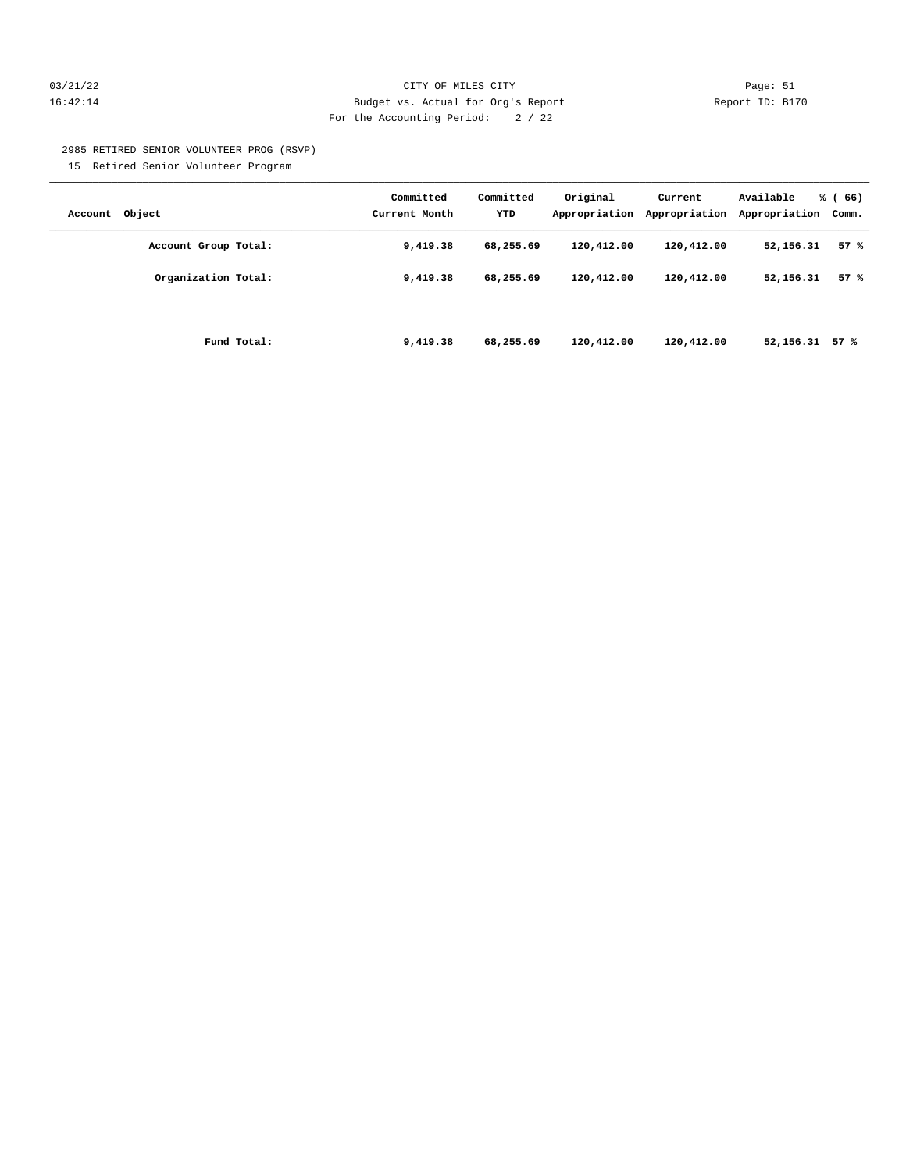#### 03/21/22 Page: 51 16:42:14 Budget vs. Actual for Org's Report Report ID: B170 For the Accounting Period: 2 / 22

2985 RETIRED SENIOR VOLUNTEER PROG (RSVP)

15 Retired Senior Volunteer Program

| Account Object       | Committed<br>Current Month | Committed<br>YTD | Original<br>Appropriation | Current<br>Appropriation | Available<br>Appropriation | % (66)<br>Comm. |
|----------------------|----------------------------|------------------|---------------------------|--------------------------|----------------------------|-----------------|
| Account Group Total: | 9,419.38                   | 68,255.69        | 120,412.00                | 120,412.00               | 52,156.31                  | 57%             |
| Organization Total:  | 9,419.38                   | 68,255.69        | 120,412.00                | 120,412.00               | 52,156.31                  | 57%             |
| Fund Total:          | 9,419.38                   | 68,255.69        | 120,412.00                | 120,412.00               | 52, 156. 31 57 %           |                 |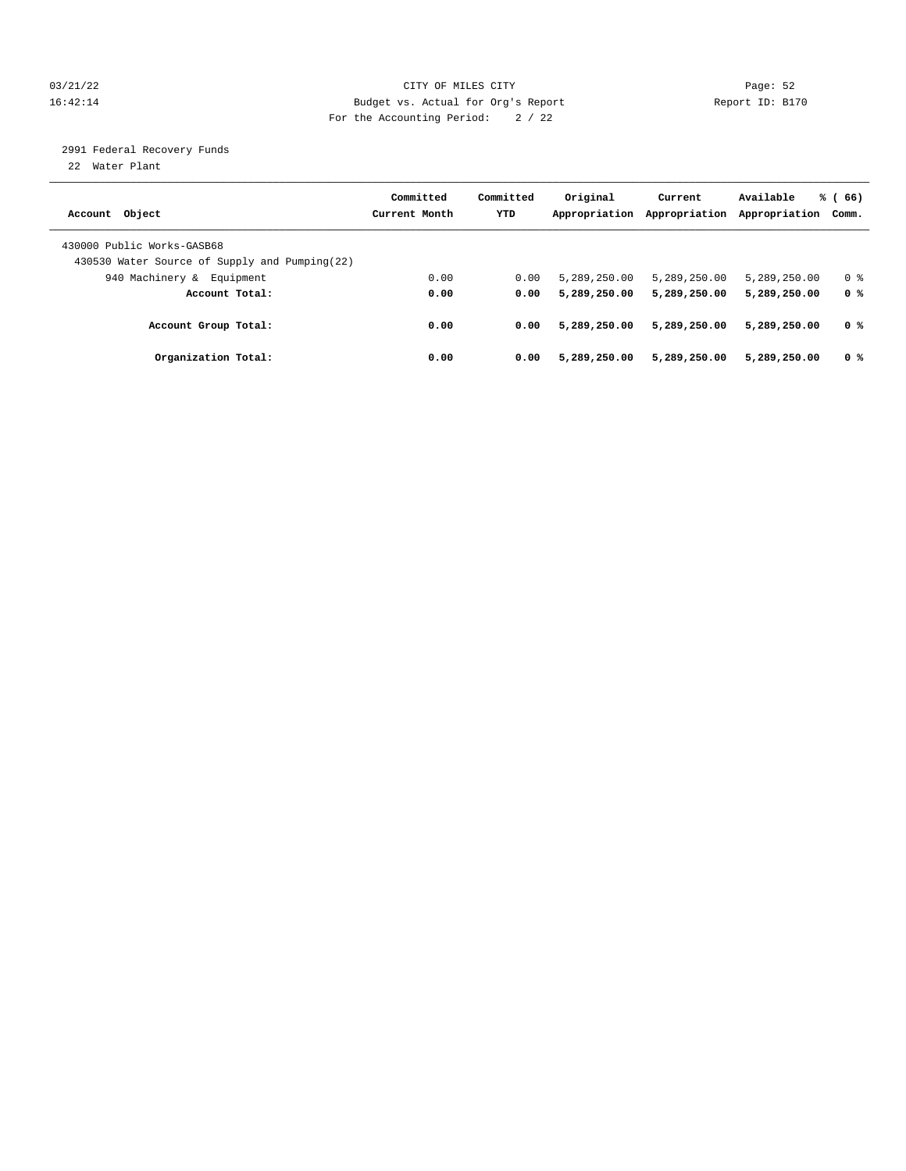#### 03/21/22 Page: 52 16:42:14 Budget vs. Actual for Org's Report Report ID: B170 For the Accounting Period: 2 / 22

2991 Federal Recovery Funds

22 Water Plant

| Account Object                                                               | Committed<br>Current Month | Committed<br><b>YTD</b> | Original<br>Appropriation | Current<br>Appropriation | Available<br>Appropriation | % (66)<br>Comm. |
|------------------------------------------------------------------------------|----------------------------|-------------------------|---------------------------|--------------------------|----------------------------|-----------------|
| 430000 Public Works-GASB68<br>430530 Water Source of Supply and Pumping (22) |                            |                         |                           |                          |                            |                 |
| 940 Machinery & Equipment                                                    | 0.00                       | 0.00                    | 5,289,250.00              | 5,289,250.00             | 5,289,250.00               | 0 <sup>8</sup>  |
| Account Total:                                                               | 0.00                       | 0.00                    | 5,289,250.00              | 5,289,250.00             | 5,289,250.00               | 0 %             |
| Account Group Total:                                                         | 0.00                       | 0.00                    | 5,289,250.00              | 5,289,250.00             | 5,289,250.00               | 0 <sup>8</sup>  |
| Organization Total:                                                          | 0.00                       | 0.00                    | 5,289,250.00              | 5,289,250.00             | 5,289,250.00               | 0 <sup>8</sup>  |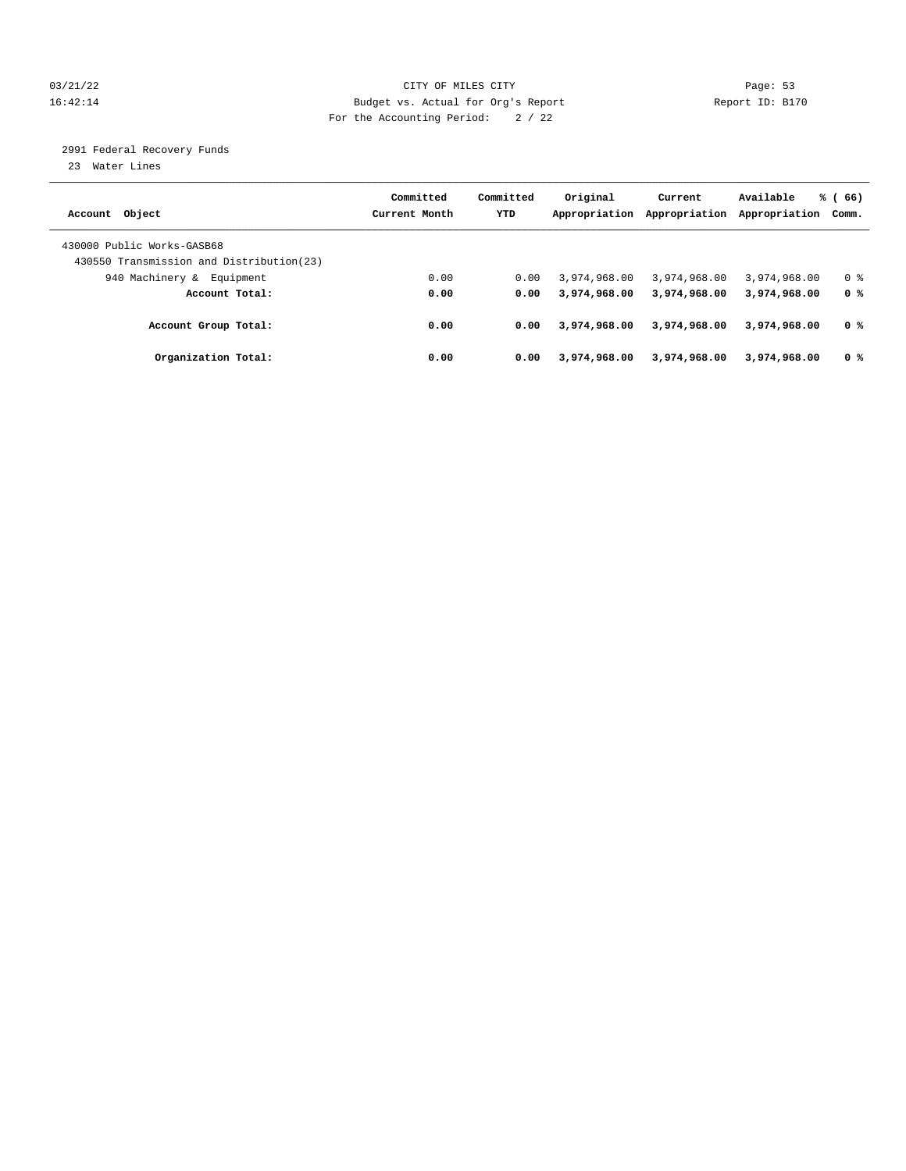#### 03/21/22 Page: 53 16:42:14 Budget vs. Actual for Org's Report Report ID: B170 For the Accounting Period: 2 / 22

2991 Federal Recovery Funds

23 Water Lines

|                                           | Committed     | Committed  | Original      | Current       | Available     | % (66)         |
|-------------------------------------------|---------------|------------|---------------|---------------|---------------|----------------|
| Account Object                            | Current Month | <b>YTD</b> | Appropriation | Appropriation | Appropriation | Comm.          |
|                                           |               |            |               |               |               |                |
| 430000 Public Works-GASB68                |               |            |               |               |               |                |
| 430550 Transmission and Distribution (23) |               |            |               |               |               |                |
| 940 Machinery &<br>Equipment              | 0.00          | 0.00       | 3,974,968.00  | 3,974,968.00  | 3,974,968,00  | 0 <sup>8</sup> |
| Account Total:                            | 0.00          | 0.00       | 3,974,968,00  | 3,974,968.00  | 3,974,968.00  | 0 %            |
|                                           |               |            |               |               |               |                |
| Account Group Total:                      | 0.00          | 0.00       | 3,974,968,00  | 3,974,968.00  | 3,974,968.00  | 0 <sup>8</sup> |
| Organization Total:                       | 0.00          | 0.00       | 3,974,968.00  | 3,974,968.00  | 3,974,968,00  | 0 <sup>8</sup> |
|                                           |               |            |               |               |               |                |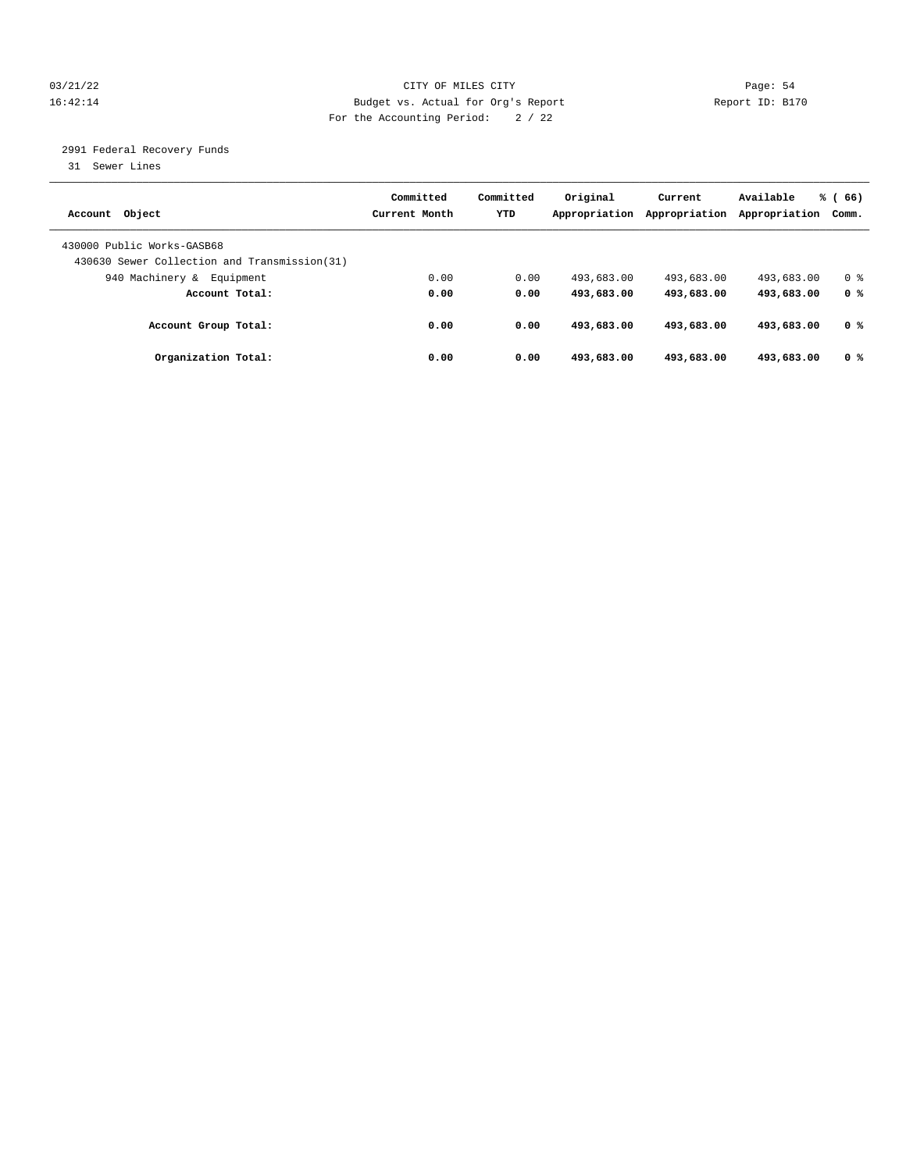#### 03/21/22 Page: 54 16:42:14 Budget vs. Actual for Org's Report Report ID: B170 For the Accounting Period: 2 / 22

2991 Federal Recovery Funds

31 Sewer Lines

| Account Object                                                              | Committed<br>Current Month | Committed<br><b>YTD</b> | Original<br>Appropriation | Current<br>Appropriation | Available<br>Appropriation | % (66)<br>Comm. |
|-----------------------------------------------------------------------------|----------------------------|-------------------------|---------------------------|--------------------------|----------------------------|-----------------|
| 430000 Public Works-GASB68<br>430630 Sewer Collection and Transmission (31) |                            |                         |                           |                          |                            |                 |
| 940 Machinery &<br>Equipment                                                | 0.00                       | 0.00                    | 493,683.00                | 493,683.00               | 493,683.00                 | 0 <sup>8</sup>  |
| Account Total:                                                              | 0.00                       | 0.00                    | 493,683.00                | 493,683.00               | 493,683.00                 | 0 %             |
| Account Group Total:                                                        | 0.00                       | 0.00                    | 493,683.00                | 493,683.00               | 493,683.00                 | 0 %             |
| Organization Total:                                                         | 0.00                       | 0.00                    | 493,683.00                | 493,683.00               | 493,683,00                 | 0 <sup>8</sup>  |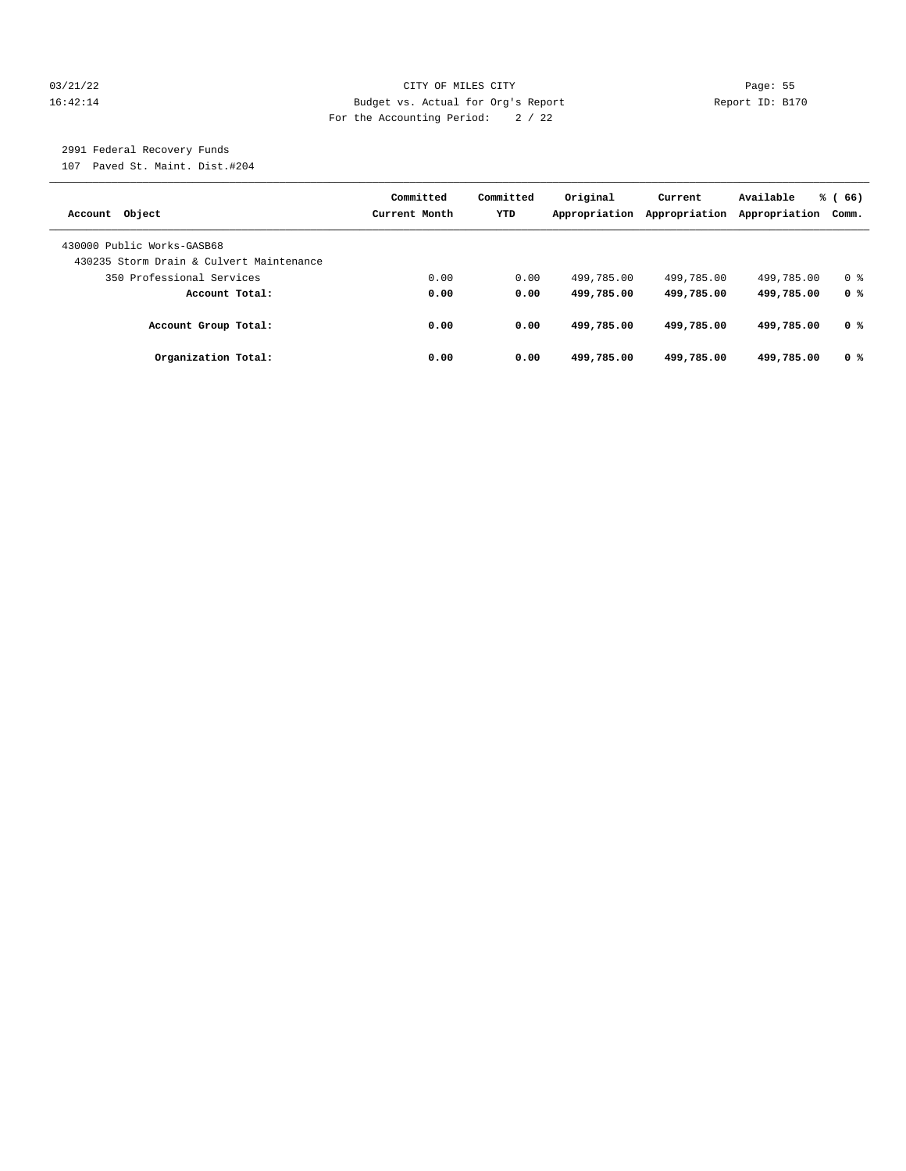#### 03/21/22 Page: 55 16:42:14 Budget vs. Actual for Org's Report Report ID: B170 For the Accounting Period: 2 / 22

## 2991 Federal Recovery Funds

107 Paved St. Maint. Dist.#204

| Account Object                                                         | Committed<br>Current Month | Committed<br><b>YTD</b> | Original<br>Appropriation | Current<br>Appropriation | Available<br>Appropriation | % (66)<br>Comm. |
|------------------------------------------------------------------------|----------------------------|-------------------------|---------------------------|--------------------------|----------------------------|-----------------|
| 430000 Public Works-GASB68<br>430235 Storm Drain & Culvert Maintenance |                            |                         |                           |                          |                            |                 |
|                                                                        |                            |                         |                           |                          |                            |                 |
| 350 Professional Services                                              | 0.00                       | 0.00                    | 499,785.00                | 499,785.00               | 499,785.00                 | 0 <sup>8</sup>  |
| Account Total:                                                         | 0.00                       | 0.00                    | 499,785.00                | 499,785.00               | 499,785.00                 | 0 <sup>8</sup>  |
| Account Group Total:                                                   | 0.00                       | 0.00                    | 499,785.00                | 499,785.00               | 499,785.00                 | 0 %             |
| Organization Total:                                                    | 0.00                       | 0.00                    | 499,785.00                | 499,785.00               | 499,785.00                 | 0 %             |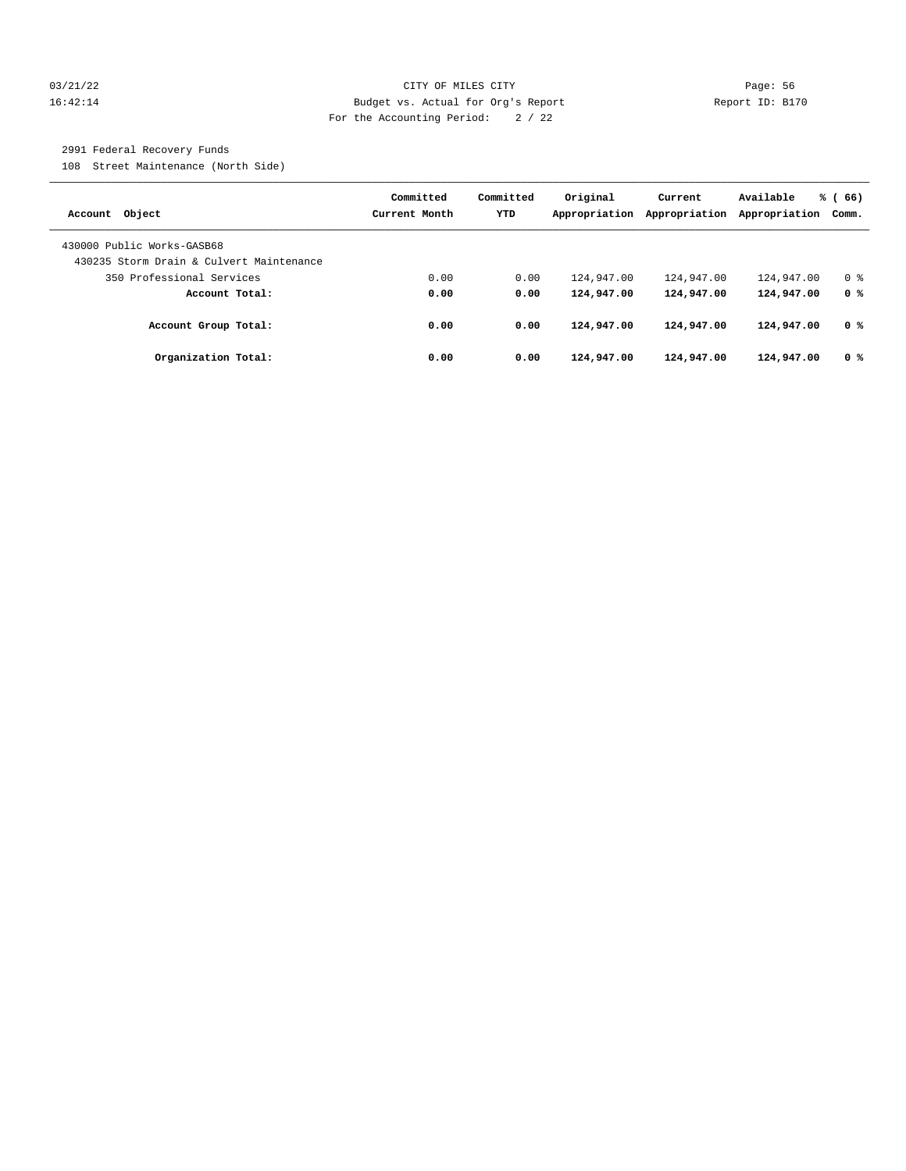#### 03/21/22 Page: 56 16:42:14 Budget vs. Actual for Org's Report Report ID: B170 For the Accounting Period: 2 / 22

### 2991 Federal Recovery Funds

108 Street Maintenance (North Side)

| Account Object                           | Committed<br>Current Month | Committed<br><b>YTD</b> | Original<br>Appropriation | Current<br>Appropriation | Available<br>Appropriation | % (66)<br>Comm. |
|------------------------------------------|----------------------------|-------------------------|---------------------------|--------------------------|----------------------------|-----------------|
| 430000 Public Works-GASB68               |                            |                         |                           |                          |                            |                 |
|                                          |                            |                         |                           |                          |                            |                 |
| 430235 Storm Drain & Culvert Maintenance |                            |                         |                           |                          |                            |                 |
| 350 Professional Services                | 0.00                       | 0.00                    | 124,947.00                | 124,947.00               | 124,947.00                 | 0 <sup>8</sup>  |
| Account Total:                           | 0.00                       | 0.00                    | 124,947.00                | 124,947.00               | 124,947.00                 | 0 %             |
| Account Group Total:                     | 0.00                       | 0.00                    | 124,947.00                | 124,947.00               | 124,947.00                 | 0 %             |
| Organization Total:                      | 0.00                       | 0.00                    | 124,947.00                | 124,947.00               | 124,947.00                 | 0 <sup>8</sup>  |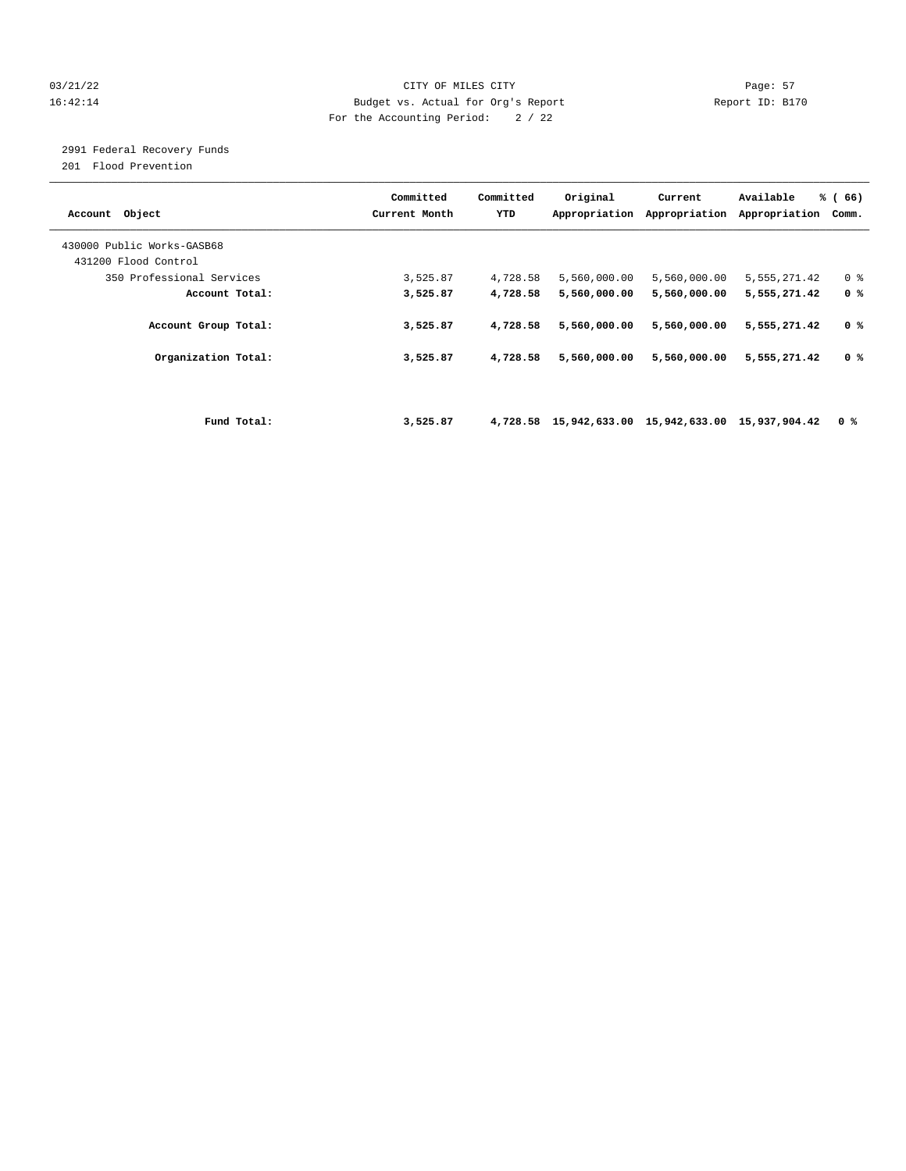#### 03/21/22 Page: 57 16:42:14 Budget vs. Actual for Org's Report Report ID: B170 For the Accounting Period: 2 / 22

2991 Federal Recovery Funds

201 Flood Prevention

| Object<br>Account                                 |             | Committed<br>Current Month | Committed<br>YTD | Original                                           | Current<br>Appropriation Appropriation | Available<br>Appropriation | % (66)<br>Comm. |
|---------------------------------------------------|-------------|----------------------------|------------------|----------------------------------------------------|----------------------------------------|----------------------------|-----------------|
| 430000 Public Works-GASB68                        |             |                            |                  |                                                    |                                        |                            |                 |
| 431200 Flood Control<br>350 Professional Services |             | 3,525.87                   | 4,728.58         | 5,560,000.00                                       | 5,560,000.00                           | 5,555,271.42               | 0 <sup>8</sup>  |
| Account Total:                                    |             | 3,525.87                   | 4,728.58         | 5,560,000.00                                       | 5,560,000.00                           | 5,555,271.42               | 0 <sup>8</sup>  |
| Account Group Total:                              |             | 3,525.87                   | 4,728.58         | 5,560,000.00                                       | 5,560,000.00                           | 5,555,271.42               | 0 %             |
| Organization Total:                               |             | 3,525.87                   | 4,728.58         | 5,560,000.00                                       | 5,560,000.00                           | 5,555,271.42               | 0 %             |
|                                                   |             |                            |                  |                                                    |                                        |                            |                 |
|                                                   | Fund Total: | 3,525.87                   |                  | 4,728.58 15,942,633.00 15,942,633.00 15,937,904.42 |                                        |                            | 0 %             |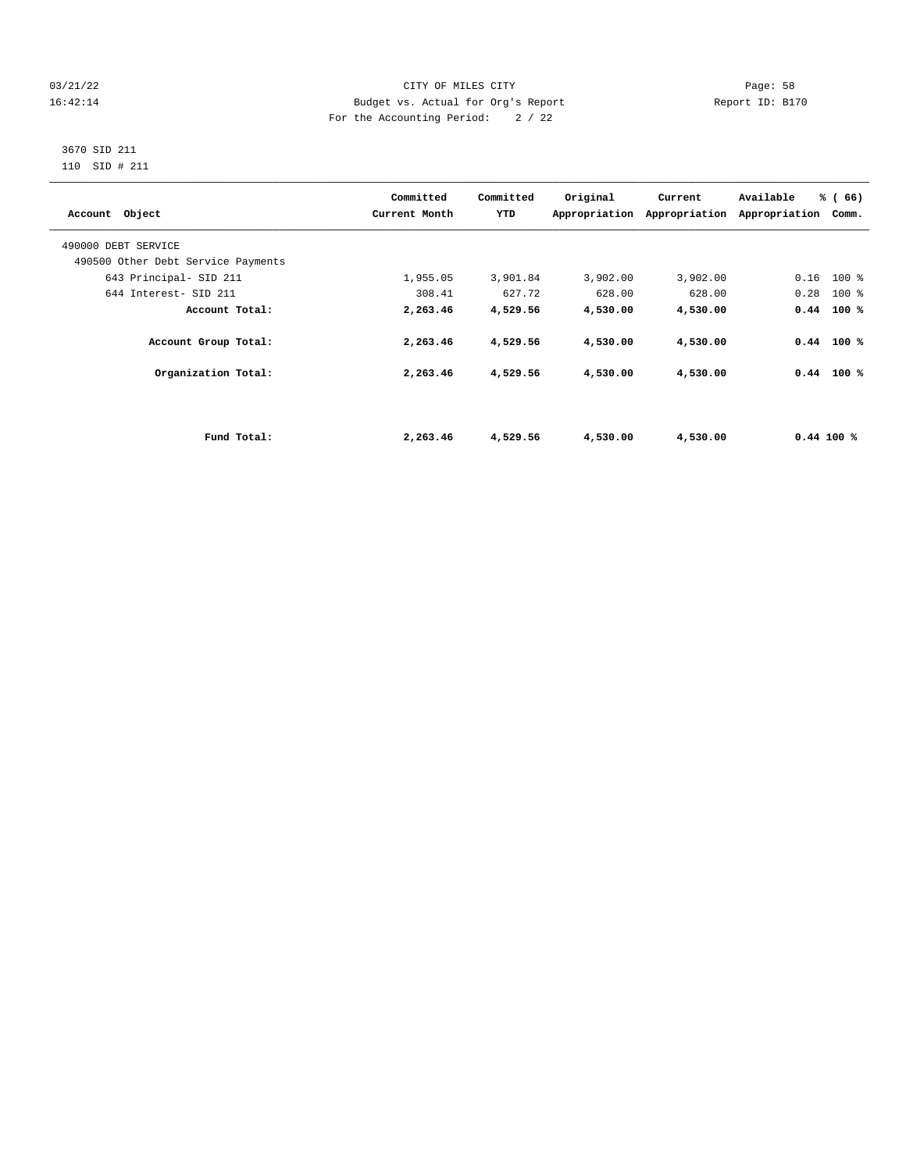#### 03/21/22 Page: 58 16:42:14 Budget vs. Actual for Org's Report Report ID: B170 For the Accounting Period: 2 / 22

#### 3670 SID 211 110 SID # 211

| Account Object                     |             | Committed<br>Current Month | Committed<br>YTD | Original | Current<br>Appropriation Appropriation | Available<br>Appropriation | % (66)<br>Comm. |  |
|------------------------------------|-------------|----------------------------|------------------|----------|----------------------------------------|----------------------------|-----------------|--|
| 490000 DEBT SERVICE                |             |                            |                  |          |                                        |                            |                 |  |
| 490500 Other Debt Service Payments |             |                            |                  |          |                                        |                            |                 |  |
| 643 Principal- SID 211             |             | 1,955.05                   | 3,901.84         | 3,902.00 | 3,902.00                               |                            | $0.16$ 100 %    |  |
| 644 Interest- SID 211              |             | 308.41                     | 627.72           | 628.00   | 628.00                                 | 0.28                       | $100$ %         |  |
| Account Total:                     |             | 2,263.46                   | 4,529.56         | 4,530.00 | 4,530.00                               |                            | $0.44$ 100 %    |  |
| Account Group Total:               |             | 2,263.46                   | 4,529.56         | 4,530.00 | 4,530.00                               |                            | $0.44$ 100 %    |  |
| Organization Total:                |             | 2,263.46                   | 4,529.56         | 4,530.00 | 4,530.00                               |                            | $0.44$ 100 %    |  |
|                                    |             |                            |                  |          |                                        |                            |                 |  |
|                                    | Fund Total: | 2,263.46                   | 4,529.56         | 4,530.00 | 4,530.00                               |                            | 0.44100%        |  |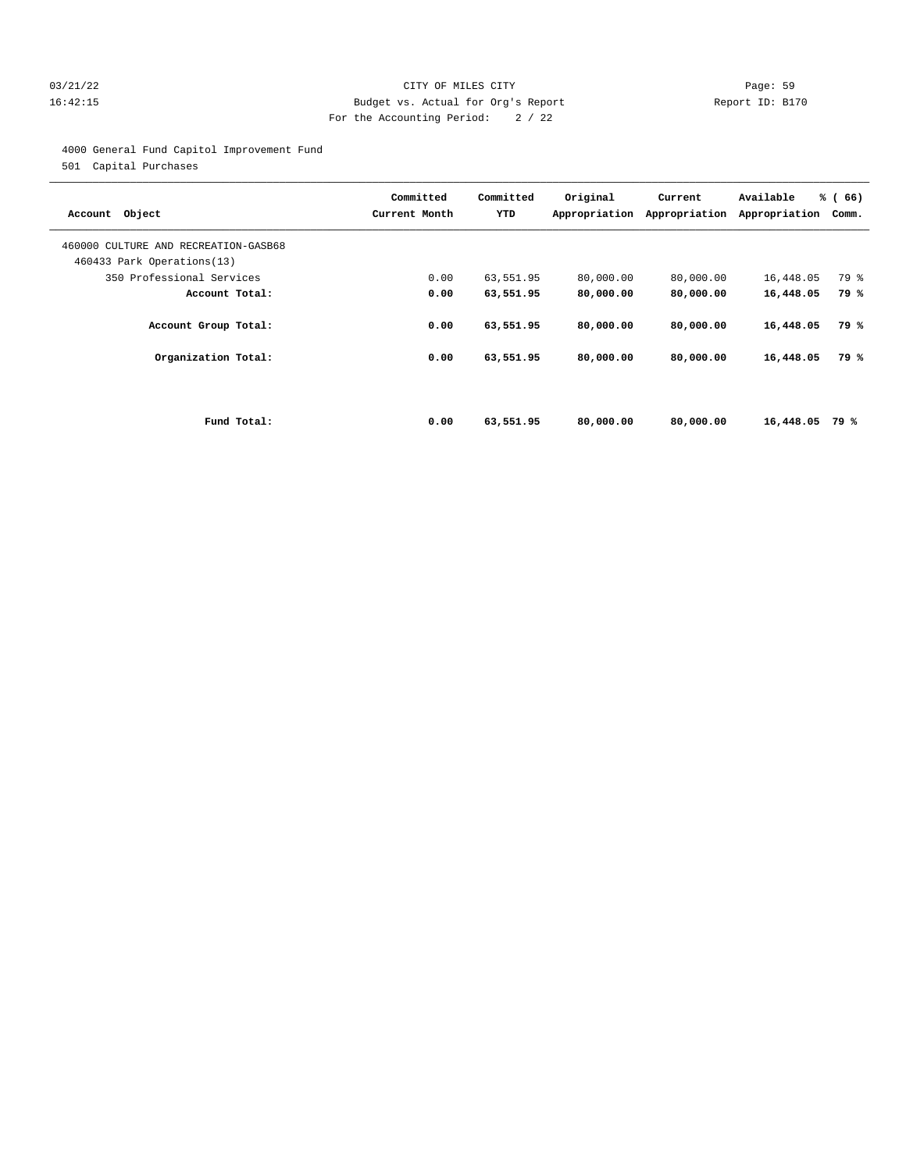#### 03/21/22 Page: 59 16:42:15 Budget vs. Actual for Org's Report Report ID: B170 For the Accounting Period: 2 / 22

4000 General Fund Capitol Improvement Fund

501 Capital Purchases

| Account Object                                                     | Committed<br>Current Month | Committed<br>YTD | Original<br>Appropriation | Current<br>Appropriation | Available<br>Appropriation | % (66)<br>Comm. |
|--------------------------------------------------------------------|----------------------------|------------------|---------------------------|--------------------------|----------------------------|-----------------|
| 460000 CULTURE AND RECREATION-GASB68<br>460433 Park Operations(13) |                            |                  |                           |                          |                            |                 |
| 350 Professional Services                                          | 0.00                       | 63,551.95        | 80,000.00                 | 80,000.00                | 16,448.05                  | 79 %            |
| Account Total:                                                     | 0.00                       | 63,551.95        | 80,000.00                 | 80,000.00                | 16,448.05                  | 79 %            |
| Account Group Total:                                               | 0.00                       | 63,551.95        | 80,000.00                 | 80,000.00                | 16,448.05                  | 79 %            |
| Organization Total:                                                | 0.00                       | 63,551.95        | 80,000.00                 | 80,000.00                | 16,448.05                  | 79 %            |
|                                                                    |                            |                  |                           |                          |                            |                 |
| Fund Total:                                                        | 0.00                       | 63,551.95        | 80,000.00                 | 80,000,00                | 16,448.05                  | 79 %            |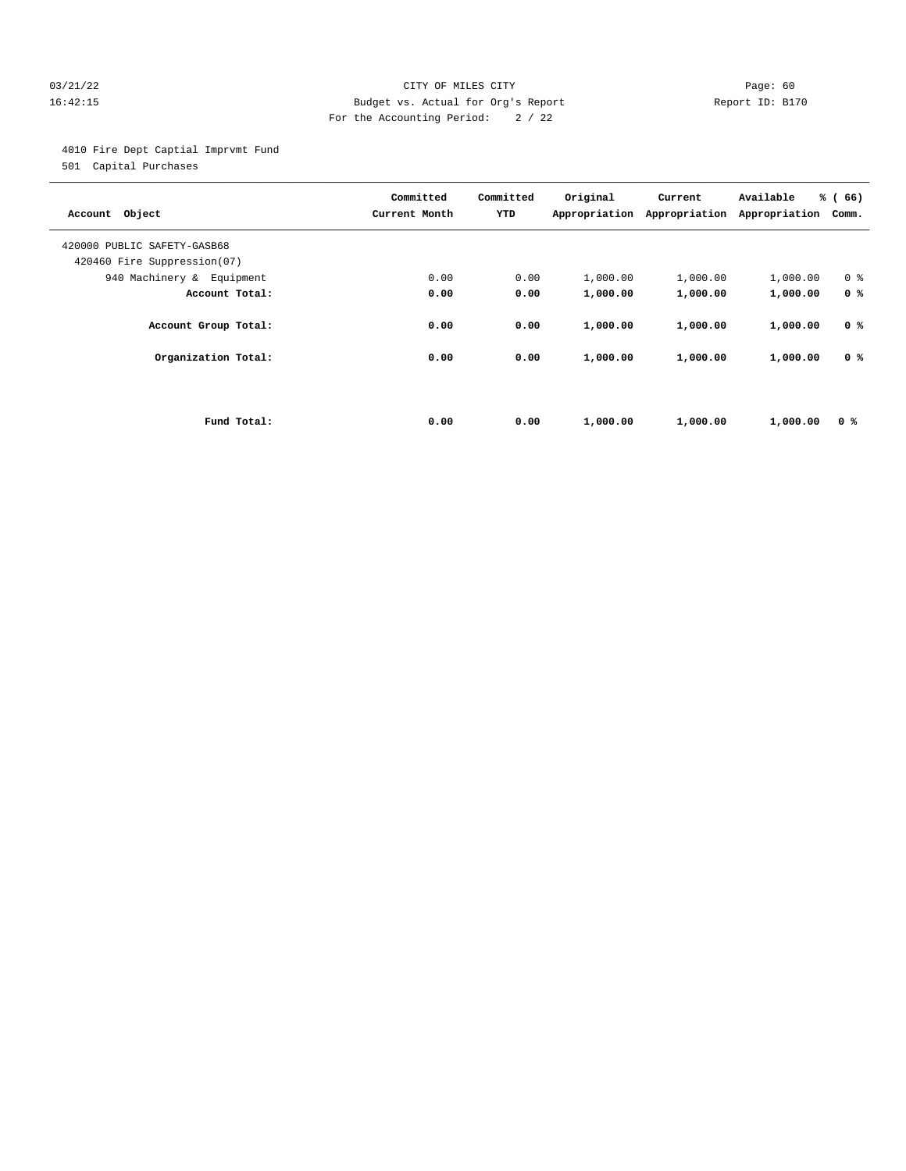#### 03/21/22 Page: 60 16:42:15 Budget vs. Actual for Org's Report Report ID: B170 For the Accounting Period: 2 / 22

4010 Fire Dept Captial Imprvmt Fund

501 Capital Purchases

| Account Object                                             |             | Committed<br>Current Month | Committed<br>YTD | Original<br>Appropriation | Current<br>Appropriation | Available<br>Appropriation | % (66)<br>Comm. |
|------------------------------------------------------------|-------------|----------------------------|------------------|---------------------------|--------------------------|----------------------------|-----------------|
| 420000 PUBLIC SAFETY-GASB68<br>420460 Fire Suppression(07) |             |                            |                  |                           |                          |                            |                 |
| 940 Machinery & Equipment                                  |             | 0.00                       | 0.00             | 1,000.00                  | 1,000.00                 | 1,000.00                   | 0 <sup>8</sup>  |
| Account Total:                                             |             | 0.00                       | 0.00             | 1,000.00                  | 1,000.00                 | 1,000.00                   | 0 <sup>8</sup>  |
| Account Group Total:                                       |             | 0.00                       | 0.00             | 1,000.00                  | 1,000.00                 | 1,000.00                   | 0 <sup>8</sup>  |
| Organization Total:                                        |             | 0.00                       | 0.00             | 1,000.00                  | 1,000.00                 | 1,000.00                   | 0 <sup>8</sup>  |
|                                                            |             |                            |                  |                           |                          |                            |                 |
|                                                            | Fund Total: | 0.00                       | 0.00             | 1,000.00                  | 1,000.00                 | 1,000.00                   | 0 %             |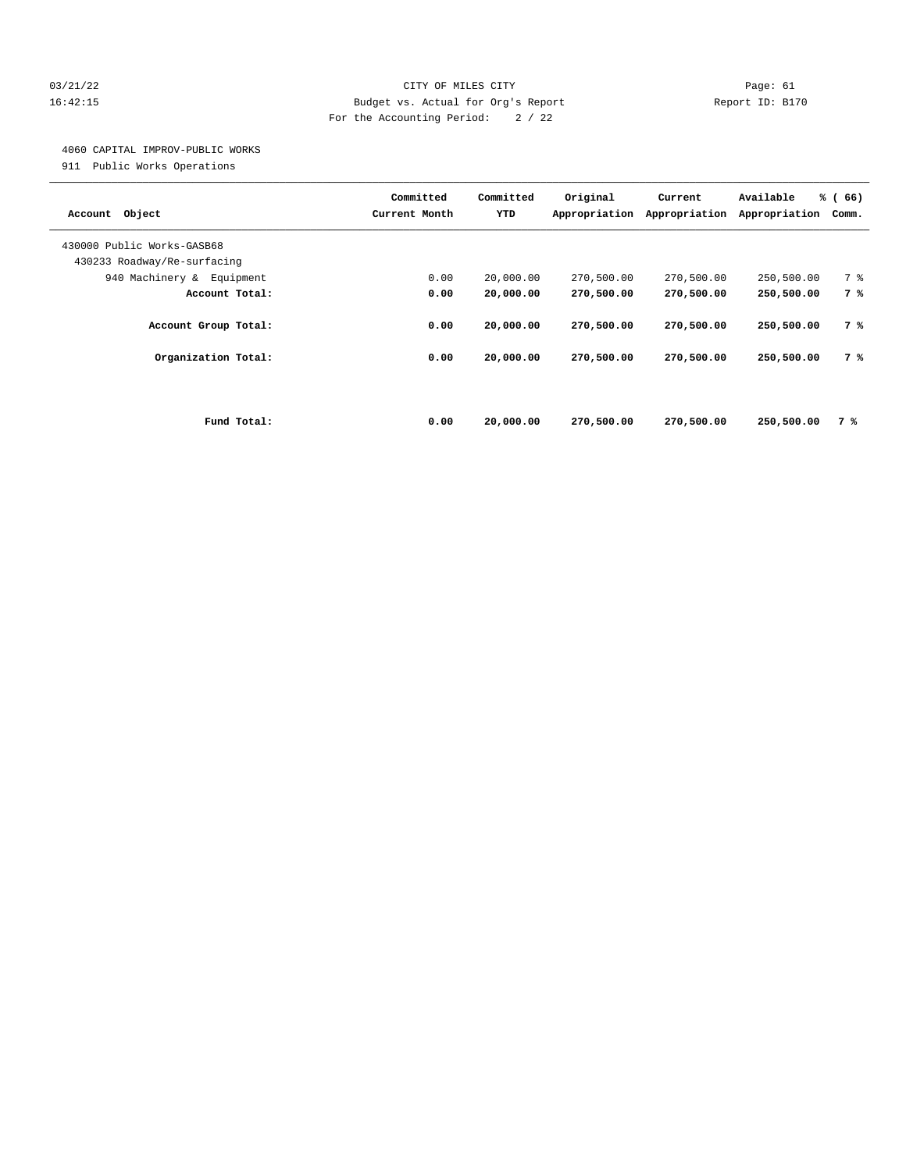#### 03/21/22 Page: 61 16:42:15 Budget vs. Actual for Org's Report Report ID: B170 For the Accounting Period: 2 / 22

## 4060 CAPITAL IMPROV-PUBLIC WORKS

911 Public Works Operations

| Object<br>Account                                         | Committed<br>Current Month | Committed<br>YTD | Original<br>Appropriation | Current<br>Appropriation | Available<br>Appropriation | % (66)<br>Comm. |
|-----------------------------------------------------------|----------------------------|------------------|---------------------------|--------------------------|----------------------------|-----------------|
| 430000 Public Works-GASB68<br>430233 Roadway/Re-surfacing |                            |                  |                           |                          |                            |                 |
| 940 Machinery & Equipment                                 | 0.00                       | 20,000.00        | 270,500.00                | 270,500.00               | 250,500.00                 | 7 %             |
| Account Total:                                            | 0.00                       | 20,000.00        | 270,500.00                | 270,500.00               | 250,500.00                 | 7 %             |
| Account Group Total:                                      | 0.00                       | 20,000.00        | 270,500.00                | 270,500.00               | 250,500.00                 | 7 %             |
| Organization Total:                                       | 0.00                       | 20,000.00        | 270,500.00                | 270,500.00               | 250,500.00                 | 7 %             |
|                                                           |                            |                  |                           |                          |                            |                 |
| Fund Total:                                               | 0.00                       | 20,000.00        | 270,500.00                | 270,500.00               | 250,500.00                 | 7 %             |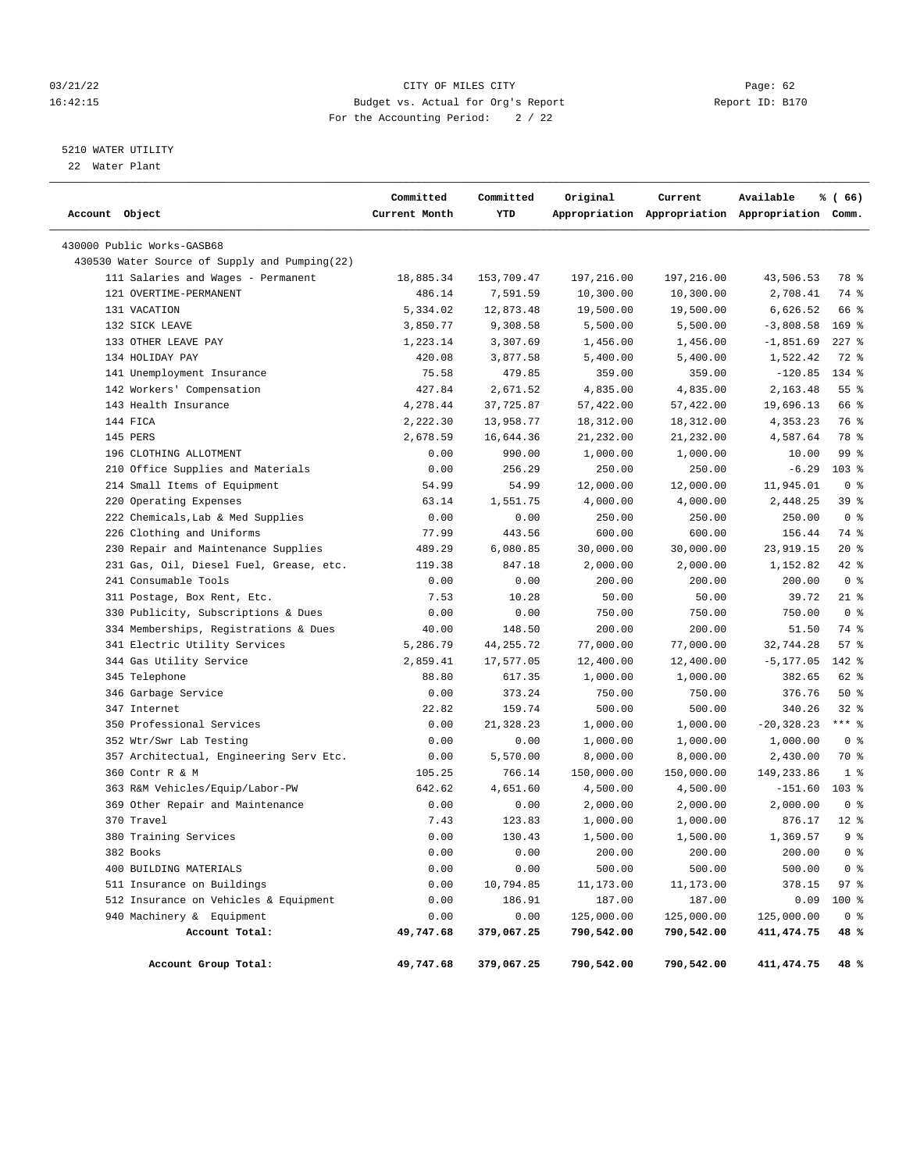#### 03/21/22 Page: 62 16:42:15 Budget vs. Actual for Org's Report Report ID: B170 For the Accounting Period: 2 / 22

## 5210 WATER UTILITY

22 Water Plant

| Account Object                                | Committed<br>Current Month | Committed<br>YTD | Original   | Current    | Available<br>Appropriation Appropriation Appropriation Comm. | % (66)           |
|-----------------------------------------------|----------------------------|------------------|------------|------------|--------------------------------------------------------------|------------------|
| 430000 Public Works-GASB68                    |                            |                  |            |            |                                                              |                  |
| 430530 Water Source of Supply and Pumping(22) |                            |                  |            |            |                                                              |                  |
| 111 Salaries and Wages - Permanent            | 18,885.34                  | 153,709.47       | 197,216.00 | 197,216.00 | 43,506.53                                                    | 78 %             |
| 121 OVERTIME-PERMANENT                        | 486.14                     | 7,591.59         | 10,300.00  | 10,300.00  | 2,708.41                                                     | 74 %             |
| 131 VACATION                                  | 5,334.02                   | 12,873.48        | 19,500.00  | 19,500.00  | 6,626.52                                                     | 66 %             |
| 132 SICK LEAVE                                | 3,850.77                   | 9,308.58         | 5,500.00   | 5,500.00   | $-3,808.58$                                                  | $169$ %          |
| 133 OTHER LEAVE PAY                           | 1,223.14                   | 3,307.69         | 1,456.00   | 1,456.00   | $-1,851.69$                                                  | $227$ $%$        |
| 134 HOLIDAY PAY                               | 420.08                     | 3,877.58         | 5,400.00   | 5,400.00   | 1,522.42                                                     | 72 %             |
| 141 Unemployment Insurance                    | 75.58                      | 479.85           | 359.00     | 359.00     | $-120.85$                                                    | 134 %            |
| 142 Workers' Compensation                     | 427.84                     | 2,671.52         | 4,835.00   | 4,835.00   | 2,163.48                                                     | 55%              |
| 143 Health Insurance                          | 4,278.44                   | 37,725.87        | 57,422.00  | 57,422.00  | 19,696.13                                                    | 66 %             |
| 144 FICA                                      | 2,222.30                   | 13,958.77        | 18,312.00  | 18,312.00  | 4,353.23                                                     | 76 %             |
| 145 PERS                                      | 2,678.59                   | 16,644.36        | 21,232.00  | 21,232.00  | 4,587.64                                                     | 78 %             |
| 196 CLOTHING ALLOTMENT                        | 0.00                       | 990.00           | 1,000.00   | 1,000.00   | 10.00                                                        | 99 %             |
| 210 Office Supplies and Materials             | 0.00                       | 256.29           | 250.00     | 250.00     | $-6.29$                                                      | $103$ %          |
| 214 Small Items of Equipment                  | 54.99                      | 54.99            | 12,000.00  | 12,000.00  | 11,945.01                                                    | 0 <sup>8</sup>   |
| 220 Operating Expenses                        | 63.14                      | 1,551.75         | 4,000.00   | 4,000.00   | 2,448.25                                                     | 39%              |
| 222 Chemicals, Lab & Med Supplies             | 0.00                       | 0.00             | 250.00     | 250.00     | 250.00                                                       | 0 <sup>8</sup>   |
| 226 Clothing and Uniforms                     | 77.99                      | 443.56           | 600.00     | 600.00     | 156.44                                                       | 74 %             |
| 230 Repair and Maintenance Supplies           | 489.29                     | 6,080.85         | 30,000.00  | 30,000.00  | 23,919.15                                                    | $20*$            |
| 231 Gas, Oil, Diesel Fuel, Grease, etc.       | 119.38                     | 847.18           | 2,000.00   | 2,000.00   | 1,152.82                                                     | 42 %             |
| 241 Consumable Tools                          | 0.00                       | 0.00             | 200.00     | 200.00     | 200.00                                                       | 0 <sup>8</sup>   |
| 311 Postage, Box Rent, Etc.                   | 7.53                       | 10.28            | 50.00      | 50.00      | 39.72                                                        | $21$ %           |
| 330 Publicity, Subscriptions & Dues           | 0.00                       | 0.00             | 750.00     | 750.00     | 750.00                                                       | 0 <sup>8</sup>   |
| 334 Memberships, Registrations & Dues         | 40.00                      | 148.50           | 200.00     | 200.00     | 51.50                                                        | 74 %             |
| 341 Electric Utility Services                 | 5,286.79                   | 44, 255. 72      | 77,000.00  | 77,000.00  | 32,744.28                                                    | 57%              |
| 344 Gas Utility Service                       | 2,859.41                   | 17,577.05        | 12,400.00  | 12,400.00  | -5,177.05                                                    | $142$ %          |
| 345 Telephone                                 | 88.80                      | 617.35           | 1,000.00   | 1,000.00   | 382.65                                                       | 62 %             |
| 346 Garbage Service                           | 0.00                       | 373.24           | 750.00     | 750.00     | 376.76                                                       | 50%              |
| 347 Internet                                  | 22.82                      | 159.74           | 500.00     | 500.00     | 340.26                                                       | $32$ $%$         |
| 350 Professional Services                     | 0.00                       | 21,328.23        | 1,000.00   | 1,000.00   | $-20, 328.23$                                                | $***$ $%$        |
| 352 Wtr/Swr Lab Testing                       | 0.00                       | 0.00             | 1,000.00   | 1,000.00   | 1,000.00                                                     | 0 <sup>8</sup>   |
| 357 Architectual, Engineering Serv Etc.       | 0.00                       | 5,570.00         | 8,000.00   | 8,000.00   | 2,430.00                                                     | 70 %             |
| 360 Contr R & M                               | 105.25                     | 766.14           | 150,000.00 | 150,000.00 | 149,233.86                                                   | 1 <sup>8</sup>   |
| 363 R&M Vehicles/Equip/Labor-PW               | 642.62                     | 4,651.60         | 4,500.00   | 4,500.00   | $-151.60$                                                    | 103 <sub>8</sub> |
| 369 Other Repair and Maintenance              | 0.00                       | 0.00             | 2,000.00   | 2,000.00   | 2,000.00                                                     | 0 <sup>8</sup>   |
| 370 Travel                                    | 7.43                       | 123.83           | 1,000.00   | 1,000.00   | 876.17                                                       | $12*$            |
| 380 Training Services                         | 0.00                       | 130.43           | 1,500.00   | 1,500.00   | 1,369.57                                                     | 9 <sup>8</sup>   |
| 382 Books                                     | 0.00                       | 0.00             | 200.00     | 200.00     | 200.00                                                       | 0 <sup>8</sup>   |
| 400 BUILDING MATERIALS                        | 0.00                       | 0.00             | 500.00     | 500.00     | 500.00                                                       | 0 <sup>8</sup>   |
| 511 Insurance on Buildings                    | 0.00                       | 10,794.85        | 11,173.00  | 11,173.00  | 378.15                                                       | 97%              |
| 512 Insurance on Vehicles & Equipment         | 0.00                       | 186.91           | 187.00     | 187.00     | 0.09                                                         | 100 %            |
| 940 Machinery & Equipment                     | 0.00                       | 0.00             | 125,000.00 | 125,000.00 | 125,000.00                                                   | 0 <sup>8</sup>   |
| Account Total:                                | 49,747.68                  | 379,067.25       | 790,542.00 | 790,542.00 | 411, 474.75                                                  | 48 %             |
| Account Group Total:                          | 49,747.68                  | 379,067.25       | 790,542.00 | 790,542.00 | 411, 474.75                                                  | 48 %             |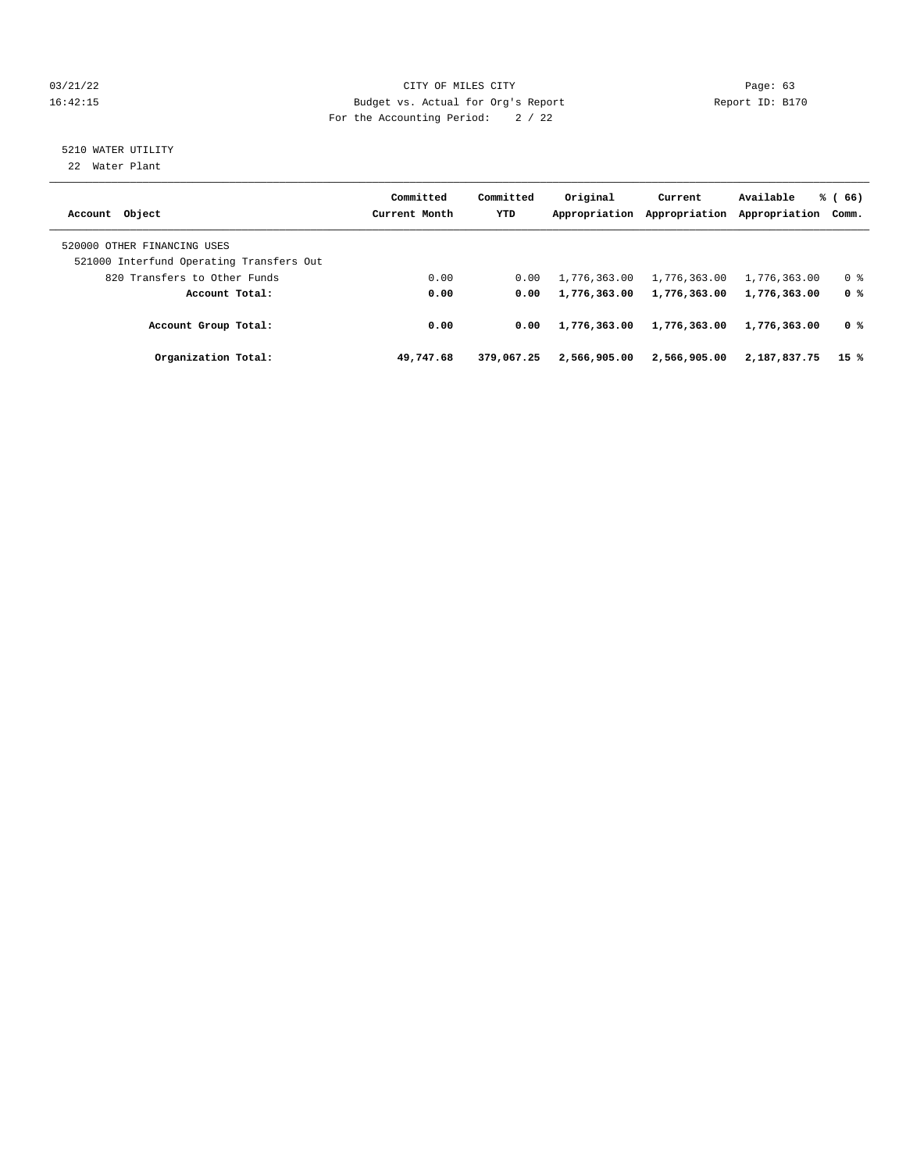#### 03/21/22 Page: 63 16:42:15 Budget vs. Actual for Org's Report Report ID: B170 For the Accounting Period: 2 / 22

# 5210 WATER UTILITY

22 Water Plant

| Account Object                                                          | Committed<br>Current Month | Committed<br><b>YTD</b> | Original<br>Appropriation | Current<br>Appropriation | Available<br>Appropriation | % (66)<br>Comm. |
|-------------------------------------------------------------------------|----------------------------|-------------------------|---------------------------|--------------------------|----------------------------|-----------------|
| 520000 OTHER FINANCING USES<br>521000 Interfund Operating Transfers Out |                            |                         |                           |                          |                            |                 |
| 820 Transfers to Other Funds                                            | 0.00                       | 0.00                    | 1,776,363.00              | 1,776,363.00             | 1,776,363.00               | 0 <sup>8</sup>  |
| Account Total:                                                          | 0.00                       | 0.00                    | 1,776,363.00              | 1,776,363.00             | 1,776,363.00               | 0 %             |
| Account Group Total:                                                    | 0.00                       | 0.00                    | 1,776,363.00              | 1,776,363.00             | 1,776,363.00               | 0 %             |
| Organization Total:                                                     | 49,747.68                  | 379,067.25              | 2,566,905,00              | 2,566,905.00             | 2,187,837.75               | 15 %            |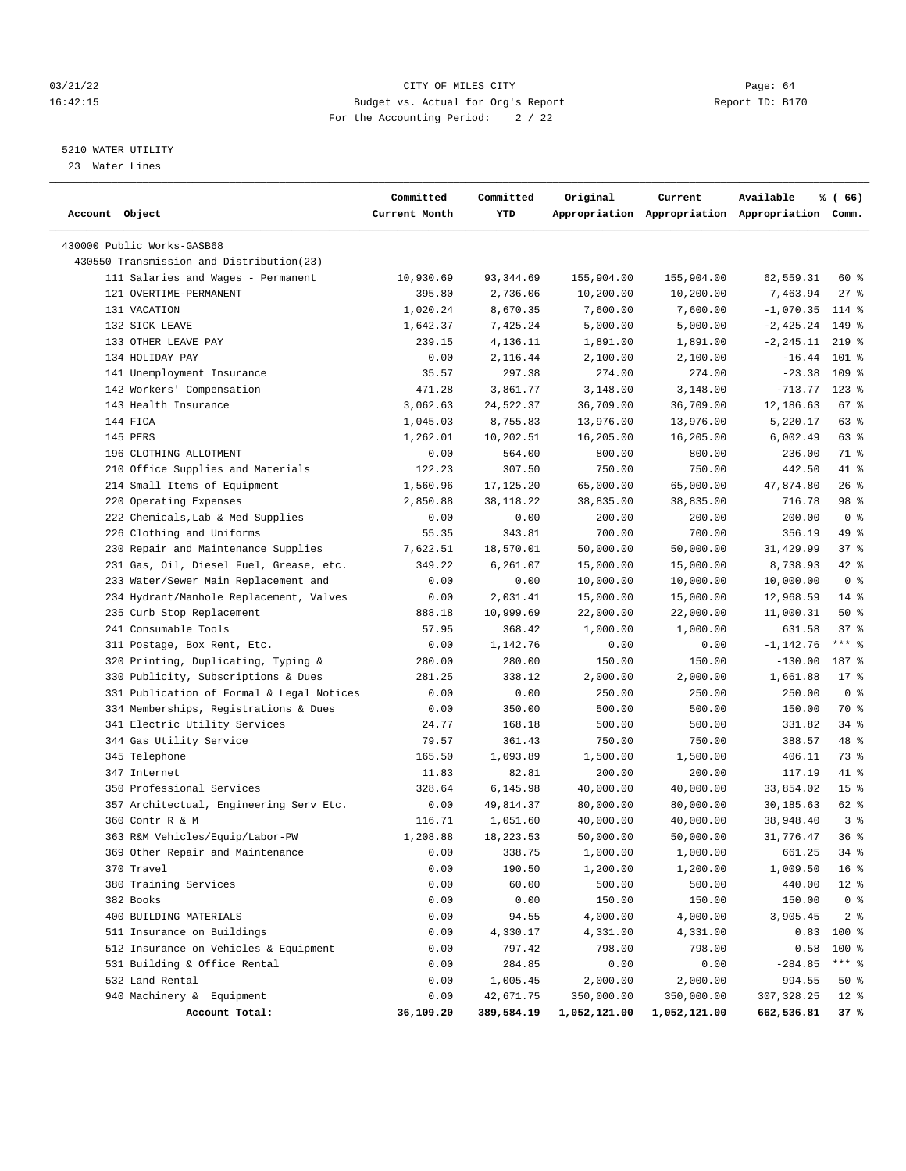#### 03/21/22 Page: 64 16:42:15 Budget vs. Actual for Org's Report Report ID: B170 For the Accounting Period: 2 / 22

————————————————————————————————————————————————————————————————————————————————————————————————————————————————————————————————————

#### 5210 WATER UTILITY

23 Water Lines

|                                           | Committed     | Committed  | Original     | Current      | Available                                       | % (66)          |
|-------------------------------------------|---------------|------------|--------------|--------------|-------------------------------------------------|-----------------|
| Account Object                            | Current Month | YTD        |              |              | Appropriation Appropriation Appropriation Comm. |                 |
| 430000 Public Works-GASB68                |               |            |              |              |                                                 |                 |
| 430550 Transmission and Distribution(23)  |               |            |              |              |                                                 |                 |
| 111 Salaries and Wages - Permanent        | 10,930.69     | 93,344.69  | 155,904.00   | 155,904.00   | 62,559.31                                       | 60 %            |
| 121 OVERTIME-PERMANENT                    | 395.80        | 2,736.06   | 10,200.00    | 10,200.00    | 7,463.94                                        | $27$ %          |
| 131 VACATION                              | 1,020.24      | 8,670.35   | 7,600.00     | 7,600.00     | $-1,070.35$ 114 %                               |                 |
| 132 SICK LEAVE                            | 1,642.37      | 7,425.24   | 5,000.00     | 5,000.00     | $-2,425.24$                                     | 149 %           |
| 133 OTHER LEAVE PAY                       | 239.15        | 4,136.11   | 1,891.00     | 1,891.00     | $-2, 245.11$                                    | $219$ %         |
| 134 HOLIDAY PAY                           | 0.00          | 2,116.44   | 2,100.00     | 2,100.00     | $-16.44$                                        | $101$ %         |
| 141 Unemployment Insurance                | 35.57         | 297.38     | 274.00       | 274.00       | $-23.38$                                        | 109 %           |
| 142 Workers' Compensation                 | 471.28        | 3,861.77   | 3,148.00     | 3,148.00     | $-713.77$ 123 %                                 |                 |
| 143 Health Insurance                      | 3,062.63      | 24,522.37  | 36,709.00    | 36,709.00    | 12,186.63                                       | 67 %            |
| 144 FICA                                  | 1,045.03      | 8,755.83   | 13,976.00    | 13,976.00    | 5,220.17                                        | 63%             |
| 145 PERS                                  | 1,262.01      | 10,202.51  | 16,205.00    | 16,205.00    | 6,002.49                                        | 63%             |
| 196 CLOTHING ALLOTMENT                    | 0.00          | 564.00     | 800.00       | 800.00       | 236.00                                          | 71 %            |
| 210 Office Supplies and Materials         | 122.23        | 307.50     | 750.00       | 750.00       | 442.50                                          | 41 %            |
| 214 Small Items of Equipment              | 1,560.96      | 17,125.20  | 65,000.00    | 65,000.00    | 47,874.80                                       | 26%             |
| 220 Operating Expenses                    | 2,850.88      | 38,118.22  | 38,835.00    | 38,835.00    | 716.78                                          | 98 %            |
| 222 Chemicals, Lab & Med Supplies         | 0.00          | 0.00       | 200.00       | 200.00       | 200.00                                          | 0 <sup>8</sup>  |
| 226 Clothing and Uniforms                 | 55.35         | 343.81     | 700.00       | 700.00       | 356.19                                          | 49 %            |
| 230 Repair and Maintenance Supplies       | 7,622.51      | 18,570.01  | 50,000.00    | 50,000.00    | 31,429.99                                       | 37%             |
| 231 Gas, Oil, Diesel Fuel, Grease, etc.   | 349.22        | 6,261.07   | 15,000.00    | 15,000.00    | 8,738.93                                        | $42$ %          |
| 233 Water/Sewer Main Replacement and      | 0.00          | 0.00       | 10,000.00    | 10,000.00    | 10,000.00                                       | 0 <sup>8</sup>  |
| 234 Hydrant/Manhole Replacement, Valves   | 0.00          | 2,031.41   | 15,000.00    | 15,000.00    | 12,968.59                                       | $14*$           |
| 235 Curb Stop Replacement                 | 888.18        | 10,999.69  | 22,000.00    | 22,000.00    | 11,000.31                                       | $50*$           |
| 241 Consumable Tools                      | 57.95         | 368.42     | 1,000.00     | 1,000.00     | 631.58                                          | 378             |
| 311 Postage, Box Rent, Etc.               | 0.00          | 1,142.76   | 0.00         | 0.00         | $-1, 142.76$                                    | $***$ $8$       |
| 320 Printing, Duplicating, Typing &       | 280.00        | 280.00     | 150.00       | 150.00       | $-130.00$                                       | 187 %           |
| 330 Publicity, Subscriptions & Dues       | 281.25        | 338.12     | 2,000.00     | 2,000.00     | 1,661.88                                        | $17*$           |
| 331 Publication of Formal & Legal Notices | 0.00          | 0.00       | 250.00       | 250.00       | 250.00                                          | 0 <sup>8</sup>  |
| 334 Memberships, Registrations & Dues     | 0.00          | 350.00     | 500.00       | 500.00       | 150.00                                          | 70 %            |
| 341 Electric Utility Services             | 24.77         | 168.18     | 500.00       | 500.00       | 331.82                                          | 34 %            |
| 344 Gas Utility Service                   | 79.57         | 361.43     | 750.00       | 750.00       | 388.57                                          | 48 %            |
| 345 Telephone                             | 165.50        | 1,093.89   | 1,500.00     | 1,500.00     | 406.11                                          | 73 %            |
| 347 Internet                              | 11.83         | 82.81      | 200.00       | 200.00       | 117.19                                          | 41 %            |
| 350 Professional Services                 | 328.64        | 6,145.98   | 40,000.00    | 40,000.00    | 33,854.02                                       | 15 <sup>°</sup> |
| 357 Architectual, Engineering Serv Etc.   | 0.00          | 49,814.37  | 80,000.00    | 80,000.00    | 30,185.63                                       | 62 %            |
| 360 Contr R & M                           | 116.71        | 1,051.60   | 40,000.00    | 40,000.00    | 38,948.40                                       | 3%              |
| 363 R&M Vehicles/Equip/Labor-PW           | 1,208.88      | 18, 223.53 | 50,000.00    | 50,000.00    | 31,776.47                                       | 36%             |
| 369 Other Repair and Maintenance          | 0.00          | 338.75     | 1,000.00     | 1,000.00     | 661.25                                          | 34%             |
| 370 Travel                                | 0.00          | 190.50     | 1,200.00     | 1,200.00     | 1,009.50                                        | $16*$           |
| 380 Training Services                     | 0.00          | 60.00      | 500.00       | 500.00       | 440.00                                          | 12 <sup>°</sup> |
| 382 Books                                 | 0.00          | 0.00       | 150.00       | 150.00       | 150.00                                          | 0 <sup>8</sup>  |
| 400 BUILDING MATERIALS                    | 0.00          | 94.55      | 4,000.00     | 4,000.00     | 3,905.45                                        | 2 <sub>8</sub>  |
| 511 Insurance on Buildings                | 0.00          | 4,330.17   | 4,331.00     | 4,331.00     |                                                 | $0.83$ 100 %    |
| 512 Insurance on Vehicles & Equipment     | 0.00          | 797.42     | 798.00       | 798.00       | 0.58                                            | $100*$          |
| 531 Building & Office Rental              | 0.00          | 284.85     | 0.00         | 0.00         | $-284.85$                                       | $***$ $_{8}$    |
| 532 Land Rental                           | 0.00          | 1,005.45   | 2,000.00     | 2,000.00     | 994.55                                          | 50%             |
| 940 Machinery & Equipment                 | 0.00          | 42,671.75  | 350,000.00   | 350,000.00   | 307, 328.25                                     | $12*$           |
| Account Total:                            | 36,109.20     | 389,584.19 | 1,052,121.00 | 1,052,121.00 | 662,536.81                                      | 37 %            |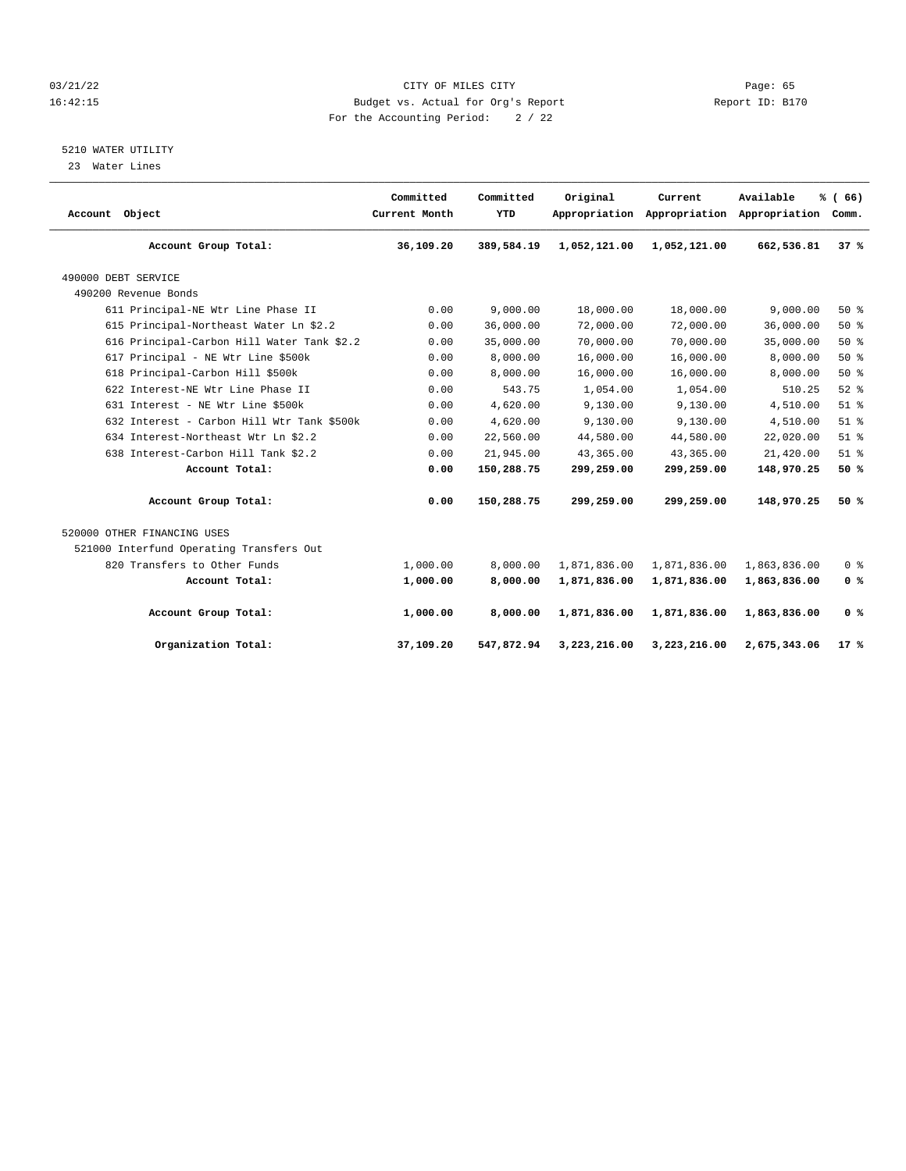#### 03/21/22 Page: 65 16:42:15 Budget vs. Actual for Org's Report Report ID: B170 For the Accounting Period: 2 / 22

### 5210 WATER UTILITY

23 Water Lines

| Account Object                             | Committed<br>Current Month | Committed<br>YTD | Original     | Current      | Available<br>Appropriation Appropriation Appropriation | % (66)<br>Comm. |
|--------------------------------------------|----------------------------|------------------|--------------|--------------|--------------------------------------------------------|-----------------|
| Account Group Total:                       | 36,109.20                  | 389,584.19       | 1,052,121.00 | 1,052,121.00 | 662,536.81                                             | 37%             |
| 490000 DEBT SERVICE                        |                            |                  |              |              |                                                        |                 |
| 490200 Revenue Bonds                       |                            |                  |              |              |                                                        |                 |
| 611 Principal-NE Wtr Line Phase II         | 0.00                       | 9.000.00         | 18,000.00    | 18,000.00    | 9.000.00                                               | 50%             |
| 615 Principal-Northeast Water Ln \$2.2     | 0.00                       | 36,000.00        | 72,000.00    | 72,000.00    | 36,000.00                                              | 50%             |
| 616 Principal-Carbon Hill Water Tank \$2.2 | 0.00                       | 35,000.00        | 70,000.00    | 70,000.00    | 35,000.00                                              | 50%             |
| 617 Principal - NE Wtr Line \$500k         | 0.00                       | 8,000.00         | 16,000.00    | 16,000.00    | 8,000.00                                               | 50%             |
| 618 Principal-Carbon Hill \$500k           | 0.00                       | 8,000.00         | 16,000.00    | 16,000.00    | 8,000.00                                               | 50%             |
| 622 Interest-NE Wtr Line Phase II          | 0.00                       | 543.75           | 1,054.00     | 1,054.00     | 510.25                                                 | $52$ $%$        |
| 631 Interest - NE Wtr Line \$500k          | 0.00                       | 4,620.00         | 9,130.00     | 9,130.00     | 4,510.00                                               | $51$ %          |
| 632 Interest - Carbon Hill Wtr Tank \$500k | 0.00                       | 4,620.00         | 9,130.00     | 9,130.00     | 4,510.00                                               | $51$ %          |
| 634 Interest-Northeast Wtr Ln \$2.2        | 0.00                       | 22,560.00        | 44,580.00    | 44,580.00    | 22,020.00                                              | $51$ $%$        |
| 638 Interest-Carbon Hill Tank \$2.2        | 0.00                       | 21,945.00        | 43,365.00    | 43,365.00    | 21,420.00                                              | $51$ %          |
| Account Total:                             | 0.00                       | 150,288.75       | 299,259.00   | 299,259.00   | 148,970.25                                             | 50%             |
| Account Group Total:                       | 0.00                       | 150,288.75       | 299,259.00   | 299,259.00   | 148,970.25                                             | 50%             |
| 520000 OTHER FINANCING USES                |                            |                  |              |              |                                                        |                 |
| 521000 Interfund Operating Transfers Out   |                            |                  |              |              |                                                        |                 |
| 820 Transfers to Other Funds               | 1,000.00                   | 8,000.00         | 1,871,836.00 | 1,871,836.00 | 1,863,836.00                                           | 0 <sup>8</sup>  |
| Account Total:                             | 1,000.00                   | 8,000.00         | 1,871,836.00 | 1,871,836.00 | 1,863,836.00                                           | 0 <sup>8</sup>  |
| Account Group Total:                       | 1,000.00                   | 8,000.00         | 1,871,836.00 | 1,871,836.00 | 1,863,836.00                                           | 0 <sup>8</sup>  |
| Organization Total:                        | 37,109.20                  | 547,872.94       | 3,223,216.00 | 3,223,216.00 | 2,675,343.06                                           | $17*$           |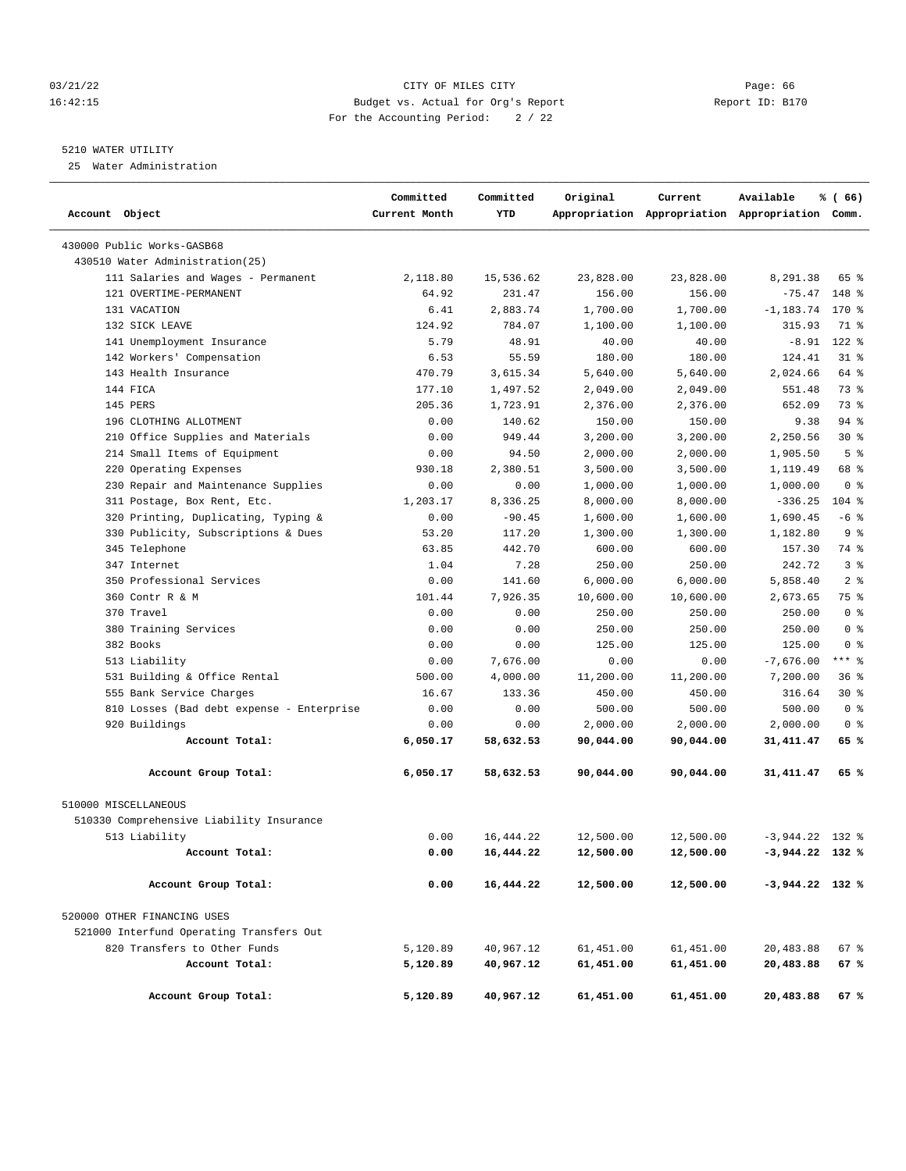#### 03/21/22 Page: 66 16:42:15 Budget vs. Actual for Org's Report Report ID: B170 For the Accounting Period: 2 / 22

#### 5210 WATER UTILITY

25 Water Administration

| Account Object                            | Committed<br>Current Month | Committed<br>YTD | Original  | Current   | Available<br>Appropriation Appropriation Appropriation Comm. | % (66)         |
|-------------------------------------------|----------------------------|------------------|-----------|-----------|--------------------------------------------------------------|----------------|
| 430000 Public Works-GASB68                |                            |                  |           |           |                                                              |                |
| 430510 Water Administration (25)          |                            |                  |           |           |                                                              |                |
| 111 Salaries and Wages - Permanent        | 2,118.80                   | 15,536.62        | 23,828.00 | 23,828.00 | 8,291.38                                                     | 65 %           |
| 121 OVERTIME-PERMANENT                    | 64.92                      | 231.47           | 156.00    | 156.00    | $-75.47$                                                     | 148 %          |
| 131 VACATION                              | 6.41                       | 2,883.74         | 1,700.00  | 1,700.00  | $-1, 183.74$                                                 | 170 %          |
| 132 SICK LEAVE                            | 124.92                     | 784.07           | 1,100.00  | 1,100.00  | 315.93                                                       | 71 %           |
| 141 Unemployment Insurance                | 5.79                       | 48.91            | 40.00     | 40.00     | $-8.91$                                                      | $122$ %        |
| 142 Workers' Compensation                 | 6.53                       | 55.59            | 180.00    | 180.00    | 124.41                                                       | $31$ $8$       |
| 143 Health Insurance                      | 470.79                     | 3,615.34         | 5,640.00  | 5,640.00  | 2,024.66                                                     | 64 %           |
| 144 FICA                                  | 177.10                     | 1,497.52         | 2,049.00  | 2,049.00  | 551.48                                                       | 73 %           |
| 145 PERS                                  | 205.36                     | 1,723.91         | 2,376.00  | 2,376.00  | 652.09                                                       | 73 %           |
| 196 CLOTHING ALLOTMENT                    | 0.00                       | 140.62           | 150.00    | 150.00    | 9.38                                                         | 94 %           |
| 210 Office Supplies and Materials         | 0.00                       | 949.44           | 3,200.00  | 3,200.00  | 2,250.56                                                     | $30*$          |
| 214 Small Items of Equipment              | 0.00                       | 94.50            | 2,000.00  | 2,000.00  | 1,905.50                                                     | 5 <sup>8</sup> |
| 220 Operating Expenses                    | 930.18                     | 2,380.51         | 3,500.00  | 3,500.00  | 1,119.49                                                     | 68 %           |
| 230 Repair and Maintenance Supplies       | 0.00                       | 0.00             | 1,000.00  | 1,000.00  | 1,000.00                                                     | 0 <sup>8</sup> |
| 311 Postage, Box Rent, Etc.               | 1,203.17                   | 8,336.25         | 8,000.00  | 8,000.00  | $-336.25$                                                    | $104$ %        |
| 320 Printing, Duplicating, Typing &       | 0.00                       | $-90.45$         | 1,600.00  | 1,600.00  | 1,690.45                                                     | $-6$ %         |
| 330 Publicity, Subscriptions & Dues       | 53.20                      | 117.20           | 1,300.00  | 1,300.00  | 1,182.80                                                     | 9 <sub>8</sub> |
| 345 Telephone                             | 63.85                      | 442.70           | 600.00    | 600.00    | 157.30                                                       | 74 %           |
| 347 Internet                              | 1.04                       | 7.28             | 250.00    | 250.00    | 242.72                                                       | 3%             |
| 350 Professional Services                 | 0.00                       | 141.60           | 6,000.00  | 6,000.00  | 5,858.40                                                     | 2 <sub>8</sub> |
| 360 Contr R & M                           | 101.44                     | 7,926.35         | 10,600.00 | 10,600.00 | 2,673.65                                                     | 75 %           |
| 370 Travel                                | 0.00                       | 0.00             | 250.00    | 250.00    | 250.00                                                       | 0 <sup>8</sup> |
| 380 Training Services                     | 0.00                       | 0.00             | 250.00    | 250.00    | 250.00                                                       | 0 <sup>8</sup> |
| 382 Books                                 | 0.00                       | 0.00             | 125.00    | 125.00    | 125.00                                                       | 0 <sup>8</sup> |
| 513 Liability                             | 0.00                       | 7,676.00         | 0.00      | 0.00      | $-7,676.00$                                                  | $***$ $-$      |
| 531 Building & Office Rental              | 500.00                     | 4,000.00         | 11,200.00 | 11,200.00 | 7,200.00                                                     | 368            |
| 555 Bank Service Charges                  | 16.67                      | 133.36           | 450.00    | 450.00    | 316.64                                                       | $30*$          |
| 810 Losses (Bad debt expense - Enterprise | 0.00                       | 0.00             | 500.00    | 500.00    | 500.00                                                       | 0 <sup>8</sup> |
| 920 Buildings                             | 0.00                       | 0.00             | 2,000.00  | 2,000.00  | 2,000.00                                                     | 0 <sup>8</sup> |
| Account Total:                            | 6,050.17                   | 58,632.53        | 90,044.00 | 90,044.00 | 31,411.47                                                    | 65 %           |
| Account Group Total:                      | 6,050.17                   | 58,632.53        | 90,044.00 | 90,044.00 | 31, 411.47                                                   | 65 %           |
| 510000 MISCELLANEOUS                      |                            |                  |           |           |                                                              |                |
| 510330 Comprehensive Liability Insurance  |                            |                  |           |           |                                                              |                |
| 513 Liability                             | 0.00                       | 16,444.22        | 12,500.00 | 12,500.00 | $-3,944.22$ 132 %                                            |                |
| Account Total:                            | 0.00                       | 16,444.22        | 12,500.00 | 12,500.00 | $-3,944.22$ 132 %                                            |                |
| Account Group Total:                      | 0.00                       | 16,444.22        | 12,500.00 | 12,500.00 | $-3,944.22$ 132 %                                            |                |
| 520000 OTHER FINANCING USES               |                            |                  |           |           |                                                              |                |
| 521000 Interfund Operating Transfers Out  |                            |                  |           |           |                                                              |                |
| 820 Transfers to Other Funds              | 5,120.89                   | 40,967.12        | 61,451.00 | 61,451.00 | 20,483.88                                                    | 67%            |
| Account Total:                            | 5,120.89                   | 40,967.12        | 61,451.00 | 61,451.00 | 20,483.88                                                    | 67 %           |
| Account Group Total:                      | 5,120.89                   | 40,967.12        | 61,451.00 | 61,451.00 | 20,483.88                                                    | 67 %           |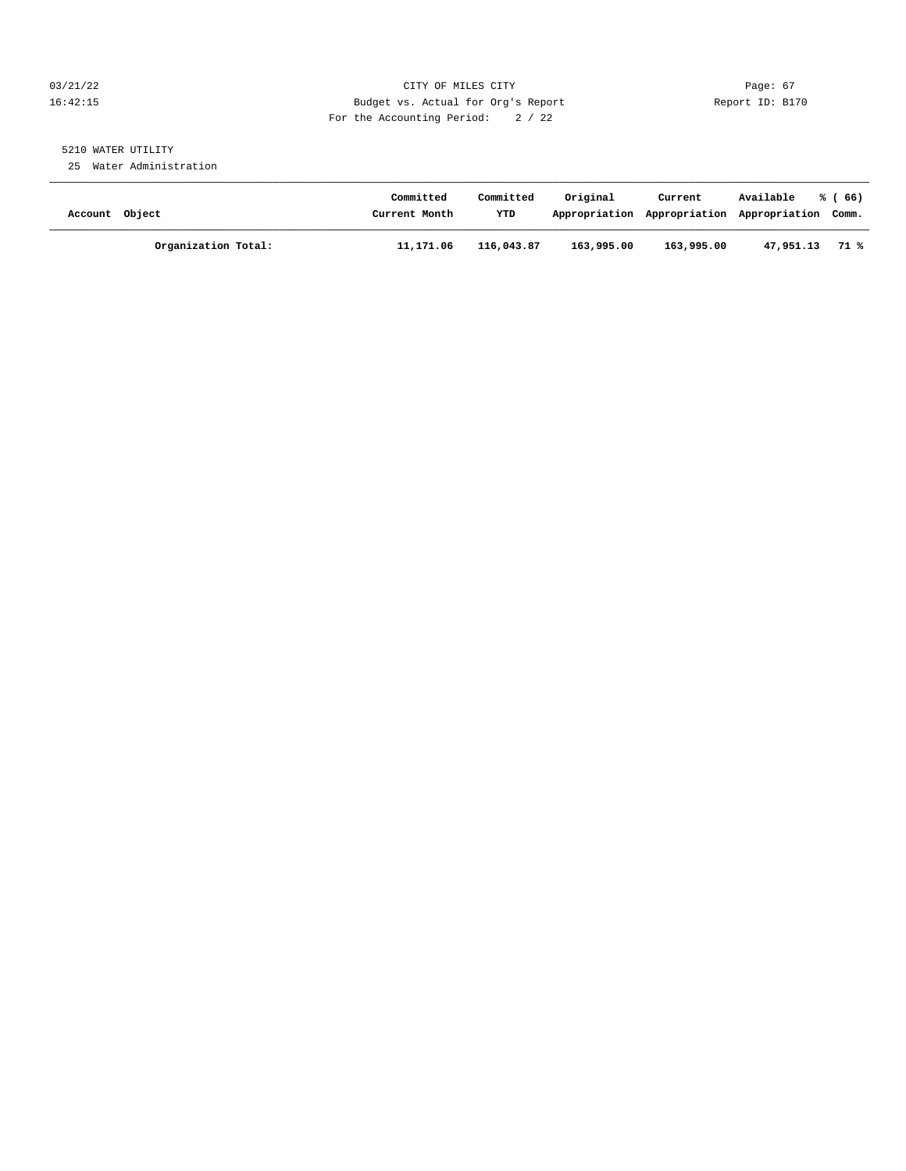#### 03/21/22 Page: 67 16:42:15 Budget vs. Actual for Org's Report Report ID: B170 For the Accounting Period: 2 / 22

## 5210 WATER UTILITY

25 Water Administration

| Account Object |                     | Committed<br>Current Month | Committed<br>YTD | Original   | Current<br>Appropriation Appropriation | Available<br>Appropriation Comm. | % (66) |
|----------------|---------------------|----------------------------|------------------|------------|----------------------------------------|----------------------------------|--------|
|                | Organization Total: | 11,171.06                  | 116,043.87       | 163,995.00 | 163,995.00                             | 47,951.13                        | 71 %   |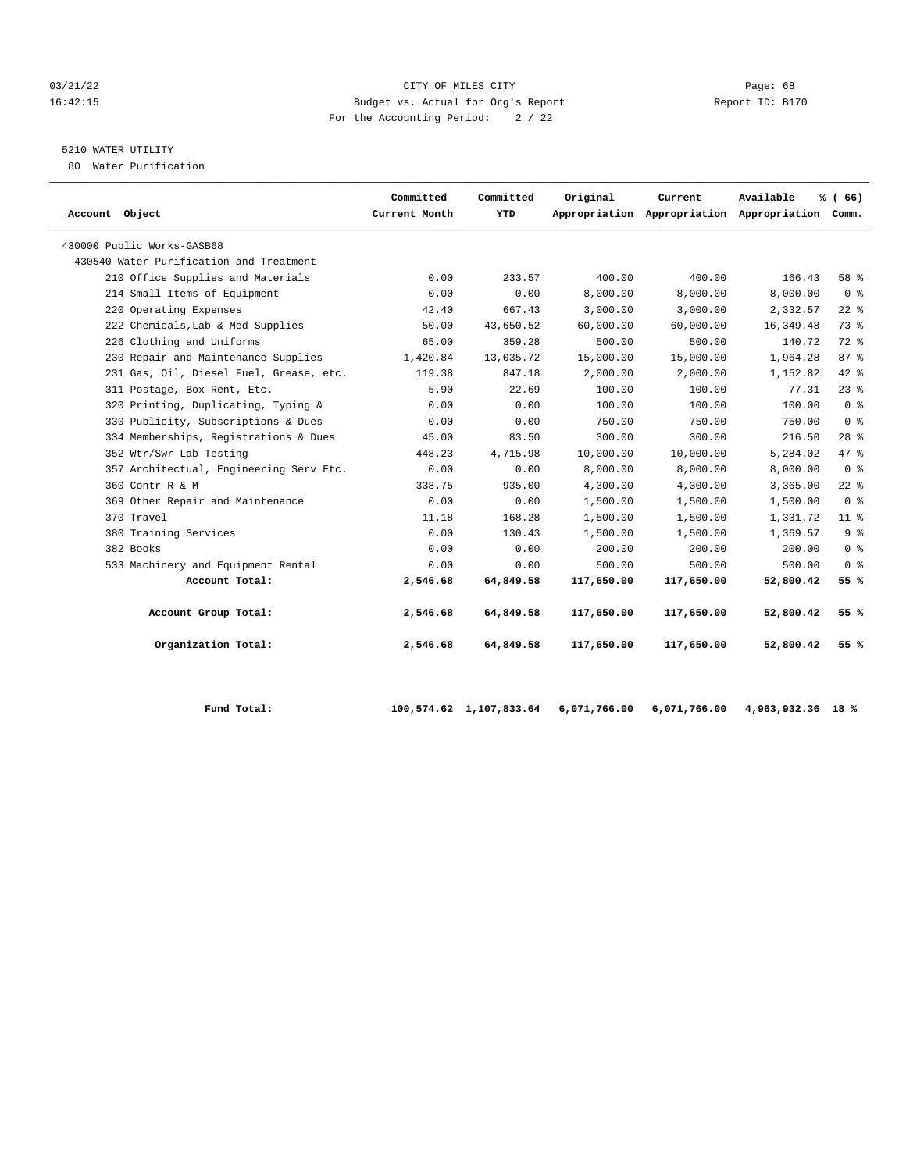#### 03/21/22 Page: 68 16:42:15 Budget vs. Actual for Org's Report Report ID: B170 For the Accounting Period: 2 / 22

## 5210 WATER UTILITY

80 Water Purification

| Account Object                          | Committed<br>Current Month | Committed<br>YTD | Original   | Current    | Available<br>Appropriation Appropriation Appropriation Comm. | % (66)         |
|-----------------------------------------|----------------------------|------------------|------------|------------|--------------------------------------------------------------|----------------|
| 430000 Public Works-GASB68              |                            |                  |            |            |                                                              |                |
| 430540 Water Purification and Treatment |                            |                  |            |            |                                                              |                |
| 210 Office Supplies and Materials       | 0.00                       | 233.57           | 400.00     | 400.00     | 166.43                                                       | 58 %           |
| 214 Small Items of Equipment            | 0.00                       | 0.00             | 8,000.00   | 8,000.00   | 8,000.00                                                     | 0 <sup>8</sup> |
| 220 Operating Expenses                  | 42.40                      | 667.43           | 3,000.00   | 3,000.00   | 2,332.57                                                     | $22$ %         |
| 222 Chemicals, Lab & Med Supplies       | 50.00                      | 43,650.52        | 60,000.00  | 60,000.00  | 16, 349.48                                                   | 73%            |
| 226 Clothing and Uniforms               | 65.00                      | 359.28           | 500.00     | 500.00     | 140.72                                                       | 72 %           |
| 230 Repair and Maintenance Supplies     | 1,420.84                   | 13,035.72        | 15,000.00  | 15,000.00  | 1,964.28                                                     | 87%            |
| 231 Gas, Oil, Diesel Fuel, Grease, etc. | 119.38                     | 847.18           | 2,000.00   | 2,000.00   | 1,152.82                                                     | 42 %           |
| 311 Postage, Box Rent, Etc.             | 5.90                       | 22.69            | 100.00     | 100.00     | 77.31                                                        | $23$ $%$       |
| 320 Printing, Duplicating, Typing &     | 0.00                       | 0.00             | 100.00     | 100.00     | 100.00                                                       | 0 <sup>8</sup> |
| 330 Publicity, Subscriptions & Dues     | 0.00                       | 0.00             | 750.00     | 750.00     | 750.00                                                       | 0 <sup>8</sup> |
| 334 Memberships, Registrations & Dues   | 45.00                      | 83.50            | 300.00     | 300.00     | 216.50                                                       | $28$ %         |
| 352 Wtr/Swr Lab Testing                 | 448.23                     | 4,715.98         | 10,000.00  | 10,000.00  | 5,284.02                                                     | 47 %           |
| 357 Architectual, Engineering Serv Etc. | 0.00                       | 0.00             | 8,000.00   | 8,000.00   | 8,000.00                                                     | 0 <sup>8</sup> |
| 360 Contr R & M                         | 338.75                     | 935.00           | 4,300.00   | 4,300.00   | 3,365.00                                                     | $22$ $%$       |
| 369 Other Repair and Maintenance        | 0.00                       | 0.00             | 1,500.00   | 1,500.00   | 1,500.00                                                     | 0 <sup>8</sup> |
| 370 Travel                              | 11.18                      | 168.28           | 1,500.00   | 1,500.00   | 1,331.72                                                     | $11$ %         |
| 380 Training Services                   | 0.00                       | 130.43           | 1,500.00   | 1,500.00   | 1,369.57                                                     | 9 <sup>8</sup> |
| 382 Books                               | 0.00                       | 0.00             | 200.00     | 200.00     | 200.00                                                       | 0 <sup>8</sup> |
| 533 Machinery and Equipment Rental      | 0.00                       | 0.00             | 500.00     | 500.00     | 500.00                                                       | 0 <sup>8</sup> |
| Account Total:                          | 2,546.68                   | 64,849.58        | 117,650.00 | 117,650.00 | 52,800.42                                                    | 55 %           |
| Account Group Total:                    | 2,546.68                   | 64,849.58        | 117,650.00 | 117,650.00 | 52,800.42                                                    | 55%            |
| Organization Total:                     | 2,546.68                   | 64,849.58        | 117,650.00 | 117,650.00 | 52,800.42                                                    | 55%            |

 **Fund Total: 100,574.62 1,107,833.64 6,071,766.00 6,071,766.00 4,963,932.36 18 %**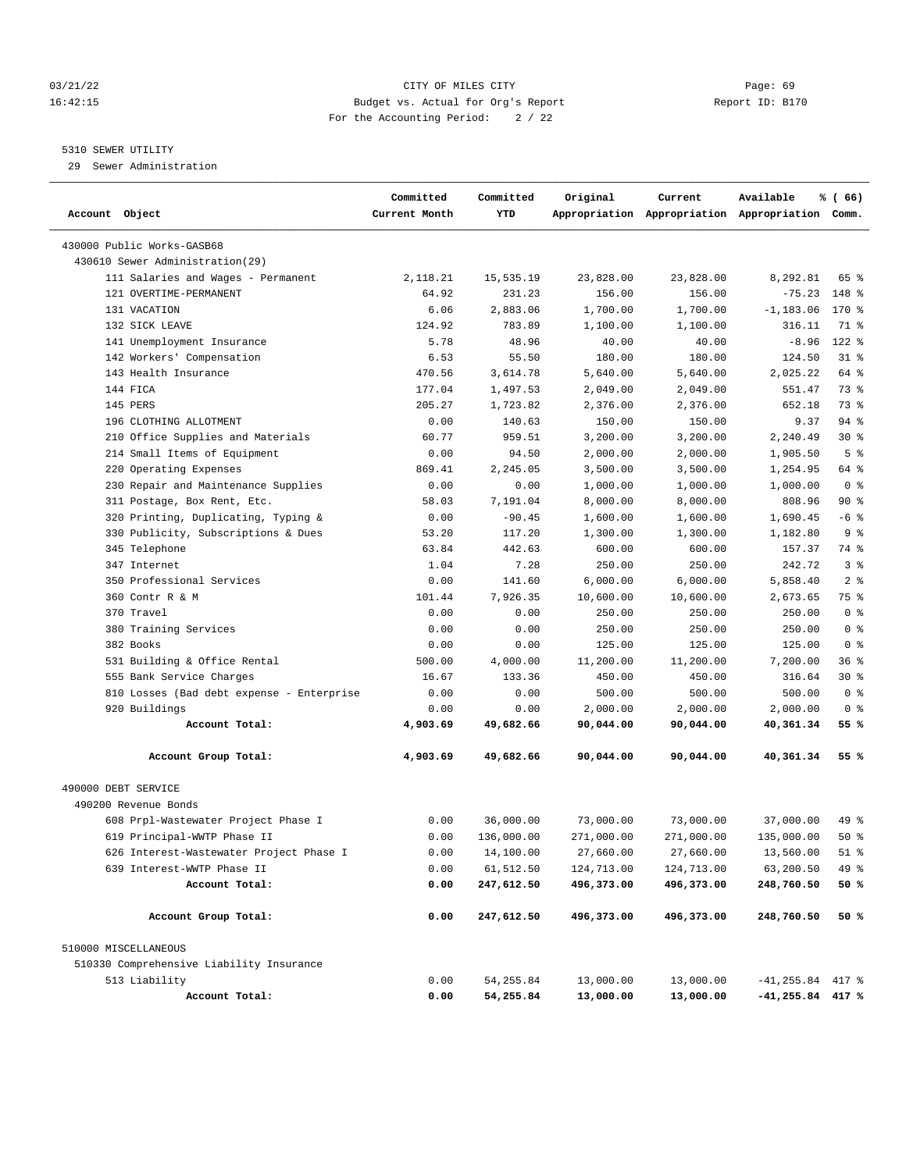#### 03/21/22 Page: 69 16:42:15 Budget vs. Actual for Org's Report Report ID: B170 For the Accounting Period: 2 / 22

#### 5310 SEWER UTILITY

29 Sewer Administration

| Account Object                            | Committed<br>Current Month | Committed<br>YTD | Original   | Current    | Available<br>Appropriation Appropriation Appropriation Comm. | % (66)         |
|-------------------------------------------|----------------------------|------------------|------------|------------|--------------------------------------------------------------|----------------|
| 430000 Public Works-GASB68                |                            |                  |            |            |                                                              |                |
| 430610 Sewer Administration (29)          |                            |                  |            |            |                                                              |                |
| 111 Salaries and Wages - Permanent        | 2,118.21                   | 15,535.19        | 23,828.00  | 23,828.00  | 8,292.81                                                     | 65 %           |
| 121 OVERTIME-PERMANENT                    | 64.92                      | 231.23           | 156.00     | 156.00     | $-75.23$                                                     | 148 %          |
| 131 VACATION                              | 6.06                       | 2,883.06         | 1,700.00   | 1,700.00   | $-1, 183.06$                                                 | 170 %          |
| 132 SICK LEAVE                            | 124.92                     | 783.89           | 1,100.00   | 1,100.00   | 316.11                                                       | 71 %           |
| 141 Unemployment Insurance                | 5.78                       | 48.96            | 40.00      | 40.00      | $-8.96$                                                      | $122$ %        |
| 142 Workers' Compensation                 | 6.53                       | 55.50            | 180.00     | 180.00     | 124.50                                                       | $31$ %         |
| 143 Health Insurance                      | 470.56                     | 3,614.78         | 5,640.00   | 5,640.00   | 2,025.22                                                     | 64 %           |
| 144 FICA                                  | 177.04                     | 1,497.53         | 2,049.00   | 2,049.00   | 551.47                                                       | 73 %           |
| 145 PERS                                  | 205.27                     | 1,723.82         | 2,376.00   | 2,376.00   | 652.18                                                       | 73 %           |
| 196 CLOTHING ALLOTMENT                    | 0.00                       | 140.63           | 150.00     | 150.00     | 9.37                                                         | $94$ %         |
| 210 Office Supplies and Materials         | 60.77                      | 959.51           | 3,200.00   | 3,200.00   | 2,240.49                                                     | $30*$          |
| 214 Small Items of Equipment              | 0.00                       | 94.50            | 2,000.00   | 2,000.00   | 1,905.50                                                     | 5 <sup>8</sup> |
| 220 Operating Expenses                    | 869.41                     | 2,245.05         | 3,500.00   | 3,500.00   | 1,254.95                                                     | 64 %           |
| 230 Repair and Maintenance Supplies       | 0.00                       | 0.00             | 1,000.00   | 1,000.00   | 1,000.00                                                     | 0 <sup>8</sup> |
| 311 Postage, Box Rent, Etc.               | 58.03                      | 7,191.04         | 8,000.00   | 8,000.00   | 808.96                                                       | 90%            |
| 320 Printing, Duplicating, Typing &       | 0.00                       | $-90.45$         | 1,600.00   | 1,600.00   | 1,690.45                                                     | $-6$ %         |
| 330 Publicity, Subscriptions & Dues       | 53.20                      | 117.20           | 1,300.00   | 1,300.00   | 1,182.80                                                     | 9 <sup>8</sup> |
| 345 Telephone                             | 63.84                      | 442.63           | 600.00     | 600.00     | 157.37                                                       | 74 %           |
| 347 Internet                              | 1.04                       | 7.28             | 250.00     | 250.00     | 242.72                                                       | 3%             |
| 350 Professional Services                 | 0.00                       | 141.60           | 6,000.00   | 6,000.00   | 5,858.40                                                     | 2 <sup>8</sup> |
| 360 Contr R & M                           | 101.44                     | 7,926.35         | 10,600.00  | 10,600.00  | 2,673.65                                                     | 75 %           |
| 370 Travel                                | 0.00                       | 0.00             | 250.00     | 250.00     | 250.00                                                       | 0 <sup>8</sup> |
| 380 Training Services                     | 0.00                       | 0.00             | 250.00     | 250.00     | 250.00                                                       | 0 <sup>8</sup> |
| 382 Books                                 | 0.00                       | 0.00             | 125.00     | 125.00     | 125.00                                                       | 0 <sup>8</sup> |
| 531 Building & Office Rental              | 500.00                     | 4,000.00         | 11,200.00  | 11,200.00  | 7,200.00                                                     | 36%            |
| 555 Bank Service Charges                  | 16.67                      | 133.36           | 450.00     | 450.00     | 316.64                                                       | $30*$          |
| 810 Losses (Bad debt expense - Enterprise | 0.00                       | 0.00             | 500.00     | 500.00     | 500.00                                                       | 0 <sup>8</sup> |
| 920 Buildings                             | 0.00                       | 0.00             | 2,000.00   | 2,000.00   | 2,000.00                                                     | 0 <sup>8</sup> |
| Account Total:                            | 4,903.69                   | 49,682.66        | 90,044.00  | 90,044.00  | 40,361.34                                                    | 55 %           |
| Account Group Total:                      | 4,903.69                   | 49,682.66        | 90,044.00  | 90,044.00  | 40,361.34                                                    | 55 %           |
| 490000 DEBT SERVICE                       |                            |                  |            |            |                                                              |                |
| 490200 Revenue Bonds                      |                            |                  |            |            |                                                              |                |
| 608 Prpl-Wastewater Project Phase I       | 0.00                       | 36,000.00        | 73,000.00  | 73,000.00  | 37,000.00                                                    | 49 %           |
| 619 Principal-WWTP Phase II               | 0.00                       | 136,000.00       | 271,000.00 | 271,000.00 | 135,000.00                                                   | 50%            |
| 626 Interest-Wastewater Project Phase I   | 0.00                       | 14,100.00        | 27,660.00  | 27,660.00  | 13,560.00                                                    | $51$ %         |
| 639 Interest-WWTP Phase II                | 0.00                       | 61,512.50        | 124,713.00 | 124,713.00 | 63,200.50                                                    | 49 %           |
| Account Total:                            | 0.00                       | 247,612.50       | 496,373.00 | 496,373.00 | 248,760.50                                                   | 50 %           |
| Account Group Total:                      | 0.00                       | 247,612.50       | 496,373.00 | 496,373.00 | 248,760.50                                                   | 50 %           |
| 510000 MISCELLANEOUS                      |                            |                  |            |            |                                                              |                |
| 510330 Comprehensive Liability Insurance  |                            |                  |            |            |                                                              |                |
| 513 Liability                             | 0.00                       | 54, 255.84       | 13,000.00  | 13,000.00  | $-41, 255.84$ 417 %                                          |                |
| Account Total:                            | 0.00                       | 54,255.84        | 13,000.00  | 13,000.00  | $-41, 255.84$ 417 %                                          |                |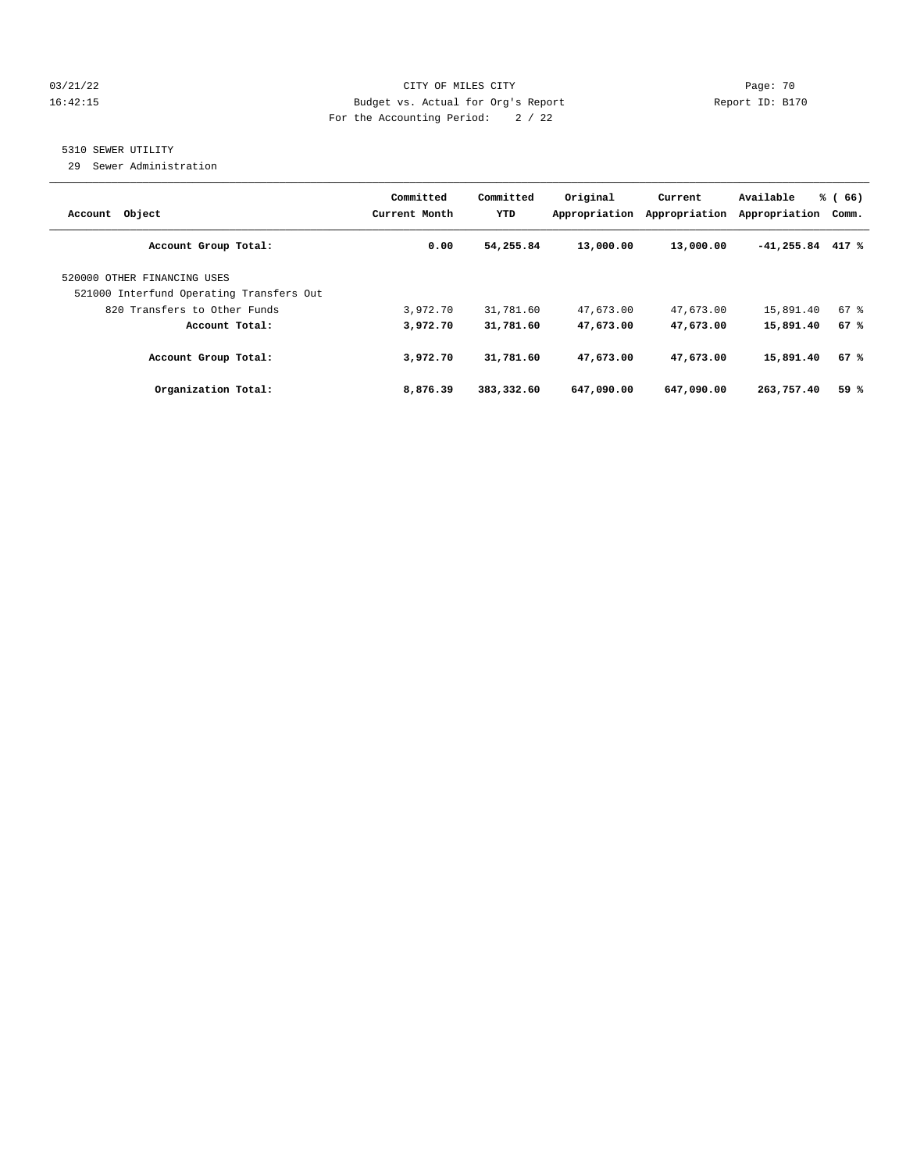#### 03/21/22 Page: 70 16:42:15 Budget vs. Actual for Org's Report Report ID: B170 For the Accounting Period: 2 / 22

## 5310 SEWER UTILITY

29 Sewer Administration

| Account Object                                                          | Committed<br>Current Month | Committed<br>YTD | Original<br>Appropriation | Current<br>Appropriation | Available<br>Appropriation | % (<br>66)<br>Comm. |
|-------------------------------------------------------------------------|----------------------------|------------------|---------------------------|--------------------------|----------------------------|---------------------|
| Account Group Total:                                                    | 0.00                       | 54,255.84        | 13,000.00                 | 13,000.00                | $-41,255.84$               | 417 %               |
| 520000 OTHER FINANCING USES<br>521000 Interfund Operating Transfers Out |                            |                  |                           |                          |                            |                     |
| 820 Transfers to Other Funds                                            | 3,972.70                   | 31,781.60        | 47,673.00                 | 47,673.00                | 15,891.40                  | $67$ $%$            |
| Account Total:                                                          | 3,972.70                   | 31,781.60        | 47,673.00                 | 47,673.00                | 15,891.40                  | 67%                 |
| Account Group Total:                                                    | 3,972.70                   | 31,781.60        | 47,673.00                 | 47,673.00                | 15,891.40                  | 67%                 |
| Organization Total:                                                     | 8,876.39                   | 383,332.60       | 647,090.00                | 647,090.00               | 263,757.40                 | 59%                 |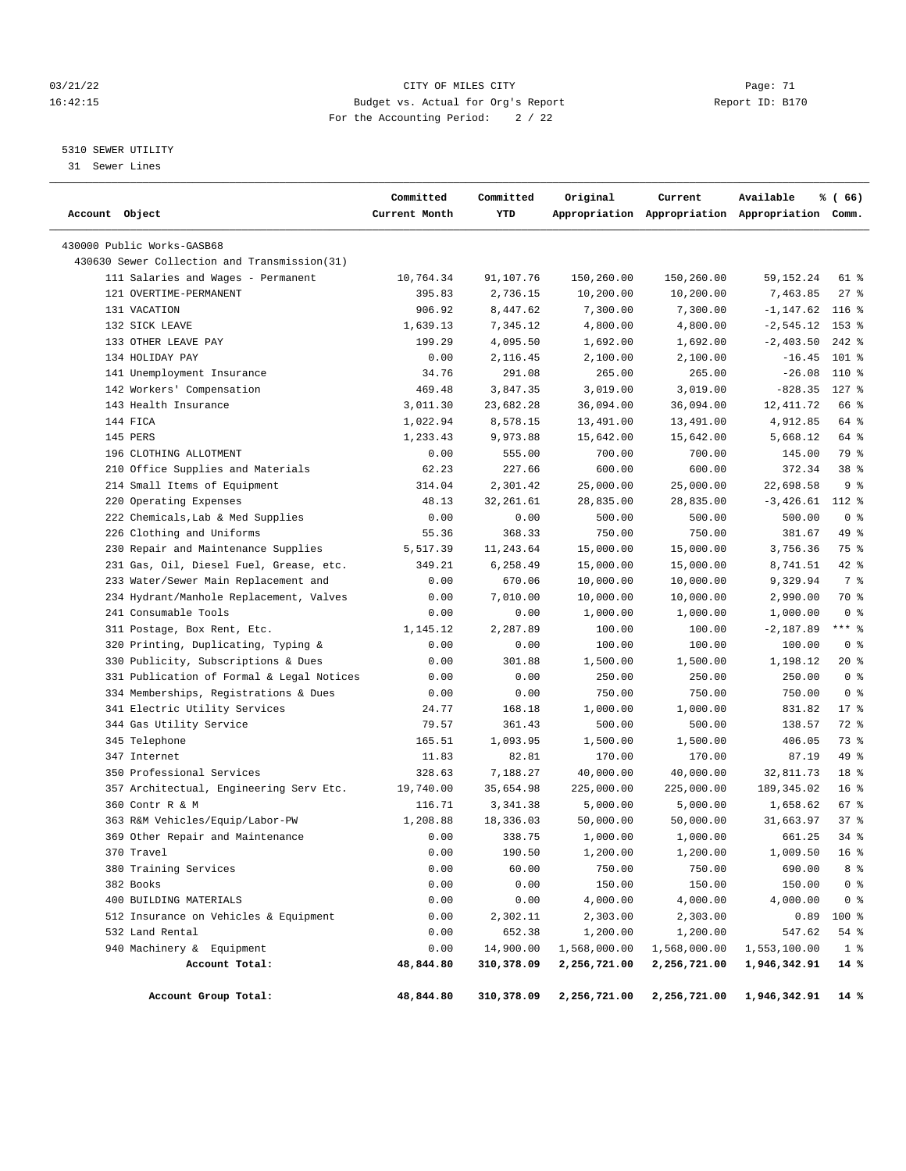#### 03/21/22 Page: 71 CITY OF MILES CITY CONTROL Page: 71 16:42:15 Budget vs. Actual for Org's Report Report ID: B170 For the Accounting Period: 2 / 22

————————————————————————————————————————————————————————————————————————————————————————————————————————————————————————————————————

#### 5310 SEWER UTILITY

31 Sewer Lines

|                |                                              | Committed     | Committed  | Original     | Current      | Available                                       | % (66)          |  |
|----------------|----------------------------------------------|---------------|------------|--------------|--------------|-------------------------------------------------|-----------------|--|
| Account Object |                                              | Current Month | YTD        |              |              | Appropriation Appropriation Appropriation Comm. |                 |  |
|                | 430000 Public Works-GASB68                   |               |            |              |              |                                                 |                 |  |
|                | 430630 Sewer Collection and Transmission(31) |               |            |              |              |                                                 |                 |  |
|                | 111 Salaries and Wages - Permanent           | 10,764.34     | 91,107.76  | 150,260.00   | 150,260.00   | 59, 152. 24                                     | 61 %            |  |
|                | 121 OVERTIME-PERMANENT                       | 395.83        | 2,736.15   | 10,200.00    | 10,200.00    | 7,463.85                                        | $27$ %          |  |
|                | 131 VACATION                                 | 906.92        | 8,447.62   | 7,300.00     | 7,300.00     | -1,147.62                                       | $116$ %         |  |
|                | 132 SICK LEAVE                               | 1,639.13      | 7,345.12   | 4,800.00     | 4,800.00     | $-2, 545.12$                                    | $153$ $%$       |  |
|                | 133 OTHER LEAVE PAY                          | 199.29        | 4,095.50   | 1,692.00     | 1,692.00     | $-2,403.50$                                     | $242$ %         |  |
|                | 134 HOLIDAY PAY                              | 0.00          | 2,116.45   | 2,100.00     | 2,100.00     | $-16.45$                                        | $101$ %         |  |
|                | 141 Unemployment Insurance                   | 34.76         | 291.08     | 265.00       | 265.00       | $-26.08$                                        | 110 %           |  |
|                | 142 Workers' Compensation                    | 469.48        | 3,847.35   | 3,019.00     | 3,019.00     | $-828.35$                                       | $127$ %         |  |
|                | 143 Health Insurance                         | 3,011.30      | 23,682.28  | 36,094.00    | 36,094.00    | 12, 411.72                                      | 66 %            |  |
|                | 144 FICA                                     | 1,022.94      | 8,578.15   | 13,491.00    | 13,491.00    | 4,912.85                                        | 64 %            |  |
|                | 145 PERS                                     | 1,233.43      | 9,973.88   | 15,642.00    | 15,642.00    | 5,668.12                                        | 64 %            |  |
|                | 196 CLOTHING ALLOTMENT                       | 0.00          | 555.00     | 700.00       | 700.00       | 145.00                                          | 79 %            |  |
|                | 210 Office Supplies and Materials            | 62.23         | 227.66     | 600.00       | 600.00       | 372.34                                          | 38 <sup>8</sup> |  |
|                | 214 Small Items of Equipment                 | 314.04        | 2,301.42   | 25,000.00    | 25,000.00    | 22,698.58                                       | 9 <sup>8</sup>  |  |
|                | 220 Operating Expenses                       | 48.13         | 32, 261.61 | 28,835.00    | 28,835.00    | $-3,426.61$ 112 %                               |                 |  |
|                | 222 Chemicals, Lab & Med Supplies            | 0.00          | 0.00       | 500.00       | 500.00       | 500.00                                          | 0 <sup>8</sup>  |  |
|                | 226 Clothing and Uniforms                    | 55.36         | 368.33     | 750.00       | 750.00       | 381.67                                          | 49 %            |  |
|                | 230 Repair and Maintenance Supplies          | 5,517.39      | 11,243.64  | 15,000.00    | 15,000.00    | 3,756.36                                        | 75 %            |  |
|                | 231 Gas, Oil, Diesel Fuel, Grease, etc.      | 349.21        | 6,258.49   | 15,000.00    | 15,000.00    | 8,741.51                                        | $42$ %          |  |
|                | 233 Water/Sewer Main Replacement and         | 0.00          | 670.06     | 10,000.00    | 10,000.00    | 9,329.94                                        | 7 %             |  |
|                | 234 Hydrant/Manhole Replacement, Valves      | 0.00          | 7,010.00   | 10,000.00    | 10,000.00    | 2,990.00                                        | 70 %            |  |
|                | 241 Consumable Tools                         | 0.00          | 0.00       | 1,000.00     | 1,000.00     | 1,000.00                                        | 0 <sup>8</sup>  |  |
|                | 311 Postage, Box Rent, Etc.                  | 1,145.12      | 2,287.89   | 100.00       | 100.00       | $-2,187.89$                                     | $***$ $-$       |  |
|                | 320 Printing, Duplicating, Typing &          | 0.00          | 0.00       | 100.00       | 100.00       | 100.00                                          | 0 <sup>8</sup>  |  |
|                | 330 Publicity, Subscriptions & Dues          | 0.00          | 301.88     | 1,500.00     | 1,500.00     | 1,198.12                                        | $20*$           |  |
|                | 331 Publication of Formal & Legal Notices    | 0.00          | 0.00       | 250.00       | 250.00       | 250.00                                          | 0 <sup>8</sup>  |  |
|                | 334 Memberships, Registrations & Dues        | 0.00          | 0.00       | 750.00       | 750.00       | 750.00                                          | 0 <sup>8</sup>  |  |
|                | 341 Electric Utility Services                | 24.77         | 168.18     | 1,000.00     | 1,000.00     | 831.82                                          | $17*$           |  |
|                | 344 Gas Utility Service                      | 79.57         | 361.43     | 500.00       | 500.00       | 138.57                                          | 72 %            |  |
|                | 345 Telephone                                | 165.51        | 1,093.95   | 1,500.00     | 1,500.00     | 406.05                                          | 73 %            |  |
|                | 347 Internet                                 | 11.83         | 82.81      | 170.00       | 170.00       | 87.19                                           | 49 %            |  |
|                | 350 Professional Services                    | 328.63        | 7,188.27   | 40,000.00    | 40,000.00    | 32,811.73                                       | 18 <sup>8</sup> |  |
|                | 357 Architectual, Engineering Serv Etc.      | 19,740.00     | 35,654.98  | 225,000.00   | 225,000.00   | 189, 345.02                                     | 16 <sup>8</sup> |  |
|                | 360 Contr R & M                              | 116.71        | 3,341.38   | 5,000.00     | 5,000.00     | 1,658.62                                        | 67 %            |  |
|                | 363 R&M Vehicles/Equip/Labor-PW              | 1,208.88      | 18,336.03  | 50,000.00    | 50,000.00    | 31,663.97                                       | 37%             |  |
|                | 369 Other Repair and Maintenance             | 0.00          | 338.75     | 1,000.00     | 1,000.00     | 661.25                                          | $34$ $%$        |  |
|                | 370 Travel                                   | 0.00          | 190.50     | 1,200.00     | 1,200.00     | 1,009.50                                        | 16 <sup>8</sup> |  |
|                | 380 Training Services                        | 0.00          | 60.00      | 750.00       | 750.00       | 690.00                                          | 8 %             |  |
|                | 382 Books                                    | 0.00          | 0.00       | 150.00       | 150.00       | 150.00                                          | 0 <sup>8</sup>  |  |
|                | 400 BUILDING MATERIALS                       | 0.00          | 0.00       | 4,000.00     | 4,000.00     | 4,000.00                                        | 0 <sub>8</sub>  |  |
|                | 512 Insurance on Vehicles & Equipment        | 0.00          | 2,302.11   | 2,303.00     | 2,303.00     | 0.89                                            | 100 %           |  |
|                | 532 Land Rental                              | 0.00          | 652.38     | 1,200.00     | 1,200.00     | 547.62                                          | 54 %            |  |
|                | 940 Machinery & Equipment                    | 0.00          | 14,900.00  | 1,568,000.00 | 1,568,000.00 | 1,553,100.00                                    | 1 <sup>8</sup>  |  |
|                | Account Total:                               | 48,844.80     | 310,378.09 | 2,256,721.00 | 2,256,721.00 | 1,946,342.91                                    | 14 %            |  |
|                |                                              |               |            |              |              |                                                 |                 |  |
|                | Account Group Total:                         | 48,844.80     | 310,378.09 | 2,256,721.00 | 2,256,721.00 | 1,946,342.91                                    | 14 %            |  |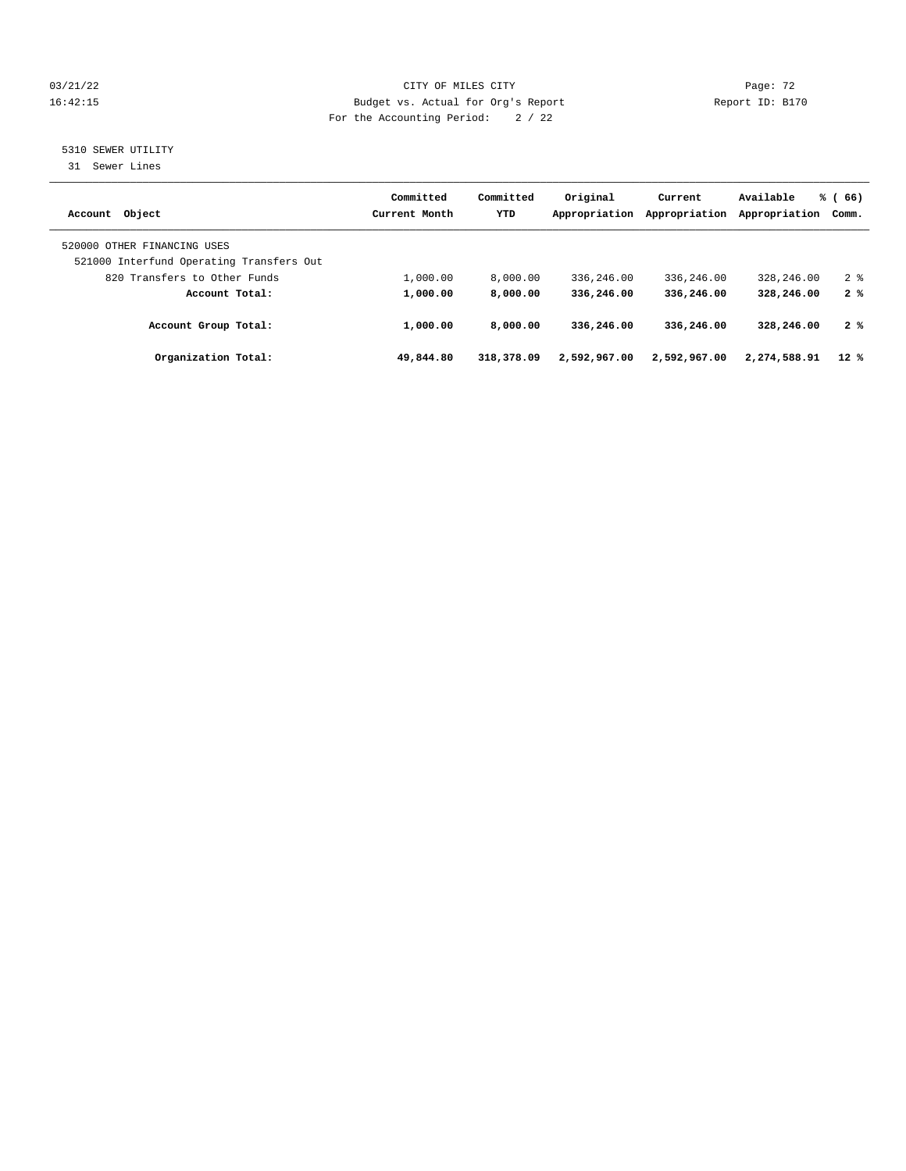#### 03/21/22 Page: 72 16:42:15 Budget vs. Actual for Org's Report Report ID: B170 For the Accounting Period: 2 / 22

### 5310 SEWER UTILITY

31 Sewer Lines

| Account Object                                                          | Committed<br>Current Month | Committed<br>YTD | Original<br>Appropriation | Current<br>Appropriation | Available<br>Appropriation | % (66)<br>Comm. |
|-------------------------------------------------------------------------|----------------------------|------------------|---------------------------|--------------------------|----------------------------|-----------------|
| 520000 OTHER FINANCING USES<br>521000 Interfund Operating Transfers Out |                            |                  |                           |                          |                            |                 |
| 820 Transfers to Other Funds                                            | 1,000.00                   | 8,000.00         | 336,246.00                | 336,246.00               | 328,246.00                 | 28              |
| Account Total:                                                          | 1,000.00                   | 8,000.00         | 336,246.00                | 336,246.00               | 328,246.00                 | 2%              |
| Account Group Total:                                                    | 1,000.00                   | 8,000.00         | 336,246.00                | 336,246.00               | 328,246.00                 | 2%              |
| Organization Total:                                                     | 49,844.80                  | 318,378.09       | 2,592,967.00              | 2,592,967.00             | 2,274,588.91               | $12*$           |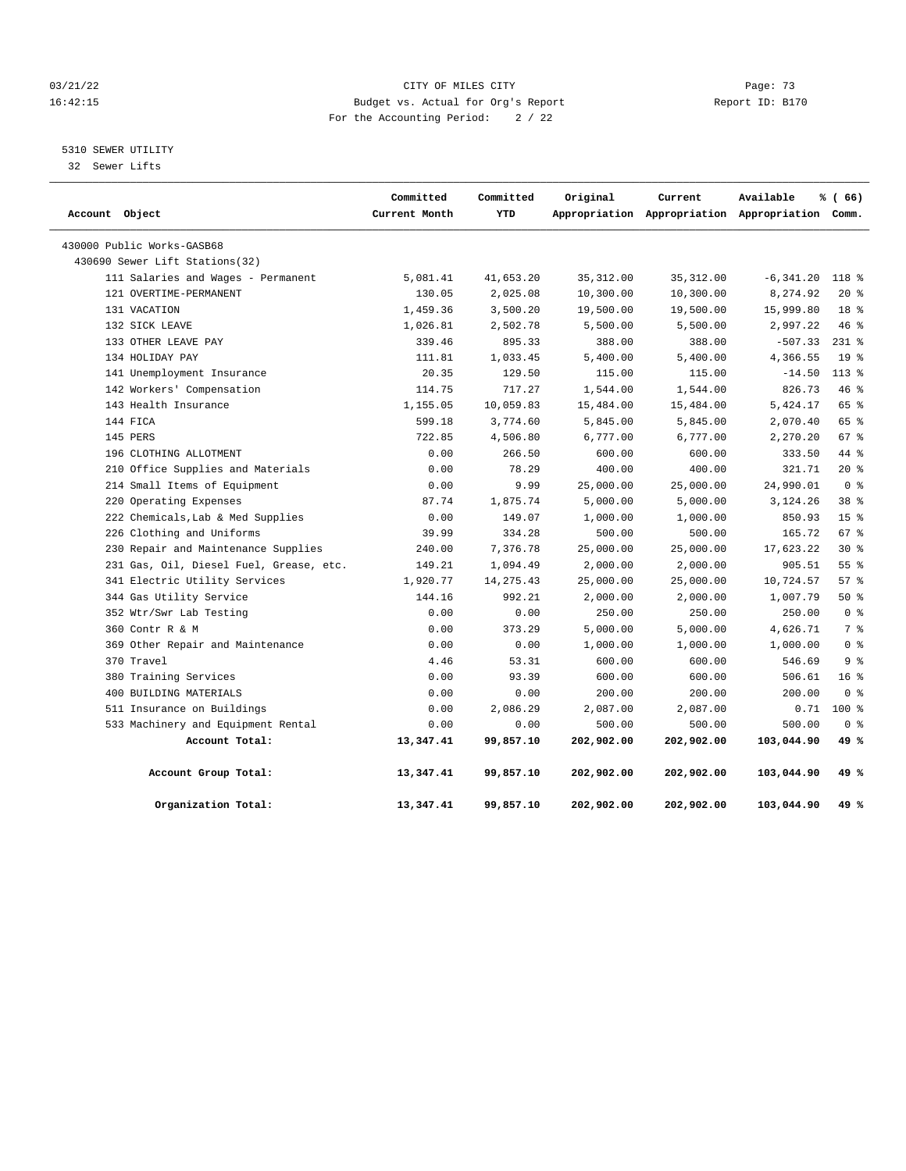#### 03/21/22 Page: 73 16:42:15 Budget vs. Actual for Org's Report Report ID: B170 For the Accounting Period: 2 / 22

### 5310 SEWER UTILITY

32 Sewer Lifts

| Account Object |                                         | Committed<br>Current Month | Committed<br>YTD | Original   | Current    | Available<br>Appropriation Appropriation Appropriation Comm. | % (66)          |  |
|----------------|-----------------------------------------|----------------------------|------------------|------------|------------|--------------------------------------------------------------|-----------------|--|
|                | 430000 Public Works-GASB68              |                            |                  |            |            |                                                              |                 |  |
|                | 430690 Sewer Lift Stations(32)          |                            |                  |            |            |                                                              |                 |  |
|                | 111 Salaries and Wages - Permanent      | 5,081.41                   | 41,653.20        | 35, 312.00 | 35, 312.00 | $-6, 341.20$                                                 | 118 %           |  |
|                | 121 OVERTIME-PERMANENT                  | 130.05                     | 2,025.08         | 10,300.00  | 10,300.00  | 8,274.92                                                     | $20*$           |  |
|                | 131 VACATION                            | 1,459.36                   | 3,500.20         | 19,500.00  | 19,500.00  | 15,999.80                                                    | 18 %            |  |
|                | 132 SICK LEAVE                          | 1,026.81                   | 2,502.78         | 5,500.00   | 5,500.00   | 2,997.22                                                     | 46%             |  |
|                | 133 OTHER LEAVE PAY                     | 339.46                     | 895.33           | 388.00     | 388.00     | $-507.33$                                                    | $231$ %         |  |
|                | 134 HOLIDAY PAY                         | 111.81                     | 1,033.45         | 5,400.00   | 5,400.00   | 4,366.55                                                     | 19 <sup>°</sup> |  |
|                | 141 Unemployment Insurance              | 20.35                      | 129.50           | 115.00     | 115.00     | $-14.50$                                                     | $113*$          |  |
|                | 142 Workers' Compensation               | 114.75                     | 717.27           | 1,544.00   | 1,544.00   | 826.73                                                       | 46%             |  |
|                | 143 Health Insurance                    | 1,155.05                   | 10,059.83        | 15,484.00  | 15,484.00  | 5,424.17                                                     | 65 %            |  |
|                | 144 FICA                                | 599.18                     | 3,774.60         | 5,845.00   | 5,845.00   | 2,070.40                                                     | 65%             |  |
|                | 145 PERS                                | 722.85                     | 4,506.80         | 6,777.00   | 6,777.00   | 2,270.20                                                     | 67 %            |  |
|                | 196 CLOTHING ALLOTMENT                  | 0.00                       | 266.50           | 600.00     | 600.00     | 333.50                                                       | 44 %            |  |
|                | 210 Office Supplies and Materials       | 0.00                       | 78.29            | 400.00     | 400.00     | 321.71                                                       | $20*$           |  |
|                | 214 Small Items of Equipment            | 0.00                       | 9.99             | 25,000.00  | 25,000.00  | 24,990.01                                                    | 0 <sup>8</sup>  |  |
|                | 220 Operating Expenses                  | 87.74                      | 1,875.74         | 5,000.00   | 5,000.00   | 3,124.26                                                     | 38 %            |  |
|                | 222 Chemicals, Lab & Med Supplies       | 0.00                       | 149.07           | 1,000.00   | 1,000.00   | 850.93                                                       | 15 <sup>8</sup> |  |
|                | 226 Clothing and Uniforms               | 39.99                      | 334.28           | 500.00     | 500.00     | 165.72                                                       | 67%             |  |
|                | 230 Repair and Maintenance Supplies     | 240.00                     | 7,376.78         | 25,000.00  | 25,000.00  | 17,623.22                                                    | $30*$           |  |
|                | 231 Gas, Oil, Diesel Fuel, Grease, etc. | 149.21                     | 1,094.49         | 2,000.00   | 2,000.00   | 905.51                                                       | 55%             |  |
|                | 341 Electric Utility Services           | 1,920.77                   | 14, 275.43       | 25,000.00  | 25,000.00  | 10,724.57                                                    | 57%             |  |
|                | 344 Gas Utility Service                 | 144.16                     | 992.21           | 2,000.00   | 2,000.00   | 1,007.79                                                     | 50%             |  |
|                | 352 Wtr/Swr Lab Testing                 | 0.00                       | 0.00             | 250.00     | 250.00     | 250.00                                                       | 0 <sup>8</sup>  |  |
|                | 360 Contr R & M                         | 0.00                       | 373.29           | 5,000.00   | 5,000.00   | 4,626.71                                                     | 7 %             |  |
|                | 369 Other Repair and Maintenance        | 0.00                       | 0.00             | 1,000.00   | 1,000.00   | 1,000.00                                                     | 0 <sup>8</sup>  |  |
|                | 370 Travel                              | 4.46                       | 53.31            | 600.00     | 600.00     | 546.69                                                       | 9 <sup>8</sup>  |  |
|                | 380 Training Services                   | 0.00                       | 93.39            | 600.00     | 600.00     | 506.61                                                       | 16 <sup>8</sup> |  |
|                | 400 BUILDING MATERIALS                  | 0.00                       | 0.00             | 200.00     | 200.00     | 200.00                                                       | 0 <sup>8</sup>  |  |
|                | 511 Insurance on Buildings              | 0.00                       | 2,086.29         | 2,087.00   | 2,087.00   | 0.71                                                         | $100$ %         |  |
|                | 533 Machinery and Equipment Rental      | 0.00                       | 0.00             | 500.00     | 500.00     | 500.00                                                       | 0 <sup>8</sup>  |  |
|                | Account Total:                          | 13,347.41                  | 99,857.10        | 202,902.00 | 202,902.00 | 103,044.90                                                   | 49 %            |  |
|                | Account Group Total:                    | 13,347.41                  | 99,857.10        | 202,902.00 | 202,902.00 | 103,044.90                                                   | 49 %            |  |
|                | Organization Total:                     | 13,347.41                  | 99,857.10        | 202,902.00 | 202,902.00 | 103,044.90                                                   | 49 %            |  |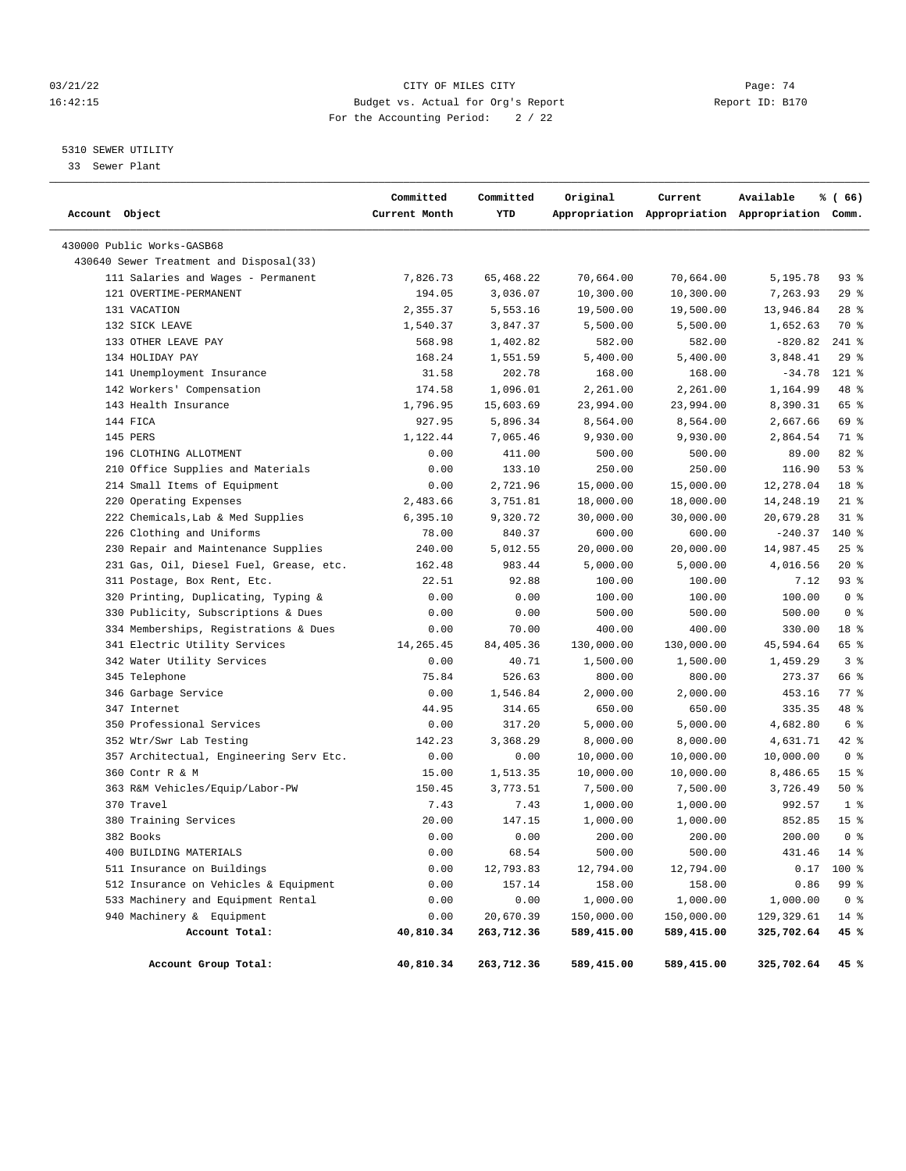#### 03/21/22 Page: 74 16:42:15 Budget vs. Actual for Org's Report Report ID: B170 For the Accounting Period: 2 / 22

## 5310 SEWER UTILITY

33 Sewer Plant

| Account Object                          | Committed<br>Current Month | Committed<br>YTD | Original   | Current    | Available<br>Appropriation Appropriation Appropriation Comm. | % (66)             |
|-----------------------------------------|----------------------------|------------------|------------|------------|--------------------------------------------------------------|--------------------|
| 430000 Public Works-GASB68              |                            |                  |            |            |                                                              |                    |
| 430640 Sewer Treatment and Disposal(33) |                            |                  |            |            |                                                              |                    |
| 111 Salaries and Wages - Permanent      | 7,826.73                   | 65,468.22        | 70,664.00  | 70,664.00  | 5,195.78                                                     | 93 %               |
| 121 OVERTIME-PERMANENT                  | 194.05                     | 3,036.07         | 10,300.00  | 10,300.00  | 7,263.93                                                     | 29%                |
| 131 VACATION                            | 2,355.37                   | 5,553.16         | 19,500.00  | 19,500.00  | 13,946.84                                                    | $28$ %             |
| 132 SICK LEAVE                          | 1,540.37                   | 3,847.37         | 5,500.00   | 5,500.00   | 1,652.63                                                     | 70 %               |
| 133 OTHER LEAVE PAY                     | 568.98                     | 1,402.82         | 582.00     | 582.00     | $-820.82$                                                    | $241$ %            |
| 134 HOLIDAY PAY                         | 168.24                     | 1,551.59         | 5,400.00   | 5,400.00   | 3,848.41                                                     | 29%                |
| 141 Unemployment Insurance              | 31.58                      | 202.78           | 168.00     | 168.00     | $-34.78$                                                     | 121 %              |
| 142 Workers' Compensation               | 174.58                     | 1,096.01         | 2,261.00   | 2,261.00   | 1,164.99                                                     | 48 %               |
| 143 Health Insurance                    | 1,796.95                   | 15,603.69        | 23,994.00  | 23,994.00  | 8,390.31                                                     | 65 %               |
| 144 FICA                                | 927.95                     | 5,896.34         | 8,564.00   | 8,564.00   | 2,667.66                                                     | 69 %               |
| 145 PERS                                | 1,122.44                   | 7,065.46         | 9,930.00   | 9,930.00   | 2,864.54                                                     | 71 %               |
| 196 CLOTHING ALLOTMENT                  | 0.00                       | 411.00           | 500.00     | 500.00     | 89.00                                                        | 82 %               |
| 210 Office Supplies and Materials       | 0.00                       | 133.10           | 250.00     | 250.00     | 116.90                                                       | 53%                |
| 214 Small Items of Equipment            | 0.00                       | 2,721.96         | 15,000.00  | 15,000.00  | 12,278.04                                                    | 18 <sup>8</sup>    |
| 220 Operating Expenses                  | 2,483.66                   | 3,751.81         | 18,000.00  | 18,000.00  | 14,248.19                                                    | $21$ %             |
| 222 Chemicals, Lab & Med Supplies       | 6,395.10                   | 9,320.72         | 30,000.00  | 30,000.00  | 20,679.28                                                    | $31$ %             |
| 226 Clothing and Uniforms               | 78.00                      | 840.37           | 600.00     | 600.00     | $-240.37$                                                    | $140*$             |
| 230 Repair and Maintenance Supplies     | 240.00                     | 5,012.55         | 20,000.00  | 20,000.00  | 14,987.45                                                    | 25%                |
| 231 Gas, Oil, Diesel Fuel, Grease, etc. | 162.48                     | 983.44           | 5,000.00   | 5,000.00   | 4,016.56                                                     | $20*$              |
| 311 Postage, Box Rent, Etc.             | 22.51                      | 92.88            | 100.00     | 100.00     | 7.12                                                         | 93%                |
| 320 Printing, Duplicating, Typing &     | 0.00                       | 0.00             | 100.00     | 100.00     | 100.00                                                       | 0 <sup>8</sup>     |
| 330 Publicity, Subscriptions & Dues     | 0.00                       | 0.00             | 500.00     | 500.00     | 500.00                                                       | 0 <sup>8</sup>     |
| 334 Memberships, Registrations & Dues   | 0.00                       | 70.00            | 400.00     | 400.00     | 330.00                                                       | 18 %               |
| 341 Electric Utility Services           | 14,265.45                  | 84, 405.36       | 130,000.00 | 130,000.00 | 45,594.64                                                    | 65 %               |
| 342 Water Utility Services              | 0.00                       | 40.71            | 1,500.00   | 1,500.00   | 1,459.29                                                     | 3%                 |
| 345 Telephone                           | 75.84                      | 526.63           | 800.00     | 800.00     | 273.37                                                       | 66 %               |
| 346 Garbage Service                     | 0.00                       | 1,546.84         | 2,000.00   | 2,000.00   | 453.16                                                       | $77$ $\frac{6}{9}$ |
| 347 Internet                            | 44.95                      | 314.65           | 650.00     | 650.00     | 335.35                                                       | 48 %               |
| 350 Professional Services               | 0.00                       | 317.20           | 5,000.00   | 5,000.00   | 4,682.80                                                     | 6 %                |
| 352 Wtr/Swr Lab Testing                 | 142.23                     | 3,368.29         | 8,000.00   | 8,000.00   | 4,631.71                                                     | $42$ %             |
| 357 Architectual, Engineering Serv Etc. | 0.00                       | 0.00             | 10,000.00  | 10,000.00  | 10,000.00                                                    | 0 <sup>8</sup>     |
| 360 Contr R & M                         | 15.00                      | 1,513.35         | 10,000.00  | 10,000.00  | 8,486.65                                                     | 15 <sup>8</sup>    |
| 363 R&M Vehicles/Equip/Labor-PW         | 150.45                     | 3,773.51         | 7,500.00   | 7,500.00   | 3,726.49                                                     | 50%                |
| 370 Travel                              | 7.43                       | 7.43             | 1,000.00   | 1,000.00   | 992.57                                                       | 1 <sup>8</sup>     |
| 380 Training Services                   | 20.00                      | 147.15           | 1,000.00   | 1,000.00   | 852.85                                                       | 15 <sup>°</sup>    |
| 382 Books                               | 0.00                       | 0.00             | 200.00     | 200.00     | 200.00                                                       | 0 <sup>8</sup>     |
| 400 BUILDING MATERIALS                  | 0.00                       | 68.54            | 500.00     | 500.00     | 431.46                                                       | $14*$              |
| 511 Insurance on Buildings              | 0.00                       | 12,793.83        | 12,794.00  | 12,794.00  | 0.17                                                         | 100 %              |
| 512 Insurance on Vehicles & Equipment   | 0.00                       | 157.14           | 158.00     | 158.00     | 0.86                                                         | 99 %               |
| 533 Machinery and Equipment Rental      | 0.00                       | 0.00             | 1,000.00   | 1,000.00   | 1,000.00                                                     | 0 <sup>8</sup>     |
| 940 Machinery & Equipment               | 0.00                       | 20,670.39        | 150,000.00 | 150,000.00 | 129,329.61                                                   | 14 %               |
| Account Total:                          | 40,810.34                  | 263,712.36       | 589,415.00 | 589,415.00 | 325,702.64                                                   | 45 %               |
| Account Group Total:                    | 40,810.34                  | 263,712.36       | 589,415.00 | 589,415.00 | 325,702.64                                                   | 45 %               |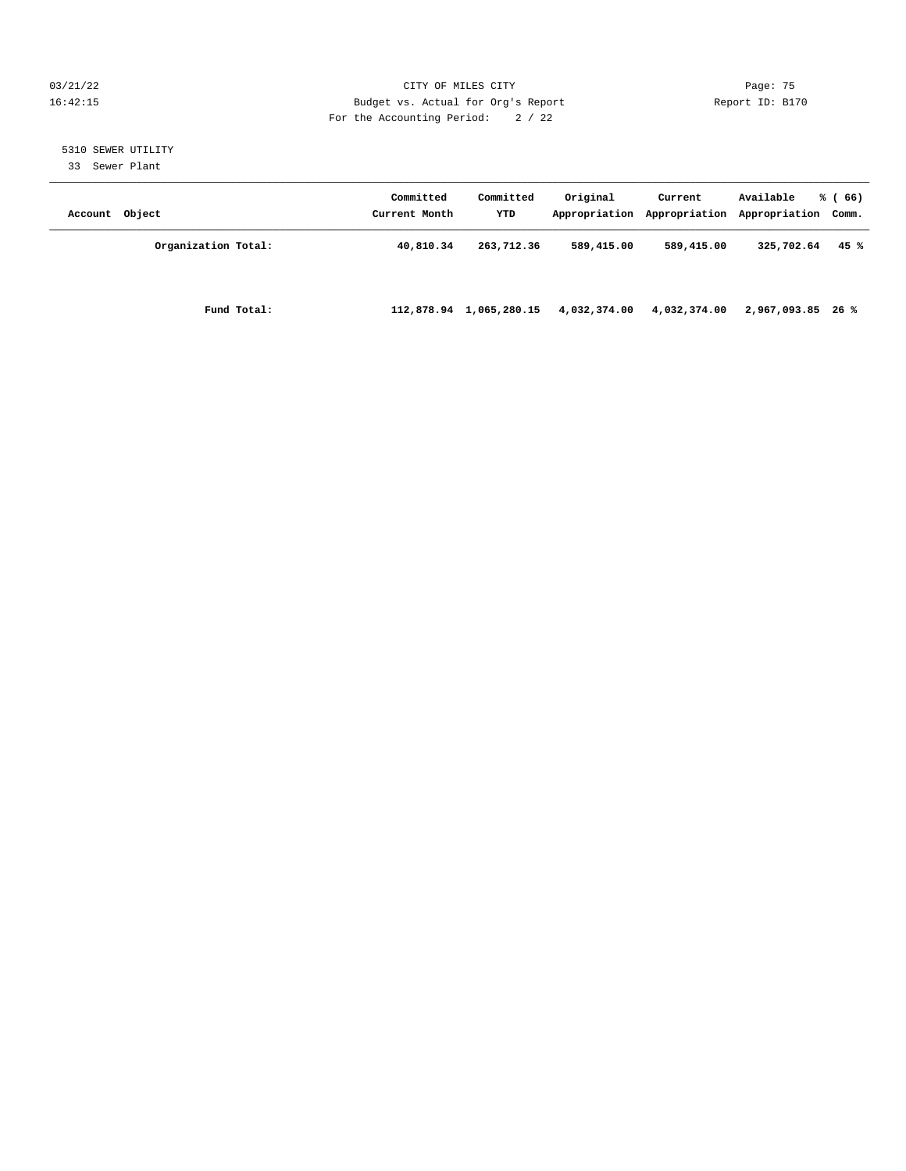#### 03/21/22 Page: 75 16:42:15 Budget vs. Actual for Org's Report Report ID: B170 For the Accounting Period: 2 / 22

# 5310 SEWER UTILITY

33 Sewer Plant

| Account Object |                     | Committed<br>Current Month | Committed<br>YTD | Original     | Current      | Available<br>Appropriation Appropriation Appropriation Comm. | % (66) |
|----------------|---------------------|----------------------------|------------------|--------------|--------------|--------------------------------------------------------------|--------|
|                | Organization Total: | 40,810.34                  | 263,712.36       | 589,415.00   | 589,415.00   | 325,702.64                                                   | 45 %   |
|                | Fund Total:         | 112,878.94                 | 1,065,280.15     | 4,032,374.00 | 4,032,374.00 | 2,967,093.85 26 %                                            |        |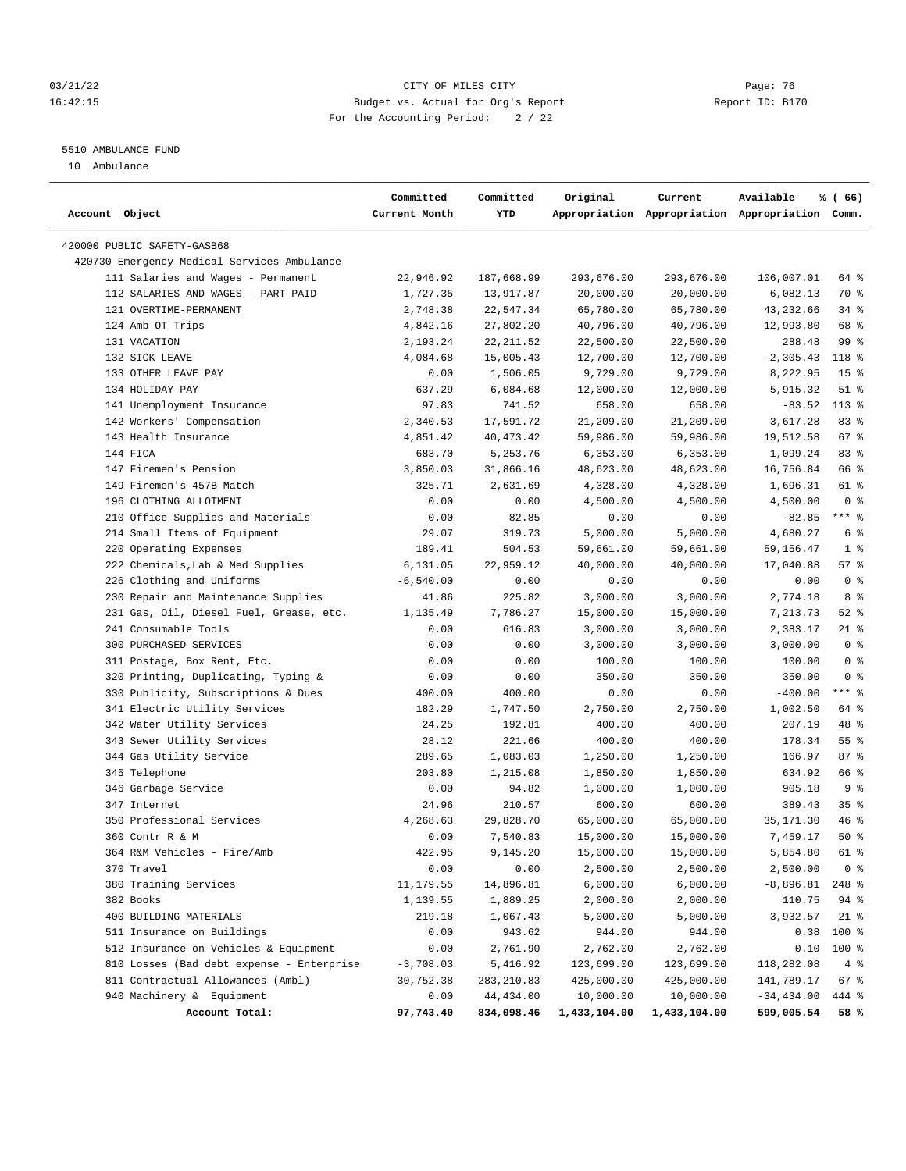#### 03/21/22 Page: 76 16:42:15 Budget vs. Actual for Org's Report Report ID: B170 For the Accounting Period: 2 / 22

————————————————————————————————————————————————————————————————————————————————————————————————————————————————————————————————————

## 5510 AMBULANCE FUND

10 Ambulance

|                                             | Committed     | Committed   | Original     | Current      | Available                                       | % (66)          |
|---------------------------------------------|---------------|-------------|--------------|--------------|-------------------------------------------------|-----------------|
| Account Object                              | Current Month | YTD         |              |              | Appropriation Appropriation Appropriation Comm. |                 |
| 420000 PUBLIC SAFETY-GASB68                 |               |             |              |              |                                                 |                 |
| 420730 Emergency Medical Services-Ambulance |               |             |              |              |                                                 |                 |
| 111 Salaries and Wages - Permanent          | 22,946.92     | 187,668.99  | 293,676.00   | 293,676.00   | 106,007.01                                      | 64 %            |
| 112 SALARIES AND WAGES - PART PAID          | 1,727.35      | 13,917.87   | 20,000.00    | 20,000.00    | 6,082.13                                        | 70 %            |
| 121 OVERTIME-PERMANENT                      | 2,748.38      | 22,547.34   | 65,780.00    | 65,780.00    | 43,232.66                                       | 34 %            |
| 124 Amb OT Trips                            | 4,842.16      | 27,802.20   | 40,796.00    | 40,796.00    | 12,993.80                                       | 68 %            |
| 131 VACATION                                | 2,193.24      | 22, 211.52  | 22,500.00    | 22,500.00    | 288.48                                          | 99 %            |
| 132 SICK LEAVE                              | 4,084.68      | 15,005.43   | 12,700.00    | 12,700.00    | $-2, 305.43$                                    | 118 %           |
| 133 OTHER LEAVE PAY                         | 0.00          | 1,506.05    | 9,729.00     | 9,729.00     | 8,222.95                                        | 15 <sup>°</sup> |
| 134 HOLIDAY PAY                             | 637.29        | 6,084.68    | 12,000.00    | 12,000.00    | 5,915.32                                        | $51$ %          |
| 141 Unemployment Insurance                  | 97.83         | 741.52      | 658.00       | 658.00       | $-83.52$                                        | $113*$          |
| 142 Workers' Compensation                   | 2,340.53      | 17,591.72   | 21,209.00    | 21,209.00    | 3,617.28                                        | 83 %            |
| 143 Health Insurance                        | 4,851.42      | 40, 473. 42 | 59,986.00    | 59,986.00    | 19,512.58                                       | 67%             |
| 144 FICA                                    | 683.70        | 5,253.76    | 6,353.00     | 6,353.00     | 1,099.24                                        | 83%             |
| 147 Firemen's Pension                       | 3,850.03      | 31,866.16   | 48,623.00    | 48,623.00    | 16,756.84                                       | 66 %            |
| 149 Firemen's 457B Match                    | 325.71        | 2,631.69    | 4,328.00     | 4,328.00     | 1,696.31                                        | 61 %            |
| 196 CLOTHING ALLOTMENT                      | 0.00          | 0.00        | 4,500.00     | 4,500.00     | 4,500.00                                        | 0 <sup>8</sup>  |
| 210 Office Supplies and Materials           | 0.00          | 82.85       | 0.00         | 0.00         | $-82.85$                                        | $***$ $_{8}$    |
| 214 Small Items of Equipment                | 29.07         | 319.73      | 5,000.00     | 5,000.00     | 4,680.27                                        | 6 %             |
| 220 Operating Expenses                      | 189.41        | 504.53      | 59,661.00    | 59,661.00    | 59,156.47                                       | 1 <sup>8</sup>  |
| 222 Chemicals, Lab & Med Supplies           | 6,131.05      | 22,959.12   | 40,000.00    | 40,000.00    | 17,040.88                                       | 57%             |
| 226 Clothing and Uniforms                   | $-6,540.00$   | 0.00        | 0.00         | 0.00         | 0.00                                            | 0 <sup>8</sup>  |
| 230 Repair and Maintenance Supplies         | 41.86         | 225.82      | 3,000.00     | 3,000.00     | 2,774.18                                        | 8 %             |
| 231 Gas, Oil, Diesel Fuel, Grease, etc.     | 1,135.49      | 7,786.27    | 15,000.00    | 15,000.00    | 7,213.73                                        | $52$ $%$        |
| 241 Consumable Tools                        | 0.00          | 616.83      | 3,000.00     | 3,000.00     | 2,383.17                                        | 21 %            |
| 300 PURCHASED SERVICES                      | 0.00          | 0.00        | 3,000.00     | 3,000.00     | 3,000.00                                        | 0 <sup>8</sup>  |
| 311 Postage, Box Rent, Etc.                 | 0.00          | 0.00        | 100.00       | 100.00       | 100.00                                          | 0 <sup>8</sup>  |
| 320 Printing, Duplicating, Typing &         | 0.00          | 0.00        | 350.00       | 350.00       | 350.00                                          | 0 <sup>8</sup>  |
| 330 Publicity, Subscriptions & Dues         | 400.00        | 400.00      | 0.00         | 0.00         | $-400.00$                                       | $***$ $-$       |
| 341 Electric Utility Services               | 182.29        | 1,747.50    | 2,750.00     | 2,750.00     | 1,002.50                                        | 64 %            |
| 342 Water Utility Services                  | 24.25         | 192.81      | 400.00       | 400.00       | 207.19                                          | 48 %            |
| 343 Sewer Utility Services                  | 28.12         | 221.66      | 400.00       | 400.00       | 178.34                                          | 55%             |
| 344 Gas Utility Service                     | 289.65        | 1,083.03    | 1,250.00     | 1,250.00     | 166.97                                          | 87%             |
| 345 Telephone                               | 203.80        | 1,215.08    | 1,850.00     | 1,850.00     | 634.92                                          | 66 %            |
| 346 Garbage Service                         | 0.00          | 94.82       | 1,000.00     | 1,000.00     | 905.18                                          | 9 <sup>8</sup>  |
| 347 Internet                                | 24.96         | 210.57      | 600.00       | 600.00       | 389.43                                          | 35 <sup>8</sup> |
| 350 Professional Services                   | 4,268.63      | 29,828.70   | 65,000.00    | 65,000.00    | 35, 171.30                                      | 46%             |
| 360 Contr R & M                             | 0.00          | 7,540.83    | 15,000.00    | 15,000.00    | 7,459.17                                        | 50%             |
| 364 R&M Vehicles - Fire/Amb                 | 422.95        | 9,145.20    | 15,000.00    | 15,000.00    | 5,854.80                                        | 61 %            |
| 370 Travel                                  | 0.00          | 0.00        | 2,500.00     | 2,500.00     | 2,500.00                                        | 0 <sup>8</sup>  |
| 380 Training Services                       | 11, 179.55    | 14,896.81   | 6,000.00     | 6,000.00     | $-8,896.81$                                     | 248 %           |
| 382 Books                                   | 1,139.55      | 1,889.25    | 2,000.00     | 2,000.00     | 110.75                                          | 94 %            |
| 400 BUILDING MATERIALS                      | 219.18        | 1,067.43    | 5,000.00     | 5,000.00     | 3,932.57                                        | $21$ %          |
| 511 Insurance on Buildings                  | 0.00          | 943.62      | 944.00       | 944.00       | 0.38                                            | 100 %           |
| 512 Insurance on Vehicles & Equipment       | 0.00          | 2,761.90    | 2,762.00     | 2,762.00     | 0.10                                            | 100 %           |
| 810 Losses (Bad debt expense - Enterprise   | $-3,708.03$   | 5,416.92    | 123,699.00   | 123,699.00   | 118,282.08                                      | 4%              |
| 811 Contractual Allowances (Ambl)           | 30,752.38     | 283,210.83  | 425,000.00   | 425,000.00   | 141,789.17                                      | 67 %            |
| 940 Machinery & Equipment                   | 0.00          | 44,434.00   | 10,000.00    | 10,000.00    | $-34, 434.00$                                   | 444 %           |
| Account Total:                              | 97,743.40     | 834,098.46  | 1,433,104.00 | 1,433,104.00 | 599,005.54                                      | 58%             |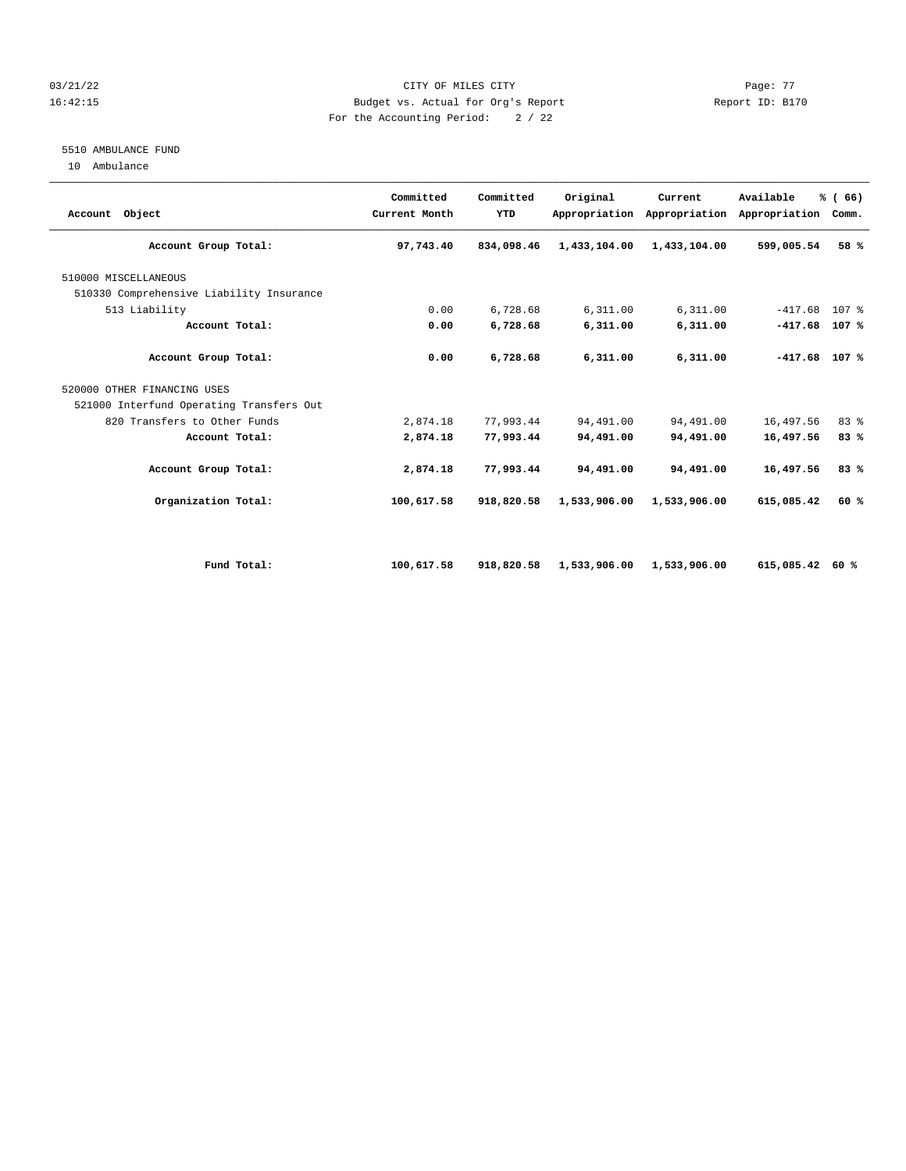#### $03/21/22$  Page: 77 16:42:15 Budget vs. Actual for Org's Report Report ID: B170 For the Accounting Period: 2 / 22

### 5510 AMBULANCE FUND

10 Ambulance

| Account Object                           | Committed<br>Current Month | Committed<br>YTD | Original     | Current<br>Appropriation Appropriation | Available<br>Appropriation | % (66)<br>Comm.  |  |
|------------------------------------------|----------------------------|------------------|--------------|----------------------------------------|----------------------------|------------------|--|
| Account Group Total:                     | 97,743.40                  | 834,098.46       | 1,433,104.00 | 1,433,104.00                           | 599,005.54                 | 58 %             |  |
| 510000 MISCELLANEOUS                     |                            |                  |              |                                        |                            |                  |  |
| 510330 Comprehensive Liability Insurance |                            |                  |              |                                        |                            |                  |  |
| 513 Liability                            | 0.00                       | 6,728.68         | 6,311.00     | 6,311.00                               | $-417.68$                  | 107 <sub>8</sub> |  |
| Account Total:                           | 0.00                       | 6,728.68         | 6,311.00     | 6,311.00                               | $-417.68$                  | 107 %            |  |
| Account Group Total:                     | 0.00                       | 6,728.68         | 6,311.00     | 6,311.00                               | $-417.68$ 107 %            |                  |  |
| 520000 OTHER FINANCING USES              |                            |                  |              |                                        |                            |                  |  |
| 521000 Interfund Operating Transfers Out |                            |                  |              |                                        |                            |                  |  |
| 820 Transfers to Other Funds             | 2,874.18                   | 77,993.44        | 94,491.00    | 94,491.00                              | 16,497.56                  | 83%              |  |
| Account Total:                           | 2,874.18                   | 77,993.44        | 94,491.00    | 94,491.00                              | 16,497.56                  | 83%              |  |
| Account Group Total:                     | 2,874.18                   | 77,993.44        | 94,491.00    | 94,491.00                              | 16,497.56                  | 83%              |  |
| Organization Total:                      | 100,617.58                 | 918,820.58       | 1,533,906.00 | 1,533,906.00                           | 615,085.42                 | 60%              |  |
|                                          |                            |                  |              |                                        |                            |                  |  |
| Fund Total:                              | 100,617.58                 | 918,820.58       | 1,533,906.00 | 1,533,906.00                           | 615,085.42                 | 60 %             |  |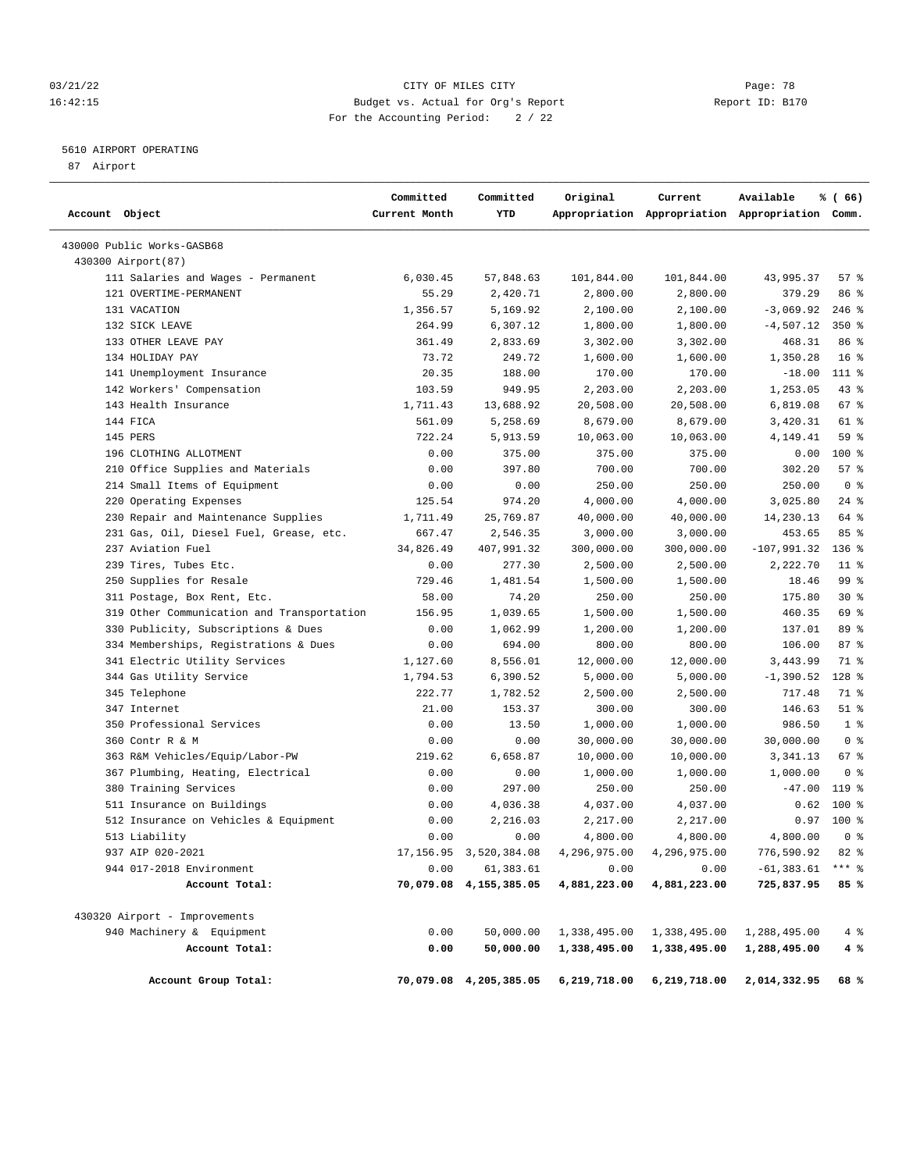#### 03/21/22 Page: 78 16:42:15 Budget vs. Actual for Org's Report Report ID: B170 For the Accounting Period: 2 / 22

## 5610 AIRPORT OPERATING

87 Airport

| Account Object                             | Committed<br>Current Month | Committed<br>YTD          | Original     | Current      | Available<br>Appropriation Appropriation Appropriation Comm. | % (66)          |
|--------------------------------------------|----------------------------|---------------------------|--------------|--------------|--------------------------------------------------------------|-----------------|
| 430000 Public Works-GASB68                 |                            |                           |              |              |                                                              |                 |
| 430300 Airport(87)                         |                            |                           |              |              |                                                              |                 |
| 111 Salaries and Wages - Permanent         | 6,030.45                   | 57,848.63                 | 101,844.00   | 101,844.00   | 43,995.37                                                    | 57%             |
| 121 OVERTIME-PERMANENT                     | 55.29                      | 2,420.71                  | 2,800.00     | 2,800.00     | 379.29                                                       | 86 %            |
| 131 VACATION                               | 1,356.57                   | 5,169.92                  | 2,100.00     | 2,100.00     | $-3,069.92$                                                  | $246$ %         |
| 132 SICK LEAVE                             | 264.99                     | 6,307.12                  | 1,800.00     | 1,800.00     | $-4,507.12$                                                  | 350%            |
| 133 OTHER LEAVE PAY                        | 361.49                     | 2,833.69                  | 3,302.00     | 3,302.00     | 468.31                                                       | 86 %            |
| 134 HOLIDAY PAY                            | 73.72                      | 249.72                    | 1,600.00     | 1,600.00     | 1,350.28                                                     | 16 <sup>8</sup> |
| 141 Unemployment Insurance                 | 20.35                      | 188.00                    | 170.00       | 170.00       | $-18.00$                                                     | 111 %           |
| 142 Workers' Compensation                  | 103.59                     | 949.95                    | 2,203.00     | 2,203.00     | 1,253.05                                                     | $43$ %          |
| 143 Health Insurance                       | 1,711.43                   | 13,688.92                 | 20,508.00    | 20,508.00    | 6,819.08                                                     | 67 %            |
| 144 FICA                                   | 561.09                     | 5,258.69                  | 8,679.00     | 8,679.00     | 3,420.31                                                     | 61 %            |
| 145 PERS                                   | 722.24                     | 5,913.59                  | 10,063.00    | 10,063.00    | 4,149.41                                                     | 59 %            |
| 196 CLOTHING ALLOTMENT                     | 0.00                       | 375.00                    | 375.00       | 375.00       | 0.00                                                         | $100*$          |
| 210 Office Supplies and Materials          | 0.00                       | 397.80                    | 700.00       | 700.00       | 302.20                                                       | 57%             |
| 214 Small Items of Equipment               | 0.00                       | 0.00                      | 250.00       | 250.00       | 250.00                                                       | 0 <sup>8</sup>  |
| 220 Operating Expenses                     | 125.54                     | 974.20                    | 4,000.00     | 4,000.00     | 3,025.80                                                     | 24%             |
| 230 Repair and Maintenance Supplies        | 1,711.49                   | 25,769.87                 | 40,000.00    | 40,000.00    | 14,230.13                                                    | 64 %            |
| 231 Gas, Oil, Diesel Fuel, Grease, etc.    | 667.47                     | 2,546.35                  | 3,000.00     | 3,000.00     | 453.65                                                       | 85 %            |
| 237 Aviation Fuel                          | 34,826.49                  | 407,991.32                | 300,000.00   | 300,000.00   | $-107,991.32$                                                | $136$ %         |
| 239 Tires, Tubes Etc.                      | 0.00                       | 277.30                    | 2,500.00     | 2,500.00     | 2,222.70                                                     | $11$ %          |
| 250 Supplies for Resale                    | 729.46                     | 1,481.54                  | 1,500.00     | 1,500.00     | 18.46                                                        | 99 %            |
| 311 Postage, Box Rent, Etc.                | 58.00                      | 74.20                     | 250.00       | 250.00       | 175.80                                                       | $30*$           |
| 319 Other Communication and Transportation | 156.95                     | 1,039.65                  | 1,500.00     | 1,500.00     | 460.35                                                       | 69 %            |
| 330 Publicity, Subscriptions & Dues        | 0.00                       | 1,062.99                  | 1,200.00     | 1,200.00     | 137.01                                                       | 89 %            |
| 334 Memberships, Registrations & Dues      | 0.00                       | 694.00                    | 800.00       | 800.00       | 106.00                                                       | 87%             |
| 341 Electric Utility Services              | 1,127.60                   | 8,556.01                  | 12,000.00    | 12,000.00    | 3,443.99                                                     | 71 %            |
| 344 Gas Utility Service                    | 1,794.53                   | 6,390.52                  | 5,000.00     | 5,000.00     | $-1,390.52$                                                  | $128$ %         |
| 345 Telephone                              | 222.77                     | 1,782.52                  | 2,500.00     | 2,500.00     | 717.48                                                       | 71 %            |
| 347 Internet                               | 21.00                      | 153.37                    | 300.00       | 300.00       | 146.63                                                       | $51$ %          |
| 350 Professional Services                  | 0.00                       | 13.50                     | 1,000.00     | 1,000.00     | 986.50                                                       | 1 <sup>8</sup>  |
| 360 Contr R & M                            | 0.00                       | 0.00                      | 30,000.00    | 30,000.00    | 30,000.00                                                    | 0 <sup>8</sup>  |
| 363 R&M Vehicles/Equip/Labor-PW            | 219.62                     | 6,658.87                  | 10,000.00    | 10,000.00    | 3,341.13                                                     | 67 %            |
| 367 Plumbing, Heating, Electrical          | 0.00                       | 0.00                      | 1,000.00     | 1,000.00     | 1,000.00                                                     | 0 <sup>8</sup>  |
| 380 Training Services                      | 0.00                       | 297.00                    | 250.00       | 250.00       | $-47.00$                                                     | 119 %           |
| 511 Insurance on Buildings                 | 0.00                       | 4,036.38                  | 4,037.00     | 4,037.00     | 0.62                                                         | 100 %           |
| 512 Insurance on Vehicles & Equipment      | 0.00                       | 2,216.03                  | 2,217.00     | 2,217.00     | 0.97                                                         | 100 %           |
| 513 Liability                              | 0.00                       | 0.00                      | 4,800.00     | 4,800.00     | 4,800.00                                                     | 0 <sup>8</sup>  |
| 937 AIP 020-2021                           |                            | 17, 156.95 3, 520, 384.08 | 4,296,975.00 | 4,296,975.00 | 776,590.92                                                   | 82 %            |
| 944 017-2018 Environment                   | 0.00                       | 61,383.61                 | 0.00         | 0.00         | $-61, 383.61$                                                | $***$ $_{8}$    |
| Account Total:                             |                            | 70,079.08 4,155,385.05    | 4,881,223.00 | 4,881,223.00 | 725,837.95                                                   | 85%             |
| 430320 Airport - Improvements              |                            |                           |              |              |                                                              |                 |
| 940 Machinery & Equipment                  | 0.00                       | 50,000.00                 | 1,338,495.00 | 1,338,495.00 | 1,288,495.00                                                 | $4\degree$      |
| Account Total:                             | 0.00                       | 50,000.00                 | 1,338,495.00 | 1,338,495.00 | 1,288,495.00                                                 | 4 %             |
| Account Group Total:                       |                            | 70,079.08 4,205,385.05    | 6,219,718.00 | 6,219,718.00 | 2,014,332.95                                                 | 68 %            |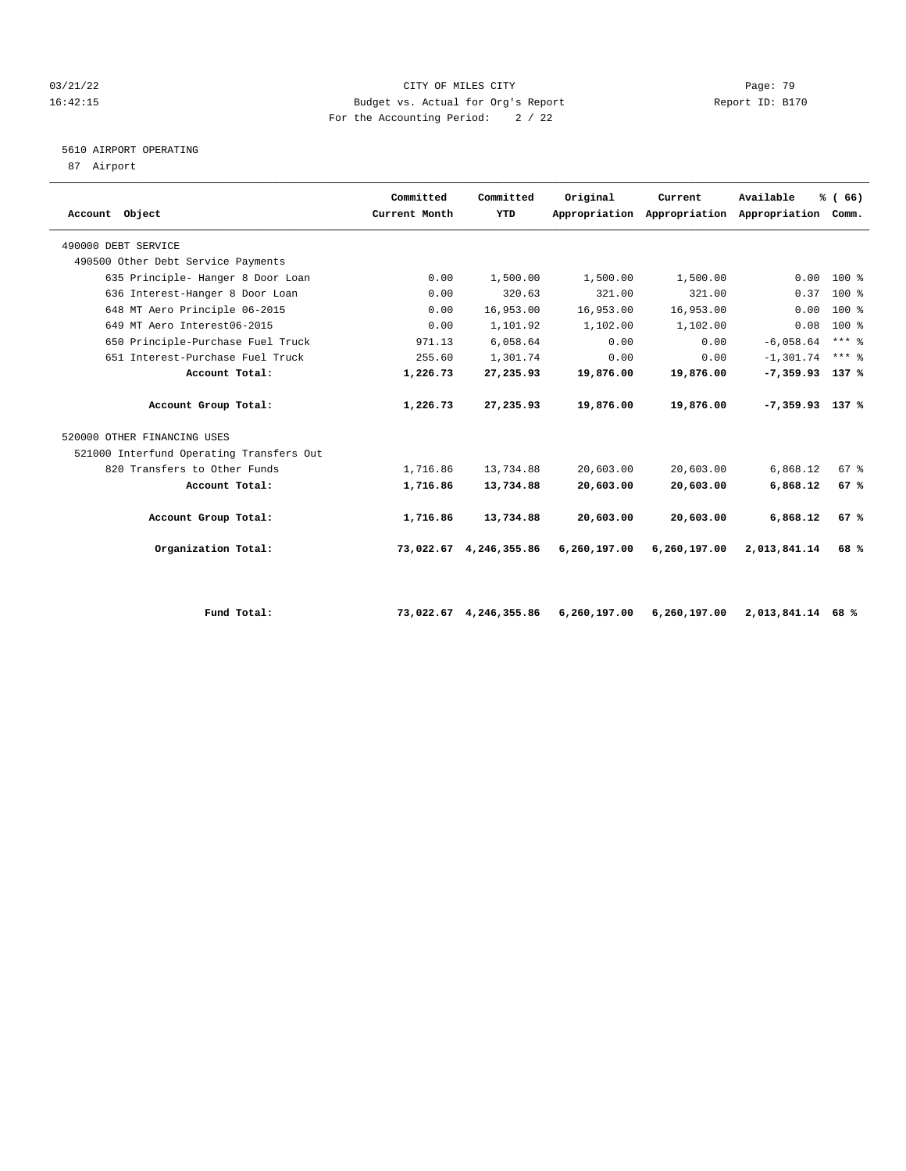#### 03/21/22 Page: 79 16:42:15 Budget vs. Actual for Org's Report Report ID: B170 For the Accounting Period: 2 / 22

## 5610 AIRPORT OPERATING

87 Airport

|                                          | Committed     | Committed    | Original     | Current                                   | Available         | % (66)          |  |
|------------------------------------------|---------------|--------------|--------------|-------------------------------------------|-------------------|-----------------|--|
| Account Object                           | Current Month | YTD          |              | Appropriation Appropriation Appropriation |                   | Comm.           |  |
| 490000 DEBT SERVICE                      |               |              |              |                                           |                   |                 |  |
| 490500 Other Debt Service Payments       |               |              |              |                                           |                   |                 |  |
| 635 Principle- Hanger 8 Door Loan        | 0.00          | 1,500.00     | 1,500.00     | 1,500.00                                  | 0.00              | 100 %           |  |
| 636 Interest-Hanger 8 Door Loan          | 0.00          | 320.63       | 321.00       | 321.00                                    | 0.37              | $100*$          |  |
| 648 MT Aero Principle 06-2015            | 0.00          | 16,953.00    | 16,953.00    | 16,953.00                                 | 0.00              | $100*$          |  |
| 649 MT Aero Interest06-2015              | 0.00          | 1,101.92     | 1,102.00     | 1,102.00                                  | 0.08              | $100*$          |  |
| 650 Principle-Purchase Fuel Truck        | 971.13        | 6,058.64     | 0.00         | 0.00                                      | $-6,058.64$       | $***$ $%$       |  |
| 651 Interest-Purchase Fuel Truck         | 255.60        | 1,301.74     | 0.00         | 0.00                                      | $-1.301.74$       | $***$ $%$       |  |
| Account Total:                           | 1,226.73      | 27,235.93    | 19,876.00    | 19,876.00                                 | $-7,359.93$ 137 % |                 |  |
| Account Group Total:                     | 1,226.73      | 27,235.93    | 19,876.00    | 19,876.00                                 | $-7,359.93$ 137 % |                 |  |
| 520000 OTHER FINANCING USES              |               |              |              |                                           |                   |                 |  |
| 521000 Interfund Operating Transfers Out |               |              |              |                                           |                   |                 |  |
| 820 Transfers to Other Funds             | 1,716.86      | 13,734.88    | 20,603.00    | 20,603.00                                 | 6,868.12          | 67 <sup>8</sup> |  |
| Account Total:                           | 1,716.86      | 13,734.88    | 20,603.00    | 20,603.00                                 | 6,868.12          | 67%             |  |
| Account Group Total:                     | 1,716.86      | 13,734.88    | 20,603.00    | 20,603.00                                 | 6,868.12          | 67%             |  |
| Organization Total:                      | 73,022.67     | 4,246,355.86 | 6,260,197.00 | 6,260,197.00                              | 2,013,841.14      | 68%             |  |
|                                          |               |              |              |                                           |                   |                 |  |
|                                          |               |              |              |                                           |                   |                 |  |

 **Fund Total: 73,022.67 4,246,355.86 6,260,197.00 6,260,197.00 2,013,841.14 68 %**